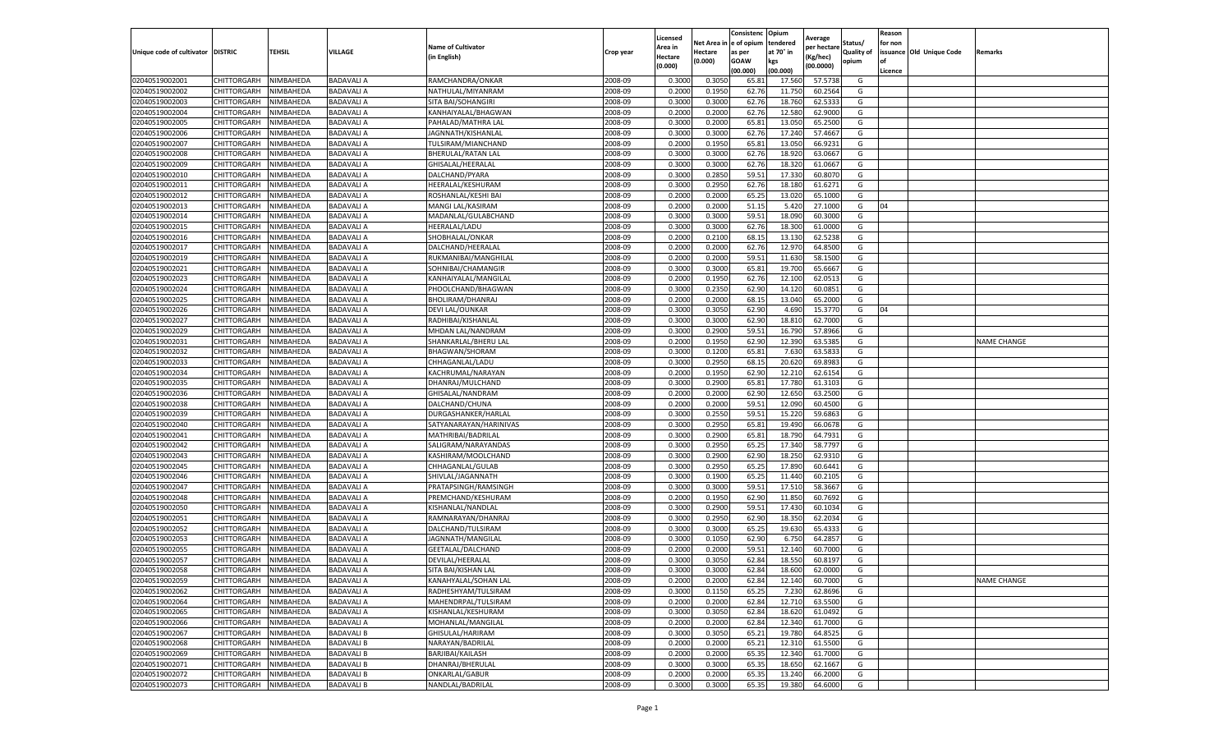|                                   |                            |                        |                                        |                                             |                    | Licensed         |                  | Consistenc     | Opium           |                        |                   | Reason  |                          |                    |
|-----------------------------------|----------------------------|------------------------|----------------------------------------|---------------------------------------------|--------------------|------------------|------------------|----------------|-----------------|------------------------|-------------------|---------|--------------------------|--------------------|
|                                   |                            |                        |                                        | <b>Name of Cultivator</b>                   |                    | Area in          | Net Area i       | e of opium     | tendered        | Average<br>per hectare | Status/           | for non |                          |                    |
| Unique code of cultivator DISTRIC |                            | TEHSIL                 | VILLAGE                                | (in English)                                | Crop year          | Hectare          | Hectare          | as per         | at 70° in       | Kg/hec)                | <b>Quality of</b> |         | issuance Old Unique Code | Remarks            |
|                                   |                            |                        |                                        |                                             |                    | (0.000)          | (0.000)          | <b>GOAW</b>    | kgs             | (00.0000)              | opium             |         |                          |                    |
|                                   |                            |                        |                                        |                                             |                    |                  |                  | (00.000        | (00.000)        |                        |                   | Licence |                          |                    |
| 02040519002001                    | CHITTORGARH                | NIMBAHEDA              | <b>BADAVALIA</b>                       | RAMCHANDRA/ONKAR                            | 2008-09            | 0.3000           | 0.3050           | 65.8           | 17.560          | 57.5738                | G                 |         |                          |                    |
| 02040519002002                    | CHITTORGARH                | NIMBAHEDA              | <b>BADAVALI A</b>                      | NATHULAL/MIYANRAM                           | 2008-09            | 0.200            | 0.1950           | 62.76          | 11.750          | 60.2564                | G                 |         |                          |                    |
| 02040519002003                    | CHITTORGARH                | NIMBAHEDA              | <b>BADAVALI A</b>                      | SITA BAI/SOHANGIRI                          | 2008-09            | 0.3000           | 0.3000           | 62.76          | 18.760          | 62.5333                | G                 |         |                          |                    |
| 02040519002004                    | CHITTORGARH                | NIMBAHEDA              | <b>BADAVALI A</b>                      | KANHAIYALAL/BHAGWAN                         | 2008-09            | 0.2000           | 0.2000           | 62.76          | 12.580          | 62.9000                | G                 |         |                          |                    |
| 02040519002005                    | CHITTORGARH                | NIMBAHEDA              | <b>BADAVALI A</b>                      | PAHALAD/MATHRA LAL                          | 2008-09            | 0.3000           | 0.2000           | 65.81          | 13.050          | 65.2500                | G                 |         |                          |                    |
| 02040519002006                    | CHITTORGARH                | NIMBAHEDA              | <b>BADAVALI A</b>                      | JAGNNATH/KISHANLAL                          | 2008-09            | 0.3000           | 0.3000           | 62.76          | 17.240          | 57.4667                | G                 |         |                          |                    |
| 02040519002007                    | CHITTORGARH                | NIMBAHEDA              | <b>BADAVALIA</b>                       | TULSIRAM/MIANCHAND                          | 2008-09            | 0.2000           | 0.1950           | 65.81          | 13.050          | 66.9231                | G                 |         |                          |                    |
| 02040519002008                    | CHITTORGARH                | NIMBAHEDA              | <b>BADAVALI A</b>                      | BHERULAL/RATAN LAL                          | 2008-09            | 0.300            | 0.3000           | 62.76          | 18.92           | 63.0667                | G                 |         |                          |                    |
| 02040519002009                    | CHITTORGARH                | NIMBAHEDA              | <b>BADAVALI A</b>                      | GHISALAL/HEERALAL                           | 2008-09            | 0.300            | 0.3000           | 62.76          | 18.320          | 61.0667                | G                 |         |                          |                    |
| 02040519002010                    | CHITTORGARH                | NIMBAHEDA              | <b>BADAVALI A</b>                      | DALCHAND/PYARA                              | 2008-09            | 0.3000           | 0.2850           | 59.51          | 17.330          | 60.8070                | G                 |         |                          |                    |
| 02040519002011                    | CHITTORGARH                | NIMBAHEDA              | <b>BADAVALI A</b>                      | HEERALAL/KESHURAM                           | 2008-09            | 0.3000           | 0.2950           | 62.76          | 18.180          | 61.6271                | G                 |         |                          |                    |
| 02040519002012                    | CHITTORGARH                | NIMBAHEDA              | <b>BADAVALI A</b>                      | ROSHANLAL/KESHI BAI                         | 2008-09            | 0.2000           | 0.2000           | 65.25          | 13.020          | 65.1000                | G                 |         |                          |                    |
| 02040519002013                    | CHITTORGARH                | NIMBAHEDA              | <b>BADAVALI A</b>                      | MANGI LAL/KASIRAM                           | 2008-09            | 0.2000           | 0.2000           | 51.1           | 5.420           | 27.1000                | G                 | 04      |                          |                    |
| 02040519002014                    | CHITTORGARH                | NIMBAHEDA              | <b>BADAVALI A</b>                      | MADANLAL/GULABCHAND                         | 2008-09            | 0.300            | 0.3000           | 59.51          | 18.090          | 60.3000                | G                 |         |                          |                    |
| 02040519002015                    | CHITTORGARH                | NIMBAHEDA              | <b>BADAVALI A</b>                      | <b>HEERALAL/LADU</b>                        | 2008-09            | 0.3000           | 0.3000           | 62.76          | 18.300          | 61.0000                | G                 |         |                          |                    |
| 02040519002016                    | CHITTORGARH                | NIMBAHEDA              | <b>BADAVALI A</b>                      | SHOBHALAL/ONKAR                             | 2008-09            | 0.2000           | 0.2100           | 68.15          | 13.13           | 62.5238                | G                 |         |                          |                    |
| 02040519002017                    | CHITTORGARH                | NIMBAHEDA              | <b>BADAVALI A</b>                      | DALCHAND/HEERALAL                           | 2008-09            | 0.2000           | 0.2000           | 62.76          | 12.97           | 64.8500                | G                 |         |                          |                    |
| 02040519002019                    | CHITTORGARH                | NIMBAHEDA              | <b>BADAVALI A</b>                      | RUKMANIBAI/MANGHILAL                        | 2008-09            | 0.2000           | 0.2000           | 59.51          | 11.630          | 58.1500                | G                 |         |                          |                    |
| 02040519002021                    | CHITTORGARH                | NIMBAHEDA              | <b>BADAVALI A</b>                      | SOHNIBAI/CHAMANGIR                          | 2008-09            | 0.3000           | 0.3000           | 65.8           | 19.700          | 65.6667                | G                 |         |                          |                    |
| 02040519002023                    | CHITTORGARH                | NIMBAHEDA              | <b>BADAVALI A</b>                      | KANHAIYALAL/MANGILAL                        | 2008-09            | 0.2000           | 0.1950           | 62.76          | 12.100          | 62.0513                | G                 |         |                          |                    |
| 02040519002024                    | CHITTORGARH                | NIMBAHEDA              | <b>BADAVALI A</b>                      | PHOOLCHAND/BHAGWAN                          | 2008-09            | 0.3000           | 0.2350           | 62.90          | 14.120          | 60.0851                | G                 |         |                          |                    |
| 02040519002025                    | CHITTORGARH                | NIMBAHEDA              | <b>BADAVALI A</b>                      | BHOLIRAM/DHANRAJ                            | 2008-09            | 0.2000           | 0.2000           | 68.1           | 13.040          | 65.2000                | G                 |         |                          |                    |
| 02040519002026                    | CHITTORGARH                | NIMBAHEDA              | <b>BADAVALI A</b>                      | <b>DEVI LAL/OUNKAR</b>                      | 2008-09            | 0.3000           | 0.3050           | 62.90          | 4.690           | 15.3770                | G                 | 04      |                          |                    |
| 02040519002027                    | CHITTORGARH                | NIMBAHEDA              | <b>BADAVALI A</b>                      | RADHIBAI/KISHANLAL                          | 2008-09            | 0.3000           | 0.3000           | 62.90          | 18.81           | 62.7000                | G                 |         |                          |                    |
| 02040519002029                    | CHITTORGARH                | NIMBAHEDA              | <b>BADAVALI A</b>                      | MHDAN LAL/NANDRAM                           | 2008-09            | 0.3000           | 0.2900           | 59.51          | 16.790          | 57.8966                | G                 |         |                          |                    |
| 02040519002031                    | CHITTORGARH                | NIMBAHEDA              | <b>BADAVALI A</b>                      | SHANKARLAL/BHERU LAL                        | 2008-09            | 0.2000           | 0.1950           | 62.90          | 12.390          | 63.5385                | G                 |         |                          | <b>NAME CHANGE</b> |
| 02040519002032                    | CHITTORGARH                | NIMBAHEDA              | <b>BADAVALI A</b>                      | BHAGWAN/SHORAM                              | 2008-09            | 0.3000           | 0.1200           | 65.8           | 7.630           | 63.5833                | G                 |         |                          |                    |
| 02040519002033                    | CHITTORGARH                | NIMBAHEDA              | <b>BADAVALI A</b>                      | CHHAGANLAL/LADU                             | 2008-09            | 0.3000           | 0.2950           | 68.15          | 20.620          | 69.8983                | G                 |         |                          |                    |
| 02040519002034                    | CHITTORGARH                | NIMBAHEDA              | <b>BADAVALI A</b>                      | KACHRUMAL/NARAYAN                           | 2008-09            | 0.2000           | 0.1950           | 62.90          | 12.210          | 62.6154                | G                 |         |                          |                    |
| 02040519002035                    | CHITTORGARH                | NIMBAHEDA              | <b>BADAVALI A</b>                      | DHANRAJ/MULCHAND                            | 2008-09            | 0.3000           | 0.2900           | 65.81          | 17.780          | 61.3103                | G                 |         |                          |                    |
| 02040519002036                    | CHITTORGARH                | NIMBAHEDA              | <b>BADAVALI A</b>                      | GHISALAL/NANDRAM                            | 2008-09            | 0.2000           | 0.2000           | 62.90          | 12.650          | 63.2500                | G                 |         |                          |                    |
| 02040519002038                    | CHITTORGARH                | NIMBAHEDA              | <b>BADAVALI A</b>                      | DALCHAND/CHUNA                              | 2008-09            | 0.2000           | 0.2000           | 59.51          | 12.090          | 60.4500                | G                 |         |                          |                    |
| 02040519002039                    | CHITTORGARH                | NIMBAHEDA              | <b>BADAVALI A</b>                      | DURGASHANKER/HARLAL                         | 2008-09            | 0.300            | 0.2550           | 59.51          | 15.220          | 59.686                 | G                 |         |                          |                    |
| 02040519002040                    | CHITTORGARH                | NIMBAHEDA              | <b>BADAVALI A</b>                      | SATYANARAYAN/HARINIVAS                      | 2008-09            | 0.3000           | 0.2950           | 65.81          | 19.490          | 66.0678                | G                 |         |                          |                    |
| 02040519002041                    | CHITTORGARH                | NIMBAHEDA              | <b>BADAVALI A</b>                      | MATHRIBAI/BADRILAL                          | 2008-09            | 0.3000           | 0.2900           | 65.81          | 18.790          | 64.7931                | G                 |         |                          |                    |
| 02040519002042                    | CHITTORGARH                | NIMBAHEDA              | <b>BADAVALI A</b>                      | SALIGRAM/NARAYANDAS                         | 2008-09            | 0.3000           | 0.2950           | 65.25          | 17.340          | 58.7797                | G                 |         |                          |                    |
| 02040519002043                    | CHITTORGARH                | NIMBAHEDA              | <b>BADAVALI A</b>                      | KASHIRAM/MOOLCHAND                          | 2008-09            | 0.3000           | 0.2900           | 62.90          | 18.250          | 62.9310                | G                 |         |                          |                    |
| 02040519002045                    | CHITTORGARH                | NIMBAHEDA              | <b>BADAVALI A</b>                      | CHHAGANLAL/GULAB                            | 2008-09            | 0.3000           | 0.2950           | 65.25          | 17.890          | 60.6441                | G                 |         |                          |                    |
| 02040519002046                    | CHITTORGARH                | NIMBAHEDA              | <b>BADAVALI A</b>                      | SHIVLAL/JAGANNATH                           | 2008-09            | 0.3000           | 0.1900           | 65.25          | 11.440          | 60.2105                | G                 |         |                          |                    |
| 02040519002047                    | CHITTORGARH                | NIMBAHEDA              | <b>BADAVALI A</b>                      | PRATAPSINGH/RAMSINGH                        | 2008-09            | 0.3000           | 0.3000           | 59.51          | 17.510          | 58.3667                | G                 |         |                          |                    |
| 02040519002048                    | CHITTORGARH                | NIMBAHEDA              | <b>BADAVALI A</b>                      | PREMCHAND/KESHURAM                          | 2008-09            | 0.2000           | 0.1950           | 62.90          | 11.850          | 60.7692                | G                 |         |                          |                    |
| 02040519002050                    | CHITTORGARH                | NIMBAHEDA              | <b>BADAVALI A</b>                      | KISHANLAL/NANDLAL                           | 2008-09            | 0.3000           | 0.2900           | 59.51          | 17.430          | 60.1034                | G                 |         |                          |                    |
| 02040519002051                    | CHITTORGARH                | NIMBAHEDA              | <b>BADAVALI A</b>                      | RAMNARAYAN/DHANRAJ                          | 2008-09            | 0.3000           | 0.2950           | 62.90          | 18.350          | 62.2034                | G                 |         |                          |                    |
| 02040519002052                    | CHITTORGARH                | NIMBAHEDA              | <b>BADAVALI A</b>                      | DALCHAND/TULSIRAM                           | 2008-09            | 0.3000           | 0.3000           | 65.25          | 19.630          | 65.4333                | G                 |         |                          |                    |
| 02040519002053                    | CHITTORGARH                | NIMBAHEDA              | <b>BADAVALI A</b>                      | JAGNNATH/MANGILAL                           | 2008-09            | 0.3000           | 0.1050           | 62.90          | 6.750           | 64.2857                | G                 |         |                          |                    |
| 02040519002055                    | CHITTORGARH                | NIMBAHEDA              | <b>BADAVALI A</b>                      | GEETALAL/DALCHAND                           | 2008-09            | 0.200            | 0.2000           | 59.51          | 12.140          | 60.7000                | G                 |         |                          |                    |
| 02040519002057                    | CHITTORGARH                | NIMBAHEDA              | <b>BADAVALI A</b>                      | DEVILAL/HEERALAL                            | 2008-09            | 0.300            | 0.3050           | 62.84          | 18.550          | 60.8197                | G                 |         |                          |                    |
| 02040519002058                    | CHITTORGARH                | NIMBAHEDA              | <b>BADAVALI A</b>                      | SITA BAI/KISHAN LAL                         | 2008-09            | 0.3000           | 0.3000           | 62.84          | 18.600          | 62.0000                | G                 |         |                          |                    |
|                                   |                            |                        |                                        |                                             |                    |                  |                  |                |                 |                        |                   |         |                          |                    |
| 02040519002059<br>02040519002062  | CHITTORGARH<br>CHITTORGARH | NIMBAHEDA<br>NIMBAHEDA | <b>BADAVALI A</b><br><b>BADAVALI A</b> | KANAHYALAL/SOHAN LAL<br>RADHESHYAM/TULSIRAM | 2008-09<br>2008-09 | 0.2000<br>0.3000 | 0.2000<br>0.1150 | 62.84<br>65.25 | 12.140<br>7.230 | 60.7000<br>62.8696     | G<br>G            |         |                          | <b>NAME CHANGE</b> |
|                                   |                            |                        |                                        |                                             | 2008-09            |                  | 0.2000           |                | 12.710          |                        | G                 |         |                          |                    |
| 02040519002064                    | CHITTORGARH                | NIMBAHEDA              | <b>BADAVALI A</b>                      | MAHENDRPAL/TULSIRAM                         |                    | 0.2000           |                  | 62.84          |                 | 63.5500                |                   |         |                          |                    |
| 02040519002065                    | CHITTORGARH                | NIMBAHEDA              | <b>BADAVALI A</b>                      | KISHANLAL/KESHURAM                          | 2008-09            | 0.3000           | 0.3050           | 62.84          | 18.620          | 61.0492                | G                 |         |                          |                    |
| 02040519002066                    | CHITTORGARH                | NIMBAHEDA              | <b>BADAVALI A</b>                      | MOHANLAL/MANGILAL                           | 2008-09            | 0.2000           | 0.2000           | 62.84          | 12.340          | 61.7000                | G                 |         |                          |                    |
| 02040519002067                    | CHITTORGARH                | NIMBAHEDA              | <b>BADAVALI B</b>                      | GHISULAL/HARIRAM                            | 2008-09            | 0.3000           | 0.3050           | 65.21          | 19.780          | 64.8525                | G                 |         |                          |                    |
| 02040519002068                    | CHITTORGARH                | NIMBAHEDA              | <b>BADAVALI B</b>                      | NARAYAN/BADRILAL                            | 2008-09            | 0.2000           | 0.2000           | 65.21          | 12.310          | 61.5500                | G                 |         |                          |                    |
| 02040519002069                    | CHITTORGARH                | NIMBAHEDA              | <b>BADAVALI B</b>                      | BARJIBAI/KAILASH                            | 2008-09            | 0.2000           | 0.2000           | 65.35          | 12.340          | 61.7000                | G                 |         |                          |                    |
| 02040519002071                    | CHITTORGARH                | NIMBAHEDA              | <b>BADAVALI B</b>                      | DHANRAJ/BHERULAL                            | 2008-09            | 0.3000           | 0.3000           | 65.35          | 18.650          | 62.1667                | G                 |         |                          |                    |
| 02040519002072                    | CHITTORGARH                | NIMBAHEDA              | <b>BADAVALI B</b>                      | ONKARLAL/GABUR                              | 2008-09            | 0.2000           | 0.2000           | 65.35          | 13.240          | 66.2000                | G                 |         |                          |                    |
| 02040519002073                    | CHITTORGARH                | NIMBAHEDA              | <b>BADAVALI B</b>                      | NANDLAL/BADRILAL                            | 2008-09            | 0.3000           | 0.3000           | 65.35          | 19.380          | 64.6000                | G                 |         |                          |                    |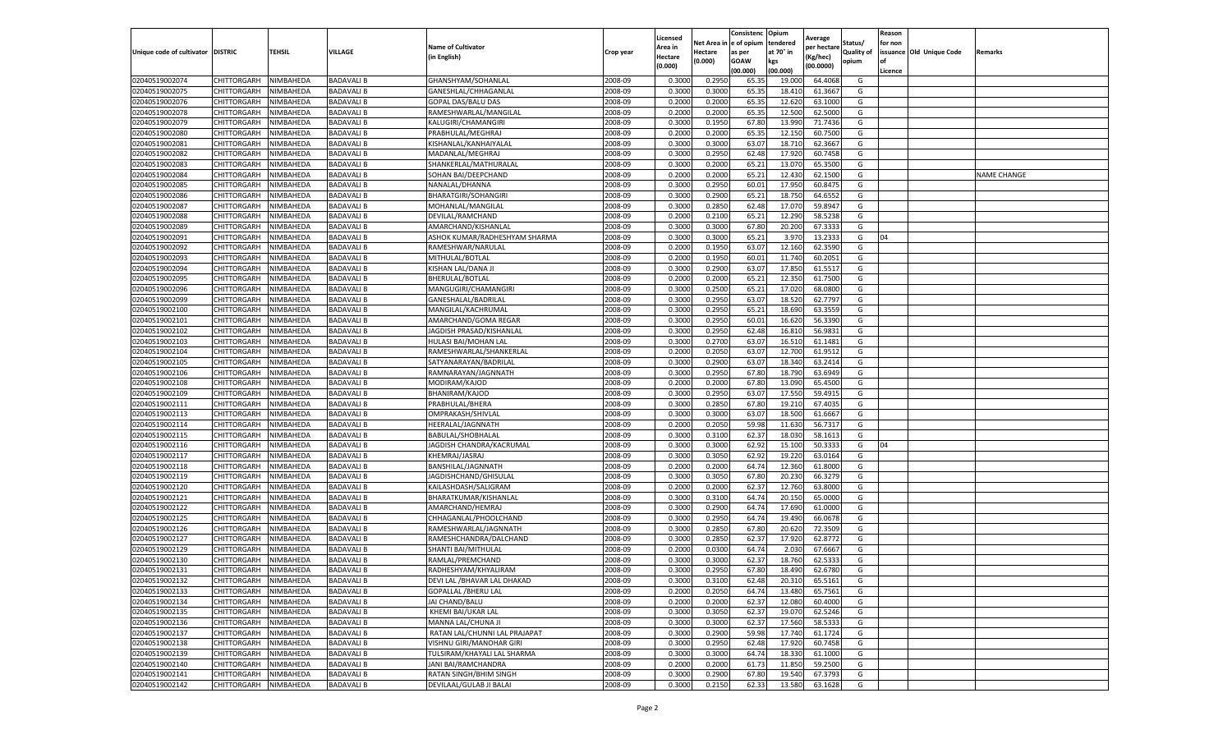|                           |                    |           |                   |                               |           | Licensed |         | Consistenc             | Opium     |                        |                   | Reason  |                          |                    |
|---------------------------|--------------------|-----------|-------------------|-------------------------------|-----------|----------|---------|------------------------|-----------|------------------------|-------------------|---------|--------------------------|--------------------|
|                           |                    |           |                   | <b>Name of Cultivator</b>     |           | Area in  |         | Net Area in e of opium | tendered  | Average<br>per hectare | Status/           | for non |                          |                    |
| Unique code of cultivator | <b>DISTRIC</b>     | TEHSIL    | VILLAGE           | in English)                   | Crop year | Hectare  | Hectare | as per                 | at 70° in | (Kg/hec                | <b>Quality of</b> |         | issuance Old Unique Code | <b>Remarks</b>     |
|                           |                    |           |                   |                               |           | (0.000)  | (0.000) | <b>GOAW</b>            | kgs       | (00.0000)              | opium             |         |                          |                    |
|                           |                    |           |                   |                               |           |          |         | (00.000)               | (00.000)  |                        |                   | Licence |                          |                    |
| 02040519002074            | CHITTORGARH        | NIMBAHEDA | <b>BADAVALI B</b> | GHANSHYAM/SOHANLAL            | 2008-09   | 0.3000   | 0.2950  | 65.35                  | 19.00     | 64.4068                | G                 |         |                          |                    |
| 02040519002075            | CHITTORGARH        | NIMBAHEDA | <b>BADAVALI B</b> | GANESHLAL/CHHAGANLAL          | 2008-09   | 0.3000   | 0.3000  | 65.35                  | 18.41     | 61.3667                | G                 |         |                          |                    |
| 02040519002076            | CHITTORGARH        | NIMBAHEDA | <b>BADAVALI B</b> | GOPAL DAS/BALU DAS            | 2008-09   | 0.2000   | 0.2000  | 65.35                  | 12.62     | 63.1000                | G                 |         |                          |                    |
| 02040519002078            | CHITTORGARH        | NIMBAHEDA | <b>BADAVALI B</b> | RAMESHWARLAL/MANGILAL         | 2008-09   | 0.2000   | 0.2000  | 65.35                  | 12.500    | 62.5000                | G                 |         |                          |                    |
| 02040519002079            | CHITTORGARH        | NIMBAHEDA | <b>BADAVALI B</b> | KALUGIRI/CHAMANGIRI           | 2008-09   | 0.3000   | 0.1950  | 67.80                  | 13.99     | 71.7436                | G                 |         |                          |                    |
| 02040519002080            | CHITTORGARH        | NIMBAHEDA | <b>BADAVALI B</b> | PRABHULAL/MEGHRAJ             | 2008-09   | 0.2000   | 0.2000  | 65.35                  | 12.15     | 60.7500                | G                 |         |                          |                    |
| 02040519002081            | CHITTORGARH        | NIMBAHEDA | <b>BADAVALI B</b> | KISHANLAL/KANHAIYALAI         | 2008-09   | 0.3000   | 0.3000  | 63.07                  | 18.710    | 62.3667                | G                 |         |                          |                    |
| 02040519002082            | CHITTORGARH        | NIMBAHEDA | BADAVALI B        | MADANLAL/MEGHRAJ              | 2008-09   | 0.3000   | 0.2950  | 62.48                  | 17.92     | 60.7458                | G                 |         |                          |                    |
| 02040519002083            | CHITTORGARH        | NIMBAHEDA | BADAVALI B        | SHANKERLAL/MATHURALAL         | 2008-09   | 0.3000   | 0.2000  | 65.21                  | 13.07     | 65.3500                | G                 |         |                          |                    |
| 02040519002084            | CHITTORGARH        | NIMBAHEDA | <b>BADAVALI B</b> | SOHAN BAI/DEEPCHAND           | 2008-09   | 0.2000   | 0.2000  | 65.21                  | 12.430    | 62.1500                | G                 |         |                          | <b>NAME CHANGE</b> |
| 02040519002085            | CHITTORGARH        | NIMBAHEDA | <b>BADAVALI B</b> | NANALAL/DHANNA                | 2008-09   | 0.3000   | 0.2950  | 60.01                  | 17.950    | 60.8475                | G                 |         |                          |                    |
| 02040519002086            | CHITTORGARH        | NIMBAHEDA | BADAVALI B        | BHARATGIRI/SOHANGIRI          | 2008-09   | 0.3000   | 0.2900  | 65.21                  | 18.75     | 64.6552                | G                 |         |                          |                    |
| 02040519002087            | CHITTORGARH        | NIMBAHEDA | <b>BADAVALI B</b> | MOHANLAL/MANGILAL             | 2008-09   | 0.3000   | 0.2850  | 62.48                  | 17.07     | 59.8947                | G                 |         |                          |                    |
| 02040519002088            | CHITTORGARH        | NIMBAHEDA | <b>BADAVALI B</b> | DEVILAL/RAMCHAND              | 2008-09   | 0.2000   | 0.2100  | 65.21                  | 12.29     | 58.5238                | G                 |         |                          |                    |
| 02040519002089            | CHITTORGARH        | NIMBAHEDA | BADAVALI B        | AMARCHAND/KISHANLAL           | 2008-09   | 0.3000   | 0.3000  | 67.80                  | 20.20     | 67.3333                | G                 |         |                          |                    |
| 02040519002091            | CHITTORGARH        | NIMBAHEDA | <b>BADAVALI B</b> | ASHOK KUMAR/RADHESHYAM SHARMA | 2008-09   | 0.3000   | 0.3000  | 65.21                  | 3.97      | 13.2333                | G                 | 04      |                          |                    |
| 02040519002092            | CHITTORGARH        | NIMBAHEDA | BADAVALI B        | RAMESHWAR/NARULAL             | 2008-09   | 0.2000   | 0.1950  | 63.07                  | 12.160    | 62.3590                | G                 |         |                          |                    |
| 02040519002093            | CHITTORGARH        | NIMBAHEDA | <b>BADAVALI B</b> | MITHULAL/BOTLAL               | 2008-09   | 0.2000   | 0.1950  | 60.01                  | 11.74     | 60.2051                | G                 |         |                          |                    |
| 02040519002094            | CHITTORGARH        | NIMBAHEDA | <b>BADAVALI B</b> | KISHAN LAL/DANA JI            | 2008-09   | 0.3000   | 0.2900  | 63.07                  | 17.85     | 61.5517                | G                 |         |                          |                    |
| 02040519002095            | CHITTORGARH        | NIMBAHEDA | <b>BADAVALI B</b> | BHERULAL/BOTLAL               | 2008-09   | 0.2000   | 0.2000  | 65.21                  | 12.350    | 61.7500                | G                 |         |                          |                    |
| 02040519002096            | CHITTORGARH        | NIMBAHEDA | <b>BADAVALI B</b> | MANGUGIRI/CHAMANGIRI          | 2008-09   | 0.3000   | 0.2500  | 65.21                  | 17.020    | 68.0800                | G                 |         |                          |                    |
| 02040519002099            | CHITTORGARH        | NIMBAHEDA | BADAVALI B        | GANESHALAL/BADRILAL           | 2008-09   | 0.3000   | 0.2950  | 63.07                  | 18.52     | 62.7797                | G                 |         |                          |                    |
| 02040519002100            | CHITTORGARH        | NIMBAHEDA | <b>BADAVALI B</b> | MANGILAL/KACHRUMAL            | 2008-09   | 0.3000   | 0.2950  | 65.21                  | 18.690    | 63.3559                | G                 |         |                          |                    |
| 02040519002101            | CHITTORGARH        | NIMBAHEDA | BADAVALI B        | AMARCHAND/GOMA REGAR          | 2008-09   | 0.3000   | 0.2950  | 60.01                  | 16.62     | 56.3390                | G                 |         |                          |                    |
| 02040519002102            | CHITTORGARH        | NIMBAHEDA | <b>BADAVALI B</b> | JAGDISH PRASAD/KISHANLAI      | 2008-09   | 0.3000   | 0.2950  | 62.48                  | 16.81     | 56.9831                | G                 |         |                          |                    |
| 02040519002103            | CHITTORGARH        | NIMBAHEDA | <b>BADAVALI B</b> | HULASI BAI/MOHAN LAL          | 2008-09   | 0.3000   | 0.2700  | 63.07                  | 16.51     | 61.1481                | G                 |         |                          |                    |
| 02040519002104            | CHITTORGARH        | NIMBAHEDA | <b>BADAVALI B</b> | RAMESHWARLAL/SHANKERLAL       | 2008-09   | 0.2000   | 0.2050  | 63.07                  | 12.70     | 61.9512                | G                 |         |                          |                    |
| 02040519002105            | CHITTORGARH        | NIMBAHEDA | <b>BADAVALI B</b> | SATYANARAYAN/BADRILAI         | 2008-09   | 0.3000   | 0.2900  | 63.07                  | 18.340    | 63.2414                | G                 |         |                          |                    |
| 02040519002106            | CHITTORGARH        | NIMBAHEDA | <b>BADAVALI B</b> | RAMNARAYAN/JAGNNATH           | 2008-09   | 0.3000   | 0.2950  | 67.80                  | 18.790    | 63.6949                | G                 |         |                          |                    |
| 02040519002108            | CHITTORGARH        | NIMBAHEDA | <b>BADAVALI B</b> | MODIRAM/KAJOD                 | 2008-09   | 0.2000   | 0.2000  | 67.80                  | 13.09     | 65.4500                | G                 |         |                          |                    |
| 02040519002109            | CHITTORGARH        | NIMBAHEDA | <b>BADAVALI B</b> | BHANIRAM/KAJOD                | 2008-09   | 0.3000   | 0.2950  | 63.07                  | 17.55     | 59.491                 | G                 |         |                          |                    |
| 02040519002111            | CHITTORGARH        | NIMBAHEDA | <b>BADAVALI B</b> | PRABHULAL/BHERA               | 2008-09   | 0.3000   | 0.2850  | 67.80                  | 19.21     | 67.4035                | G                 |         |                          |                    |
| 02040519002113            | CHITTORGARH        | NIMBAHEDA | <b>BADAVALI B</b> | OMPRAKASH/SHIVLAL             | 2008-09   | 0.3000   | 0.3000  | 63.07                  | 18.50     | 61.6667                | G                 |         |                          |                    |
| 02040519002114            | CHITTORGARH        | NIMBAHEDA | BADAVALI B        | HEERALAL/JAGNNATH             | 2008-09   | 0.2000   | 0.2050  | 59.98                  | 11.630    | 56.7317                | G                 |         |                          |                    |
| 02040519002115            | CHITTORGARH        | NIMBAHEDA | <b>BADAVALI B</b> | BABULAL/SHOBHALAL             | 2008-09   | 0.3000   | 0.3100  | 62.37                  | 18.03     | 58.1613                | G                 |         |                          |                    |
| 02040519002116            | CHITTORGARH        | NIMBAHEDA | <b>BADAVALI B</b> | JAGDISH CHANDRA/KACRUMAL      | 2008-09   | 0.3000   | 0.3000  | 62.92                  | 15.10     | 50.3333                | G                 | 04      |                          |                    |
| 02040519002117            | CHITTORGARH        | NIMBAHEDA | <b>BADAVALI B</b> | KHEMRAJ/JASRAJ                | 2008-09   | 0.3000   | 0.3050  | 62.92                  | 19.22     | 63.0164                | G                 |         |                          |                    |
| 02040519002118            | CHITTORGARH        | NIMBAHEDA | <b>BADAVALI B</b> | BANSHILAL/JAGNNATH            | 2008-09   | 0.2000   | 0.2000  | 64.74                  | 12.360    | 61.8000                | G                 |         |                          |                    |
| 02040519002119            | CHITTORGARH        | NIMBAHEDA | <b>BADAVALI B</b> | JAGDISHCHAND/GHISULAL         | 2008-09   | 0.3000   | 0.3050  | 67.80                  | 20.23     | 66.3279                | G                 |         |                          |                    |
| 02040519002120            | CHITTORGARH        | NIMBAHEDA | <b>BADAVALI B</b> | KAILASHDASH/SALIGRAM          | 2008-09   | 0.2000   | 0.2000  | 62.37                  | 12.760    | 63.8000                | G                 |         |                          |                    |
| 02040519002121            | CHITTORGARH        | NIMBAHEDA | BADAVALI B        | BHARATKUMAR/KISHANLAL         | 2008-09   | 0.3000   | 0.3100  | 64.74                  | 20.15     | 65.0000                | G                 |         |                          |                    |
| 02040519002122            | CHITTORGARH        | NIMBAHEDA | <b>BADAVALI B</b> | AMARCHAND/HEMRAJ              | 2008-09   | 0.3000   | 0.2900  | 64.74                  | 17.690    | 61.0000                | G                 |         |                          |                    |
| 02040519002125            | CHITTORGARH        | NIMBAHEDA | BADAVALI B        | CHHAGANLAL/PHOOLCHAND         | 2008-09   | 0.3000   | 0.2950  | 64.74                  | 19.49     | 66.0678                | G                 |         |                          |                    |
| 02040519002126            | CHITTORGARH        | NIMBAHEDA | BADAVALI B        | RAMESHWARLAL/JAGNNATH         | 2008-09   | 0.3000   | 0.2850  | 67.80                  | 20.62     | 72.3509                | G                 |         |                          |                    |
| 02040519002127            | CHITTORGARH        | NIMBAHEDA | <b>BADAVALI B</b> | RAMESHCHANDRA/DALCHAND        | 2008-09   | 0.3000   | 0.2850  | 62.37                  | 17.920    | 62.8772                | G                 |         |                          |                    |
| 02040519002129            | CHITTORGARH        | NIMBAHEDA | BADAVALI B        | SHANTI BAI/MITHULAL           | 2008-09   | 0.2000   | 0.0300  | 64.74                  | 2.03      | 67.6667                | G                 |         |                          |                    |
| 02040519002130            | CHITTORGARH        | NIMBAHEDA | <b>BADAVALI B</b> | RAMLAL/PREMCHAND              | 2008-09   | 0.3000   | 0.3000  | 62.37                  | 18.76     | 62.5333                | G                 |         |                          |                    |
| 02040519002131            | CHITTORGARH        | NIMBAHEDA | <b>BADAVALI B</b> | RADHESHYAM/KHYALIRAM          | 2008-09   | 0.3000   | 0.2950  | 67.80                  | 18.490    | 62.6780                | G                 |         |                          |                    |
| 02040519002132            | CHITTORGARH        | NIMBAHEDA | <b>BADAVALI B</b> | DEVI LAL / BHAVAR LAL DHAKAD  | 2008-09   | 0.3000   | 0.3100  | 62.48                  | 20.310    | 65.5161                | G                 |         |                          |                    |
| 02040519002133            | CHITTORGARH        | NIMBAHEDA | <b>BADAVALI B</b> | <b>GOPALLAL /BHERU LAL</b>    | 2008-09   | 0.2000   | 0.2050  | 64.74                  | 13.480    | 65.7561                | G                 |         |                          |                    |
| 02040519002134            | CHITTORGARH        | NIMBAHEDA | <b>BADAVALI B</b> | JAI CHAND/BALU                | 2008-09   | 0.2000   | 0.2000  | 62.37                  | 12.080    | 60.4000                | G                 |         |                          |                    |
| 02040519002135            | CHITTORGARH        | NIMBAHEDA | <b>BADAVALI B</b> | KHEMI BAI/UKAR LAL            | 2008-09   | 0.3000   | 0.3050  | 62.37                  | 19.070    | 62.5246                | G                 |         |                          |                    |
| 02040519002136            | CHITTORGARH        | NIMBAHEDA | <b>BADAVALI B</b> | MANNA LAL/CHUNA JI            | 2008-09   | 0.3000   | 0.3000  | 62.37                  | 17.560    | 58.5333                | G                 |         |                          |                    |
| 02040519002137            | <b>CHITTORGARH</b> | NIMBAHEDA | <b>BADAVALI B</b> | RATAN LAL/CHUNNI LAL PRAJAPAT | 2008-09   | 0.3000   | 0.2900  | 59.98                  | 17.740    | 61.1724                | G                 |         |                          |                    |
| 02040519002138            | CHITTORGARH        | NIMBAHEDA | <b>BADAVALI B</b> | VISHNU GIRI/MANOHAR GIRI      | 2008-09   | 0.3000   | 0.2950  | 62.48                  | 17.920    | 60.7458                | G                 |         |                          |                    |
| 02040519002139            | <b>CHITTORGARH</b> | NIMBAHEDA | <b>BADAVALI B</b> | TULSIRAM/KHAYALI LAL SHARMA   | 2008-09   | 0.3000   | 0.3000  | 64.74                  | 18.330    | 61.1000                | G                 |         |                          |                    |
| 02040519002140            | CHITTORGARH        | NIMBAHEDA | <b>BADAVALI B</b> | JANI BAI/RAMCHANDRA           | 2008-09   | 0.2000   | 0.2000  | 61.73                  | 11.850    | 59.2500                | G                 |         |                          |                    |
| 02040519002141            | CHITTORGARH        | NIMBAHEDA | <b>BADAVALI B</b> | RATAN SINGH/BHIM SINGH        | 2008-09   | 0.3000   | 0.2900  | 67.80                  | 19.540    | 67.3793                | G                 |         |                          |                    |
| 02040519002142            | <b>CHITTORGARH</b> | NIMBAHEDA | <b>BADAVALI B</b> | DEVILAAL/GULAB JI BALAI       | 2008-09   | 0.3000   | 0.2150  | 62.33                  | 13.580    | 63.1628                | G                 |         |                          |                    |
|                           |                    |           |                   |                               |           |          |         |                        |           |                        |                   |         |                          |                    |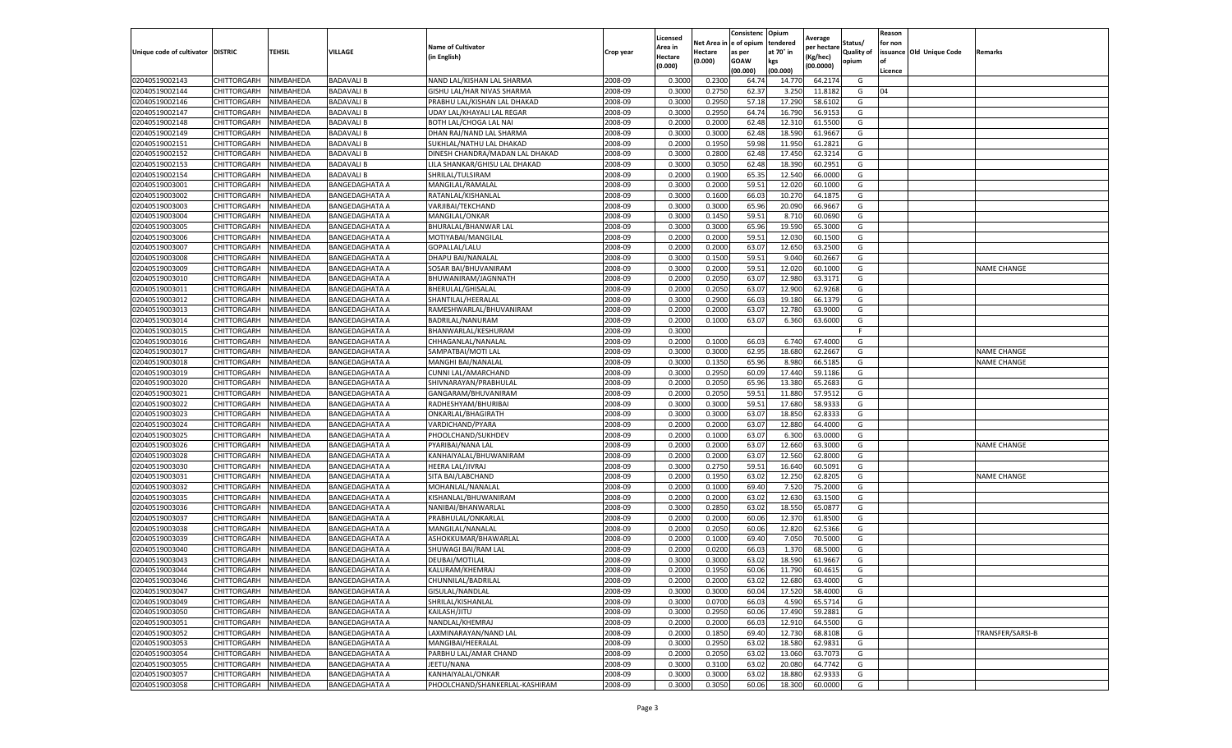|                           |                    |           |                       |                                 |           | Licensed |         | Consistenc             | Opium     | Average     |                   | Reason  |                          |                    |
|---------------------------|--------------------|-----------|-----------------------|---------------------------------|-----------|----------|---------|------------------------|-----------|-------------|-------------------|---------|--------------------------|--------------------|
|                           |                    |           |                       | <b>Name of Cultivator</b>       |           | Area in  |         | Net Area in e of opium | tendered  | per hectare | Status/           | for non |                          |                    |
| Unique code of cultivator | <b>DISTRIC</b>     | TEHSIL    | VILLAGE               | in English)                     | Crop year | Hectare  | Hectare | as per                 | at 70° in | (Kg/hec     | <b>Quality of</b> |         | issuance Old Unique Code | <b>Remarks</b>     |
|                           |                    |           |                       |                                 |           | (0.000)  | (0.000) | <b>GOAW</b>            | kgs       | (00.0000)   | opium             |         |                          |                    |
|                           |                    |           |                       |                                 |           |          |         | (00.000)               | (00.000)  |             |                   | Licence |                          |                    |
| 02040519002143            | CHITTORGARH        | NIMBAHEDA | <b>BADAVALI B</b>     | NAND LAL/KISHAN LAL SHARMA      | 2008-09   | 0.3000   | 0.2300  | 64.74                  | 14.77     | 64.2174     | G                 |         |                          |                    |
| 02040519002144            | CHITTORGARH        | NIMBAHEDA | <b>BADAVALI B</b>     | GISHU LAL/HAR NIVAS SHARMA      | 2008-09   | 0.3000   | 0.2750  | 62.37                  | 3.25      | 11.8182     | G                 | 04      |                          |                    |
| 02040519002146            | CHITTORGARH        | NIMBAHEDA | <b>BADAVALI B</b>     | PRABHU LAL/KISHAN LAL DHAKAD    | 2008-09   | 0.3000   | 0.2950  | 57.18                  | 17.290    | 58.6102     | G                 |         |                          |                    |
| 02040519002147            | CHITTORGARH        | NIMBAHEDA | <b>BADAVALI B</b>     | UDAY LAL/KHAYALI LAL REGAR      | 2008-09   | 0.3000   | 0.2950  | 64.74                  | 16.790    | 56.9153     | G                 |         |                          |                    |
| 02040519002148            | CHITTORGARH        | NIMBAHEDA | <b>BADAVALI B</b>     | BOTH LAL/CHOGA LAL NAI          | 2008-09   | 0.2000   | 0.2000  | 62.48                  | 12.31     | 61.5500     | G                 |         |                          |                    |
| 02040519002149            | CHITTORGARH        | NIMBAHEDA | <b>BADAVALI B</b>     | DHAN RAJ/NAND LAL SHARMA        | 2008-09   | 0.3000   | 0.3000  | 62.48                  | 18.59     | 61.9667     | G                 |         |                          |                    |
| 02040519002151            | CHITTORGARH        | NIMBAHEDA | <b>BADAVALI B</b>     | SUKHLAL/NATHU LAL DHAKAD        | 2008-09   | 0.2000   | 0.1950  | 59.98                  | 11.950    | 61.2821     | G                 |         |                          |                    |
| 02040519002152            | CHITTORGARH        | NIMBAHEDA | <b>BADAVALI B</b>     | DINESH CHANDRA/MADAN LAL DHAKAD | 2008-09   | 0.3000   | 0.2800  | 62.48                  | 17.45     | 62.3214     | G                 |         |                          |                    |
| 02040519002153            | CHITTORGARH        | NIMBAHEDA | BADAVALI B            | LILA SHANKAR/GHISU LAL DHAKAD   | 2008-09   | 0.3000   | 0.3050  | 62.48                  | 18.39     | 60.2951     | G                 |         |                          |                    |
| 02040519002154            | CHITTORGARH        | NIMBAHEDA | <b>BADAVALI B</b>     | SHRILAL/TULSIRAM                | 2008-09   | 0.2000   | 0.1900  | 65.35                  | 12.540    | 66.0000     | G                 |         |                          |                    |
| 02040519003001            | CHITTORGARH        | NIMBAHEDA | <b>BANGEDAGHATA A</b> | MANGILAL/RAMALAL                | 2008-09   | 0.3000   | 0.2000  | 59.51                  | 12.02     | 60.1000     | G                 |         |                          |                    |
| 02040519003002            | CHITTORGARH        | NIMBAHEDA | <b>BANGEDAGHATA A</b> | RATANLAL/KISHANLAL              | 2008-09   | 0.3000   | 0.1600  | 66.03                  | 10.27     | 64.1875     | G                 |         |                          |                    |
| 02040519003003            | CHITTORGARH        | NIMBAHEDA | BANGEDAGHATA A        | VARJIBAI/TEKCHAND               | 2008-09   | 0.3000   | 0.3000  | 65.96                  | 20.09     | 66.9667     | G                 |         |                          |                    |
| 02040519003004            | CHITTORGARH        | NIMBAHEDA | <b>BANGEDAGHATA A</b> | MANGILAL/ONKAR                  | 2008-09   | 0.3000   | 0.1450  | 59.51                  | 8.71      | 60.0690     | G                 |         |                          |                    |
| 02040519003005            | CHITTORGARH        | NIMBAHEDA | <b>BANGEDAGHATA A</b> | BHURALAL/BHANWAR LAL            | 2008-09   | 0.3000   | 0.3000  | 65.96                  | 19.59     | 65.3000     | G                 |         |                          |                    |
| 02040519003006            | CHITTORGARH        | NIMBAHEDA | <b>BANGEDAGHATA A</b> | MOTIYABAI/MANGILAL              | 2008-09   | 0.2000   | 0.2000  | 59.51                  | 12.03     | 60.1500     | G                 |         |                          |                    |
| 02040519003007            | CHITTORGARH        | NIMBAHEDA | <b>BANGEDAGHATA A</b> | GOPALLAL/LALU                   | 2008-09   | 0.2000   | 0.2000  | 63.07                  | 12.65     | 63.2500     | G                 |         |                          |                    |
| 02040519003008            | CHITTORGARH        | NIMBAHEDA | <b>BANGEDAGHATA A</b> | DHAPU BAI/NANALAL               | 2008-09   | 0.3000   | 0.1500  | 59.51                  | 9.04      | 60.2667     | G                 |         |                          |                    |
| 02040519003009            | CHITTORGARH        | NIMBAHEDA | BANGEDAGHATA A        | SOSAR BAI/BHUVANIRAM            | 2008-09   | 0.3000   | 0.2000  | 59.51                  | 12.02     | 60.1000     | G                 |         |                          | <b>NAME CHANGE</b> |
| 02040519003010            | CHITTORGARH        | NIMBAHEDA | <b>BANGEDAGHATA A</b> | BHUWANIRAM/JAGNNATH             | 2008-09   | 0.2000   | 0.2050  | 63.07                  | 12.980    | 63.3171     | G                 |         |                          |                    |
| 02040519003011            | CHITTORGARH        | NIMBAHEDA | <b>BANGEDAGHATA A</b> | BHERULAL/GHISALAL               | 2008-09   | 0.2000   | 0.2050  | 63.07                  | 12.900    | 62.9268     | G                 |         |                          |                    |
| 02040519003012            | CHITTORGARH        | NIMBAHEDA | <b>BANGEDAGHATA A</b> | SHANTILAL/HEERALAL              | 2008-09   | 0.3000   | 0.2900  | 66.03                  | 19.18     | 66.1379     | G                 |         |                          |                    |
| 02040519003013            | CHITTORGARH        | NIMBAHEDA | <b>BANGEDAGHATA A</b> | RAMESHWARLAL/BHUVANIRAM         | 2008-09   | 0.2000   | 0.2000  | 63.07                  | 12.780    | 63.9000     | G                 |         |                          |                    |
| 02040519003014            | CHITTORGARH        | NIMBAHEDA | <b>BANGEDAGHATA A</b> | BADRILAL/NANURAM                | 2008-09   | 0.2000   | 0.1000  | 63.07                  | 6.360     | 63.6000     | G                 |         |                          |                    |
| 02040519003015            | CHITTORGARH        | NIMBAHEDA | BANGEDAGHATA A        | BHANWARLAL/KESHURAM             | 2008-09   | 0.3000   |         |                        |           |             | F                 |         |                          |                    |
| 02040519003016            | CHITTORGARH        | NIMBAHEDA |                       | CHHAGANLAL/NANALAL              | 2008-09   | 0.2000   | 0.1000  | 66.03                  | 6.74      | 67.4000     | G                 |         |                          |                    |
|                           |                    |           | <b>BANGEDAGHATA A</b> |                                 |           |          |         |                        |           |             |                   |         |                          |                    |
| 02040519003017            | CHITTORGARH        | NIMBAHEDA | <b>BANGEDAGHATA A</b> | SAMPATBAI/MOTI LAL              | 2008-09   | 0.3000   | 0.3000  | 62.95                  | 18.68     | 62.2667     | G                 |         |                          | <b>NAME CHANGE</b> |
| 02040519003018            | CHITTORGARH        | NIMBAHEDA | BANGEDAGHATA A        | <b>MANGHI BAI/NANALAL</b>       | 2008-09   | 0.3000   | 0.1350  | 65.96                  | 8.980     | 66.5185     | G                 |         |                          | <b>NAME CHANGE</b> |
| 02040519003019            | CHITTORGARH        | NIMBAHEDA | <b>BANGEDAGHATA A</b> | CUNNI LAL/AMARCHAND             | 2008-09   | 0.3000   | 0.2950  | 60.09                  | 17.440    | 59.1186     | G                 |         |                          |                    |
| 02040519003020            | CHITTORGARH        | NIMBAHEDA | <b>BANGEDAGHATA A</b> | SHIVNARAYAN/PRABHULAL           | 2008-09   | 0.2000   | 0.2050  | 65.96                  | 13.380    | 65.2683     | G                 |         |                          |                    |
| 02040519003021            | CHITTORGARH        | NIMBAHEDA | BANGEDAGHATA A        | GANGARAM/BHUVANIRAM             | 2008-09   | 0.2000   | 0.2050  | 59.5                   | 11.88     | 57.9512     | G                 |         |                          |                    |
| 02040519003022            | CHITTORGARH        | NIMBAHEDA | <b>BANGEDAGHATA A</b> | RADHESHYAM/BHURIBAI             | 2008-09   | 0.3000   | 0.3000  | 59.51                  | 17.680    | 58.9333     | G                 |         |                          |                    |
| 02040519003023            | CHITTORGARH        | NIMBAHEDA | <b>BANGEDAGHATA A</b> | ONKARLAL/BHAGIRATH              | 2008-09   | 0.3000   | 0.3000  | 63.07                  | 18.85     | 62.833      | G                 |         |                          |                    |
| 02040519003024            | CHITTORGARH        | NIMBAHEDA | <b>BANGEDAGHATA A</b> | VARDICHAND/PYARA                | 2008-09   | 0.2000   | 0.2000  | 63.07                  | 12.880    | 64.4000     | G                 |         |                          |                    |
| 02040519003025            | CHITTORGARH        | NIMBAHEDA | <b>BANGEDAGHATA A</b> | PHOOLCHAND/SUKHDEV              | 2008-09   | 0.2000   | 0.1000  | 63.07                  | 6.300     | 63.0000     | G                 |         |                          |                    |
| 02040519003026            | CHITTORGARH        | NIMBAHEDA | <b>BANGEDAGHATA A</b> | PYARIBAI/NANA LAL               | 2008-09   | 0.2000   | 0.2000  | 63.07                  | 12.66     | 63.3000     | G                 |         |                          | <b>NAME CHANGE</b> |
| 02040519003028            | CHITTORGARH        | NIMBAHEDA | <b>BANGEDAGHATA A</b> | KANHAIYALAL/BHUWANIRAM          | 2008-09   | 0.2000   | 0.2000  | 63.07                  | 12.560    | 62.8000     | G                 |         |                          |                    |
| 02040519003030            | CHITTORGARH        | NIMBAHEDA | BANGEDAGHATA A        | HEERA LAL/JIVRAJ                | 2008-09   | 0.3000   | 0.2750  | 59.51                  | 16.64     | 60.5091     | G                 |         |                          |                    |
| 02040519003031            | CHITTORGARH        | NIMBAHEDA | <b>BANGEDAGHATA A</b> | SITA BAI/LABCHAND               | 2008-09   | 0.2000   | 0.1950  | 63.02                  | 12.25     | 62.8205     | G                 |         |                          | <b>NAME CHANGE</b> |
| 02040519003032            | CHITTORGARH        | NIMBAHEDA | <b>BANGEDAGHATA A</b> | MOHANLAL/NANALAL                | 2008-09   | 0.2000   | 0.1000  | 69.40                  | 7.520     | 75.2000     | G                 |         |                          |                    |
| 02040519003035            | CHITTORGARH        | NIMBAHEDA | BANGEDAGHATA A        | KISHANLAL/BHUWANIRAM            | 2008-09   | 0.2000   | 0.2000  | 63.02                  | 12.63     | 63.1500     | G                 |         |                          |                    |
| 02040519003036            | CHITTORGARH        | NIMBAHEDA | <b>BANGEDAGHATA A</b> | NANIBAI/BHANWARLAL              | 2008-09   | 0.3000   | 0.2850  | 63.02                  | 18.55     | 65.0877     | G                 |         |                          |                    |
| 02040519003037            | CHITTORGARH        | NIMBAHEDA | <b>BANGEDAGHATA A</b> | PRABHULAL/ONKARLAL              | 2008-09   | 0.2000   | 0.2000  | 60.06                  | 12.37     | 61.8500     | G                 |         |                          |                    |
| 02040519003038            | CHITTORGARH        | NIMBAHEDA | BANGEDAGHATA A        | MANGILAL/NANALAL                | 2008-09   | 0.2000   | 0.2050  | 60.06                  | 12.82     | 62.5366     | G                 |         |                          |                    |
| 02040519003039            | CHITTORGARH        | NIMBAHEDA | <b>BANGEDAGHATA A</b> | ASHOKKUMAR/BHAWARLAL            | 2008-09   | 0.2000   | 0.1000  | 69.40                  | 7.050     | 70.5000     | G                 |         |                          |                    |
| 02040519003040            | CHITTORGARH        | NIMBAHEDA | <b>BANGEDAGHATA A</b> | SHUWAGI BAI/RAM LAL             | 2008-09   | 0.2000   | 0.0200  | 66.03                  | 1.37      | 68.5000     | G                 |         |                          |                    |
| 02040519003043            | CHITTORGARH        | NIMBAHEDA | <b>BANGEDAGHATA A</b> | <b>DEUBAI/MOTILAL</b>           | 2008-09   | 0.3000   | 0.3000  | 63.02                  | 18.590    | 61.9667     | G                 |         |                          |                    |
| 02040519003044            | CHITTORGARH        | NIMBAHEDA | <b>BANGEDAGHATA A</b> | KALURAM/KHEMRAJ                 | 2008-09   | 0.2000   | 0.1950  | 60.06                  | 11.790    | 60.4615     | G                 |         |                          |                    |
| 02040519003046            | CHITTORGARH        | NIMBAHEDA | <b>BANGEDAGHATA A</b> | CHUNNILAL/BADRILAL              | 2008-09   | 0.2000   | 0.2000  | 63.02                  | 12.680    | 63.4000     | G                 |         |                          |                    |
| 02040519003047            | CHITTORGARH        | NIMBAHEDA | <b>BANGEDAGHATA A</b> | GISULAL/NANDLAL                 | 2008-09   | 0.3000   | 0.3000  | 60.04                  | 17.520    | 58.4000     | G                 |         |                          |                    |
| 02040519003049            | CHITTORGARH        | NIMBAHEDA | <b>BANGEDAGHATA A</b> | SHRILAL/KISHANLAL               | 2008-09   | 0.3000   | 0.0700  | 66.03                  | 4.590     | 65.5714     | G                 |         |                          |                    |
| 02040519003050            | CHITTORGARH        | NIMBAHEDA | <b>BANGEDAGHATA A</b> | KAILASH/JITU                    | 2008-09   | 0.3000   | 0.2950  | 60.06                  | 17.490    | 59.2881     | G                 |         |                          |                    |
| 02040519003051            | CHITTORGARH        | NIMBAHEDA | <b>BANGEDAGHATA A</b> | NANDLAL/KHEMRAJ                 | 2008-09   | 0.2000   | 0.2000  | 66.03                  | 12.91     | 64.5500     | G                 |         |                          |                    |
| 02040519003052            | <b>CHITTORGARH</b> | NIMBAHEDA | <b>BANGEDAGHATA A</b> | LAXMINARAYAN/NAND LAL           | 2008-09   | 0.2000   | 0.1850  | 69.40                  | 12.730    | 68.8108     | G                 |         |                          | TRANSFER/SARSI-B   |
| 02040519003053            | CHITTORGARH        | NIMBAHEDA | <b>BANGEDAGHATA A</b> | MANGIBAI/HEERALAL               | 2008-09   | 0.3000   | 0.2950  | 63.02                  | 18.580    | 62.9831     | G                 |         |                          |                    |
| 02040519003054            | CHITTORGARH        | NIMBAHEDA | <b>BANGEDAGHATA A</b> | PARBHU LAL/AMAR CHAND           | 2008-09   | 0.2000   | 0.2050  | 63.02                  | 13.060    | 63.7073     | G                 |         |                          |                    |
| 02040519003055            | CHITTORGARH        | NIMBAHEDA | <b>BANGEDAGHATA A</b> | JEETU/NANA                      | 2008-09   | 0.3000   | 0.3100  | 63.02                  | 20.080    | 64.7742     | G                 |         |                          |                    |
| 02040519003057            | CHITTORGARH        | NIMBAHEDA | <b>BANGEDAGHATA A</b> | KANHAIYALAL/ONKAR               | 2008-09   | 0.3000   | 0.3000  | 63.02                  | 18.88     | 62.9333     | G                 |         |                          |                    |
| 02040519003058            | <b>CHITTORGARH</b> | NIMBAHEDA | <b>BANGEDAGHATA A</b> | PHOOLCHAND/SHANKERLAL-KASHIRAM  | 2008-09   | 0.3000   | 0.3050  | 60.06                  | 18.300    | 60.0000     | G                 |         |                          |                    |
|                           |                    |           |                       |                                 |           |          |         |                        |           |             |                   |         |                          |                    |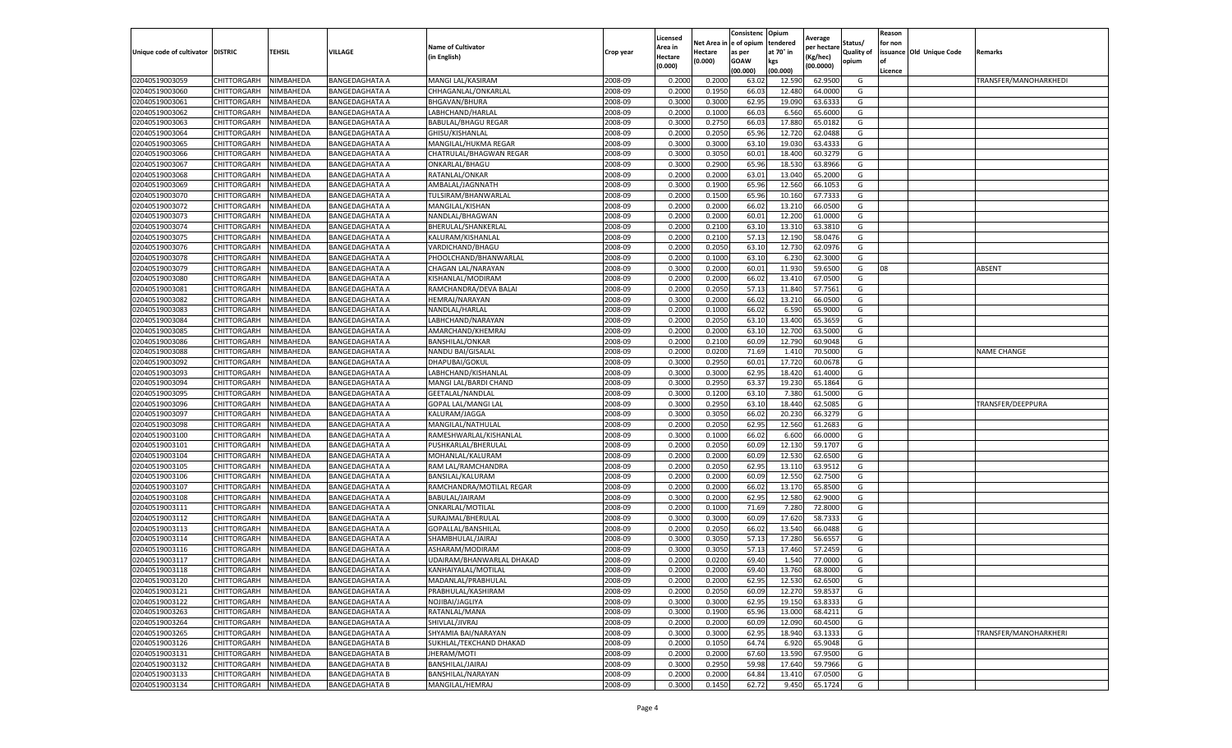|                                   |                            |                        |                                                |                                           |                    | Licensed         |                  | Consistenc     | Opium            | Average            |                   | Reason  |                          |                       |
|-----------------------------------|----------------------------|------------------------|------------------------------------------------|-------------------------------------------|--------------------|------------------|------------------|----------------|------------------|--------------------|-------------------|---------|--------------------------|-----------------------|
|                                   |                            |                        |                                                | <b>Name of Cultivator</b>                 |                    | Area in          | Net Area i       | e of opium     | tendered         | per hectarı        | Status/           | for non |                          |                       |
| Unique code of cultivator DISTRIC |                            | TEHSIL                 | VILLAGE                                        | (in English)                              | Crop year          | Hectare          | Hectare          | as per         | at 70° in        | (Kg/hec)           | <b>Quality of</b> |         | issuance Old Unique Code | <b>Remarks</b>        |
|                                   |                            |                        |                                                |                                           |                    | (0.000)          | (0.000)          | <b>GOAW</b>    | kgs              | (00.0000)          | opium             | οf      |                          |                       |
|                                   |                            |                        |                                                |                                           |                    |                  |                  | (00.000)       | (00.000)         |                    |                   | Licence |                          |                       |
| 02040519003059<br>02040519003060  | CHITTORGARH                | NIMBAHEDA              | <b>BANGEDAGHATA A</b>                          | MANGI LAL/KASIRAM                         | 2008-09            | 0.2000           | 0.2000           | 63.02          | 12.590           | 62.9500            | G                 |         |                          | TRANSFER/MANOHARKHEDI |
|                                   | CHITTORGARH                | NIMBAHEDA              | <b>BANGEDAGHATA A</b>                          | CHHAGANLAL/ONKARLAL                       | 2008-09            | 0.200            | 0.1950           | 66.0           | 12.480           | 64.0000            | G                 |         |                          |                       |
| 02040519003061                    | CHITTORGARH                | NIMBAHEDA              | <b>BANGEDAGHATA A</b>                          | BHGAVAN/BHURA                             | 2008-09            | 0.3000           | 0.3000           | 62.95          | 19.090           | 63.6333            | G                 |         |                          |                       |
| 02040519003062                    | CHITTORGARH                | NIMBAHEDA              | <b>BANGEDAGHATA A</b>                          | LABHCHAND/HARLAL                          | 2008-09            | 0.2000           | 0.1000           | 66.03          | 6.560            | 65.6000            | G                 |         |                          |                       |
| 02040519003063                    | CHITTORGARH                | NIMBAHEDA              | <b>BANGEDAGHATA A</b>                          | BABULAL/BHAGU REGAR                       | 2008-09<br>2008-09 | 0.3000           | 0.2750           | 66.03          | 17.880           | 65.0182            | G<br>G            |         |                          |                       |
| 02040519003064                    | CHITTORGARH                | NIMBAHEDA              | <b>BANGEDAGHATA A</b>                          | GHISU/KISHANLAL                           |                    | 0.2000           | 0.2050           | 65.96          | 12.72            | 62.0488            |                   |         |                          |                       |
| 02040519003065<br>02040519003066  | CHITTORGARH<br>CHITTORGARH | NIMBAHEDA              | <b>BANGEDAGHATA A</b><br><b>BANGEDAGHATA A</b> | MANGILAL/HUKMA REGAR                      | 2008-09            | 0.3000           | 0.3000           | 63.10          | 19.030           | 63.4333            | G                 |         |                          |                       |
| 02040519003067                    | CHITTORGARH                | NIMBAHEDA              |                                                | CHATRULAL/BHAGWAN REGAR                   | 2008-09            | 0.300            | 0.3050           | 60.01          | 18.400           | 60.3279<br>63.8966 | G                 |         |                          |                       |
| 02040519003068                    | CHITTORGARH                | NIMBAHEDA<br>NIMBAHEDA | <b>BANGEDAGHATA A</b><br><b>BANGEDAGHATA A</b> | ONKARLAL/BHAGU<br>RATANLAL/ONKAR          | 2008-09<br>2008-09 | 0.300<br>0.2000  | 0.2900<br>0.2000 | 65.96<br>63.01 | 18.530<br>13.040 | 65.2000            | G<br>G            |         |                          |                       |
| 02040519003069                    | CHITTORGARH                | NIMBAHEDA              | <b>BANGEDAGHATA A</b>                          | AMBALAL/JAGNNATH                          | 2008-09            | 0.3000           | 0.1900           | 65.96          | 12.560           | 66.1053            | G                 |         |                          |                       |
| 02040519003070                    | CHITTORGARH                | NIMBAHEDA              | <b>BANGEDAGHATA A</b>                          | TULSIRAM/BHANWARLAL                       | 2008-09            | 0.2000           | 0.1500           | 65.96          |                  | 67.7333            | G                 |         |                          |                       |
| 02040519003072                    | CHITTORGARH                | NIMBAHEDA              | <b>BANGEDAGHATA A</b>                          | MANGILAL/KISHAN                           | 2008-09            | 0.2000           | 0.2000           | 66.02          | 10.160<br>13.21  | 66.0500            | G                 |         |                          |                       |
|                                   |                            |                        |                                                |                                           | 2008-09            | 0.200            | 0.2000           | 60.01          | 12.200           | 61.0000            |                   |         |                          |                       |
| 02040519003073                    | CHITTORGARH                | NIMBAHEDA              | <b>BANGEDAGHATA A</b>                          | NANDLAL/BHAGWAN                           |                    |                  |                  |                |                  |                    | G                 |         |                          |                       |
| 02040519003074                    | CHITTORGARH                | NIMBAHEDA              | <b>BANGEDAGHATA A</b>                          | BHERULAL/SHANKERLAL                       | 2008-09            | 0.2000           | 0.2100           | 63.10          | 13.310           | 63.3810            | G                 |         |                          |                       |
| 02040519003075                    | CHITTORGARH                | NIMBAHEDA              | <b>BANGEDAGHATA A</b>                          | KALURAM/KISHANLAL                         | 2008-09<br>2008-09 | 0.2000<br>0.2000 | 0.2100<br>0.2050 | 57.13<br>63.10 | 12.190<br>12.730 | 58.0476            | G                 |         |                          |                       |
| 02040519003076<br>02040519003078  | CHITTORGARH                | NIMBAHEDA              | <b>BANGEDAGHATA A</b>                          | VARDICHAND/BHAGU                          | 2008-09            |                  |                  |                | 6.23             | 62.0976<br>62.3000 | G<br>G            |         |                          |                       |
|                                   | CHITTORGARH                | NIMBAHEDA              | <b>BANGEDAGHATA A</b>                          | PHOOLCHAND/BHANWARLAL                     |                    | 0.2000           | 0.1000           | 63.10          |                  |                    |                   | 08      |                          |                       |
| 02040519003079                    | CHITTORGARH                | NIMBAHEDA              | <b>BANGEDAGHATA A</b>                          | CHAGAN LAL/NARAYAN                        | 2008-09            | 0.3000           | 0.2000           | 60.01          | 11.930           | 59.6500            | G                 |         |                          | ABSENT                |
| 02040519003080                    | CHITTORGARH                | NIMBAHEDA              | <b>BANGEDAGHATA A</b>                          | KISHANLAL/MODIRAM                         | 2008-09            | 0.2000           | 0.2000           | 66.02          | 13.41            | 67.0500            | G                 |         |                          |                       |
| 02040519003081                    | CHITTORGARH                | NIMBAHEDA              | <b>BANGEDAGHATA A</b>                          | RAMCHANDRA/DEVA BALAI                     | 2008-09            | 0.2000           | 0.2050           | 57.13          | 11.840           | 57.7561            | G                 |         |                          |                       |
| 02040519003082                    | CHITTORGARH                | NIMBAHEDA              | <b>BANGEDAGHATA A</b>                          | HEMRAJ/NARAYAN                            | 2008-09            | 0.3000           | 0.2000           | 66.02          | 13.210           | 66.0500            | G                 |         |                          |                       |
| 02040519003083                    | CHITTORGARH<br>CHITTORGARH | NIMBAHEDA              | <b>BANGEDAGHATA A</b>                          | NANDLAL/HARLAL                            | 2008-09            | 0.2000<br>0.2000 | 0.1000           | 66.02          | 6.590            | 65.9000            | G                 |         |                          |                       |
| 02040519003084                    |                            | NIMBAHEDA              | <b>BANGEDAGHATA A</b>                          | LABHCHAND/NARAYAN                         | 2008-09            |                  | 0.2050           | 63.10          | 13.400           | 65.3659            | G                 |         |                          |                       |
| 02040519003085                    | CHITTORGARH                | NIMBAHEDA<br>NIMBAHEDA | <b>BANGEDAGHATA A</b>                          | AMARCHAND/KHEMRAJ                         | 2008-09            | 0.2000           | 0.2000           | 63.10          | 12.700           | 63.5000            | G                 |         |                          |                       |
| 02040519003086                    | CHITTORGARH                |                        | <b>BANGEDAGHATA A</b>                          | <b>BANSHILAL/ONKAR</b>                    | 2008-09            | 0.2000           | 0.2100           | 60.09          | 12.790           | 60.9048            | G                 |         |                          |                       |
| 02040519003088                    | CHITTORGARH                | NIMBAHEDA              | <b>BANGEDAGHATA A</b>                          | NANDU BAI/GISALAL                         | 2008-09            | 0.2000           | 0.0200<br>0.2950 | 71.69          | 1.410            | 70.5000            | G                 |         |                          | <b>NAME CHANGE</b>    |
| 02040519003092                    | CHITTORGARH<br>CHITTORGARH | NIMBAHEDA<br>NIMBAHEDA | BANGEDAGHATA A                                 | DHAPUBAI/GOKUL<br>LABHCHAND/KISHANLAL     | 2008-09<br>2008-09 | 0.3000<br>0.3000 | 0.3000           | 60.01<br>62.95 | 17.720<br>18.420 | 60.0678<br>61.4000 | G<br>G            |         |                          |                       |
| 02040519003093<br>02040519003094  | CHITTORGARH                | NIMBAHEDA              | <b>BANGEDAGHATA A</b>                          |                                           | 2008-09            | 0.3000           | 0.2950           | 63.37          | 19.230           | 65.1864            | G                 |         |                          |                       |
| 02040519003095                    | CHITTORGARH                | NIMBAHEDA              | <b>BANGEDAGHATA A</b><br><b>BANGEDAGHATA A</b> | MANGI LAL/BARDI CHAND<br>GEETALAL/NANDLAL | 2008-09            | 0.3000           | 0.1200           | 63.10          | 7.380            | 61.5000            | G                 |         |                          |                       |
| 02040519003096                    | CHITTORGARH                | NIMBAHEDA              | <b>BANGEDAGHATA A</b>                          | <b>GOPAL LAL/MANGI LAL</b>                | 2008-09            | 0.3000           | 0.2950           | 63.10          | 18.44            | 62.5085            | G                 |         |                          | TRANSFER/DEEPPURA     |
| 02040519003097                    | CHITTORGARH                | NIMBAHEDA              | <b>BANGEDAGHATA A</b>                          | KALURAM/JAGGA                             | 2008-09            | 0.300            | 0.3050           | 66.02          | 20.23            | 66.3279            | G                 |         |                          |                       |
| 02040519003098                    | CHITTORGARH                | NIMBAHEDA              | <b>BANGEDAGHATA A</b>                          | MANGILAL/NATHULAL                         | 2008-09            | 0.2000           | 0.2050           | 62.95          | 12.560           | 61.2683            | G                 |         |                          |                       |
| 02040519003100                    | CHITTORGARH                | NIMBAHEDA              | <b>BANGEDAGHATA A</b>                          | RAMESHWARLAL/KISHANLAL                    | 2008-09            | 0.3000           | 0.1000           | 66.02          | 6.600            | 66.0000            | G                 |         |                          |                       |
| 02040519003101                    | CHITTORGARH                | NIMBAHEDA              | <b>BANGEDAGHATA A</b>                          | PUSHKARLAL/BHERULAL                       | 2008-09            | 0.2000           | 0.2050           | 60.09          | 12.130           | 59.1707            | G                 |         |                          |                       |
| 02040519003104                    | CHITTORGARH                | NIMBAHEDA              | <b>BANGEDAGHATA A</b>                          | MOHANLAL/KALURAM                          | 2008-09            | 0.2000           | 0.2000           | 60.09          | 12.530           | 62.6500            | G                 |         |                          |                       |
| 02040519003105                    | CHITTORGARH                | NIMBAHEDA              | <b>BANGEDAGHATA A</b>                          | RAM LAL/RAMCHANDRA                        | 2008-09            | 0.2000           | 0.2050           | 62.95          | 13.11            | 63.9512            | G                 |         |                          |                       |
| 02040519003106                    | CHITTORGARH                | NIMBAHEDA              | <b>BANGEDAGHATA A</b>                          | BANSILAL/KALURAM                          | 2008-09            | 0.2000           | 0.2000           | 60.09          | 12.550           | 62.7500            | G                 |         |                          |                       |
| 02040519003107                    | CHITTORGARH                | NIMBAHEDA              | <b>BANGEDAGHATA A</b>                          | RAMCHANDRA/MOTILAL REGAR                  | 2008-09            | 0.2000           | 0.2000           | 66.02          | 13.170           | 65.8500            | G                 |         |                          |                       |
| 02040519003108                    | CHITTORGARH                | NIMBAHEDA              | <b>BANGEDAGHATA A</b>                          | BABULAL/JAIRAM                            | 2008-09            | 0.3000           | 0.2000           | 62.95          | 12.580           | 62.9000            | G                 |         |                          |                       |
| 02040519003111                    | CHITTORGARH                | NIMBAHEDA              | <b>BANGEDAGHATA A</b>                          | ONKARLAL/MOTILAL                          | 2008-09            | 0.2000           | 0.1000           | 71.69          | 7.280            | 72.8000            | G                 |         |                          |                       |
| 02040519003112                    | CHITTORGARH                | NIMBAHEDA              | <b>BANGEDAGHATA A</b>                          | SURAJMAL/BHERULAL                         | 2008-09            | 0.3000           | 0.3000           | 60.09          | 17.620           | 58.7333            | G                 |         |                          |                       |
| 02040519003113                    | CHITTORGARH                | NIMBAHEDA              | <b>BANGEDAGHATA A</b>                          | GOPALLAL/BANSHILAL                        | 2008-09            | 0.2000           | 0.2050           | 66.02          | 13.540           | 66.0488            | G                 |         |                          |                       |
| 02040519003114                    | CHITTORGARH                | NIMBAHEDA              | <b>BANGEDAGHATA A</b>                          | SHAMBHULAL/JAIRAJ                         | 2008-09            | 0.3000           | 0.3050           | 57.13          | 17.280           | 56.6557            | G                 |         |                          |                       |
| 02040519003116                    | CHITTORGARH                | NIMBAHEDA              | <b>BANGEDAGHATA A</b>                          | ASHARAM/MODIRAM                           | 2008-09            | 0.300            | 0.3050           | 57.13          | 17.460           | 57.2459            | G                 |         |                          |                       |
| 02040519003117                    | CHITTORGARH                | NIMBAHEDA              | <b>BANGEDAGHATA A</b>                          | UDAIRAM/BHANWARLAL DHAKAD                 | 2008-09            | 0.2000           | 0.0200           | 69.40          | 1.540            | 77.0000            | G                 |         |                          |                       |
| 02040519003118                    | CHITTORGARH                | NIMBAHEDA              | <b>BANGEDAGHATA A</b>                          | KANHAIYALAL/MOTILAL                       | 2008-09            | 0.2000           | 0.2000           | 69.40          | 13.760           | 68.8000            | G                 |         |                          |                       |
| 02040519003120                    | CHITTORGARH                | NIMBAHEDA              | <b>BANGEDAGHATA A</b>                          | MADANLAL/PRABHULAL                        | 2008-09            | 0.2000           | 0.2000           | 62.95          | 12.530           | 62.6500            | G                 |         |                          |                       |
| 02040519003121                    | CHITTORGARH                | NIMBAHEDA              | <b>BANGEDAGHATA A</b>                          | PRABHULAL/KASHIRAM                        | 2008-09            | 0.2000           | 0.2050           | 60.09          | 12.270           | 59.8537            | G                 |         |                          |                       |
| 02040519003122                    | CHITTORGARH                | NIMBAHEDA              | <b>BANGEDAGHATA A</b>                          | NOJIBAI/JAGLIYA                           | 2008-09            | 0.3000           | 0.3000           | 62.95          | 19.150           | 63.8333            | G                 |         |                          |                       |
| 02040519003263                    | CHITTORGARH                | NIMBAHEDA              | <b>BANGEDAGHATA A</b>                          | RATANLAL/MANA                             | 2008-09            | 0.3000           | 0.1900           | 65.96          | 13.000           | 68.4211            | G                 |         |                          |                       |
| 02040519003264                    | CHITTORGARH                | NIMBAHEDA              | BANGEDAGHATA A                                 | SHIVLAL/JIVRAJ                            | 2008-09            | 0.2000           | 0.2000           | 60.09          | 12.090           | 60.4500            | G                 |         |                          |                       |
| 02040519003265                    | CHITTORGARH                | NIMBAHEDA              | <b>BANGEDAGHATA A</b>                          | SHYAMIA BAI/NARAYAN                       | 2008-09            | 0.3000           | 0.3000           | 62.95          | 18.940           | 63.1333            | G                 |         |                          | TRANSFER/MANOHARKHERI |
| 02040519003126                    | CHITTORGARH                | NIMBAHEDA              | <b>BANGEDAGHATA B</b>                          | SUKHLAL/TEKCHAND DHAKAD                   | 2008-09            | 0.2000           | 0.1050           | 64.74          | 6.920            | 65.9048            | G                 |         |                          |                       |
| 02040519003131                    | CHITTORGARH                | NIMBAHEDA              | <b>BANGEDAGHATA B</b>                          | JHERAM/MOTI                               | 2008-09            | 0.2000           | 0.2000           | 67.60          | 13.590           | 67.9500            | G                 |         |                          |                       |
| 02040519003132                    | CHITTORGARH                | NIMBAHEDA              | <b>BANGEDAGHATA B</b>                          | BANSHILAL/JAIRAJ                          | 2008-09            | 0.3000           | 0.2950           | 59.98          | 17.640           | 59.7966            | G                 |         |                          |                       |
| 02040519003133                    | CHITTORGARH                | NIMBAHEDA              | <b>BANGEDAGHATA B</b>                          | BANSHILAL/NARAYAN                         | 2008-09            | 0.2000           | 0.2000           | 64.84          | 13.410           | 67.0500            | G                 |         |                          |                       |
| 02040519003134                    | CHITTORGARH                | NIMBAHEDA              | <b>BANGEDAGHATA B</b>                          | MANGILAL/HEMRAJ                           | 2008-09            |                  | 0.1450           | 62.72          |                  |                    |                   |         |                          |                       |
|                                   |                            |                        |                                                |                                           |                    | 0.3000           |                  |                | 9.450            | 65.1724            | G                 |         |                          |                       |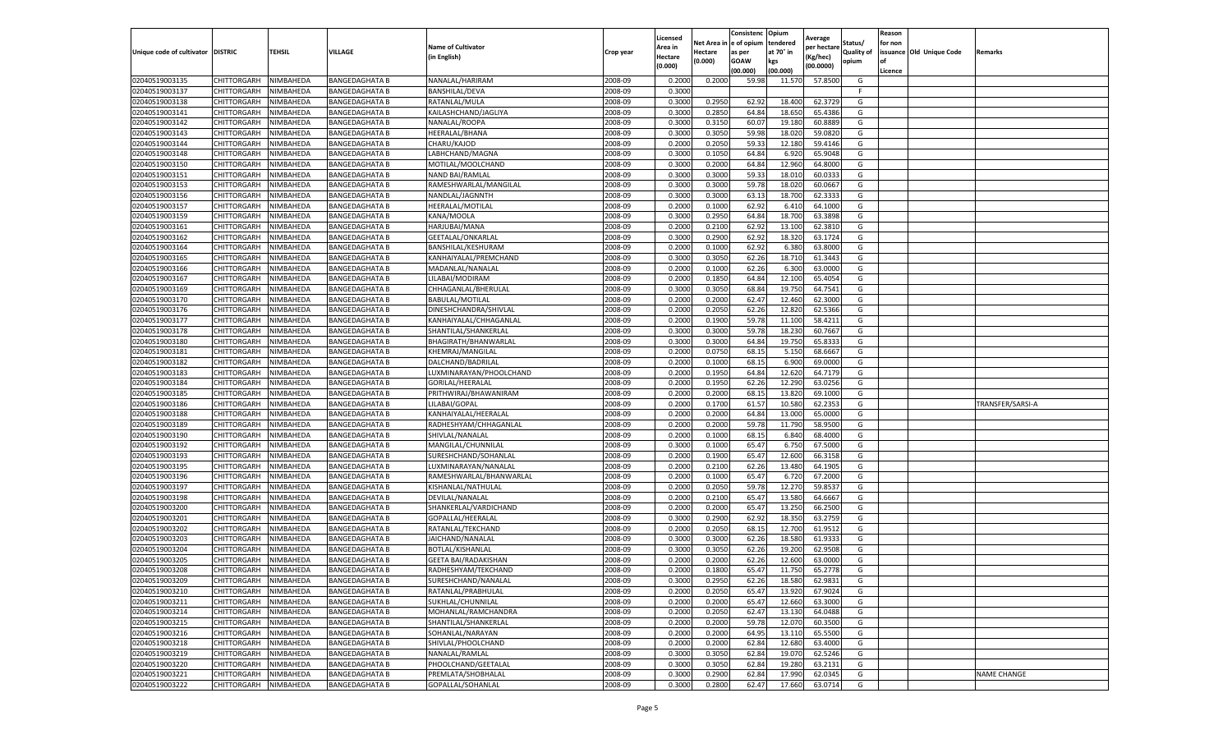|                                   |                                   |                        |                                  |                                           |                    | Licensed         |                         | Consistenc     | Opium            | Average          |                     | Reason  |                          |                  |
|-----------------------------------|-----------------------------------|------------------------|----------------------------------|-------------------------------------------|--------------------|------------------|-------------------------|----------------|------------------|------------------|---------------------|---------|--------------------------|------------------|
|                                   |                                   |                        |                                  | <b>Name of Cultivator</b>                 |                    | Area in          | Net Area in le of opium |                | tendered         | per hectare      | Status/             | for non |                          |                  |
| Unique code of cultivator DISTRIC |                                   | <b>TEHSIL</b>          | VILLAGE                          | (in English)                              | Crop year          | Hectare          | Hectare<br>(0.000)      | as per<br>GOAW | at 70° in<br>kgs | Kg/hec)          | Quality of<br>opium | l of    | issuance Old Unique Code | Remarks          |
|                                   |                                   |                        |                                  |                                           |                    | (0.000)          |                         | (00.000)       | (00.000)         | (00.0000)        |                     | Licence |                          |                  |
| 02040519003135                    | CHITTORGARH                       | NIMBAHEDA              | <b>BANGEDAGHATA B</b>            | NANALAL/HARIRAM                           | 2008-09            | 0.200            | 0.200                   | 59.98          | 11.570           | 57.850           | G                   |         |                          |                  |
| 02040519003137                    | CHITTORGARH                       | NIMBAHEDA              | BANGEDAGHATA B                   | BANSHILAL/DEVA                            | 2008-09            | 0.3000           |                         |                |                  |                  | -F.                 |         |                          |                  |
| 02040519003138                    | CHITTORGARH                       | NIMBAHEDA              | BANGEDAGHATA B                   | RATANLAL/MULA                             | 2008-09            | 0.3000           | 0.2950                  | 62.92          | 18.400           | 62.3729          | G                   |         |                          |                  |
| 02040519003141                    | CHITTORGARH                       | NIMBAHEDA              | BANGEDAGHATA B                   | KAILASHCHAND/JAGLIYA                      | 2008-09            | 0.3000           | 0.2850                  | 64.84          | 18.650           | 65.4386          | G                   |         |                          |                  |
| 02040519003142                    | CHITTORGARH                       | NIMBAHEDA              | BANGEDAGHATA B                   | NANALAL/ROOPA                             | 2008-09            | 0.3000           | 0.315                   | 60.07          | 19.180           | 60.888           | G                   |         |                          |                  |
| 02040519003143                    | CHITTORGARH                       | NIMBAHEDA              | BANGEDAGHATA B                   | HEERALAL/BHANA                            | 2008-09            | 0.3000           | 0.3050                  | 59.9           | 18.020           | 59.082           | G                   |         |                          |                  |
| 02040519003144                    | CHITTORGARH                       | NIMBAHEDA              | BANGEDAGHATA B                   | CHARU/KAJOD                               | 2008-09            | 0.2000           | 0.2050                  | 59.3           | 12.180           | 59.414           | G                   |         |                          |                  |
| 02040519003148                    | CHITTORGARH                       | NIMBAHEDA              | BANGEDAGHATA B                   | LABHCHAND/MAGNA                           | 2008-09            | 0.3000           | 0.1050                  | 64.84          | 6.920            | 65.904           | G                   |         |                          |                  |
| 02040519003150                    | CHITTORGARH                       | NIMBAHEDA              | BANGEDAGHATA B                   | MOTILAL/MOOLCHAND                         | 2008-09            | 0.3000           | 0.2000                  | 64.84          | 12.960           | 64.800           | G                   |         |                          |                  |
| 02040519003151                    | CHITTORGARH                       | NIMBAHEDA              | BANGEDAGHATA B                   | NAND BAI/RAMLAL                           | 2008-09            | 0.3000           | 0.3000                  | 59.3           | 18.010           | 60.033           | G                   |         |                          |                  |
| 02040519003153                    | CHITTORGARH                       | NIMBAHEDA              | BANGEDAGHATA B                   | RAMESHWARLAL/MANGILAL                     | 2008-09            | 0.3000           | 0.3000                  | 59.78          | 18.020           | 60.066           | G                   |         |                          |                  |
| 02040519003156                    | CHITTORGARH                       | NIMBAHEDA              | BANGEDAGHATA B                   | NANDLAL/JAGNNTH                           | 2008-09            | 0.3000           | 0.3000                  | 63.13          | 18.700           | 62.333           | G                   |         |                          |                  |
| 02040519003157                    | CHITTORGARH                       | <b>NIMBAHEDA</b>       | BANGEDAGHATA B                   | HEERALAL/MOTILAL                          | 2008-09            | 0.2000           | 0.1000                  | 62.92          | 6.410            | 64.100           | G                   |         |                          |                  |
| 02040519003159                    | CHITTORGARH                       | NIMBAHEDA              | BANGEDAGHATA B                   | KANA/MOOLA                                | 2008-09            | 0.3000           | 0.2950                  | 64.84          | 18.700           | 63.389           | G                   |         |                          |                  |
| 02040519003161                    | CHITTORGARH                       | NIMBAHEDA              | BANGEDAGHATA B                   | HARJUBAI/MANA                             | 2008-09            | 0.2000           | 0.2100                  | 62.92          | 13.100           | 62.381           | G                   |         |                          |                  |
| 02040519003162                    | CHITTORGARH                       | NIMBAHEDA              | BANGEDAGHATA B                   | GEETALAL/ONKARLAL                         | 2008-09            | 0.3000           | 0.2900                  | 62.92          | 18.320           | 63.172           | G                   |         |                          |                  |
| 02040519003164                    | CHITTORGARH                       | NIMBAHEDA              | BANGEDAGHATA B                   | BANSHILAL/KESHURAM                        | 2008-09            | 0.2000           | 0.1000                  | 62.92          | 6.380            | 63.800           | G                   |         |                          |                  |
| 02040519003165                    | CHITTORGARH                       | NIMBAHEDA              | BANGEDAGHATA B                   | KANHAIYALAL/PREMCHAND                     | 2008-09            | 0.3000           | 0.3050                  | 62.26          | 18.710           | 61.344           | G                   |         |                          |                  |
| 02040519003166                    | CHITTORGARH                       | NIMBAHEDA              | <b>BANGEDAGHATA B</b>            | MADANLAL/NANALAI                          | 2008-09            | 0.2000           | 0.100                   | 62.26          | 6.300            | 63.000           | G                   |         |                          |                  |
| 02040519003167                    | CHITTORGARH                       | <b>NIMBAHEDA</b>       | <b>BANGEDAGHATA B</b>            | LILABAI/MODIRAM                           | 2008-09            | 0.2000           | 0.1850                  | 64.84          | 12.100           | 65.405           | G                   |         |                          |                  |
| 02040519003169                    | CHITTORGARH                       | NIMBAHEDA              | BANGEDAGHATA B                   | CHHAGANLAL/BHERULAL                       | 2008-09            | 0.3000           | 0.3050                  | 68.84          | 19.750           | 64.754           | G                   |         |                          |                  |
| 02040519003170                    | CHITTORGARH                       | NIMBAHEDA              | BANGEDAGHATA B                   | <b>BABULAL/MOTILAL</b>                    | 2008-09            | 0.2000           | 0.2000                  | 62.4           | 12.460           | 62.300           | G                   |         |                          |                  |
| 02040519003176                    | CHITTORGARH                       | NIMBAHEDA              | BANGEDAGHATA B                   | DINESHCHANDRA/SHIVLAL                     | 2008-09            | 0.2000           | 0.2050                  | 62.26          | 12.820           | 62.5366          | G                   |         |                          |                  |
| 02040519003177                    | CHITTORGARH                       | NIMBAHEDA              | BANGEDAGHATA B                   | KANHAIYALAL/CHHAGANLAL                    | 2008-09            | 0.2000           | 0.1900                  | 59.78          | 11.100           | 58.421           | G                   |         |                          |                  |
| 02040519003178                    | CHITTORGARH                       | NIMBAHEDA              | BANGEDAGHATA B                   | SHANTILAL/SHANKERLAL                      | 2008-09            | 0.3000           | 0.3000                  | 59.7           | 18.230           | 60.766           | G                   |         |                          |                  |
| 02040519003180<br>02040519003181  | CHITTORGARH                       | NIMBAHEDA              | BANGEDAGHATA B                   | BHAGIRATH/BHANWARLAL<br>KHEMRAJ/MANGILAL  | 2008-09            | 0.3000           | 0.3000                  | 64.84          | 19.750           | 65.833           | G                   |         |                          |                  |
| 02040519003182                    | CHITTORGARH<br>CHITTORGARH        | NIMBAHEDA<br>NIMBAHEDA | BANGEDAGHATA B<br>BANGEDAGHATA B | DALCHAND/BADRILAL                         | 2008-09<br>2008-09 | 0.2000<br>0.2000 | 0.075<br>0.1000         | 68.1<br>68.15  | 5.150<br>6.900   | 68.666<br>69.000 | G<br>G              |         |                          |                  |
| 02040519003183                    | CHITTORGARH                       | NIMBAHEDA              | BANGEDAGHATA B                   | LUXMINARAYAN/PHOOLCHAND                   | 2008-09            | 0.2000           | 0.1950                  | 64.84          | 12.620           | 64.7179          | G                   |         |                          |                  |
| 02040519003184                    | CHITTORGARH                       | NIMBAHEDA              | BANGEDAGHATA B                   | GORILAL/HEERALAL                          | 2008-09            | 0.2000           | 0.1950                  | 62.26          | 12.290           | 63.025           | G                   |         |                          |                  |
| 02040519003185                    | CHITTORGARH                       | NIMBAHEDA              | BANGEDAGHATA B                   | PRITHWIRAJ/BHAWANIRAM                     | 2008-09            | 0.200            | 0.2000                  | 68.1           | 13.820           | 69.100           | G                   |         |                          |                  |
| 02040519003186                    | CHITTORGARH                       | NIMBAHEDA              | BANGEDAGHATA B                   | LILABAI/GOPAL                             | 2008-09            | 0.2000           | 0.170                   | 61.57          | 10.580           | 62.235           | G                   |         |                          | TRANSFER/SARSI-A |
| 02040519003188                    | CHITTORGARH                       | NIMBAHEDA              | BANGEDAGHATA B                   | KANHAIYALAL/HEERALAL                      | 2008-09            | 0.2000           | 0.2000                  | 64.84          | 13.000           | 65.000           | G                   |         |                          |                  |
| 02040519003189                    | CHITTORGARH                       | NIMBAHEDA              | BANGEDAGHATA B                   | RADHESHYAM/CHHAGANLAL                     | 2008-09            | 0.2000           | 0.2000                  | 59.78          | 11.790           | 58.950           | G                   |         |                          |                  |
| 02040519003190                    | CHITTORGARH                       | NIMBAHEDA              | BANGEDAGHATA B                   | SHIVLAL/NANALAL                           | 2008-09            | 0.2000           | 0.1000                  | 68.15          | 6.840            | 68.4000          | G                   |         |                          |                  |
| 02040519003192                    | CHITTORGARH                       | NIMBAHEDA              | BANGEDAGHATA B                   | MANGILAL/CHUNNILAL                        | 2008-09            | 0.3000           | 0.1000                  | 65.4           | 6.750            | 67.500           | G                   |         |                          |                  |
| 02040519003193                    | CHITTORGARH                       | NIMBAHEDA              | BANGEDAGHATA B                   | SURESHCHAND/SOHANLAL                      | 2008-09            | 0.2000           | 0.1900                  | 65.47          | 12.600           | 66.315           | G                   |         |                          |                  |
| 02040519003195                    | CHITTORGARH                       | NIMBAHEDA              | BANGEDAGHATA B                   | LUXMINARAYAN/NANALAL                      | 2008-09            | 0.2000           | 0.2100                  | 62.26          | 13.480           | 64.190           | G                   |         |                          |                  |
| 02040519003196                    | CHITTORGARH                       | NIMBAHEDA              | BANGEDAGHATA B                   | RAMESHWARLAL/BHANWARLAL                   | 2008-09            | 0.2000           | 0.1000                  | 65.47          | 6.720            | 67.200           | G                   |         |                          |                  |
| 02040519003197                    | CHITTORGARH                       | NIMBAHEDA              | BANGEDAGHATA B                   | KISHANLAL/NATHULAL                        | 2008-09            | 0.2000           | 0.2050                  | 59.78          | 12.270           | 59.853           | G                   |         |                          |                  |
| 02040519003198                    | CHITTORGARH                       | NIMBAHEDA              | BANGEDAGHATA B                   | DEVILAL/NANALAL                           | 2008-09            | 0.200            | 0.2100                  | 65.47          | 13.580           | 64.666           | G                   |         |                          |                  |
| 02040519003200                    | CHITTORGARH                       | NIMBAHEDA              | <b>BANGEDAGHATA B</b>            | SHANKERLAL/VARDICHAND                     | 2008-09            | 0.2000           | 0.2000                  | 65.47          | 13.250           | 66.250           | G                   |         |                          |                  |
| 02040519003201                    | CHITTORGARH                       | NIMBAHEDA              | BANGEDAGHATA B                   | GOPALLAL/HEERALAL                         | 2008-09            | 0.3000           | 0.2900                  | 62.92          | 18.350           | 63.275           | G                   |         |                          |                  |
| 02040519003202                    | CHITTORGARH                       | NIMBAHEDA              | BANGEDAGHATA B                   | RATANLAL/TEKCHAND                         | 2008-09            | 0.2000           | 0.2050                  | 68.15          | 12.700           | 61.951           | G                   |         |                          |                  |
| 02040519003203                    | CHITTORGARH                       | NIMBAHEDA              | BANGEDAGHATA B                   | JAICHAND/NANALAL                          | 2008-09            | 0.3000           | 0.3000                  | 62.26          | 18.580           | 61.933           | G                   |         |                          |                  |
| 02040519003204                    | CHITTORGARH                       | NIMBAHEDA              | BANGEDAGHATA B                   | BOTLAL/KISHANLAL                          | 2008-09            | 0.3000           | 0.3050                  | 62.26          | 19.200           | 62.950           | G                   |         |                          |                  |
| 02040519003205                    | CHITTORGARH                       | NIMBAHEDA              | BANGEDAGHATA B                   | <b>GEETA BAI/RADAKISHAN</b>               | 2008-09            | 0.200            | 0.200                   | 62.26          | 12.600           | 63.000           | G                   |         |                          |                  |
| 02040519003208                    | CHITTORGARH                       | <b>NIMBAHEDA</b>       | BANGEDAGHATA B                   | RADHESHYAM/TEKCHAND                       | 2008-09            | 0.2000           | 0.1800                  | 65.47          | 11.750           | 65.2778          | G                   |         |                          |                  |
| 02040519003209                    | CHITTORGARH                       | NIMBAHEDA              | BANGEDAGHATA B                   | SURESHCHAND/NANALAL                       | 2008-09            | 0.3000           | 0.2950                  | 62.26          | 18.580           | 62.9831          | G                   |         |                          |                  |
| 02040519003210                    | CHITTORGARH                       | NIMBAHEDA              | <b>BANGEDAGHATA B</b>            | RATANLAL/PRABHULAL                        | 2008-09            | 0.2000           | 0.2050                  | 65.47          | 13.920           | 67.9024          | G                   |         |                          |                  |
| 02040519003211                    | CHITTORGARH                       | NIMBAHEDA              | <b>BANGEDAGHATA B</b>            | SUKHLAL/CHUNNILAL                         | 2008-09            | 0.2000           | 0.2000                  | 65.47          | 12.660           | 63.3000          | G                   |         |                          |                  |
| 02040519003214                    | CHITTORGARH                       | NIMBAHEDA              | <b>BANGEDAGHATA B</b>            | MOHANLAL/RAMCHANDRA                       | 2008-09            | 0.2000           | 0.2050                  | 62.47          | 13.130           | 64.0488          | G                   |         |                          |                  |
| 02040519003215                    | CHITTORGARH                       | NIMBAHEDA              | <b>BANGEDAGHATA B</b>            | SHANTILAL/SHANKERLAL                      | 2008-09            | 0.2000           | 0.2000                  | 59.78          | 12.070           | 60.3500          | G                   |         |                          |                  |
| 02040519003216                    | CHITTORGARH                       | NIMBAHEDA              | <b>BANGEDAGHATA B</b>            | SOHANLAL/NARAYAN                          | 2008-09            | 0.2000           | 0.2000                  | 64.95          | 13.110           | 65.5500          | G                   |         |                          |                  |
| 02040519003218                    | CHITTORGARH                       | NIMBAHEDA              | <b>BANGEDAGHATA B</b>            | SHIVLAL/PHOOLCHAND                        | 2008-09            | 0.2000           | 0.2000                  | 62.84          | 12.680           | 63.4000          | G                   |         |                          |                  |
| 02040519003219                    | CHITTORGARH                       | NIMBAHEDA              | <b>BANGEDAGHATA B</b>            | NANALAL/RAMLAL                            | 2008-09            | 0.3000           | 0.3050                  | 62.84          | 19.070           | 62.5246          | G                   |         |                          |                  |
| 02040519003220                    | CHITTORGARH                       | NIMBAHEDA              | <b>BANGEDAGHATA B</b>            | PHOOLCHAND/GEETALAL<br>PREMLATA/SHOBHALAL | 2008-09            | 0.3000           | 0.3050                  | 62.84          | 19.280           | 63.2131          | G                   |         |                          |                  |
| 02040519003221<br>02040519003222  | CHITTORGARH<br><b>CHITTORGARH</b> | NIMBAHEDA<br>NIMBAHEDA | <b>BANGEDAGHATA B</b>            |                                           | 2008-09            | 0.3000           | 0.2900                  | 62.84          | 17.990           | 62.034           | G<br>G              |         |                          | NAME CHANGE      |
|                                   |                                   |                        | <b>BANGEDAGHATA B</b>            | GOPALLAL/SOHANLAL                         | 2008-09            | 0.3000           | 0.2800                  | 62.47          | 17.660           | 63.0714          |                     |         |                          |                  |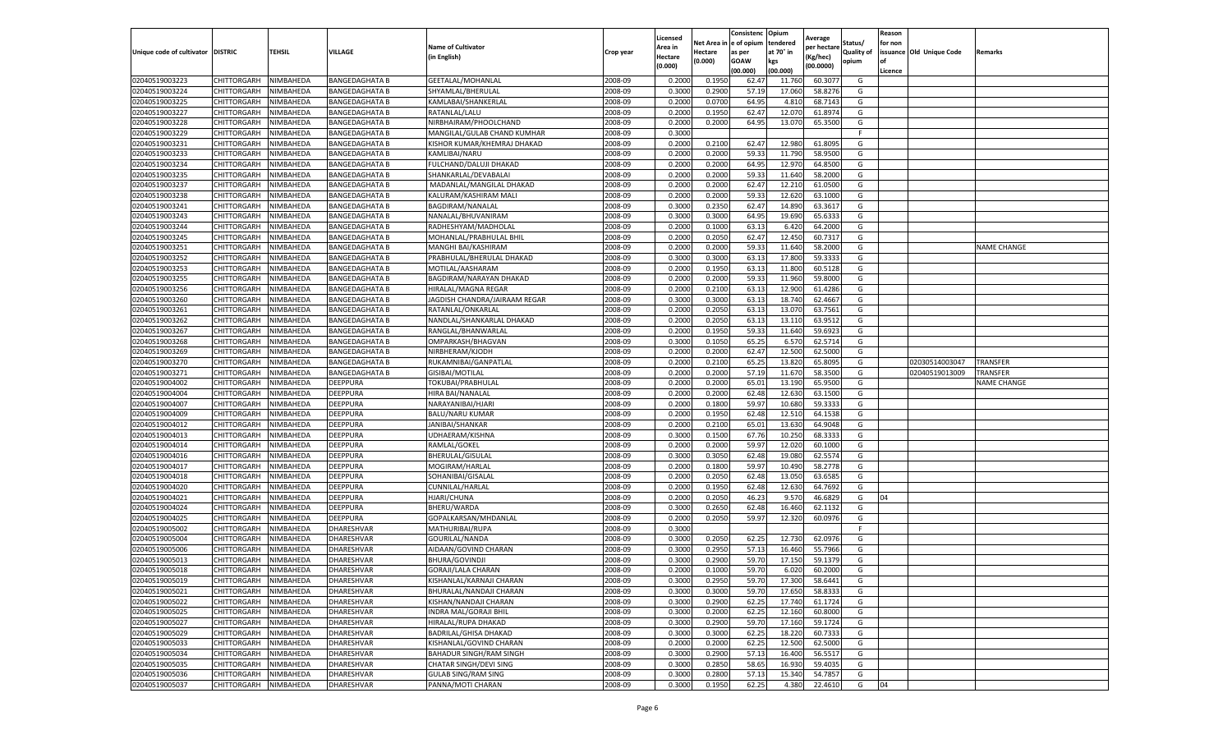|                           |                    |           |                       |                                |           | Licensed |         | Consistenc             | Opium     | Average     |                   | Reason  |                          |                    |
|---------------------------|--------------------|-----------|-----------------------|--------------------------------|-----------|----------|---------|------------------------|-----------|-------------|-------------------|---------|--------------------------|--------------------|
|                           |                    |           |                       | <b>Name of Cultivator</b>      |           | Area in  |         | Net Area in e of opium | tendered  | per hectare | Status/           | for non |                          |                    |
| Unique code of cultivator | <b>DISTRIC</b>     | TEHSIL    | VILLAGE               | in English)                    | Crop year | Hectare  | Hectare | as per                 | at 70° in | (Kg/hec     | <b>Quality of</b> |         | issuance Old Unique Code | <b>Remarks</b>     |
|                           |                    |           |                       |                                |           | (0.000)  | (0.000) | <b>GOAW</b>            | kgs       | (00.0000)   | opium             |         |                          |                    |
|                           |                    |           |                       |                                |           |          |         | (00.000)               | (00.000)  |             |                   | Licence |                          |                    |
| 02040519003223            | CHITTORGARH        | NIMBAHEDA | <b>BANGEDAGHATA B</b> | GEETALAL/MOHANLAL              | 2008-09   | 0.2000   | 0.1950  | 62.47                  | 11.760    | 60.307      | G                 |         |                          |                    |
| 02040519003224            | CHITTORGARH        | NIMBAHEDA | <b>BANGEDAGHATA B</b> | SHYAMLAL/BHERULAL              | 2008-09   | 0.3000   | 0.2900  | 57.19                  | 17.06     | 58.8276     | G                 |         |                          |                    |
| 02040519003225            | CHITTORGARH        | NIMBAHEDA | <b>BANGEDAGHATA B</b> | KAMLABAI/SHANKERLAL            | 2008-09   | 0.2000   | 0.0700  | 64.95                  | 4.81      | 68.7143     | G                 |         |                          |                    |
| 02040519003227            | CHITTORGARH        | NIMBAHEDA | <b>BANGEDAGHATA B</b> | RATANLAL/LALU                  | 2008-09   | 0.2000   | 0.1950  | 62.47                  | 12.070    | 61.8974     | G                 |         |                          |                    |
| 02040519003228            | <b>CHITTORGARH</b> | NIMBAHEDA | <b>BANGEDAGHATA B</b> | NIRBHAIRAM/PHOOLCHAND          | 2008-09   | 0.2000   | 0.2000  | 64.95                  | 13.07     | 65.3500     | G                 |         |                          |                    |
| 02040519003229            | CHITTORGARH        | NIMBAHEDA | BANGEDAGHATA B        | MANGILAL/GULAB CHAND KUMHAR    | 2008-09   | 0.3000   |         |                        |           |             | F                 |         |                          |                    |
| 02040519003231            | CHITTORGARH        | NIMBAHEDA | <b>BANGEDAGHATA B</b> | KISHOR KUMAR/KHEMRAJ DHAKAD    | 2008-09   | 0.2000   | 0.2100  | 62.47                  | 12.980    | 61.8095     | G                 |         |                          |                    |
| 02040519003233            | CHITTORGARH        | NIMBAHEDA | <b>BANGEDAGHATA B</b> | KAMLIBAI/NARU                  | 2008-09   | 0.2000   | 0.2000  | 59.33                  | 11.79     | 58.9500     | G                 |         |                          |                    |
| 02040519003234            | CHITTORGARH        | NIMBAHEDA | <b>BANGEDAGHATA B</b> | FULCHAND/DALUJI DHAKAD         | 2008-09   | 0.2000   | 0.2000  | 64.95                  | 12.97     | 64.8500     | G                 |         |                          |                    |
| 02040519003235            | CHITTORGARH        | NIMBAHEDA | <b>BANGEDAGHATA B</b> | SHANKARLAL/DEVABALAI           | 2008-09   | 0.2000   | 0.2000  | 59.33                  | 11.640    | 58.2000     | G                 |         |                          |                    |
| 02040519003237            | CHITTORGARH        | NIMBAHEDA | <b>BANGEDAGHATA B</b> | MADANLAL/MANGILAL DHAKAD       | 2008-09   | 0.2000   | 0.2000  | 62.47                  | 12.21     | 61.0500     | G                 |         |                          |                    |
| 02040519003238            | CHITTORGARH        | NIMBAHEDA | <b>BANGEDAGHATA B</b> | KALURAM/KASHIRAM MALI          | 2008-09   | 0.2000   | 0.2000  | 59.33                  | 12.620    | 63.1000     | G                 |         |                          |                    |
| 02040519003241            | CHITTORGARH        | NIMBAHEDA | <b>BANGEDAGHATA B</b> | BAGDIRAM/NANALAL               | 2008-09   | 0.3000   | 0.2350  | 62.47                  | 14.89     | 63.361      | G                 |         |                          |                    |
| 02040519003243            | CHITTORGARH        | NIMBAHEDA | <b>BANGEDAGHATA B</b> | NANALAL/BHUVANIRAM             | 2008-09   | 0.3000   | 0.3000  | 64.95                  | 19.69     | 65.633      | G                 |         |                          |                    |
| 02040519003244            | CHITTORGARH        | NIMBAHEDA | <b>BANGEDAGHATA B</b> | RADHESHYAM/MADHOLAL            | 2008-09   | 0.2000   | 0.1000  | 63.13                  | 6.420     | 64.2000     | G                 |         |                          |                    |
| 02040519003245            | CHITTORGARH        | NIMBAHEDA | <b>BANGEDAGHATA B</b> | MOHANLAL/PRABHULAL BHIL        | 2008-09   | 0.2000   | 0.2050  | 62.47                  | 12.450    | 60.7317     | G                 |         |                          |                    |
| 02040519003251            | CHITTORGARH        | NIMBAHEDA | <b>BANGEDAGHATA B</b> | MANGHI BAI/KASHIRAM            | 2008-09   | 0.2000   | 0.2000  | 59.33                  | 11.640    | 58.2000     | G                 |         |                          | <b>NAME CHANGE</b> |
| 02040519003252            | CHITTORGARH        | NIMBAHEDA | <b>BANGEDAGHATA B</b> | PRABHULAL/BHERULAL DHAKAD      | 2008-09   | 0.3000   | 0.3000  | 63.13                  | 17.80     | 59.3333     | G                 |         |                          |                    |
| 02040519003253            | CHITTORGARH        | NIMBAHEDA | <b>BANGEDAGHATA B</b> | MOTILAL/AASHARAM               | 2008-09   | 0.2000   | 0.1950  | 63.13                  | 11.80     | 60.5128     | G                 |         |                          |                    |
| 02040519003255            | CHITTORGARH        | NIMBAHEDA | <b>BANGEDAGHATA B</b> | BAGDIRAM/NARAYAN DHAKAD        | 2008-09   | 0.2000   | 0.2000  | 59.33                  | 11.960    | 59.8000     | G                 |         |                          |                    |
| 02040519003256            | CHITTORGARH        | NIMBAHEDA | <b>BANGEDAGHATA B</b> | HIRALAL/MAGNA REGAR            | 2008-09   | 0.2000   | 0.2100  | 63.13                  | 12.900    | 61.4286     | G                 |         |                          |                    |
| 02040519003260            | CHITTORGARH        | NIMBAHEDA | <b>BANGEDAGHATA B</b> | JAGDISH CHANDRA/JAIRAAM REGAR  | 2008-09   | 0.3000   | 0.3000  | 63.13                  | 18.74     | 62.4667     | G                 |         |                          |                    |
| 02040519003261            | CHITTORGARH        | NIMBAHEDA | <b>BANGEDAGHATA B</b> | RATANLAL/ONKARLAL              | 2008-09   | 0.2000   | 0.2050  | 63.13                  | 13.07     | 63.7561     | G                 |         |                          |                    |
| 02040519003262            | CHITTORGARH        | NIMBAHEDA | <b>BANGEDAGHATA B</b> | NANDLAL/SHANKARLAL DHAKAD      | 2008-09   | 0.2000   | 0.2050  | 63.13                  | 13.11     | 63.9512     | G                 |         |                          |                    |
| 02040519003267            | CHITTORGARH        | NIMBAHEDA | BANGEDAGHATA B        | RANGLAL/BHANWARLAL             | 2008-09   | 0.2000   | 0.1950  | 59.33                  | 11.64     | 59.692      | G                 |         |                          |                    |
| 02040519003268            | CHITTORGARH        | NIMBAHEDA | <b>BANGEDAGHATA B</b> | OMPARKASH/BHAGVAN              | 2008-09   | 0.3000   | 0.1050  | 65.25                  | 6.57      | 62.5714     | G                 |         |                          |                    |
| 02040519003269            | CHITTORGARH        | NIMBAHEDA | <b>BANGEDAGHATA B</b> | NIRBHERAM/KJODH                | 2008-09   | 0.2000   | 0.2000  | 62.47                  | 12.50     | 62.5000     | G                 |         |                          |                    |
| 02040519003270            | CHITTORGARH        | NIMBAHEDA | BANGEDAGHATA B        | RUKAMNIBAI/GANPATLAL           | 2008-09   | 0.2000   | 0.2100  | 65.25                  | 13.82     | 65.8095     | G                 |         | 02030514003047           | TRANSFER           |
| 02040519003271            | CHITTORGARH        | NIMBAHEDA | <b>BANGEDAGHATA B</b> | GISIBAI/MOTILAL                | 2008-09   | 0.2000   | 0.2000  | 57.19                  | 11.670    | 58.3500     | G                 |         | 02040519013009           | TRANSFER           |
| 02040519004002            | CHITTORGARH        | NIMBAHEDA | DEEPPURA              | TOKUBAI/PRABHULAI              | 2008-09   | 0.2000   | 0.2000  | 65.01                  | 13.19     | 65.9500     | G                 |         |                          | <b>NAME CHANGE</b> |
| 02040519004004            | CHITTORGARH        | NIMBAHEDA | DEEPPURA              | HIRA BAI/NANALAL               | 2008-09   | 0.2000   | 0.2000  | 62.48                  | 12.63     | 63.1500     | G                 |         |                          |                    |
| 02040519004007            | CHITTORGARH        | NIMBAHEDA | DEEPPURA              | NARAYANIBAI/HJARI              | 2008-09   | 0.2000   | 0.1800  | 59.97                  | 10.680    | 59.3333     | G                 |         |                          |                    |
| 02040519004009            | CHITTORGARH        | NIMBAHEDA | DEEPPURA              | <b>BALU/NARU KUMAR</b>         | 2008-09   | 0.2000   | 0.1950  | 62.48                  | 12.51     | 64.1538     | G                 |         |                          |                    |
| 02040519004012            | CHITTORGARH        | NIMBAHEDA | DEEPPURA              | JANIBAI/SHANKAR                | 2008-09   | 0.2000   | 0.2100  | 65.01                  | 13.630    | 64.9048     | G                 |         |                          |                    |
| 02040519004013            | CHITTORGARH        | NIMBAHEDA | DEEPPURA              | UDHAERAM/KISHNA                | 2008-09   | 0.3000   | 0.1500  | 67.76                  | 10.250    | 68.3333     | G                 |         |                          |                    |
| 02040519004014            | CHITTORGARH        | NIMBAHEDA | DEEPPURA              | RAMLAL/GOKEL                   | 2008-09   | 0.2000   | 0.2000  | 59.97                  | 12.02     | 60.1000     | G                 |         |                          |                    |
| 02040519004016            | CHITTORGARH        | NIMBAHEDA | DEEPPURA              | BHERULAL/GISULAL               | 2008-09   | 0.3000   | 0.3050  | 62.48                  | 19.08     | 62.5574     | G                 |         |                          |                    |
| 02040519004017            | CHITTORGARH        | NIMBAHEDA | DEEPPURA              | MOGIRAM/HARLAL                 | 2008-09   | 0.2000   | 0.1800  | 59.97                  | 10.49     | 58.2778     | G                 |         |                          |                    |
| 02040519004018            | CHITTORGARH        | NIMBAHEDA | DEEPPURA              | SOHANIBAI/GISALAL              | 2008-09   | 0.2000   | 0.2050  | 62.48                  | 13.05     | 63.6585     | G                 |         |                          |                    |
| 02040519004020            | CHITTORGARH        | NIMBAHEDA | DEEPPURA              | <b>CUNNILAL/HARLAL</b>         | 2008-09   | 0.2000   | 0.1950  | 62.48                  | 12.630    | 64.7692     | G                 |         |                          |                    |
| 02040519004021            | CHITTORGARH        | NIMBAHEDA | DEEPPURA              | <b>HJARI/CHUNA</b>             | 2008-09   | 0.2000   | 0.2050  | 46.23                  | 9.57      | 46.6829     | G                 | 04      |                          |                    |
| 02040519004024            | CHITTORGARH        | NIMBAHEDA | DEEPPURA              | BHERU/WARDA                    | 2008-09   | 0.3000   | 0.2650  | 62.48                  | 16.460    | 62.1132     | G                 |         |                          |                    |
| 02040519004025            | CHITTORGARH        | NIMBAHEDA | DEEPPURA              | GOPALKARSAN/MHDANLAL           | 2008-09   | 0.2000   | 0.2050  | 59.97                  | 12.320    | 60.0976     | G                 |         |                          |                    |
| 02040519005002            | CHITTORGARH        | NIMBAHEDA | DHARESHVAR            | MATHURIBAI/RUPA                | 2008-09   | 0.3000   |         |                        |           |             | F                 |         |                          |                    |
| 02040519005004            | CHITTORGARH        | NIMBAHEDA | DHARESHVAR            | GOURILAL/NANDA                 | 2008-09   | 0.3000   | 0.2050  | 62.25                  | 12.730    | 62.0976     | G                 |         |                          |                    |
| 02040519005006            | CHITTORGARH        | NIMBAHEDA | DHARESHVAR            | AIDAAN/GOVIND CHARAN           | 2008-09   | 0.3000   | 0.2950  | 57.13                  | 16.460    | 55.7966     | G                 |         |                          |                    |
| 02040519005013            | CHITTORGARH        | NIMBAHEDA | DHARESHVAR            | BHURA/GOVINDJI                 | 2008-09   | 0.3000   | 0.2900  | 59.70                  | 17.15     | 59.1379     | G                 |         |                          |                    |
| 02040519005018            | CHITTORGARH        | NIMBAHEDA | DHARESHVAR            | GORAJI/LALA CHARAN             | 2008-09   | 0.2000   | 0.1000  | 59.70                  | 6.020     | 60.2000     | G                 |         |                          |                    |
| 02040519005019            | CHITTORGARH        | NIMBAHEDA | DHARESHVAR            | KISHANLAL/KARNAJI CHARAN       | 2008-09   | 0.3000   | 0.2950  | 59.70                  | 17.300    | 58.6441     | G                 |         |                          |                    |
| 02040519005021            | CHITTORGARH        | NIMBAHEDA | <b>DHARESHVAR</b>     | BHURALAL/NANDAJI CHARAN        | 2008-09   | 0.3000   | 0.3000  | 59.70                  | 17.650    | 58.8333     | G                 |         |                          |                    |
| 02040519005022            | CHITTORGARH        | NIMBAHEDA | DHARESHVAR            | KISHAN/NANDAJI CHARAN          | 2008-09   | 0.3000   | 0.2900  | 62.25                  | 17.740    | 61.1724     | G                 |         |                          |                    |
| 02040519005025            | CHITTORGARH        | NIMBAHEDA | DHARESHVAR            | INDRA MAL/GORAJI BHIL          | 2008-09   | 0.3000   | 0.2000  | 62.25                  | 12.160    | 60.8000     | G                 |         |                          |                    |
| 02040519005027            | CHITTORGARH        | NIMBAHEDA | DHARESHVAR            | HIRALAL/RUPA DHAKAD            | 2008-09   | 0.3000   | 0.2900  | 59.70                  | 17.160    | 59.1724     | G                 |         |                          |                    |
| 02040519005029            | <b>CHITTORGARH</b> | NIMBAHEDA | DHARESHVAR            | BADRILAL/GHISA DHAKAD          | 2008-09   | 0.3000   | 0.3000  | 62.25                  | 18.220    | 60.7333     | G                 |         |                          |                    |
| 02040519005033            | CHITTORGARH        | NIMBAHEDA | DHARESHVAR            | KISHANLAL/GOVIND CHARAN        | 2008-09   | 0.2000   | 0.2000  | 62.25                  | 12.500    | 62.5000     | G                 |         |                          |                    |
| 02040519005034            | CHITTORGARH        | NIMBAHEDA | DHARESHVAR            | <b>BAHADUR SINGH/RAM SINGH</b> | 2008-09   | 0.3000   | 0.2900  | 57.13                  | 16.400    | 56.5517     | G                 |         |                          |                    |
| 02040519005035            | CHITTORGARH        | NIMBAHEDA | DHARESHVAR            | CHATAR SINGH/DEVI SING         | 2008-09   | 0.3000   | 0.2850  | 58.65                  | 16.930    | 59.4035     | G                 |         |                          |                    |
| 02040519005036            | CHITTORGARH        | NIMBAHEDA | DHARESHVAR            | <b>GULAB SING/RAM SING</b>     | 2008-09   | 0.3000   | 0.2800  | 57.13                  | 15.34     | 54.7857     | G                 |         |                          |                    |
| 02040519005037            | <b>CHITTORGARH</b> | NIMBAHEDA | DHARESHVAR            | PANNA/MOTI CHARAN              | 2008-09   | 0.3000   | 0.1950  | 62.25                  | 4.380     | 22.4610     | G                 | 04      |                          |                    |
|                           |                    |           |                       |                                |           |          |         |                        |           |             |                   |         |                          |                    |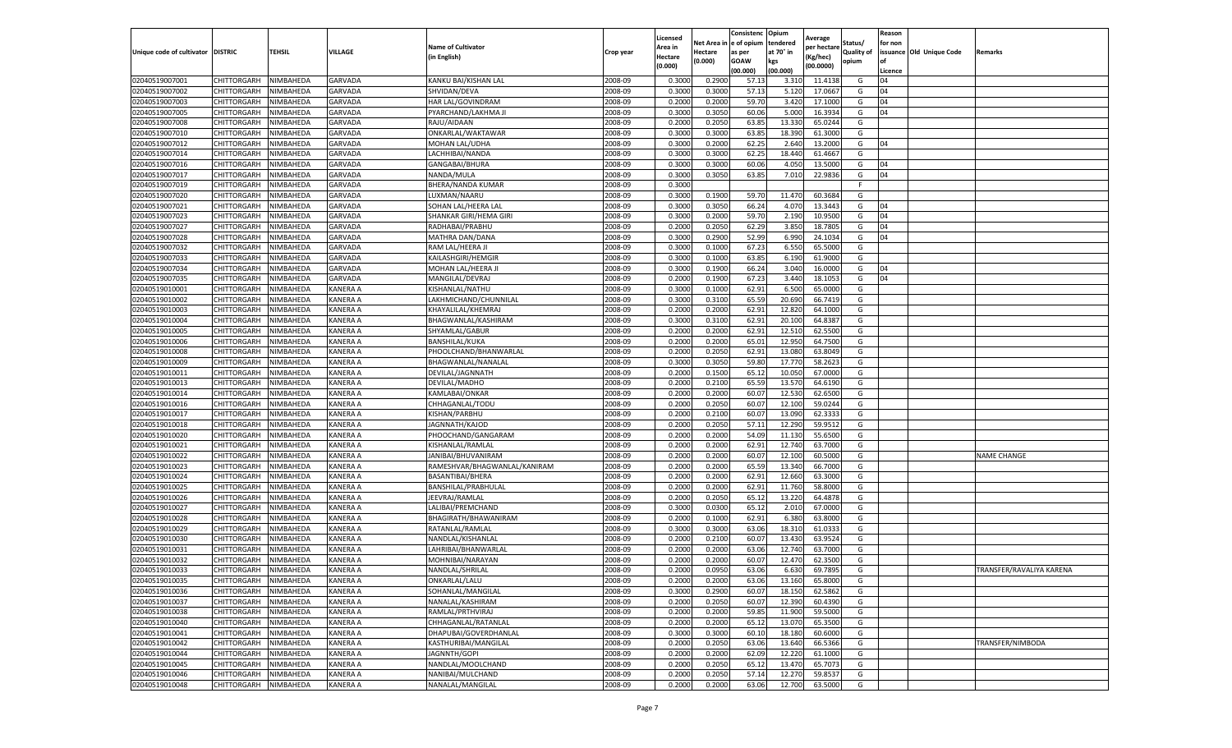|                                  |                            |                        |                      |                              |           | Licensed         |         | Consistenc             | Opium     |                        |                   | Reason  |                          |                          |
|----------------------------------|----------------------------|------------------------|----------------------|------------------------------|-----------|------------------|---------|------------------------|-----------|------------------------|-------------------|---------|--------------------------|--------------------------|
|                                  |                            |                        |                      | <b>Name of Cultivator</b>    |           | Area in          |         | Net Area in e of opium | tendered  | Average<br>per hectare | Status/           | for non |                          |                          |
| Unique code of cultivator        | <b>DISTRIC</b>             | TEHSIL                 | VILLAGE              | in English)                  | Crop year | Hectare          | Hectare | as per                 | at 70° in | (Kg/hec                | <b>Quality of</b> |         | issuance Old Unique Code | <b>Remarks</b>           |
|                                  |                            |                        |                      |                              |           | (0.000)          | (0.000) | <b>GOAW</b>            | kgs       | (00.0000)              | opium             |         |                          |                          |
|                                  |                            |                        |                      |                              |           |                  |         | (00.000)               | (00.000)  |                        |                   | Licence |                          |                          |
| 02040519007001                   | CHITTORGARH                | NIMBAHEDA              | GARVADA              | KANKU BAI/KISHAN LAL         | 2008-09   | 0.3000           | 0.2900  | 57.13                  | 3.31      | 11.4138                | G                 | 04      |                          |                          |
| 02040519007002                   | CHITTORGARH                | NIMBAHEDA              | GARVADA              | SHVIDAN/DEVA                 | 2008-09   | 0.3000           | 0.3000  | 57.13                  | 5.12      | 17.0667                | G                 | 04      |                          |                          |
| 02040519007003                   | CHITTORGARH                | NIMBAHEDA              | GARVADA              | HAR LAL/GOVINDRAM            | 2008-09   | 0.2000           | 0.2000  | 59.70                  | 3.420     | 17.1000                | G                 | 04      |                          |                          |
| 02040519007005                   | CHITTORGARH                | NIMBAHEDA              | <b>GARVADA</b>       | PYARCHAND/LAKHMA JI          | 2008-09   | 0.3000           | 0.3050  | 60.06                  | 5.000     | 16.3934                | G                 | 04      |                          |                          |
| 02040519007008                   | <b>CHITTORGARH</b>         | NIMBAHEDA              | <b>GARVADA</b>       | RAJU/AIDAAN                  | 2008-09   | 0.2000           | 0.2050  | 63.85                  | 13.33     | 65.0244                | G                 |         |                          |                          |
| 02040519007010                   | CHITTORGARH                | NIMBAHEDA              | GARVADA              | ONKARLAL/WAKTAWAR            | 2008-09   | 0.3000           | 0.3000  | 63.85                  | 18.39     | 61.3000                | G                 |         |                          |                          |
| 02040519007012                   | CHITTORGARH                | NIMBAHEDA              | GARVADA              | MOHAN LAL/UDHA               | 2008-09   | 0.3000           | 0.2000  | 62.25                  | 2.640     | 13.2000                | G                 | 04      |                          |                          |
| 02040519007014                   | CHITTORGARH                | NIMBAHEDA              | <b>GARVADA</b>       | LACHHIBAI/NANDA              | 2008-09   | 0.3000           | 0.3000  | 62.25                  | 18.44     | 61.4667                | G                 |         |                          |                          |
| 02040519007016                   | CHITTORGARH                | NIMBAHEDA              | <b>GARVADA</b>       | GANGABAI/BHURA               | 2008-09   | 0.3000           | 0.3000  | 60.06                  | 4.05      | 13.5000                | G                 | 04      |                          |                          |
| 02040519007017                   | CHITTORGARH                | NIMBAHEDA              | <b>GARVADA</b>       | NANDA/MULA                   | 2008-09   | 0.3000           | 0.3050  | 63.85                  | 7.010     | 22.9836                | G                 | 04      |                          |                          |
| 02040519007019                   | CHITTORGARH                | NIMBAHEDA              | <b>GARVADA</b>       | BHERA/NANDA KUMAR            | 2008-09   | 0.3000           |         |                        |           |                        | F                 |         |                          |                          |
| 02040519007020                   | CHITTORGARH                | NIMBAHEDA              | GARVADA              | LUXMAN/NAARU                 | 2008-09   | 0.3000           | 0.1900  | 59.70                  | 11.47     | 60.3684                | G                 |         |                          |                          |
| 02040519007021                   | CHITTORGARH                | NIMBAHEDA              | GARVADA              | SOHAN LAL/HEERA LAL          | 2008-09   | 0.3000           | 0.3050  | 66.24                  | 4.07      | 13.3443                | G                 | 04      |                          |                          |
| 02040519007023                   | CHITTORGARH                | NIMBAHEDA              | <b>GARVADA</b>       | SHANKAR GIRI/HEMA GIRI       | 2008-09   | 0.3000           | 0.2000  | 59.70                  | 2.190     | 10.9500                | G                 | 04      |                          |                          |
| 02040519007027                   | CHITTORGARH                | NIMBAHEDA              | GARVADA              | RADHABAI/PRABHU              | 2008-09   | 0.2000           | 0.2050  | 62.29                  | 3.850     | 18.7805                | G                 | 04      |                          |                          |
| 02040519007028                   | CHITTORGARH                | NIMBAHEDA              | GARVADA              | MATHRA DAN/DANA              | 2008-09   | 0.3000           | 0.2900  | 52.99                  | 6.990     | 24.1034                | G                 | 04      |                          |                          |
| 02040519007032                   | CHITTORGARH                | NIMBAHEDA              | GARVADA              | RAM LAL/HEERA JI             | 2008-09   | 0.3000           | 0.1000  | 67.23                  | 6.550     | 65.5000                | G                 |         |                          |                          |
| 02040519007033                   | CHITTORGARH                | NIMBAHEDA              | <b>GARVADA</b>       | KAILASHGIRI/HEMGIR           | 2008-09   | 0.3000           | 0.1000  | 63.85                  | 6.190     | 61.9000                | G                 |         |                          |                          |
| 02040519007034                   | CHITTORGARH                | NIMBAHEDA              | GARVADA              | MOHAN LAL/HEERA J            | 2008-09   | 0.3000           | 0.1900  | 66.24                  | 3.040     | 16.0000                | G                 | 04      |                          |                          |
| 02040519007035                   | CHITTORGARH                | NIMBAHEDA              | <b>GARVADA</b>       | MANGILAL/DEVRAJ              | 2008-09   | 0.2000           | 0.1900  | 67.23                  | 3.440     | 18.1053                | G                 | 04      |                          |                          |
| 02040519010001                   | CHITTORGARH                | NIMBAHEDA              | KANERA A             | KISHANLAL/NATHU              | 2008-09   | 0.3000           | 0.1000  | 62.91                  | 6.500     | 65.0000                | G                 |         |                          |                          |
| 02040519010002                   | CHITTORGARH                | NIMBAHEDA              | KANERA A             | LAKHMICHAND/CHUNNILAL        | 2008-09   | 0.3000           | 0.3100  | 65.59                  | 20.690    | 66.7419                | G                 |         |                          |                          |
| 02040519010003                   | CHITTORGARH                | NIMBAHEDA              | KANERA A             | KHAYALILAL/KHEMRAJ           | 2008-09   | 0.2000           | 0.2000  | 62.91                  | 12.820    | 64.1000                | G                 |         |                          |                          |
| 02040519010004                   | CHITTORGARH                | NIMBAHEDA              | KANERA A             | BHAGWANLAL/KASHIRAM          | 2008-09   | 0.3000           | 0.3100  | 62.91                  | 20.10     | 64.8387                | G                 |         |                          |                          |
| 02040519010005                   | <b>CHITTORGARH</b>         | NIMBAHEDA              | KANERA A             | SHYAMLAL/GABUR               | 2008-09   | 0.2000           | 0.2000  | 62.91                  | 12.51     | 62.5500                | G                 |         |                          |                          |
| 02040519010006                   | CHITTORGARH                | NIMBAHEDA              | KANERA A             | <b>BANSHILAL/KUKA</b>        | 2008-09   | 0.2000           | 0.2000  | 65.01                  | 12.950    | 64.7500                | G                 |         |                          |                          |
| 02040519010008                   | CHITTORGARH                | NIMBAHEDA              | KANERA A             | PHOOLCHAND/BHANWARLAL        | 2008-09   | 0.2000           | 0.2050  | 62.91                  | 13.08     | 63.8049                | G                 |         |                          |                          |
| 02040519010009                   | CHITTORGARH                | NIMBAHEDA              | KANERA A             | BHAGWANLAL/NANALAL           | 2008-09   | 0.3000           | 0.3050  | 59.80                  | 17.77     | 58.2623                | G                 |         |                          |                          |
| 02040519010011                   | CHITTORGARH                | NIMBAHEDA              | KANERA A             | DEVILAL/JAGNNATH             | 2008-09   | 0.2000           | 0.1500  | 65.12                  | 10.050    | 67.0000                | G                 |         |                          |                          |
| 02040519010013                   | CHITTORGARH                | NIMBAHEDA              | KANERA A             | DEVILAL/MADHO                | 2008-09   | 0.2000           | 0.2100  | 65.59                  | 13.57     | 64.6190                | G                 |         |                          |                          |
| 02040519010014                   | CHITTORGARH                | NIMBAHEDA              | KANERA A             | KAMLABAI/ONKAR               | 2008-09   | 0.2000           | 0.2000  | 60.07                  | 12.53     | 62.6500                | G                 |         |                          |                          |
| 02040519010016                   | CHITTORGARH                | NIMBAHEDA              | KANERA A             | CHHAGANLAL/TODU              | 2008-09   | 0.2000           | 0.2050  | 60.07                  | 12.100    | 59.0244                | G                 |         |                          |                          |
| 02040519010017                   |                            | NIMBAHEDA              | KANERA A             | KISHAN/PARBHU                | 2008-09   | 0.2000           | 0.2100  | 60.07                  | 13.09     | 62.3333                |                   |         |                          |                          |
|                                  | CHITTORGARH                |                        |                      |                              | 2008-09   |                  | 0.2050  | 57.11                  | 12.29     | 59.9512                | G                 |         |                          |                          |
| 02040519010018<br>02040519010020 | CHITTORGARH<br>CHITTORGARH | NIMBAHEDA<br>NIMBAHEDA | KANERA A<br>KANERA A | JAGNNATH/KAJOD               | 2008-09   | 0.2000<br>0.2000 | 0.2000  | 54.09                  | 11.13     | 55.6500                | G<br>G            |         |                          |                          |
|                                  |                            |                        |                      | PHOOCHAND/GANGARAM           |           |                  |         |                        |           | 63.7000                |                   |         |                          |                          |
| 02040519010021                   | CHITTORGARH                | NIMBAHEDA              | KANERA A             | KISHANLAL/RAMLAL             | 2008-09   | 0.2000           | 0.2000  | 62.91                  | 12.74     |                        | G                 |         |                          |                          |
| 02040519010022                   | CHITTORGARH                | NIMBAHEDA              | KANERA A             | JANIBAI/BHUVANIRAM           | 2008-09   | 0.2000           | 0.2000  | 60.07                  | 12.10     | 60.5000                | G                 |         |                          | <b>NAME CHANGE</b>       |
| 02040519010023                   | CHITTORGARH                | NIMBAHEDA              | KANERA A             | RAMESHVAR/BHAGWANLAL/KANIRAM | 2008-09   | 0.2000           | 0.2000  | 65.59                  | 13.34     | 66.7000                | G                 |         |                          |                          |
| 02040519010024                   | CHITTORGARH                | NIMBAHEDA              | KANERA A             | BASANTIBAI/BHERA             | 2008-09   | 0.2000           | 0.2000  | 62.91                  | 12.660    | 63.3000                | G                 |         |                          |                          |
| 02040519010025                   | CHITTORGARH                | NIMBAHEDA              | KANERA A             | BANSHILAL/PRABHULAL          | 2008-09   | 0.2000           | 0.2000  | 62.91                  | 11.760    | 58.8000                | G                 |         |                          |                          |
| 02040519010026                   | CHITTORGARH                | NIMBAHEDA              | KANERA A             | JEEVRAJ/RAMLAL               | 2008-09   | 0.2000           | 0.2050  | 65.12                  | 13.22     | 64.4878                | G                 |         |                          |                          |
| 02040519010027                   | CHITTORGARH                | NIMBAHEDA              | KANERA A             | LALIBAI/PREMCHAND            | 2008-09   | 0.3000           | 0.0300  | 65.12                  | 2.01      | 67.0000                | G                 |         |                          |                          |
| 02040519010028                   | CHITTORGARH                | NIMBAHEDA              | KANERA A             | BHAGIRATH/BHAWANIRAM         | 2008-09   | 0.2000           | 0.1000  | 62.91                  | 6.38      | 63.8000                | G                 |         |                          |                          |
| 02040519010029                   | CHITTORGARH                | NIMBAHEDA              | KANERA A             | RATANLAL/RAMLAL              | 2008-09   | 0.3000           | 0.3000  | 63.06                  | 18.31     | 61.033                 | G                 |         |                          |                          |
| 02040519010030                   | CHITTORGARH                | NIMBAHEDA              | KANERA A             | NANDLAL/KISHANLAL            | 2008-09   | 0.2000           | 0.2100  | 60.07                  | 13.43     | 63.9524                | G                 |         |                          |                          |
| 02040519010031                   | CHITTORGARH                | NIMBAHEDA              | KANERA A             | LAHRIBAI/BHANWARLAL          | 2008-09   | 0.2000           | 0.2000  | 63.06                  | 12.74     | 63.7000                | G                 |         |                          |                          |
| 02040519010032                   | CHITTORGARH                | NIMBAHEDA              | KANERA A             | MOHNIBAI/NARAYAN             | 2008-09   | 0.2000           | 0.2000  | 60.07                  | 12.47     | 62.3500                | G                 |         |                          |                          |
| 02040519010033                   | CHITTORGARH                | NIMBAHEDA              | KANERA A             | NANDLAL/SHRILAL              | 2008-09   | 0.2000           | 0.0950  | 63.06                  | 6.630     | 69.7895                | G                 |         |                          | TRANSFER/RAVALIYA KARENA |
| 02040519010035                   | CHITTORGARH                | NIMBAHEDA              | <b>KANERA A</b>      | ONKARLAL/LALU                | 2008-09   | 0.2000           | 0.2000  | 63.06                  | 13.160    | 65.8000                | G                 |         |                          |                          |
| 02040519010036                   | CHITTORGARH                | NIMBAHEDA              | KANERA A             | SOHANLAL/MANGILAL            | 2008-09   | 0.3000           | 0.2900  | 60.07                  | 18.150    | 62.5862                | G                 |         |                          |                          |
| 02040519010037                   | CHITTORGARH                | NIMBAHEDA              | KANERA A             | NANALAL/KASHIRAM             | 2008-09   | 0.2000           | 0.2050  | 60.07                  | 12.390    | 60.4390                | G                 |         |                          |                          |
| 02040519010038                   | <b>CHITTORGARH</b>         | NIMBAHEDA              | KANERA A             | RAMLAL/PRTHVIRAJ             | 2008-09   | 0.2000           | 0.2000  | 59.85                  | 11.900    | 59.5000                | G                 |         |                          |                          |
| 02040519010040                   | <b>CHITTORGARH</b>         | NIMBAHEDA              | KANERA A             | CHHAGANLAL/RATANLAL          | 2008-09   | 0.2000           | 0.2000  | 65.12                  | 13.07     | 65.3500                | G                 |         |                          |                          |
| 02040519010041                   | <b>CHITTORGARH</b>         | NIMBAHEDA              | <b>KANERA A</b>      | DHAPUBAI/GOVERDHANLAL        | 2008-09   | 0.3000           | 0.3000  | 60.10                  | 18.180    | 60.6000                | G                 |         |                          |                          |
| 02040519010042                   | CHITTORGARH                | NIMBAHEDA              | KANERA A             | KASTHURIBAI/MANGILAL         | 2008-09   | 0.2000           | 0.2050  | 63.06                  | 13.640    | 66.5366                | G                 |         |                          | TRANSFER/NIMBODA         |
| 02040519010044                   | CHITTORGARH                | NIMBAHEDA              | KANERA A             | JAGNNTH/GOPI                 | 2008-09   | 0.2000           | 0.2000  | 62.09                  | 12.220    | 61.1000                | G                 |         |                          |                          |
| 02040519010045                   | CHITTORGARH                | NIMBAHEDA              | KANERA A             | NANDLAL/MOOLCHAND            | 2008-09   | 0.2000           | 0.2050  | 65.12                  | 13.470    | 65.7073                | G                 |         |                          |                          |
| 02040519010046                   | CHITTORGARH                | NIMBAHEDA              | KANERA A             | NANIBAI/MULCHAND             | 2008-09   | 0.2000           | 0.2050  | 57.14                  | 12.270    | 59.8537                | G                 |         |                          |                          |
| 02040519010048                   | <b>CHITTORGARH</b>         | NIMBAHEDA              | <b>KANERA A</b>      | NANALAL/MANGILAL             | 2008-09   | 0.2000           | 0.2000  | 63.06                  | 12.700    | 63.5000                | G                 |         |                          |                          |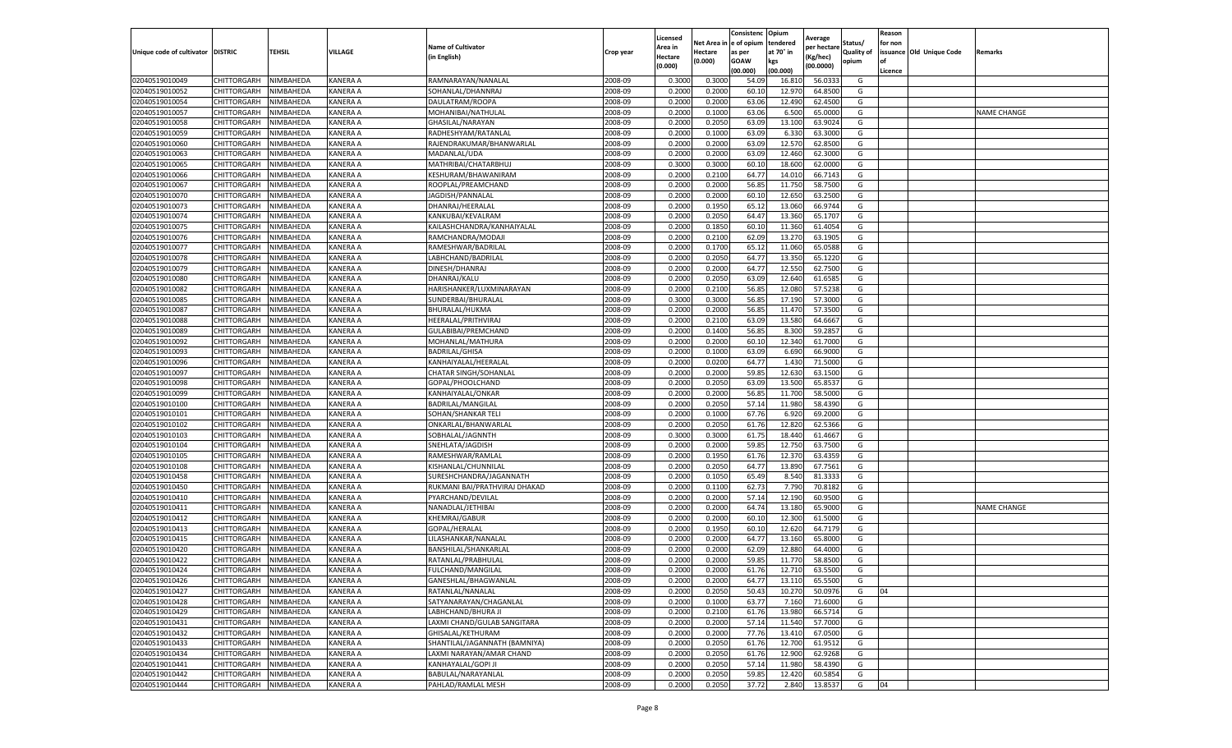|                                   |             |           |                 |                               |           | Licensed |            | Consistenc  | Opium     | Average     |                   | Reason  |                          |                    |
|-----------------------------------|-------------|-----------|-----------------|-------------------------------|-----------|----------|------------|-------------|-----------|-------------|-------------------|---------|--------------------------|--------------------|
|                                   |             |           |                 | <b>Name of Cultivator</b>     |           | Area in  | Net Area i | e of opium  | tendered  | per hectare | Status/           | for non |                          |                    |
| Unique code of cultivator DISTRIC |             | TEHSIL    | VILLAGE         | (in English)                  | Crop year | Hectare  | Hectare    | as per      | at 70° in | (Kg/hec)    | <b>Quality of</b> |         | issuance Old Unique Code | Remarks            |
|                                   |             |           |                 |                               |           | (0.000)  | (0.000)    | <b>GOAW</b> | kgs       | (00.0000)   | opium             |         |                          |                    |
|                                   |             |           |                 |                               |           |          |            | (00.000     | (00.000)  |             |                   | Licence |                          |                    |
| 02040519010049                    | CHITTORGARH | NIMBAHEDA | <b>KANERA A</b> | RAMNARAYAN/NANALAI            | 2008-09   | 0.3000   | 0.3000     | 54.09       | 16.81     | 56.0333     | G                 |         |                          |                    |
| 02040519010052                    | CHITTORGARH | NIMBAHEDA | <b>KANERA A</b> | SOHANLAL/DHANNRAJ             | 2008-09   | 0.200    | 0.2000     | 60.10       | 12.97     | 64.8500     | G                 |         |                          |                    |
| 02040519010054                    | CHITTORGARH | NIMBAHEDA | KANERA A        | DAULATRAM/ROOPA               | 2008-09   | 0.2000   | 0.2000     | 63.06       | 12.490    | 62.4500     | G                 |         |                          |                    |
| 02040519010057                    | CHITTORGARH | NIMBAHEDA | <b>KANERA A</b> | MOHANIBAI/NATHULAL            | 2008-09   | 0.2000   | 0.1000     | 63.06       | 6.500     | 65.0000     | G                 |         |                          | <b>NAME CHANGE</b> |
| 02040519010058                    | CHITTORGARH | NIMBAHEDA | <b>KANERA A</b> | GHASILAL/NARAYAN              | 2008-09   | 0.2000   | 0.2050     | 63.09       | 13.100    | 63.9024     | G                 |         |                          |                    |
| 02040519010059                    | CHITTORGARH | NIMBAHEDA | <b>KANERA A</b> | RADHESHYAM/RATANLAL           | 2008-09   | 0.2000   | 0.1000     | 63.09       | 6.330     | 63.3000     | G                 |         |                          |                    |
| 02040519010060                    | CHITTORGARH | NIMBAHEDA | <b>KANERA A</b> | RAJENDRAKUMAR/BHANWARLAL      | 2008-09   | 0.2000   | 0.2000     | 63.09       | 12.570    | 62.8500     | G                 |         |                          |                    |
| 02040519010063                    | CHITTORGARH | NIMBAHEDA | KANERA A        | MADANLAL/UDA                  | 2008-09   | 0.200    | 0.2000     | 63.09       | 12.460    | 62.3000     | G                 |         |                          |                    |
| 02040519010065                    | CHITTORGARH | NIMBAHEDA | <b>KANERA A</b> | MATHRIBAI/CHATARBHUJ          | 2008-09   | 0.3000   | 0.3000     | 60.10       | 18.600    | 62.0000     | G                 |         |                          |                    |
| 02040519010066                    | CHITTORGARH | NIMBAHEDA | KANERA A        | KESHURAM/BHAWANIRAM           | 2008-09   | 0.2000   | 0.2100     | 64.77       | 14.010    | 66.7143     | G                 |         |                          |                    |
| 02040519010067                    | CHITTORGARH | NIMBAHEDA | <b>KANERA A</b> | ROOPLAL/PREAMCHAND            | 2008-09   | 0.2000   | 0.2000     | 56.85       | 11.750    | 58.7500     | G                 |         |                          |                    |
| 02040519010070                    | CHITTORGARH | NIMBAHEDA | <b>KANERA A</b> | JAGDISH/PANNALAL              | 2008-09   | 0.2000   | 0.2000     | 60.10       | 12.650    | 63.2500     | G                 |         |                          |                    |
| 02040519010073                    | CHITTORGARH | NIMBAHEDA | <b>KANERA A</b> | DHANRAJ/HEERALAL              | 2008-09   | 0.2000   | 0.1950     | 65.1        | 13.060    | 66.9744     | G                 |         |                          |                    |
| 02040519010074                    | CHITTORGARH | NIMBAHEDA | KANERA A        | KANKUBAI/KEVALRAM             | 2008-09   | 0.200    | 0.2050     | 64.47       | 13.360    | 65.1707     | G                 |         |                          |                    |
| 02040519010075                    | CHITTORGARH | NIMBAHEDA | KANERA A        | KAILASHCHANDRA/KANHAIYALAL    | 2008-09   | 0.2000   | 0.1850     | 60.10       | 11.360    | 61.4054     | G                 |         |                          |                    |
| 02040519010076                    | CHITTORGARH | NIMBAHEDA | KANERA A        | RAMCHANDRA/MODAJI             | 2008-09   | 0.2000   | 0.2100     | 62.09       | 13.27     | 63.1905     | G                 |         |                          |                    |
| 02040519010077                    | CHITTORGARH | NIMBAHEDA | KANERA A        | RAMESHWAR/BADRILAL            | 2008-09   | 0.2000   | 0.1700     | 65.1        | 11.060    | 65.0588     | G                 |         |                          |                    |
| 02040519010078                    | CHITTORGARH | NIMBAHEDA | KANERA A        | LABHCHAND/BADRILAL            | 2008-09   | 0.2000   | 0.2050     | 64.77       | 13.350    | 65.1220     | G                 |         |                          |                    |
| 02040519010079                    | CHITTORGARH | NIMBAHEDA | KANERA A        | DINESH/DHANRAJ                | 2008-09   | 0.2000   | 0.2000     | 64.77       | 12.550    | 62.7500     | G                 |         |                          |                    |
| 02040519010080                    | CHITTORGARH | NIMBAHEDA | <b>KANERA A</b> | DHANRAJ/KALU                  | 2008-09   | 0.2000   | 0.2050     | 63.09       | 12.640    | 61.6585     | G                 |         |                          |                    |
| 02040519010082                    | CHITTORGARH | NIMBAHEDA | KANERA A        | HARISHANKER/LUXMINARAYAN      | 2008-09   | 0.2000   | 0.2100     | 56.85       | 12.080    | 57.5238     | G                 |         |                          |                    |
| 02040519010085                    | CHITTORGARH | NIMBAHEDA | KANERA A        | SUNDERBAI/BHURALAL            | 2008-09   | 0.3000   | 0.3000     | 56.85       | 17.190    | 57.3000     | G                 |         |                          |                    |
| 02040519010087                    | CHITTORGARH | NIMBAHEDA | <b>KANERA A</b> | BHURALAL/HUKMA                | 2008-09   | 0.2000   | 0.2000     | 56.85       | 11.470    | 57.3500     | G                 |         |                          |                    |
| 02040519010088                    | CHITTORGARH | NIMBAHEDA | KANERA A        | HEERALAL/PRITHVIRAJ           | 2008-09   | 0.2000   | 0.2100     | 63.09       | 13.580    | 64.6667     | G                 |         |                          |                    |
| 02040519010089                    | CHITTORGARH | NIMBAHEDA | KANERA A        | GULABIBAI/PREMCHAND           | 2008-09   | 0.2000   | 0.1400     | 56.85       | 8.300     | 59.2857     | G                 |         |                          |                    |
| 02040519010092                    | CHITTORGARH | NIMBAHEDA | <b>KANERA A</b> | MOHANLAL/MATHURA              | 2008-09   | 0.2000   | 0.2000     | 60.10       | 12.340    | 61.7000     | G                 |         |                          |                    |
| 02040519010093                    | CHITTORGARH | NIMBAHEDA | KANERA A        | <b>BADRILAL/GHISA</b>         | 2008-09   | 0.2000   | 0.1000     | 63.09       | 6.690     | 66.9000     | G                 |         |                          |                    |
| 02040519010096                    | CHITTORGARH | NIMBAHEDA | KANERA A        | KANHAIYALAL/HEERALAI          | 2008-09   | 0.2000   | 0.0200     | 64.77       | 1.430     | 71.5000     | G                 |         |                          |                    |
| 02040519010097                    | CHITTORGARH | NIMBAHEDA | KANERA A        | <b>CHATAR SINGH/SOHANLAL</b>  | 2008-09   | 0.2000   | 0.2000     | 59.85       | 12.630    | 63.1500     | G                 |         |                          |                    |
| 02040519010098                    | CHITTORGARH | NIMBAHEDA | KANERA A        | GOPAL/PHOOLCHAND              | 2008-09   | 0.2000   | 0.2050     | 63.09       | 13.500    | 65.8537     | G                 |         |                          |                    |
| 02040519010099                    | CHITTORGARH | NIMBAHEDA | KANERA A        | KANHAIYALAL/ONKAR             | 2008-09   | 0.2000   | 0.2000     | 56.85       | 11.700    | 58.5000     | G                 |         |                          |                    |
| 02040519010100                    | CHITTORGARH | NIMBAHEDA | <b>KANERA A</b> | BADRILAL/MANGILAL             | 2008-09   | 0.2000   | 0.2050     | 57.14       | 11.980    | 58.4390     | G                 |         |                          |                    |
| 02040519010101                    | CHITTORGARH | NIMBAHEDA | KANERA A        | SOHAN/SHANKAR TELI            | 2008-09   | 0.200    | 0.1000     | 67.76       | 6.920     | 69.2000     | G                 |         |                          |                    |
| 02040519010102                    | CHITTORGARH | NIMBAHEDA | KANERA A        | ONKARLAL/BHANWARLAL           | 2008-09   | 0.2000   | 0.2050     | 61.76       | 12.820    | 62.5366     | G                 |         |                          |                    |
| 02040519010103                    | CHITTORGARH | NIMBAHEDA | <b>KANERA A</b> | SOBHALAL/JAGNNTH              | 2008-09   | 0.3000   | 0.3000     | 61.75       | 18.440    | 61.4667     | G                 |         |                          |                    |
| 02040519010104                    | CHITTORGARH | NIMBAHEDA | KANERA A        | SNEHLATA/JAGDISH              | 2008-09   | 0.2000   | 0.2000     | 59.85       | 12.750    | 63.7500     | G                 |         |                          |                    |
| 02040519010105                    | CHITTORGARH | NIMBAHEDA | <b>KANERA A</b> | RAMESHWAR/RAMLAL              | 2008-09   | 0.2000   | 0.1950     | 61.76       | 12.370    | 63.4359     | G                 |         |                          |                    |
| 02040519010108                    | CHITTORGARH | NIMBAHEDA | KANERA A        | KISHANLAL/CHUNNILAL           | 2008-09   | 0.2000   | 0.2050     | 64.77       | 13.890    | 67.7561     | G                 |         |                          |                    |
| 02040519010458                    | CHITTORGARH | NIMBAHEDA | KANERA A        | SURESHCHANDRA/JAGANNATH       | 2008-09   | 0.2000   | 0.1050     | 65.49       | 8.540     | 81.3333     | G                 |         |                          |                    |
| 02040519010450                    | CHITTORGARH | NIMBAHEDA | KANERA A        | RUKMANI BAI/PRATHVIRAJ DHAKAD | 2008-09   | 0.2000   | 0.1100     | 62.73       | 7.790     | 70.8182     | G                 |         |                          |                    |
| 02040519010410                    | CHITTORGARH | NIMBAHEDA | KANERA A        | PYARCHAND/DEVILAL             | 2008-09   | 0.2000   | 0.2000     | 57.14       | 12.190    | 60.9500     | G                 |         |                          |                    |
| 02040519010411                    | CHITTORGARH | NIMBAHEDA | KANERA A        | NANADLAL/JETHIBAI             | 2008-09   | 0.2000   | 0.2000     | 64.74       | 13.180    | 65.9000     | G                 |         |                          | <b>NAME CHANGE</b> |
| 02040519010412                    | CHITTORGARH | NIMBAHEDA | <b>KANERA A</b> | <b>KHEMRAJ/GABUR</b>          | 2008-09   | 0.2000   | 0.2000     | 60.10       | 12.300    | 61.5000     | G                 |         |                          |                    |
| 02040519010413                    | CHITTORGARH | NIMBAHEDA | KANERA A        | GOPAL/HERALAL                 | 2008-09   | 0.2000   | 0.1950     | 60.10       | 12.620    | 64.7179     | G                 |         |                          |                    |
| 02040519010415                    | CHITTORGARH | NIMBAHEDA | <b>KANERA A</b> | LILASHANKAR/NANALAL           | 2008-09   | 0.2000   | 0.2000     | 64.77       | 13.160    | 65.8000     | G                 |         |                          |                    |
| 02040519010420                    | CHITTORGARH | NIMBAHEDA | KANERA A        | BANSHILAL/SHANKARLAI          | 2008-09   | 0.200    | 0.2000     | 62.09       | 12.880    | 64.4000     | G                 |         |                          |                    |
| 02040519010422                    | CHITTORGARH | NIMBAHEDA | KANERA A        | RATANLAL/PRABHULAI            | 2008-09   | 0.2000   | 0.2000     | 59.85       | 11.770    | 58.8500     | G                 |         |                          |                    |
| 02040519010424                    | CHITTORGARH | NIMBAHEDA | KANERA A        | <b>FULCHAND/MANGILAL</b>      | 2008-09   | 0.2000   | 0.2000     | 61.76       | 12.710    | 63.5500     | G                 |         |                          |                    |
| 02040519010426                    | CHITTORGARH | NIMBAHEDA | KANERA A        | GANESHLAL/BHAGWANLAL          | 2008-09   | 0.2000   | 0.2000     | 64.77       | 13.110    | 65.5500     | G                 |         |                          |                    |
| 02040519010427                    | CHITTORGARH | NIMBAHEDA | KANERA A        | RATANLAL/NANALAL              | 2008-09   | 0.2000   | 0.2050     | 50.43       | 10.270    | 50.0976     | G                 | 04      |                          |                    |
| 02040519010428                    | CHITTORGARH | NIMBAHEDA | KANERA A        | SATYANARAYAN/CHAGANLAL        | 2008-09   | 0.2000   | 0.1000     | 63.77       | 7.160     | 71.6000     | G                 |         |                          |                    |
| 02040519010429                    | CHITTORGARH | NIMBAHEDA | KANERA A        | LABHCHAND/BHURA JI            | 2008-09   | 0.2000   | 0.2100     | 61.76       | 13.980    | 66.5714     | G                 |         |                          |                    |
| 02040519010431                    | CHITTORGARH | NIMBAHEDA | KANERA A        | LAXMI CHAND/GULAB SANGITARA   | 2008-09   | 0.2000   | 0.2000     | 57.14       | 11.540    | 57.7000     | G                 |         |                          |                    |
| 02040519010432                    | CHITTORGARH | NIMBAHEDA | <b>KANERA A</b> | GHISALAL/KETHURAM             | 2008-09   | 0.2000   | 0.2000     | 77.76       | 13.410    | 67.0500     | G                 |         |                          |                    |
| 02040519010433                    | CHITTORGARH | NIMBAHEDA | KANERA A        | SHANTILAL/JAGANNATH (BAMNIYA) | 2008-09   | 0.2000   | 0.2050     | 61.76       | 12.700    | 61.9512     | G                 |         |                          |                    |
| 02040519010434                    | CHITTORGARH | NIMBAHEDA | KANERA A        | LAXMI NARAYAN/AMAR CHAND      | 2008-09   | 0.2000   | 0.2050     | 61.76       | 12.900    | 62.9268     | G                 |         |                          |                    |
| 02040519010441                    | CHITTORGARH | NIMBAHEDA | KANERA A        | KANHAYALAL/GOPI JI            | 2008-09   | 0.2000   | 0.2050     | 57.14       | 11.980    | 58.4390     | G                 |         |                          |                    |
| 02040519010442                    | CHITTORGARH | NIMBAHEDA | KANERA A        | BABULAL/NARAYANLAL            | 2008-09   | 0.2000   | 0.2050     | 59.85       | 12.420    | 60.5854     | G                 |         |                          |                    |
| 02040519010444                    | CHITTORGARH | NIMBAHEDA | KANERA A        | PAHLAD/RAMLAL MESH            | 2008-09   | 0.2000   | 0.2050     | 37.72       | 2.840     | 13.8537     | G                 | 04      |                          |                    |
|                                   |             |           |                 |                               |           |          |            |             |           |             |                   |         |                          |                    |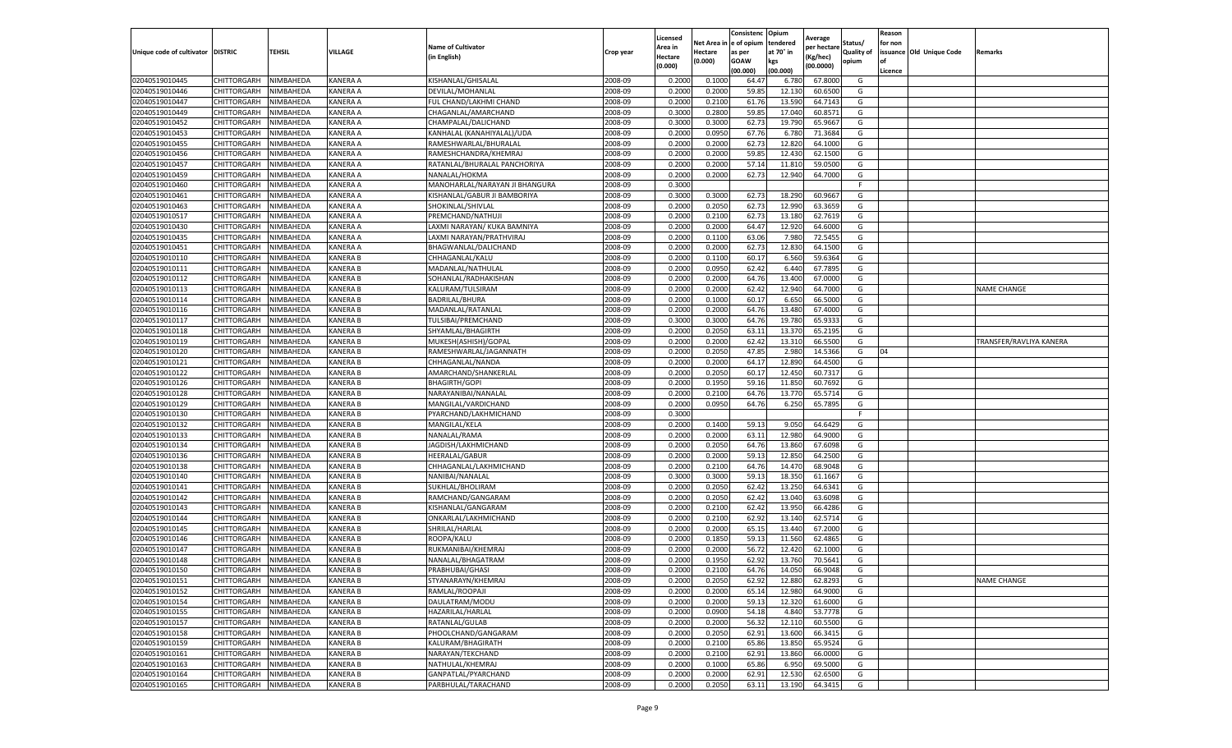|                                   |                    |           |                 |                                |           | Licensed |         | Consistenc             | Opium     |                        |                   | Reason  |                          |                                |
|-----------------------------------|--------------------|-----------|-----------------|--------------------------------|-----------|----------|---------|------------------------|-----------|------------------------|-------------------|---------|--------------------------|--------------------------------|
|                                   |                    |           |                 | <b>Name of Cultivator</b>      |           | Area in  |         | Net Area in e of opium | tendered  | Average<br>per hectare | Status/           | for non |                          |                                |
| Unique code of cultivator DISTRIC |                    | TEHSIL    | VILLAGE         | in English)                    | Crop year | Hectare  | Hectare | as per                 | at 70° in | (Kg/hec                | <b>Quality of</b> |         | issuance Old Unique Code | <b>Remarks</b>                 |
|                                   |                    |           |                 |                                |           | (0.000)  | (0.000) | <b>GOAW</b>            | kgs       | (00.0000)              | opium             |         |                          |                                |
|                                   |                    |           |                 |                                |           |          |         | (00.000)               | (00.000)  |                        |                   | Licence |                          |                                |
| 02040519010445                    | CHITTORGARH        | NIMBAHEDA | KANERA A        | KISHANLAL/GHISALAI             | 2008-09   | 0.2000   | 0.1000  | 64.47                  | 6.780     | 67.8000                | G                 |         |                          |                                |
| 02040519010446                    | CHITTORGARH        | NIMBAHEDA | KANERA A        | DEVILAL/MOHANLAI               | 2008-09   | 0.2000   | 0.2000  | 59.85                  | 12.13     | 60.6500                | G                 |         |                          |                                |
| 02040519010447                    | CHITTORGARH        | NIMBAHEDA | KANERA A        | FUL CHAND/LAKHMI CHAND         | 2008-09   | 0.2000   | 0.2100  | 61.76                  | 13.590    | 64.7143                | G                 |         |                          |                                |
| 02040519010449                    | CHITTORGARH        | NIMBAHEDA | KANERA A        | CHAGANLAL/AMARCHAND            | 2008-09   | 0.3000   | 0.2800  | 59.85                  | 17.040    | 60.8571                | G                 |         |                          |                                |
| 02040519010452                    | CHITTORGARH        | NIMBAHEDA | KANERA A        | CHAMPALAL/DALICHAND            | 2008-09   | 0.3000   | 0.3000  | 62.73                  | 19.790    | 65.9667                | G                 |         |                          |                                |
| 02040519010453                    | CHITTORGARH        | NIMBAHEDA | KANERA A        | KANHALAL (KANAHIYALAL)/UDA     | 2008-09   | 0.2000   | 0.0950  | 67.76                  | 6.78      | 71.3684                | G                 |         |                          |                                |
| 02040519010455                    | CHITTORGARH        | NIMBAHEDA | KANERA A        | RAMESHWARLAL/BHURALAL          | 2008-09   | 0.2000   | 0.2000  | 62.73                  | 12.82     | 64.1000                | G                 |         |                          |                                |
| 02040519010456                    | CHITTORGARH        | NIMBAHEDA | KANERA A        | RAMESHCHANDRA/KHEMRAJ          | 2008-09   | 0.2000   | 0.2000  | 59.85                  | 12.43     | 62.1500                | G                 |         |                          |                                |
| 02040519010457                    | CHITTORGARH        | NIMBAHEDA | KANERA A        | RATANLAL/BHURALAL PANCHORIYA   | 2008-09   | 0.2000   | 0.2000  | 57.14                  | 11.81     | 59.0500                | G                 |         |                          |                                |
| 02040519010459                    | CHITTORGARH        | NIMBAHEDA | KANERA A        | NANALAL/HOKMA                  | 2008-09   | 0.2000   | 0.2000  | 62.73                  | 12.940    | 64.7000                | G                 |         |                          |                                |
| 02040519010460                    | CHITTORGARH        | NIMBAHEDA | KANERA A        | MANOHARLAL/NARAYAN JI BHANGURA | 2008-09   | 0.3000   |         |                        |           |                        | F.                |         |                          |                                |
| 02040519010461                    | CHITTORGARH        | NIMBAHEDA | KANERA A        | KISHANLAL/GABUR JI BAMBORIYA   | 2008-09   | 0.3000   | 0.3000  | 62.73                  | 18.29     | 60.9667                | G                 |         |                          |                                |
| 02040519010463                    | CHITTORGARH        | NIMBAHEDA | KANERA A        | SHOKINLAL/SHIVLAL              | 2008-09   | 0.2000   | 0.2050  | 62.73                  | 12.990    | 63.3659                | G                 |         |                          |                                |
| 02040519010517                    | CHITTORGARH        | NIMBAHEDA | KANERA A        | PREMCHAND/NATHUJI              | 2008-09   | 0.2000   | 0.2100  | 62.73                  | 13.18     | 62.7619                | G                 |         |                          |                                |
| 02040519010430                    | CHITTORGARH        | NIMBAHEDA | KANERA A        | LAXMI NARAYAN/ KUKA BAMNIYA    | 2008-09   | 0.2000   | 0.2000  | 64.47                  | 12.920    | 64.6000                | G                 |         |                          |                                |
| 02040519010435                    | CHITTORGARH        | NIMBAHEDA | KANERA A        | LAXMI NARAYAN/PRATHVIRAJ       | 2008-09   | 0.2000   | 0.1100  | 63.06                  | 7.980     | 72.5455                | G                 |         |                          |                                |
| 02040519010451                    | CHITTORGARH        | NIMBAHEDA | KANERA A        | BHAGWANLAL/DALICHAND           | 2008-09   | 0.2000   | 0.2000  | 62.73                  | 12.83     | 64.1500                | G                 |         |                          |                                |
| 02040519010110                    | CHITTORGARH        | NIMBAHEDA | <b>KANERA B</b> | CHHAGANLAL/KALU                | 2008-09   | 0.2000   | 0.1100  | 60.17                  | 6.560     | 59.6364                | G                 |         |                          |                                |
| 02040519010111                    | CHITTORGARH        | NIMBAHEDA | KANERA B        | MADANLAL/NATHULAI              | 2008-09   | 0.2000   | 0.0950  | 62.42                  | 6.44      | 67.7895                | G                 |         |                          |                                |
| 02040519010112                    | CHITTORGARH        | NIMBAHEDA | KANERA B        | SOHANLAL/RADHAKISHAN           | 2008-09   | 0.2000   | 0.2000  | 64.76                  | 13.400    | 67.0000                | G                 |         |                          |                                |
| 02040519010113                    | CHITTORGARH        | NIMBAHEDA | <b>KANERA B</b> | KALURAM/TULSIRAM               | 2008-09   | 0.2000   | 0.2000  | 62.42                  | 12.940    | 64.7000                | G                 |         |                          | <b>NAME CHANGE</b>             |
| 02040519010114                    | CHITTORGARH        | NIMBAHEDA | <b>KANERA B</b> | BADRILAL/BHURA                 | 2008-09   | 0.2000   | 0.1000  | 60.17                  | 6.650     | 66.5000                | G                 |         |                          |                                |
| 02040519010116                    | CHITTORGARH        | NIMBAHEDA | <b>KANERA B</b> | MADANLAL/RATANLAL              | 2008-09   | 0.2000   | 0.2000  | 64.76                  | 13.480    | 67.4000                | G                 |         |                          |                                |
| 02040519010117                    | CHITTORGARH        | NIMBAHEDA | <b>KANERA B</b> | TULSIBAI/PREMCHAND             | 2008-09   | 0.3000   | 0.3000  | 64.76                  | 19.78     | 65.9333                | G                 |         |                          |                                |
| 02040519010118                    | <b>CHITTORGARH</b> | NIMBAHEDA | KANERA B        | SHYAMLAL/BHAGIRTH              | 2008-09   | 0.2000   | 0.2050  | 63.11                  | 13.37     | 65.2195                | G                 |         |                          |                                |
| 02040519010119                    | CHITTORGARH        | NIMBAHEDA | <b>KANERA B</b> | MUKESH(ASHISH)/GOPAL           | 2008-09   | 0.2000   | 0.2000  | 62.42                  | 13.31     | 66.5500                | G                 |         |                          | <b>TRANSFER/RAVLIYA KANERA</b> |
| 02040519010120                    | CHITTORGARH        | NIMBAHEDA | <b>KANERA B</b> | RAMESHWARLAL/JAGANNATH         | 2008-09   | 0.2000   | 0.2050  | 47.85                  | 2.98      | 14.5366                | G                 | 04      |                          |                                |
| 02040519010121                    | CHITTORGARH        | NIMBAHEDA | <b>KANERA B</b> | CHHAGANLAL/NANDA               | 2008-09   | 0.2000   | 0.2000  | 64.17                  | 12.890    | 64.4500                | G                 |         |                          |                                |
| 02040519010122                    | CHITTORGARH        | NIMBAHEDA | <b>KANERA B</b> | AMARCHAND/SHANKERLAL           | 2008-09   | 0.2000   | 0.2050  | 60.17                  | 12.450    | 60.7317                | G                 |         |                          |                                |
| 02040519010126                    | CHITTORGARH        | NIMBAHEDA | <b>KANERA B</b> | <b>BHAGIRTH/GOPI</b>           | 2008-09   | 0.2000   | 0.1950  | 59.16                  | 11.85     | 60.7692                | G                 |         |                          |                                |
| 02040519010128                    | CHITTORGARH        | NIMBAHEDA | KANERA B        | NARAYANIBAI/NANALAL            | 2008-09   | 0.2000   | 0.2100  | 64.76                  | 13.77     | 65.5714                | G                 |         |                          |                                |
| 02040519010129                    | CHITTORGARH        | NIMBAHEDA | KANERA B        | MANGILAL/VARDICHAND            | 2008-09   | 0.2000   | 0.0950  | 64.76                  | 6.250     | 65.7895                | G                 |         |                          |                                |
| 02040519010130                    | CHITTORGARH        | NIMBAHEDA | <b>KANERA B</b> | PYARCHAND/LAKHMICHAND          | 2008-09   | 0.3000   |         |                        |           |                        | F.                |         |                          |                                |
| 02040519010132                    | CHITTORGARH        | NIMBAHEDA | KANERA B        | MANGILAL/KELA                  | 2008-09   | 0.2000   | 0.1400  | 59.13                  | 9.050     | 64.6429                | G                 |         |                          |                                |
| 02040519010133                    | CHITTORGARH        | NIMBAHEDA | <b>KANERA B</b> | NANALAL/RAMA                   | 2008-09   | 0.2000   | 0.2000  | 63.11                  | 12.980    | 64.9000                | G                 |         |                          |                                |
| 02040519010134                    | CHITTORGARH        | NIMBAHEDA | KANERA B        | JAGDISH/LAKHMICHAND            | 2008-09   | 0.2000   | 0.2050  | 64.76                  | 13.86     | 67.6098                | G                 |         |                          |                                |
| 02040519010136                    | CHITTORGARH        | NIMBAHEDA | <b>KANERA B</b> | <b>HEERALAL/GABUR</b>          | 2008-09   | 0.2000   | 0.2000  | 59.13                  | 12.85     | 64.2500                | G                 |         |                          |                                |
| 02040519010138                    | CHITTORGARH        | NIMBAHEDA | KANERA B        | CHHAGANLAL/LAKHMICHAND         | 2008-09   | 0.2000   | 0.2100  | 64.76                  | 14.47     | 68.9048                | G                 |         |                          |                                |
| 02040519010140                    | CHITTORGARH        | NIMBAHEDA | <b>KANERA B</b> | NANIBAI/NANALAL                | 2008-09   | 0.3000   | 0.3000  | 59.13                  | 18.35     | 61.1667                | G                 |         |                          |                                |
| 02040519010141                    | CHITTORGARH        | NIMBAHEDA | <b>KANERA B</b> | SUKHLAL/BHOLIRAM               | 2008-09   | 0.2000   | 0.2050  | 62.42                  | 13.250    | 64.6341                | G                 |         |                          |                                |
| 02040519010142                    | CHITTORGARH        | NIMBAHEDA | KANERA B        | RAMCHAND/GANGARAM              | 2008-09   | 0.2000   | 0.2050  | 62.42                  | 13.04     | 63.6098                | G                 |         |                          |                                |
| 02040519010143                    | CHITTORGARH        | NIMBAHEDA | <b>KANERA B</b> | KISHANLAL/GANGARAM             | 2008-09   | 0.2000   | 0.2100  | 62.42                  | 13.95     | 66.4286                | G                 |         |                          |                                |
| 02040519010144                    | CHITTORGARH        | NIMBAHEDA | <b>KANERA B</b> | ONKARLAL/LAKHMICHAND           | 2008-09   | 0.2000   | 0.2100  | 62.92                  | 13.14     | 62.5714                | G                 |         |                          |                                |
| 02040519010145                    | CHITTORGARH        | NIMBAHEDA | KANERA B        | SHRILAL/HARLAL                 | 2008-09   | 0.2000   | 0.2000  | 65.15                  | 13.44     | 67.2000                | G                 |         |                          |                                |
| 02040519010146                    | CHITTORGARH        | NIMBAHEDA | <b>KANERA B</b> | ROOPA/KALU                     | 2008-09   | 0.2000   | 0.1850  | 59.1                   | 11.560    | 62.4865                | G                 |         |                          |                                |
| 02040519010147                    | CHITTORGARH        | NIMBAHEDA | <b>KANERA B</b> | RUKMANIBAI/KHEMRAJ             | 2008-09   | 0.2000   | 0.2000  | 56.72                  | 12.420    | 62.1000                | G                 |         |                          |                                |
| 02040519010148                    | CHITTORGARH        | NIMBAHEDA | <b>KANERA B</b> | NANALAL/BHAGATRAM              | 2008-09   | 0.2000   | 0.1950  | 62.92                  | 13.760    | 70.5641                | G                 |         |                          |                                |
| 02040519010150                    | CHITTORGARH        | NIMBAHEDA | KANERA B        | PRABHUBAI/GHASI                | 2008-09   | 0.2000   | 0.2100  | 64.76                  | 14.050    | 66.9048                | G                 |         |                          |                                |
| 02040519010151                    | CHITTORGARH        | NIMBAHEDA | <b>KANERA B</b> | STYANARAYN/KHEMRAJ             | 2008-09   | 0.2000   | 0.2050  | 62.92                  | 12.880    | 62.8293                | G                 |         |                          | <b>NAME CHANGE</b>             |
| 02040519010152                    | CHITTORGARH        | NIMBAHEDA | KANERA B        | RAMLAL/ROOPAJI                 | 2008-09   | 0.2000   | 0.2000  | 65.14                  | 12.980    | 64.9000                | G                 |         |                          |                                |
| 02040519010154                    | CHITTORGARH        | NIMBAHEDA | <b>KANERA B</b> | DAULATRAM/MODU                 | 2008-09   | 0.2000   | 0.2000  | 59.13                  | 12.320    | 61.6000                | G                 |         |                          |                                |
| 02040519010155                    | CHITTORGARH        | NIMBAHEDA | <b>KANERA B</b> | HAZARILAL/HARLAL               | 2008-09   | 0.2000   | 0.0900  | 54.18                  | 4.840     | 53.7778                | G                 |         |                          |                                |
| 02040519010157                    | CHITTORGARH        | NIMBAHEDA | KANERA B        | RATANLAL/GULAB                 | 2008-09   | 0.2000   | 0.2000  | 56.32                  | 12.11     | 60.5500                | G                 |         |                          |                                |
| 02040519010158                    | <b>CHITTORGARH</b> | NIMBAHEDA | <b>KANERA B</b> | PHOOLCHAND/GANGARAM            | 2008-09   | 0.2000   | 0.2050  | 62.91                  | 13.600    | 66.3415                | G                 |         |                          |                                |
| 02040519010159                    | CHITTORGARH        | NIMBAHEDA | KANERA B        | KALURAM/BHAGIRATH              | 2008-09   | 0.2000   | 0.2100  | 65.86                  | 13.850    | 65.9524                | G                 |         |                          |                                |
| 02040519010161                    | <b>CHITTORGARH</b> | NIMBAHEDA | KANERA B        | NARAYAN/TEKCHAND               | 2008-09   | 0.2000   | 0.2100  | 62.91                  | 13.860    | 66.0000                | G                 |         |                          |                                |
| 02040519010163                    | CHITTORGARH        | NIMBAHEDA | <b>KANERA B</b> | NATHULAL/KHEMRAJ               | 2008-09   | 0.2000   | 0.1000  | 65.86                  | 6.950     | 69.5000                | G                 |         |                          |                                |
| 02040519010164                    | CHITTORGARH        | NIMBAHEDA | KANERA B        | GANPATLAL/PYARCHAND            | 2008-09   | 0.2000   | 0.2000  | 62.91                  | 12.530    | 62.6500                | G                 |         |                          |                                |
| 02040519010165                    | <b>CHITTORGARH</b> | NIMBAHEDA | KANERA B        | PARBHULAL/TARACHAND            | 2008-09   | 0.2000   | 0.2050  | 63.11                  | 13.190    | 64.3415                | G                 |         |                          |                                |
|                                   |                    |           |                 |                                |           |          |         |                        |           |                        |                   |         |                          |                                |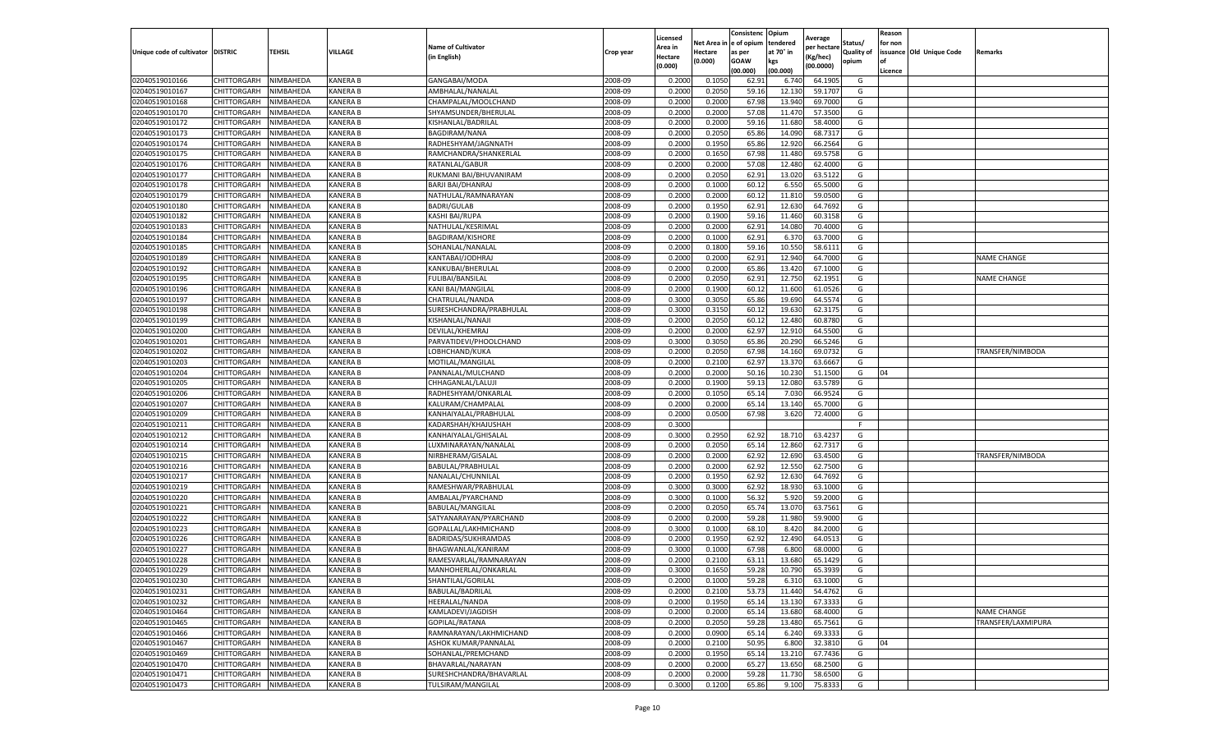|                                  |                            |                        |                             |                           |           | Licensed |         | Consistenc             | Opium     |                        |                   | Reason  |                          |                    |
|----------------------------------|----------------------------|------------------------|-----------------------------|---------------------------|-----------|----------|---------|------------------------|-----------|------------------------|-------------------|---------|--------------------------|--------------------|
|                                  |                            |                        |                             | <b>Name of Cultivator</b> |           | Area in  |         | Net Area in e of opium | tendered  | Average<br>per hectare | Status/           | for non |                          |                    |
| Unique code of cultivator        | <b>DISTRIC</b>             | TEHSIL                 | VILLAGE                     | in English)               | Crop year | Hectare  | Hectare | as per                 | at 70° in | (Kg/hec                | <b>Quality of</b> |         | issuance Old Unique Code | <b>Remarks</b>     |
|                                  |                            |                        |                             |                           |           | (0.000)  | (0.000) | <b>GOAW</b>            | kgs       | (00.0000)              | opium             |         |                          |                    |
|                                  |                            |                        |                             |                           |           |          |         | (00.000)               | (00.000)  |                        |                   | Licence |                          |                    |
| 02040519010166                   | CHITTORGARH                | NIMBAHEDA              | <b>KANERA B</b>             | GANGABAI/MODA             | 2008-09   | 0.2000   | 0.1050  | 62.91                  | 6.74      | 64.1905                | G                 |         |                          |                    |
| 02040519010167                   | CHITTORGARH                | NIMBAHEDA              | <b>KANERA B</b>             | AMBHALAL/NANALAL          | 2008-09   | 0.2000   | 0.2050  | 59.16                  | 12.13     | 59.1707                | G                 |         |                          |                    |
| 02040519010168                   | CHITTORGARH                | NIMBAHEDA              | <b>KANERA B</b>             | CHAMPALAL/MOOLCHAND       | 2008-09   | 0.2000   | 0.2000  | 67.98                  | 13.94     | 69.7000                | G                 |         |                          |                    |
| 02040519010170                   | CHITTORGARH                | NIMBAHEDA              | KANERA B                    | SHYAMSUNDER/BHERULAL      | 2008-09   | 0.2000   | 0.2000  | 57.08                  | 11.470    | 57.3500                | G                 |         |                          |                    |
| 02040519010172                   | <b>CHITTORGARH</b>         | NIMBAHEDA              | KANERA B                    | KISHANLAL/BADRILAL        | 2008-09   | 0.2000   | 0.2000  | 59.16                  | 11.68     | 58.4000                | G                 |         |                          |                    |
| 02040519010173                   | CHITTORGARH                | NIMBAHEDA              | KANERA B                    | BAGDIRAM/NANA             | 2008-09   | 0.2000   | 0.2050  | 65.86                  | 14.09     | 68.7317                | G                 |         |                          |                    |
| 02040519010174                   | CHITTORGARH                | NIMBAHEDA              | <b>KANERA B</b>             | RADHESHYAM/JAGNNATH       | 2008-09   | 0.2000   | 0.1950  | 65.86                  | 12.920    | 66.2564                | G                 |         |                          |                    |
| 02040519010175                   | CHITTORGARH                | NIMBAHEDA              | <b>KANERA B</b>             | RAMCHANDRA/SHANKERLAL     | 2008-09   | 0.2000   | 0.1650  | 67.98                  | 11.480    | 69.5758                | G                 |         |                          |                    |
| 02040519010176                   | CHITTORGARH                | NIMBAHEDA              | <b>KANERA B</b>             | RATANLAL/GABUR            | 2008-09   | 0.2000   | 0.2000  | 57.08                  | 12.480    | 62.4000                | G                 |         |                          |                    |
| 02040519010177                   | CHITTORGARH                | NIMBAHEDA              | KANERA B                    | RUKMANI BAI/BHUVANIRAM    | 2008-09   | 0.2000   | 0.2050  | 62.91                  | 13.020    | 63.5122                | G                 |         |                          |                    |
| 02040519010178                   | CHITTORGARH                | NIMBAHEDA              | <b>KANERA B</b>             | BARJI BAI/DHANRAJ         | 2008-09   | 0.2000   | 0.1000  | 60.12                  | 6.550     | 65.5000                | G                 |         |                          |                    |
| 02040519010179                   | CHITTORGARH                | NIMBAHEDA              | KANERA B                    | NATHULAL/RAMNARAYAN       | 2008-09   | 0.2000   | 0.2000  | 60.12                  | 11.81     | 59.0500                | G                 |         |                          |                    |
| 02040519010180                   | CHITTORGARH                | NIMBAHEDA              | KANERA B                    | <b>BADRI/GULAB</b>        | 2008-09   | 0.2000   | 0.1950  | 62.91                  | 12.63     | 64.7692                | G                 |         |                          |                    |
| 02040519010182                   | CHITTORGARH                | NIMBAHEDA              | <b>KANERA B</b>             | KASHI BAI/RUPA            | 2008-09   | 0.2000   | 0.1900  | 59.16                  | 11.460    | 60.3158                | G                 |         |                          |                    |
| 02040519010183                   | CHITTORGARH                | NIMBAHEDA              | KANERA B                    | NATHULAL/KESRIMAL         | 2008-09   | 0.2000   | 0.2000  | 62.91                  | 14.08     | 70.4000                | G                 |         |                          |                    |
| 02040519010184                   | CHITTORGARH                | NIMBAHEDA              | <b>KANERA B</b>             | <b>BAGDIRAM/KISHORE</b>   | 2008-09   | 0.2000   | 0.1000  | 62.91                  | 6.37      | 63.7000                | G                 |         |                          |                    |
| 02040519010185                   | CHITTORGARH                | NIMBAHEDA              | KANERA B                    | SOHANLAL/NANALAL          | 2008-09   | 0.2000   | 0.1800  | 59.16                  | 10.55     | 58.6111                | G                 |         |                          |                    |
| 02040519010189                   | CHITTORGARH                | NIMBAHEDA              | <b>KANERA B</b>             | KANTABAI/JODHRAJ          | 2008-09   | 0.2000   | 0.2000  | 62.91                  | 12.94     | 64.7000                | G                 |         |                          | <b>NAME CHANGE</b> |
| 02040519010192                   | CHITTORGARH                | NIMBAHEDA              | KANERA B                    | KANKUBAI/BHERULAI         | 2008-09   | 0.2000   | 0.2000  | 65.86                  | 13.42     | 67.1000                | G                 |         |                          |                    |
| 02040519010195                   | CHITTORGARH                | NIMBAHEDA              | KANERA B                    | <b>FULIBAI/BANSILAL</b>   | 2008-09   | 0.2000   | 0.2050  | 62.91                  | 12.750    | 62.1951                | G                 |         |                          | <b>NAME CHANGE</b> |
| 02040519010196                   | CHITTORGARH                | NIMBAHEDA              | <b>KANERA B</b>             | KANI BAI/MANGILAL         | 2008-09   | 0.2000   | 0.1900  | 60.12                  | 11.600    | 61.0526                | G                 |         |                          |                    |
| 02040519010197                   | CHITTORGARH                | NIMBAHEDA              | KANERA B                    | CHATRULAL/NANDA           | 2008-09   | 0.3000   | 0.3050  | 65.86                  | 19.69     | 64.5574                | G                 |         |                          |                    |
| 02040519010198                   | CHITTORGARH                | NIMBAHEDA              | <b>KANERA B</b>             | SURESHCHANDRA/PRABHULAL   | 2008-09   | 0.3000   | 0.3150  | 60.12                  | 19.630    | 62.3175                | G                 |         |                          |                    |
| 02040519010199                   | CHITTORGARH                | NIMBAHEDA              | <b>KANERA B</b>             | KISHANLAL/NANAJI          | 2008-09   | 0.2000   | 0.2050  | 60.12                  | 12.480    | 60.8780                | G                 |         |                          |                    |
| 02040519010200                   | CHITTORGARH                | NIMBAHEDA              | KANERA B                    | DEVILAL/KHEMRAJ           | 2008-09   | 0.2000   | 0.2000  | 62.97                  | 12.91     | 64.5500                | G                 |         |                          |                    |
| 02040519010201                   | CHITTORGARH                | NIMBAHEDA              | <b>KANERA B</b>             | PARVATIDEVI/PHOOLCHAND    | 2008-09   | 0.3000   | 0.3050  | 65.86                  | 20.290    | 66.5246                | G                 |         |                          |                    |
| 02040519010202                   | CHITTORGARH                | NIMBAHEDA              | <b>KANERA B</b>             | LOBHCHAND/KUKA            | 2008-09   | 0.2000   | 0.2050  | 67.98                  | 14.16     | 69.0732                | G                 |         |                          | TRANSFER/NIMBODA   |
| 02040519010203                   | CHITTORGARH                | NIMBAHEDA              | <b>KANERA B</b>             | MOTILAL/MANGILAL          | 2008-09   | 0.2000   | 0.2100  | 62.97                  | 13.37     | 63.6667                | G                 |         |                          |                    |
| 02040519010204                   | CHITTORGARH                | NIMBAHEDA              | <b>KANERA B</b>             | PANNALAL/MULCHAND         | 2008-09   | 0.2000   | 0.2000  | 50.16                  | 10.230    | 51.1500                | G                 | 04      |                          |                    |
| 02040519010205                   | CHITTORGARH                | NIMBAHEDA              | <b>KANERA B</b>             | CHHAGANLAL/LALUJI         | 2008-09   | 0.2000   | 0.1900  | 59.13                  | 12.08     | 63.5789                | G                 |         |                          |                    |
| 02040519010206                   | CHITTORGARH                | NIMBAHEDA              | KANERA B                    | RADHESHYAM/ONKARLAI       | 2008-09   | 0.2000   | 0.1050  | 65.14                  | 7.03      | 66.9524                | G                 |         |                          |                    |
| 02040519010207                   | CHITTORGARH                | NIMBAHEDA              | KANERA B                    | KALURAM/CHAMPALAL         | 2008-09   | 0.2000   | 0.2000  | 65.14                  | 13.14     | 65.7000                | G                 |         |                          |                    |
| 02040519010209                   |                            | NIMBAHEDA              | <b>KANERA B</b>             |                           | 2008-09   | 0.2000   | 0.0500  | 67.98                  | 3.620     | 72.4000                |                   |         |                          |                    |
|                                  | CHITTORGARH                |                        |                             | KANHAIYALAL/PRABHULAI     | 2008-09   | 0.3000   |         |                        |           |                        | G<br>F.           |         |                          |                    |
| 02040519010211<br>02040519010212 | CHITTORGARH<br>CHITTORGARH | NIMBAHEDA<br>NIMBAHEDA | KANERA B<br><b>KANERA B</b> | KADARSHAH/KHAJUSHAH       | 2008-09   | 0.3000   | 0.2950  | 62.92                  | 18.71     | 63.4237                | G                 |         |                          |                    |
|                                  |                            |                        |                             | KANHAIYALAL/GHISALAL      |           |          |         |                        |           |                        |                   |         |                          |                    |
| 02040519010214                   | CHITTORGARH                | NIMBAHEDA              | KANERA B                    | LUXMINARAYAN/NANALAL      | 2008-09   | 0.2000   | 0.2050  | 65.14                  | 12.86     | 62.7317                | G                 |         |                          |                    |
| 02040519010215                   | CHITTORGARH                | NIMBAHEDA              | <b>KANERA B</b>             | NIRBHERAM/GISALAL         | 2008-09   | 0.2000   | 0.2000  | 62.92                  | 12.69     | 63.4500                | G                 |         |                          | TRANSFER/NIMBODA   |
| 02040519010216                   | CHITTORGARH                | NIMBAHEDA              | KANERA B                    | BABULAL/PRABHULAL         | 2008-09   | 0.2000   | 0.2000  | 62.92                  | 12.55     | 62.7500                | G                 |         |                          |                    |
| 02040519010217                   | CHITTORGARH                | NIMBAHEDA              | <b>KANERA B</b>             | NANALAL/CHUNNILAL         | 2008-09   | 0.2000   | 0.1950  | 62.92                  | 12.63     | 64.7692                | G                 |         |                          |                    |
| 02040519010219                   | CHITTORGARH                | NIMBAHEDA              | <b>KANERA B</b>             | RAMESHWAR/PRABHULAL       | 2008-09   | 0.3000   | 0.3000  | 62.92                  | 18.93     | 63.1000                | G                 |         |                          |                    |
| 02040519010220                   | CHITTORGARH                | NIMBAHEDA              | KANERA B                    | AMBALAL/PYARCHAND         | 2008-09   | 0.3000   | 0.1000  | 56.32                  | 5.92      | 59.2000                | G                 |         |                          |                    |
| 02040519010221                   | CHITTORGARH                | NIMBAHEDA              | <b>KANERA B</b>             | BABULAL/MANGILAL          | 2008-09   | 0.2000   | 0.2050  | 65.74                  | 13.07     | 63.7561                | G                 |         |                          |                    |
| 02040519010222                   | CHITTORGARH                | NIMBAHEDA              | <b>KANERA B</b>             | SATYANARAYAN/PYARCHAND    | 2008-09   | 0.2000   | 0.2000  | 59.28                  | 11.98     | 59.9000                | G                 |         |                          |                    |
| 02040519010223                   | CHITTORGARH                | NIMBAHEDA              | KANERA B                    | GOPALLAL/LAKHMICHAND      | 2008-09   | 0.3000   | 0.1000  | 68.10                  | 8.42      | 84.2000                | G                 |         |                          |                    |
| 02040519010226                   | CHITTORGARH                | NIMBAHEDA              | <b>KANERA B</b>             | BADRIDAS/SUKHRAMDAS       | 2008-09   | 0.2000   | 0.1950  | 62.92                  | 12.490    | 64.0513                | G                 |         |                          |                    |
| 02040519010227                   | CHITTORGARH                | NIMBAHEDA              | <b>KANERA B</b>             | BHAGWANLAL/KANIRAM        | 2008-09   | 0.3000   | 0.1000  | 67.98                  | 6.80      | 68.0000                | G                 |         |                          |                    |
| 02040519010228                   | CHITTORGARH                | NIMBAHEDA              | <b>KANERA B</b>             | RAMESVARLAL/RAMNARAYAN    | 2008-09   | 0.2000   | 0.2100  | 63.11                  | 13.68     | 65.1429                | G                 |         |                          |                    |
| 02040519010229                   | CHITTORGARH                | NIMBAHEDA              | <b>KANERA B</b>             | MANHOHERLAL/ONKARLAL      | 2008-09   | 0.3000   | 0.1650  | 59.28                  | 10.790    | 65.3939                | G                 |         |                          |                    |
| 02040519010230                   | CHITTORGARH                | NIMBAHEDA              | <b>KANERA B</b>             | SHANTILAL/GORILAL         | 2008-09   | 0.2000   | 0.1000  | 59.28                  | 6.310     | 63.1000                | G                 |         |                          |                    |
| 02040519010231                   | CHITTORGARH                | NIMBAHEDA              | KANERA B                    | BABULAL/BADRILAL          | 2008-09   | 0.2000   | 0.2100  | 53.73                  | 11.440    | 54.4762                | G                 |         |                          |                    |
| 02040519010232                   | CHITTORGARH                | NIMBAHEDA              | <b>KANERA B</b>             | HEERALAL/NANDA            | 2008-09   | 0.2000   | 0.1950  | 65.14                  | 13.130    | 67.3333                | G                 |         |                          |                    |
| 02040519010464                   | CHITTORGARH                | NIMBAHEDA              | <b>KANERA B</b>             | KAMLADEVI/JAGDISH         | 2008-09   | 0.2000   | 0.2000  | 65.14                  | 13.680    | 68.4000                | G                 |         |                          | <b>NAME CHANGE</b> |
| 02040519010465                   | CHITTORGARH                | NIMBAHEDA              | KANERA B                    | GOPILAL/RATANA            | 2008-09   | 0.2000   | 0.2050  | 59.28                  | 13.480    | 65.7561                | G                 |         |                          | TRANSFER/LAXMIPURA |
| 02040519010466                   | <b>CHITTORGARH</b>         | NIMBAHEDA              | <b>KANERA B</b>             | RAMNARAYAN/LAKHMICHAND    | 2008-09   | 0.2000   | 0.0900  | 65.14                  | 6.240     | 69.3333                | G                 |         |                          |                    |
| 02040519010467                   | CHITTORGARH                | NIMBAHEDA              | KANERA B                    | ASHOK KUMAR/PANNALAL      | 2008-09   | 0.2000   | 0.2100  | 50.95                  | 6.800     | 32.3810                | G                 | 04      |                          |                    |
| 02040519010469                   | CHITTORGARH                | NIMBAHEDA              | KANERA B                    | SOHANLAL/PREMCHAND        | 2008-09   | 0.2000   | 0.1950  | 65.14                  | 13.210    | 67.7436                | G                 |         |                          |                    |
| 02040519010470                   | CHITTORGARH                | NIMBAHEDA              | <b>KANERA B</b>             | BHAVARLAL/NARAYAN         | 2008-09   | 0.2000   | 0.2000  | 65.27                  | 13.650    | 68.2500                | G                 |         |                          |                    |
| 02040519010471                   | CHITTORGARH                | NIMBAHEDA              | KANERA B                    | SURESHCHANDRA/BHAVARLAL   | 2008-09   | 0.2000   | 0.2000  | 59.28                  | 11.730    | 58.6500                | G                 |         |                          |                    |
| 02040519010473                   | <b>CHITTORGARH</b>         | NIMBAHEDA              | <b>KANERA B</b>             | TULSIRAM/MANGILAL         | 2008-09   | 0.3000   | 0.1200  | 65.86                  | 9.100     | 75.8333                | G                 |         |                          |                    |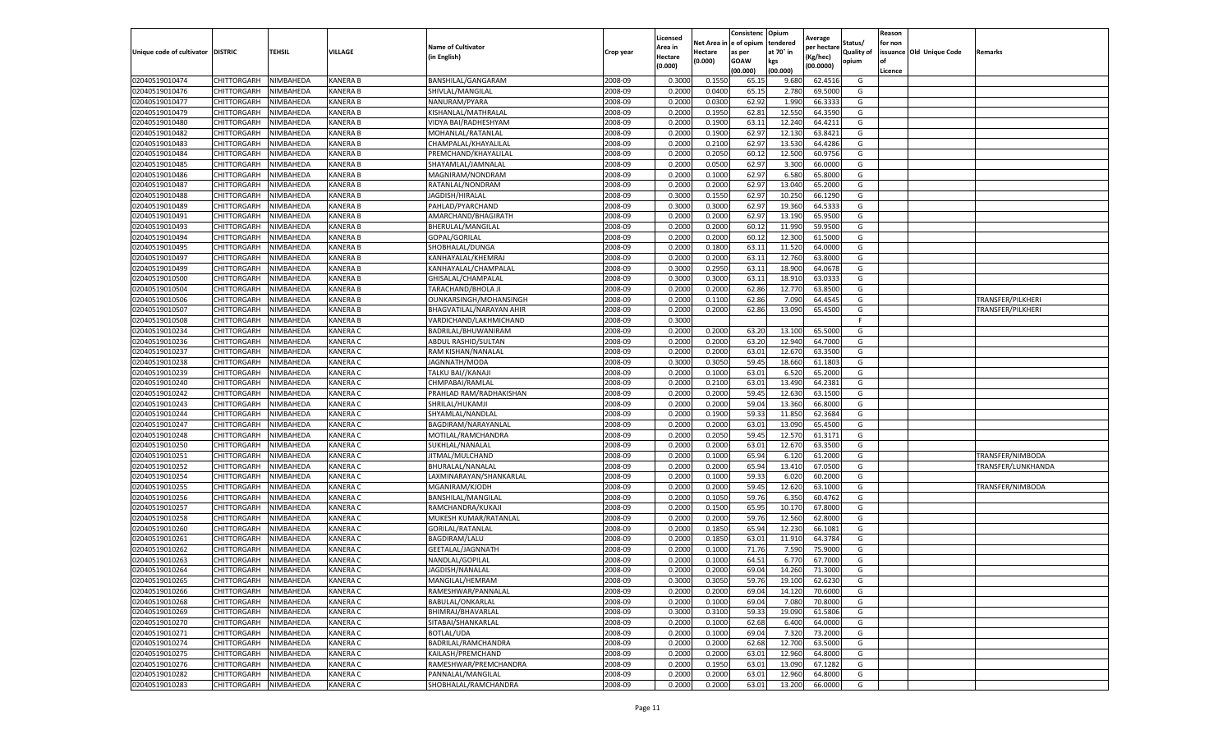|                                  |                            |                        |                             |                                       |                    | Licensed         |                  | Consistenc             | Opium            |                        |                   | Reason  |                          |                    |
|----------------------------------|----------------------------|------------------------|-----------------------------|---------------------------------------|--------------------|------------------|------------------|------------------------|------------------|------------------------|-------------------|---------|--------------------------|--------------------|
|                                  |                            |                        |                             | <b>Name of Cultivator</b>             |                    | Area in          |                  | Net Area in e of opium | tendered         | Average<br>per hectare | Status/           | for non |                          |                    |
| Unique code of cultivator        | <b>DISTRIC</b>             | TEHSIL                 | VILLAGE                     | in English)                           | Crop year          | Hectare          | Hectare          | as per                 | at 70° in        | (Kg/hec                | <b>Quality of</b> |         | issuance Old Unique Code | <b>Remarks</b>     |
|                                  |                            |                        |                             |                                       |                    | (0.000)          | (0.000)          | <b>GOAW</b>            | kgs              | (00.0000)              | opium             |         |                          |                    |
|                                  |                            |                        |                             |                                       |                    |                  |                  | (00.000)               | (00.000)         |                        |                   | Licence |                          |                    |
| 02040519010474                   | CHITTORGARH                | NIMBAHEDA              | <b>KANERA B</b>             | BANSHILAL/GANGARAM                    | 2008-09            | 0.3000           | 0.1550           | 65.1                   | 9.680            | 62.4516                | G                 |         |                          |                    |
| 02040519010476                   | CHITTORGARH                | NIMBAHEDA              | <b>KANERA B</b>             | SHIVLAL/MANGILAL                      | 2008-09            | 0.2000           | 0.0400           | 65.1                   | 2.780            | 69.5000                | G                 |         |                          |                    |
| 02040519010477                   | CHITTORGARH                | NIMBAHEDA              | KANERA B                    | NANURAM/PYARA                         | 2008-09            | 0.2000           | 0.0300           | 62.92                  | 1.990            | 66.3333                | G                 |         |                          |                    |
| 02040519010479                   | CHITTORGARH                | NIMBAHEDA              | KANERA B                    | KISHANLAL/MATHRALAL                   | 2008-09            | 0.2000           | 0.1950           | 62.81                  | 12.550           | 64.3590                | G                 |         |                          |                    |
| 02040519010480                   | CHITTORGARH                | NIMBAHEDA              | KANERA B                    | VIDYA BAI/RADHESHYAM                  | 2008-09            | 0.2000           | 0.1900           | 63.11                  | 12.24            | 64.4211                | G                 |         |                          |                    |
| 02040519010482                   | CHITTORGARH                | NIMBAHEDA              | KANERA B                    | MOHANLAL/RATANLAL                     | 2008-09            | 0.2000           | 0.1900           | 62.97                  | 12.13            | 63.8421                | G                 |         |                          |                    |
| 02040519010483                   | CHITTORGARH                | NIMBAHEDA              | <b>KANERA B</b>             | CHAMPALAL/KHAYALILAL                  | 2008-09            | 0.2000           | 0.2100           | 62.97                  | 13.53            | 64.4286                | G                 |         |                          |                    |
| 02040519010484                   | CHITTORGARH                | NIMBAHEDA              | <b>KANERA B</b>             | PREMCHAND/KHAYALILAL                  | 2008-09            | 0.2000           | 0.2050           | 60.12                  | 12.500           | 60.9756                | G                 |         |                          |                    |
| 02040519010485                   | CHITTORGARH                | NIMBAHEDA              | <b>KANERA B</b>             | SHAYAMLAL/JAMNALAL                    | 2008-09            | 0.2000           | 0.0500           | 62.97                  | 3.300            | 66.0000                | G                 |         |                          |                    |
| 02040519010486                   | CHITTORGARH                | NIMBAHEDA              | KANERA B                    | MAGNIRAM/NONDRAM                      | 2008-09            | 0.2000           | 0.1000           | 62.97                  | 6.580            | 65.8000                | G                 |         |                          |                    |
| 02040519010487                   | CHITTORGARH                | NIMBAHEDA              | <b>KANERA B</b>             | RATANLAL/NONDRAM                      | 2008-09            | 0.2000           | 0.2000           | 62.97                  | 13.04            | 65.2000                | G                 |         |                          |                    |
| 02040519010488                   | CHITTORGARH                | NIMBAHEDA              | KANERA B                    | JAGDISH/HIRALAL                       | 2008-09            | 0.3000           | 0.1550           | 62.97                  | 10.25            | 66.1290                | G                 |         |                          |                    |
| 02040519010489                   | CHITTORGARH                | NIMBAHEDA              | KANERA B                    | PAHLAD/PYARCHAND                      | 2008-09            | 0.3000           | 0.3000           | 62.97                  | 19.36            | 64.5333                | G                 |         |                          |                    |
| 02040519010491                   | CHITTORGARH                | NIMBAHEDA              | <b>KANERA B</b>             | AMARCHAND/BHAGIRATH                   | 2008-09            | 0.2000           | 0.2000           | 62.97                  | 13.19            | 65.9500                | G                 |         |                          |                    |
| 02040519010493                   | CHITTORGARH                | NIMBAHEDA              | KANERA B                    | BHERULAL/MANGILAL                     | 2008-09            | 0.2000           | 0.2000           | 60.12                  | 11.99            | 59.9500                | G                 |         |                          |                    |
| 02040519010494                   | CHITTORGARH                | NIMBAHEDA              | <b>KANERA B</b>             | GOPAL/GORILAL                         | 2008-09            | 0.2000           | 0.2000           | 60.12                  | 12.300           | 61.5000                | G                 |         |                          |                    |
| 02040519010495                   | CHITTORGARH                | NIMBAHEDA              | KANERA B                    | SHOBHALAL/DUNGA                       | 2008-09            | 0.2000           | 0.1800           | 63.11                  | 11.52            | 64.0000                | G                 |         |                          |                    |
| 02040519010497                   | CHITTORGARH                | NIMBAHEDA              | <b>KANERA B</b>             | KANHAYALAL/KHEMRAJ                    | 2008-09            | 0.2000           | 0.2000           | 63.11                  | 12.760           | 63.8000                | G                 |         |                          |                    |
| 02040519010499                   | CHITTORGARH                | NIMBAHEDA              | KANERA B                    | KANHAYALAL/CHAMPALAL                  | 2008-09            | 0.3000           | 0.2950           | 63.11                  | 18.90            | 64.0678                | G                 |         |                          |                    |
| 02040519010500                   | CHITTORGARH                | NIMBAHEDA              | KANERA B                    | GHISALAL/CHAMPALAI                    | 2008-09            | 0.3000           | 0.3000           | 63.1                   | 18.91            | 63.0333                | G                 |         |                          |                    |
| 02040519010504                   | CHITTORGARH                | NIMBAHEDA              | <b>KANERA B</b>             | TARACHAND/BHOLA JI                    | 2008-09            | 0.2000           | 0.2000           | 62.86                  | 12.77            | 63.8500                | G                 |         |                          |                    |
| 02040519010506                   | CHITTORGARH                | NIMBAHEDA              | KANERA B                    | OUNKARSINGH/MOHANSINGH                | 2008-09            | 0.2000           | 0.1100           | 62.86                  | 7.090            | 64.4545                | G                 |         |                          | TRANSFER/PILKHERI  |
| 02040519010507                   | CHITTORGARH                | NIMBAHEDA              | <b>KANERA B</b>             | BHAGVATILAL/NARAYAN AHIR              | 2008-09            | 0.2000           | 0.2000           | 62.86                  | 13.090           | 65.4500                | G                 |         |                          | TRANSFER/PILKHERI  |
| 02040519010508                   | CHITTORGARH                | NIMBAHEDA              | <b>KANERA B</b>             | VARDICHAND/LAKHMICHAND                | 2008-09            | 0.3000           |                  |                        |                  |                        | F                 |         |                          |                    |
| 02040519010234                   | <b>CHITTORGARH</b>         | NIMBAHEDA              | KANERA C                    | BADRILAL/BHUWANIRAM                   | 2008-09            | 0.2000           | 0.2000           | 63.20                  | 13.10            | 65.5000                | G                 |         |                          |                    |
| 02040519010236                   | CHITTORGARH                | NIMBAHEDA              | KANERA C                    | <b>ABDUL RASHID/SULTAN</b>            | 2008-09            | 0.2000           | 0.2000           | 63.20                  | 12.940           | 64.7000                | G                 |         |                          |                    |
| 02040519010237                   | CHITTORGARH                | NIMBAHEDA              | KANERA C                    | RAM KISHAN/NANALAL                    | 2008-09            | 0.2000           | 0.2000           | 63.01                  | 12.67            | 63.3500                | G                 |         |                          |                    |
| 02040519010238                   | CHITTORGARH                | NIMBAHEDA              | <b>KANERA C</b>             | JAGNNATH/MODA                         | 2008-09            | 0.3000           | 0.3050           | 59.45                  | 18.660           | 61.1803                | G                 |         |                          |                    |
| 02040519010239                   | CHITTORGARH                | NIMBAHEDA              | KANERA C                    | TALKU BAI//KANAJI                     | 2008-09            | 0.2000           | 0.1000           | 63.01                  | 6.520            | 65.2000                | G                 |         |                          |                    |
| 02040519010240                   | CHITTORGARH                | NIMBAHEDA              | KANERA C                    | CHMPABAI/RAMLAL                       | 2008-09            | 0.2000           | 0.2100           | 63.01                  | 13.490           | 64.2381                | G                 |         |                          |                    |
| 02040519010242                   | CHITTORGARH                | NIMBAHEDA              | KANERA C                    | PRAHLAD RAM/RADHAKISHAN               | 2008-09            | 0.2000           | 0.2000           | 59.4                   | 12.63            | 63.1500                | G                 |         |                          |                    |
| 02040519010243                   | CHITTORGARH                | NIMBAHEDA              | KANERA C                    | SHRILAL/HUKAMJI                       | 2008-09            | 0.2000           | 0.2000           | 59.04                  | 13.360           | 66.8000                | G                 |         |                          |                    |
| 02040519010244                   | CHITTORGARH                | NIMBAHEDA              | KANERA C                    | SHYAMLAL/NANDLAL                      | 2008-09            | 0.2000           | 0.1900           | 59.33                  | 11.85            | 62.3684                | G                 |         |                          |                    |
| 02040519010247                   | CHITTORGARH                | NIMBAHEDA              | <b>KANERA C</b>             | BAGDIRAM/NARAYANLAL                   | 2008-09            | 0.2000           | 0.2000           | 63.01                  | 13.09            | 65.4500                | G                 |         |                          |                    |
| 02040519010248                   | CHITTORGARH                | NIMBAHEDA              | KANERA C                    | MOTILAL/RAMCHANDRA                    | 2008-09            | 0.2000           | 0.2050           | 59.45                  | 12.57            | 61.3171                | G                 |         |                          |                    |
| 02040519010250                   | CHITTORGARH                | NIMBAHEDA              | KANERA C                    | SUKHLAL/NANALAL                       | 2008-09            | 0.2000           | 0.2000           | 63.01                  | 12.67            | 63.3500                | G                 |         |                          |                    |
| 02040519010251                   | CHITTORGARH                | NIMBAHEDA              | <b>KANERA C</b>             | JITMAL/MULCHAND                       | 2008-09            | 0.2000           | 0.1000           | 65.94                  | 6.12             | 61.2000                | G                 |         |                          | TRANSFER/NIMBODA   |
| 02040519010252                   | CHITTORGARH                | NIMBAHEDA              | KANERA C                    | BHURALAL/NANALAL                      | 2008-09            | 0.2000           | 0.2000           | 65.94                  | 13.41            | 67.0500                | G                 |         |                          | TRANSFER/LUNKHANDA |
| 02040519010254                   | CHITTORGARH                | NIMBAHEDA              | KANERA C                    | LAXMINARAYAN/SHANKARLAL               | 2008-09            | 0.2000           | 0.1000           | 59.33                  | 6.02(            | 60.2000                | G                 |         |                          |                    |
| 02040519010255                   | CHITTORGARH                | NIMBAHEDA              | KANERA C                    | MGANIRAM/KJODH                        | 2008-09            | 0.2000           | 0.2000           | 59.45                  | 12.620           | 63.1000                | G                 |         |                          | TRANSFER/NIMBODA   |
| 02040519010256                   | CHITTORGARH                | NIMBAHEDA              | KANERA C                    | BANSHILAL/MANGILAL                    | 2008-09            | 0.2000           | 0.1050           | 59.76                  | 6.35             | 60.4762                | G                 |         |                          |                    |
| 02040519010257                   | CHITTORGARH                | NIMBAHEDA              | KANERA C                    | RAMCHANDRA/KUKAJI                     | 2008-09            | 0.2000           | 0.1500           | 65.95                  | 10.17            | 67.8000                | G                 |         |                          |                    |
| 02040519010258                   | CHITTORGARH                | NIMBAHEDA              | <b>KANERA C</b>             | MUKESH KUMAR/RATANLAL                 | 2008-09            | 0.2000           | 0.2000           | 59.76                  | 12.56            | 62.8000                | G                 |         |                          |                    |
| 02040519010260                   | CHITTORGARH                | NIMBAHEDA              | KANERA C                    | GORILAL/RATANLAL                      | 2008-09            | 0.2000           | 0.1850           | 65.94                  | 12.23            | 66.1081                | G                 |         |                          |                    |
| 02040519010261                   | CHITTORGARH                | NIMBAHEDA              | KANERA C                    | <b>BAGDIRAM/LALU</b>                  | 2008-09            | 0.2000           | 0.1850           | 63.01                  | 11.910           | 64.3784                | G                 |         |                          |                    |
| 02040519010262                   | CHITTORGARH                | NIMBAHEDA              | <b>KANERA C</b>             | GEETALAL/JAGNNATH                     | 2008-09            | 0.2000           | 0.1000           | 71.76                  | 7.590            | 75.9000                | G                 |         |                          |                    |
| 02040519010263                   | CHITTORGARH                | NIMBAHEDA              | <b>KANERA C</b>             | NANDLAL/GOPILAL                       | 2008-09            | 0.2000           | 0.1000           | 64.51                  | 6.77             | 67.7000                | G                 |         |                          |                    |
| 02040519010264                   | CHITTORGARH                | NIMBAHEDA              | <b>KANERA C</b>             | JAGDISH/NANALAL                       | 2008-09            | 0.2000           | 0.2000           | 69.04                  | 14.260           | 71.3000                | G                 |         |                          |                    |
|                                  |                            |                        |                             |                                       |                    |                  |                  |                        |                  |                        |                   |         |                          |                    |
| 02040519010265<br>02040519010266 | CHITTORGARH<br>CHITTORGARH | NIMBAHEDA<br>NIMBAHEDA | <b>KANERA C</b><br>KANERA C | MANGILAL/HEMRAM<br>RAMESHWAR/PANNALAL | 2008-09<br>2008-09 | 0.3000<br>0.2000 | 0.3050<br>0.2000 | 59.76<br>69.04         | 19.100<br>14.120 | 62.6230<br>70.6000     | G<br>G            |         |                          |                    |
|                                  |                            |                        |                             |                                       |                    |                  |                  |                        |                  |                        |                   |         |                          |                    |
| 02040519010268                   | <b>CHITTORGARH</b>         | NIMBAHEDA              | KANERA C                    | BABULAL/ONKARLAL                      | 2008-09            | 0.2000           | 0.1000           | 69.04                  | 7.080            | 70.8000                | G                 |         |                          |                    |
| 02040519010269<br>02040519010270 | CHITTORGARH                | NIMBAHEDA              | KANERA C                    | BHIMRAJ/BHAVARLAL                     | 2008-09            | 0.3000           | 0.3100           | 59.33                  | 19.090           | 61.5806                | G                 |         |                          |                    |
|                                  | <b>CHITTORGARH</b>         | NIMBAHEDA              | KANERA C                    | SITABAI/SHANKARLAL                    | 2008-09            | 0.2000           | 0.1000           | 62.68                  | 6.400            | 64.0000                | G                 |         |                          |                    |
| 02040519010271                   | <b>CHITTORGARH</b>         | NIMBAHEDA              | <b>KANERA C</b>             | BOTLAL/UDA                            | 2008-09            | 0.2000           | 0.1000           | 69.04                  | 7.320            | 73.2000                | G                 |         |                          |                    |
| 02040519010274                   | CHITTORGARH                | NIMBAHEDA              | KANERA C                    | BADRILAL/RAMCHANDRA                   | 2008-09            | 0.2000           | 0.2000           | 62.68                  | 12.700           | 63.5000                | G                 |         |                          |                    |
| 02040519010275                   | <b>CHITTORGARH</b>         | NIMBAHEDA              | KANERA C                    | KAILASH/PREMCHAND                     | 2008-09            | 0.2000           | 0.2000           | 63.01                  | 12.960           | 64.8000                | G                 |         |                          |                    |
| 02040519010276                   | CHITTORGARH                | NIMBAHEDA              | KANERA C                    | RAMESHWAR/PREMCHANDRA                 | 2008-09            | 0.2000           | 0.1950           | 63.01                  | 13.090           | 67.1282                | G                 |         |                          |                    |
| 02040519010282                   | CHITTORGARH                | NIMBAHEDA              | KANERA C                    | PANNALAL/MANGILAL                     | 2008-09            | 0.2000           | 0.2000           | 63.01                  | 12.960           | 64.8000                | G                 |         |                          |                    |
| 02040519010283                   | <b>CHITTORGARH</b>         | NIMBAHEDA              | <b>KANERA C</b>             | SHOBHALAL/RAMCHANDRA                  | 2008-09            | 0.2000           | 0.2000           | 63.01                  | 13.200           | 66.0000                | G                 |         |                          |                    |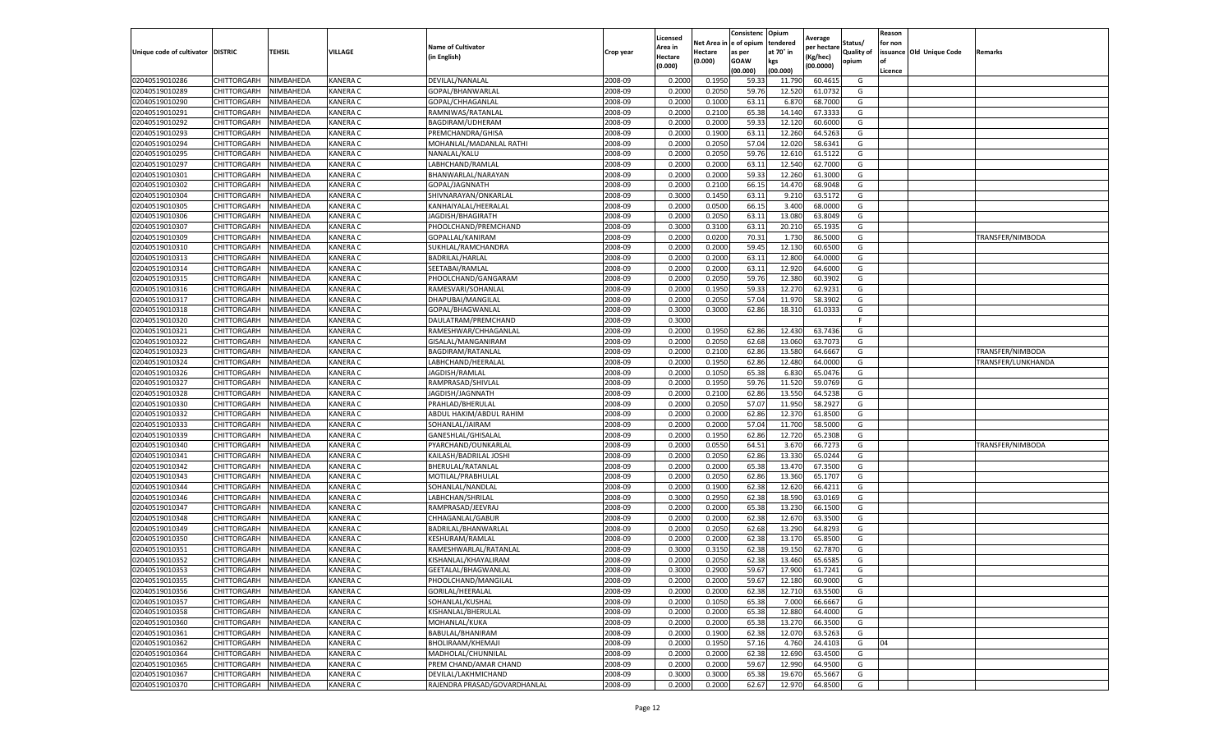|                           |                    |           |                 |                              |           | Licensed |         | Consistenc             | Opium     |                        |                   | Reason  |                          |                    |
|---------------------------|--------------------|-----------|-----------------|------------------------------|-----------|----------|---------|------------------------|-----------|------------------------|-------------------|---------|--------------------------|--------------------|
|                           |                    |           |                 | <b>Name of Cultivator</b>    |           | Area in  |         | Net Area in e of opium | tendered  | Average<br>per hectare | Status/           | for non |                          |                    |
| Unique code of cultivator | <b>DISTRIC</b>     | TEHSIL    | VILLAGE         | in English)                  | Crop year | Hectare  | Hectare | as per                 | at 70° in | (Kg/hec                | <b>Quality of</b> |         | issuance Old Unique Code | <b>Remarks</b>     |
|                           |                    |           |                 |                              |           | (0.000)  | (0.000) | <b>GOAW</b>            | kgs       | (00.0000)              | opium             |         |                          |                    |
|                           |                    |           |                 |                              |           |          |         | (00.000)               | (00.000)  |                        |                   | Licence |                          |                    |
| 02040519010286            | CHITTORGARH        | NIMBAHEDA | <b>KANERA C</b> | DEVILAL/NANALAL              | 2008-09   | 0.2000   | 0.1950  | 59.33                  | 11.790    | 60.4615                | G                 |         |                          |                    |
| 02040519010289            | CHITTORGARH        | NIMBAHEDA | <b>KANERA C</b> | GOPAL/BHANWARLAL             | 2008-09   | 0.2000   | 0.2050  | 59.76                  | 12.52     | 61.0732                | G                 |         |                          |                    |
| 02040519010290            | CHITTORGARH        | NIMBAHEDA | <b>KANERA C</b> | GOPAL/CHHAGANLAL             | 2008-09   | 0.2000   | 0.1000  | 63.1                   | 6.87      | 68.7000                | G                 |         |                          |                    |
| 02040519010291            | CHITTORGARH        | NIMBAHEDA | KANERA C        | RAMNIWAS/RATANLAL            | 2008-09   | 0.2000   | 0.2100  | 65.38                  | 14.140    | 67.3333                | G                 |         |                          |                    |
| 02040519010292            | CHITTORGARH        | NIMBAHEDA | KANERA C        | BAGDIRAM/UDHERAM             | 2008-09   | 0.2000   | 0.2000  | 59.33                  | 12.12     | 60.6000                | G                 |         |                          |                    |
| 02040519010293            | CHITTORGARH        | NIMBAHEDA | KANERA C        | PREMCHANDRA/GHISA            | 2008-09   | 0.2000   | 0.1900  | 63.1                   | 12.260    | 64.5263                | G                 |         |                          |                    |
| 02040519010294            | CHITTORGARH        | NIMBAHEDA | KANERA C        | MOHANLAL/MADANLAL RATHI      | 2008-09   | 0.2000   | 0.2050  | 57.04                  | 12.020    | 58.6341                | G                 |         |                          |                    |
| 02040519010295            | CHITTORGARH        | NIMBAHEDA | KANERA C        | NANALAL/KALU                 | 2008-09   | 0.2000   | 0.2050  | 59.76                  | 12.61     | 61.5122                | G                 |         |                          |                    |
| 02040519010297            | CHITTORGARH        | NIMBAHEDA | <b>KANERA C</b> | LABHCHAND/RAMLAL             | 2008-09   | 0.2000   | 0.2000  | 63.11                  | 12.54     | 62.7000                | G                 |         |                          |                    |
| 02040519010301            | CHITTORGARH        | NIMBAHEDA | KANERA C        | BHANWARLAL/NARAYAN           | 2008-09   | 0.2000   | 0.2000  | 59.33                  | 12.260    | 61.3000                | G                 |         |                          |                    |
| 02040519010302            | CHITTORGARH        | NIMBAHEDA | KANERA C        | GOPAL/JAGNNATH               | 2008-09   | 0.2000   | 0.2100  | 66.15                  | 14.47     | 68.9048                | G                 |         |                          |                    |
| 02040519010304            | CHITTORGARH        | NIMBAHEDA | KANERA C        | SHIVNARAYAN/ONKARLAL         | 2008-09   | 0.3000   | 0.1450  | 63.11                  | 9.21      | 63.5172                | G                 |         |                          |                    |
| 02040519010305            | CHITTORGARH        | NIMBAHEDA | KANERA C        | KANHAIYALAL/HEERALAL         | 2008-09   | 0.2000   | 0.0500  | 66.15                  | 3.400     | 68.0000                | G                 |         |                          |                    |
| 02040519010306            | CHITTORGARH        | NIMBAHEDA | KANERA C        | JAGDISH/BHAGIRATH            | 2008-09   | 0.2000   | 0.2050  | 63.11                  | 13.08     | 63.8049                | G                 |         |                          |                    |
| 02040519010307            | CHITTORGARH        | NIMBAHEDA | <b>KANERA C</b> | PHOOLCHAND/PREMCHAND         | 2008-09   | 0.3000   | 0.3100  | 63.11                  | 20.21     | 65.1935                | G                 |         |                          |                    |
| 02040519010309            | CHITTORGARH        | NIMBAHEDA | <b>KANERA C</b> | GOPALLAL/KANIRAM             | 2008-09   | 0.2000   | 0.0200  | 70.31                  | 1.73      | 86.5000                | G                 |         |                          | TRANSFER/NIMBODA   |
| 02040519010310            | CHITTORGARH        | NIMBAHEDA | KANERA C        | SUKHLAL/RAMCHANDRA           | 2008-09   | 0.2000   | 0.2000  | 59.45                  | 12.13     | 60.6500                | G                 |         |                          |                    |
| 02040519010313            | CHITTORGARH        | NIMBAHEDA | <b>KANERA C</b> | BADRILAL/HARLAL              | 2008-09   | 0.2000   | 0.2000  | 63.11                  | 12.80     | 64.0000                | G                 |         |                          |                    |
| 02040519010314            | CHITTORGARH        | NIMBAHEDA | KANERA C        | SEETABAI/RAMLAL              | 2008-09   | 0.2000   | 0.2000  | 63.11                  | 12.92     | 64.6000                | G                 |         |                          |                    |
| 02040519010315            | CHITTORGARH        | NIMBAHEDA | KANERA C        | PHOOLCHAND/GANGARAM          | 2008-09   | 0.2000   | 0.2050  | 59.76                  | 12.380    | 60.3902                | G                 |         |                          |                    |
| 02040519010316            | CHITTORGARH        | NIMBAHEDA | <b>KANERA C</b> | RAMESVARI/SOHANLAL           | 2008-09   | 0.2000   | 0.1950  | 59.33                  | 12.27     | 62.9231                | G                 |         |                          |                    |
| 02040519010317            | CHITTORGARH        | NIMBAHEDA | KANERA C        | DHAPUBAI/MANGILAL            | 2008-09   | 0.2000   | 0.2050  | 57.04                  | 11.97     | 58.3902                | G                 |         |                          |                    |
| 02040519010318            | CHITTORGARH        | NIMBAHEDA | KANERA C        | GOPAL/BHAGWANLAL             | 2008-09   | 0.3000   | 0.3000  | 62.86                  | 18.310    | 61.0333                | G                 |         |                          |                    |
| 02040519010320            | CHITTORGARH        | NIMBAHEDA | KANERA C        | DAULATRAM/PREMCHAND          | 2008-09   | 0.3000   |         |                        |           |                        | F                 |         |                          |                    |
| 02040519010321            | CHITTORGARH        | NIMBAHEDA | KANERA C        | RAMESHWAR/CHHAGANLAL         | 2008-09   | 0.2000   | 0.1950  | 62.86                  | 12.43     | 63.7436                | G                 |         |                          |                    |
| 02040519010322            | CHITTORGARH        | NIMBAHEDA | KANERA C        | GISALAL/MANGANIRAM           | 2008-09   | 0.2000   | 0.2050  | 62.68                  | 13.060    | 63.7073                | G                 |         |                          |                    |
| 02040519010323            | CHITTORGARH        | NIMBAHEDA | KANERA C        | BAGDIRAM/RATANLAL            | 2008-09   | 0.2000   | 0.2100  | 62.86                  | 13.58     | 64.6667                | G                 |         |                          | TRANSFER/NIMBODA   |
| 02040519010324            | CHITTORGARH        | NIMBAHEDA | KANERA C        | LABHCHAND/HEERALAL           | 2008-09   | 0.2000   | 0.1950  | 62.86                  | 12.480    | 64.0000                | G                 |         |                          | TRANSFER/LUNKHANDA |
| 02040519010326            | CHITTORGARH        | NIMBAHEDA | KANERA C        | JAGDISH/RAMLAL               | 2008-09   | 0.2000   | 0.1050  | 65.38                  | 6.830     | 65.0476                | G                 |         |                          |                    |
| 02040519010327            | CHITTORGARH        | NIMBAHEDA | KANERA C        | RAMPRASAD/SHIVLAL            | 2008-09   | 0.2000   | 0.1950  | 59.76                  | 11.52     | 59.0769                | G                 |         |                          |                    |
| 02040519010328            | CHITTORGARH        | NIMBAHEDA | KANERA C        | JAGDISH/JAGNNATH             | 2008-09   | 0.2000   | 0.2100  | 62.86                  | 13.55     | 64.5238                | G                 |         |                          |                    |
| 02040519010330            | CHITTORGARH        | NIMBAHEDA | KANERA C        | PRAHLAD/BHERULAL             | 2008-09   | 0.2000   | 0.2050  | 57.07                  | 11.950    | 58.2927                | G                 |         |                          |                    |
|                           |                    | NIMBAHEDA | KANERA C        |                              | 2008-09   | 0.2000   | 0.2000  | 62.86                  | 12.37     | 61.8500                |                   |         |                          |                    |
| 02040519010332            | CHITTORGARH        |           |                 | ABDUL HAKIM/ABDUL RAHIM      |           |          |         |                        |           |                        | G                 |         |                          |                    |
| 02040519010333            | CHITTORGARH        | NIMBAHEDA | <b>KANERA C</b> | SOHANLAL/JAIRAM              | 2008-09   | 0.2000   | 0.2000  | 57.04                  | 11.70     | 58.5000                | G                 |         |                          |                    |
| 02040519010339            | CHITTORGARH        | NIMBAHEDA | KANERA C        | GANESHLAL/GHISALAL           | 2008-09   | 0.2000   | 0.1950  | 62.86                  | 12.72     | 65.2308                | G                 |         |                          |                    |
| 02040519010340            | CHITTORGARH        | NIMBAHEDA | KANERA C        | PYARCHAND/OUNKARLAL          | 2008-09   | 0.2000   | 0.0550  | 64.51                  | 3.67      | 66.7273                | G                 |         |                          | TRANSFER/NIMBODA   |
| 02040519010341            | CHITTORGARH        | NIMBAHEDA | <b>KANERA C</b> | KAILASH/BADRILAL JOSHI       | 2008-09   | 0.2000   | 0.2050  | 62.86                  | 13.33     | 65.0244                | G                 |         |                          |                    |
| 02040519010342            | CHITTORGARH        | NIMBAHEDA | KANERA C        | BHERULAL/RATANLAI            | 2008-09   | 0.2000   | 0.2000  | 65.38                  | 13.47     | 67.3500                | G                 |         |                          |                    |
| 02040519010343            | CHITTORGARH        | NIMBAHEDA | KANERA C        | MOTILAL/PRABHULAI            | 2008-09   | 0.2000   | 0.2050  | 62.86                  | 13.36     | 65.1707                | G                 |         |                          |                    |
| 02040519010344            | CHITTORGARH        | NIMBAHEDA | KANERA C        | SOHANLAL/NANDLAL             | 2008-09   | 0.2000   | 0.1900  | 62.38                  | 12.620    | 66.4211                | G                 |         |                          |                    |
| 02040519010346            | CHITTORGARH        | NIMBAHEDA | KANERA C        | LABHCHAN/SHRILAL             | 2008-09   | 0.3000   | 0.2950  | 62.38                  | 18.59     | 63.0169                | G                 |         |                          |                    |
| 02040519010347            | CHITTORGARH        | NIMBAHEDA | KANERA C        | RAMPRASAD/JEEVRAJ            | 2008-09   | 0.2000   | 0.2000  | 65.38                  | 13.23     | 66.1500                | G                 |         |                          |                    |
| 02040519010348            | CHITTORGARH        | NIMBAHEDA | <b>KANERA C</b> | CHHAGANLAL/GABUR             | 2008-09   | 0.2000   | 0.2000  | 62.38                  | 12.67     | 63.3500                | G                 |         |                          |                    |
| 02040519010349            | CHITTORGARH        | NIMBAHEDA | KANERA C        | BADRILAL/BHANWARLAL          | 2008-09   | 0.2000   | 0.2050  | 62.68                  | 13.29     | 64.8293                | G                 |         |                          |                    |
| 02040519010350            | CHITTORGARH        | NIMBAHEDA | KANERA C        | KESHURAM/RAMLAL              | 2008-09   | 0.2000   | 0.2000  | 62.38                  | 13.17     | 65.8500                | G                 |         |                          |                    |
| 02040519010351            | CHITTORGARH        | NIMBAHEDA | <b>KANERA C</b> | RAMESHWARLAL/RATANLAL        | 2008-09   | 0.3000   | 0.3150  | 62.38                  | 19.15     | 62.7870                | G                 |         |                          |                    |
| 02040519010352            | CHITTORGARH        | NIMBAHEDA | <b>KANERA C</b> | KISHANLAL/KHAYALIRAM         | 2008-09   | 0.2000   | 0.2050  | 62.38                  | 13.460    | 65.6585                | G                 |         |                          |                    |
| 02040519010353            | CHITTORGARH        | NIMBAHEDA | <b>KANERA C</b> | GEETALAL/BHAGWANLAL          | 2008-09   | 0.3000   | 0.2900  | 59.67                  | 17.900    | 61.7241                | G                 |         |                          |                    |
| 02040519010355            | CHITTORGARH        | NIMBAHEDA | <b>KANERA C</b> | PHOOLCHAND/MANGILAL          | 2008-09   | 0.2000   | 0.2000  | 59.67                  | 12.180    | 60.9000                | G                 |         |                          |                    |
| 02040519010356            | CHITTORGARH        | NIMBAHEDA | KANERA C        | GORILAL/HEERALAL             | 2008-09   | 0.2000   | 0.2000  | 62.38                  | 12.710    | 63.5500                | G                 |         |                          |                    |
| 02040519010357            | <b>CHITTORGARH</b> | NIMBAHEDA | KANERA C        | SOHANLAL/KUSHAL              | 2008-09   | 0.2000   | 0.1050  | 65.38                  | 7.000     | 66.6667                | G                 |         |                          |                    |
| 02040519010358            | CHITTORGARH        | NIMBAHEDA | KANERA C        | KISHANLAL/BHERULAL           | 2008-09   | 0.2000   | 0.2000  | 65.38                  | 12.880    | 64.4000                | G                 |         |                          |                    |
| 02040519010360            | CHITTORGARH        | NIMBAHEDA | KANERA C        | MOHANLAL/KUKA                | 2008-09   | 0.2000   | 0.2000  | 65.38                  | 13.27     | 66.3500                | G                 |         |                          |                    |
| 02040519010361            | <b>CHITTORGARH</b> | NIMBAHEDA | <b>KANERA C</b> | BABULAL/BHANIRAM             | 2008-09   | 0.2000   | 0.1900  | 62.38                  | 12.070    | 63.5263                | G                 |         |                          |                    |
| 02040519010362            | CHITTORGARH        | NIMBAHEDA | KANERA C        | BHOLIRAAM/KHEMAJI            | 2008-09   | 0.2000   | 0.1950  | 57.16                  | 4.760     | 24.4103                | G                 | 04      |                          |                    |
| 02040519010364            | <b>CHITTORGARH</b> | NIMBAHEDA | KANERA C        | MADHOLAL/CHUNNILAL           | 2008-09   | 0.2000   | 0.2000  | 62.38                  | 12.690    | 63.4500                | G                 |         |                          |                    |
| 02040519010365            | CHITTORGARH        | NIMBAHEDA | KANERA C        | PREM CHAND/AMAR CHAND        | 2008-09   | 0.2000   | 0.2000  | 59.67                  | 12.990    | 64.9500                | G                 |         |                          |                    |
| 02040519010367            | CHITTORGARH        | NIMBAHEDA | KANERA C        | DEVILAL/LAKHMICHAND          | 2008-09   | 0.3000   | 0.3000  | 65.38                  | 19.67     | 65.5667                | G                 |         |                          |                    |
| 02040519010370            | <b>CHITTORGARH</b> | NIMBAHEDA | <b>KANERA C</b> | RAJENDRA PRASAD/GOVARDHANLAL | 2008-09   | 0.2000   | 0.2000  | 62.67                  | 12.970    | 64.8500                | G                 |         |                          |                    |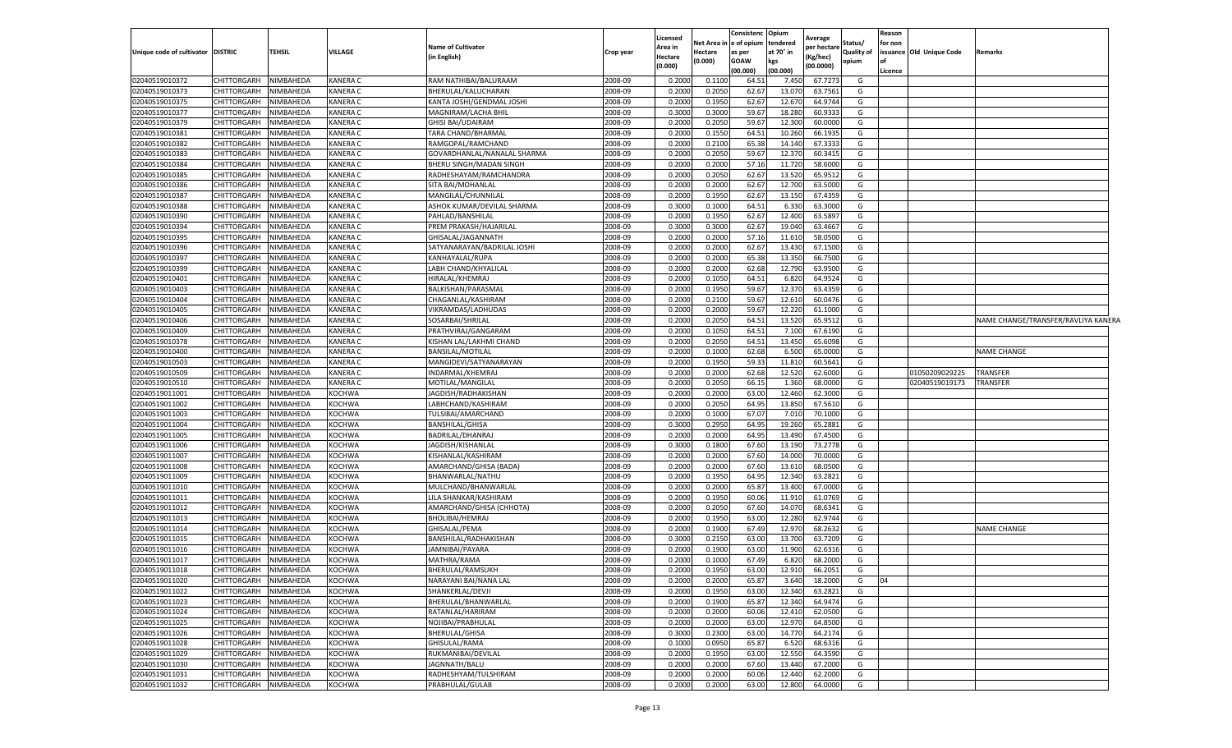|                                   |                    |                  |                 |                             |           | Licensed |         | Consistenc              | Opium           | Average     |                   | Reason  |                          |                                     |
|-----------------------------------|--------------------|------------------|-----------------|-----------------------------|-----------|----------|---------|-------------------------|-----------------|-------------|-------------------|---------|--------------------------|-------------------------------------|
|                                   |                    |                  |                 | <b>Name of Cultivator</b>   |           | Area in  |         | Net Area in ee of opium | tendered        | per hectare | Status/           | for non |                          |                                     |
| Unique code of cultivator DISTRIC |                    | <b>TEHSIL</b>    | <b>VILLAGE</b>  | (in English)                | Crop year | Hectare  | Hectare | as per                  | at 70° in       | Kg/hec)     | <b>Quality of</b> |         | issuance Old Unique Code | Remarks                             |
|                                   |                    |                  |                 |                             |           | (0.000)  | (0.000) | <b>GOAW</b><br>(00.000) | kgs<br>(00.000) | (00.0000)   | opium             | Licence |                          |                                     |
| 02040519010372                    | CHITTORGARH        | NIMBAHEDA        | <b>KANERA C</b> | RAM NATHIBAI/BALURAAM       | 2008-09   | 0.2000   | 0.1100  | 64.51                   | 7.450           | 67.7273     | G                 |         |                          |                                     |
| 02040519010373                    | <b>CHITTORGARH</b> | NIMBAHEDA        | <b>KANERA C</b> | BHERULAL/KALUCHARAN         | 2008-09   | 0.2000   | 0.2050  | 62.67                   | 13.070          | 63.7561     | G                 |         |                          |                                     |
| 02040519010375                    | <b>CHITTORGARH</b> | NIMBAHEDA        | <b>KANERA C</b> | KANTA JOSHI/GENDMAL JOSHI   | 2008-09   | 0.2000   | 0.1950  | 62.67                   | 12.670          | 64.9744     | G                 |         |                          |                                     |
| 02040519010377                    | <b>CHITTORGARH</b> | NIMBAHEDA        | <b>KANERA C</b> | MAGNIRAM/LACHA BHIL         | 2008-09   | 0.3000   | 0.3000  | 59.67                   | 18.280          | 60.9333     | G                 |         |                          |                                     |
| 02040519010379                    | <b>CHITTORGARH</b> | NIMBAHEDA        | <b>KANERA C</b> | <b>GHISI BAI/UDAIRAM</b>    | 2008-09   | 0.2000   | 0.2050  | 59.67                   | 12.300          | 60.0000     | G                 |         |                          |                                     |
| 02040519010381                    | CHITTORGARH        | NIMBAHEDA        | KANERA C        | TARA CHAND/BHARMAI          | 2008-09   | 0.2000   | 0.1550  | 64.5                    | 10.260          | 66.1935     | G                 |         |                          |                                     |
| 02040519010382                    | CHITTORGARH        | NIMBAHEDA        | <b>KANERA C</b> | RAMGOPAL/RAMCHAND           | 2008-09   | 0.2000   | 0.2100  | 65.38                   | 14.140          | 67.3333     | G                 |         |                          |                                     |
| 02040519010383                    | CHITTORGARH        | NIMBAHEDA        | <b>KANERA C</b> | GOVARDHANLAL/NANALAL SHARMA | 2008-09   | 0.2000   | 0.2050  | 59.67                   | 12.370          | 60.3415     | G                 |         |                          |                                     |
| 02040519010384                    | CHITTORGARH        | NIMBAHEDA        | <b>KANERA C</b> | BHERU SINGH/MADAN SINGH     | 2008-09   | 0.2000   | 0.2000  | 57.16                   | 11.720          | 58.6000     | G                 |         |                          |                                     |
| 02040519010385                    | <b>CHITTORGARH</b> | NIMBAHEDA        | <b>KANERA C</b> | RADHESHAYAM/RAMCHANDRA      | 2008-09   | 0.2000   | 0.2050  | 62.67                   | 13.520          | 65.9512     | G                 |         |                          |                                     |
| 02040519010386                    | <b>CHITTORGARH</b> | NIMBAHEDA        | <b>KANERA C</b> | SITA BAI/MOHANLAL           | 2008-09   | 0.2000   | 0.2000  | 62.67                   | 12.700          | 63.5000     | G                 |         |                          |                                     |
| 02040519010387                    | CHITTORGARH        | NIMBAHEDA        | KANERA C        | MANGILAL/CHUNNILAL          | 2008-09   | 0.2000   | 0.1950  | 62.67                   | 13.150          | 67.4359     | G                 |         |                          |                                     |
| 02040519010388                    | CHITTORGARH        | <b>NIMBAHEDA</b> | <b>KANERA C</b> | ASHOK KUMAR/DEVILAL SHARMA  | 2008-09   | 0.3000   | 0.1000  | 64.51                   | 6.330           | 63.3000     | G                 |         |                          |                                     |
| 02040519010390                    | CHITTORGARH        | NIMBAHEDA        | <b>KANERA C</b> | PAHLAD/BANSHILAL            | 2008-09   | 0.200    | 0.1950  | 62.67                   | 12.400          | 63.5897     | G                 |         |                          |                                     |
| 02040519010394                    | CHITTORGARH        | NIMBAHEDA        | <b>KANERA C</b> | PREM PRAKASH/HAJARILAL      | 2008-09   | 0.3000   | 0.3000  | 62.67                   | 19.040          | 63.4667     | G                 |         |                          |                                     |
| 02040519010395                    | <b>CHITTORGARH</b> | NIMBAHEDA        | <b>KANERA C</b> | GHISALAL/JAGANNATH          | 2008-09   | 0.2000   | 0.2000  | 57.16                   | 11.610          | 58.0500     | G                 |         |                          |                                     |
| 02040519010396                    | CHITTORGARH        | NIMBAHEDA        | <b>KANERA C</b> | SATYANARAYAN/BADRILAL JOSHI | 2008-09   | 0.2000   | 0.2000  | 62.67                   | 13.430          | 67.1500     | G                 |         |                          |                                     |
| 02040519010397                    | <b>CHITTORGARH</b> | NIMBAHEDA        | <b>KANERA C</b> | KANHAYALAL/RUPA             | 2008-09   | 0.2000   | 0.2000  | 65.38                   | 13.350          | 66.7500     | G                 |         |                          |                                     |
| 02040519010399                    | CHITTORGARH        | NIMBAHEDA        | <b>KANERA C</b> | LABH CHAND/KHYALILAL        | 2008-09   | 0.2000   | 0.2000  | 62.68                   | 12.790          | 63.9500     | G                 |         |                          |                                     |
| 02040519010401                    | CHITTORGARH        | <b>NIMBAHEDA</b> | <b>KANERA C</b> | HIRALAL/KHEMRAJ             | 2008-09   | 0.2000   | 0.1050  | 64.51                   | 6.820           | 64.9524     | G                 |         |                          |                                     |
| 02040519010403                    | CHITTORGARH        | NIMBAHEDA        | <b>KANERA C</b> | BALKISHAN/PARASMAL          | 2008-09   | 0.2000   | 0.1950  | 59.67                   | 12.370          | 63.4359     | G                 |         |                          |                                     |
| 02040519010404                    | <b>CHITTORGARH</b> | NIMBAHEDA        | <b>KANERA C</b> | CHAGANLAL/KASHIRAM          | 2008-09   | 0.2000   | 0.2100  | 59.67                   | 12.610          | 60.0476     | G                 |         |                          |                                     |
| 02040519010405                    | <b>CHITTORGARH</b> | NIMBAHEDA        | <b>KANERA C</b> | VIKRAMDAS/LADHUDAS          | 2008-09   | 0.2000   | 0.2000  | 59.67                   | 12.220          | 61.1000     | G                 |         |                          |                                     |
| 02040519010406                    | CHITTORGARH        | NIMBAHEDA        | <b>KANERA C</b> | SOSARBAI/SHRILAL            | 2008-09   | 0.2000   | 0.2050  | 64.51                   | 13.520          | 65.951      | G                 |         |                          | NAME CHANGE/TRANSFER/RAVLIYA KANERA |
| 02040519010409                    | CHITTORGARH        | NIMBAHEDA        | <b>KANERA C</b> | PRATHVIRAJ/GANGARAM         | 2008-09   | 0.2000   | 0.1050  | 64.51                   | 7.100           | 67.6190     | G                 |         |                          |                                     |
| 02040519010378                    | CHITTORGARH        | NIMBAHEDA        | <b>KANERA C</b> | KISHAN LAL/LAKHMI CHAND     | 2008-09   | 0.2000   | 0.2050  | 64.51                   | 13.450          | 65.6098     | G                 |         |                          |                                     |
| 02040519010400                    | CHITTORGARH        | NIMBAHEDA        | <b>KANERA C</b> | BANSILAL/MOTILAL            | 2008-09   | 0.2000   | 0.1000  | 62.68                   | 6.500           | 65.0000     | G                 |         |                          | <b>NAME CHANGE</b>                  |
| 02040519010503                    | <b>CHITTORGARH</b> | NIMBAHEDA        | <b>KANERA C</b> | MANGIDEVI/SATYANARAYAN      | 2008-09   | 0.2000   | 0.1950  | 59.33                   | 11.810          | 60.5641     | G                 |         |                          |                                     |
| 02040519010509                    | CHITTORGARH        | NIMBAHEDA        | <b>KANERA C</b> | INDARMAL/KHEMRAJ            | 2008-09   | 0.2000   | 0.2000  | 62.68                   | 12.520          | 62.6000     | G                 |         | 01050209029225           | TRANSFER                            |
| 02040519010510                    | CHITTORGARH        | NIMBAHEDA        | <b>KANERA C</b> | MOTILAL/MANGILAL            | 2008-09   | 0.2000   | 0.2050  | 66.1                    | 1.360           | 68.0000     | G                 |         | 02040519019173           | TRANSFER                            |
| 02040519011001                    | CHITTORGARH        | NIMBAHEDA        | <b>KOCHWA</b>   | JAGDISH/RADHAKISHAN         | 2008-09   | 0.2000   | 0.2000  | 63.00                   | 12.460          | 62.3000     | G                 |         |                          |                                     |
| 02040519011002                    | CHITTORGARH        | NIMBAHEDA        | <b>KOCHWA</b>   | LABHCHAND/KASHIRAM          | 2008-09   | 0.2000   | 0.2050  | 64.95                   | 13.850          | 67.5610     | G                 |         |                          |                                     |
| 02040519011003                    | CHITTORGARH        | NIMBAHEDA        | <b>KOCHWA</b>   | TULSIBAI/AMARCHAND          | 2008-09   | 0.2000   | 0.1000  | 67.07                   | 7.010           | 70.1000     | G                 |         |                          |                                     |
| 02040519011004                    | <b>CHITTORGARH</b> | NIMBAHEDA        | <b>KOCHWA</b>   | <b>BANSHILAL/GHISA</b>      | 2008-09   | 0.3000   | 0.2950  | 64.95                   | 19.260          | 65.2881     | G                 |         |                          |                                     |
| 02040519011005                    | <b>CHITTORGARH</b> | NIMBAHEDA        | <b>KOCHWA</b>   | BADRILAL/DHANRAJ            | 2008-09   | 0.2000   | 0.2000  | 64.95                   | 13.490          | 67.4500     | G                 |         |                          |                                     |
| 02040519011006                    | CHITTORGARH        | <b>NIMBAHEDA</b> | <b>KOCHWA</b>   | JAGDISH/KISHANLAL           | 2008-09   | 0.3000   | 0.1800  | 67.60                   | 13.190          | 73.2778     | G                 |         |                          |                                     |
| 02040519011007                    | <b>CHITTORGARH</b> | NIMBAHEDA        | <b>KOCHWA</b>   | KISHANLAL/KASHIRAM          | 2008-09   | 0.2000   | 0.2000  | 67.60                   | 14.000          | 70.0000     | G                 |         |                          |                                     |
| 02040519011008                    | CHITTORGARH        | NIMBAHEDA        | <b>KOCHWA</b>   | AMARCHAND/GHISA (BADA)      | 2008-09   | 0.2000   | 0.2000  | 67.60                   | 13.610          | 68.0500     | G                 |         |                          |                                     |
| 02040519011009                    | CHITTORGARH        | NIMBAHEDA        | <b>KOCHWA</b>   | BHANWARLAL/NATHU            | 2008-09   | 0.2000   | 0.1950  | 64.95                   | 12.340          | 63.282      | G                 |         |                          |                                     |
| 02040519011010                    | CHITTORGARH        | NIMBAHEDA        | <b>KOCHWA</b>   | MULCHAND/BHANWARLAL         | 2008-09   | 0.2000   | 0.2000  | 65.87                   | 13.400          | 67.0000     | G                 |         |                          |                                     |
| 02040519011011                    | CHITTORGARH        | NIMBAHEDA        | <b>KOCHWA</b>   | LILA SHANKAR/KASHIRAM       | 2008-09   | 0.2000   | 0.1950  | 60.06                   | 11.910          | 61.0769     | G                 |         |                          |                                     |
| 02040519011012                    | <b>CHITTORGARH</b> | NIMBAHEDA        | <b>KOCHWA</b>   | AMARCHAND/GHISA (CHHOTA)    | 2008-09   | 0.2000   | 0.2050  | 67.60                   | 14.070          | 68.6341     | G                 |         |                          |                                     |
| 02040519011013                    | CHITTORGARH        | NIMBAHEDA        | <b>KOCHWA</b>   | <b>BHOLIBAI/HEMRAJ</b>      | 2008-09   | 0.2000   | 0.1950  | 63.00                   | 12.280          | 62.9744     | G                 |         |                          |                                     |
| 02040519011014                    | CHITTORGARH        | NIMBAHEDA        | <b>KOCHWA</b>   | GHISALAL/PEMA               | 2008-09   | 0.2000   | 0.1900  | 67.49                   | 12.970          | 68.2632     | G                 |         |                          | <b>NAME CHANGE</b>                  |
| 02040519011015                    | <b>CHITTORGARH</b> | NIMBAHEDA        | <b>KOCHWA</b>   | BANSHILAL/RADHAKISHAN       | 2008-09   | 0.3000   | 0.2150  | 63.00                   | 13.700          | 63.7209     | G                 |         |                          |                                     |
| 02040519011016                    | CHITTORGARH        | NIMBAHEDA        | <b>KOCHWA</b>   | JAMNIBAI/PAYARA             | 2008-09   | 0.2000   | 0.1900  | 63.00                   | 11.900          | 62.6316     | G                 |         |                          |                                     |
| 02040519011017                    | <b>CHITTORGARH</b> | NIMBAHEDA        | <b>KOCHWA</b>   | MATHRA/RAMA                 | 2008-09   | 0.2000   | 0.1000  | 67.49                   | 6.820           | 68.2000     | G                 |         |                          |                                     |
| 02040519011018                    | <b>CHITTORGARH</b> | NIMBAHEDA        | <b>KOCHWA</b>   | BHERULAL/RAMSUKH            | 2008-09   | 0.2000   | 0.1950  | 63.00                   | 12.910          | 66.2051     | G                 |         |                          |                                     |
| 02040519011020                    | CHITTORGARH        | <b>NIMBAHEDA</b> | <b>KOCHWA</b>   | NARAYANI BAI/NANA LAL       | 2008-09   | 0.2000   | 0.2000  | 65.87                   | 3.640           | 18.2000     | G                 | 04      |                          |                                     |
| 02040519011022                    | <b>CHITTORGARH</b> | NIMBAHEDA        | <b>KOCHWA</b>   | SHANKERLAL/DEVJI            | 2008-09   | 0.2000   | 0.1950  | 63.00                   | 12.340          | 63.2821     | G                 |         |                          |                                     |
| 02040519011023                    | <b>CHITTORGARH</b> | NIMBAHEDA        | <b>KOCHWA</b>   | BHERULAL/BHANWARLAL         | 2008-09   | 0.2000   | 0.1900  | 65.87                   | 12.340          | 64.9474     | G                 |         |                          |                                     |
| 02040519011024                    | <b>CHITTORGARH</b> | NIMBAHEDA        | <b>KOCHWA</b>   | RATANLAL/HARIRAM            | 2008-09   | 0.2000   | 0.2000  | 60.06                   | 12.410          | 62.0500     | G                 |         |                          |                                     |
| 02040519011025                    | <b>CHITTORGARH</b> | NIMBAHEDA        | <b>KOCHWA</b>   | NOJIBAI/PRABHULAL           | 2008-09   | 0.2000   | 0.2000  | 63.00                   | 12.970          | 64.8500     | G                 |         |                          |                                     |
| 02040519011026                    | <b>CHITTORGARH</b> | NIMBAHEDA        | <b>KOCHWA</b>   | BHERULAL/GHISA              | 2008-09   | 0.3000   | 0.2300  | 63.00                   | 14.770          | 64.2174     | G                 |         |                          |                                     |
| 02040519011028                    | <b>CHITTORGARH</b> | NIMBAHEDA        | <b>KOCHWA</b>   | GHISULAL/RAMA               | 2008-09   | 0.1000   | 0.0950  | 65.87                   | 6.520           | 68.6316     | G                 |         |                          |                                     |
| 02040519011029                    | <b>CHITTORGARH</b> | NIMBAHEDA        | <b>KOCHWA</b>   | RUKMANIBAI/DEVILAL          | 2008-09   | 0.2000   | 0.1950  | 63.00                   | 12.550          | 64.3590     | G                 |         |                          |                                     |
| 02040519011030                    | <b>CHITTORGARH</b> | NIMBAHEDA        | <b>KOCHWA</b>   | JAGNNATH/BALU               | 2008-09   | 0.2000   | 0.2000  | 67.60                   | 13.440          | 67.2000     | G                 |         |                          |                                     |
| 02040519011031                    | CHITTORGARH        | NIMBAHEDA        | <b>KOCHWA</b>   | RADHESHYAM/TULSHIRAM        | 2008-09   | 0.2000   | 0.2000  | 60.06                   | 12.440          | 62.2000     | G                 |         |                          |                                     |
| 02040519011032                    | <b>CHITTORGARH</b> | NIMBAHEDA        | <b>KOCHWA</b>   | PRABHULAL/GULAB             | 2008-09   | 0.2000   | 0.2000  | 63.00                   | 12.800          | 64.0000     | G                 |         |                          |                                     |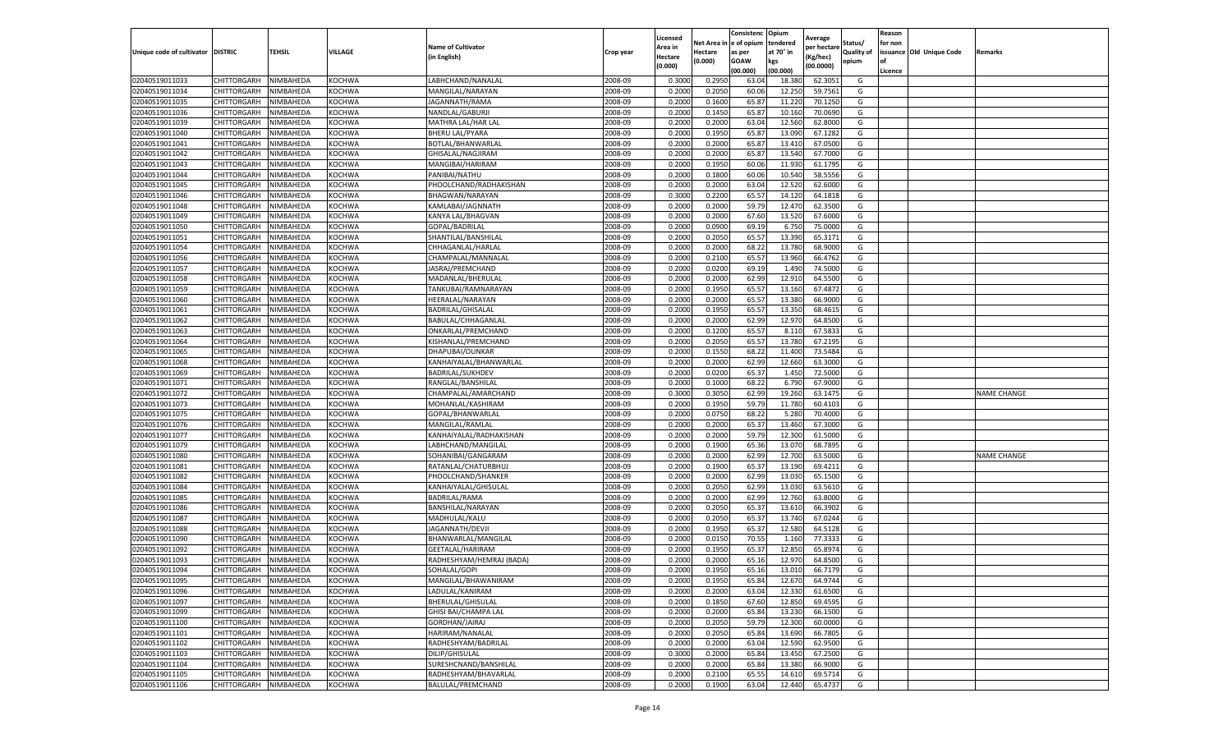|                           |                    |           |               |                           |           | Licensed |         | Consistenc             | Opium     |                        |                   | Reason  |                          |                    |
|---------------------------|--------------------|-----------|---------------|---------------------------|-----------|----------|---------|------------------------|-----------|------------------------|-------------------|---------|--------------------------|--------------------|
|                           |                    |           |               | <b>Name of Cultivator</b> |           | Area in  |         | Net Area in e of opium | tendered  | Average<br>per hectare | Status/           | for non |                          |                    |
| Unique code of cultivator | <b>DISTRIC</b>     | TEHSIL    | VILLAGE       | in English)               | Crop year | Hectare  | Hectare | as per                 | at 70° in | (Kg/hec                | <b>Quality of</b> |         | issuance Old Unique Code | <b>Remarks</b>     |
|                           |                    |           |               |                           |           | (0.000)  | (0.000) | <b>GOAW</b>            | kgs       | (00.0000)              | opium             |         |                          |                    |
|                           |                    |           |               |                           |           |          |         | (00.000)               | (00.000)  |                        |                   | Licence |                          |                    |
| 02040519011033            | CHITTORGARH        | NIMBAHEDA | KOCHWA        | LABHCHAND/NANALAI         | 2008-09   | 0.3000   | 0.2950  | 63.04                  | 18.38     | 62.3051                | G                 |         |                          |                    |
| 02040519011034            | CHITTORGARH        | NIMBAHEDA | <b>KOCHWA</b> | MANGILAL/NARAYAN          | 2008-09   | 0.2000   | 0.2050  | 60.06                  | 12.25     | 59.7561                | G                 |         |                          |                    |
| 02040519011035            | CHITTORGARH        | NIMBAHEDA | KOCHWA        | JAGANNATH/RAMA            | 2008-09   | 0.2000   | 0.1600  | 65.87                  | 11.22     | 70.1250                | G                 |         |                          |                    |
| 02040519011036            | CHITTORGARH        | NIMBAHEDA | KOCHWA        | NANDLAL/GABURJI           | 2008-09   | 0.2000   | 0.1450  | 65.87                  | 10.160    | 70.0690                | G                 |         |                          |                    |
| 02040519011039            | CHITTORGARH        | NIMBAHEDA | KOCHWA        | MATHRA LAL/HAR LAL        | 2008-09   | 0.2000   | 0.2000  | 63.04                  | 12.56     | 62.8000                | G                 |         |                          |                    |
| 02040519011040            | CHITTORGARH        | NIMBAHEDA | KOCHWA        | <b>BHERU LAL/PYARA</b>    | 2008-09   | 0.2000   | 0.1950  | 65.87                  | 13.09     | 67.1282                | G                 |         |                          |                    |
| 02040519011041            | CHITTORGARH        | NIMBAHEDA | KOCHWA        | BOTLAL/BHANWARLAI         | 2008-09   | 0.2000   | 0.2000  | 65.87                  | 13.41     | 67.0500                | G                 |         |                          |                    |
| 02040519011042            | CHITTORGARH        | NIMBAHEDA | KOCHWA        | GHISALAL/NAGJIRAM         | 2008-09   | 0.2000   | 0.2000  | 65.87                  | 13.54     | 67.7000                | G                 |         |                          |                    |
| 02040519011043            | CHITTORGARH        | NIMBAHEDA | KOCHWA        | MANGIBAI/HARIRAM          | 2008-09   | 0.2000   | 0.1950  | 60.06                  | 11.93     | 61.1795                | G                 |         |                          |                    |
| 02040519011044            | CHITTORGARH        | NIMBAHEDA | KOCHWA        | PANIBAI/NATHU             | 2008-09   | 0.2000   | 0.1800  | 60.06                  | 10.540    | 58.5556                | G                 |         |                          |                    |
| 02040519011045            | CHITTORGARH        | NIMBAHEDA | KOCHWA        | PHOOLCHAND/RADHAKISHAN    | 2008-09   | 0.2000   | 0.2000  | 63.04                  | 12.52     | 62.6000                | G                 |         |                          |                    |
| 02040519011046            | CHITTORGARH        | NIMBAHEDA | KOCHWA        | BHAGWAN/NARAYAN           | 2008-09   | 0.3000   | 0.2200  | 65.57                  | 14.12     | 64.1818                | G                 |         |                          |                    |
| 02040519011048            | CHITTORGARH        | NIMBAHEDA | KOCHWA        | KAMLABAI/JAGNNATH         | 2008-09   | 0.2000   | 0.2000  | 59.79                  | 12.47     | 62.3500                | G                 |         |                          |                    |
| 02040519011049            | CHITTORGARH        | NIMBAHEDA | KOCHWA        | KANYA LAL/BHAGVAN         | 2008-09   | 0.2000   | 0.2000  | 67.60                  | 13.52     | 67.6000                | G                 |         |                          |                    |
| 02040519011050            | CHITTORGARH        | NIMBAHEDA | KOCHWA        | GOPAL/BADRILAL            | 2008-09   | 0.2000   | 0.0900  | 69.19                  | 6.750     | 75.0000                | G                 |         |                          |                    |
| 02040519011051            | CHITTORGARH        | NIMBAHEDA | KOCHWA        | SHANTILAL/BANSHILAL       | 2008-09   | 0.2000   | 0.2050  | 65.57                  | 13.390    | 65.3171                | G                 |         |                          |                    |
| 02040519011054            | CHITTORGARH        | NIMBAHEDA | KOCHWA        | CHHAGANLAL/HARLAL         | 2008-09   | 0.2000   | 0.2000  | 68.22                  | 13.780    | 68.9000                | G                 |         |                          |                    |
| 02040519011056            | CHITTORGARH        | NIMBAHEDA | KOCHWA        | CHAMPALAL/MANNALAI        | 2008-09   | 0.2000   | 0.2100  | 65.57                  | 13.960    | 66.4762                | G                 |         |                          |                    |
| 02040519011057            | CHITTORGARH        | NIMBAHEDA | KOCHWA        | JASRAJ/PREMCHAND          | 2008-09   | 0.2000   | 0.0200  | 69.19                  | 1.49      | 74.5000                | G                 |         |                          |                    |
| 02040519011058            | CHITTORGARH        | NIMBAHEDA | KOCHWA        | MADANLAL/BHERULAL         | 2008-09   | 0.2000   | 0.2000  | 62.99                  | 12.91     | 64.5500                | G                 |         |                          |                    |
| 02040519011059            | CHITTORGARH        | NIMBAHEDA | KOCHWA        | TANKUBAI/RAMNARAYAN       | 2008-09   | 0.2000   | 0.1950  | 65.57                  | 13.160    | 67.4872                | G                 |         |                          |                    |
| 02040519011060            | CHITTORGARH        | NIMBAHEDA | KOCHWA        | HEERALAL/NARAYAN          | 2008-09   | 0.2000   | 0.2000  | 65.57                  | 13.380    | 66.9000                | G                 |         |                          |                    |
| 02040519011061            | CHITTORGARH        | NIMBAHEDA | KOCHWA        | BADRILAL/GHISALAL         | 2008-09   | 0.2000   | 0.1950  | 65.57                  | 13.350    | 68.4615                | G                 |         |                          |                    |
| 02040519011062            | CHITTORGARH        | NIMBAHEDA | KOCHWA        | BABULAL/CHHAGANLAL        | 2008-09   | 0.2000   | 0.2000  | 62.99                  | 12.97     | 64.8500                | G                 |         |                          |                    |
| 02040519011063            | CHITTORGARH        | NIMBAHEDA | KOCHWA        | ONKARLAL/PREMCHAND        | 2008-09   | 0.2000   | 0.1200  | 65.57                  | 8.11      | 67.5833                | G                 |         |                          |                    |
| 02040519011064            | CHITTORGARH        | NIMBAHEDA | KOCHWA        | KISHANLAL/PREMCHAND       | 2008-09   | 0.2000   | 0.2050  | 65.57                  | 13.780    | 67.2195                | G                 |         |                          |                    |
| 02040519011065            | CHITTORGARH        | NIMBAHEDA | KOCHWA        | DHAPUBAI/OUNKAR           | 2008-09   | 0.2000   | 0.1550  | 68.22                  | 11.400    | 73.5484                | G                 |         |                          |                    |
| 02040519011068            | CHITTORGARH        | NIMBAHEDA | KOCHWA        | KANHAIYALAL/BHANWARLAL    | 2008-09   | 0.2000   | 0.2000  | 62.99                  | 12.660    | 63.3000                | G                 |         |                          |                    |
| 02040519011069            | CHITTORGARH        | NIMBAHEDA | KOCHWA        | <b>BADRILAL/SUKHDEV</b>   | 2008-09   | 0.2000   | 0.0200  | 65.37                  | 1.450     | 72.5000                | G                 |         |                          |                    |
| 02040519011071            | CHITTORGARH        | NIMBAHEDA | KOCHWA        | RANGLAL/BANSHILAL         | 2008-09   | 0.2000   | 0.1000  | 68.22                  | 6.790     | 67.9000                | G                 |         |                          |                    |
| 02040519011072            | CHITTORGARH        | NIMBAHEDA | KOCHWA        | CHAMPALAL/AMARCHAND       | 2008-09   | 0.3000   | 0.3050  | 62.99                  | 19.260    | 63.1475                | G                 |         |                          | <b>NAME CHANGE</b> |
| 02040519011073            | CHITTORGARH        | NIMBAHEDA | KOCHWA        | MOHANLAL/KASHIRAM         | 2008-09   | 0.2000   | 0.1950  | 59.79                  | 11.780    | 60.4103                | G                 |         |                          |                    |
| 02040519011075            | CHITTORGARH        | NIMBAHEDA | KOCHWA        | GOPAL/BHANWARLAL          | 2008-09   | 0.2000   | 0.0750  | 68.22                  | 5.28      | 70.4000                | G                 |         |                          |                    |
| 02040519011076            | CHITTORGARH        | NIMBAHEDA | KOCHWA        | MANGILAL/RAMLAL           | 2008-09   | 0.2000   | 0.2000  | 65.37                  | 13.460    | 67.3000                | G                 |         |                          |                    |
| 02040519011077            | CHITTORGARH        | NIMBAHEDA | KOCHWA        | KANHAIYALAL/RADHAKISHAN   | 2008-09   | 0.2000   | 0.2000  | 59.79                  | 12.300    | 61.5000                | G                 |         |                          |                    |
| 02040519011079            | CHITTORGARH        | NIMBAHEDA | KOCHWA        | LABHCHAND/MANGILAL        | 2008-09   | 0.2000   | 0.1900  | 65.36                  | 13.07     | 68.7895                | G                 |         |                          |                    |
| 02040519011080            | CHITTORGARH        | NIMBAHEDA | KOCHWA        | SOHANIBAI/GANGARAM        | 2008-09   | 0.2000   | 0.2000  | 62.99                  | 12.700    | 63.5000                | G                 |         |                          | <b>NAME CHANGE</b> |
| 02040519011081            | CHITTORGARH        | NIMBAHEDA | KOCHWA        | RATANLAL/CHATURBHUJ       | 2008-09   | 0.2000   | 0.1900  | 65.37                  | 13.19     | 69.4211                | G                 |         |                          |                    |
| 02040519011082            | CHITTORGARH        | NIMBAHEDA | KOCHWA        | PHOOLCHAND/SHANKER        | 2008-09   | 0.2000   | 0.2000  | 62.99                  | 13.03     | 65.1500                | G                 |         |                          |                    |
| 02040519011084            | CHITTORGARH        | NIMBAHEDA | KOCHWA        | KANHAIYALAL/GHISULAL      | 2008-09   | 0.2000   | 0.2050  | 62.99                  | 13.03     | 63.5610                | G                 |         |                          |                    |
| 02040519011085            | CHITTORGARH        | NIMBAHEDA | KOCHWA        | BADRILAL/RAMA             | 2008-09   | 0.2000   | 0.2000  | 62.99                  | 12.76     | 63.8000                | G                 |         |                          |                    |
| 02040519011086            | CHITTORGARH        | NIMBAHEDA | KOCHWA        | BANSHILAL/NARAYAN         | 2008-09   | 0.2000   | 0.2050  | 65.37                  | 13.61     | 66.3902                | G                 |         |                          |                    |
| 02040519011087            | CHITTORGARH        | NIMBAHEDA | KOCHWA        | MADHULAL/KALU             | 2008-09   | 0.2000   | 0.2050  | 65.37                  | 13.74     | 67.0244                | G                 |         |                          |                    |
| 02040519011088            | CHITTORGARH        | NIMBAHEDA | KOCHWA        | JAGANNATH/DEVJI           | 2008-09   | 0.2000   | 0.1950  | 65.37                  | 12.58     | 64.5128                | G                 |         |                          |                    |
| 02040519011090            | CHITTORGARH        | NIMBAHEDA | KOCHWA        | BHANWARLAL/MANGILAL       | 2008-09   | 0.2000   | 0.0150  | 70.55                  | 1.160     | 77.3333                | G                 |         |                          |                    |
| 02040519011092            | CHITTORGARH        | NIMBAHEDA | KOCHWA        | GEETALAL/HARIRAM          | 2008-09   | 0.2000   | 0.1950  | 65.37                  | 12.85     | 65.8974                | G                 |         |                          |                    |
| 02040519011093            | CHITTORGARH        | NIMBAHEDA | KOCHWA        | RADHESHYAM/HEMRAJ (BADA)  | 2008-09   | 0.2000   | 0.2000  | 65.16                  | 12.97     | 64.8500                | G                 |         |                          |                    |
| 02040519011094            | CHITTORGARH        | NIMBAHEDA | KOCHWA        | SOHALAL/GOPI              | 2008-09   | 0.2000   | 0.1950  | 65.16                  | 13.010    | 66.7179                | G                 |         |                          |                    |
| 02040519011095            | CHITTORGARH        | NIMBAHEDA | <b>KOCHWA</b> | MANGILAL/BHAWANIRAM       | 2008-09   | 0.2000   | 0.1950  | 65.84                  | 12.670    | 64.9744                | G                 |         |                          |                    |
| 02040519011096            | CHITTORGARH        | NIMBAHEDA | KOCHWA        | LADULAL/KANIRAM           | 2008-09   | 0.2000   | 0.2000  | 63.04                  | 12.330    | 61.6500                | G                 |         |                          |                    |
| 02040519011097            | CHITTORGARH        | NIMBAHEDA | KOCHWA        | BHERULAL/GHISULAL         | 2008-09   | 0.2000   | 0.1850  | 67.60                  | 12.850    | 69.4595                | G                 |         |                          |                    |
| 02040519011099            | CHITTORGARH        | NIMBAHEDA | KOCHWA        | GHISI BAI/CHAMPA LAL      | 2008-09   | 0.2000   | 0.2000  | 65.84                  | 13.230    | 66.1500                | G                 |         |                          |                    |
| 02040519011100            | <b>CHITTORGARH</b> | NIMBAHEDA | KOCHWA        | GORDHAN/JAIRAJ            | 2008-09   | 0.2000   | 0.2050  | 59.79                  | 12.300    | 60.0000                | G                 |         |                          |                    |
| 02040519011101            | <b>CHITTORGARH</b> | NIMBAHEDA | <b>KOCHWA</b> | HARIRAM/NANALAL           | 2008-09   | 0.2000   | 0.2050  | 65.84                  | 13.690    | 66.7805                | G                 |         |                          |                    |
| 02040519011102            | CHITTORGARH        | NIMBAHEDA | KOCHWA        | RADHESHYAM/BADRILAL       | 2008-09   | 0.2000   | 0.2000  | 63.04                  | 12.590    | 62.9500                | G                 |         |                          |                    |
| 02040519011103            | <b>CHITTORGARH</b> | NIMBAHEDA | KOCHWA        | DILIP/GHISULAL            | 2008-09   | 0.3000   | 0.2000  | 65.84                  | 13.450    | 67.2500                | G                 |         |                          |                    |
| 02040519011104            | CHITTORGARH        | NIMBAHEDA | KOCHWA        | SURESHCNAND/BANSHILAL     | 2008-09   | 0.2000   | 0.2000  | 65.84                  | 13.380    | 66.9000                | G                 |         |                          |                    |
| 02040519011105            | <b>CHITTORGARH</b> | NIMBAHEDA | KOCHWA        | RADHESHYAM/BHAVARLAL      | 2008-09   | 0.2000   | 0.2100  | 65.55                  | 14.610    | 69.5714                | G                 |         |                          |                    |
| 02040519011106            | <b>CHITTORGARH</b> | NIMBAHEDA | KOCHWA        | BALULAL/PREMCHAND         | 2008-09   | 0.2000   | 0.1900  | 63.04                  | 12.440    | 65.4737                | G                 |         |                          |                    |
|                           |                    |           |               |                           |           |          |         |                        |           |                        |                   |         |                          |                    |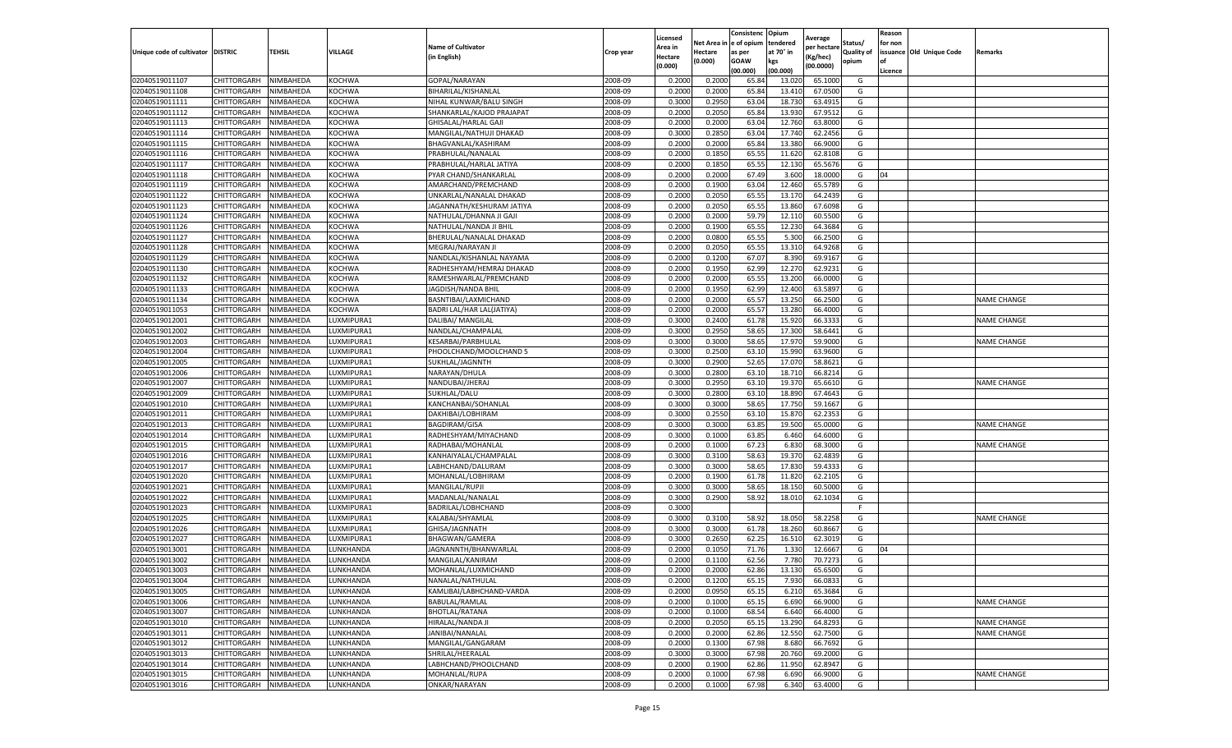|                                   |                            |           |                          |                                        |           | Licensed         |          | Consistenc  | Opium     | Average     |                   | Reason  |                          |                    |
|-----------------------------------|----------------------------|-----------|--------------------------|----------------------------------------|-----------|------------------|----------|-------------|-----------|-------------|-------------------|---------|--------------------------|--------------------|
|                                   |                            |           |                          | <b>Name of Cultivator</b>              |           | Area in          | Net Area | e of opium  | tendered  | per hectarı | Status/           | for non |                          |                    |
| Unique code of cultivator DISTRIC |                            | TEHSIL    | <b>VILLAGE</b>           | (in English)                           | Crop year | Hectare          | Hectare  | as per      | at 70° in | (Kg/hec)    | <b>Quality of</b> |         | issuance Old Unique Code | Remarks            |
|                                   |                            |           |                          |                                        |           | (0.000)          | (0.000)  | <b>GOAW</b> | kgs       | (00.0000)   | opium             | οf      |                          |                    |
|                                   |                            |           |                          |                                        |           |                  |          | (00.000)    | (00.000)  |             |                   | Licence |                          |                    |
| 02040519011107                    | CHITTORGARH                | NIMBAHEDA | <b>KOCHWA</b>            | GOPAL/NARAYAN                          | 2008-09   | 0.2000           | 0.2000   | 65.84       | 13.02     | 65.1000     | G                 |         |                          |                    |
| 02040519011108                    | CHITTORGARH                | NIMBAHEDA | <b>KOCHWA</b>            | BIHARILAL/KISHANLAL                    | 2008-09   | 0.2000           | 0.2000   | 65.84       | 13.410    | 67.0500     | G                 |         |                          |                    |
| 02040519011111                    | CHITTORGARH                | NIMBAHEDA | KOCHWA                   | NIHAL KUNWAR/BALU SINGH                | 2008-09   | 0.3000           | 0.2950   | 63.04       | 18.730    | 63.491      | G                 |         |                          |                    |
| 02040519011112                    | CHITTORGARH                | NIMBAHEDA | <b>KOCHWA</b>            | SHANKARLAL/KAJOD PRAJAPAT              | 2008-09   | 0.2000           | 0.2050   | 65.84       | 13.930    | 67.9512     | G                 |         |                          |                    |
| 02040519011113                    | CHITTORGARH                | NIMBAHEDA | KOCHWA                   | GHISALAL/HARLAL GAJI                   | 2008-09   | 0.2000           | 0.2000   | 63.04       | 12.760    | 63.8000     | G                 |         |                          |                    |
| 02040519011114                    | CHITTORGARH                | NIMBAHEDA | KOCHWA                   | MANGILAL/NATHUJI DHAKAD                | 2008-09   | 0.3000           | 0.2850   | 63.04       | 17.740    | 62.2456     | G                 |         |                          |                    |
| 02040519011115                    | CHITTORGARH                | NIMBAHEDA | <b>KOCHWA</b>            | BHAGVANLAL/KASHIRAM                    | 2008-09   | 0.2000           | 0.2000   | 65.84       | 13.380    | 66.9000     | G                 |         |                          |                    |
| 02040519011116                    | CHITTORGARH                | NIMBAHEDA | <b>KOCHWA</b>            | PRABHULAL/NANALAL                      | 2008-09   | 0.2000           | 0.1850   | 65.55       | 11.620    | 62.810      | G                 |         |                          |                    |
| 02040519011117                    | CHITTORGARH                | NIMBAHEDA | <b>KOCHWA</b>            | PRABHULAL/HARLAL JATIYA                | 2008-09   | 0.2000           | 0.1850   | 65.55       | 12.130    | 65.5676     | G                 |         |                          |                    |
| 02040519011118                    | CHITTORGARH                | NIMBAHEDA | KOCHWA                   | PYAR CHAND/SHANKARLAL                  | 2008-09   | 0.2000           | 0.2000   | 67.49       | 3.600     | 18.0000     | G                 | 04      |                          |                    |
| 02040519011119                    | CHITTORGARH                | NIMBAHEDA | <b>KOCHWA</b>            | AMARCHAND/PREMCHAND                    | 2008-09   | 0.2000           | 0.1900   | 63.04       | 12.460    | 65.5789     | G                 |         |                          |                    |
| 02040519011122                    | CHITTORGARH                | NIMBAHEDA | KOCHWA                   | UNKARLAL/NANALAL DHAKAD                | 2008-09   | 0.2000           | 0.2050   | 65.55       | 13.170    | 64.2439     | G                 |         |                          |                    |
| 02040519011123                    | CHITTORGARH                | NIMBAHEDA | KOCHWA                   | JAGANNATH/KESHURAM JATIYA              | 2008-09   | 0.2000           | 0.2050   | 65.55       | 13.860    | 67.6098     | G                 |         |                          |                    |
| 02040519011124                    | CHITTORGARH                | NIMBAHEDA | <b>KOCHWA</b>            | NATHULAL/DHANNA JI GAJ                 | 2008-09   | 0.2000           | 0.2000   | 59.79       | 12.110    | 60.5500     | G                 |         |                          |                    |
| 02040519011126                    | CHITTORGARH                | NIMBAHEDA | KOCHWA                   | NATHULAL/NANDA JI BHIL                 | 2008-09   | 0.2000           | 0.1900   | 65.55       | 12.230    | 64.3684     | G                 |         |                          |                    |
| 02040519011127                    | CHITTORGARH                | NIMBAHEDA | <b>KOCHWA</b>            | BHERULAL/NANALAL DHAKAD                | 2008-09   | 0.2000           | 0.0800   | 65.55       | 5.300     | 66.2500     | G                 |         |                          |                    |
| 02040519011128                    | CHITTORGARH                | NIMBAHEDA | KOCHWA                   | MEGRAJ/NARAYAN JI                      | 2008-09   | 0.2000           | 0.2050   | 65.55       | 13.310    | 64.9268     | G                 |         |                          |                    |
| 02040519011129                    | CHITTORGARH                | NIMBAHEDA | KOCHWA                   | NANDLAL/KISHANLAL NAYAMA               | 2008-09   | 0.2000           | 0.1200   | 67.07       | 8.390     | 69.9167     | G                 |         |                          |                    |
| 02040519011130                    | CHITTORGARH                | NIMBAHEDA | KOCHWA                   | RADHESHYAM/HEMRAJ DHAKAD               | 2008-09   | 0.2000           | 0.1950   | 62.99       | 12.270    | 62.9231     | G                 |         |                          |                    |
| 02040519011132                    | CHITTORGARH                | NIMBAHEDA | KOCHWA                   | RAMESHWARLAL/PREMCHAND                 | 2008-09   | 0.2000           | 0.2000   | 65.55       | 13.200    | 66.0000     | G                 |         |                          |                    |
| 02040519011133                    | CHITTORGARH                | NIMBAHEDA | <b>KOCHWA</b>            | JAGDISH/NANDA BHIL                     | 2008-09   | 0.2000           | 0.1950   | 62.99       | 12.400    | 63.5897     | G                 |         |                          |                    |
| 02040519011134                    | CHITTORGARH                | NIMBAHEDA | KOCHWA                   | BASNTIBAI/LAXMICHAND                   | 2008-09   | 0.2000           | 0.2000   | 65.57       | 13.250    | 66.2500     | G                 |         |                          | <b>NAME CHANGE</b> |
| 02040519011053                    | CHITTORGARH                | NIMBAHEDA | <b>KOCHWA</b>            | BADRI LAL/HAR LAL(JATIYA)              | 2008-09   | 0.2000           | 0.2000   | 65.57       | 13.280    | 66.4000     | G                 |         |                          |                    |
| 02040519012001                    | CHITTORGARH                | NIMBAHEDA | LUXMIPURA1               | DALIBAI/ MANGILAL                      | 2008-09   | 0.3000           | 0.2400   | 61.78       | 15.920    | 66.333      | G                 |         |                          | <b>NAME CHANGE</b> |
| 02040519012002                    | CHITTORGARH                | NIMBAHEDA | LUXMIPURA1               | NANDLAL/CHAMPALAL                      | 2008-09   | 0.3000           | 0.2950   | 58.65       | 17.300    | 58.6441     | G                 |         |                          |                    |
| 02040519012003                    | CHITTORGARH                | NIMBAHEDA | LUXMIPURA1               | KESARBAI/PARBHULAL                     | 2008-09   | 0.3000           | 0.3000   | 58.65       | 17.970    | 59.9000     | G                 |         |                          | <b>NAME CHANGE</b> |
| 02040519012004                    | CHITTORGARH                | NIMBAHEDA | LUXMIPURA1               | PHOOLCHAND/MOOLCHAND 5                 | 2008-09   | 0.3000           | 0.2500   | 63.10       | 15.990    | 63.9600     | G                 |         |                          |                    |
| 02040519012005                    | CHITTORGARH                | NIMBAHEDA | LUXMIPURA1               | SUKHLAL/JAGNNTH                        | 2008-09   | 0.3000           | 0.2900   | 52.65       | 17.070    | 58.8621     | G                 |         |                          |                    |
| 02040519012006                    | CHITTORGARH                | NIMBAHEDA | LUXMIPURA1               | NARAYAN/DHULA                          | 2008-09   | 0.3000           | 0.2800   | 63.10       | 18.710    | 66.8214     | G                 |         |                          |                    |
| 02040519012007                    | CHITTORGARH                | NIMBAHEDA | LUXMIPURA1               | NANDUBAI/JHERAJ                        | 2008-09   | 0.3000           | 0.2950   | 63.10       | 19.37     | 65.6610     | G                 |         |                          | <b>NAME CHANGE</b> |
| 02040519012009                    | CHITTORGARH                | NIMBAHEDA | LUXMIPURA1               | SUKHLAL/DALU                           | 2008-09   | 0.3000           | 0.2800   | 63.1        | 18.89     | 67.464      | G                 |         |                          |                    |
| 02040519012010                    | CHITTORGARH                | NIMBAHEDA | LUXMIPURA1               | KANCHANBAI/SOHANLAI                    | 2008-09   | 0.3000           | 0.3000   | 58.65       | 17.750    | 59.1667     | G                 |         |                          |                    |
| 02040519012011                    | CHITTORGARH                | NIMBAHEDA | LUXMIPURA1               | DAKHIBAI/LOBHIRAM                      | 2008-09   | 0.3000           | 0.2550   | 63.10       | 15.87     | 62.235      | G                 |         |                          |                    |
| 02040519012013                    | CHITTORGARH                | NIMBAHEDA | LUXMIPURA1               | <b>BAGDIRAM/GISA</b>                   | 2008-09   | 0.3000           | 0.3000   | 63.85       | 19.500    | 65.0000     | G                 |         |                          | <b>NAME CHANGE</b> |
| 02040519012014                    | CHITTORGARH                | NIMBAHEDA | LUXMIPURA1               | RADHESHYAM/MIYACHAND                   | 2008-09   | 0.3000           | 0.1000   | 63.85       | 6.460     | 64.6000     | G                 |         |                          |                    |
| 02040519012015                    | CHITTORGARH                | NIMBAHEDA | LUXMIPURA1               | RADHABAI/MOHANLAL                      | 2008-09   | 0.2000           | 0.1000   | 67.23       | 6.830     | 68.3000     | G                 |         |                          | <b>NAME CHANGE</b> |
| 02040519012016                    | CHITTORGARH                | NIMBAHEDA | LUXMIPURA1               | KANHAIYALAL/CHAMPALAL                  | 2008-09   | 0.3000           | 0.3100   | 58.63       | 19.37     | 62.4839     | G                 |         |                          |                    |
| 02040519012017                    | CHITTORGARH                | NIMBAHEDA | UXMIPURA1                | LABHCHAND/DALURAM                      | 2008-09   | 0.3000           | 0.3000   | 58.65       | 17.83     | 59.433      | G                 |         |                          |                    |
| 02040519012020                    | CHITTORGARH                | NIMBAHEDA | LUXMIPURA1               | MOHANLAL/LOBHIRAM                      | 2008-09   | 0.2000           | 0.1900   | 61.78       | 11.820    | 62.2105     | G                 |         |                          |                    |
| 02040519012021                    |                            | NIMBAHEDA |                          | <b>MANGILAL/RUPJI</b>                  | 2008-09   | 0.3000           | 0.3000   | 58.65       | 18.150    | 60.5000     | G                 |         |                          |                    |
| 02040519012022                    | CHITTORGARH                |           | LUXMIPURA1               |                                        | 2008-09   |                  | 0.2900   |             |           |             | G                 |         |                          |                    |
|                                   | CHITTORGARH                | NIMBAHEDA | LUXMIPURA1               | MADANLAL/NANALAL                       |           | 0.3000           |          | 58.92       | 18.010    | 62.1034     |                   |         |                          |                    |
| 02040519012023                    | CHITTORGARH<br>CHITTORGARH | NIMBAHEDA | LUXMIPURA1               | BADRILAL/LOBHCHAND<br>KALABAI/SHYAMLAL | 2008-09   | 0.3000<br>0.3000 |          |             |           |             |                   |         |                          |                    |
| 02040519012025<br>02040519012026  |                            | NIMBAHEDA | LUXMIPURA1<br>LUXMIPURA1 |                                        | 2008-09   |                  | 0.3100   | 58.92       | 18.050    | 58.2258     | G                 |         |                          | <b>NAME CHANGE</b> |
|                                   | CHITTORGARH<br>CHITTORGARH | NIMBAHEDA |                          | GHISA/JAGNNATH                         | 2008-09   | 0.3000           | 0.3000   | 61.78       | 18.260    | 60.8667     | G                 |         |                          |                    |
| 02040519012027                    |                            | NIMBAHEDA | LUXMIPURA1               | BHAGWAN/GAMERA                         | 2008-09   | 0.3000           | 0.2650   | 62.25       | 16.510    | 62.3019     | G                 |         |                          |                    |
| 02040519013001                    | CHITTORGARH                | NIMBAHEDA | LUNKHANDA                | JAGNANNTH/BHANWARLAL                   | 2008-09   | 0.2000           | 0.1050   | 71.76       | 1.330     | 12.6667     | G                 | 04      |                          |                    |
| 02040519013002                    | CHITTORGARH                | NIMBAHEDA | LUNKHANDA                | MANGILAL/KANIRAM                       | 2008-09   | 0.2000           | 0.1100   | 62.56       | 7.780     | 70.7273     | G                 |         |                          |                    |
| 02040519013003                    | CHITTORGARH                | NIMBAHEDA | LUNKHANDA                | MOHANLAL/LUXMICHAND                    | 2008-09   | 0.2000           | 0.2000   | 62.86       | 13.130    | 65.6500     | G                 |         |                          |                    |
| 02040519013004                    | <b>CHITTORGARH</b>         | NIMBAHEDA | LUNKHANDA                | NANALAL/NATHULAL                       | 2008-09   | 0.2000           | 0.1200   | 65.15       | 7.930     | 66.0833     | G                 |         |                          |                    |
| 02040519013005                    | CHITTORGARH                | NIMBAHEDA | LUNKHANDA                | KAMLIBAI/LABHCHAND-VARDA               | 2008-09   | 0.2000           | 0.0950   | 65.15       | 6.210     | 65.3684     | G                 |         |                          |                    |
| 02040519013006                    | CHITTORGARH                | NIMBAHEDA | LUNKHANDA                | <b>BABULAL/RAMLAL</b>                  | 2008-09   | 0.2000           | 0.1000   | 65.15       | 6.690     | 66.9000     | G                 |         |                          | <b>NAME CHANGE</b> |
| 02040519013007                    | CHITTORGARH                | NIMBAHEDA | LUNKHANDA                | <b>BHOTLAL/RATANA</b>                  | 2008-09   | 0.2000           | 0.1000   | 68.54       | 6.640     | 66.4000     | G                 |         |                          |                    |
| 02040519013010                    | CHITTORGARH                | NIMBAHEDA | LUNKHANDA                | HIRALAL/NANDA JI                       | 2008-09   | 0.2000           | 0.2050   | 65.15       | 13.290    | 64.8293     | G                 |         |                          | NAME CHANGE        |
| 02040519013011                    | CHITTORGARH                | NIMBAHEDA | LUNKHANDA                | JANIBAI/NANALAL                        | 2008-09   | 0.2000           | 0.2000   | 62.86       | 12.550    | 62.7500     | G                 |         |                          | <b>NAME CHANGE</b> |
| 02040519013012                    | CHITTORGARH                | NIMBAHEDA | LUNKHANDA                | MANGILAL/GANGARAM                      | 2008-09   | 0.2000           | 0.1300   | 67.98       | 8.680     | 66.7692     | G                 |         |                          |                    |
| 02040519013013                    | CHITTORGARH                | NIMBAHEDA | LUNKHANDA                | SHRILAL/HEERALAL                       | 2008-09   | 0.3000           | 0.3000   | 67.98       | 20.760    | 69.2000     | G                 |         |                          |                    |
| 02040519013014                    | CHITTORGARH                | NIMBAHEDA | LUNKHANDA                | LABHCHAND/PHOOLCHAND                   | 2008-09   | 0.2000           | 0.1900   | 62.86       | 11.950    | 62.8947     | G                 |         |                          |                    |
| 02040519013015                    | CHITTORGARH                | NIMBAHEDA | LUNKHANDA                | MOHANLAL/RUPA                          | 2008-09   | 0.2000           | 0.1000   | 67.98       | 6.690     | 66.9000     | G                 |         |                          | <b>NAME CHANGE</b> |
| 02040519013016                    | CHITTORGARH                | NIMBAHEDA | LUNKHANDA                | ONKAR/NARAYAN                          | 2008-09   | 0.2000           | 0.1000   | 67.98       | 6.340     | 63.4000     | G                 |         |                          |                    |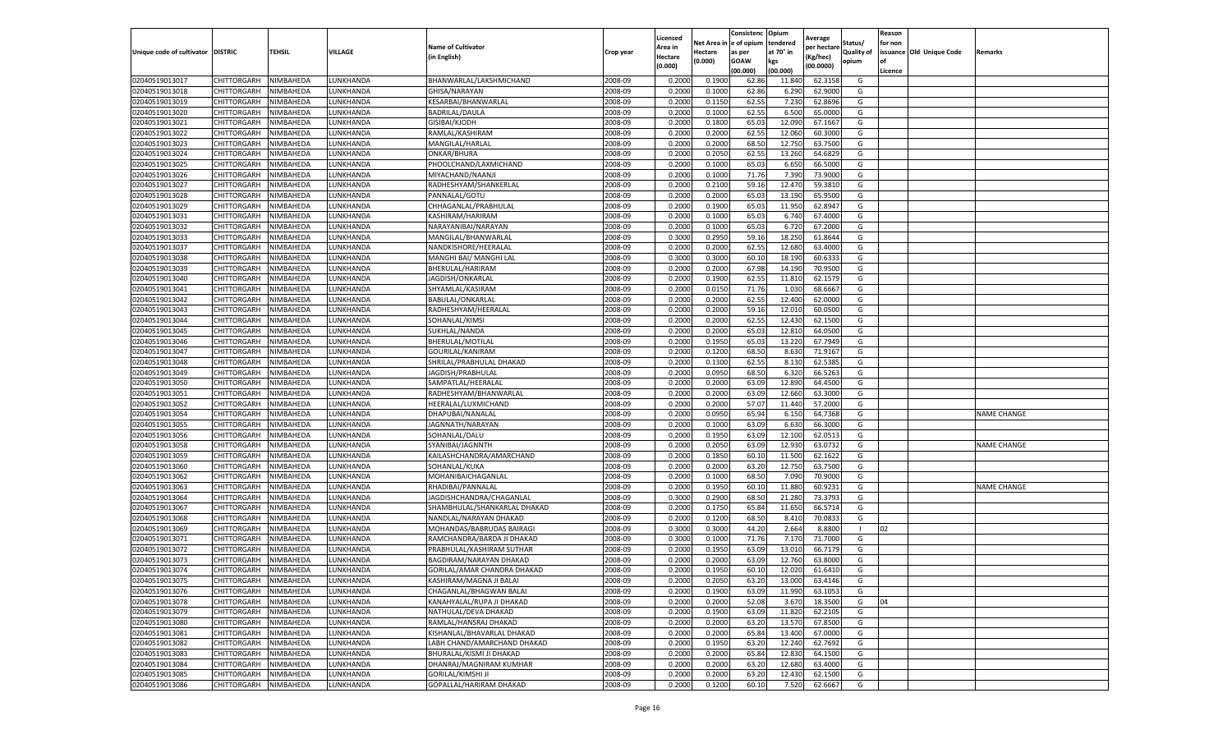|                           |                       |           |                 |                              |           | Licensed |         | Consistenc             | Opium     | Average     |                   | Reason  |                          |                    |
|---------------------------|-----------------------|-----------|-----------------|------------------------------|-----------|----------|---------|------------------------|-----------|-------------|-------------------|---------|--------------------------|--------------------|
|                           |                       |           |                 | <b>Name of Cultivator</b>    |           | Area in  |         | Net Area in e of opium | tendered  | per hectare | Status/           | for non |                          |                    |
| Unique code of cultivator | <b>DISTRIC</b>        | TEHSIL    | VILLAGE         | in English)                  | Crop year | Hectare  | Hectare | as per                 | at 70° in | (Kg/hec     | <b>Quality of</b> |         | issuance Old Unique Code | <b>Remarks</b>     |
|                           |                       |           |                 |                              |           | (0.000)  | (0.000) | <b>GOAW</b>            | kgs       | (00.0000)   | opium             |         |                          |                    |
|                           |                       |           |                 |                              |           |          |         | (00.000)               | (00.000)  |             |                   | Licence |                          |                    |
| 02040519013017            | CHITTORGARH           | NIMBAHEDA | LUNKHANDA       | BHANWARLAL/LAKSHMICHAND      | 2008-09   | 0.2000   | 0.1900  | 62.86                  | 11.84     | 62.3158     | G                 |         |                          |                    |
| 02040519013018            | CHITTORGARH           | NIMBAHEDA | LUNKHANDA       | GHISA/NARAYAN                | 2008-09   | 0.2000   | 0.1000  | 62.86                  | 6.29      | 62.9000     | G                 |         |                          |                    |
| 02040519013019            | CHITTORGARH           | NIMBAHEDA | UNKHANDA.       | KESARBAI/BHANWARLAL          | 2008-09   | 0.2000   | 0.1150  | 62.55                  | 7.23      | 62.8696     | G                 |         |                          |                    |
| 02040519013020            | CHITTORGARH           | NIMBAHEDA | LUNKHANDA       | BADRILAL/DAULA               | 2008-09   | 0.2000   | 0.1000  | 62.55                  | 6.500     | 65.0000     | G                 |         |                          |                    |
| 02040519013021            | CHITTORGARH           | NIMBAHEDA | LUNKHANDA       | GISIBAI/KJODH                | 2008-09   | 0.2000   | 0.1800  | 65.03                  | 12.09     | 67.1667     | G                 |         |                          |                    |
| 02040519013022            | CHITTORGARH           | NIMBAHEDA | <b>UNKHANDA</b> | RAMLAL/KASHIRAM              | 2008-09   | 0.2000   | 0.2000  | 62.55                  | 12.06     | 60.3000     | G                 |         |                          |                    |
| 02040519013023            | CHITTORGARH           | NIMBAHEDA | LUNKHANDA       | MANGILAL/HARLAL              | 2008-09   | 0.2000   | 0.2000  | 68.50                  | 12.750    | 63.7500     | G                 |         |                          |                    |
| 02040519013024            | CHITTORGARH           | NIMBAHEDA | LUNKHANDA       | ONKAR/BHURA                  | 2008-09   | 0.2000   | 0.2050  | 62.55                  | 13.260    | 64.6829     | G                 |         |                          |                    |
| 02040519013025            | CHITTORGARH           | NIMBAHEDA | LUNKHANDA       | PHOOLCHAND/LAXMICHAND        | 2008-09   | 0.2000   | 0.1000  | 65.03                  | 6.650     | 66.5000     | G                 |         |                          |                    |
| 02040519013026            | CHITTORGARH           | NIMBAHEDA | LUNKHANDA       | MIYACHAND/NAANJI             | 2008-09   | 0.2000   | 0.1000  | 71.76                  | 7.390     | 73.9000     | G                 |         |                          |                    |
| 02040519013027            | CHITTORGARH           | NIMBAHEDA | LUNKHANDA       | RADHESHYAM/SHANKERLAL        | 2008-09   | 0.2000   | 0.2100  | 59.16                  | 12.47     | 59.3810     | G                 |         |                          |                    |
| 02040519013028            | CHITTORGARH           | NIMBAHEDA | UNKHANDA.       | PANNALAL/GOTU                | 2008-09   | 0.2000   | 0.2000  | 65.03                  | 13.19     | 65.9500     | G                 |         |                          |                    |
| 02040519013029            | CHITTORGARH           | NIMBAHEDA | LUNKHANDA       | CHHAGANLAL/PRABHULAI         | 2008-09   | 0.2000   | 0.1900  | 65.03                  | 11.950    | 62.8947     | G                 |         |                          |                    |
| 02040519013031            | CHITTORGARH           | NIMBAHEDA | LUNKHANDA       | KASHIRAM/HARIRAM             | 2008-09   | 0.2000   | 0.1000  | 65.03                  | 6.74      | 67.4000     | G                 |         |                          |                    |
| 02040519013032            | CHITTORGARH           | NIMBAHEDA | LUNKHANDA       | NARAYANIBAI/NARAYAN          | 2008-09   | 0.2000   | 0.1000  | 65.03                  | 6.72      | 67.2000     | G                 |         |                          |                    |
| 02040519013033            | CHITTORGARH           | NIMBAHEDA | LUNKHANDA       | MANGILAL/BHANWARLAI          | 2008-09   | 0.3000   | 0.2950  | 59.16                  | 18.25     | 61.8644     | G                 |         |                          |                    |
| 02040519013037            | CHITTORGARH           | NIMBAHEDA | LUNKHANDA       | NANDKISHORE/HEERALAL         | 2008-09   | 0.2000   | 0.2000  | 62.55                  | 12.68     | 63.4000     | G                 |         |                          |                    |
| 02040519013038            | CHITTORGARH           | NIMBAHEDA | LUNKHANDA       | MANGHI BAI/ MANGHI LAL       | 2008-09   | 0.3000   | 0.3000  | 60.10                  | 18.19     | 60.633      | G                 |         |                          |                    |
| 02040519013039            | CHITTORGARH           | NIMBAHEDA | UNKHANDA.       | BHERULAL/HARIRAM             | 2008-09   | 0.2000   | 0.2000  | 67.98                  | 14.19     | 70.9500     | G                 |         |                          |                    |
| 02040519013040            | CHITTORGARH           | NIMBAHEDA | LUNKHANDA       | JAGDISH/ONKARLAL             | 2008-09   | 0.2000   | 0.1900  | 62.55                  | 11.81     | 62.1579     | G                 |         |                          |                    |
| 02040519013041            | CHITTORGARH           | NIMBAHEDA | LUNKHANDA       | SHYAMLAL/KASIRAM             | 2008-09   | 0.2000   | 0.0150  | 71.76                  | 1.030     | 68.6667     | G                 |         |                          |                    |
| 02040519013042            | CHITTORGARH           | NIMBAHEDA | UNKHANDA.       | BABULAL/ONKARLAL             | 2008-09   | 0.2000   | 0.2000  | 62.55                  | 12.400    | 62.0000     | G                 |         |                          |                    |
| 02040519013043            | CHITTORGARH           | NIMBAHEDA | LUNKHANDA       | RADHESHYAM/HEERALAL          | 2008-09   | 0.2000   | 0.2000  | 59.16                  | 12.010    | 60.0500     | G                 |         |                          |                    |
| 02040519013044            | CHITTORGARH           | NIMBAHEDA | LUNKHANDA       | SOHANLAL/KIMSI               | 2008-09   | 0.2000   | 0.2000  | 62.55                  | 12.43     | 62.1500     | G                 |         |                          |                    |
| 02040519013045            | CHITTORGARH           | NIMBAHEDA | UNKHANDA.       | SUKHLAL/NANDA                | 2008-09   | 0.2000   | 0.2000  | 65.03                  | 12.81     | 64.0500     | G                 |         |                          |                    |
| 02040519013046            | CHITTORGARH           | NIMBAHEDA | LUNKHANDA       | BHERULAL/MOTILAL             | 2008-09   | 0.2000   | 0.1950  | 65.03                  | 13.220    | 67.7949     | G                 |         |                          |                    |
| 02040519013047            | CHITTORGARH           | NIMBAHEDA | LUNKHANDA       | GOURILAL/KANIRAM             | 2008-09   | 0.2000   | 0.1200  | 68.50                  | 8.63      | 71.9167     | G                 |         |                          |                    |
| 02040519013048            | CHITTORGARH           | NIMBAHEDA | UNKHANDA.       | SHRILAL/PRABHULAL DHAKAD     | 2008-09   | 0.2000   | 0.1300  | 62.55                  | 8.13      | 62.5385     | G                 |         |                          |                    |
| 02040519013049            | CHITTORGARH           | NIMBAHEDA | LUNKHANDA       | JAGDISH/PRABHULAL            | 2008-09   | 0.2000   | 0.0950  | 68.50                  | 6.320     | 66.5263     | G                 |         |                          |                    |
| 02040519013050            | CHITTORGARH           | NIMBAHEDA | LUNKHANDA       | SAMPATLAL/HEERALAL           | 2008-09   | 0.2000   | 0.2000  | 63.09                  | 12.89     | 64.4500     | G                 |         |                          |                    |
| 02040519013051            | CHITTORGARH           | NIMBAHEDA | UNKHANDA.       | RADHESHYAM/BHANWARLAL        | 2008-09   | 0.2000   | 0.2000  | 63.09                  | 12.66     | 63.3000     | G                 |         |                          |                    |
| 02040519013052            | CHITTORGARH           | NIMBAHEDA | LUNKHANDA       | HEERALAL/LUXMICHAND          | 2008-09   | 0.2000   | 0.2000  | 57.07                  | 11.44     | 57.2000     | G                 |         |                          |                    |
| 02040519013054            | CHITTORGARH           | NIMBAHEDA | LUNKHANDA       | DHAPUBAI/NANALAL             | 2008-09   | 0.2000   | 0.0950  | 65.94                  | 6.15      | 64.7368     | G                 |         |                          | <b>NAME CHANGE</b> |
| 02040519013055            | CHITTORGARH           | NIMBAHEDA | LUNKHANDA       | JAGNNATH/NARAYAN             | 2008-09   | 0.2000   | 0.1000  | 63.09                  | 6.630     | 66.3000     | G                 |         |                          |                    |
| 02040519013056            | CHITTORGARH           | NIMBAHEDA | LUNKHANDA       | SOHANLAL/DALU                | 2008-09   | 0.2000   | 0.1950  | 63.09                  | 12.100    | 62.0513     | G                 |         |                          |                    |
| 02040519013058            | CHITTORGARH           | NIMBAHEDA | LUNKHANDA       | SYANIBAI/JAGNNTH             | 2008-09   | 0.2000   | 0.2050  | 63.09                  | 12.93     | 63.073      | G                 |         |                          | <b>NAME CHANGE</b> |
| 02040519013059            | CHITTORGARH           | NIMBAHEDA | LUNKHANDA       | KAILASHCHANDRA/AMARCHAND     | 2008-09   | 0.2000   | 0.1850  | 60.10                  | 11.500    | 62.1622     | G                 |         |                          |                    |
| 02040519013060            | CHITTORGARH           | NIMBAHEDA | UNKHANDA        | SOHANLAL/KUKA                | 2008-09   | 0.2000   | 0.2000  | 63.20                  | 12.750    | 63.7500     | G                 |         |                          |                    |
| 02040519013062            | CHITTORGARH           | NIMBAHEDA | LUNKHANDA       | MOHANIBAICHAGANLAL           | 2008-09   | 0.2000   | 0.1000  | 68.50                  | 7.090     | 70.9000     | G                 |         |                          |                    |
| 02040519013063            | CHITTORGARH           | NIMBAHEDA | LUNKHANDA       | RHADIBAI/PANNALAL            | 2008-09   | 0.2000   | 0.1950  | 60.10                  | 11.880    | 60.9231     | G                 |         |                          | <b>NAME CHANGE</b> |
| 02040519013064            | CHITTORGARH           | NIMBAHEDA | UNKHANDA.       | JAGDISHCHANDRA/CHAGANLAL     | 2008-09   | 0.3000   | 0.2900  | 68.50                  | 21.28     | 73.3793     | G                 |         |                          |                    |
| 02040519013067            | CHITTORGARH           | NIMBAHEDA | LUNKHANDA       | SHAMBHULAL/SHANKARLAL DHAKAD | 2008-09   | 0.2000   | 0.1750  | 65.84                  | 11.65     | 66.5714     | G                 |         |                          |                    |
| 02040519013068            | CHITTORGARH           | NIMBAHEDA | LUNKHANDA       | NANDLAL/NARAYAN DHAKAD       | 2008-09   | 0.2000   | 0.1200  | 68.50                  | 8.410     | 70.0833     | G                 |         |                          |                    |
| 02040519013069            | CHITTORGARH           | NIMBAHEDA | LUNKHANDA       | MOHANDAS/BABRUDAS BAIRAGI    | 2008-09   | 0.3000   | 0.3000  | 44.20                  | 2.664     | 8.8800      |                   | 02      |                          |                    |
| 02040519013071            | CHITTORGARH           | NIMBAHEDA | LUNKHANDA       | RAMCHANDRA/BARDA JI DHAKAD   | 2008-09   | 0.3000   | 0.1000  | 71.76                  | 7.17      | 71.7000     | G                 |         |                          |                    |
| 02040519013072            | CHITTORGARH           | NIMBAHEDA | LUNKHANDA       | PRABHULAL/KASHIRAM SUTHAR    | 2008-09   | 0.2000   | 0.1950  | 63.09                  | 13.01     | 66.7179     | G                 |         |                          |                    |
| 02040519013073            | CHITTORGARH           | NIMBAHEDA | UNKHANDA.       | BAGDIRAM/NARAYAN DHAKAD      | 2008-09   | 0.2000   | 0.2000  | 63.09                  | 12.760    | 63.8000     | G                 |         |                          |                    |
| 02040519013074            | CHITTORGARH           | NIMBAHEDA | LUNKHANDA       | GORILAL/AMAR CHANDRA DHAKAD  | 2008-09   | 0.2000   | 0.1950  | 60.10                  | 12.020    | 61.6410     | G                 |         |                          |                    |
| 02040519013075            | CHITTORGARH NIMBAHEDA |           | LUNKHANDA       | KASHIRAM/MAGNA JI BALAI      | 2008-09   | 0.2000   | 0.2050  | 63.20                  | 13.000    | 63.4146     | G                 |         |                          |                    |
| 02040519013076            | CHITTORGARH           | NIMBAHEDA | LUNKHANDA       | CHAGANLAL/BHAGWAN BALAI      | 2008-09   | 0.2000   | 0.1900  | 63.09                  | 11.990    | 63.1053     | G                 |         |                          |                    |
| 02040519013078            | <b>CHITTORGARH</b>    | NIMBAHEDA | LUNKHANDA       | KANAHYALAL/RUPA JI DHAKAD    | 2008-09   | 0.2000   | 0.2000  | 52.08                  | 3.670     | 18.3500     | G                 | 04      |                          |                    |
| 02040519013079            | CHITTORGARH           | NIMBAHEDA | LUNKHANDA       | NATHULAL/DEVA DHAKAD         | 2008-09   | 0.2000   | 0.1900  | 63.09                  | 11.820    | 62.2105     | G                 |         |                          |                    |
| 02040519013080            | <b>CHITTORGARH</b>    | NIMBAHEDA | LUNKHANDA       | RAMLAL/HANSRAJ DHAKAD        | 2008-09   | 0.2000   | 0.2000  | 63.20                  | 13.57     | 67.8500     | G                 |         |                          |                    |
| 02040519013081            | <b>CHITTORGARH</b>    | NIMBAHEDA | LUNKHANDA       | KISHANLAL/BHAVARLAL DHAKAD   | 2008-09   | 0.2000   | 0.2000  | 65.84                  | 13.400    | 67.0000     | G                 |         |                          |                    |
| 02040519013082            | CHITTORGARH           | NIMBAHEDA | LUNKHANDA       | LABH CHAND/AMARCHAND DHAKAD  | 2008-09   | 0.2000   | 0.1950  | 63.20                  | 12.240    | 62.7692     | G                 |         |                          |                    |
| 02040519013083            | CHITTORGARH           | NIMBAHEDA | LUNKHANDA       | BHURALAL/KISMI JI DHAKAD     | 2008-09   | 0.2000   | 0.2000  | 65.84                  | 12.830    | 64.1500     | G                 |         |                          |                    |
| 02040519013084            | CHITTORGARH           | NIMBAHEDA | LUNKHANDA       | DHANRAJ/MAGNIRAM KUMHAR      | 2008-09   | 0.2000   | 0.2000  | 63.20                  | 12.680    | 63.4000     | G                 |         |                          |                    |
| 02040519013085            | CHITTORGARH           | NIMBAHEDA | LUNKHANDA       | <b>GORILAL/KIMSHI JI</b>     | 2008-09   | 0.2000   | 0.2000  | 63.20                  | 12.430    | 62.1500     | G                 |         |                          |                    |
| 02040519013086            | <b>CHITTORGARH</b>    | NIMBAHEDA | LUNKHANDA       | GOPALLAL/HARIRAM DHAKAD      | 2008-09   | 0.2000   | 0.1200  | 60.10                  | 7.520     | 62.6667     | G                 |         |                          |                    |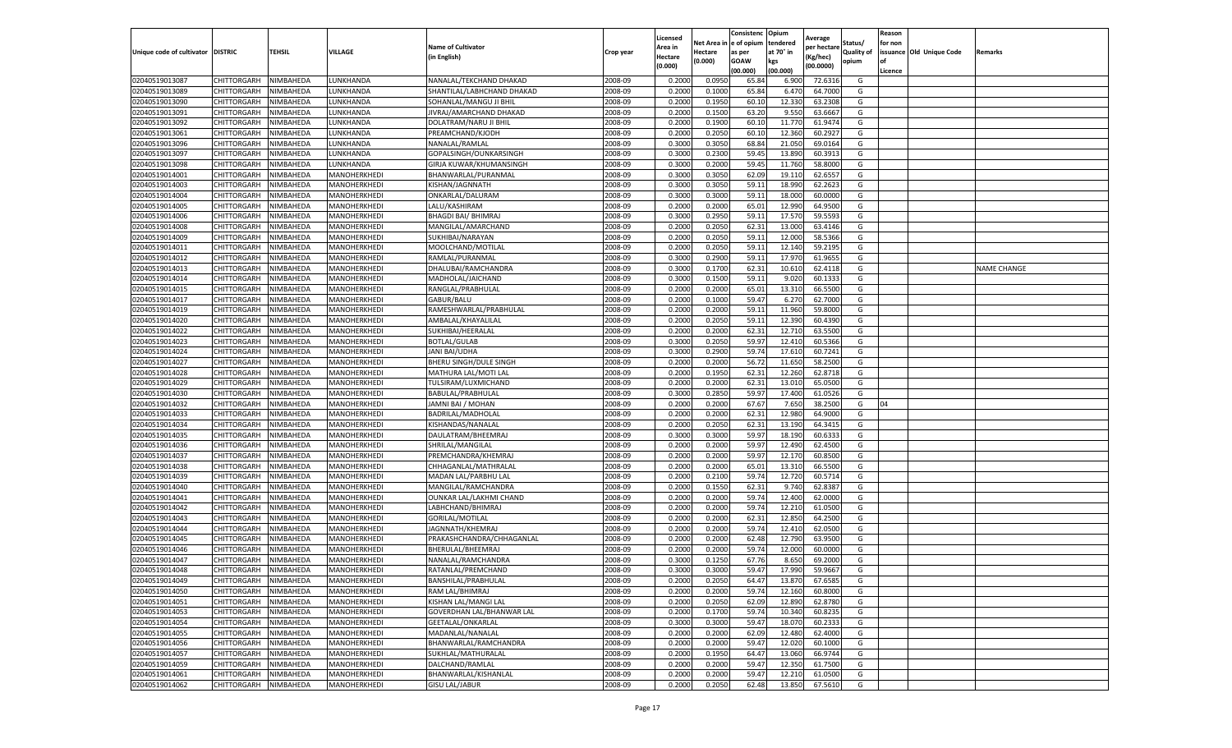|                                   |                            |                        |                              |                                        |           | Licensed         |                  | Consistenc             | Opium            |                        |                   | Reason  |                          |                    |
|-----------------------------------|----------------------------|------------------------|------------------------------|----------------------------------------|-----------|------------------|------------------|------------------------|------------------|------------------------|-------------------|---------|--------------------------|--------------------|
|                                   |                            |                        |                              | <b>Name of Cultivator</b>              |           | Area in          |                  | Net Area in e of opium | tendered         | Average<br>per hectare | Status/           | for non |                          |                    |
| Unique code of cultivator DISTRIC |                            | TEHSIL                 | VILLAGE                      | in English)                            | Crop year | Hectare          | Hectare          | as per                 | at 70° in        | (Kg/hec                | <b>Quality of</b> |         | issuance Old Unique Code | <b>Remarks</b>     |
|                                   |                            |                        |                              |                                        |           | (0.000)          | (0.000)          | <b>GOAW</b>            | kgs              | (00.0000)              | opium             |         |                          |                    |
|                                   |                            |                        |                              |                                        |           |                  |                  | (00.000)               | (00.000)         |                        |                   | Licence |                          |                    |
| 02040519013087                    | CHITTORGARH                | NIMBAHEDA              | LUNKHANDA                    | NANALAL/TEKCHAND DHAKAD                | 2008-09   | 0.2000           | 0.0950           | 65.84                  | 6.900            | 72.6316                | G                 |         |                          |                    |
| 02040519013089                    | CHITTORGARH                | NIMBAHEDA              | LUNKHANDA                    | SHANTILAL/LABHCHAND DHAKAD             | 2008-09   | 0.2000           | 0.1000           | 65.84                  | 6.47             | 64.7000                | G                 |         |                          |                    |
| 02040519013090                    | CHITTORGARH                | NIMBAHEDA              | LUNKHANDA                    | SOHANLAL/MANGU JI BHIL                 | 2008-09   | 0.2000           | 0.1950           | 60.10                  | 12.330           | 63.2308                | G                 |         |                          |                    |
| 02040519013091                    | CHITTORGARH                | NIMBAHEDA              | LUNKHANDA                    | JIVRAJ/AMARCHAND DHAKAD                | 2008-09   | 0.2000           | 0.1500           | 63.20                  | 9.550            | 63.6667                | G                 |         |                          |                    |
| 02040519013092                    | CHITTORGARH                | NIMBAHEDA              | LUNKHANDA                    | DOLATRAM/NARU JI BHIL                  | 2008-09   | 0.2000           | 0.1900           | 60.10                  | 11.77            | 61.9474                | G                 |         |                          |                    |
| 02040519013061                    | CHITTORGARH                | NIMBAHEDA              | UNKHANDA.                    | PREAMCHAND/KJODH                       | 2008-09   | 0.2000           | 0.2050           | 60.10                  | 12.360           | 60.292                 | G                 |         |                          |                    |
| 02040519013096                    | CHITTORGARH                | NIMBAHEDA              | LUNKHANDA                    | NANALAL/RAMLAL                         | 2008-09   | 0.3000           | 0.3050           | 68.84                  | 21.050           | 69.0164                | G                 |         |                          |                    |
| 02040519013097                    | CHITTORGARH                | NIMBAHEDA              | LUNKHANDA                    | GOPALSINGH/OUNKARSINGH                 | 2008-09   | 0.3000           | 0.2300           | 59.45                  | 13.89            | 60.3913                | G                 |         |                          |                    |
| 02040519013098                    | CHITTORGARH                | NIMBAHEDA              | LUNKHANDA                    | GIRJA KUWAR/KHUMANSINGH                | 2008-09   | 0.3000           | 0.2000           | 59.45                  | 11.76            | 58.8000                | G                 |         |                          |                    |
| 02040519014001                    | CHITTORGARH                | NIMBAHEDA              | MANOHERKHEDI                 | BHANWARLAL/PURANMAL                    | 2008-09   | 0.3000           | 0.3050           | 62.09                  | 19.11            | 62.6557                | G                 |         |                          |                    |
| 02040519014003                    | CHITTORGARH                | NIMBAHEDA              | MANOHERKHEDI                 | KISHAN/JAGNNATH                        | 2008-09   | 0.3000           | 0.3050           | 59.11                  | 18.990           | 62.2623                | G                 |         |                          |                    |
| 02040519014004                    | CHITTORGARH                | NIMBAHEDA              | MANOHERKHEDI                 | ONKARLAL/DALURAM                       | 2008-09   | 0.3000           | 0.3000           | 59.11                  | 18.00            | 60.0000                | G                 |         |                          |                    |
| 02040519014005                    | CHITTORGARH                | NIMBAHEDA              | MANOHERKHEDI                 | LALU/KASHIRAM                          | 2008-09   | 0.2000           | 0.2000           | 65.01                  | 12.99            | 64.9500                | G                 |         |                          |                    |
| 02040519014006                    | CHITTORGARH                | NIMBAHEDA              | MANOHERKHEDI                 | <b>BHAGDI BAI/ BHIMRAJ</b>             | 2008-09   | 0.3000           | 0.2950           | 59.1                   | 17.57            | 59.559                 | G                 |         |                          |                    |
| 02040519014008                    | CHITTORGARH                | NIMBAHEDA              | MANOHERKHEDI                 | MANGILAL/AMARCHAND                     | 2008-09   | 0.2000           | 0.2050           | 62.31                  | 13.000           | 63.4146                | G                 |         |                          |                    |
| 02040519014009                    | CHITTORGARH                | NIMBAHEDA              | MANOHERKHEDI                 | SUKHIBAI/NARAYAN                       | 2008-09   | 0.2000           | 0.2050           | 59.11                  | 12.00            | 58.5366                | G                 |         |                          |                    |
| 02040519014011                    | CHITTORGARH                | NIMBAHEDA              | MANOHERKHEDI                 | MOOLCHAND/MOTILAL                      | 2008-09   | 0.2000           | 0.2050           | 59.11                  | 12.14            | 59.2195                | G                 |         |                          |                    |
| 02040519014012                    | CHITTORGARH                | NIMBAHEDA              | MANOHERKHEDI                 | RAMLAL/PURANMAL                        | 2008-09   | 0.3000           | 0.2900           | 59.11                  | 17.97            | 61.9655                | G                 |         |                          |                    |
| 02040519014013                    | CHITTORGARH                | NIMBAHEDA              | MANOHERKHEDI                 | DHALUBAI/RAMCHANDRA                    | 2008-09   | 0.3000           | 0.1700           | 62.31                  | 10.61            | 62.4118                | G                 |         |                          | <b>NAME CHANGE</b> |
| 02040519014014                    | CHITTORGARH                | NIMBAHEDA              | MANOHERKHEDI                 | MADHOLAL/JAICHAND                      | 2008-09   | 0.3000           | 0.1500           | 59.1                   | 9.02(            | 60.1333                | G                 |         |                          |                    |
| 02040519014015                    | CHITTORGARH                | NIMBAHEDA              | MANOHERKHEDI                 | RANGLAL/PRABHULAL                      | 2008-09   | 0.2000           | 0.2000           | 65.01                  | 13.310           | 66.5500                | G                 |         |                          |                    |
| 02040519014017                    | CHITTORGARH                | NIMBAHEDA              | MANOHERKHEDI                 | GABUR/BALU                             | 2008-09   | 0.2000           | 0.1000           | 59.47                  | 6.27             | 62.7000                | G                 |         |                          |                    |
| 02040519014019                    | CHITTORGARH                | NIMBAHEDA              | MANOHERKHEDI                 | RAMESHWARLAL/PRABHULAL                 | 2008-09   | 0.2000           | 0.2000           | 59.11                  | 11.960           | 59.8000                | G                 |         |                          |                    |
| 02040519014020                    | CHITTORGARH                | NIMBAHEDA              | MANOHERKHEDI                 | AMBALAL/KHAYALILAL                     | 2008-09   | 0.2000           | 0.2050           | 59.11                  | 12.390           | 60.4390                | G                 |         |                          |                    |
| 02040519014022                    | CHITTORGARH                | NIMBAHEDA              | MANOHERKHEDI                 | SUKHIBAI/HEERALAL                      | 2008-09   | 0.2000           | 0.2000           | 62.31                  | 12.71            | 63.5500                | G                 |         |                          |                    |
| 02040519014023                    | CHITTORGARH                | NIMBAHEDA              | MANOHERKHEDI                 | <b>BOTLAL/GULAB</b>                    | 2008-09   | 0.3000           | 0.2050           | 59.97                  | 12.410           | 60.5366                | G                 |         |                          |                    |
| 02040519014024                    | CHITTORGARH                | NIMBAHEDA              | MANOHERKHEDI                 | JANI BAI/UDHA                          | 2008-09   | 0.3000           | 0.2900           | 59.74                  | 17.61            | 60.7241                | G                 |         |                          |                    |
| 02040519014027                    | CHITTORGARH                | NIMBAHEDA              | MANOHERKHEDI                 | BHERU SINGH/DULE SINGH                 | 2008-09   | 0.2000           | 0.2000           | 56.72                  | 11.650           | 58.2500                | G                 |         |                          |                    |
| 02040519014028                    | CHITTORGARH                | NIMBAHEDA              | MANOHERKHEDI                 | MATHURA LAL/MOTI LAL                   | 2008-09   | 0.2000           | 0.1950           | 62.31                  | 12.260           | 62.8718                | G                 |         |                          |                    |
| 02040519014029                    | CHITTORGARH                | NIMBAHEDA              | MANOHERKHEDI                 | TULSIRAM/LUXMICHAND                    | 2008-09   | 0.2000           | 0.2000           | 62.31                  | 13.01            | 65.0500                | G                 |         |                          |                    |
| 02040519014030                    | CHITTORGARH                | NIMBAHEDA              | MANOHERKHEDI                 | BABULAL/PRABHULAL                      | 2008-09   | 0.3000           | 0.2850           | 59.97                  | 17.40            | 61.0526                | G                 |         |                          |                    |
| 02040519014032                    | CHITTORGARH                | NIMBAHEDA              | MANOHERKHEDI                 | JAMNI BAI / MOHAN                      | 2008-09   | 0.2000           | 0.2000           | 67.67                  | 7.650            | 38.2500                | G                 | 04      |                          |                    |
| 02040519014033                    | CHITTORGARH                | NIMBAHEDA              | MANOHERKHEDI                 | BADRILAL/MADHOLAL                      | 2008-09   | 0.2000           | 0.2000           | 62.31                  | 12.98            | 64.9000                | G                 |         |                          |                    |
| 02040519014034                    | CHITTORGARH                | NIMBAHEDA              | MANOHERKHEDI                 | KISHANDAS/NANALAL                      | 2008-09   | 0.2000           | 0.2050           | 62.31                  | 13.19            | 64.3415                | G                 |         |                          |                    |
| 02040519014035                    | CHITTORGARH                | NIMBAHEDA              | MANOHERKHEDI                 | DAULATRAM/BHEEMRAJ                     | 2008-09   | 0.3000           | 0.3000           | 59.97                  | 18.190           | 60.6333                | G                 |         |                          |                    |
| 02040519014036                    | CHITTORGARH                | NIMBAHEDA              | MANOHERKHEDI                 | SHRILAL/MANGILAL                       | 2008-09   | 0.2000           | 0.2000           | 59.97                  | 12.490           | 62.4500                | G                 |         |                          |                    |
| 02040519014037                    | CHITTORGARH                | NIMBAHEDA              | MANOHERKHEDI                 | PREMCHANDRA/KHEMRAJ                    | 2008-09   | 0.2000           | 0.2000           | 59.97                  | 12.17            | 60.8500                | G                 |         |                          |                    |
| 02040519014038                    | CHITTORGARH                | NIMBAHEDA              | MANOHERKHEDI                 | CHHAGANLAL/MATHRALAI                   | 2008-09   | 0.2000           | 0.2000           | 65.01                  | 13.31            | 66.5500                | G                 |         |                          |                    |
| 02040519014039                    | CHITTORGARH                | NIMBAHEDA              | MANOHERKHEDI                 | MADAN LAL/PARBHU LAL                   | 2008-09   | 0.2000           | 0.2100           | 59.74                  | 12.72            | 60.5714                | G                 |         |                          |                    |
| 02040519014040                    | CHITTORGARH                | NIMBAHEDA              | MANOHERKHEDI                 | MANGILAL/RAMCHANDRA                    | 2008-09   | 0.2000           | 0.1550           | 62.31                  | 9.74             | 62.8387                | G                 |         |                          |                    |
| 02040519014041                    | CHITTORGARH                | NIMBAHEDA              | MANOHERKHEDI                 | OUNKAR LAL/LAKHMI CHAND                | 2008-09   | 0.2000           | 0.2000           | 59.74                  | 12.40            | 62.0000                | G                 |         |                          |                    |
| 02040519014042                    | CHITTORGARH                | NIMBAHEDA              | MANOHERKHEDI                 | LABHCHAND/BHIMRAJ                      | 2008-09   | 0.2000           | 0.2000           | 59.74                  | 12.21            | 61.0500                | G                 |         |                          |                    |
| 02040519014043                    | CHITTORGARH                | NIMBAHEDA              | MANOHERKHEDI                 | <b>GORILAL/MOTILAL</b>                 | 2008-09   | 0.2000           | 0.2000           | 62.31                  | 12.85            | 64.2500                | G                 |         |                          |                    |
| 02040519014044                    | CHITTORGARH                | NIMBAHEDA              | MANOHERKHEDI                 | JAGNNATH/KHEMRAJ                       | 2008-09   | 0.2000           | 0.2000           | 59.74                  | 12.41            | 62.0500                | G                 |         |                          |                    |
| 02040519014045                    | CHITTORGARH                | NIMBAHEDA              | MANOHERKHEDI                 | PRAKASHCHANDRA/CHHAGANLAL              | 2008-09   | 0.2000           | 0.2000           | 62.48                  | 12.790           | 63.9500                | G                 |         |                          |                    |
| 02040519014046                    | CHITTORGARH                | NIMBAHEDA              | MANOHERKHEDI                 | BHERULAL/BHEEMRAJ                      | 2008-09   | 0.2000           | 0.2000           | 59.74                  | 12.00            | 60.0000                | G                 |         |                          |                    |
| 02040519014047                    | CHITTORGARH                | NIMBAHEDA              | MANOHERKHEDI                 | NANALAL/RAMCHANDRA                     | 2008-09   | 0.3000           | 0.1250           | 67.76                  | 8.65             | 69.2000                | G                 |         |                          |                    |
| 02040519014048                    | CHITTORGARH                | NIMBAHEDA              | MANOHERKHEDI                 | RATANLAL/PREMCHAND                     | 2008-09   | 0.3000           | 0.3000           | 59.47                  | 17.990           | 59.9667                | G                 |         |                          |                    |
|                                   |                            |                        |                              |                                        | 2008-09   |                  |                  |                        |                  |                        |                   |         |                          |                    |
| 02040519014049<br>02040519014050  | CHITTORGARH<br>CHITTORGARH | NIMBAHEDA<br>NIMBAHEDA | MANOHERKHEDI<br>MANOHERKHEDI | BANSHILAL/PRABHULAL<br>RAM LAL/BHIMRAJ | 2008-09   | 0.2000<br>0.2000 | 0.2050<br>0.2000 | 64.47<br>59.74         | 13.870<br>12.160 | 67.6585<br>60.8000     | G<br>G            |         |                          |                    |
|                                   |                            |                        |                              |                                        | 2008-09   |                  | 0.2050           |                        |                  | 62.8780                | G                 |         |                          |                    |
| 02040519014051                    | CHITTORGARH                | NIMBAHEDA              | MANOHERKHEDI                 | KISHAN LAL/MANGI LAL                   |           | 0.2000           |                  | 62.09                  | 12.890           |                        |                   |         |                          |                    |
| 02040519014053                    | CHITTORGARH                | NIMBAHEDA              | MANOHERKHEDI                 | GOVERDHAN LAL/BHANWAR LAL              | 2008-09   | 0.2000           | 0.1700           | 59.74                  | 10.340           | 60.8235                | G                 |         |                          |                    |
| 02040519014054                    | CHITTORGARH                | NIMBAHEDA              | MANOHERKHEDI                 | GEETALAL/ONKARLAL                      | 2008-09   | 0.3000           | 0.3000           | 59.47                  | 18.07            | 60.2333                | G                 |         |                          |                    |
| 02040519014055                    | <b>CHITTORGARH</b>         | NIMBAHEDA              | MANOHERKHEDI                 | MADANLAL/NANALAL                       | 2008-09   | 0.2000           | 0.2000           | 62.09                  | 12.480           | 62.4000                | G                 |         |                          |                    |
| 02040519014056                    | CHITTORGARH                | NIMBAHEDA              | MANOHERKHEDI                 | BHANWARLAL/RAMCHANDRA                  | 2008-09   | 0.2000           | 0.2000           | 59.47                  | 12.020           | 60.1000                | G                 |         |                          |                    |
| 02040519014057                    | CHITTORGARH                | NIMBAHEDA              | MANOHERKHEDI                 | SUKHLAL/MATHURALAL                     | 2008-09   | 0.2000           | 0.1950           | 64.47                  | 13.060           | 66.9744                | G                 |         |                          |                    |
| 02040519014059                    | CHITTORGARH                | NIMBAHEDA              | MANOHERKHEDI                 | DALCHAND/RAMLAL                        | 2008-09   | 0.2000           | 0.2000           | 59.47                  | 12.350           | 61.7500                | G                 |         |                          |                    |
| 02040519014061                    | CHITTORGARH                | NIMBAHEDA              | MANOHERKHEDI                 | BHANWARLAL/KISHANLAL                   | 2008-09   | 0.2000           | 0.2000           | 59.47                  | 12.21            | 61.0500                | G                 |         |                          |                    |
| 02040519014062                    | <b>CHITTORGARH</b>         | NIMBAHEDA              | MANOHERKHEDI                 | <b>GISU LAL/JABUR</b>                  | 2008-09   | 0.2000           | 0.2050           | 62.48                  | 13.850           | 67.5610                | G                 |         |                          |                    |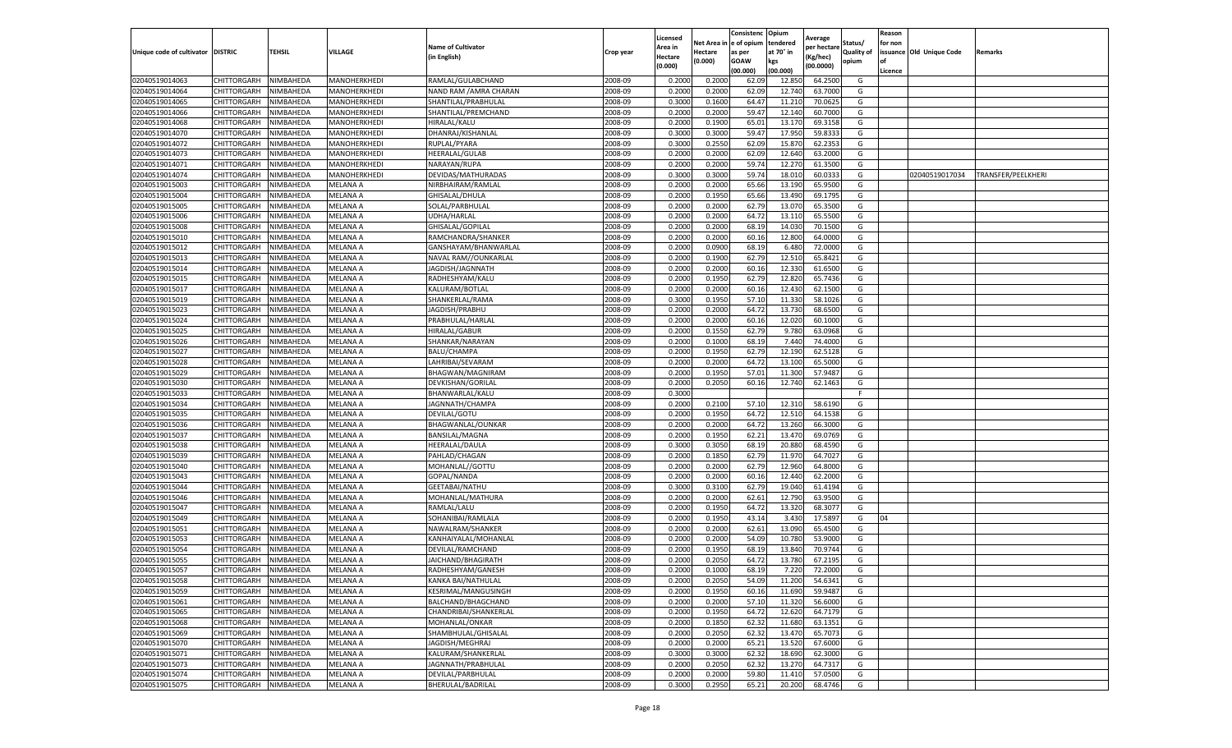|                                   |             |                  |                 |                           |           | Licensed |                         | Consistenc       | Opium           | Average     |            | Reason  |                          |                    |
|-----------------------------------|-------------|------------------|-----------------|---------------------------|-----------|----------|-------------------------|------------------|-----------------|-------------|------------|---------|--------------------------|--------------------|
|                                   |             |                  |                 | <b>Name of Cultivator</b> |           | Area in  | Net Area in le of opium |                  | tendered        | per hectare | Status/    | for non |                          |                    |
| Unique code of cultivator DISTRIC |             | <b>TEHSIL</b>    | VILLAGE         | (in English)              | Crop year | Hectare  | Hectare                 | as per           | at 70° in       | Kg/hec)     | Quality of |         | issuance Old Unique Code | Remarks            |
|                                   |             |                  |                 |                           |           | (0.000)  | (0.000)                 | GOAW<br>(00.000) | kgs<br>(00.000) | (00.0000)   | opium      | Licence |                          |                    |
| 02040519014063                    | CHITTORGARH | NIMBAHEDA        | MANOHERKHEDI    | RAMLAL/GULABCHAND         | 2008-09   | 0.200    | 0.200                   | 62.09            | 12.850          | 64.250      | G          |         |                          |                    |
| 02040519014064                    | CHITTORGARH | NIMBAHEDA        | MANOHERKHEDI    | NAND RAM / AMRA CHARAN    | 2008-09   | 0.200    | 0.200                   | 62.09            | 12.740          | 63.700      | G          |         |                          |                    |
| 02040519014065                    | CHITTORGARH | NIMBAHEDA        | MANOHERKHEDI    | SHANTILAL/PRABHULAL       | 2008-09   | 0.3000   | 0.1600                  | 64.47            | 11.210          | 70.062      | G          |         |                          |                    |
| 02040519014066                    | CHITTORGARH | NIMBAHEDA        | MANOHERKHEDI    | SHANTILAL/PREMCHAND       | 2008-09   | 0.2000   | 0.2000                  | 59.47            | 12.140          | 60.7000     | G          |         |                          |                    |
| 02040519014068                    | CHITTORGARH | NIMBAHEDA        | MANOHERKHEDI    | HIRALAL/KALU              | 2008-09   | 0.2000   | 0.1900                  | 65.01            | 13.170          | 69.315      | G          |         |                          |                    |
| 02040519014070                    | CHITTORGARH | NIMBAHEDA        | MANOHERKHEDI    | DHANRAJ/KISHANLAL         | 2008-09   | 0.3000   | 0.3000                  | 59.4             | 17.950          | 59.833      | G          |         |                          |                    |
| 02040519014072                    | CHITTORGARH | NIMBAHEDA        | MANOHERKHEDI    | RUPLAL/PYARA              | 2008-09   | 0.3000   | 0.2550                  | 62.09            | 15.870          | 62.235      | G          |         |                          |                    |
| 02040519014073                    | CHITTORGARH | NIMBAHEDA        | MANOHERKHEDI    | <b>HEERALAL/GULAB</b>     | 2008-09   | 0.2000   | 0.2000                  | 62.09            | 12.640          | 63.200      | G          |         |                          |                    |
| 02040519014071                    | CHITTORGARH | NIMBAHEDA        | MANOHERKHEDI    | NARAYAN/RUPA              | 2008-09   | 0.2000   | 0.2000                  | 59.74            | 12.270          | 61.3500     | G          |         |                          |                    |
| 02040519014074                    | CHITTORGARH | NIMBAHEDA        | MANOHERKHEDI    | DEVIDAS/MATHURADAS        | 2008-09   | 0.3000   | 0.3000                  | 59.74            | 18.010          | 60.033      | G          |         | 02040519017034           | TRANSFER/PEELKHERI |
| 02040519015003                    | CHITTORGARH | NIMBAHEDA        | MELANA A        | NIRBHAIRAM/RAMLAL         | 2008-09   | 0.2000   | 0.2000                  | 65.66            | 13.190          | 65.950      | G          |         |                          |                    |
| 02040519015004                    | CHITTORGARH | NIMBAHEDA        | MELANA A        | GHISALAL/DHULA            | 2008-09   | 0.2000   | 0.1950                  | 65.66            | 13.490          | 69.179      | G          |         |                          |                    |
| 02040519015005                    | CHITTORGARH | <b>NIMBAHEDA</b> | MELANA A        | SOLAL/PARBHULAL           | 2008-09   | 0.2000   | 0.2000                  | 62.7             | 13.070          | 65.350      | G          |         |                          |                    |
| 02040519015006                    | CHITTORGARH | NIMBAHEDA        | MELANA A        | UDHA/HARLAL               | 2008-09   | 0.2000   | 0.2000                  | 64.7             | 13.110          | 65.550      | G          |         |                          |                    |
| 02040519015008                    | CHITTORGARH | NIMBAHEDA        | MELANA A        | GHISALAL/GOPILAL          | 2008-09   | 0.2000   | 0.2000                  | 68.1             | 14.030          | 70.150      | G          |         |                          |                    |
| 02040519015010                    | CHITTORGARH | NIMBAHEDA        | MELANA A        | RAMCHANDRA/SHANKER        | 2008-09   | 0.2000   | 0.2000                  | 60.16            | 12.800          | 64.000      | G          |         |                          |                    |
| 02040519015012                    | CHITTORGARH | NIMBAHEDA        | MELANA A        | GANSHAYAM/BHANWARLAL      | 2008-09   | 0.2000   | 0.090                   | 68.19            | 6.480           | 72.000      | G          |         |                          |                    |
| 02040519015013                    | CHITTORGARH | NIMBAHEDA        | MELANA A        | NAVAL RAM//OUNKARLAL      | 2008-09   | 0.2000   | 0.1900                  | 62.79            | 12.510          | 65.842      | G          |         |                          |                    |
| 02040519015014                    | CHITTORGARH | NIMBAHEDA        | MELANA A        | JAGDISH/JAGNNATH          | 2008-09   | 0.2000   | 0.2000                  | 60.16            | 12.330          | 61.650      | G          |         |                          |                    |
| 02040519015015                    | CHITTORGARH | <b>NIMBAHEDA</b> | MELANA A        | RADHESHYAM/KALU           | 2008-09   | 0.2000   | 0.1950                  | 62.79            | 12.820          | 65.743      | G          |         |                          |                    |
| 02040519015017                    | CHITTORGARH | NIMBAHEDA        | MELANA A        | KALURAM/BOTLAL            | 2008-09   | 0.2000   | 0.2000                  | 60.16            | 12.430          | 62.1500     | G          |         |                          |                    |
| 02040519015019                    | CHITTORGARH | NIMBAHEDA        | MELANA A        | SHANKERLAL/RAMA           | 2008-09   | 0.3000   | 0.1950                  | 57.10            | 11.330          | 58.102      | G          |         |                          |                    |
| 02040519015023                    | CHITTORGARH | NIMBAHEDA        | MELANA A        | JAGDISH/PRABHU            | 2008-09   | 0.2000   | 0.2000                  | 64.72            | 13.730          | 68.6500     | G          |         |                          |                    |
| 02040519015024                    | CHITTORGARH | NIMBAHEDA        | MELANA A        | PRABHULAL/HARLAL          | 2008-09   | 0.2000   | 0.2000                  | 60.16            | 12.020          | 60.100      | G          |         |                          |                    |
| 02040519015025                    | CHITTORGARH | NIMBAHEDA        | MELANA A        | HIRALAL/GABUR             | 2008-09   | 0.2000   | 0.1550                  | 62.79            | 9.780           | 63.096      | G          |         |                          |                    |
| 02040519015026                    | CHITTORGARH | NIMBAHEDA        | MELANA A        | SHANKAR/NARAYAN           | 2008-09   | 0.2000   | 0.1000                  | 68.19            | 7.440           | 74.400      | G          |         |                          |                    |
| 02040519015027                    | CHITTORGARH | NIMBAHEDA        | MELANA A        | <b>BALU/CHAMPA</b>        | 2008-09   | 0.200    | 0.1950                  | 62.79            | 12.190          | 62.512      | G          |         |                          |                    |
| 02040519015028                    | CHITTORGARH | NIMBAHEDA        | MELANA A        | LAHRIBAI/SEVARAM          | 2008-09   | 0.2000   | 0.2000                  | 64.72            | 13.100          | 65.5000     | G          |         |                          |                    |
| 02040519015029                    | CHITTORGARH | NIMBAHEDA        | MELANA A        | BHAGWAN/MAGNIRAM          | 2008-09   | 0.2000   | 0.1950                  | 57.01            | 11.300          | 57.9487     | G          |         |                          |                    |
| 02040519015030                    | CHITTORGARH | NIMBAHEDA        | MELANA A        | DEVKISHAN/GORILAL         | 2008-09   | 0.2000   | 0.2050                  | 60.16            | 12.740          | 62.1463     | G          |         |                          |                    |
| 02040519015033                    | CHITTORGARH | NIMBAHEDA        | MELANA A        | BHANWARLAL/KALU           | 2008-09   | 0.3000   |                         |                  |                 |             |            |         |                          |                    |
| 02040519015034                    | CHITTORGARH | NIMBAHEDA        | MELANA A        | JAGNNATH/CHAMPA           | 2008-09   | 0.2000   | 0.2100                  | 57.10            | 12.310          | 58.619      | G          |         |                          |                    |
| 02040519015035                    | CHITTORGARH | NIMBAHEDA        | MELANA A        | DEVILAL/GOTU              | 2008-09   | 0.2000   | 0.1950                  | 64.72            | 12.510          | 64.153      | G          |         |                          |                    |
| 02040519015036                    | CHITTORGARH | NIMBAHEDA        | MELANA A        | BHAGWANLAL/OUNKAR         | 2008-09   | 0.2000   | 0.2000                  | 64.72            | 13.260          | 66.300      | G          |         |                          |                    |
| 02040519015037                    | CHITTORGARH | NIMBAHEDA        | MELANA A        | BANSILAL/MAGNA            | 2008-09   | 0.2000   | 0.1950                  | 62.21            | 13.470          | 69.076      | G          |         |                          |                    |
| 02040519015038                    | CHITTORGARH | NIMBAHEDA        | MELANA A        | HEERALAL/DAULA            | 2008-09   | 0.3000   | 0.3050                  | 68.19            | 20.880          | 68.459      | G          |         |                          |                    |
| 02040519015039                    | CHITTORGARH | NIMBAHEDA        | MELANA A        | PAHLAD/CHAGAN             | 2008-09   | 0.2000   | 0.1850                  | 62.79            | 11.970          | 64.702      | G          |         |                          |                    |
| 02040519015040                    | CHITTORGARH | NIMBAHEDA        | MELANA A        | MOHANLAL//GOTTU           | 2008-09   | 0.2000   | 0.2000                  | 62.7             | 12.960          | 64.800      | G          |         |                          |                    |
| 02040519015043                    | CHITTORGARH | NIMBAHEDA        | MELANA A        | GOPAL/NANDA               | 2008-09   | 0.2000   | 0.2000                  | 60.16            | 12.440          | 62.200      | G          |         |                          |                    |
| 02040519015044                    | CHITTORGARH | NIMBAHEDA        | MELANA A        | GEETABAI/NATHU            | 2008-09   | 0.3000   | 0.3100                  | 62.79            | 19.040          | 61.419      | G          |         |                          |                    |
| 02040519015046                    | CHITTORGARH | NIMBAHEDA        | MELANA A        | MOHANLAL/MATHURA          | 2008-09   | 0.200    | 0.2000                  | 62.6             | 12.790          | 63.950      | G          |         |                          |                    |
| 02040519015047                    | CHITTORGARH | NIMBAHEDA        | MELANA A        | RAMLAL/LALU               | 2008-09   | 0.2000   | 0.1950                  | 64.72            | 13.320          | 68.307      | G          |         |                          |                    |
| 02040519015049                    | CHITTORGARH | NIMBAHEDA        | MELANA A        | SOHANIBAI/RAMLALA         | 2008-09   | 0.2000   | 0.1950                  | 43.14            | 3.43(           | 17.589      | G          | 04      |                          |                    |
| 02040519015051                    | CHITTORGARH | NIMBAHEDA        | MELANA A        | NAWALRAM/SHANKER          | 2008-09   | 0.2000   | 0.2000                  | 62.61            | 13.090          | 65.450      | G          |         |                          |                    |
| 02040519015053                    | CHITTORGARH | NIMBAHEDA        | MELANA A        | KANHAIYALAL/MOHANLAL      | 2008-09   | 0.2000   | 0.2000                  | 54.09            | 10.780          | 53.900      | G          |         |                          |                    |
| 02040519015054                    | CHITTORGARH | NIMBAHEDA        | MELANA A        | DEVILAL/RAMCHAND          | 2008-09   | 0.200    | 0.1950                  | 68.19            | 13.840          | 70.974      | G          |         |                          |                    |
| 02040519015055                    | CHITTORGARH | NIMBAHEDA        | MELANA A        | JAICHAND/BHAGIRATH        | 2008-09   | 0.200    | 0.2050                  | 64.72            | 13.780          | 67.219      | G          |         |                          |                    |
| 02040519015057                    | CHITTORGARH | NIMBAHEDA        | <b>MELANA A</b> | RADHESHYAM/GANESH         | 2008-09   | 0.2000   | 0.1000                  | 68.19            | 7.220           | 72.2000     | G          |         |                          |                    |
| 02040519015058                    | CHITTORGARH | NIMBAHEDA        | MELANA A        | KANKA BAI/NATHULAL        | 2008-09   | 0.2000   | 0.2050                  | 54.09            | 11.200          | 54.6341     | G          |         |                          |                    |
| 02040519015059                    | CHITTORGARH | NIMBAHEDA        | <b>MELANA A</b> | KESRIMAL/MANGUSINGH       | 2008-09   | 0.2000   | 0.1950                  | 60.16            | 11.690          | 59.9487     | G          |         |                          |                    |
| 02040519015061                    | CHITTORGARH | NIMBAHEDA        | MELANA A        | BALCHAND/BHAGCHAND        | 2008-09   | 0.2000   | 0.2000                  | 57.10            | 11.320          | 56.6000     | G          |         |                          |                    |
| 02040519015065                    | CHITTORGARH | NIMBAHEDA        | MELANA A        | CHANDRIBAI/SHANKERLAL     | 2008-09   | 0.2000   | 0.1950                  | 64.72            | 12.620          | 64.7179     | G          |         |                          |                    |
| 02040519015068                    | CHITTORGARH | NIMBAHEDA        | MELANA A        | MOHANLAL/ONKAR            | 2008-09   | 0.2000   | 0.1850                  | 62.32            | 11.680          | 63.1351     | G          |         |                          |                    |
| 02040519015069                    | CHITTORGARH | NIMBAHEDA        | <b>MELANA A</b> | SHAMBHULAL/GHISALAL       | 2008-09   | 0.2000   | 0.2050                  | 62.32            | 13.470          | 65.7073     | G          |         |                          |                    |
| 02040519015070                    | CHITTORGARH | NIMBAHEDA        | MELANA A        | JAGDISH/MEGHRAJ           | 2008-09   | 0.2000   | 0.2000                  | 65.21            | 13.520          | 67.6000     | G          |         |                          |                    |
| 02040519015071                    | CHITTORGARH | NIMBAHEDA        | MELANA A        | KALURAM/SHANKERLAL        | 2008-09   | 0.3000   | 0.3000                  | 62.32            | 18.690          | 62.3000     | G          |         |                          |                    |
| 02040519015073                    | CHITTORGARH | NIMBAHEDA        | MELANA A        | JAGNNATH/PRABHULAL        | 2008-09   | 0.2000   | 0.2050                  | 62.32            | 13.270          | 64.7317     | G          |         |                          |                    |
| 02040519015074                    | CHITTORGARH | NIMBAHEDA        | MELANA A        | DEVILAL/PARBHULAL         | 2008-09   | 0.2000   | 0.2000                  | 59.80            | 11.410          | 57.0500     | G          |         |                          |                    |
| 02040519015075                    | CHITTORGARH | NIMBAHEDA        | <b>MELANA A</b> | BHERULAL/BADRILAL         | 2008-09   | 0.3000   | 0.2950                  | 65.21            | 20.200          | 68.4746     | G          |         |                          |                    |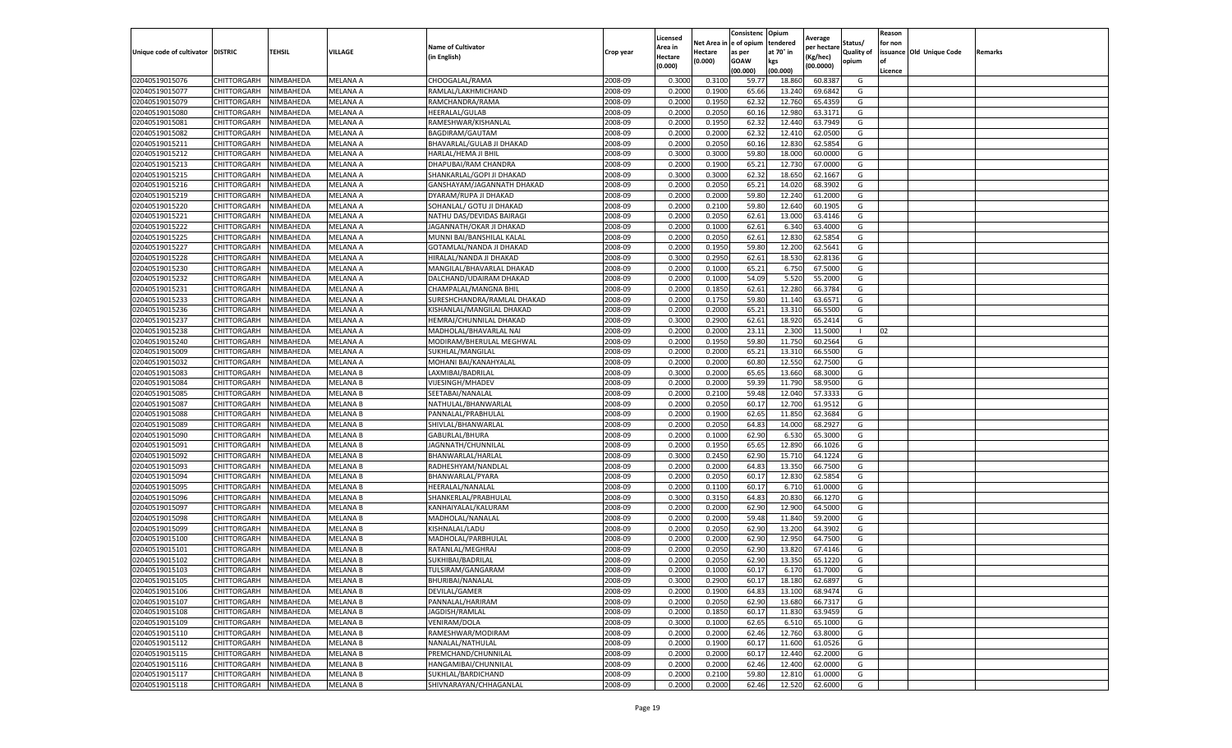|                                   |                            |                        |                             |                                            |                    | Licensed         |                  | Consistenc             | Opium            | Average            |            | Reason  |                          |                |
|-----------------------------------|----------------------------|------------------------|-----------------------------|--------------------------------------------|--------------------|------------------|------------------|------------------------|------------------|--------------------|------------|---------|--------------------------|----------------|
|                                   |                            |                        |                             | <b>Name of Cultivator</b>                  |                    | Area in          |                  | Net Area in e of opium | tendered         | per hectare        | Status/    | for non |                          |                |
| Unique code of cultivator DISTRIC |                            | TEHSIL                 | VILLAGE                     | in English)                                | Crop year          | Hectare          | Hectare          | as per                 | at 70° in        | (Kg/hec            | Quality of |         | issuance Old Unique Code | <b>Remarks</b> |
|                                   |                            |                        |                             |                                            |                    | (0.000)          | (0.000)          | <b>GOAW</b>            | kgs              | (00.0000)          | opium      |         |                          |                |
|                                   |                            |                        |                             |                                            |                    |                  |                  | (00.000)               | (00.000)         |                    |            | Licence |                          |                |
| 02040519015076                    | CHITTORGARH                | NIMBAHEDA              | MELANA A                    | CHOOGALAL/RAMA                             | 2008-09            | 0.3000           | 0.3100           | 59.77                  | 18.86            | 60.8387            | G          |         |                          |                |
| 02040519015077                    | CHITTORGARH                | NIMBAHEDA              | MELANA A                    | RAMLAL/LAKHMICHAND                         | 2008-09            | 0.2000           | 0.1900           | 65.66                  | 13.24            | 69.6842            | G          |         |                          |                |
| 02040519015079                    | CHITTORGARH                | NIMBAHEDA              | MELANA A                    | RAMCHANDRA/RAMA                            | 2008-09            | 0.2000           | 0.1950           | 62.32                  | 12.760           | 65.4359            | G          |         |                          |                |
| 02040519015080                    | CHITTORGARH                | NIMBAHEDA              | MELANA A                    | HEERALAL/GULAB                             | 2008-09            | 0.2000           | 0.2050           | 60.16                  | 12.980           | 63.3171            | G          |         |                          |                |
| 02040519015081                    | CHITTORGARH                | NIMBAHEDA              | MELANA A                    | RAMESHWAR/KISHANLAL                        | 2008-09            | 0.2000           | 0.1950           | 62.32                  | 12.44            | 63.7949            | G          |         |                          |                |
| 02040519015082                    | CHITTORGARH                | NIMBAHEDA              | MELANA A                    | BAGDIRAM/GAUTAM                            | 2008-09            | 0.2000           | 0.2000           | 62.32                  | 12.41            | 62.0500            | G          |         |                          |                |
| 02040519015211                    | CHITTORGARH                | NIMBAHEDA              | MELANA A                    | BHAVARLAL/GULAB JI DHAKAD                  | 2008-09            | 0.2000           | 0.2050           | 60.16                  | 12.83            | 62.5854            | G          |         |                          |                |
| 02040519015212                    | CHITTORGARH                | NIMBAHEDA              | MELANA A                    | HARLAL/HEMA JI BHIL                        | 2008-09            | 0.3000           | 0.3000           | 59.80                  | 18.00            | 60.0000            | G          |         |                          |                |
| 02040519015213                    | CHITTORGARH                | NIMBAHEDA              | MELANA A                    | DHAPUBAI/RAM CHANDRA                       | 2008-09            | 0.2000           | 0.1900           | 65.21                  | 12.73            | 67.0000            | G          |         |                          |                |
| 02040519015215                    | CHITTORGARH                | NIMBAHEDA              | MELANA A                    | SHANKARLAL/GOPI JI DHAKAD                  | 2008-09            | 0.3000           | 0.3000           | 62.32                  | 18.650           | 62.1667            | G          |         |                          |                |
| 02040519015216                    | CHITTORGARH                | NIMBAHEDA              | MELANA A                    | GANSHAYAM/JAGANNATH DHAKAD                 | 2008-09            | 0.2000           | 0.2050           | 65.21                  | 14.02            | 68.3902            | G          |         |                          |                |
| 02040519015219                    | CHITTORGARH                | NIMBAHEDA              | MELANA A                    | DYARAM/RUPA JI DHAKAD                      | 2008-09            | 0.2000           | 0.2000           | 59.80                  | 12.24            | 61.2000            | G          |         |                          |                |
| 02040519015220                    | CHITTORGARH                | NIMBAHEDA              | MELANA A                    | SOHANLAL/ GOTU JI DHAKAD                   | 2008-09            | 0.2000           | 0.2100           | 59.80                  | 12.64            | 60.1905            | G          |         |                          |                |
| 02040519015221                    | CHITTORGARH                | NIMBAHEDA              | MELANA A                    | NATHU DAS/DEVIDAS BAIRAGI                  | 2008-09            | 0.2000           | 0.2050           | 62.61                  | 13.00            | 63.4146            | G          |         |                          |                |
| 02040519015222                    | CHITTORGARH                | NIMBAHEDA              | MELANA A                    | JAGANNATH/OKAR JI DHAKAD                   | 2008-09            | 0.2000           | 0.1000           | 62.61                  | 6.34             | 63.4000            | G          |         |                          |                |
| 02040519015225                    | CHITTORGARH                | NIMBAHEDA              | MELANA A                    | MUNNI BAI/BANSHILAL KALAL                  | 2008-09            | 0.2000           | 0.2050           | 62.61                  | 12.83            | 62.5854            | G          |         |                          |                |
| 02040519015227                    | CHITTORGARH                | NIMBAHEDA              | MELANA A                    | GOTAMLAL/NANDA JI DHAKAD                   | 2008-09            | 0.2000           | 0.1950           | 59.80                  | 12.200           | 62.5641            | G          |         |                          |                |
| 02040519015228                    | CHITTORGARH                | NIMBAHEDA              | MELANA A                    | HIRALAL/NANDA JI DHAKAD                    | 2008-09            | 0.3000           | 0.2950           | 62.61                  | 18.53            | 62.8136            | G          |         |                          |                |
| 02040519015230                    | CHITTORGARH                | NIMBAHEDA              | MELANA A                    | MANGILAL/BHAVARLAL DHAKAD                  | 2008-09            | 0.2000           | 0.1000           | 65.21                  | 6.75             | 67.5000            | G          |         |                          |                |
| 02040519015232                    | CHITTORGARH                | NIMBAHEDA              | MELANA A                    | DALCHAND/UDAIRAM DHAKAD                    | 2008-09            | 0.2000           | 0.1000           | 54.09                  | 5.520            | 55.2000            | G          |         |                          |                |
| 02040519015231                    | CHITTORGARH                | NIMBAHEDA              | MELANA A                    | CHAMPALAL/MANGNA BHIL                      | 2008-09            | 0.2000           | 0.1850           | 62.61                  | 12.280           | 66.3784            | G          |         |                          |                |
| 02040519015233                    | CHITTORGARH                | NIMBAHEDA              | MELANA A                    | SURESHCHANDRA/RAMLAL DHAKAD                | 2008-09            | 0.2000           | 0.1750           | 59.80                  | 11.14            | 63.6571            | G          |         |                          |                |
| 02040519015236                    | CHITTORGARH                | NIMBAHEDA              | MELANA A                    | KISHANLAL/MANGILAL DHAKAD                  | 2008-09            | 0.2000           | 0.2000           | 65.21                  | 13.310           | 66.5500            | G          |         |                          |                |
| 02040519015237                    | CHITTORGARH                | NIMBAHEDA              | MELANA A                    | HEMRAJ/CHUNNILAL DHAKAD                    | 2008-09            | 0.3000           | 0.2900           | 62.61                  | 18.92            | 65.2414            | G          |         |                          |                |
| 02040519015238                    | CHITTORGARH                | NIMBAHEDA              | MELANA A                    | MADHOLAL/BHAVARLAL NAI                     | 2008-09            | 0.2000           | 0.2000           | 23.11                  | 2.300            | 11.5000            |            | 02      |                          |                |
| 02040519015240                    | CHITTORGARH                | NIMBAHEDA              | MELANA A                    | MODIRAM/BHERULAL MEGHWAL                   | 2008-09            | 0.2000           | 0.1950           | 59.80                  | 11.750           | 60.2564            | G          |         |                          |                |
| 02040519015009                    | CHITTORGARH                | NIMBAHEDA              | MELANA A                    | SUKHLAL/MANGILAL                           | 2008-09            | 0.2000           | 0.2000           | 65.2                   | 13.31            | 66.5500            | G          |         |                          |                |
| 02040519015032                    | CHITTORGARH                | NIMBAHEDA              | MELANA A                    | MOHANI BAI/KANAHYALAL                      | 2008-09            | 0.2000           | 0.2000           | 60.80                  | 12.550           | 62.7500            | G          |         |                          |                |
| 02040519015083                    | CHITTORGARH                | NIMBAHEDA              | <b>MELANA B</b>             | LAXMIBAI/BADRILAL                          | 2008-09            | 0.3000           | 0.2000           | 65.65                  | 13.660           | 68.3000            | G          |         |                          |                |
| 02040519015084                    | CHITTORGARH                | NIMBAHEDA              | MELANA B                    | VIJESINGH/MHADEV                           | 2008-09            | 0.2000           | 0.2000           | 59.39                  | 11.790           | 58.9500            | G          |         |                          |                |
| 02040519015085                    | CHITTORGARH                | NIMBAHEDA              | MELANA B                    | SEETABAI/NANALAL                           | 2008-09            | 0.2000           | 0.2100           | 59.48                  | 12.04            | 57.3333            | G          |         |                          |                |
| 02040519015087                    | CHITTORGARH                | NIMBAHEDA              | <b>MELANA B</b>             | NATHULAL/BHANWARLAI                        | 2008-09            | 0.2000           | 0.2050           | 60.17                  | 12.700           | 61.9512            | G          |         |                          |                |
| 02040519015088                    | CHITTORGARH                | NIMBAHEDA              | MELANA B                    | PANNALAL/PRABHULAL                         | 2008-09            | 0.2000           | 0.1900           | 62.65                  | 11.85            | 62.3684            | G          |         |                          |                |
| 02040519015089                    | CHITTORGARH                | NIMBAHEDA              | MELANA B                    | SHIVLAL/BHANWARLAL                         | 2008-09            | 0.2000           | 0.2050           | 64.83                  | 14.000           | 68.2927            | G          |         |                          |                |
| 02040519015090                    | CHITTORGARH                | NIMBAHEDA              | MELANA B                    | GABURLAL/BHURA                             | 2008-09            | 0.2000           | 0.1000           | 62.90                  | 6.530            | 65.3000            | G          |         |                          |                |
| 02040519015091                    | CHITTORGARH                | NIMBAHEDA              | MELANA B                    | JAGNNATH/CHUNNILAL                         | 2008-09            | 0.2000           | 0.1950           | 65.65                  | 12.89            | 66.1026            | G          |         |                          |                |
| 02040519015092                    | CHITTORGARH                | NIMBAHEDA              | <b>MELANA B</b>             | BHANWARLAL/HARLAL                          | 2008-09            | 0.3000           | 0.2450           | 62.90                  | 15.71            | 64.1224            | G          |         |                          |                |
| 02040519015093                    | CHITTORGARH                | NIMBAHEDA              | MELANA B                    | RADHESHYAM/NANDLAL                         | 2008-09            | 0.2000           | 0.2000           | 64.83                  | 13.35            | 66.7500            | G          |         |                          |                |
| 02040519015094                    | CHITTORGARH                | NIMBAHEDA              | <b>MELANA B</b>             | BHANWARLAL/PYARA                           | 2008-09            | 0.2000           | 0.2050           | 60.1                   | 12.83            | 62.5854            | G          |         |                          |                |
| 02040519015095                    | CHITTORGARH                | NIMBAHEDA              | MELANA B                    | HEERALAL/NANALAL                           | 2008-09            | 0.2000           | 0.1100           | 60.17                  | 6.71             | 61.0000            | G          |         |                          |                |
| 02040519015096                    | CHITTORGARH                | NIMBAHEDA              | MELANA B                    | SHANKERLAL/PRABHULAL                       | 2008-09            | 0.3000           | 0.3150           | 64.83                  | 20.83            | 66.1270            | G          |         |                          |                |
| 02040519015097                    | CHITTORGARH                | NIMBAHEDA              | MELANA B                    | KANHAIYALAL/KALURAM                        | 2008-09            | 0.2000           | 0.2000           | 62.90                  | 12.900           | 64.5000            | G          |         |                          |                |
| 02040519015098                    | CHITTORGARH                | NIMBAHEDA              | MELANA B                    | MADHOLAL/NANALAL                           | 2008-09            | 0.2000           | 0.2000           | 59.48                  | 11.84            | 59.2000            | G          |         |                          |                |
| 02040519015099                    | CHITTORGARH                | NIMBAHEDA              | MELANA B                    | KISHNALAL/LADU                             | 2008-09            | 0.2000           | 0.2050           | 62.90                  | 13.20            | 64.3902            | G          |         |                          |                |
| 02040519015100                    | CHITTORGARH                | NIMBAHEDA              | <b>MELANA B</b>             | MADHOLAL/PARBHULAL                         | 2008-09            | 0.2000           | 0.2000           | 62.90                  | 12.950           | 64.7500            | G          |         |                          |                |
| 02040519015101                    | CHITTORGARH                | NIMBAHEDA              | MELANA B                    | RATANLAL/MEGHRAJ                           | 2008-09            | 0.2000           | 0.2050           | 62.90                  | 13.82            | 67.4146            | G          |         |                          |                |
| 02040519015102                    | CHITTORGARH                | NIMBAHEDA              | <b>MELANA B</b>             | SUKHIBAI/BADRILAL                          | 2008-09            | 0.2000           | 0.2050           | 62.90                  | 13.35            | 65.1220            | G          |         |                          |                |
| 02040519015103                    | CHITTORGARH                | NIMBAHEDA              | <b>MELANA B</b>             | TULSIRAM/GANGARAM                          | 2008-09            | 0.2000           | 0.1000           | 60.17                  | 6.170            | 61.7000            | G          |         |                          |                |
|                                   |                            |                        |                             | BHURIBAI/NANALAL                           | 2008-09            |                  |                  |                        |                  |                    | G          |         |                          |                |
| 02040519015105<br>02040519015106  | CHITTORGARH<br>CHITTORGARH | NIMBAHEDA<br>NIMBAHEDA | <b>MELANA B</b><br>MELANA B | DEVILAL/GAMER                              | 2008-09            | 0.3000<br>0.2000 | 0.2900<br>0.1900 | 60.17<br>64.83         | 18.180<br>13.100 | 62.6897<br>68.9474 | G          |         |                          |                |
| 02040519015107                    | CHITTORGARH                | NIMBAHEDA              | MELANA B                    | PANNALAL/HARIRAM                           | 2008-09            | 0.2000           | 0.2050           | 62.90                  | 13.680           | 66.7317            | G          |         |                          |                |
|                                   |                            |                        |                             |                                            |                    |                  |                  |                        |                  |                    |            |         |                          |                |
| 02040519015108                    | CHITTORGARH                | NIMBAHEDA              | MELANA B                    | JAGDISH/RAMLAL                             | 2008-09            | 0.2000           | 0.1850           | 60.17                  | 11.830           | 63.9459            | G          |         |                          |                |
| 02040519015109                    | <b>CHITTORGARH</b>         | NIMBAHEDA<br>NIMBAHEDA | MELANA B                    | VENIRAM/DOLA                               | 2008-09<br>2008-09 | 0.3000           | 0.1000<br>0.2000 | 62.65<br>62.46         | 6.51             | 65.1000            | G<br>G     |         |                          |                |
| 02040519015110                    | <b>CHITTORGARH</b>         |                        | <b>MELANA B</b>             | RAMESHWAR/MODIRAM                          |                    | 0.2000           |                  |                        | 12.760           | 63.8000            |            |         |                          |                |
| 02040519015112                    | CHITTORGARH                | NIMBAHEDA              | MELANA B                    | NANALAL/NATHULAL                           | 2008-09            | 0.2000           | 0.1900           | 60.17                  | 11.600           | 61.0526            | G          |         |                          |                |
| 02040519015115                    | <b>CHITTORGARH</b>         | NIMBAHEDA<br>NIMBAHEDA | <b>MELANA B</b><br>MELANA B | PREMCHAND/CHUNNILAL                        | 2008-09<br>2008-09 | 0.2000           | 0.2000<br>0.2000 | 60.17                  | 12.440           | 62.2000            | G<br>G     |         |                          |                |
| 02040519015116                    | CHITTORGARH                |                        |                             | HANGAMIBAI/CHUNNILAL<br>SUKHLAL/BARDICHAND |                    | 0.2000           |                  | 62.46                  | 12.400           | 62.0000            |            |         |                          |                |
| 02040519015117                    | CHITTORGARH                | NIMBAHEDA              | MELANA B                    |                                            | 2008-09            | 0.2000           | 0.2100           | 59.80                  | 12.810           | 61.0000            | G          |         |                          |                |
| 02040519015118                    | <b>CHITTORGARH</b>         | NIMBAHEDA              | MELANA B                    | SHIVNARAYAN/CHHAGANLAL                     | 2008-09            | 0.2000           | 0.2000           | 62.46                  | 12.520           | 62.6000            | G          |         |                          |                |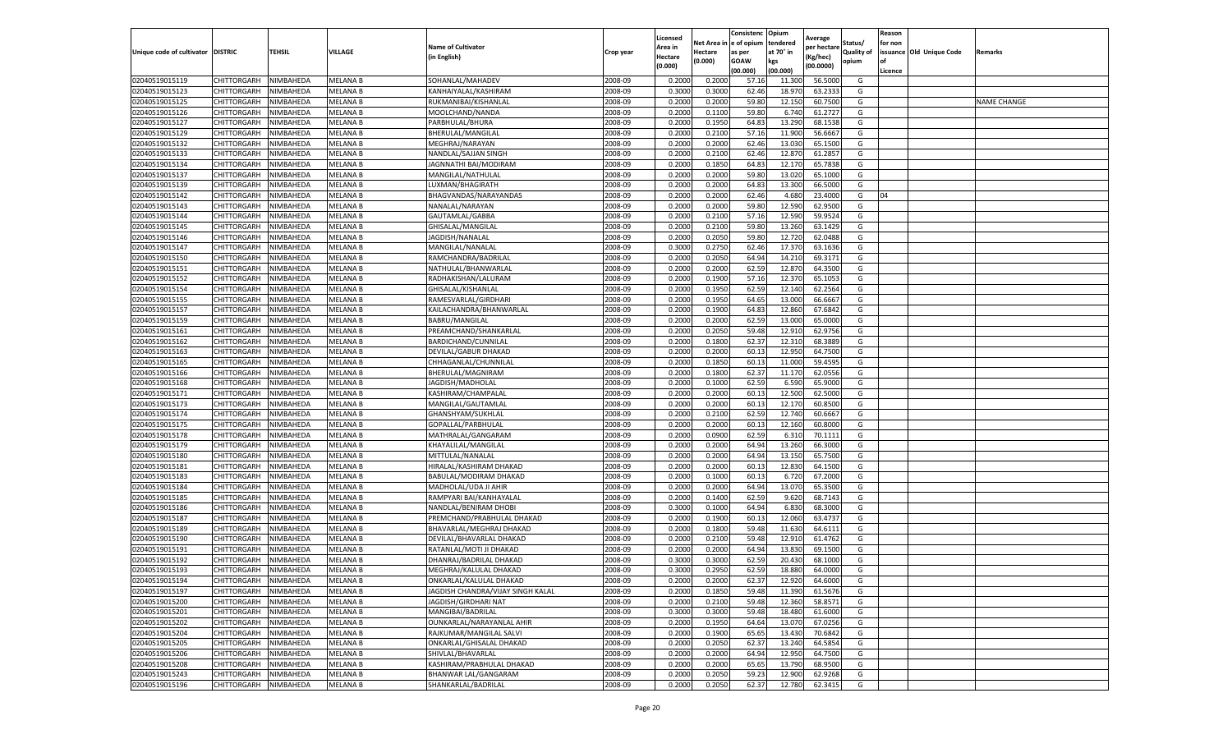|                                   |             |           |                 |                                   |           | Licensed |            | Consistenc  | Opium     | Average     |                   | Reason  |                          |                    |
|-----------------------------------|-------------|-----------|-----------------|-----------------------------------|-----------|----------|------------|-------------|-----------|-------------|-------------------|---------|--------------------------|--------------------|
|                                   |             |           |                 | <b>Name of Cultivator</b>         |           | Area in  | Net Area i | e of opium  | tendered  | per hectare | Status/           | for non |                          |                    |
| Unique code of cultivator DISTRIC |             | TEHSIL    | VILLAGE         | (in English)                      | Crop year | Hectare  | Hectare    | as per      | at 70° in | (Kg/hec)    | <b>Quality of</b> |         | issuance Old Unique Code | Remarks            |
|                                   |             |           |                 |                                   |           | (0.000)  | (0.000)    | <b>GOAW</b> | kgs       | (00.0000)   | opium             | οf      |                          |                    |
|                                   |             |           |                 |                                   |           |          |            | (00.000     | (00.000)  |             |                   | Licence |                          |                    |
| 02040519015119                    | CHITTORGARH | NIMBAHEDA | <b>MELANA B</b> | SOHANLAL/MAHADEV                  | 2008-09   | 0.2000   | 0.2000     | 57.16       | 11.300    | 56.5000     | G                 |         |                          |                    |
| 02040519015123                    | CHITTORGARH | NIMBAHEDA | MELANA B        | KANHAIYALAL/KASHIRAM              | 2008-09   | 0.300    | 0.3000     | 62.46       | 18.97     | 63.2333     | G                 |         |                          |                    |
| 02040519015125                    | CHITTORGARH | NIMBAHEDA | MELANA B        | RUKMANIBAI/KISHANLAI              | 2008-09   | 0.2000   | 0.2000     | 59.80       | 12.150    | 60.7500     | G                 |         |                          | <b>NAME CHANGE</b> |
| 02040519015126                    | CHITTORGARH | NIMBAHEDA | <b>MELANA B</b> | MOOLCHAND/NANDA                   | 2008-09   | 0.2000   | 0.1100     | 59.80       | 6.740     | 61.2727     | G                 |         |                          |                    |
| 02040519015127                    | CHITTORGARH | NIMBAHEDA | MELANA B        | PARBHULAL/BHURA                   | 2008-09   | 0.2000   | 0.1950     | 64.83       | 13.290    | 68.1538     | G                 |         |                          |                    |
| 02040519015129                    | CHITTORGARH | NIMBAHEDA | MELANA B        | BHERULAL/MANGILAL                 | 2008-09   | 0.2000   | 0.2100     | 57.16       | 11.900    | 56.6667     | G                 |         |                          |                    |
| 02040519015132                    | CHITTORGARH | NIMBAHEDA | MELANA B        | MEGHRAJ/NARAYAN                   | 2008-09   | 0.2000   | 0.2000     | 62.46       | 13.030    | 65.1500     | G                 |         |                          |                    |
| 02040519015133                    | CHITTORGARH | NIMBAHEDA | MELANA B        | NANDLAL/SAJJAN SINGH              | 2008-09   | 0.200    | 0.2100     | 62.46       | 12.87     | 61.2857     | G                 |         |                          |                    |
| 02040519015134                    | CHITTORGARH | NIMBAHEDA | MELANA B        | JAGNNATHI BAI/MODIRAM             | 2008-09   | 0.2000   | 0.1850     | 64.83       | 12.170    | 65.7838     | G                 |         |                          |                    |
| 02040519015137                    | CHITTORGARH | NIMBAHEDA | MELANA B        | MANGILAL/NATHULAL                 | 2008-09   | 0.2000   | 0.2000     | 59.80       | 13.020    | 65.1000     | G                 |         |                          |                    |
| 02040519015139                    | CHITTORGARH | NIMBAHEDA | MELANA B        | LUXMAN/BHAGIRATH                  | 2008-09   | 0.2000   | 0.2000     | 64.83       | 13.300    | 66.5000     | G                 |         |                          |                    |
| 02040519015142                    | CHITTORGARH | NIMBAHEDA | MELANA B        | BHAGVANDAS/NARAYANDAS             | 2008-09   | 0.2000   | 0.2000     | 62.46       | 4.680     | 23.4000     | G                 | 04      |                          |                    |
| 02040519015143                    | CHITTORGARH | NIMBAHEDA | MELANA B        | NANALAL/NARAYAN                   | 2008-09   | 0.2000   | 0.2000     | 59.80       | 12.590    | 62.9500     | G                 |         |                          |                    |
| 02040519015144                    | CHITTORGARH | NIMBAHEDA | MELANA B        | GAUTAMLAL/GABBA                   | 2008-09   | 0.200    | 0.2100     | 57.16       | 12.590    | 59.9524     | G                 |         |                          |                    |
| 02040519015145                    | CHITTORGARH | NIMBAHEDA | MELANA B        | GHISALAL/MANGILAL                 | 2008-09   | 0.2000   | 0.2100     | 59.80       | 13.260    | 63.1429     | G                 |         |                          |                    |
| 02040519015146                    | CHITTORGARH | NIMBAHEDA | <b>MELANA B</b> | JAGDISH/NANALAL                   | 2008-09   | 0.2000   | 0.2050     | 59.80       | 12.720    | 62.0488     | G                 |         |                          |                    |
| 02040519015147                    | CHITTORGARH | NIMBAHEDA | MELANA B        | MANGILAL/NANALAL                  | 2008-09   | 0.3000   | 0.2750     | 62.46       | 17.37     | 63.1636     | G                 |         |                          |                    |
| 02040519015150                    | CHITTORGARH | NIMBAHEDA | <b>MELANA B</b> | RAMCHANDRA/BADRILAL               | 2008-09   | 0.2000   | 0.2050     | 64.94       | 14.210    | 69.3171     | G                 |         |                          |                    |
| 02040519015151                    | CHITTORGARH | NIMBAHEDA | <b>MELANA B</b> | NATHULAL/BHANWARLAL               | 2008-09   | 0.2000   | 0.2000     | 62.59       | 12.87     | 64.3500     | G                 |         |                          |                    |
| 02040519015152                    | CHITTORGARH | NIMBAHEDA | MELANA B        | RADHAKISHAN/LALURAM               | 2008-09   | 0.2000   | 0.1900     | 57.16       | 12.370    | 65.1053     | G                 |         |                          |                    |
| 02040519015154                    | CHITTORGARH | NIMBAHEDA | MELANA B        | GHISALAL/KISHANLAL                | 2008-09   | 0.2000   | 0.1950     | 62.59       | 12.140    | 62.2564     | G                 |         |                          |                    |
| 02040519015155                    | CHITTORGARH | NIMBAHEDA | MELANA B        | RAMESVARLAL/GIRDHARI              | 2008-09   | 0.2000   | 0.1950     | 64.65       | 13.000    | 66.6667     | G                 |         |                          |                    |
| 02040519015157                    | CHITTORGARH | NIMBAHEDA | <b>MELANA B</b> | KAILACHANDRA/BHANWARLAL           | 2008-09   | 0.2000   | 0.1900     | 64.83       | 12.860    | 67.6842     | G                 |         |                          |                    |
| 02040519015159                    | CHITTORGARH | NIMBAHEDA | MELANA B        | <b>BABRU/MANGILAL</b>             | 2008-09   | 0.2000   | 0.2000     | 62.59       | 13.000    | 65.0000     | G                 |         |                          |                    |
| 02040519015161                    | CHITTORGARH | NIMBAHEDA | <b>MELANA B</b> | PREAMCHAND/SHANKARLAL             | 2008-09   | 0.2000   | 0.2050     | 59.48       | 12.91     | 62.9756     | G                 |         |                          |                    |
|                                   | CHITTORGARH | NIMBAHEDA |                 |                                   |           |          |            |             |           |             |                   |         |                          |                    |
| 02040519015162                    |             |           | <b>MELANA B</b> | BARDICHAND/CUNNILAL               | 2008-09   | 0.2000   | 0.1800     | 62.37       | 12.310    | 68.3889     | G                 |         |                          |                    |
| 02040519015163                    | CHITTORGARH | NIMBAHEDA | MELANA B        | DEVILAL/GABUR DHAKAD              | 2008-09   | 0.2000   | 0.2000     | 60.1        | 12.950    | 64.7500     | G                 |         |                          |                    |
| 02040519015165                    | CHITTORGARH | NIMBAHEDA | MELANA B        | CHHAGANLAL/CHUNNILAL              | 2008-09   | 0.2000   | 0.1850     | 60.13       | 11.000    | 59.4595     | G                 |         |                          |                    |
| 02040519015166                    | CHITTORGARH | NIMBAHEDA | MELANA B        | BHERULAL/MAGNIRAM                 | 2008-09   | 0.2000   | 0.1800     | 62.37       | 11.170    | 62.0556     | G                 |         |                          |                    |
| 02040519015168                    | CHITTORGARH | NIMBAHEDA | MELANA B        | JAGDISH/MADHOLAL                  | 2008-09   | 0.2000   | 0.1000     | 62.59       | 6.590     | 65.9000     | G                 |         |                          |                    |
| 02040519015171                    | CHITTORGARH | NIMBAHEDA | <b>MELANA B</b> | KASHIRAM/CHAMPALAL                | 2008-09   | 0.2000   | 0.2000     | 60.13       | 12.500    | 62.5000     | G                 |         |                          |                    |
| 02040519015173                    | CHITTORGARH | NIMBAHEDA | MELANA B        | MANGILAL/GAUTAMLAL                | 2008-09   | 0.2000   | 0.2000     | 60.13       | 12.170    | 60.8500     | G                 |         |                          |                    |
| 02040519015174                    | CHITTORGARH | NIMBAHEDA | MELANA B        | GHANSHYAM/SUKHLAL                 | 2008-09   | 0.200    | 0.2100     | 62.59       | 12.740    | 60.6667     | G                 |         |                          |                    |
| 02040519015175                    | CHITTORGARH | NIMBAHEDA | MELANA B        | GOPALLAL/PARBHULAL                | 2008-09   | 0.2000   | 0.2000     | 60.1        | 12.160    | 60.8000     | G                 |         |                          |                    |
| 02040519015178                    | CHITTORGARH | NIMBAHEDA | <b>MELANA B</b> | MATHRALAL/GANGARAM                | 2008-09   | 0.2000   | 0.0900     | 62.59       | 6.310     | 70.1111     | G                 |         |                          |                    |
| 02040519015179                    | CHITTORGARH | NIMBAHEDA | MELANA B        | KHAYALILAL/MANGILAL               | 2008-09   | 0.2000   | 0.2000     | 64.94       | 13.260    | 66.3000     | G                 |         |                          |                    |
| 02040519015180                    | CHITTORGARH | NIMBAHEDA | MELANA B        | MITTULAL/NANALAL                  | 2008-09   | 0.2000   | 0.2000     | 64.94       | 13.150    | 65.7500     | G                 |         |                          |                    |
| 02040519015181                    | CHITTORGARH | NIMBAHEDA | <b>MELANA B</b> | HIRALAL/KASHIRAM DHAKAD           | 2008-09   | 0.2000   | 0.2000     | 60.13       | 12.830    | 64.1500     | G                 |         |                          |                    |
| 02040519015183                    | CHITTORGARH | NIMBAHEDA | MELANA B        | BABULAL/MODIRAM DHAKAD            | 2008-09   | 0.2000   | 0.1000     | 60.1        | 6.720     | 67.2000     | G                 |         |                          |                    |
| 02040519015184                    | CHITTORGARH | NIMBAHEDA | MELANA B        | MADHOLAL/UDA JI AHIR              | 2008-09   | 0.2000   | 0.2000     | 64.94       | 13.070    | 65.3500     | G                 |         |                          |                    |
| 02040519015185                    | CHITTORGARH | NIMBAHEDA | MELANA B        | RAMPYARI BAI/KANHAYALAL           | 2008-09   | 0.2000   | 0.1400     | 62.59       | 9.620     | 68.7143     | G                 |         |                          |                    |
| 02040519015186                    | CHITTORGARH | NIMBAHEDA | MELANA B        | NANDLAL/BENIRAM DHOBI             | 2008-09   | 0.3000   | 0.1000     | 64.94       | 6.830     | 68.3000     | G                 |         |                          |                    |
| 02040519015187                    | CHITTORGARH | NIMBAHEDA | <b>MELANA B</b> | PREMCHAND/PRABHULAL DHAKAD        | 2008-09   | 0.2000   | 0.1900     | 60.1        | 12.060    | 63.4737     | G                 |         |                          |                    |
| 02040519015189                    | CHITTORGARH | NIMBAHEDA | <b>MELANA B</b> | BHAVARLAL/MEGHRAJ DHAKAD          | 2008-09   | 0.2000   | 0.1800     | 59.48       | 11.630    | 64.6111     | G                 |         |                          |                    |
| 02040519015190                    | CHITTORGARH | NIMBAHEDA | <b>MELANA B</b> | DEVILAL/BHAVARLAL DHAKAD          | 2008-09   | 0.2000   | 0.2100     | 59.48       | 12.910    | 61.4762     | G                 |         |                          |                    |
| 02040519015191                    | CHITTORGARH | NIMBAHEDA | MELANA B        | RATANLAL/MOTI JI DHAKAD           | 2008-09   | 0.200    | 0.2000     | 64.94       | 13.830    | 69.1500     | G                 |         |                          |                    |
| 02040519015192                    | CHITTORGARH | NIMBAHEDA | <b>MELANA B</b> | DHANRAJ/BADRILAL DHAKAD           | 2008-09   | 0.300    | 0.3000     | 62.59       | 20.430    | 68.1000     | G                 |         |                          |                    |
| 02040519015193                    | CHITTORGARH | NIMBAHEDA | <b>MELANA B</b> | MEGHRAJ/KALULAL DHAKAD            | 2008-09   | 0.3000   | 0.2950     | 62.59       | 18.880    | 64.0000     | G                 |         |                          |                    |
| 02040519015194                    | CHITTORGARH | NIMBAHEDA | <b>MELANA B</b> | ONKARLAL/KALULAL DHAKAD           | 2008-09   | 0.2000   | 0.2000     | 62.37       | 12.920    | 64.6000     | G                 |         |                          |                    |
| 02040519015197                    | CHITTORGARH | NIMBAHEDA | <b>MELANA B</b> | JAGDISH CHANDRA/VIJAY SINGH KALAL | 2008-09   | 0.2000   | 0.1850     | 59.48       | 11.390    | 61.5676     | G                 |         |                          |                    |
| 02040519015200                    | CHITTORGARH | NIMBAHEDA | MELANA B        | JAGDISH/GIRDHARI NAT              | 2008-09   | 0.2000   | 0.2100     | 59.48       | 12.360    | 58.8571     | G                 |         |                          |                    |
| 02040519015201                    | CHITTORGARH | NIMBAHEDA | <b>MELANA B</b> | MANGIBAI/BADRILAL                 | 2008-09   | 0.3000   | 0.3000     | 59.48       | 18.480    | 61.6000     | G                 |         |                          |                    |
| 02040519015202                    | CHITTORGARH | NIMBAHEDA | <b>MELANA B</b> | OUNKARLAL/NARAYANLAL AHIR         | 2008-09   | 0.2000   | 0.1950     | 64.64       | 13.070    | 67.0256     | G                 |         |                          |                    |
| 02040519015204                    | CHITTORGARH | NIMBAHEDA | <b>MELANA B</b> | RAJKUMAR/MANGILAL SALVI           | 2008-09   | 0.2000   | 0.1900     | 65.65       | 13.430    | 70.6842     | G                 |         |                          |                    |
| 02040519015205                    | CHITTORGARH | NIMBAHEDA | MELANA B        | ONKARLAL/GHISALAL DHAKAD          | 2008-09   | 0.2000   | 0.2050     | 62.37       | 13.240    | 64.5854     | G                 |         |                          |                    |
| 02040519015206                    | CHITTORGARH | NIMBAHEDA | MELANA B        | SHIVLAL/BHAVARLAL                 | 2008-09   | 0.2000   | 0.2000     | 64.94       | 12.950    | 64.7500     | G                 |         |                          |                    |
| 02040519015208                    | CHITTORGARH | NIMBAHEDA | <b>MELANA B</b> | KASHIRAM/PRABHULAL DHAKAD         | 2008-09   | 0.2000   | 0.2000     | 65.65       | 13.790    | 68.9500     | G                 |         |                          |                    |
| 02040519015243                    | CHITTORGARH | NIMBAHEDA | MELANA B        | BHANWAR LAL/GANGARAM              | 2008-09   | 0.2000   | 0.2050     | 59.23       | 12.900    | 62.9268     | G                 |         |                          |                    |
| 02040519015196                    | CHITTORGARH | NIMBAHEDA | <b>MELANA B</b> | SHANKARLAL/BADRILAL               | 2008-09   | 0.2000   | 0.2050     | 62.37       | 12.780    | 62.3415     | G                 |         |                          |                    |
|                                   |             |           |                 |                                   |           |          |            |             |           |             |                   |         |                          |                    |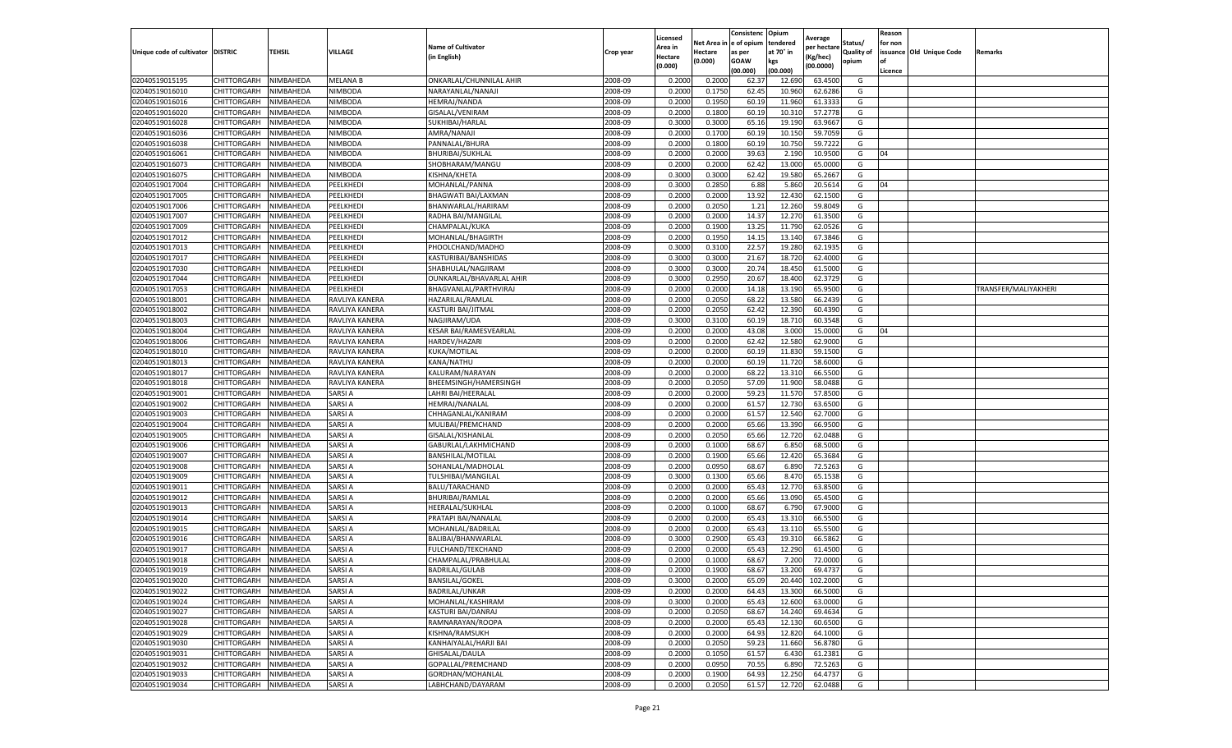|                           |                    |                        |                    |                               |                    | Licensed |         | Consistenc             | Opium          |                        |                   | Reason  |                          |                      |
|---------------------------|--------------------|------------------------|--------------------|-------------------------------|--------------------|----------|---------|------------------------|----------------|------------------------|-------------------|---------|--------------------------|----------------------|
|                           |                    |                        |                    | <b>Name of Cultivator</b>     |                    | Area in  |         | Net Area in e of opium | tendered       | Average<br>per hectare | Status/           | for non |                          |                      |
| Unique code of cultivator | <b>DISTRIC</b>     | TEHSIL                 | VILLAGE            | in English)                   | Crop year          | Hectare  | Hectare | as per                 | at 70° in      | (Kg/hec                | <b>Quality of</b> |         | issuance Old Unique Code | <b>Remarks</b>       |
|                           |                    |                        |                    |                               |                    | (0.000)  | (0.000) | <b>GOAW</b>            | kgs            | (00.0000)              | opium             |         |                          |                      |
|                           |                    |                        |                    |                               |                    |          |         | (00.000)               | (00.000)       |                        |                   | Licence |                          |                      |
| 02040519015195            | CHITTORGARH        | NIMBAHEDA              | <b>MELANA B</b>    | ONKARLAL/CHUNNILAL AHIR       | 2008-09            | 0.2000   | 0.2000  | 62.37                  | 12.69          | 63.4500                | G                 |         |                          |                      |
| 02040519016010            | CHITTORGARH        | NIMBAHEDA              | NIMBODA            | NARAYANLAL/NANAJI             | 2008-09            | 0.2000   | 0.1750  | 62.45                  | 10.96          | 62.6286                | G                 |         |                          |                      |
| 02040519016016            | CHITTORGARH        | NIMBAHEDA              | NIMBODA            | <b>HEMRAJ/NANDA</b>           | 2008-09            | 0.2000   | 0.1950  | 60.19                  | 11.960         | 61.3333                | G                 |         |                          |                      |
| 02040519016020            | CHITTORGARH        | NIMBAHEDA              | NIMBODA            | GISALAL/VENIRAM               | 2008-09            | 0.2000   | 0.1800  | 60.19                  | 10.31          | 57.2778                | G                 |         |                          |                      |
| 02040519016028            | CHITTORGARH        | NIMBAHEDA              | NIMBODA            | SUKHIBAI/HARLAL               | 2008-09            | 0.3000   | 0.3000  | 65.16                  | 19.19          | 63.9667                | G                 |         |                          |                      |
| 02040519016036            | CHITTORGARH        | NIMBAHEDA              | NIMBODA            | AMRA/NANAJI                   | 2008-09            | 0.2000   | 0.1700  | 60.19                  | 10.15          | 59.7059                | G                 |         |                          |                      |
| 02040519016038            | CHITTORGARH        | NIMBAHEDA              | NIMBODA            | PANNALAL/BHURA                | 2008-09            | 0.2000   | 0.1800  | 60.19                  | 10.750         | 59.7222                | G                 |         |                          |                      |
| 02040519016061            | CHITTORGARH        | NIMBAHEDA              | NIMBODA            | <b>BHURIBAI/SUKHLAL</b>       | 2008-09            | 0.2000   | 0.2000  | 39.63                  | 2.190          | 10.9500                | G                 | 04      |                          |                      |
| 02040519016073            | CHITTORGARH        | NIMBAHEDA              | <b>NIMBODA</b>     | SHOBHARAM/MANGU               | 2008-09            | 0.2000   | 0.2000  | 62.42                  | 13.000         | 65.0000                | G                 |         |                          |                      |
| 02040519016075            | CHITTORGARH        | NIMBAHEDA              | NIMBODA            | KISHNA/KHETA                  | 2008-09            | 0.3000   | 0.3000  | 62.42                  | 19.580         | 65.2667                | G                 |         |                          |                      |
| 02040519017004            | CHITTORGARH        | NIMBAHEDA              | PEELKHEDI          | MOHANLAL/PANNA                | 2008-09            | 0.3000   | 0.2850  | 6.88                   | 5.86           | 20.5614                | G                 | 04      |                          |                      |
| 02040519017005            | CHITTORGARH        | NIMBAHEDA              | <b>EELKHEDI</b>    | BHAGWATI BAI/LAXMAN           | 2008-09            | 0.2000   | 0.2000  | 13.92                  | 12.43          | 62.1500                | G                 |         |                          |                      |
| 02040519017006            | CHITTORGARH        | NIMBAHEDA              | PEELKHEDI          | BHANWARLAL/HARIRAM            | 2008-09            | 0.2000   | 0.2050  | 1.21                   | 12.260         | 59.8049                | G                 |         |                          |                      |
| 02040519017007            | CHITTORGARH        | NIMBAHEDA              | PEELKHEDI          | RADHA BAI/MANGILAL            | 2008-09            | 0.2000   | 0.2000  | 14.37                  | 12.27          | 61.3500                | G                 |         |                          |                      |
| 02040519017009            | CHITTORGARH        | NIMBAHEDA              | PEELKHEDI          | CHAMPALAL/KUKA                | 2008-09            | 0.2000   | 0.1900  | 13.25                  | 11.790         | 62.0526                | G                 |         |                          |                      |
| 02040519017012            | CHITTORGARH        | NIMBAHEDA              | PEELKHEDI          | MOHANLAL/BHAGIRTH             | 2008-09            | 0.2000   | 0.1950  | 14.15                  | 13.14          | 67.3846                | G                 |         |                          |                      |
| 02040519017013            | CHITTORGARH        | NIMBAHEDA              | PEELKHEDI          | PHOOLCHAND/MADHO              | 2008-09            | 0.3000   | 0.3100  | 22.57                  | 19.28          | 62.1935                | G                 |         |                          |                      |
| 02040519017017            | CHITTORGARH        | NIMBAHEDA              | PEELKHEDI          | KASTURIBAI/BANSHIDAS          | 2008-09            | 0.3000   | 0.3000  | 21.67                  | 18.72          | 62.4000                | G                 |         |                          |                      |
| 02040519017030            | CHITTORGARH        | NIMBAHEDA              | PEELKHEDI          | SHABHULAL/NAGJIRAM            | 2008-09            | 0.3000   | 0.3000  | 20.74                  | 18.45          | 61.5000                | G                 |         |                          |                      |
| 02040519017044            | CHITTORGARH        | NIMBAHEDA              | PEELKHEDI          | OUNKARLAL/BHAVARLAL AHIR      | 2008-09            | 0.3000   | 0.2950  | 20.67                  | 18.400         | 62.3729                | G                 |         |                          |                      |
| 02040519017053            | CHITTORGARH        | NIMBAHEDA              | PEELKHEDI          | BHAGVANLAL/PARTHVIRAJ         | 2008-09            | 0.2000   | 0.2000  | 14.18                  | 13.190         | 65.9500                | G                 |         |                          | TRANSFER/MALIYAKHERI |
| 02040519018001            | CHITTORGARH        | NIMBAHEDA              | RAVLIYA KANERA     | HAZARILAL/RAMLAL              | 2008-09            | 0.2000   | 0.2050  | 68.22                  | 13.580         | 66.2439                | G                 |         |                          |                      |
| 02040519018002            | CHITTORGARH        | NIMBAHEDA              | RAVLIYA KANERA     | KASTURI BAI/JITMAL            | 2008-09            | 0.2000   | 0.2050  | 62.42                  | 12.390         | 60.4390                | G                 |         |                          |                      |
| 02040519018003            | CHITTORGARH        | NIMBAHEDA              | RAVLIYA KANERA     | NAGJIRAM/UDA                  | 2008-09            | 0.3000   | 0.3100  | 60.19                  | 18.71          | 60.3548                | G                 |         |                          |                      |
| 02040519018004            | CHITTORGARH        | NIMBAHEDA              | RAVLIYA KANERA     | <b>KESAR BAI/RAMESVEARLAL</b> | 2008-09            | 0.2000   | 0.2000  | 43.08                  | 3.000          | 15.0000                | G                 | 04      |                          |                      |
| 02040519018006            | CHITTORGARH        | NIMBAHEDA              | RAVLIYA KANERA     | <b>HARDEV/HAZARI</b>          | 2008-09            | 0.2000   | 0.2000  | 62.42                  | 12.580         | 62.9000                | G                 |         |                          |                      |
| 02040519018010            | CHITTORGARH        | NIMBAHEDA              | RAVLIYA KANERA     | KUKA/MOTILAL                  | 2008-09            | 0.2000   | 0.2000  | 60.19                  | 11.83          | 59.1500                | G                 |         |                          |                      |
| 02040519018013            | CHITTORGARH        | NIMBAHEDA              | RAVLIYA KANERA     | KANA/NATHU                    | 2008-09            | 0.2000   | 0.2000  | 60.19                  | 11.72          | 58.6000                | G                 |         |                          |                      |
| 02040519018017            | CHITTORGARH        | NIMBAHEDA              | RAVLIYA KANERA     | KALURAM/NARAYAN               | 2008-09            | 0.2000   | 0.2000  | 68.22                  | 13.31          | 66.5500                | G                 |         |                          |                      |
| 02040519018018            | CHITTORGARH        | NIMBAHEDA              | RAVLIYA KANERA     | BHEEMSINGH/HAMERSINGH         | 2008-09            | 0.2000   | 0.2050  | 57.09                  | 11.900         | 58.0488                | G                 |         |                          |                      |
| 02040519019001            | CHITTORGARH        | NIMBAHEDA              | SARSI A            | LAHRI BAI/HEERALAI            | 2008-09            | 0.2000   | 0.2000  | 59.23                  | 11.57          | 57.8500                | G                 |         |                          |                      |
| 02040519019002            | CHITTORGARH        | NIMBAHEDA              | SARSI A            | HEMRAJ/NANALAL                | 2008-09            | 0.2000   | 0.2000  | 61.57                  | 12.730         | 63.6500                | G                 |         |                          |                      |
| 02040519019003            | CHITTORGARH        | NIMBAHEDA              | SARSI A            | CHHAGANLAL/KANIRAM            | 2008-09            | 0.2000   | 0.2000  | 61.57                  | 12.54          | 62.7000                | G                 |         |                          |                      |
| 02040519019004            | CHITTORGARH        | NIMBAHEDA              | SARSI A            | MULIBAI/PREMCHAND             | 2008-09            | 0.2000   | 0.2000  | 65.66                  | 13.390         | 66.9500                | G                 |         |                          |                      |
| 02040519019005            | CHITTORGARH        | NIMBAHEDA              | SARSI A            | GISALAL/KISHANLAL             | 2008-09            | 0.2000   | 0.2050  | 65.66                  | 12.72          | 62.0488                | G                 |         |                          |                      |
| 02040519019006            | CHITTORGARH        | NIMBAHEDA              | SARSI A            | GABURLAL/LAKHMICHAND          | 2008-09            | 0.2000   | 0.1000  | 68.67                  | 6.85           | 68.5000                | G                 |         |                          |                      |
| 02040519019007            | CHITTORGARH        | NIMBAHEDA              | SARSI A            | BANSHILAL/MOTILAL             | 2008-09            | 0.2000   | 0.1900  | 65.66                  | 12.420         | 65.3684                | G                 |         |                          |                      |
| 02040519019008            | CHITTORGARH        | NIMBAHEDA              | SARSI A            | SOHANLAL/MADHOLAI             | 2008-09            | 0.2000   | 0.0950  | 68.67                  | 6.89           | 72.5263                | G                 |         |                          |                      |
| 02040519019009            | CHITTORGARH        | NIMBAHEDA              | SARSI A            | TULSHIBAI/MANGILAL            | 2008-09            | 0.3000   | 0.1300  | 65.66                  | 8.47           | 65.1538                | G                 |         |                          |                      |
| 02040519019011            | CHITTORGARH        | NIMBAHEDA              | SARSI A            | BALU/TARACHAND                | 2008-09            | 0.2000   | 0.2000  | 65.43                  | 12.77          | 63.8500                | G                 |         |                          |                      |
| 02040519019012            | CHITTORGARH        | NIMBAHEDA              | SARSI A            | BHURIBAI/RAMLAL               | 2008-09            | 0.2000   | 0.2000  | 65.66                  | 13.090         | 65.4500                | G                 |         |                          |                      |
| 02040519019013            | CHITTORGARH        | NIMBAHEDA              | SARSI A            | HEERALAL/SUKHLAL              | 2008-09            | 0.2000   | 0.1000  | 68.67                  | 6.790          | 67.9000                | G                 |         |                          |                      |
| 02040519019014            | CHITTORGARH        | NIMBAHEDA              | SARSI A            | PRATAPI BAI/NANALAL           | 2008-09            | 0.2000   | 0.2000  | 65.43                  | 13.31          | 66.5500                | G                 |         |                          |                      |
| 02040519019015            | CHITTORGARH        | NIMBAHEDA              | SARSI A            | MOHANLAL/BADRILAL             | 2008-09            | 0.2000   | 0.2000  | 65.43                  | 13.11          | 65.5500                | G                 |         |                          |                      |
| 02040519019016            | CHITTORGARH        | NIMBAHEDA              | SARSI A            | BALIBAI/BHANWARLAI            | 2008-09            | 0.3000   | 0.2900  | 65.43                  | 19.31          | 66.5862                | G                 |         |                          |                      |
| 02040519019017            | CHITTORGARH        | NIMBAHEDA              | SARSI A            | FULCHAND/TEKCHAND             | 2008-09            | 0.2000   | 0.2000  | 65.43                  | 12.29          | 61.4500                | G                 |         |                          |                      |
| 02040519019018            | CHITTORGARH        | NIMBAHEDA              | SARSI A            | CHAMPALAL/PRABHULAL           | 2008-09            | 0.2000   | 0.1000  | 68.67                  | 7.20           | 72.0000                | G                 |         |                          |                      |
| 02040519019019            | CHITTORGARH        | NIMBAHEDA              | SARSI A            | <b>BADRILAL/GULAB</b>         | 2008-09            | 0.2000   | 0.1900  | 68.67                  | 13.200         | 69.4737                | G                 |         |                          |                      |
| 02040519019020            | CHITTORGARH        | <b>NIMBAHEDA</b>       | SARSI A            | <b>BANSILAL/GOKEL</b>         | 2008-09            | 0.3000   | 0.2000  | 65.09                  | 20.440         | 102.2000               | G                 |         |                          |                      |
| 02040519019022            | CHITTORGARH        | NIMBAHEDA              | SARSI A            | <b>BADRILAL/UNKAR</b>         | 2008-09            | 0.2000   | 0.2000  | 64.43                  | 13.300         | 66.5000                | G                 |         |                          |                      |
| 02040519019024            | <b>CHITTORGARH</b> | NIMBAHEDA              | SARSI A            | MOHANLAL/KASHIRAM             | 2008-09            | 0.3000   | 0.2000  | 65.43                  | 12.600         | 63.0000                | G                 |         |                          |                      |
| 02040519019027            | CHITTORGARH        | NIMBAHEDA              | SARSI A            | KASTURI BAI/DANRAJ            | 2008-09            | 0.2000   | 0.2050  | 68.67                  | 14.240         | 69.4634                |                   |         |                          |                      |
| 02040519019028            | CHITTORGARH        | NIMBAHEDA              | SARSI A            | RAMNARAYAN/ROOPA              | 2008-09            | 0.2000   | 0.2000  | 65.43                  | 12.13          | 60.6500                | G<br>G            |         |                          |                      |
|                           |                    | NIMBAHEDA              | SARSI A            |                               | 2008-09            |          | 0.2000  |                        | 12.820         | 64.1000                | G                 |         |                          |                      |
| 02040519019029            | <b>CHITTORGARH</b> |                        |                    | KISHNA/RAMSUKH                |                    | 0.2000   |         | 64.93                  |                |                        |                   |         |                          |                      |
| 02040519019030            | CHITTORGARH        | NIMBAHEDA              | SARSI A            | KANHAIYALAL/HARJI BAI         | 2008-09            | 0.2000   | 0.2050  | 59.23                  | 11.660         | 56.8780                | G                 |         |                          |                      |
| 02040519019031            | CHITTORGARH        | NIMBAHEDA<br>NIMBAHEDA | SARSI A<br>SARSI A | GHISALAL/DAULA                | 2008-09<br>2008-09 | 0.2000   | 0.1050  | 61.57                  | 6.430<br>6.890 | 61.2381<br>72.5263     | G<br>G            |         |                          |                      |
| 02040519019032            | CHITTORGARH        |                        |                    | GOPALLAL/PREMCHAND            |                    | 0.2000   | 0.0950  | 70.55                  |                |                        |                   |         |                          |                      |
| 02040519019033            | CHITTORGARH        | NIMBAHEDA              | SARSI A            | GORDHAN/MOHANLAL              | 2008-09            | 0.2000   | 0.1900  | 64.93                  | 12.250         | 64.4737                | G                 |         |                          |                      |
| 02040519019034            | <b>CHITTORGARH</b> | NIMBAHEDA              | SARSI A            | LABHCHAND/DAYARAM             | 2008-09            | 0.2000   | 0.2050  | 61.57                  | 12.720         | 62.0488                | G                 |         |                          |                      |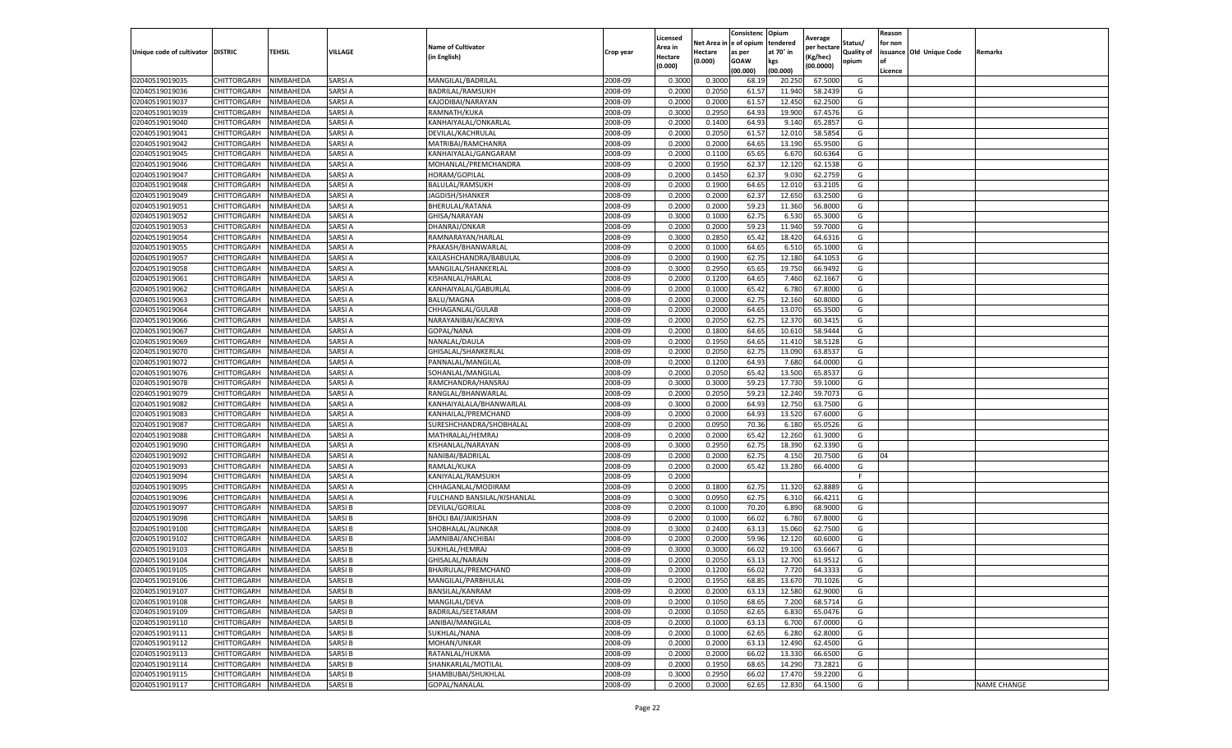|                                   |                    |           |               |                             |           | Licensed |         | Consistenc             | Opium     | Average     |                   | Reason  |                          |                    |
|-----------------------------------|--------------------|-----------|---------------|-----------------------------|-----------|----------|---------|------------------------|-----------|-------------|-------------------|---------|--------------------------|--------------------|
|                                   |                    |           |               | <b>Name of Cultivator</b>   |           | Area in  |         | Net Area in e of opium | tendered  | per hectare | Status/           | for non |                          |                    |
| Unique code of cultivator DISTRIC |                    | TEHSIL    | VILLAGE       | in English)                 | Crop year | Hectare  | Hectare | as per                 | at 70° in | (Kg/hec     | <b>Quality of</b> |         | issuance Old Unique Code | <b>Remarks</b>     |
|                                   |                    |           |               |                             |           | (0.000)  | (0.000) | <b>GOAW</b>            | kgs       | (00.0000)   | opium             |         |                          |                    |
|                                   |                    |           |               |                             |           |          |         | (00.000)               | (00.000)  |             |                   | Licence |                          |                    |
| 02040519019035                    | CHITTORGARH        | NIMBAHEDA | SARSI A       | MANGILAL/BADRILAL           | 2008-09   | 0.3000   | 0.3000  | 68.19                  | 20.25     | 67.5000     | G                 |         |                          |                    |
| 02040519019036                    | CHITTORGARH        | NIMBAHEDA | SARSI A       | BADRILAL/RAMSUKH            | 2008-09   | 0.2000   | 0.2050  | 61.57                  | 11.94     | 58.2439     | G                 |         |                          |                    |
| 02040519019037                    | CHITTORGARH        | NIMBAHEDA | SARSI A       | KAJODIBAI/NARAYAN           | 2008-09   | 0.2000   | 0.2000  | 61.57                  | 12.450    | 62.2500     | G                 |         |                          |                    |
| 02040519019039                    | CHITTORGARH        | NIMBAHEDA | SARSI A       | RAMNATH/KUKA                | 2008-09   | 0.3000   | 0.2950  | 64.93                  | 19.900    | 67.4576     | G                 |         |                          |                    |
| 02040519019040                    | CHITTORGARH        | NIMBAHEDA | SARSI A       | KANHAIYALAL/ONKARLAL        | 2008-09   | 0.2000   | 0.1400  | 64.93                  | 9.14      | 65.2857     | G                 |         |                          |                    |
| 02040519019041                    | CHITTORGARH        | NIMBAHEDA | SARSI A       | DEVILAL/KACHRULAL           | 2008-09   | 0.2000   | 0.2050  | 61.57                  | 12.01     | 58.5854     | G                 |         |                          |                    |
| 02040519019042                    | CHITTORGARH        | NIMBAHEDA | SARSI A       | MATRIBAI/RAMCHANRA          | 2008-09   | 0.2000   | 0.2000  | 64.65                  | 13.190    | 65.9500     | G                 |         |                          |                    |
| 02040519019045                    | CHITTORGARH        | NIMBAHEDA | SARSI A       | KANHAIYALAL/GANGARAM        | 2008-09   | 0.2000   | 0.1100  | 65.65                  | 6.67      | 60.6364     | G                 |         |                          |                    |
| 02040519019046                    | CHITTORGARH        | NIMBAHEDA | SARSI A       | MOHANLAL/PREMCHANDRA        | 2008-09   | 0.2000   | 0.1950  | 62.37                  | 12.12     | 62.1538     | G                 |         |                          |                    |
| 02040519019047                    | CHITTORGARH        | NIMBAHEDA | SARSI A       | HORAM/GOPILAL               | 2008-09   | 0.2000   | 0.1450  | 62.37                  | 9.030     | 62.2759     | G                 |         |                          |                    |
| 02040519019048                    | CHITTORGARH        | NIMBAHEDA | SARSI A       | BALULAL/RAMSUKH             | 2008-09   | 0.2000   | 0.1900  | 64.65                  | 12.01     | 63.2105     | G                 |         |                          |                    |
| 02040519019049                    | CHITTORGARH        | NIMBAHEDA | SARSI A       | JAGDISH/SHANKER             | 2008-09   | 0.2000   | 0.2000  | 62.37                  | 12.65     | 63.2500     | G                 |         |                          |                    |
| 02040519019051                    | CHITTORGARH        | NIMBAHEDA | SARSI A       | BHERULAL/RATANA             | 2008-09   | 0.2000   | 0.2000  | 59.23                  | 11.360    | 56.8000     | G                 |         |                          |                    |
| 02040519019052                    | CHITTORGARH        | NIMBAHEDA | SARSI A       | GHISA/NARAYAN               | 2008-09   | 0.3000   | 0.1000  | 62.75                  | 6.53      | 65.3000     | G                 |         |                          |                    |
| 02040519019053                    | CHITTORGARH        | NIMBAHEDA | SARSI A       | DHANRAJ/ONKAR               | 2008-09   | 0.2000   | 0.2000  | 59.23                  | 11.94     | 59.7000     | G                 |         |                          |                    |
| 02040519019054                    | CHITTORGARH        | NIMBAHEDA | SARSI A       | RAMNARAYAN/HARLAL           | 2008-09   | 0.3000   | 0.2850  | 65.42                  | 18.42     | 64.6316     | G                 |         |                          |                    |
| 02040519019055                    | CHITTORGARH        | NIMBAHEDA | SARSI A       | PRAKASH/BHANWARLAL          | 2008-09   | 0.2000   | 0.1000  | 64.65                  | 6.51      | 65.1000     | G                 |         |                          |                    |
| 02040519019057                    | CHITTORGARH        | NIMBAHEDA | SARSI A       | KAILASHCHANDRA/BABULAL      | 2008-09   | 0.2000   | 0.1900  | 62.75                  | 12.18     | 64.1053     | G                 |         |                          |                    |
| 02040519019058                    | CHITTORGARH        | NIMBAHEDA | SARSI A       | MANGILAL/SHANKERLAL         | 2008-09   | 0.3000   | 0.2950  | 65.65                  | 19.75     | 66.9492     | G                 |         |                          |                    |
| 02040519019061                    | CHITTORGARH        | NIMBAHEDA | SARSI A       | KISHANLAL/HARLAL            | 2008-09   | 0.2000   | 0.1200  | 64.65                  | 7.460     | 62.1667     | G                 |         |                          |                    |
| 02040519019062                    | CHITTORGARH        | NIMBAHEDA | SARSI A       | KANHAIYALAL/GABURLAL        | 2008-09   | 0.2000   | 0.1000  | 65.42                  | 6.780     | 67.8000     | G                 |         |                          |                    |
| 02040519019063                    | CHITTORGARH        | NIMBAHEDA | SARSI A       | BALU/MAGNA                  | 2008-09   | 0.2000   | 0.2000  | 62.75                  | 12.16     | 60.8000     | G                 |         |                          |                    |
| 02040519019064                    | CHITTORGARH        | NIMBAHEDA | SARSI A       | CHHAGANLAL/GULAB            | 2008-09   | 0.2000   | 0.2000  | 64.65                  | 13.070    | 65.3500     | G                 |         |                          |                    |
| 02040519019066                    | CHITTORGARH        | NIMBAHEDA | SARSI A       | NARAYANIBAI/KACRIYA         | 2008-09   | 0.2000   | 0.2050  | 62.75                  | 12.37     | 60.3415     | G                 |         |                          |                    |
| 02040519019067                    | CHITTORGARH        | NIMBAHEDA | SARSI A       | GOPAL/NANA                  | 2008-09   | 0.2000   | 0.1800  | 64.65                  | 10.61     | 58.9444     | G                 |         |                          |                    |
| 02040519019069                    | CHITTORGARH        | NIMBAHEDA | SARSI A       | NANALAL/DAULA               | 2008-09   | 0.2000   | 0.1950  | 64.65                  | 11.41     | 58.5128     | G                 |         |                          |                    |
| 02040519019070                    | CHITTORGARH        | NIMBAHEDA | SARSI A       | GHISALAL/SHANKERLAL         | 2008-09   | 0.2000   | 0.2050  | 62.75                  | 13.09     | 63.8537     | G                 |         |                          |                    |
| 02040519019072                    | CHITTORGARH        | NIMBAHEDA | SARSI A       | PANNALAL/MANGILAL           | 2008-09   | 0.2000   | 0.1200  | 64.93                  | 7.680     | 64.0000     | G                 |         |                          |                    |
| 02040519019076                    | CHITTORGARH        | NIMBAHEDA | SARSI A       | SOHANLAL/MANGILAL           | 2008-09   | 0.2000   | 0.2050  | 65.42                  | 13.500    | 65.8537     | G                 |         |                          |                    |
| 02040519019078                    | CHITTORGARH        | NIMBAHEDA | SARSI A       | RAMCHANDRA/HANSRAJ          | 2008-09   | 0.3000   | 0.3000  | 59.23                  | 17.73     | 59.1000     | G                 |         |                          |                    |
| 02040519019079                    | CHITTORGARH        | NIMBAHEDA | SARSI A       | RANGLAL/BHANWARLAL          | 2008-09   | 0.2000   | 0.2050  | 59.23                  | 12.24     | 59.707      | G                 |         |                          |                    |
| 02040519019082                    | CHITTORGARH        | NIMBAHEDA | SARSI A       | KANHAIYALALA/BHANWARLAL     | 2008-09   | 0.3000   | 0.2000  | 64.93                  | 12.750    | 63.7500     | G                 |         |                          |                    |
| 02040519019083                    | CHITTORGARH        | NIMBAHEDA | SARSI A       | KANHAILAL/PREMCHAND         | 2008-09   | 0.2000   | 0.2000  | 64.93                  | 13.52     | 67.6000     | G                 |         |                          |                    |
| 02040519019087                    | CHITTORGARH        | NIMBAHEDA | SARSI A       | SURESHCHANDRA/SHOBHALAL     | 2008-09   | 0.2000   | 0.0950  | 70.36                  | 6.180     | 65.0526     | G                 |         |                          |                    |
| 02040519019088                    | CHITTORGARH        | NIMBAHEDA | SARSI A       | MATHRALAL/HEMRAJ            | 2008-09   | 0.2000   | 0.2000  | 65.42                  | 12.260    | 61.3000     | G                 |         |                          |                    |
| 02040519019090                    | CHITTORGARH        | NIMBAHEDA | SARSI A       | KISHANLAL/NARAYAN           | 2008-09   | 0.3000   | 0.2950  | 62.75                  | 18.39     | 62.3390     | G                 |         |                          |                    |
| 02040519019092                    | CHITTORGARH        | NIMBAHEDA | SARSI A       | NANIBAI/BADRILAL            | 2008-09   | 0.2000   | 0.2000  | 62.75                  | 4.15      | 20.7500     | G                 | 04      |                          |                    |
| 02040519019093                    | CHITTORGARH        | NIMBAHEDA | SARSI A       | RAMLAL/KUKA                 | 2008-09   | 0.2000   | 0.2000  | 65.42                  | 13.280    | 66.4000     | G                 |         |                          |                    |
| 02040519019094                    | CHITTORGARH        | NIMBAHEDA | SARSI A       | KANIYALAL/RAMSUKH           | 2008-09   | 0.2000   |         |                        |           |             | F                 |         |                          |                    |
| 02040519019095                    | CHITTORGARH        | NIMBAHEDA | SARSI A       | CHHAGANLAL/MODIRAM          | 2008-09   | 0.2000   | 0.1800  | 62.75                  | 11.320    | 62.8889     | G                 |         |                          |                    |
| 02040519019096                    | CHITTORGARH        | NIMBAHEDA | SARSI A       | FULCHAND BANSILAL/KISHANLAL | 2008-09   | 0.3000   | 0.0950  | 62.75                  | 6.31      | 66.4211     | G                 |         |                          |                    |
| 02040519019097                    | CHITTORGARH        | NIMBAHEDA | SARSI B       | DEVILAL/GORILAL             | 2008-09   | 0.2000   | 0.1000  | 70.20                  | 6.890     | 68.9000     | G                 |         |                          |                    |
| 02040519019098                    | CHITTORGARH        | NIMBAHEDA | SARSI B       | <b>BHOLI BAI/JAIKISHAN</b>  | 2008-09   | 0.2000   | 0.1000  | 66.02                  | 6.78      | 67.8000     | G                 |         |                          |                    |
| 02040519019100                    | CHITTORGARH        | NIMBAHEDA | SARSI B       | SHOBHALAL/AUNKAR            | 2008-09   | 0.3000   | 0.2400  | 63.13                  | 15.06     | 62.7500     | G                 |         |                          |                    |
| 02040519019102                    | CHITTORGARH        | NIMBAHEDA | SARSI B       | JAMNIBAI/ANCHIBAI           | 2008-09   | 0.2000   | 0.2000  | 59.96                  | 12.120    | 60.6000     | G                 |         |                          |                    |
| 02040519019103                    | CHITTORGARH        | NIMBAHEDA | SARSI B       | SUKHLAL/HEMRAJ              | 2008-09   | 0.3000   | 0.3000  | 66.02                  | 19.10     | 63.6667     | G                 |         |                          |                    |
| 02040519019104                    | CHITTORGARH        | NIMBAHEDA | SARSI B       | <b>GHISALAL/NARAIN</b>      | 2008-09   | 0.2000   | 0.2050  | 63.13                  | 12.700    | 61.9512     | G                 |         |                          |                    |
| 02040519019105                    | CHITTORGARH        | NIMBAHEDA | SARSI B       | BHAIRULAL/PREMCHAND         | 2008-09   | 0.2000   | 0.1200  | 66.02                  | 7.720     | 64.3333     | G                 |         |                          |                    |
| 02040519019106                    | <b>CHITTORGARH</b> | NIMBAHEDA | SARSI B       | MANGILAL/PARBHULAL          | 2008-09   | 0.2000   | 0.1950  | 68.85                  | 13.670    | 70.1026     | G                 |         |                          |                    |
| 02040519019107                    | CHITTORGARH        | NIMBAHEDA | SARSI B       | BANSILAL/KANRAM             | 2008-09   | 0.2000   | 0.2000  | 63.13                  | 12.580    | 62.9000     | G                 |         |                          |                    |
| 02040519019108                    | <b>CHITTORGARH</b> | NIMBAHEDA | SARSI B       | MANGILAL/DEVA               | 2008-09   | 0.2000   | 0.1050  | 68.65                  | 7.200     | 68.5714     | G                 |         |                          |                    |
| 02040519019109                    | CHITTORGARH        | NIMBAHEDA | SARSI B       | BADRILAL/SEETARAM           | 2008-09   | 0.2000   | 0.1050  | 62.65                  | 6.830     | 65.0476     | G                 |         |                          |                    |
| 02040519019110                    | <b>CHITTORGARH</b> | NIMBAHEDA | SARSI B       | JANIBAI/MANGILAL            | 2008-09   | 0.2000   | 0.1000  | 63.13                  | 6.700     | 67.0000     | G                 |         |                          |                    |
| 02040519019111                    | <b>CHITTORGARH</b> | NIMBAHEDA | <b>SARSIB</b> | SUKHLAL/NANA                | 2008-09   | 0.2000   | 0.1000  | 62.65                  | 6.280     | 62.8000     | G                 |         |                          |                    |
| 02040519019112                    | CHITTORGARH        | NIMBAHEDA | SARSI B       | MOHAN/UNKAR                 | 2008-09   | 0.2000   | 0.2000  | 63.13                  | 12.490    | 62.4500     | G                 |         |                          |                    |
| 02040519019113                    | CHITTORGARH        | NIMBAHEDA | SARSI B       | RATANLAL/HUKMA              | 2008-09   | 0.2000   | 0.2000  | 66.02                  | 13.330    | 66.6500     | G                 |         |                          |                    |
| 02040519019114                    | CHITTORGARH        | NIMBAHEDA | SARSI B       | SHANKARLAL/MOTILAL          | 2008-09   | 0.2000   | 0.1950  | 68.65                  | 14.290    | 73.2821     | G                 |         |                          |                    |
| 02040519019115                    | CHITTORGARH        | NIMBAHEDA | SARSI B       | SHAMBUBAI/SHUKHLAL          | 2008-09   | 0.3000   | 0.2950  | 66.02                  | 17.470    | 59.2200     | G                 |         |                          |                    |
| 02040519019117                    | <b>CHITTORGARH</b> | NIMBAHEDA | <b>SARSIB</b> | GOPAL/NANALAL               | 2008-09   | 0.2000   | 0.2000  | 62.65                  | 12.830    | 64.1500     | G                 |         |                          | <b>NAME CHANGE</b> |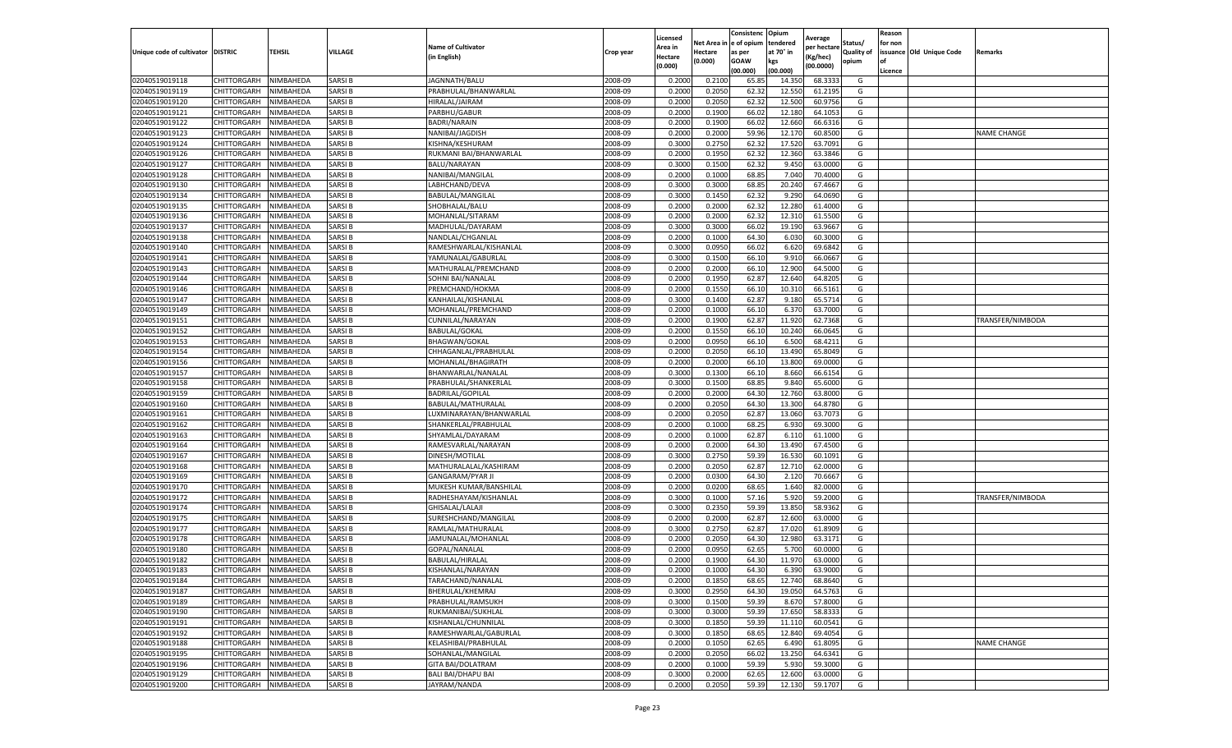|                           |                    |           |               |                                                 |           | Licensed |         | Consistenc             | Opium     | Average            |                   | Reason  |                          |                    |
|---------------------------|--------------------|-----------|---------------|-------------------------------------------------|-----------|----------|---------|------------------------|-----------|--------------------|-------------------|---------|--------------------------|--------------------|
|                           |                    |           |               | <b>Name of Cultivator</b>                       |           | Area in  |         | Net Area in e of opium | tendered  | per hectare        | Status/           | for non |                          |                    |
| Unique code of cultivator | <b>DISTRIC</b>     | TEHSIL    | VILLAGE       | in English)                                     | Crop year | Hectare  | Hectare | as per                 | at 70° in | (Kg/hec            | <b>Quality of</b> |         | issuance Old Unique Code | <b>Remarks</b>     |
|                           |                    |           |               |                                                 |           | (0.000)  | (0.000) | <b>GOAW</b>            | kgs       | (00.0000)          | opium             |         |                          |                    |
|                           |                    |           |               |                                                 |           |          |         | (00.000)               | (00.000)  |                    |                   | Licence |                          |                    |
| 02040519019118            | CHITTORGARH        | NIMBAHEDA | SARSI B       | JAGNNATH/BALU                                   | 2008-09   | 0.2000   | 0.2100  | 65.85                  | 14.35     | 68.3333            | G                 |         |                          |                    |
| 02040519019119            | CHITTORGARH        | NIMBAHEDA | SARSI B       | PRABHULAL/BHANWARLAL                            | 2008-09   | 0.2000   | 0.2050  | 62.32                  | 12.55     | 61.2195            | G                 |         |                          |                    |
| 02040519019120            | CHITTORGARH        | NIMBAHEDA | SARSI B       | HIRALAL/JAIRAM                                  | 2008-09   | 0.2000   | 0.2050  | 62.32                  | 12.50     | 60.9756            | G                 |         |                          |                    |
| 02040519019121            | CHITTORGARH        | NIMBAHEDA | SARSI B       | PARBHU/GABUR                                    | 2008-09   | 0.2000   | 0.1900  | 66.02                  | 12.180    | 64.1053            | G                 |         |                          |                    |
| 02040519019122            | CHITTORGARH        | NIMBAHEDA | SARSI B       | <b>BADRI/NARAIN</b>                             | 2008-09   | 0.2000   | 0.1900  | 66.02                  | 12.66     | 66.6316            | G                 |         |                          |                    |
| 02040519019123            | CHITTORGARH        | NIMBAHEDA | SARSI B       | NANIBAI/JAGDISH                                 | 2008-09   | 0.2000   | 0.2000  | 59.96                  | 12.17     | 60.8500            | G                 |         |                          | NAME CHANGE        |
| 02040519019124            | CHITTORGARH        | NIMBAHEDA | SARSI B       | KISHNA/KESHURAM                                 | 2008-09   | 0.3000   | 0.2750  | 62.32                  | 17.520    | 63.7091            | G                 |         |                          |                    |
| 02040519019126            | CHITTORGARH        | NIMBAHEDA | SARSI B       | RUKMANI BAI/BHANWARLAI                          | 2008-09   | 0.2000   | 0.1950  | 62.32                  | 12.360    | 63.3846            | G                 |         |                          |                    |
| 02040519019127            | CHITTORGARH        | NIMBAHEDA | SARSI B       | BALU/NARAYAN                                    | 2008-09   | 0.3000   | 0.1500  | 62.32                  | 9.45      | 63.0000            | G                 |         |                          |                    |
| 02040519019128            | CHITTORGARH        | NIMBAHEDA | SARSI B       | NANIBAI/MANGILAL                                | 2008-09   | 0.2000   | 0.1000  | 68.85                  | 7.040     | 70.4000            | G                 |         |                          |                    |
| 02040519019130            | CHITTORGARH        | NIMBAHEDA | SARSI B       | LABHCHAND/DEVA                                  | 2008-09   | 0.3000   | 0.3000  | 68.85                  | 20.24     | 67.4667            | G                 |         |                          |                    |
| 02040519019134            | CHITTORGARH        | NIMBAHEDA | SARSI B       | BABULAL/MANGILAL                                | 2008-09   | 0.3000   | 0.1450  | 62.32                  | 9.29      | 64.0690            | G                 |         |                          |                    |
| 02040519019135            | CHITTORGARH        | NIMBAHEDA | SARSI B       | SHOBHALAL/BALU                                  | 2008-09   | 0.2000   | 0.2000  | 62.32                  | 12.28     | 61.4000            | G                 |         |                          |                    |
| 02040519019136            | CHITTORGARH        | NIMBAHEDA | SARSI B       | MOHANLAL/SITARAM                                | 2008-09   | 0.2000   | 0.2000  | 62.32                  | 12.31     | 61.5500            | G                 |         |                          |                    |
| 02040519019137            | CHITTORGARH        | NIMBAHEDA | SARSI B       | MADHULAL/DAYARAM                                | 2008-09   | 0.3000   | 0.3000  | 66.02                  | 19.19     | 63.9667            | G                 |         |                          |                    |
| 02040519019138            | CHITTORGARH        | NIMBAHEDA | SARSI B       | NANDLAL/CHGANLAL                                | 2008-09   | 0.2000   | 0.1000  | 64.30                  | 6.030     | 60.3000            | G                 |         |                          |                    |
| 02040519019140            | CHITTORGARH        | NIMBAHEDA | SARSI B       | RAMESHWARLAL/KISHANLAL                          | 2008-09   | 0.3000   | 0.0950  | 66.02                  | 6.62      | 69.6842            | G                 |         |                          |                    |
| 02040519019141            | CHITTORGARH        | NIMBAHEDA | SARSI B       | YAMUNALAL/GABURLAL                              | 2008-09   | 0.3000   | 0.1500  | 66.10                  | 9.91      | 66.0667            | G                 |         |                          |                    |
| 02040519019143            | CHITTORGARH        | NIMBAHEDA | SARSI B       | MATHURALAL/PREMCHAND                            | 2008-09   | 0.2000   | 0.2000  | 66.10                  | 12.90     | 64.5000            | G                 |         |                          |                    |
| 02040519019144            | CHITTORGARH        | NIMBAHEDA | SARSI B       | SOHNI BAI/NANALAI                               | 2008-09   | 0.2000   | 0.1950  | 62.87                  | 12.640    | 64.8205            | G                 |         |                          |                    |
| 02040519019146            | CHITTORGARH        | NIMBAHEDA | SARSI B       | PREMCHAND/HOKMA                                 | 2008-09   | 0.2000   | 0.1550  | 66.10                  | 10.31     | 66.5161            | G                 |         |                          |                    |
| 02040519019147            | CHITTORGARH        | NIMBAHEDA | SARSI B       | KANHAILAL/KISHANLAL                             | 2008-09   | 0.3000   | 0.1400  | 62.87                  | 9.18      | 65.5714            | G                 |         |                          |                    |
| 02040519019149            | CHITTORGARH        | NIMBAHEDA | SARSI B       | MOHANLAL/PREMCHAND                              | 2008-09   | 0.2000   | 0.1000  | 66.10                  | 6.370     | 63.7000            | G                 |         |                          |                    |
| 02040519019151            | CHITTORGARH        | NIMBAHEDA | SARSI B       | CUNNILAL/NARAYAN                                | 2008-09   | 0.2000   | 0.1900  | 62.87                  | 11.920    | 62.7368            | G                 |         |                          | TRANSFER/NIMBODA   |
| 02040519019152            | CHITTORGARH        | NIMBAHEDA | SARSI B       | <b>BABULAL/GOKAL</b>                            | 2008-09   | 0.2000   | 0.1550  | 66.10                  | 10.24     | 66.0645            | G                 |         |                          |                    |
| 02040519019153            | CHITTORGARH        | NIMBAHEDA | SARSI B       | <b>BHAGWAN/GOKAL</b>                            | 2008-09   | 0.2000   | 0.0950  | 66.10                  | 6.500     | 68.4211            | G                 |         |                          |                    |
| 02040519019154            | CHITTORGARH        | NIMBAHEDA | SARSI B       | CHHAGANLAL/PRABHULAL                            | 2008-09   | 0.2000   | 0.2050  | 66.10                  | 13.490    | 65.8049            | G                 |         |                          |                    |
| 02040519019156            | CHITTORGARH        | NIMBAHEDA | SARSI B       | MOHANLAL/BHAGIRATH                              | 2008-09   | 0.2000   | 0.2000  | 66.10                  | 13.800    | 69.0000            | G                 |         |                          |                    |
| 02040519019157            | CHITTORGARH        | NIMBAHEDA | SARSI B       | BHANWARLAL/NANALAL                              | 2008-09   | 0.3000   | 0.1300  | 66.10                  | 8.660     | 66.6154            | G                 |         |                          |                    |
| 02040519019158            | CHITTORGARH        | NIMBAHEDA | SARSI B       |                                                 | 2008-09   | 0.3000   | 0.1500  | 68.85                  | 9.84      | 65.6000            |                   |         |                          |                    |
| 02040519019159            | CHITTORGARH        | NIMBAHEDA | SARSI B       | PRABHULAL/SHANKERLAL<br><b>BADRILAL/GOPILAL</b> | 2008-09   | 0.2000   | 0.2000  | 64.30                  | 12.76     | 63.8000            | G<br>G            |         |                          |                    |
|                           |                    | NIMBAHEDA | SARSI B       |                                                 |           |          | 0.2050  |                        |           |                    | G                 |         |                          |                    |
| 02040519019160            | CHITTORGARH        |           |               | BABULAL/MATHURALAL                              | 2008-09   | 0.2000   |         | 64.30                  | 13.300    | 64.8780<br>63.7073 |                   |         |                          |                    |
| 02040519019161            | CHITTORGARH        | NIMBAHEDA | SARSI B       | LUXMINARAYAN/BHANWARLAL                         | 2008-09   | 0.2000   | 0.2050  | 62.87                  | 13.06     |                    | G                 |         |                          |                    |
| 02040519019162            | CHITTORGARH        | NIMBAHEDA | SARSI B       | SHANKERLAL/PRABHULAL                            | 2008-09   | 0.2000   | 0.1000  | 68.25                  | 6.93      | 69.3000            | G                 |         |                          |                    |
| 02040519019163            | CHITTORGARH        | NIMBAHEDA | SARSI B       | SHYAMLAL/DAYARAM                                | 2008-09   | 0.2000   | 0.1000  | 62.87                  | 6.11      | 61.1000            | G                 |         |                          |                    |
| 02040519019164            | CHITTORGARH        | NIMBAHEDA | SARSI B       | RAMESVARLAL/NARAYAN                             | 2008-09   | 0.2000   | 0.2000  | 64.30                  | 13.490    | 67.4500            | G                 |         |                          |                    |
| 02040519019167            | CHITTORGARH        | NIMBAHEDA | SARSI B       | DINESH/MOTILAL                                  | 2008-09   | 0.3000   | 0.2750  | 59.39                  | 16.53     | 60.1091            | G                 |         |                          |                    |
| 02040519019168            | CHITTORGARH        | NIMBAHEDA | SARSI B       | MATHURALALAL/KASHIRAM                           | 2008-09   | 0.2000   | 0.2050  | 62.87                  | 12.71     | 62.0000            | G                 |         |                          |                    |
| 02040519019169            | CHITTORGARH        | NIMBAHEDA | SARSI B       | <b>GANGARAM/PYAR JI</b>                         | 2008-09   | 0.2000   | 0.0300  | 64.30                  | 2.120     | 70.6667            | G                 |         |                          |                    |
| 02040519019170            | CHITTORGARH        | NIMBAHEDA | SARSI B       | MUKESH KUMAR/BANSHILAL                          | 2008-09   | 0.2000   | 0.0200  | 68.65                  | 1.640     | 82.0000            | G                 |         |                          |                    |
| 02040519019172            | CHITTORGARH        | NIMBAHEDA | SARSI B       | RADHESHAYAM/KISHANLAL                           | 2008-09   | 0.3000   | 0.1000  | 57.16                  | 5.92      | 59.2000            | G                 |         |                          | TRANSFER/NIMBODA   |
| 02040519019174            | CHITTORGARH        | NIMBAHEDA | SARSI B       | GHISALAL/LALAJI                                 | 2008-09   | 0.3000   | 0.2350  | 59.39                  | 13.85     | 58.9362            | G                 |         |                          |                    |
| 02040519019175            | CHITTORGARH        | NIMBAHEDA | SARSI B       | SURESHCHAND/MANGILAL                            | 2008-09   | 0.2000   | 0.2000  | 62.87                  | 12.600    | 63.0000            | G                 |         |                          |                    |
| 02040519019177            | CHITTORGARH        | NIMBAHEDA | SARSI B       | RAMLAL/MATHURALAL                               | 2008-09   | 0.3000   | 0.2750  | 62.87                  | 17.02     | 61.8909            | G                 |         |                          |                    |
| 02040519019178            | CHITTORGARH        | NIMBAHEDA | SARSI B       | JAMUNALAL/MOHANLAL                              | 2008-09   | 0.2000   | 0.2050  | 64.30                  | 12.980    | 63.3171            | G                 |         |                          |                    |
| 02040519019180            | CHITTORGARH        | NIMBAHEDA | SARSI B       | GOPAL/NANALAL                                   | 2008-09   | 0.2000   | 0.0950  | 62.65                  | 5.70      | 60.0000            | G                 |         |                          |                    |
| 02040519019182            | CHITTORGARH        | NIMBAHEDA | SARSI B       | BABULAL/HIRALAL                                 | 2008-09   | 0.2000   | 0.1900  | 64.30                  | 11.97     | 63.0000            | G                 |         |                          |                    |
| 02040519019183            | CHITTORGARH        | NIMBAHEDA | SARSI B       | KISHANLAL/NARAYAN                               | 2008-09   | 0.2000   | 0.1000  | 64.30                  | 6.390     | 63.9000            | G                 |         |                          |                    |
| 02040519019184            | CHITTORGARH        | NIMBAHEDA | <b>SARSIB</b> | TARACHAND/NANALAL                               | 2008-09   | 0.2000   | 0.1850  | 68.65                  | 12.740    | 68.8640            | G                 |         |                          |                    |
| 02040519019187            | CHITTORGARH        | NIMBAHEDA | SARSI B       | BHERULAL/KHEMRAJ                                | 2008-09   | 0.3000   | 0.2950  | 64.30                  | 19.050    | 64.5763            | G                 |         |                          |                    |
| 02040519019189            | <b>CHITTORGARH</b> | NIMBAHEDA | SARSI B       | PRABHULAL/RAMSUKH                               | 2008-09   | 0.3000   | 0.1500  | 59.39                  | 8.670     | 57.8000            | G                 |         |                          |                    |
| 02040519019190            | CHITTORGARH        | NIMBAHEDA | SARSI B       | RUKMANIBAI/SUKHLAL                              | 2008-09   | 0.3000   | 0.3000  | 59.39                  | 17.650    | 58.8333            | G                 |         |                          |                    |
| 02040519019191            | <b>CHITTORGARH</b> | NIMBAHEDA | SARSI B       | KISHANLAL/CHUNNILAL                             | 2008-09   | 0.3000   | 0.1850  | 59.39                  | 11.11     | 60.0541            | G                 |         |                          |                    |
| 02040519019192            | <b>CHITTORGARH</b> | NIMBAHEDA | <b>SARSIB</b> | RAMESHWARLAL/GABURLAL                           | 2008-09   | 0.3000   | 0.1850  | 68.65                  | 12.840    | 69.4054            | G                 |         |                          |                    |
| 02040519019188            | CHITTORGARH        | NIMBAHEDA | SARSI B       | KELASHIBAI/PRABHULAL                            | 2008-09   | 0.2000   | 0.1050  | 62.65                  | 6.490     | 61.8095            | G                 |         |                          | <b>NAME CHANGE</b> |
| 02040519019195            | <b>CHITTORGARH</b> | NIMBAHEDA | SARSI B       | SOHANLAL/MANGILAL                               | 2008-09   | 0.2000   | 0.2050  | 66.02                  | 13.250    | 64.6341            | G                 |         |                          |                    |
| 02040519019196            | CHITTORGARH        | NIMBAHEDA | SARSI B       | <b>GITA BAI/DOLATRAM</b>                        | 2008-09   | 0.2000   | 0.1000  | 59.39                  | 5.930     | 59.3000            | G                 |         |                          |                    |
| 02040519019129            | CHITTORGARH        | NIMBAHEDA | SARSI B       | <b>BALI BAI/DHAPU BAI</b>                       | 2008-09   | 0.3000   | 0.2000  | 62.65                  | 12.600    | 63.0000            | G                 |         |                          |                    |
| 02040519019200            | <b>CHITTORGARH</b> | NIMBAHEDA | <b>SARSIB</b> | JAYRAM/NANDA                                    | 2008-09   | 0.2000   | 0.2050  | 59.39                  | 12.130    | 59.1707            | G                 |         |                          |                    |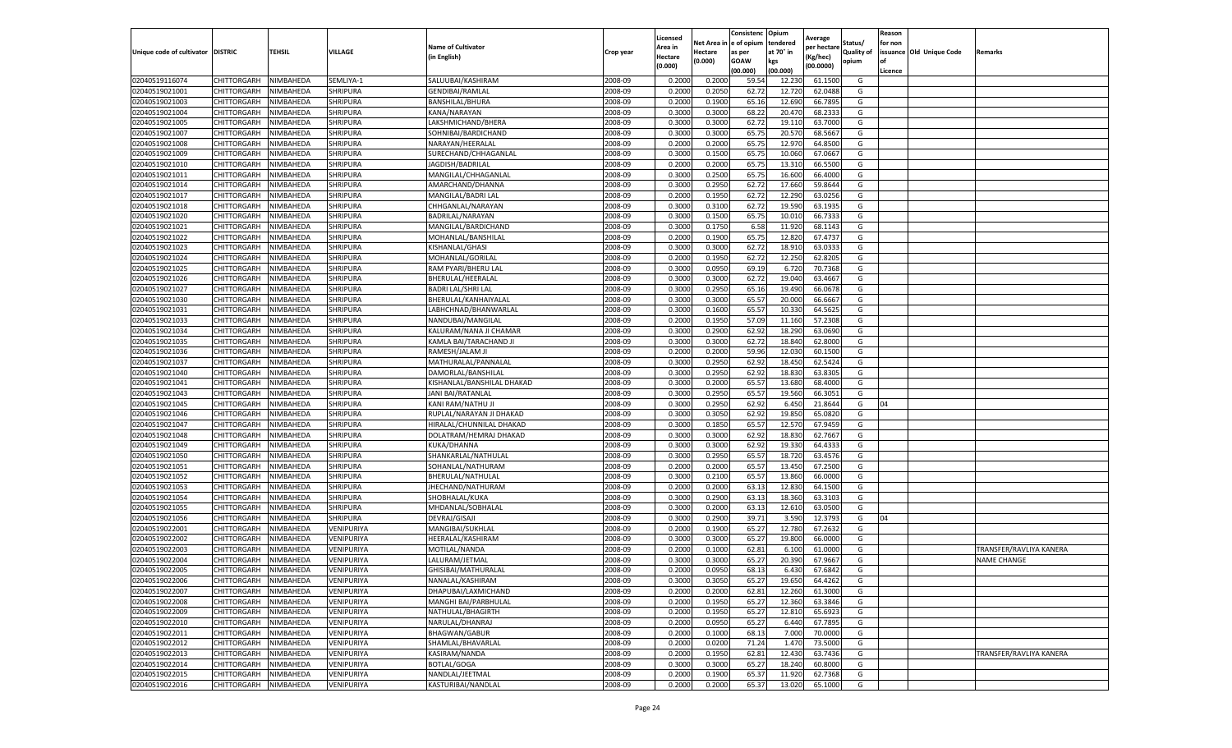|                                  |                    |                        |                             |                            |                    | Licensed |                  | Consistenc             | Opium     |                        |            | Reason  |                          |                         |
|----------------------------------|--------------------|------------------------|-----------------------------|----------------------------|--------------------|----------|------------------|------------------------|-----------|------------------------|------------|---------|--------------------------|-------------------------|
|                                  |                    |                        |                             | <b>Name of Cultivator</b>  |                    | Area in  |                  | Net Area in e of opium | tendered  | Average<br>oer hectare | Status/    | for non |                          |                         |
| Unique code of cultivator        | <b>DISTRIC</b>     | TEHSIL                 | VILLAGE                     | in English)                | Crop year          | Hectare  | Hectare          | as per                 | at 70° in | (Kg/hec                | Quality of |         | issuance Old Unique Code | Remarks                 |
|                                  |                    |                        |                             |                            |                    | (0.000)  | (0.000)          | <b>GOAW</b>            | kgs       | (00.0000)              | opium      |         |                          |                         |
|                                  |                    |                        |                             |                            |                    |          |                  | (00.000)               | (00.000)  |                        |            | Licence |                          |                         |
| 02040519116074                   | <b>CHITTORGARH</b> | NIMBAHEDA              | SEMLIYA-1                   | SALUUBAI/KASHIRAM          | 2008-09            | 0.2000   | 0.2000           | 59.54                  | 12.23     | 61.1500                | G          |         |                          |                         |
| 02040519021001                   | CHITTORGARH        | NIMBAHEDA              | <b>SHRIPURA</b>             | <b>GENDIBAI/RAMLAL</b>     | 2008-09            | 0.2000   | 0.2050           | 62.72                  | 12.72     | 62.0488                | G          |         |                          |                         |
| 02040519021003                   | CHITTORGARH        | NIMBAHEDA              | SHRIPURA                    | BANSHILAL/BHURA            | 2008-09            | 0.2000   | 0.1900           | 65.16                  | 12.690    | 66.7895                | G          |         |                          |                         |
| 02040519021004                   | CHITTORGARH        | NIMBAHEDA              | SHRIPURA                    | KANA/NARAYAN               | 2008-09            | 0.3000   | 0.3000           | 68.22                  | 20.470    | 68.2333                | G          |         |                          |                         |
| 02040519021005                   | CHITTORGARH        | NIMBAHEDA              | <b>SHRIPURA</b>             | LAKSHMICHAND/BHERA         | 2008-09            | 0.3000   | 0.3000           | 62.72                  | 19.11     | 63.7000                | G          |         |                          |                         |
| 02040519021007                   | CHITTORGARH        | NIMBAHEDA              | <b>SHRIPURA</b>             | SOHNIBAI/BARDICHAND        | 2008-09            | 0.3000   | 0.3000           | 65.75                  | 20.57     | 68.5667                | G          |         |                          |                         |
| 02040519021008                   | CHITTORGARH        | NIMBAHEDA              | <b>SHRIPURA</b>             | NARAYAN/HEERALAL           | 2008-09            | 0.2000   | 0.2000           | 65.75                  | 12.97     | 64.8500                | G          |         |                          |                         |
| 02040519021009                   | CHITTORGARH        | NIMBAHEDA              | SHRIPURA                    | SURECHAND/CHHAGANLAL       | 2008-09            | 0.3000   | 0.1500           | 65.7                   | 10.06     | 67.0667                | G          |         |                          |                         |
| 02040519021010                   | CHITTORGARH        | NIMBAHEDA              | <b>SHRIPURA</b>             | JAGDISH/BADRILAL           | 2008-09            | 0.2000   | 0.2000           | 65.75                  | 13.31     | 66.5500                | G          |         |                          |                         |
| 02040519021011                   | CHITTORGARH        | NIMBAHEDA              | SHRIPURA                    | MANGILAL/CHHAGANLAL        | 2008-09            | 0.3000   | 0.2500           | 65.75                  | 16.600    | 66.4000                | G          |         |                          |                         |
| 02040519021014                   | CHITTORGARH        | NIMBAHEDA              | SHRIPURA                    | AMARCHAND/DHANNA           | 2008-09            | 0.3000   | 0.2950           | 62.72                  | 17.660    | 59.8644                | G          |         |                          |                         |
| 02040519021017                   | CHITTORGARH        | NIMBAHEDA              | <b>SHRIPURA</b>             | MANGILAL/BADRI LAL         | 2008-09            | 0.2000   | 0.1950           | 62.72                  | 12.29     | 63.0256                | G          |         |                          |                         |
| 02040519021018                   | CHITTORGARH        | NIMBAHEDA              | <b>SHRIPURA</b>             | CHHGANLAL/NARAYAN          | 2008-09            | 0.3000   | 0.3100           | 62.72                  | 19.59     | 63.1935                | G          |         |                          |                         |
| 02040519021020                   | CHITTORGARH        | NIMBAHEDA              | SHRIPURA                    | BADRILAL/NARAYAN           | 2008-09            | 0.3000   | 0.1500           | 65.75                  | 10.01     | 66.733                 | G          |         |                          |                         |
| 02040519021021                   | CHITTORGARH        | NIMBAHEDA              | SHRIPURA                    | MANGILAL/BARDICHAND        | 2008-09            | 0.3000   | 0.1750           | 6.58                   | 11.92     | 68.1143                | G          |         |                          |                         |
| 02040519021022                   | CHITTORGARH        | NIMBAHEDA              | <b>SHRIPURA</b>             | MOHANLAL/BANSHILAL         | 2008-09            | 0.2000   | 0.1900           | 65.75                  | 12.82     | 67.4737                | G          |         |                          |                         |
| 02040519021023                   | CHITTORGARH        | NIMBAHEDA              | <b>SHRIPURA</b>             | KISHANLAL/GHASI            | 2008-09            | 0.3000   | 0.3000           | 62.72                  | 18.91     | 63.0333                | G          |         |                          |                         |
| 02040519021024                   | CHITTORGARH        | NIMBAHEDA              | <b>SHRIPURA</b>             | MOHANLAL/GORILAL           | 2008-09            | 0.2000   | 0.1950           | 62.72                  | 12.25     | 62.8205                | G          |         |                          |                         |
| 02040519021025                   | CHITTORGARH        | NIMBAHEDA              | <b>SHRIPURA</b>             | RAM PYARI/BHERU LAI        | 2008-09            | 0.3000   | 0.0950           | 69.19                  | 6.72      | 70.7368                | G          |         |                          |                         |
| 02040519021026                   | CHITTORGARH        | NIMBAHEDA              | <b>SHRIPURA</b>             | BHERULAL/HEERALAL          | 2008-09            | 0.3000   | 0.3000           | 62.72                  | 19.04     | 63.4667                | G          |         |                          |                         |
| 02040519021027                   | CHITTORGARH        | NIMBAHEDA              | <b>SHRIPURA</b>             | <b>BADRI LAL/SHRI LAL</b>  | 2008-09            | 0.3000   | 0.2950           | 65.16                  | 19.490    | 66.0678                | G          |         |                          |                         |
| 02040519021030                   | CHITTORGARH        | NIMBAHEDA              | SHRIPURA                    | BHERULAL/KANHAIYALAL       | 2008-09            | 0.3000   | 0.3000           | 65.57                  | 20.000    | 66.6667                | G          |         |                          |                         |
| 02040519021031                   | CHITTORGARH        | NIMBAHEDA              | SHRIPURA                    | LABHCHNAD/BHANWARLAL       | 2008-09            | 0.3000   | 0.1600           | 65.57                  | 10.330    | 64.5625                | G          |         |                          |                         |
| 02040519021033                   | CHITTORGARH        | NIMBAHEDA              | SHRIPURA                    | NANDUBAI/MANGILAL          | 2008-09            | 0.2000   | 0.1950           | 57.09                  | 11.16     | 57.2308                | G          |         |                          |                         |
| 02040519021034                   | <b>CHITTORGARH</b> | NIMBAHEDA              | <b>SHRIPURA</b>             | KALURAM/NANA JI CHAMAR     | 2008-09            | 0.3000   | 0.2900           | 62.92                  | 18.29     | 63.0690                | G          |         |                          |                         |
| 02040519021035                   | CHITTORGARH        | NIMBAHEDA              | <b>SHRIPURA</b>             | KAMLA BAI/TARACHAND JI     | 2008-09            | 0.3000   | 0.3000           | 62.72                  | 18.84     | 62.8000                | G          |         |                          |                         |
|                                  |                    |                        |                             |                            |                    |          |                  |                        |           |                        |            |         |                          |                         |
| 02040519021036<br>02040519021037 | CHITTORGARH        | NIMBAHEDA<br>NIMBAHEDA | SHRIPURA<br><b>SHRIPURA</b> | RAMESH/JALAM JI            | 2008-09<br>2008-09 | 0.2000   | 0.2000<br>0.2950 | 59.96                  | 12.03     | 60.1500<br>62.5424     | G          |         |                          |                         |
|                                  | CHITTORGARH        | NIMBAHEDA              |                             | MATHURALAL/PANNALAL        |                    | 0.3000   |                  | 62.92                  | 18.450    |                        | G          |         |                          |                         |
| 02040519021040                   | CHITTORGARH        |                        | SHRIPURA                    | DAMORLAL/BANSHILAL         | 2008-09            | 0.3000   | 0.2950           | 62.92                  | 18.830    | 63.8305                | G          |         |                          |                         |
| 02040519021041                   | CHITTORGARH        | NIMBAHEDA              | <b>SHRIPURA</b>             | KISHANLAL/BANSHILAL DHAKAD | 2008-09            | 0.3000   | 0.2000           | 65.57                  | 13.68     | 68.4000                | G          |         |                          |                         |
| 02040519021043                   | CHITTORGARH        | NIMBAHEDA              | <b>SHRIPURA</b>             | JANI BAI/RATANLAL          | 2008-09            | 0.3000   | 0.2950           | 65.57                  | 19.56     | 66.3051                | G          |         |                          |                         |
| 02040519021045                   | CHITTORGARH        | NIMBAHEDA              | <b>SHRIPURA</b>             | KANI RAM/NATHU JI          | 2008-09            | 0.3000   | 0.2950           | 62.92                  | 6.450     | 21.8644                | G          | 04      |                          |                         |
| 02040519021046                   | CHITTORGARH        | NIMBAHEDA              | SHRIPURA                    | RUPLAL/NARAYAN JI DHAKAD   | 2008-09            | 0.3000   | 0.3050           | 62.92                  | 19.85     | 65.0820                | G          |         |                          |                         |
| 02040519021047                   | CHITTORGARH        | NIMBAHEDA              | SHRIPURA                    | HIRALAL/CHUNNILAL DHAKAD   | 2008-09            | 0.3000   | 0.1850           | 65.57                  | 12.57     | 67.9459                | G          |         |                          |                         |
| 02040519021048                   | CHITTORGARH        | NIMBAHEDA              | <b>SHRIPURA</b>             | DOLATRAM/HEMRAJ DHAKAD     | 2008-09            | 0.3000   | 0.3000           | 62.92                  | 18.83     | 62.7667                | G          |         |                          |                         |
| 02040519021049                   | CHITTORGARH        | NIMBAHEDA              | SHRIPURA                    | KUKA/DHANNA                | 2008-09            | 0.3000   | 0.3000           | 62.92                  | 19.33     | 64.4333                | G          |         |                          |                         |
| 02040519021050                   | CHITTORGARH        | NIMBAHEDA              | <b>SHRIPURA</b>             | SHANKARLAL/NATHULAL        | 2008-09            | 0.3000   | 0.2950           | 65.57                  | 18.72     | 63.4576                | G          |         |                          |                         |
| 02040519021051                   | CHITTORGARH        | NIMBAHEDA              | <b>SHRIPURA</b>             | SOHANLAL/NATHURAM          | 2008-09            | 0.2000   | 0.2000           | 65.57                  | 13.45     | 67.2500                | G          |         |                          |                         |
| 02040519021052                   | CHITTORGARH        | NIMBAHEDA              | SHRIPURA                    | BHERULAL/NATHULAL          | 2008-09            | 0.3000   | 0.2100           | 65.57                  | 13.860    | 66.0000                | G          |         |                          |                         |
| 02040519021053                   | CHITTORGARH        | NIMBAHEDA              | <b>SHRIPURA</b>             | JHECHAND/NATHURAM          | 2008-09            | 0.2000   | 0.2000           | 63.13                  | 12.83     | 64.1500                | G          |         |                          |                         |
| 02040519021054                   | CHITTORGARH        | NIMBAHEDA              | SHRIPURA                    | SHOBHALAL/KUKA             | 2008-09            | 0.3000   | 0.2900           | 63.13                  | 18.360    | 63.3103                | G          |         |                          |                         |
| 02040519021055                   | CHITTORGARH        | NIMBAHEDA              | SHRIPURA                    | MHDANLAL/SOBHALAL          | 2008-09            | 0.3000   | 0.2000           | 63.13                  | 12.61     | 63.0500                | G          |         |                          |                         |
| 02040519021056                   | CHITTORGARH        | NIMBAHEDA              | SHRIPURA                    | <b>DEVRAJ/GISAJI</b>       | 2008-09            | 0.3000   | 0.2900           | 39.71                  | 3.59      | 12.3793                | G          | 04      |                          |                         |
| 02040519022001                   | CHITTORGARH        | NIMBAHEDA              | VENIPURIYA                  | MANGIBAI/SUKHLAL           | 2008-09            | 0.2000   | 0.1900           | 65.27                  | 12.78     | 67.2632                | G          |         |                          |                         |
| 02040519022002                   | CHITTORGARH        | NIMBAHEDA              | VENIPURIYA                  | HEERALAL/KASHIRAN          | 2008-09            | 0.3000   | 0.3000           | 65.27                  | 19.800    | 66.0000                | G          |         |                          |                         |
| 02040519022003                   | CHITTORGARH        | NIMBAHEDA              | VENIPURIYA                  | MOTILAL/NANDA              | 2008-09            | 0.2000   | 0.1000           | 62.81                  | 6.10      | 61.0000                | G          |         |                          | TRANSFER/RAVLIYA KANERA |
| 02040519022004                   | CHITTORGARH        | NIMBAHEDA              | VENIPURIYA                  | LALURAM/JETMAL             | 2008-09            | 0.3000   | 0.3000           | 65.27                  | 20.39     | 67.9667                | G          |         |                          | <b>NAME CHANGE</b>      |
| 02040519022005                   | CHITTORGARH        | NIMBAHEDA              | VENIPURIYA                  | GHISIBAI/MATHURALAL        | 2008-09            | 0.2000   | 0.0950           | 68.13                  | 6.430     | 67.6842                | G          |         |                          |                         |
| 02040519022006                   | CHITTORGARH        | NIMBAHEDA              | VENIPURIYA                  | NANALAL/KASHIRAM           | 2008-09            | 0.3000   | 0.3050           | 65.27                  | 19.650    | 64.4262                | G          |         |                          |                         |
| 02040519022007                   | CHITTORGARH        | NIMBAHEDA              | VENIPURIYA                  | DHAPUBAI/LAXMICHAND        | 2008-09            | 0.2000   | 0.2000           | 62.81                  | 12.260    | 61.3000                | G          |         |                          |                         |
| 02040519022008                   | CHITTORGARH        | NIMBAHEDA              | VENIPURIYA                  | MANGHI BAI/PARBHULAL       | 2008-09            | 0.2000   | 0.1950           | 65.27                  | 12.360    | 63.3846                | G          |         |                          |                         |
| 02040519022009                   | CHITTORGARH        | NIMBAHEDA              | VENIPURIYA                  | NATHULAL/BHAGIRTH          | 2008-09            | 0.2000   | 0.1950           | 65.27                  | 12.810    | 65.6923                | G          |         |                          |                         |
| 02040519022010                   | CHITTORGARH        | NIMBAHEDA              | VENIPURIYA                  | NARULAL/DHANRAJ            | 2008-09            | 0.2000   | 0.0950           | 65.27                  | 6.440     | 67.7895                | G          |         |                          |                         |
| 02040519022011                   | <b>CHITTORGARH</b> | NIMBAHEDA              | VENIPURIYA                  | <b>BHAGWAN/GABUR</b>       | 2008-09            | 0.2000   | 0.1000           | 68.13                  | 7.000     | 70.0000                | G          |         |                          |                         |
| 02040519022012                   | CHITTORGARH        | NIMBAHEDA              | VENIPURIYA                  | SHAMLAL/BHAVARLAL          | 2008-09            | 0.2000   | 0.0200           | 71.24                  | 1.47      | 73.5000                | G          |         |                          |                         |
| 02040519022013                   | CHITTORGARH        | NIMBAHEDA              | VENIPURIYA                  | KASIRAM/NANDA              | 2008-09            | 0.2000   | 0.1950           | 62.81                  | 12.430    | 63.7436                | G          |         |                          | TRANSFER/RAVLIYA KANERA |
| 02040519022014                   | CHITTORGARH        | NIMBAHEDA              | VENIPURIYA                  | BOTLAL/GOGA                | 2008-09            | 0.3000   | 0.3000           | 65.27                  | 18.240    | 60.8000                | G          |         |                          |                         |
| 02040519022015                   | CHITTORGARH        | NIMBAHEDA              | VENIPURIYA                  | NANDLAL/JEETMAL            | 2008-09            | 0.2000   | 0.1900           | 65.37                  | 11.920    | 62.7368                | G          |         |                          |                         |
| 02040519022016                   | <b>CHITTORGARH</b> | NIMBAHEDA              | VENIPURIYA                  | KASTURIBAI/NANDLAL         | 2008-09            | 0.2000   | 0.2000           | 65.37                  | 13.020    | 65.1000                | G          |         |                          |                         |
|                                  |                    |                        |                             |                            |                    |          |                  |                        |           |                        |            |         |                          |                         |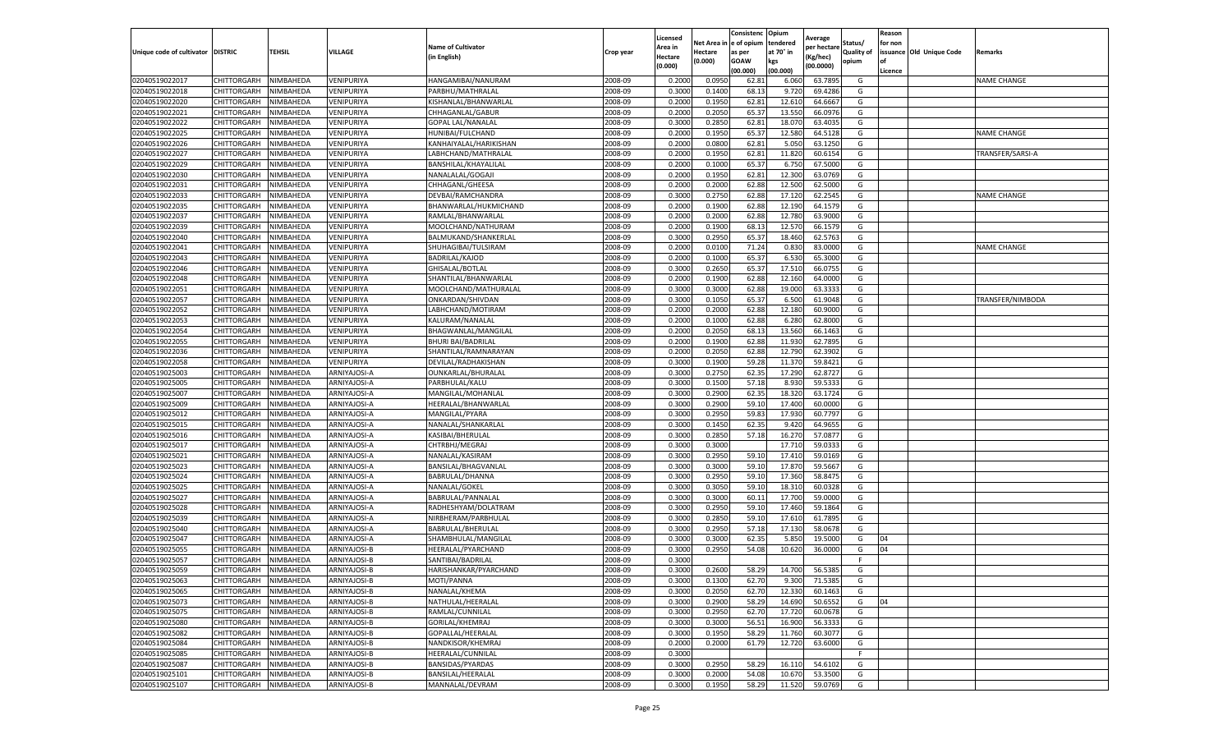|                           |                    |           |              |                           |           | Licensed |         | Consistenc             | Opium     | Average     |                   | Reason  |                          |                    |
|---------------------------|--------------------|-----------|--------------|---------------------------|-----------|----------|---------|------------------------|-----------|-------------|-------------------|---------|--------------------------|--------------------|
|                           |                    |           |              | <b>Name of Cultivator</b> |           | Area in  |         | Net Area in e of opium | tendered  | per hectare | Status/           | for non |                          |                    |
| Unique code of cultivator | <b>DISTRIC</b>     | TEHSIL    | VILLAGE      | in English)               | Crop year | Hectare  | Hectare | as per                 | at 70° in | (Kg/hec     | <b>Quality of</b> |         | issuance Old Unique Code | <b>Remarks</b>     |
|                           |                    |           |              |                           |           | (0.000)  | (0.000) | <b>GOAW</b>            | kgs       | (00.0000)   | opium             |         |                          |                    |
|                           |                    |           |              |                           |           |          |         | (00.000)               | (00.000)  |             |                   | Licence |                          |                    |
| 02040519022017            | CHITTORGARH        | NIMBAHEDA | VENIPURIYA   | HANGAMIBAI/NANURAM        | 2008-09   | 0.2000   | 0.0950  | 62.81                  | 6.060     | 63.7895     | G                 |         |                          | <b>NAME CHANGE</b> |
| 02040519022018            | CHITTORGARH        | NIMBAHEDA | VENIPURIYA   | PARBHU/MATHRALAI          | 2008-09   | 0.3000   | 0.1400  | 68.13                  | 9.72      | 69.4286     | G                 |         |                          |                    |
| 02040519022020            | CHITTORGARH        | NIMBAHEDA | VENIPURIYA   | KISHANLAL/BHANWARLAL      | 2008-09   | 0.2000   | 0.1950  | 62.81                  | 12.61     | 64.6667     | G                 |         |                          |                    |
| 02040519022021            | CHITTORGARH        | NIMBAHEDA | VENIPURIYA   | CHHAGANLAL/GABUR          | 2008-09   | 0.2000   | 0.2050  | 65.37                  | 13.550    | 66.0976     | G                 |         |                          |                    |
| 02040519022022            | CHITTORGARH        | NIMBAHEDA | VENIPURIYA   | <b>GOPAL LAL/NANALAL</b>  | 2008-09   | 0.3000   | 0.2850  | 62.81                  | 18.07     | 63.4035     | G                 |         |                          |                    |
| 02040519022025            | CHITTORGARH        | NIMBAHEDA | VENIPURIYA   | HUNIBAI/FULCHAND          | 2008-09   | 0.2000   | 0.1950  | 65.37                  | 12.58     | 64.5128     | G                 |         |                          | <b>NAME CHANGE</b> |
| 02040519022026            | CHITTORGARH        | NIMBAHEDA | VENIPURIYA   | KANHAIYALAL/HARIKISHAN    | 2008-09   | 0.2000   | 0.0800  | 62.81                  | 5.050     | 63.1250     | G                 |         |                          |                    |
| 02040519022027            | CHITTORGARH        | NIMBAHEDA | VENIPURIYA   | LABHCHAND/MATHRALAL       | 2008-09   | 0.2000   | 0.1950  | 62.81                  | 11.82     | 60.6154     | G                 |         |                          | TRANSFER/SARSI-A   |
| 02040519022029            | CHITTORGARH        | NIMBAHEDA | VENIPURIYA   | BANSHILAL/KHAYALILAL      | 2008-09   | 0.2000   | 0.1000  | 65.37                  | 6.750     | 67.5000     | G                 |         |                          |                    |
| 02040519022030            | CHITTORGARH        | NIMBAHEDA | VENIPURIYA   | NANALALAL/GOGAJI          | 2008-09   | 0.2000   | 0.1950  | 62.81                  | 12.300    | 63.0769     | G                 |         |                          |                    |
| 02040519022031            | CHITTORGARH        | NIMBAHEDA | VENIPURIYA   | CHHAGANL/GHEESA           | 2008-09   | 0.2000   | 0.2000  | 62.88                  | 12.500    | 62.5000     | G                 |         |                          |                    |
| 02040519022033            | CHITTORGARH        | NIMBAHEDA | VENIPURIYA   | DEVBAI/RAMCHANDRA         | 2008-09   | 0.3000   | 0.2750  | 62.88                  | 17.12     | 62.2545     | G                 |         |                          | <b>NAME CHANGE</b> |
| 02040519022035            | CHITTORGARH        | NIMBAHEDA | VENIPURIYA   | BHANWARLAL/HUKMICHAND     | 2008-09   | 0.2000   | 0.1900  | 62.88                  | 12.190    | 64.1579     | G                 |         |                          |                    |
| 02040519022037            | CHITTORGARH        | NIMBAHEDA | VENIPURIYA   | RAMLAL/BHANWARLAL         | 2008-09   | 0.2000   | 0.2000  | 62.88                  | 12.780    | 63.9000     | G                 |         |                          |                    |
| 02040519022039            | CHITTORGARH        | NIMBAHEDA | VENIPURIYA   | MOOLCHAND/NATHURAM        | 2008-09   | 0.2000   | 0.1900  | 68.1                   | 12.57     | 66.1579     | G                 |         |                          |                    |
| 02040519022040            | CHITTORGARH        | NIMBAHEDA | VENIPURIYA   | BALMUKAND/SHANKERLAL      | 2008-09   | 0.3000   | 0.2950  | 65.37                  | 18.460    | 62.5763     | G                 |         |                          |                    |
| 02040519022041            | CHITTORGARH        | NIMBAHEDA | VENIPURIYA   | SHUHAGIBAI/TULSIRAM       | 2008-09   | 0.2000   | 0.0100  | 71.24                  | 0.83      | 83.0000     | G                 |         |                          | <b>NAME CHANGE</b> |
| 02040519022043            | CHITTORGARH        | NIMBAHEDA | VENIPURIYA   | BADRILAL/KAJOD            | 2008-09   | 0.2000   | 0.1000  | 65.37                  | 6.53      | 65.3000     | G                 |         |                          |                    |
| 02040519022046            | CHITTORGARH        | NIMBAHEDA | VENIPURIYA   | GHISALAL/BOTLAL           | 2008-09   | 0.3000   | 0.2650  | 65.37                  | 17.51     | 66.075      | G                 |         |                          |                    |
| 02040519022048            | CHITTORGARH        | NIMBAHEDA | VENIPURIYA   | SHANTILAL/BHANWARLAL      | 2008-09   | 0.2000   | 0.1900  | 62.88                  | 12.160    | 64.0000     | G                 |         |                          |                    |
| 02040519022051            | CHITTORGARH        | NIMBAHEDA | VENIPURIYA   | MOOLCHAND/MATHURALAL      | 2008-09   | 0.3000   | 0.3000  | 62.88                  | 19.000    | 63.3333     | G                 |         |                          |                    |
| 02040519022057            | CHITTORGARH        | NIMBAHEDA | VENIPURIYA   | ONKARDAN/SHIVDAN          | 2008-09   | 0.3000   | 0.1050  | 65.37                  | 6.500     | 61.9048     | G                 |         |                          | TRANSFER/NIMBODA   |
| 02040519022052            | CHITTORGARH        | NIMBAHEDA | VENIPURIYA   | LABHCHAND/MOTIRAM         | 2008-09   | 0.2000   | 0.2000  | 62.88                  | 12.180    | 60.9000     | G                 |         |                          |                    |
| 02040519022053            | CHITTORGARH        | NIMBAHEDA | VENIPURIYA   | KALURAM/NANALAL           | 2008-09   | 0.2000   | 0.1000  | 62.88                  | 6.280     | 62.8000     | G                 |         |                          |                    |
| 02040519022054            | CHITTORGARH        | NIMBAHEDA | VENIPURIYA   | BHAGWANLAL/MANGILAL       | 2008-09   | 0.2000   | 0.2050  | 68.13                  | 13.56     | 66.1463     | G                 |         |                          |                    |
| 02040519022055            | CHITTORGARH        | NIMBAHEDA | VENIPURIYA   | <b>BHURI BAI/BADRILAI</b> | 2008-09   | 0.2000   | 0.1900  | 62.88                  | 11.930    | 62.7895     | G                 |         |                          |                    |
| 02040519022036            | CHITTORGARH        | NIMBAHEDA | VENIPURIYA   | SHANTILAL/RAMNARAYAN      | 2008-09   | 0.2000   | 0.2050  | 62.88                  | 12.79     | 62.3902     | G                 |         |                          |                    |
| 02040519022058            | CHITTORGARH        | NIMBAHEDA | VENIPURIYA   | DEVILAL/RADHAKISHAN       | 2008-09   | 0.3000   | 0.1900  | 59.28                  | 11.37     | 59.8421     | G                 |         |                          |                    |
| 02040519025003            | CHITTORGARH        | NIMBAHEDA | ARNIYAJOSI-A | OUNKARLAL/BHURALAL        | 2008-09   | 0.3000   | 0.2750  | 62.35                  | 17.290    | 62.8727     | G                 |         |                          |                    |
| 02040519025005            | CHITTORGARH        | NIMBAHEDA | ARNIYAJOSI-A | PARBHULAL/KALU            | 2008-09   | 0.3000   | 0.1500  | 57.18                  | 8.93      | 59.5333     | G                 |         |                          |                    |
| 02040519025007            | CHITTORGARH        | NIMBAHEDA | ARNIYAJOSI-A | MANGILAL/MOHANLAL         | 2008-09   | 0.3000   | 0.2900  | 62.35                  | 18.32     | 63.1724     | G                 |         |                          |                    |
| 02040519025009            | CHITTORGARH        | NIMBAHEDA | ARNIYAJOSI-A | HEERALAL/BHANWARLAI       | 2008-09   | 0.3000   | 0.2900  | 59.10                  | 17.400    | 60.0000     | G                 |         |                          |                    |
| 02040519025012            | CHITTORGARH        | NIMBAHEDA | ARNIYAJOSI-A | MANGILAL/PYARA            | 2008-09   | 0.3000   | 0.2950  | 59.83                  | 17.93     | 60.7797     | G                 |         |                          |                    |
| 02040519025015            | CHITTORGARH        | NIMBAHEDA | ARNIYAJOSI-A | NANALAL/SHANKARLAL        | 2008-09   | 0.3000   | 0.1450  | 62.35                  | 9.420     | 64.9655     | G                 |         |                          |                    |
| 02040519025016            | CHITTORGARH        | NIMBAHEDA | ARNIYAJOSI-A | KASIBAI/BHERULAL          | 2008-09   | 0.3000   | 0.2850  | 57.18                  | 16.27     | 57.0877     | G                 |         |                          |                    |
| 02040519025017            | CHITTORGARH        | NIMBAHEDA | ARNIYAJOSI-A | CHTRBHJ/MEGRAJ            | 2008-09   | 0.3000   | 0.3000  |                        | 17.71     | 59.033      | G                 |         |                          |                    |
| 02040519025021            | CHITTORGARH        | NIMBAHEDA | ARNIYAJOSI-A | NANALAL/KASIRAM           | 2008-09   | 0.3000   | 0.2950  | 59.10                  | 17.41     | 59.0169     | G                 |         |                          |                    |
| 02040519025023            | CHITTORGARH        | NIMBAHEDA | ARNIYAJOSI-A | BANSILAL/BHAGVANLAL       | 2008-09   | 0.3000   | 0.3000  | 59.10                  | 17.87     | 59.566      | G                 |         |                          |                    |
| 02040519025024            | CHITTORGARH        | NIMBAHEDA | ARNIYAJOSI-A | BABRULAL/DHANNA           | 2008-09   | 0.3000   | 0.2950  | 59.10                  | 17.36     | 58.8475     | G                 |         |                          |                    |
| 02040519025025            | CHITTORGARH        | NIMBAHEDA | ARNIYAJOSI-A | NANALAL/GOKEL             | 2008-09   | 0.3000   | 0.3050  | 59.10                  | 18.31     | 60.0328     | G                 |         |                          |                    |
| 02040519025027            | CHITTORGARH        | NIMBAHEDA | ARNIYAJOSI-A | BABRULAL/PANNALAL         | 2008-09   | 0.3000   | 0.3000  | 60.1                   | 17.700    | 59.0000     | G                 |         |                          |                    |
| 02040519025028            | CHITTORGARH        | NIMBAHEDA | ARNIYAJOSI-A | RADHESHYAM/DOLATRAM       | 2008-09   | 0.3000   | 0.2950  | 59.10                  | 17.460    | 59.1864     | G                 |         |                          |                    |
| 02040519025039            | CHITTORGARH        | NIMBAHEDA | ARNIYAJOSI-A | NIRBHERAM/PARBHULAL       | 2008-09   | 0.3000   | 0.2850  | 59.10                  | 17.61     | 61.7895     | G                 |         |                          |                    |
| 02040519025040            | CHITTORGARH        | NIMBAHEDA | ARNIYAJOSI-A | BABRULAL/BHERULAL         | 2008-09   | 0.3000   | 0.2950  | 57.18                  | 17.13     | 58.0678     | G                 |         |                          |                    |
| 02040519025047            | CHITTORGARH        | NIMBAHEDA | ARNIYAJOSI-A | SHAMBHULAL/MANGILAI       | 2008-09   | 0.3000   | 0.3000  | 62.35                  | 5.85      | 19.5000     | G                 | 04      |                          |                    |
| 02040519025055            | CHITTORGARH        | NIMBAHEDA | ARNIYAJOSI-B | HEERALAL/PYARCHAND        | 2008-09   | 0.3000   | 0.2950  | 54.08                  | 10.62     | 36.0000     | G                 | 04      |                          |                    |
| 02040519025057            | CHITTORGARH        | NIMBAHEDA | ARNIYAJOSI-B | SANTIBAI/BADRILAL         | 2008-09   | 0.3000   |         |                        |           |             | F.                |         |                          |                    |
| 02040519025059            | CHITTORGARH        | NIMBAHEDA | ARNIYAJOSI-B | HARISHANKAR/PYARCHAND     | 2008-09   | 0.3000   | 0.2600  | 58.29                  | 14.700    | 56.5385     | G                 |         |                          |                    |
| 02040519025063            | CHITTORGARH        | NIMBAHEDA | ARNIYAJOSI-B | MOTI/PANNA                | 2008-09   | 0.3000   | 0.1300  | 62.70                  | 9.300     | 71.5385     | G                 |         |                          |                    |
| 02040519025065            | CHITTORGARH        | NIMBAHEDA | ARNIYAJOSI-B | NANALAL/KHEMA             | 2008-09   | 0.3000   | 0.2050  | 62.70                  | 12.330    | 60.1463     | G                 |         |                          |                    |
| 02040519025073            | <b>CHITTORGARH</b> | NIMBAHEDA | ARNIYAJOSI-B | NATHULAL/HEERALAL         | 2008-09   | 0.3000   | 0.2900  | 58.29                  | 14.690    | 50.6552     | G                 | 04      |                          |                    |
| 02040519025075            | CHITTORGARH        | NIMBAHEDA | ARNIYAJOSI-B | RAMLAL/CUNNILAL           | 2008-09   | 0.3000   | 0.2950  | 62.70                  | 17.720    | 60.0678     | G                 |         |                          |                    |
| 02040519025080            | CHITTORGARH        | NIMBAHEDA | ARNIYAJOSI-B | GORILAL/KHEMRAJ           | 2008-09   | 0.3000   | 0.3000  | 56.51                  | 16.900    | 56.3333     | G                 |         |                          |                    |
| 02040519025082            | <b>CHITTORGARH</b> | NIMBAHEDA | ARNIYAJOSI-B | GOPALLAL/HEERALAL         | 2008-09   | 0.3000   | 0.1950  | 58.29                  | 11.760    | 60.3077     | G                 |         |                          |                    |
| 02040519025084            | CHITTORGARH        | NIMBAHEDA | ARNIYAJOSI-B | NANDKISOR/KHEMRAJ         | 2008-09   | 0.2000   | 0.2000  | 61.79                  | 12.720    | 63.6000     | G                 |         |                          |                    |
| 02040519025085            | CHITTORGARH        | NIMBAHEDA | ARNIYAJOSI-B | HEERALAL/CUNNILAL         | 2008-09   | 0.3000   |         |                        |           |             | F.                |         |                          |                    |
| 02040519025087            | CHITTORGARH        | NIMBAHEDA | ARNIYAJOSI-B | BANSIDAS/PYARDAS          | 2008-09   | 0.3000   | 0.2950  | 58.29                  | 16.110    | 54.6102     | G                 |         |                          |                    |
|                           |                    |           |              |                           |           |          |         |                        |           |             |                   |         |                          |                    |
| 02040519025101            | CHITTORGARH        | NIMBAHEDA | ARNIYAJOSI-B | BANSILAL/HEERALAL         | 2008-09   | 0.3000   | 0.2000  | 54.08                  | 10.670    | 53.3500     | G                 |         |                          |                    |
| 02040519025107            | <b>CHITTORGARH</b> | NIMBAHEDA | ARNIYAJOSI-B | MANNALAL/DEVRAM           | 2008-09   | 0.3000   | 0.1950  | 58.29                  | 11.520    | 59.0769     | G                 |         |                          |                    |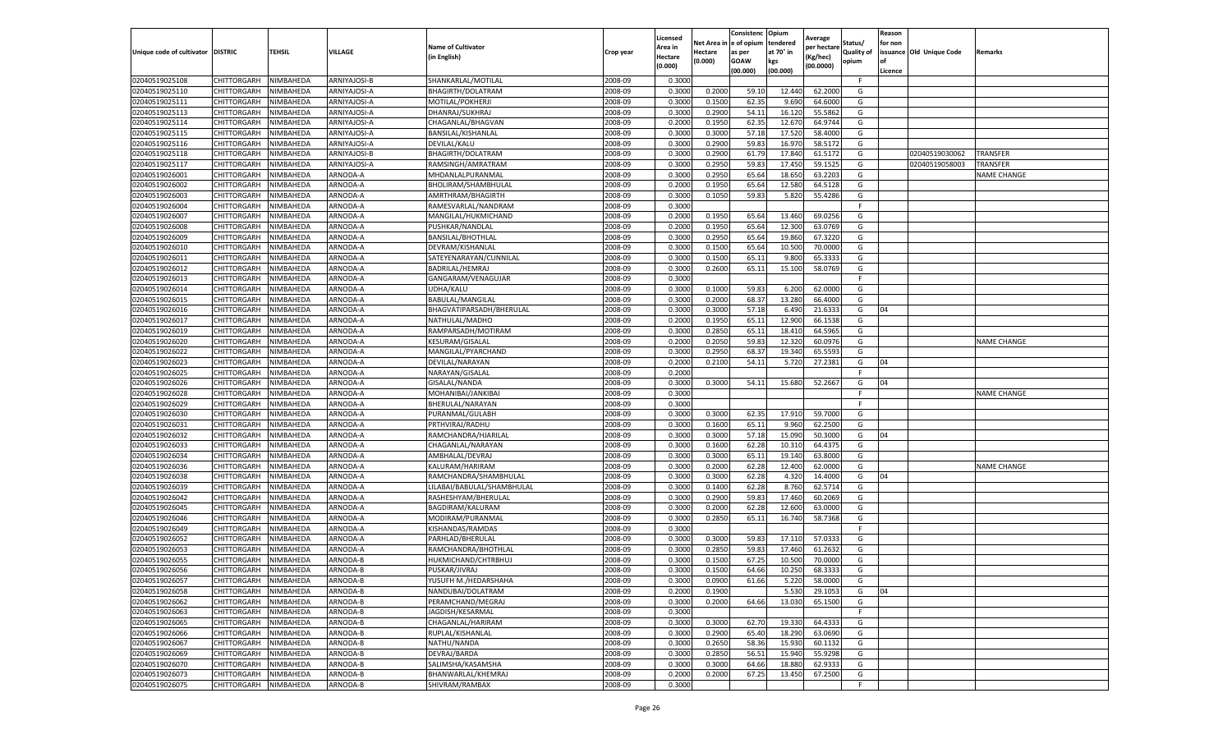|                                   |                            |                        |                              |                                         |                    | Licensed         |                 | Consistenc              | Opium            | Average     |            | Reason  |                          |                    |
|-----------------------------------|----------------------------|------------------------|------------------------------|-----------------------------------------|--------------------|------------------|-----------------|-------------------------|------------------|-------------|------------|---------|--------------------------|--------------------|
|                                   |                            |                        |                              | <b>Name of Cultivator</b>               |                    | Area in          |                 | Net Area in le of opium | tendered         | per hectare | Status/    | for non |                          |                    |
| Unique code of cultivator DISTRIC |                            | TEHSIL                 | VILLAGE                      | (in English)                            | Crop year          | Hectare          | Hectare         | as per                  | at 70° in        | Kg/hec)     | Quality of |         | issuance Old Unique Code | Remarks            |
|                                   |                            |                        |                              |                                         |                    | (0.000)          | (0.000)         | GOAW                    | kgs              | (00.0000)   | opium      |         |                          |                    |
|                                   |                            |                        |                              |                                         |                    |                  |                 | (00.000)                | (00.000)         |             | F          | Licence |                          |                    |
| 02040519025108<br>02040519025110  | CHITTORGARH<br>CHITTORGARH | NIMBAHEDA<br>NIMBAHEDA | ARNIYAJOSI-B<br>ARNIYAJOSI-A | SHANKARLAL/MOTILAI                      | 2008-09<br>2008-09 | 0.3000<br>0.3000 | 0.200           | 59.10                   |                  | 62.200      | G          |         |                          |                    |
| 02040519025111                    | CHITTORGARH                | NIMBAHEDA              | ARNIYAJOSI-A                 | BHAGIRTH/DOLATRAM<br>MOTILAL/POKHERJI   | 2008-09            | 0.3000           | 0.1500          | 62.35                   | 12.440<br>9.690  | 64.600      | G          |         |                          |                    |
| 02040519025113                    | CHITTORGARH                | NIMBAHEDA              | ARNIYAJOSI-A                 | DHANRAJ/SUKHRAJ                         | 2008-09            | 0.3000           | 0.2900          | 54.11                   | 16.120           | 55.5862     | G          |         |                          |                    |
| 02040519025114                    | CHITTORGARH                | NIMBAHEDA              | ARNIYAJOSI-A                 |                                         | 2008-09            | 0.2000           |                 |                         |                  | 64.974      | G          |         |                          |                    |
| 02040519025115                    | CHITTORGARH                | NIMBAHEDA              | ARNIYAJOSI-A                 | CHAGANLAL/BHAGVAN<br>BANSILAL/KISHANLAL | 2008-09            | 0.3000           | 0.1950<br>0.300 | 62.3<br>57.18           | 12.670<br>17.520 | 58.400      | G          |         |                          |                    |
| 02040519025116                    | CHITTORGARH                | NIMBAHEDA              | ARNIYAJOSI-A                 | DEVILAL/KALU                            | 2008-09            | 0.3000           | 0.2900          | 59.8                    | 16.970           | 58.517      | G          |         |                          |                    |
| 02040519025118                    | CHITTORGARH                | NIMBAHEDA              | ARNIYAJOSI-B                 | BHAGIRTH/DOLATRAM                       | 2008-09            | 0.3000           | 0.2900          | 61.79                   | 17.840           | 61.517      | G          |         | 02040519030062           | TRANSFER           |
| 02040519025117                    |                            | NIMBAHEDA              | ARNIYAJOSI-A                 |                                         | 2008-09            | 0.3000           | 0.2950          | 59.8                    | 17.45            | 59.1525     | G          |         | 02040519058003           | TRANSFER           |
| 02040519026001                    | CHITTORGARH<br>CHITTORGARH | NIMBAHEDA              | ARNODA-A                     | RAMSINGH/AMRATRAM<br>MHDANLALPURANMAL   | 2008-09            | 0.3000           | 0.2950          | 65.64                   | 18.650           | 63.2203     | G          |         |                          | NAME CHANGE        |
| 02040519026002                    | CHITTORGARH                | NIMBAHEDA              | ARNODA-A                     | BHOLIRAM/SHAMBHULAL                     | 2008-09            | 0.2000           | 0.1950          | 65.64                   | 12.580           | 64.512      | G          |         |                          |                    |
| 02040519026003                    | CHITTORGARH                | NIMBAHEDA              | ARNODA-A                     | AMRTHRAM/BHAGIRTH                       | 2008-09            | 0.3000           | 0.1050          | 59.8                    | 5.820            | 55.4286     | G          |         |                          |                    |
| 02040519026004                    | CHITTORGARH                | <b>NIMBAHEDA</b>       | ARNODA-A                     | RAMESVARLAL/NANDRAM                     | 2008-09            | 0.3000           |                 |                         |                  |             |            |         |                          |                    |
|                                   |                            |                        |                              |                                         |                    | 0.2000           |                 |                         |                  |             |            |         |                          |                    |
| 02040519026007                    | CHITTORGARH                | NIMBAHEDA              | ARNODA-A                     | MANGILAL/HUKMICHAND                     | 2008-09            |                  | 0.1950          | 65.64                   | 13.460           | 69.025      | G          |         |                          |                    |
| 02040519026008                    | CHITTORGARH                | NIMBAHEDA              | ARNODA-A                     | PUSHKAR/NANDLAL                         | 2008-09            | 0.2000           | 0.1950          | 65.64                   | 12.300           | 63.076      | G          |         |                          |                    |
| 02040519026009                    | CHITTORGARH                | NIMBAHEDA              | ARNODA-A                     | BANSILAL/BHOTHLAL                       | 2008-09            | 0.3000           | 0.2950          | 65.64                   | 19.860           | 67.322      | G          |         |                          |                    |
| 02040519026010                    | CHITTORGARH                | NIMBAHEDA              | ARNODA-A                     | DEVRAM/KISHANLAL                        | 2008-09            | 0.3000           | 0.1500          | 65.64                   | 10.500           | 70.000      | G<br>G     |         |                          |                    |
| 02040519026011                    | CHITTORGARH                | NIMBAHEDA              | ARNODA-A                     | SATEYENARAYAN/CUNNILAL                  | 2008-09            | 0.3000           | 0.1500          | 65.11                   | 9.800            | 65.333      |            |         |                          |                    |
| 02040519026012                    | CHITTORGARH                | NIMBAHEDA              | ARNODA-A                     | BADRILAL/HEMRAJ                         | 2008-09            | 0.3000           | 0.2600          | 65.11                   | 15.100           | 58.076      | G<br>E     |         |                          |                    |
| 02040519026013                    | CHITTORGARH                | <b>NIMBAHEDA</b>       | ARNODA-A                     | GANGARAM/VENAGUJAR                      | 2008-09            | 0.3000           |                 |                         |                  |             |            |         |                          |                    |
| 02040519026014                    | CHITTORGARH                | NIMBAHEDA              | ARNODA-A                     | UDHA/KALU                               | 2008-09            | 0.3000           | 0.1000          | 59.8                    | 6.200            | 62.000      | G          |         |                          |                    |
| 02040519026015                    | CHITTORGARH                | NIMBAHEDA              | ARNODA-A                     | BABULAL/MANGILAL                        | 2008-09            | 0.3000           | 0.2000          | 68.37                   | 13.280           | 66.400      | G          |         |                          |                    |
| 02040519026016                    | CHITTORGARH                | NIMBAHEDA              | ARNODA-A                     | BHAGVATIPARSADH/BHERULAL                | 2008-09            | 0.3000           | 0.3000          | 57.18                   | 6.490            | 21.633      | G          | 04      |                          |                    |
| 02040519026017                    | CHITTORGARH                | NIMBAHEDA              | ARNODA-A                     | NATHULAL/MADHO                          | 2008-09            | 0.2000           | 0.1950          | 65.11                   | 12.900           | 66.153      | G          |         |                          |                    |
| 02040519026019                    | CHITTORGARH                | NIMBAHEDA              | ARNODA-A                     | RAMPARSADH/MOTIRAM                      | 2008-09            | 0.3000           | 0.2850          | 65.11                   | 18.410           | 64.596      | G          |         |                          |                    |
| 02040519026020                    | CHITTORGARH                | NIMBAHEDA              | ARNODA-A                     | KESURAM/GISALAL                         | 2008-09            | 0.2000           | 0.2050          | 59.8                    | 12.320           | 60.097      | G          |         |                          | <b>NAME CHANGE</b> |
| 02040519026022                    | CHITTORGARH                | NIMBAHEDA              | ARNODA-A                     | MANGILAL/PYARCHAND                      | 2008-09            | 0.300            | 0.295           | 68.3                    | 19.340           | 65.5593     | G          |         |                          |                    |
| 02040519026023                    | CHITTORGARH                | NIMBAHEDA              | ARNODA-A                     | DEVILAL/NARAYAN                         | 2008-09            | 0.2000           | 0.2100          | 54.11                   | 5.720            | 27.238      | G          | 04      |                          |                    |
| 02040519026025                    | CHITTORGARH                | NIMBAHEDA              | ARNODA-A                     | NARAYAN/GISALAL                         | 2008-09            | 0.2000           |                 |                         |                  |             | F          |         |                          |                    |
| 02040519026026                    | CHITTORGARH                | NIMBAHEDA              | ARNODA-A                     | GISALAL/NANDA                           | 2008-09            | 0.3000           | 0.3000          | 54.11                   | 15.680           | 52.2667     | G          | 04      |                          |                    |
| 02040519026028                    | CHITTORGARH                | NIMBAHEDA              | ARNODA-A                     | MOHANIBAI/JANKIBA                       | 2008-09            | 0.3000           |                 |                         |                  |             | F          |         |                          | <b>NAME CHANGE</b> |
| 02040519026029                    | CHITTORGARH                | NIMBAHEDA              | ARNODA-A                     | BHERULAL/NARAYAN                        | 2008-09            | 0.3000           |                 |                         |                  |             |            |         |                          |                    |
| 02040519026030                    | CHITTORGARH                | NIMBAHEDA              | ARNODA-A                     | PURANMAL/GULABH                         | 2008-09            | 0.3000           | 0.3000          | 62.3                    | 17.910           | 59.700      | G          |         |                          |                    |
| 02040519026031                    | CHITTORGARH                | NIMBAHEDA              | ARNODA-A                     | PRTHVIRAJ/RADHU                         | 2008-09            | 0.3000           | 0.1600          | 65.11                   | 9.960            | 62.250      | G          |         |                          |                    |
| 02040519026032                    | CHITTORGARH                | NIMBAHEDA              | ARNODA-A                     | RAMCHANDRA/HJARILAL                     | 2008-09            | 0.3000           | 0.3000          | 57.18                   | 15.090           | 50.3000     | G          | 04      |                          |                    |
| 02040519026033                    | CHITTORGARH                | NIMBAHEDA              | ARNODA-A                     | CHAGANLAL/NARAYAN                       | 2008-09            | 0.3000           | 0.1600          | 62.28                   | 10.310           | 64.437      | G          |         |                          |                    |
| 02040519026034                    | CHITTORGARH                | NIMBAHEDA              | ARNODA-A                     | AMBHALAL/DEVRAJ                         | 2008-09            | 0.3000           | 0.3000          | 65.11                   | 19.140           | 63.800      | G          |         |                          |                    |
| 02040519026036                    | CHITTORGARH                | NIMBAHEDA              | ARNODA-A                     | KALURAM/HARIRAM                         | 2008-09            | 0.3000           | 0.2000          | 62.28                   | 12.400           | 62.000      | G          |         |                          | <b>NAME CHANGE</b> |
| 02040519026038                    | CHITTORGARH                | NIMBAHEDA              | ARNODA-A                     | RAMCHANDRA/SHAMBHULAL                   | 2008-09            | 0.3000           | 0.3000          | 62.28                   | 4.320            | 14.400      | G          | 04      |                          |                    |
| 02040519026039                    | CHITTORGARH                | NIMBAHEDA              | ARNODA-A                     | LILABAI/BABULAL/SHAMBHULAL              | 2008-09            | 0.3000           | 0.1400          | 62.28                   | 8.760            | 62.571      | G          |         |                          |                    |
| 02040519026042                    | CHITTORGARH                | NIMBAHEDA              | ARNODA-A                     | RASHESHYAM/BHERULAL                     | 2008-09            | 0.300            | 0.290           | 59.8                    | 17.460           | 60.206      | G          |         |                          |                    |
| 02040519026045                    | CHITTORGARH                | NIMBAHEDA              | ARNODA-A                     | BAGDIRAM/KALURAM                        | 2008-09            | 0.3000           | 0.2000          | 62.28                   | 12.600           | 63.000      | G          |         |                          |                    |
| 02040519026046                    | CHITTORGARH                | NIMBAHEDA              | ARNODA-A                     | MODIRAM/PURANMAL                        | 2008-09            | 0.3000           | 0.2850          | 65.11                   | 16.740           | 58.736      | G          |         |                          |                    |
| 02040519026049                    | CHITTORGARH                | NIMBAHEDA              | ARNODA-A                     | KISHANDAS/RAMDAS                        | 2008-09            | 0.3000           |                 |                         |                  |             |            |         |                          |                    |
| 02040519026052                    | CHITTORGARH                | NIMBAHEDA              | ARNODA-A                     | PARHLAD/BHERULAL                        | 2008-09            | 0.3000           | 0.3000          | 59.8                    | 17.110           | 57.033      | G          |         |                          |                    |
| 02040519026053                    | CHITTORGARH                | NIMBAHEDA              | ARNODA-A                     | RAMCHANDRA/BHOTHLAL                     | 2008-09            | 0.3000           | 0.285           | 59.8                    | 17.460           | 61.263      | G          |         |                          |                    |
| 02040519026055                    | CHITTORGARH                | NIMBAHEDA              | ARNODA-B                     | HUKMICHAND/CHTRBHUJ                     | 2008-09            | 0.300            | 0.150           | 67.25                   | 10.500           | 70.000      | G          |         |                          |                    |
| 02040519026056                    | CHITTORGARH                | NIMBAHEDA              | ARNODA-B                     | PUSKAR/JIVRAJ                           | 2008-09            | 0.3000           | 0.1500          | 64.66                   | 10.250           | 68.3333     | G          |         |                          |                    |
| 02040519026057                    | CHITTORGARH                | NIMBAHEDA              | ARNODA-B                     | YUSUFH M./HEDARSHAHA                    | 2008-09            | 0.3000           | 0.0900          | 61.66                   | 5.220            | 58.0000     | G          |         |                          |                    |
| 02040519026058                    | CHITTORGARH                | NIMBAHEDA              | ARNODA-B                     | NANDUBAI/DOLATRAM                       | 2008-09            | 0.2000           | 0.1900          |                         | 5.530            | 29.1053     | G          | 04      |                          |                    |
| 02040519026062                    | CHITTORGARH                | NIMBAHEDA              | ARNODA-B                     | PERAMCHAND/MEGRAJ                       | 2008-09            | 0.3000           | 0.2000          | 64.66                   | 13.030           | 65.1500     | G          |         |                          |                    |
| 02040519026063                    | CHITTORGARH                | NIMBAHEDA              | ARNODA-B                     | JAGDISH/KESARMAL                        | 2008-09            | 0.3000           |                 |                         |                  |             | F.         |         |                          |                    |
| 02040519026065                    | CHITTORGARH                | NIMBAHEDA              | ARNODA-B                     | CHAGANLAL/HARIRAM                       | 2008-09            | 0.3000           | 0.3000          | 62.7                    | 19.330           | 64.4333     | G          |         |                          |                    |
| 02040519026066                    | CHITTORGARH                | NIMBAHEDA              | ARNODA-B                     | RUPLAL/KISHANLAL                        | 2008-09            | 0.3000           | 0.2900          | 65.40                   | 18.290           | 63.0690     | G          |         |                          |                    |
| 02040519026067                    | CHITTORGARH                | NIMBAHEDA              | ARNODA-B                     | NATHU/NANDA                             | 2008-09            | 0.3000           | 0.2650          | 58.36                   | 15.930           | 60.1132     | G          |         |                          |                    |
| 02040519026069                    | CHITTORGARH                | NIMBAHEDA              | ARNODA-B                     | DEVRAJ/BARDA                            | 2008-09            | 0.3000           | 0.2850          | 56.51                   | 15.940           | 55.9298     | G          |         |                          |                    |
| 02040519026070                    | CHITTORGARH                | NIMBAHEDA              | ARNODA-B                     | SALIMSHA/KASAMSHA                       | 2008-09            | 0.3000           | 0.3000          | 64.66                   | 18.880           | 62.933      | G          |         |                          |                    |
| 02040519026073                    | CHITTORGARH                | NIMBAHEDA              | ARNODA-B                     | BHANWARLAL/KHEMRAJ                      | 2008-09            | 0.2000           | 0.2000          | 67.25                   | 13.450           | 67.250      | G          |         |                          |                    |
| 02040519026075                    | CHITTORGARH                | NIMBAHEDA              | ARNODA-B                     | SHIVRAM/RAMBAX                          | 2008-09            | 0.3000           |                 |                         |                  |             | F.         |         |                          |                    |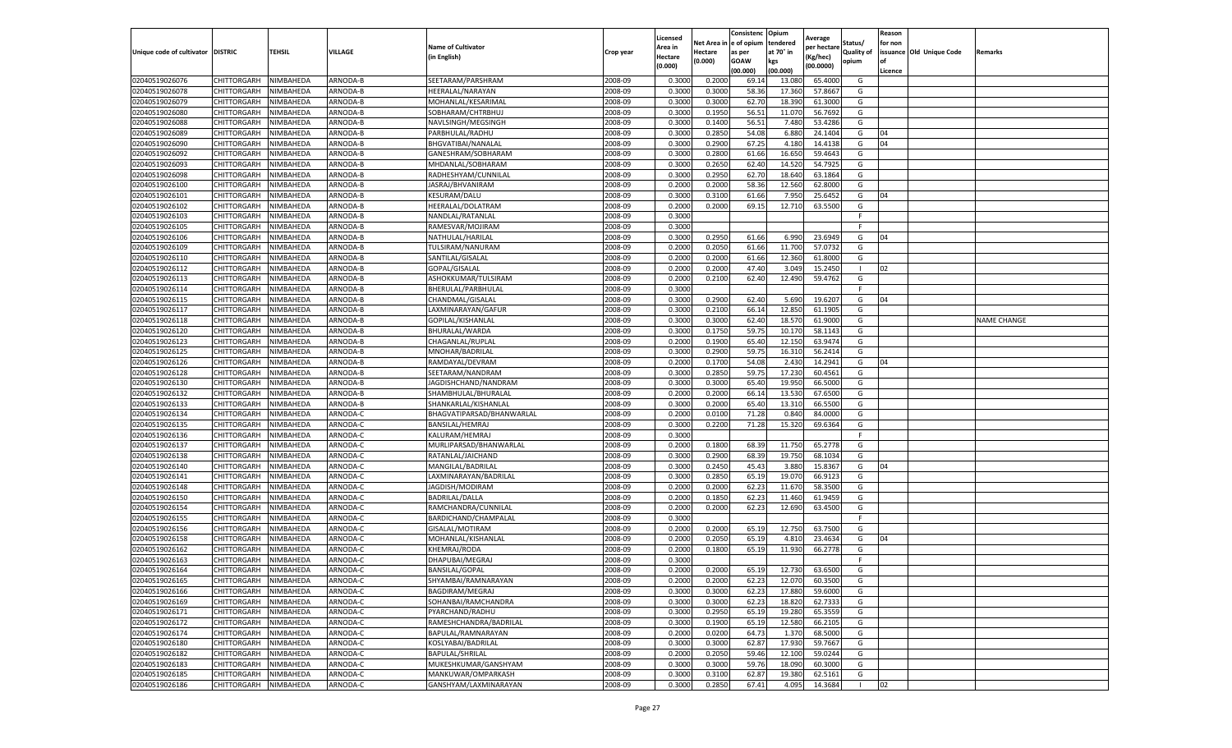|                                   |                            |                        |                      |                                        |                    | Licensed         |                  | Consistenc             | Opium            |                        |                   | Reason  |                          |                    |
|-----------------------------------|----------------------------|------------------------|----------------------|----------------------------------------|--------------------|------------------|------------------|------------------------|------------------|------------------------|-------------------|---------|--------------------------|--------------------|
|                                   |                            |                        |                      | <b>Name of Cultivator</b>              |                    | Area in          |                  | Net Area in e of opium | tendered         | Average<br>per hectare | Status/           | for non |                          |                    |
| Unique code of cultivator DISTRIC |                            | TEHSIL                 | VILLAGE              | in English)                            | Crop year          | Hectare          | Hectare          | as per                 | at 70° in        | (Kg/hec                | <b>Quality of</b> |         | issuance Old Unique Code | <b>Remarks</b>     |
|                                   |                            |                        |                      |                                        |                    | (0.000)          | (0.000)          | <b>GOAW</b>            | kgs              | (00.0000)              | opium             |         |                          |                    |
|                                   |                            |                        |                      |                                        |                    |                  |                  | (00.000)               | (00.000)         |                        |                   | Licence |                          |                    |
| 02040519026076                    | CHITTORGARH                | NIMBAHEDA              | ARNODA-B             | SEETARAM/PARSHRAM                      | 2008-09            | 0.3000           | 0.2000           | 69.14                  | 13.08            | 65.4000                | G                 |         |                          |                    |
| 02040519026078                    | CHITTORGARH                | NIMBAHEDA              | ARNODA-B             | HEERALAL/NARAYAN                       | 2008-09            | 0.3000           | 0.3000           | 58.36                  | 17.36            | 57.8667                | G                 |         |                          |                    |
| 02040519026079                    | CHITTORGARH                | NIMBAHEDA              | ARNODA-B             | MOHANLAL/KESARIMAL                     | 2008-09            | 0.3000           | 0.3000           | 62.70                  | 18.390           | 61.3000                | G                 |         |                          |                    |
| 02040519026080                    | CHITTORGARH                | NIMBAHEDA              | ARNODA-B             | SOBHARAM/CHTRBHUJ                      | 2008-09            | 0.3000           | 0.1950           | 56.51                  | 11.070           | 56.7692                | G                 |         |                          |                    |
| 02040519026088                    | CHITTORGARH                | NIMBAHEDA              | ARNODA-B             | NAVLSINGH/MEGSINGH                     | 2008-09            | 0.3000           | 0.1400           | 56.51                  | 7.480            | 53.4286                | G                 |         |                          |                    |
| 02040519026089                    | CHITTORGARH                | NIMBAHEDA              | <b>ARNODA-B</b>      | PARBHULAL/RADHU                        | 2008-09            | 0.3000           | 0.2850           | 54.08                  | 6.88             | 24.1404                | G                 | 04      |                          |                    |
| 02040519026090                    | CHITTORGARH                | NIMBAHEDA              | ARNODA-B             | BHGVATIBAI/NANALAL                     | 2008-09            | 0.3000           | 0.2900           | 67.25                  | 4.180            | 14.4138                | G                 | 04      |                          |                    |
| 02040519026092                    | CHITTORGARH                | NIMBAHEDA              | ARNODA-B             | GANESHRAM/SOBHARAM                     | 2008-09            | 0.3000           | 0.2800           | 61.66                  | 16.65            | 59.4643                | G                 |         |                          |                    |
| 02040519026093                    | CHITTORGARH                | NIMBAHEDA              | ARNODA-B             | MHDANLAL/SOBHARAM                      | 2008-09            | 0.3000           | 0.2650           | 62.40                  | 14.52            | 54.7925                | G                 |         |                          |                    |
| 02040519026098                    | CHITTORGARH                | NIMBAHEDA              | ARNODA-B             | RADHESHYAM/CUNNILAL                    | 2008-09            | 0.3000           | 0.2950           | 62.70                  | 18.640           | 63.1864                | G                 |         |                          |                    |
| 02040519026100                    | CHITTORGARH                | NIMBAHEDA              | ARNODA-B             | JASRAJ/BHVANIRAM                       | 2008-09            | 0.2000           | 0.2000           | 58.36                  | 12.560           | 62.8000                | G                 |         |                          |                    |
| 02040519026101                    | CHITTORGARH                | NIMBAHEDA              | ARNODA-B             | KESURAM/DALU                           | 2008-09            | 0.3000           | 0.3100           | 61.66                  | 7.95             | 25.6452                | G                 | 04      |                          |                    |
| 02040519026102                    | CHITTORGARH                | NIMBAHEDA              | ARNODA-B             | <b>HEERALAL/DOLATRAM</b>               | 2008-09            | 0.2000           | 0.2000           | 69.15                  | 12.71            | 63.5500                | G                 |         |                          |                    |
| 02040519026103                    | CHITTORGARH                | NIMBAHEDA              | ARNODA-B             | NANDLAL/RATANLAI                       | 2008-09            | 0.3000           |                  |                        |                  |                        | F.                |         |                          |                    |
| 02040519026105                    | CHITTORGARH                | NIMBAHEDA              | ARNODA-B             | RAMESVAR/MOJIRAM                       | 2008-09            | 0.3000           |                  |                        |                  |                        | F.                |         |                          |                    |
| 02040519026106                    | CHITTORGARH                | NIMBAHEDA              | ARNODA-B             | NATHULAL/HARILAL                       | 2008-09            | 0.3000           | 0.2950           | 61.66                  | 6.990            | 23.6949                | G                 | 04      |                          |                    |
| 02040519026109                    | CHITTORGARH                | NIMBAHEDA              | ARNODA-B             | TULSIRAM/NANURAM                       | 2008-09            | 0.2000           | 0.2050           | 61.66                  | 11.700           | 57.0732                | G                 |         |                          |                    |
| 02040519026110                    | CHITTORGARH                | NIMBAHEDA              | ARNODA-B             | SANTILAL/GISALAL                       | 2008-09            | 0.2000           | 0.2000           | 61.66                  | 12.360           | 61.8000                | G                 |         |                          |                    |
| 02040519026112                    | CHITTORGARH                | NIMBAHEDA              | ARNODA-B             | GOPAL/GISALAL                          | 2008-09            | 0.2000           | 0.2000           | 47.40                  | 3.049            | 15.2450                |                   | 02      |                          |                    |
| 02040519026113                    | CHITTORGARH                | NIMBAHEDA              | ARNODA-B             | ASHOKKUMAR/TULSIRAM                    | 2008-09            | 0.2000           | 0.2100           | 62.40                  | 12.490           | 59.4762                | G                 |         |                          |                    |
| 02040519026114                    | CHITTORGARH                | NIMBAHEDA              | ARNODA-B             | BHERULAL/PARBHULAL                     | 2008-09            | 0.3000           |                  |                        |                  |                        | F                 |         |                          |                    |
| 02040519026115                    | CHITTORGARH                | NIMBAHEDA              | ARNODA-B             | CHANDMAL/GISALAL                       | 2008-09            | 0.3000           | 0.2900           | 62.40                  | 5.690            | 19.6207                | G                 | 04      |                          |                    |
| 02040519026117                    | CHITTORGARH                | NIMBAHEDA              | ARNODA-B             | LAXMINARAYAN/GAFUR                     | 2008-09            | 0.3000           | 0.2100           | 66.14                  | 12.850           | 61.1905                | G                 |         |                          |                    |
| 02040519026118                    | CHITTORGARH                | NIMBAHEDA              | ARNODA-B             | GOPILAL/KISHANLAL                      | 2008-09            | 0.3000           | 0.3000           | 62.40                  | 18.57            | 61.9000                | G                 |         |                          | <b>NAME CHANGE</b> |
| 02040519026120                    | <b>CHITTORGARH</b>         | NIMBAHEDA              | ARNODA-B             | BHURALAL/WARDA                         | 2008-09            | 0.3000           | 0.1750           | 59.75                  | 10.17            | 58.1143                | G                 |         |                          |                    |
| 02040519026123                    | CHITTORGARH                | NIMBAHEDA              | ARNODA-B             | CHAGANLAL/RUPLAI                       | 2008-09            | 0.2000           | 0.1900           | 65.40                  | 12.150           | 63.9474                | G                 |         |                          |                    |
| 02040519026125                    | CHITTORGARH                | NIMBAHEDA              | ARNODA-B             | MNOHAR/BADRILAL                        | 2008-09            | 0.3000           | 0.2900           | 59.7                   | 16.31            | 56.2414                | G                 |         |                          |                    |
| 02040519026126                    | CHITTORGARH                | NIMBAHEDA              | ARNODA-B             | RAMDAYAL/DEVRAM                        | 2008-09            | 0.2000           | 0.1700           | 54.08                  | 2.430            | 14.2941                | G                 | 04      |                          |                    |
| 02040519026128                    | CHITTORGARH                | NIMBAHEDA              | ARNODA-B             | SEETARAM/NANDRAM                       | 2008-09            | 0.3000           | 0.2850           | 59.75                  | 17.230           | 60.4561                | G                 |         |                          |                    |
| 02040519026130                    | CHITTORGARH                | NIMBAHEDA              | ARNODA-B             | JAGDISHCHAND/NANDRAM                   | 2008-09            | 0.3000           | 0.3000           | 65.40                  | 19.95            | 66.5000                | G                 |         |                          |                    |
| 02040519026132                    | CHITTORGARH                | NIMBAHEDA              | ARNODA-B             | SHAMBHULAL/BHURALAI                    | 2008-09            | 0.2000           | 0.2000           | 66.14                  | 13.53            | 67.6500                | G                 |         |                          |                    |
| 02040519026133                    | CHITTORGARH                | NIMBAHEDA              | ARNODA-B             | SHANKARLAL/KISHANLAL                   | 2008-09            | 0.3000           | 0.2000           | 65.40                  | 13.31            | 66.5500                | G                 |         |                          |                    |
| 02040519026134                    | CHITTORGARH                | NIMBAHEDA              | ARNODA-C             | BHAGVATIPARSAD/BHANWARLAL              | 2008-09            | 0.2000           | 0.0100           | 71.28                  | 0.84             | 84.0000                | G                 |         |                          |                    |
| 02040519026135                    | CHITTORGARH                | NIMBAHEDA              | ARNODA-C             | BANSILAL/HEMRAJ                        | 2008-09            | 0.3000           | 0.2200           | 71.28                  | 15.320           | 69.6364                | G                 |         |                          |                    |
| 02040519026136                    | CHITTORGARH                | NIMBAHEDA              | ARNODA-C             | KALURAM/HEMRAJ                         | 2008-09            | 0.3000           |                  |                        |                  |                        | F.                |         |                          |                    |
| 02040519026137                    | CHITTORGARH                | NIMBAHEDA              | ARNODA-C             | MURLIPARSAD/BHANWARLAL                 | 2008-09            | 0.2000           | 0.1800           | 68.39                  | 11.750           | 65.2778                | G                 |         |                          |                    |
| 02040519026138                    | CHITTORGARH                | NIMBAHEDA              | ARNODA-C             | RATANLAL/JAICHAND                      | 2008-09            | 0.3000           | 0.2900           | 68.39                  | 19.750           | 68.1034                | G                 |         |                          |                    |
| 02040519026140                    | CHITTORGARH                | NIMBAHEDA              | ARNODA-C             | MANGILAL/BADRILAL                      | 2008-09            | 0.3000           | 0.2450           | 45.43                  | 3.88             | 15.8367                | G                 | 04      |                          |                    |
| 02040519026141                    | CHITTORGARH                | NIMBAHEDA              | ARNODA-C             | LAXMINARAYAN/BADRILAI                  | 2008-09            | 0.3000           | 0.2850           | 65.19                  | 19.07            | 66.9123                | G                 |         |                          |                    |
| 02040519026148                    | CHITTORGARH                | NIMBAHEDA              | ARNODA-C             | JAGDISH/MODIRAM                        | 2008-09            | 0.2000           | 0.2000           | 62.23                  | 11.67            | 58.3500                | G                 |         |                          |                    |
| 02040519026150                    | CHITTORGARH                | NIMBAHEDA              | ARNODA-C             | BADRILAL/DALLA                         | 2008-09            | 0.2000           | 0.1850           | 62.23                  | 11.460           | 61.9459                | G                 |         |                          |                    |
| 02040519026154                    | CHITTORGARH                | NIMBAHEDA              | ARNODA-C             | RAMCHANDRA/CUNNILAL                    | 2008-09            | 0.2000           | 0.2000           | 62.23                  | 12.690           | 63.4500                | G                 |         |                          |                    |
| 02040519026155                    | CHITTORGARH                | NIMBAHEDA              | ARNODA-C             | BARDICHAND/CHAMPALAL                   | 2008-09            | 0.3000           |                  |                        |                  |                        | F                 |         |                          |                    |
| 02040519026156                    | CHITTORGARH                | NIMBAHEDA              | ARNODA-C             | GISALAL/MOTIRAM                        | 2008-09            | 0.2000           | 0.2000           | 65.19                  | 12.750           | 63.7500                | G                 |         |                          |                    |
| 02040519026158                    | CHITTORGARH                | NIMBAHEDA              | ARNODA-C             | MOHANLAL/KISHANLAL                     | 2008-09            | 0.2000           | 0.2050           | 65.19                  | 4.81             | 23.4634                | G                 | 04      |                          |                    |
| 02040519026162                    | CHITTORGARH                | NIMBAHEDA              | ARNODA-C             | KHEMRAJ/RODA                           | 2008-09            | 0.2000           | 0.1800           | 65.19                  | 11.93            | 66.2778                | G                 |         |                          |                    |
| 02040519026163                    | CHITTORGARH                | NIMBAHEDA              | ARNODA-C             | DHAPUBAI/MEGRAJ                        | 2008-09            | 0.3000           |                  |                        |                  |                        | F.                |         |                          |                    |
| 02040519026164                    | CHITTORGARH                | NIMBAHEDA              | ARNODA-C             | <b>BANSILAL/GOPAL</b>                  | 2008-09            | 0.2000           | 0.2000           | 65.19                  | 12.730           | 63.6500                | G                 |         |                          |                    |
| 02040519026165                    |                            |                        |                      |                                        |                    |                  |                  |                        |                  |                        |                   |         |                          |                    |
| 02040519026166                    | CHITTORGARH<br>CHITTORGARH | NIMBAHEDA<br>NIMBAHEDA | ARNODA-C<br>ARNODA-C | SHYAMBAI/RAMNARAYAN<br>BAGDIRAM/MEGRAJ | 2008-09<br>2008-09 | 0.2000<br>0.3000 | 0.2000<br>0.3000 | 62.23<br>62.23         | 12.070<br>17.880 | 60.3500<br>59.6000     | G<br>G            |         |                          |                    |
| 02040519026169                    |                            |                        |                      | SOHANBAI/RAMCHANDRA                    | 2008-09            |                  | 0.3000           |                        |                  |                        | G                 |         |                          |                    |
|                                   | CHITTORGARH                | NIMBAHEDA              | ARNODA-C             | PYARCHAND/RADHU                        |                    | 0.3000           |                  | 62.23                  | 18.820           | 62.7333                |                   |         |                          |                    |
| 02040519026171                    | CHITTORGARH                | NIMBAHEDA              | ARNODA-C             |                                        | 2008-09            | 0.3000           | 0.2950           | 65.19                  | 19.280           | 65.3559                | G                 |         |                          |                    |
| 02040519026172                    | CHITTORGARH                | NIMBAHEDA              | ARNODA-C             | RAMESHCHANDRA/BADRILAL                 | 2008-09            | 0.3000           | 0.1900           | 65.19                  | 12.580           | 66.2105                | G                 |         |                          |                    |
| 02040519026174                    | <b>CHITTORGARH</b>         | NIMBAHEDA              | ARNODA-C             | BAPULAL/RAMNARAYAN                     | 2008-09            | 0.2000           | 0.0200           | 64.73                  | 1.370            | 68.5000                | G                 |         |                          |                    |
| 02040519026180                    | CHITTORGARH                | NIMBAHEDA              | ARNODA-C             | KOSLYABAI/BADRILAL                     | 2008-09            | 0.3000           | 0.3000           | 62.87                  | 17.93            | 59.7667                | G                 |         |                          |                    |
| 02040519026182                    | CHITTORGARH                | NIMBAHEDA              | ARNODA-C             | <b>BAPULAL/SHRILAL</b>                 | 2008-09            | 0.2000           | 0.2050           | 59.46                  | 12.100           | 59.0244                | G                 |         |                          |                    |
| 02040519026183                    | CHITTORGARH                | NIMBAHEDA              | ARNODA-C             | MUKESHKUMAR/GANSHYAM                   | 2008-09            | 0.3000           | 0.3000           | 59.76                  | 18.090           | 60.3000                | G                 |         |                          |                    |
| 02040519026185                    | CHITTORGARH                | NIMBAHEDA              | ARNODA-C             | MANKUWAR/OMPARKASH                     | 2008-09            | 0.3000           | 0.3100           | 62.87                  | 19.38            | 62.5161                | G                 |         |                          |                    |
| 02040519026186                    | <b>CHITTORGARH</b>         | NIMBAHEDA              | ARNODA-C             | GANSHYAM/LAXMINARAYAN                  | 2008-09            | 0.3000           | 0.2850           | 67.41                  | 4.095            | 14.3684                | $\mathbf{L}$      | 02      |                          |                    |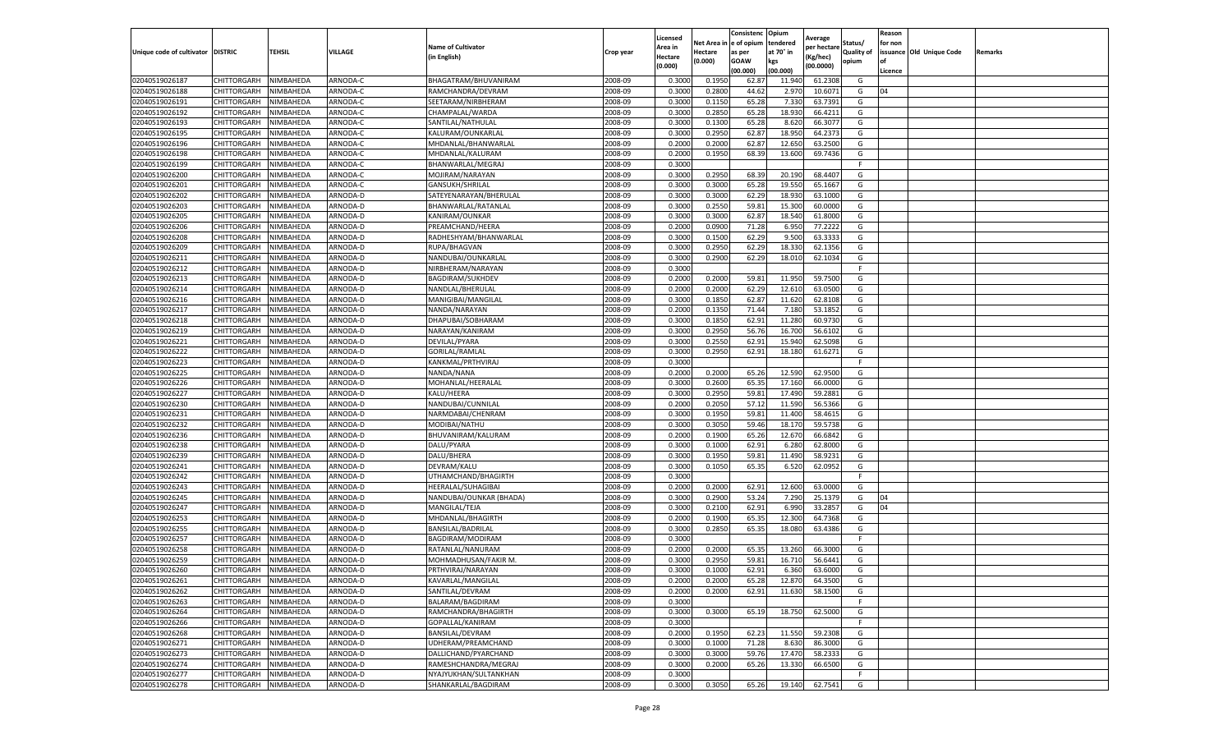|                                   |                            |                        |                      |                                         |                    | Licensed         |                  | Consistenc  | Opium     |                        |                   | Reason  |                          |         |
|-----------------------------------|----------------------------|------------------------|----------------------|-----------------------------------------|--------------------|------------------|------------------|-------------|-----------|------------------------|-------------------|---------|--------------------------|---------|
|                                   |                            |                        |                      | <b>Name of Cultivator</b>               |                    | Area in          | Net Area i       | e of opium  | tendered  | Average<br>per hectare | Status/           | for non |                          |         |
| Unique code of cultivator DISTRIC |                            | TEHSIL                 | VILLAGE              | (in English)                            | Crop year          | Hectare          | Hectare          | as per      | at 70° in | (Kg/hec)               | <b>Quality of</b> |         | issuance Old Unique Code | Remarks |
|                                   |                            |                        |                      |                                         |                    | (0.000)          | (0.000)          | <b>GOAW</b> | kgs       | (00.0000)              | opium             | οf      |                          |         |
|                                   |                            |                        |                      |                                         |                    |                  |                  | (00.000     | (00.000)  |                        |                   | Licence |                          |         |
| 02040519026187                    | CHITTORGARH                | NIMBAHEDA              | ARNODA-C             | BHAGATRAM/BHUVANIRAM                    | 2008-09            | 0.3000           | 0.1950           | 62.87       | 11.940    | 61.2308                | G                 |         |                          |         |
| 02040519026188                    | CHITTORGARH                | NIMBAHEDA              | ARNODA-C             | RAMCHANDRA/DEVRAM                       | 2008-09            | 0.300            | 0.2800           | 44.62       | 2.97      | 10.6071                | G                 | 04      |                          |         |
| 02040519026191                    | CHITTORGARH                | NIMBAHEDA              | ARNODA-C             | SEETARAM/NIRBHERAM                      | 2008-09            | 0.3000           | 0.1150           | 65.28       | 7.330     | 63.7391                | G                 |         |                          |         |
| 02040519026192                    | CHITTORGARH                | NIMBAHEDA              | ARNODA-C             | CHAMPALAL/WARDA                         | 2008-09            | 0.3000           | 0.2850           | 65.28       | 18.930    | 66.4211                | G                 |         |                          |         |
| 02040519026193                    | CHITTORGARH                | NIMBAHEDA              | ARNODA-C             | SANTILAL/NATHULAL                       | 2008-09            | 0.3000           | 0.1300           | 65.28       | 8.620     | 66.3077                | G                 |         |                          |         |
| 02040519026195                    | CHITTORGARH                | NIMBAHEDA              | ARNODA-C             | KALURAM/OUNKARLAI                       | 2008-09            | 0.3000           | 0.2950           | 62.87       | 18.950    | 64.2373                | G                 |         |                          |         |
| 02040519026196                    | CHITTORGARH                | NIMBAHEDA              | ARNODA-C             | MHDANLAL/BHANWARLAL                     | 2008-09            | 0.2000           | 0.2000           | 62.87       | 12.650    | 63.2500                | G                 |         |                          |         |
| 02040519026198                    | CHITTORGARH                | NIMBAHEDA              | ARNODA-C             | MHDANLAL/KALURAM                        | 2008-09            | 0.200            | 0.1950           | 68.39       | 13.600    | 69.7436                | G                 |         |                          |         |
| 02040519026199                    | CHITTORGARH                | NIMBAHEDA              | ARNODA-C             | BHANWARLAL/MEGRAJ                       | 2008-09            | 0.3000           |                  |             |           |                        | F.                |         |                          |         |
| 02040519026200                    | CHITTORGARH                | NIMBAHEDA              | ARNODA-C             | MOJIRAM/NARAYAN                         | 2008-09            | 0.3000           | 0.2950           | 68.39       | 20.190    | 68.4407                | G                 |         |                          |         |
| 02040519026201                    | CHITTORGARH                | NIMBAHEDA              | ARNODA-C             | GANSUKH/SHRILAL                         | 2008-09            | 0.3000           | 0.3000           | 65.28       | 19.550    | 65.1667                | G                 |         |                          |         |
| 02040519026202                    | CHITTORGARH                | NIMBAHEDA              | ARNODA-D             | SATEYENARAYAN/BHERULAL                  | 2008-09            | 0.3000           | 0.3000           | 62.29       | 18.93     | 63.1000                | G                 |         |                          |         |
| 02040519026203                    | CHITTORGARH                | NIMBAHEDA              | <b>ARNODA-D</b>      | BHANWARLAL/RATANLAL                     | 2008-09            | 0.3000           | 0.2550           | 59.81       | 15.300    | 60.0000                | G                 |         |                          |         |
| 02040519026205                    | CHITTORGARH                | NIMBAHEDA              | ARNODA-D             | KANIRAM/OUNKAR                          | 2008-09            | 0.300            | 0.3000           | 62.87       | 18.540    | 61.8000                | G                 |         |                          |         |
| 02040519026206                    | CHITTORGARH                | NIMBAHEDA              | ARNODA-D             | PREAMCHAND/HEERA                        | 2008-09            | 0.2000           | 0.0900           | 71.28       | 6.950     | 77.2222                | G                 |         |                          |         |
| 02040519026208                    | CHITTORGARH                | NIMBAHEDA              | ARNODA-D             | RADHESHYAM/BHANWARLAL                   | 2008-09            | 0.3000           | 0.1500           | 62.29       | 9.500     | 63.3333                | G                 |         |                          |         |
| 02040519026209                    | CHITTORGARH                | NIMBAHEDA              | ARNODA-D             | RUPA/BHAGVAN                            | 2008-09            | 0.3000           | 0.2950           | 62.29       | 18.33     | 62.1356                | G                 |         |                          |         |
| 02040519026211                    | CHITTORGARH                | NIMBAHEDA              | ARNODA-D             | NANDUBAI/OUNKARLAL                      | 2008-09            | 0.3000           | 0.2900           | 62.29       | 18.010    | 62.1034                | G                 |         |                          |         |
| 02040519026212                    | CHITTORGARH                | NIMBAHEDA              | ARNODA-D             | NIRBHERAM/NARAYAN                       | 2008-09            | 0.3000           |                  |             |           |                        |                   |         |                          |         |
| 02040519026213                    | CHITTORGARH                | NIMBAHEDA              | ARNODA-D             | <b>BAGDIRAM/SUKHDEV</b>                 | 2008-09            | 0.2000           | 0.2000           | 59.81       | 11.950    | 59.7500                | G                 |         |                          |         |
| 02040519026214                    | CHITTORGARH                | NIMBAHEDA              | ARNODA-D             | NANDLAL/BHERULAL                        | 2008-09            | 0.2000           | 0.2000           | 62.29       | 12.610    | 63.0500                | G                 |         |                          |         |
| 02040519026216                    | CHITTORGARH                | NIMBAHEDA              | ARNODA-D             | MANIGIBAI/MANGILAL                      | 2008-09            | 0.3000           | 0.1850           | 62.87       | 11.620    | 62.8108                | G                 |         |                          |         |
| 02040519026217                    | CHITTORGARH                | NIMBAHEDA              | ARNODA-D             | NANDA/NARAYAN                           | 2008-09            | 0.2000           | 0.1350           | 71.44       | 7.180     | 53.1852                | G                 |         |                          |         |
| 02040519026218                    | CHITTORGARH                | NIMBAHEDA              | ARNODA-D             | DHAPUBAI/SOBHARAM                       | 2008-09            | 0.3000           | 0.1850           | 62.91       | 11.280    | 60.9730                | G                 |         |                          |         |
| 02040519026219                    | CHITTORGARH                | NIMBAHEDA              | ARNODA-D             | NARAYAN/KANIRAM                         | 2008-09            | 0.3000           | 0.2950           | 56.76       | 16.700    | 56.6102                | G                 |         |                          |         |
| 02040519026221                    | CHITTORGARH                | NIMBAHEDA              | ARNODA-D             | DEVILAL/PYARA                           | 2008-09            | 0.3000           | 0.2550           | 62.91       | 15.940    | 62.5098                | G                 |         |                          |         |
| 02040519026222                    | CHITTORGARH                | NIMBAHEDA              | ARNODA-D             | GORILAL/RAMLAI                          | 2008-09            | 0.3000           | 0.2950           | 62.91       | 18.180    | 61.6271                | G                 |         |                          |         |
| 02040519026223                    | CHITTORGARH                | NIMBAHEDA              | ARNODA-D             | KANKMAL/PRTHVIRAJ                       | 2008-09            | 0.3000           |                  |             |           |                        | F.                |         |                          |         |
| 02040519026225                    | CHITTORGARH                | NIMBAHEDA              | ARNODA-D             | NANDA/NANA                              | 2008-09            | 0.2000           | 0.2000           | 65.26       | 12.590    | 62.9500                | G                 |         |                          |         |
| 02040519026226                    | CHITTORGARH                | NIMBAHEDA              | ARNODA-D             | MOHANLAL/HEERALAL                       | 2008-09            | 0.3000           | 0.2600           | 65.35       | 17.160    | 66.0000                | G                 |         |                          |         |
| 02040519026227                    | CHITTORGARH                | NIMBAHEDA              | ARNODA-D             | KALU/HEERA                              | 2008-09            | 0.3000           | 0.2950           | 59.81       | 17.490    | 59.2881                | G                 |         |                          |         |
| 02040519026230                    | CHITTORGARH                | NIMBAHEDA              | ARNODA-D             | NANDUBAI/CUNNILAL                       | 2008-09            | 0.2000           | 0.2050           | 57.12       | 11.590    | 56.5366                | G                 |         |                          |         |
| 02040519026231                    | CHITTORGARH                | NIMBAHEDA              | ARNODA-D             | NARMDABAI/CHENRAM                       | 2008-09            | 0.3000           | 0.1950           | 59.8        | 11.400    | 58.461                 | G                 |         |                          |         |
| 02040519026232                    | CHITTORGARH                | NIMBAHEDA              | ARNODA-D             | MODIBAI/NATHU                           | 2008-09            | 0.3000           | 0.3050           | 59.46       | 18.17     | 59.5738                | G                 |         |                          |         |
| 02040519026236                    | CHITTORGARH                | NIMBAHEDA              | ARNODA-D             | BHUVANIRAM/KALURAM                      | 2008-09            | 0.2000           | 0.1900           | 65.26       | 12.670    | 66.6842                | G                 |         |                          |         |
| 02040519026238                    | CHITTORGARH                | NIMBAHEDA              | ARNODA-D             | DALU/PYARA                              | 2008-09            | 0.3000           | 0.1000           | 62.91       | 6.280     | 62.8000                | G                 |         |                          |         |
| 02040519026239                    | CHITTORGARH                | NIMBAHEDA              | ARNODA-D             | DALU/BHERA                              | 2008-09            | 0.3000           | 0.1950           | 59.81       | 11.490    | 58.9231                | G                 |         |                          |         |
| 02040519026241                    | CHITTORGARH                | NIMBAHEDA              | ARNODA-D             | DEVRAM/KALU                             | 2008-09            | 0.3000           | 0.1050           | 65.35       | 6.520     | 62.0952                | G                 |         |                          |         |
| 02040519026242                    | CHITTORGARH                | NIMBAHEDA              | ARNODA-D             | UTHAMCHAND/BHAGIRTH                     | 2008-09            | 0.3000           |                  |             |           |                        | F.                |         |                          |         |
| 02040519026243                    | CHITTORGARH                | NIMBAHEDA              | ARNODA-D             | HEERALAL/SUHAGIBAI                      | 2008-09            | 0.2000           | 0.2000           | 62.91       | 12.600    | 63.0000                | G                 |         |                          |         |
| 02040519026245                    | CHITTORGARH                | NIMBAHEDA              | ARNODA-D             | NANDUBAI/OUNKAR (BHADA)                 | 2008-09            | 0.3000           | 0.2900           | 53.24       | 7.290     | 25.1379                | G                 | 04      |                          |         |
| 02040519026247                    | CHITTORGARH                | NIMBAHEDA              | ARNODA-D             | MANGILAL/TEJA                           | 2008-09            | 0.3000           | 0.2100           | 62.91       | 6.990     | 33.2857                | G                 | 04      |                          |         |
| 02040519026253                    | CHITTORGARH                | NIMBAHEDA              | ARNODA-D             | MHDANLAL/BHAGIRTH                       | 2008-09            | 0.2000           | 0.1900           | 65.35       | 12.300    | 64.7368                | G                 |         |                          |         |
| 02040519026255                    | CHITTORGARH                | NIMBAHEDA              | ARNODA-D             | BANSILAL/BADRILAL                       | 2008-09            | 0.3000           | 0.2850           | 65.35       | 18.080    | 63.4386                | G                 |         |                          |         |
| 02040519026257                    | CHITTORGARH                | NIMBAHEDA              | ARNODA-D             | BAGDIRAM/MODIRAM                        | 2008-09            | 0.3000           |                  |             |           |                        | F                 |         |                          |         |
| 02040519026258                    | CHITTORGARH                | NIMBAHEDA              | ARNODA-D             | RATANLAL/NANURAM                        | 2008-09            | 0.2000           | 0.2000           | 65.35       | 13.260    | 66.3000                | G                 |         |                          |         |
| 02040519026259                    | CHITTORGARH                | NIMBAHEDA              | ARNODA-D             | MOHMADHUSAN/FAKIR M                     | 2008-09            | 0.3000           | 0.2950           | 59.81       | 16.710    | 56.6441                | G                 |         |                          |         |
| 02040519026260                    | CHITTORGARH                | NIMBAHEDA              | ARNODA-D             | PRTHVIRAJ/NARAYAN                       | 2008-09            | 0.3000           | 0.1000           | 62.91       | 6.360     | 63.6000                | G                 |         |                          |         |
| 02040519026261                    | CHITTORGARH                | NIMBAHEDA              | ARNODA-D             | KAVARLAL/MANGILAL                       | 2008-09            | 0.2000           | 0.2000           | 65.28       | 12.870    | 64.3500                | G                 |         |                          |         |
| 02040519026262                    | CHITTORGARH                | NIMBAHEDA              | ARNODA-D             | SANTILAL/DEVRAM                         | 2008-09            | 0.2000           | 0.2000           | 62.91       | 11.630    | 58.1500                | G                 |         |                          |         |
| 02040519026263                    | CHITTORGARH                | NIMBAHEDA              | ARNODA-D             | BALARAM/BAGDIRAM                        | 2008-09            | 0.3000           |                  |             |           |                        | F.                |         |                          |         |
|                                   |                            |                        |                      |                                         |                    |                  |                  |             |           |                        |                   |         |                          |         |
| 02040519026264                    | CHITTORGARH                | NIMBAHEDA              | ARNODA-D             | RAMCHANDRA/BHAGIRTH<br>GOPALLAL/KANIRAM | 2008-09<br>2008-09 | 0.3000<br>0.3000 | 0.3000           | 65.19       | 18.750    | 62.5000                | G<br>F.           |         |                          |         |
| 02040519026266                    | CHITTORGARH                | NIMBAHEDA              | ARNODA-D             |                                         | 2008-09            |                  |                  |             |           | 59.2308                | G                 |         |                          |         |
| 02040519026268                    | CHITTORGARH                | NIMBAHEDA<br>NIMBAHEDA | ARNODA-D             | BANSILAL/DEVRAM                         |                    | 0.2000           | 0.1950           | 62.23       | 11.550    |                        |                   |         |                          |         |
| 02040519026271                    | CHITTORGARH                |                        | ARNODA-D             | UDHERAM/PREAMCHAND                      | 2008-09            | 0.3000           | 0.1000           | 71.28       | 8.630     | 86.3000                | G                 |         |                          |         |
| 02040519026273                    | CHITTORGARH<br>CHITTORGARH | NIMBAHEDA              | ARNODA-D<br>ARNODA-D | DALLICHAND/PYARCHAND                    | 2008-09<br>2008-09 | 0.3000           | 0.3000<br>0.2000 | 59.76       | 17.470    | 58.2333                | G<br>G            |         |                          |         |
| 02040519026274<br>02040519026277  |                            | NIMBAHEDA              |                      | RAMESHCHANDRA/MEGRAJ                    |                    | 0.3000           |                  | 65.26       | 13.330    | 66.6500                |                   |         |                          |         |
|                                   | CHITTORGARH                | NIMBAHEDA              | ARNODA-D             | NYAJYUKHAN/SULTANKHAN                   | 2008-09            | 0.3000           |                  |             |           |                        | F.                |         |                          |         |
| 02040519026278                    | CHITTORGARH                | NIMBAHEDA              | ARNODA-D             | SHANKARLAL/BAGDIRAM                     | 2008-09            | 0.3000           | 0.3050           | 65.26       | 19.140    | 62.7541                | G                 |         |                          |         |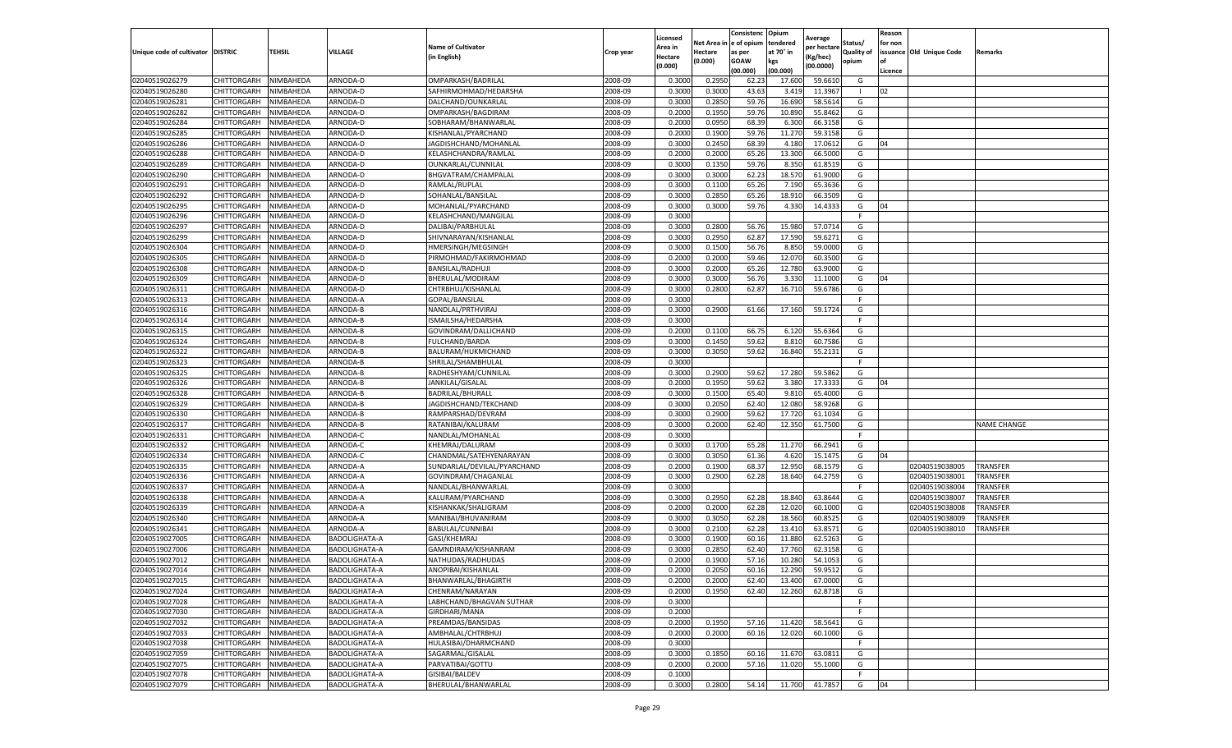|                                   |                       |           |                      |                             |           | Licensed |         | Consistenc             | Opium     | Average     |                   | Reason  |                          |                    |
|-----------------------------------|-----------------------|-----------|----------------------|-----------------------------|-----------|----------|---------|------------------------|-----------|-------------|-------------------|---------|--------------------------|--------------------|
|                                   |                       |           |                      | <b>Name of Cultivator</b>   |           | Area in  |         | Net Area in e of opium | tendered  | per hectare | Status/           | for non |                          |                    |
| Unique code of cultivator DISTRIC |                       | TEHSIL    | VILLAGE              | in English)                 | Crop year | Hectare  | Hectare | as per                 | at 70° in | (Kg/hec     | <b>Quality of</b> |         | issuance Old Unique Code | <b>Remarks</b>     |
|                                   |                       |           |                      |                             |           | (0.000)  | (0.000) | <b>GOAW</b>            | kgs       | (00.0000)   | opium             |         |                          |                    |
|                                   |                       |           |                      |                             |           |          |         | (00.000)               | (00.000)  |             |                   | Licence |                          |                    |
| 02040519026279                    | CHITTORGARH           | NIMBAHEDA | ARNODA-D             | OMPARKASH/BADRILAI          | 2008-09   | 0.3000   | 0.2950  | 62.23                  | 17.600    | 59.6610     | G                 |         |                          |                    |
| 02040519026280                    | CHITTORGARH           | NIMBAHEDA | ARNODA-D             | SAFHIRMOHMAD/HEDARSHA       | 2008-09   | 0.3000   | 0.3000  | 43.63                  | 3.419     | 11.3967     | -1                | 02      |                          |                    |
| 02040519026281                    | CHITTORGARH           | NIMBAHEDA | ARNODA-D             | DALCHAND/OUNKARLAL          | 2008-09   | 0.3000   | 0.2850  | 59.76                  | 16.690    | 58.5614     | G                 |         |                          |                    |
| 02040519026282                    | CHITTORGARH           | NIMBAHEDA | ARNODA-D             | OMPARKASH/BAGDIRAM          | 2008-09   | 0.2000   | 0.1950  | 59.76                  | 10.890    | 55.8462     | G                 |         |                          |                    |
| 02040519026284                    | CHITTORGARH           | NIMBAHEDA | ARNODA-D             | SOBHARAM/BHANWARLAL         | 2008-09   | 0.2000   | 0.0950  | 68.39                  | 6.300     | 66.3158     | G                 |         |                          |                    |
| 02040519026285                    | CHITTORGARH           | NIMBAHEDA | ARNODA-D             | KISHANLAL/PYARCHAND         | 2008-09   | 0.2000   | 0.1900  | 59.76                  | 11.27     | 59.3158     | G                 |         |                          |                    |
| 02040519026286                    | CHITTORGARH           | NIMBAHEDA | ARNODA-D             | JAGDISHCHAND/MOHANLAL       | 2008-09   | 0.3000   | 0.2450  | 68.39                  | 4.180     | 17.0612     | G                 | 04      |                          |                    |
| 02040519026288                    | CHITTORGARH           | NIMBAHEDA | ARNODA-D             | KELASHCHANDRA/RAMLAL        | 2008-09   | 0.2000   | 0.2000  | 65.26                  | 13.30     | 66.5000     | G                 |         |                          |                    |
| 02040519026289                    | CHITTORGARH           | NIMBAHEDA | ARNODA-D             | OUNKARLAL/CUNNILAL          | 2008-09   | 0.3000   | 0.1350  | 59.76                  | 8.350     | 61.8519     | G                 |         |                          |                    |
| 02040519026290                    | CHITTORGARH           | NIMBAHEDA | ARNODA-D             | BHGVATRAM/CHAMPALAL         | 2008-09   | 0.3000   | 0.3000  | 62.23                  | 18.570    | 61.9000     | G                 |         |                          |                    |
| 02040519026291                    | CHITTORGARH           | NIMBAHEDA | ARNODA-D             | RAMLAL/RUPLAL               | 2008-09   | 0.3000   | 0.1100  | 65.26                  | 7.190     | 65.3636     | G                 |         |                          |                    |
| 02040519026292                    | CHITTORGARH           | NIMBAHEDA | ARNODA-D             | SOHANLAL/BANSILAL           | 2008-09   | 0.3000   | 0.2850  | 65.26                  | 18.91     | 66.3509     | G                 |         |                          |                    |
| 02040519026295                    | CHITTORGARH           | NIMBAHEDA | ARNODA-D             | MOHANLAL/PYARCHAND          | 2008-09   | 0.3000   | 0.3000  | 59.76                  | 4.330     | 14.4333     | G                 | 04      |                          |                    |
| 02040519026296                    | CHITTORGARH           | NIMBAHEDA | ARNODA-D             | KELASHCHAND/MANGILAL        | 2008-09   | 0.3000   |         |                        |           |             | F                 |         |                          |                    |
| 02040519026297                    | CHITTORGARH           | NIMBAHEDA | ARNODA-D             | DALIBAI/PARBHULAL           | 2008-09   | 0.3000   | 0.2800  | 56.76                  | 15.980    | 57.0714     | G                 |         |                          |                    |
| 02040519026299                    | CHITTORGARH           | NIMBAHEDA | ARNODA-D             | SHIVNARAYAN/KISHANLAL       | 2008-09   | 0.3000   | 0.2950  | 62.87                  | 17.590    | 59.6271     | G                 |         |                          |                    |
| 02040519026304                    | CHITTORGARH           | NIMBAHEDA | ARNODA-D             | HMERSINGH/MEGSINGH          | 2008-09   | 0.3000   | 0.1500  | 56.76                  | 8.85      | 59.0000     | G                 |         |                          |                    |
| 02040519026305                    | CHITTORGARH           | NIMBAHEDA | ARNODA-D             | PIRMOHMAD/FAKIRMOHMAD       | 2008-09   | 0.2000   | 0.2000  | 59.46                  | 12.07     | 60.3500     | G                 |         |                          |                    |
| 02040519026308                    | CHITTORGARH           | NIMBAHEDA | ARNODA-D             | <b>BANSILAL/RADHUJI</b>     | 2008-09   | 0.3000   | 0.2000  | 65.26                  | 12.78     | 63.9000     | G                 |         |                          |                    |
| 02040519026309                    | CHITTORGARH           | NIMBAHEDA | ARNODA-D             | BHERULAL/MODIRAM            | 2008-09   | 0.3000   | 0.3000  | 56.76                  | 3.330     | 11.1000     | G                 | 04      |                          |                    |
| 02040519026311                    | CHITTORGARH           | NIMBAHEDA | ARNODA-D             | CHTRBHUJ/KISHANLAL          | 2008-09   | 0.3000   | 0.2800  | 62.87                  | 16.710    | 59.6786     | G                 |         |                          |                    |
| 02040519026313                    | CHITTORGARH           | NIMBAHEDA | ARNODA-A             | GOPAL/BANSILAL              | 2008-09   | 0.3000   |         |                        |           |             | F                 |         |                          |                    |
| 02040519026316                    | CHITTORGARH           | NIMBAHEDA | ARNODA-B             | NANDLAL/PRTHVIRAJ           | 2008-09   | 0.3000   | 0.2900  | 61.66                  | 17.160    | 59.1724     | G                 |         |                          |                    |
| 02040519026314                    | CHITTORGARH           | NIMBAHEDA | ARNODA-B             | ISMAILSHA/HEDARSHA          | 2008-09   | 0.3000   |         |                        |           |             | F.                |         |                          |                    |
| 02040519026315                    | CHITTORGARH           | NIMBAHEDA | ARNODA-B             | GOVINDRAM/DALLICHAND        | 2008-09   | 0.2000   | 0.1100  | 66.75                  | 6.12      | 55.6364     | G                 |         |                          |                    |
| 02040519026324                    | CHITTORGARH           | NIMBAHEDA | ARNODA-B             | <b>FULCHAND/BARDA</b>       | 2008-09   | 0.3000   | 0.1450  | 59.62                  | 8.81      | 60.7586     | G                 |         |                          |                    |
| 02040519026322                    | CHITTORGARH           | NIMBAHEDA | ARNODA-B             | BALURAM/HUKMICHAND          | 2008-09   | 0.3000   | 0.3050  | 59.62                  | 16.84     | 55.2131     | G                 |         |                          |                    |
| 02040519026323                    | CHITTORGARH           | NIMBAHEDA | ARNODA-B             | SHRILAL/SHAMBHULAL          | 2008-09   | 0.3000   |         |                        |           |             | F.                |         |                          |                    |
| 02040519026325                    | CHITTORGARH           | NIMBAHEDA | ARNODA-B             | RADHESHYAM/CUNNILAL         | 2008-09   | 0.3000   | 0.2900  | 59.62                  | 17.280    | 59.5862     | G                 |         |                          |                    |
| 02040519026326                    | CHITTORGARH           | NIMBAHEDA | ARNODA-B             | JANKILAL/GISALAL            | 2008-09   | 0.2000   | 0.1950  | 59.62                  | 3.380     | 17.3333     | G                 | 04      |                          |                    |
| 02040519026328                    | CHITTORGARH           | NIMBAHEDA | ARNODA-B             | BADRILAL/BHURALI            | 2008-09   | 0.3000   | 0.1500  | 65.40                  | 9.81      | 65.4000     | G                 |         |                          |                    |
| 02040519026329                    | CHITTORGARH           | NIMBAHEDA | ARNODA-B             | JAGDISHCHAND/TEKCHAND       | 2008-09   | 0.3000   | 0.2050  | 62.40                  | 12.080    | 58.9268     | G                 |         |                          |                    |
| 02040519026330                    | CHITTORGARH           | NIMBAHEDA | ARNODA-B             | RAMPARSHAD/DEVRAM           | 2008-09   | 0.3000   | 0.2900  | 59.62                  | 17.72     | 61.1034     | G                 |         |                          |                    |
| 02040519026317                    | CHITTORGARH           | NIMBAHEDA | ARNODA-B             | RATANIBAI/KALURAM           | 2008-09   | 0.3000   | 0.2000  | 62.40                  | 12.350    | 61.7500     | G                 |         |                          | <b>NAME CHANGE</b> |
| 02040519026331                    | CHITTORGARH           | NIMBAHEDA | ARNODA-C             | NANDLAL/MOHANLAL            | 2008-09   | 0.3000   |         |                        |           |             | F.                |         |                          |                    |
| 02040519026332                    | CHITTORGARH           | NIMBAHEDA | ARNODA-C             | KHEMRAJ/DALURAM             | 2008-09   | 0.3000   | 0.1700  | 65.28                  | 11.270    | 66.2941     | G                 |         |                          |                    |
| 02040519026334                    | CHITTORGARH           | NIMBAHEDA | ARNODA-C             | CHANDMAL/SATEHYENARAYAN     | 2008-09   | 0.3000   | 0.3050  | 61.36                  | 4.620     | 15.1475     | G                 | 04      |                          |                    |
| 02040519026335                    | CHITTORGARH           | NIMBAHEDA | ARNODA-A             | SUNDARLAL/DEVILAL/PYARCHAND | 2008-09   | 0.2000   | 0.1900  | 68.37                  | 12.95     | 68.1579     | G                 |         | 02040519038005           | TRANSFER           |
| 02040519026336                    | CHITTORGARH           | NIMBAHEDA | ARNODA-A             | GOVINDRAM/CHAGANLAL         | 2008-09   | 0.3000   | 0.2900  | 62.28                  | 18.64     | 64.2759     | G                 |         | 02040519038001           | TRANSFER           |
| 02040519026337                    | CHITTORGARH           | NIMBAHEDA | ARNODA-A             | NANDLAL/BHANWARLAL          | 2008-09   | 0.3000   |         |                        |           |             | F.                |         | 02040519038004           | <b>TRANSFER</b>    |
| 02040519026338                    | CHITTORGARH           | NIMBAHEDA | ARNODA-A             | KALURAM/PYARCHAND           | 2008-09   | 0.3000   | 0.2950  | 62.28                  | 18.84     | 63.8644     | G                 |         | 02040519038007           | TRANSFER           |
| 02040519026339                    | CHITTORGARH           | NIMBAHEDA | ARNODA-A             | KISHANKAK/SHALIGRAM         | 2008-09   | 0.2000   | 0.2000  | 62.28                  | 12.020    | 60.1000     | G                 |         | 02040519038008           | TRANSFER           |
| 02040519026340                    | CHITTORGARH           | NIMBAHEDA | ARNODA-A             | MANIBAI/BHUVANIRAM          | 2008-09   | 0.3000   | 0.3050  | 62.28                  | 18.56     | 60.8525     | G                 |         | 02040519038009           | TRANSFER           |
| 02040519026341                    | CHITTORGARH           | NIMBAHEDA | ARNODA-A             | BABULAL/CUNNIBAI            | 2008-09   | 0.3000   | 0.2100  | 62.28                  | 13.41     | 63.8571     | G                 |         | 02040519038010           | TRANSFER           |
| 02040519027005                    | CHITTORGARH           | NIMBAHEDA | <b>BADOLIGHATA-A</b> | GASI/KHEMRAJ                | 2008-09   | 0.3000   | 0.1900  | 60.16                  | 11.880    | 62.5263     | G                 |         |                          |                    |
| 02040519027006                    | CHITTORGARH           | NIMBAHEDA | BADOLIGHATA-A        | GAMNDIRAM/KISHANRAM         | 2008-09   | 0.3000   | 0.2850  | 62.40                  | 17.76     | 62.3158     | G                 |         |                          |                    |
| 02040519027012                    | CHITTORGARH           | NIMBAHEDA | BADOLIGHATA-A        | NATHUDAS/RADHUDAS           | 2008-09   | 0.2000   | 0.1900  | 57.16                  | 10.28     | 54.1053     | G                 |         |                          |                    |
| 02040519027014                    | CHITTORGARH           | NIMBAHEDA | BADOLIGHATA-A        | ANOPIBAI/KISHANLAL          | 2008-09   | 0.2000   | 0.2050  | 60.16                  | 12.290    | 59.9512     | G                 |         |                          |                    |
| 02040519027015                    | CHITTORGARH NIMBAHEDA |           | <b>BADOLIGHATA-A</b> | BHANWARLAL/BHAGIRTH         | 2008-09   | 0.2000   | 0.2000  | 62.40                  | 13.400    | 67.0000     | G                 |         |                          |                    |
| 02040519027024                    | CHITTORGARH           | NIMBAHEDA | BADOLIGHATA-A        | CHENRAM/NARAYAN             | 2008-09   | 0.2000   | 0.1950  | 62.40                  | 12.260    | 62.8718     | G                 |         |                          |                    |
| 02040519027028                    | <b>CHITTORGARH</b>    | NIMBAHEDA | BADOLIGHATA-A        | LABHCHAND/BHAGVAN SUTHAR    | 2008-09   | 0.3000   |         |                        |           |             | F.                |         |                          |                    |
| 02040519027030                    | CHITTORGARH           | NIMBAHEDA | BADOLIGHATA-A        | GIRDHARI/MANA               | 2008-09   | 0.2000   |         |                        |           |             | F                 |         |                          |                    |
| 02040519027032                    | <b>CHITTORGARH</b>    | NIMBAHEDA | BADOLIGHATA-A        | PREAMDAS/BANSIDAS           | 2008-09   | 0.2000   | 0.1950  | 57.16                  | 11.420    | 58.5641     | G                 |         |                          |                    |
| 02040519027033                    | <b>CHITTORGARH</b>    | NIMBAHEDA | BADOLIGHATA-A        | AMBHALAL/CHTRBHUJ           | 2008-09   | 0.2000   | 0.2000  | 60.16                  | 12.020    | 60.1000     | G                 |         |                          |                    |
| 02040519027038                    | CHITTORGARH           | NIMBAHEDA | BADOLIGHATA-A        | HULASIBAI/DHARMCHAND        | 2008-09   | 0.3000   |         |                        |           |             | F.                |         |                          |                    |
| 02040519027059                    | CHITTORGARH           | NIMBAHEDA | BADOLIGHATA-A        | SAGARMAL/GISALAL            | 2008-09   | 0.3000   | 0.1850  | 60.16                  | 11.670    | 63.0811     | G                 |         |                          |                    |
| 02040519027075                    | CHITTORGARH           | NIMBAHEDA | BADOLIGHATA-A        | PARVATIBAI/GOTTU            | 2008-09   | 0.2000   | 0.2000  | 57.16                  | 11.020    | 55.1000     | G                 |         |                          |                    |
| 02040519027078                    | CHITTORGARH           | NIMBAHEDA | BADOLIGHATA-A        | GISIBAI/BALDEV              | 2008-09   | 0.1000   |         |                        |           |             | F.                |         |                          |                    |
| 02040519027079                    | <b>CHITTORGARH</b>    | NIMBAHEDA | BADOLIGHATA-A        | BHERULAL/BHANWARLAL         | 2008-09   | 0.3000   | 0.2800  | 54.14                  | 11.700    | 41.7857     | G                 | 04      |                          |                    |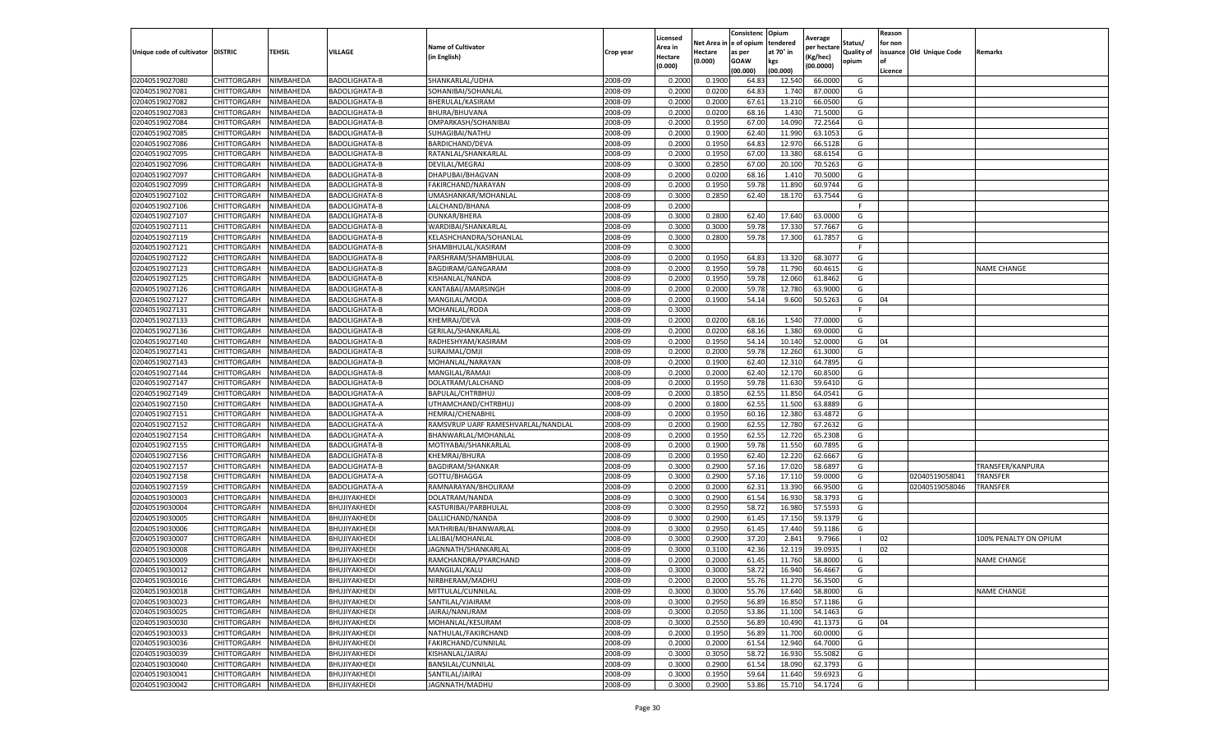|                           |                    |                  |                      |                                    |           | Licensed |         | Consistenc             | Opium     | Average     |                   | Reason  |                          |                       |
|---------------------------|--------------------|------------------|----------------------|------------------------------------|-----------|----------|---------|------------------------|-----------|-------------|-------------------|---------|--------------------------|-----------------------|
|                           |                    |                  |                      | <b>Name of Cultivator</b>          |           | Area in  |         | Net Area in e of opium | tendered  | per hectare | Status/           | for non |                          |                       |
| Unique code of cultivator | <b>DISTRIC</b>     | TEHSIL           | VILLAGE              | in English)                        | Crop year | Hectare  | Hectare | as per                 | at 70° in | (Kg/hec     | <b>Quality of</b> |         | issuance Old Unique Code | <b>Remarks</b>        |
|                           |                    |                  |                      |                                    |           | (0.000)  | (0.000) | <b>GOAW</b>            | kgs       | (00.0000)   | opium             |         |                          |                       |
|                           |                    |                  |                      |                                    |           |          |         | (00.000)               | (00.000)  |             |                   | Licence |                          |                       |
| 02040519027080            | CHITTORGARH        | NIMBAHEDA        | <b>BADOLIGHATA-B</b> | SHANKARLAL/UDHA                    | 2008-09   | 0.2000   | 0.1900  | 64.83                  | 12.54     | 66.0000     | G                 |         |                          |                       |
| 02040519027081            | CHITTORGARH        | NIMBAHEDA        | <b>BADOLIGHATA-B</b> | SOHANIBAI/SOHANLAL                 | 2008-09   | 0.2000   | 0.0200  | 64.83                  | 1.74      | 87.0000     | G                 |         |                          |                       |
| 02040519027082            | CHITTORGARH        | NIMBAHEDA        | <b>BADOLIGHATA-B</b> | BHERULAL/KASIRAM                   | 2008-09   | 0.2000   | 0.2000  | 67.61                  | 13.21     | 66.0500     | G                 |         |                          |                       |
| 02040519027083            | CHITTORGARH        | NIMBAHEDA        | BADOLIGHATA-B        | BHURA/BHUVANA                      | 2008-09   | 0.2000   | 0.0200  | 68.16                  | 1.430     | 71.5000     | G                 |         |                          |                       |
| 02040519027084            | CHITTORGARH        | NIMBAHEDA        | BADOLIGHATA-B        | OMPARKASH/SOHANIBAI                | 2008-09   | 0.2000   | 0.1950  | 67.00                  | 14.09     | 72.2564     | G                 |         |                          |                       |
| 02040519027085            | CHITTORGARH        | NIMBAHEDA        | BADOLIGHATA-B        | SUHAGIBAI/NATHU                    | 2008-09   | 0.2000   | 0.1900  | 62.40                  | 11.99     | 63.105      | G                 |         |                          |                       |
| 02040519027086            | CHITTORGARH        | NIMBAHEDA        | BADOLIGHATA-B        | <b>BARDICHAND/DEVA</b>             | 2008-09   | 0.2000   | 0.1950  | 64.83                  | 12.97     | 66.5128     | G                 |         |                          |                       |
| 02040519027095            | CHITTORGARH        | NIMBAHEDA        | <b>BADOLIGHATA-B</b> | RATANLAL/SHANKARLAL                | 2008-09   | 0.2000   | 0.1950  | 67.00                  | 13.38     | 68.6154     | G                 |         |                          |                       |
| 02040519027096            | CHITTORGARH        | NIMBAHEDA        | BADOLIGHATA-B        | DEVILAL/MEGRAJ                     | 2008-09   | 0.3000   | 0.2850  | 67.00                  | 20.10     | 70.5263     | G                 |         |                          |                       |
| 02040519027097            | CHITTORGARH        | NIMBAHEDA        | <b>BADOLIGHATA-B</b> | DHAPUBAI/BHAGVAN                   | 2008-09   | 0.2000   | 0.0200  | 68.16                  | 1.410     | 70.5000     | G                 |         |                          |                       |
| 02040519027099            | CHITTORGARH        | NIMBAHEDA        | BADOLIGHATA-B        | FAKIRCHAND/NARAYAN                 | 2008-09   | 0.2000   | 0.1950  | 59.78                  | 11.890    | 60.9744     | G                 |         |                          |                       |
| 02040519027102            | CHITTORGARH        | NIMBAHEDA        | <b>BADOLIGHATA-B</b> | UMASHANKAR/MOHANLAL                | 2008-09   | 0.3000   | 0.2850  | 62.40                  | 18.170    | 63.7544     | G                 |         |                          |                       |
| 02040519027106            | CHITTORGARH        | NIMBAHEDA        | <b>BADOLIGHATA-B</b> | LALCHAND/BHANA                     | 2008-09   | 0.2000   |         |                        |           |             | F                 |         |                          |                       |
| 02040519027107            | CHITTORGARH        | NIMBAHEDA        | <b>BADOLIGHATA-B</b> | <b>OUNKAR/BHERA</b>                | 2008-09   | 0.3000   | 0.2800  | 62.40                  | 17.64     | 63.0000     | G                 |         |                          |                       |
| 02040519027111            | CHITTORGARH        | NIMBAHEDA        | <b>BADOLIGHATA-B</b> | WARDIBAI/SHANKARLAL                | 2008-09   | 0.3000   | 0.3000  | 59.78                  | 17.33     | 57.7667     | G                 |         |                          |                       |
| 02040519027119            | CHITTORGARH        | NIMBAHEDA        | BADOLIGHATA-B        | KELASHCHANDRA/SOHANLAL             | 2008-09   | 0.3000   | 0.2800  | 59.78                  | 17.300    | 61.7857     | G                 |         |                          |                       |
| 02040519027121            | CHITTORGARH        | NIMBAHEDA        | BADOLIGHATA-B        | SHAMBHULAL/KASIRAM                 | 2008-09   | 0.3000   |         |                        |           |             | F                 |         |                          |                       |
| 02040519027122            | CHITTORGARH        | NIMBAHEDA        | BADOLIGHATA-B        | PARSHRAM/SHAMBHULAL                | 2008-09   | 0.2000   | 0.1950  | 64.83                  | 13.32     | 68.307      | G                 |         |                          |                       |
| 02040519027123            | CHITTORGARH        | NIMBAHEDA        | BADOLIGHATA-B        | BAGDIRAM/GANGARAM                  | 2008-09   | 0.2000   | 0.1950  | 59.78                  | 11.790    | 60.4615     | G                 |         |                          | <b>NAME CHANGE</b>    |
| 02040519027125            | CHITTORGARH        | NIMBAHEDA        | BADOLIGHATA-B        | KISHANLAL/NANDA                    | 2008-09   | 0.2000   | 0.1950  | 59.78                  | 12.060    | 61.8462     | G                 |         |                          |                       |
| 02040519027126            | CHITTORGARH        | NIMBAHEDA        | BADOLIGHATA-B        | KANTABAI/AMARSINGH                 | 2008-09   | 0.2000   | 0.2000  | 59.78                  | 12.780    | 63.9000     | G                 |         |                          |                       |
| 02040519027127            | CHITTORGARH        | NIMBAHEDA        | BADOLIGHATA-B        | MANGILAL/MODA                      | 2008-09   | 0.2000   | 0.1900  | 54.14                  | 9.600     | 50.5263     | G                 | 04      |                          |                       |
| 02040519027131            | CHITTORGARH        | NIMBAHEDA        | BADOLIGHATA-B        | MOHANLAL/RODA                      | 2008-09   | 0.3000   |         |                        |           |             | F.                |         |                          |                       |
| 02040519027133            | CHITTORGARH        | NIMBAHEDA        | BADOLIGHATA-B        | KHEMRAJ/DEVA                       | 2008-09   | 0.2000   | 0.0200  | 68.16                  | 1.540     | 77.0000     | G                 |         |                          |                       |
| 02040519027136            | CHITTORGARH        | NIMBAHEDA        | BADOLIGHATA-B        | GERILAL/SHANKARLAL                 | 2008-09   | 0.2000   | 0.0200  | 68.16                  | 1.380     | 69.0000     | G                 |         |                          |                       |
| 02040519027140            | CHITTORGARH        | NIMBAHEDA        | BADOLIGHATA-B        | RADHESHYAM/KASIRAM                 | 2008-09   | 0.2000   | 0.1950  | 54.14                  | 10.14     | 52.0000     | G                 | 04      |                          |                       |
| 02040519027141            | CHITTORGARH        | NIMBAHEDA        | <b>BADOLIGHATA-B</b> | SURAJMAL/OMJI                      | 2008-09   | 0.2000   | 0.2000  | 59.78                  | 12.26     | 61.3000     | G                 |         |                          |                       |
| 02040519027143            | CHITTORGARH        | NIMBAHEDA        | BADOLIGHATA-B        | MOHANLAL/NARAYAN                   | 2008-09   | 0.2000   | 0.1900  | 62.40                  | 12.31     | 64.7895     | G                 |         |                          |                       |
| 02040519027144            | CHITTORGARH        | NIMBAHEDA        | BADOLIGHATA-B        | MANGILAL/RAMAJI                    | 2008-09   | 0.2000   | 0.2000  | 62.40                  | 12.17     | 60.8500     | G                 |         |                          |                       |
| 02040519027147            | CHITTORGARH        | NIMBAHEDA        | BADOLIGHATA-B        | DOLATRAM/LALCHAND                  | 2008-09   | 0.2000   | 0.1950  | 59.78                  | 11.63     | 59.6410     | G                 |         |                          |                       |
| 02040519027149            | CHITTORGARH        | NIMBAHEDA        | BADOLIGHATA-A        | BAPULAL/CHTRBHUJ                   | 2008-09   | 0.2000   | 0.1850  | 62.55                  | 11.85     | 64.0541     | G                 |         |                          |                       |
| 02040519027150            | CHITTORGARH        | NIMBAHEDA        | BADOLIGHATA-A        | UTHAMCHAND/CHTRBHUJ                | 2008-09   | 0.2000   | 0.1800  | 62.55                  | 11.500    | 63.8889     | G                 |         |                          |                       |
| 02040519027151            | CHITTORGARH        | NIMBAHEDA        | BADOLIGHATA-A        | HEMRAJ/CHENABHIL                   | 2008-09   | 0.2000   | 0.1950  | 60.16                  | 12.38     | 63.487      | G                 |         |                          |                       |
| 02040519027152            | CHITTORGARH        | NIMBAHEDA        | BADOLIGHATA-A        | RAMSVRUP UARF RAMESHVARLAL/NANDLAL | 2008-09   | 0.2000   | 0.1900  | 62.55                  | 12.78     | 67.2632     | G                 |         |                          |                       |
| 02040519027154            | CHITTORGARH        | NIMBAHEDA        | <b>BADOLIGHATA-A</b> | BHANWARLAL/MOHANLAL                | 2008-09   | 0.2000   | 0.1950  | 62.55                  | 12.72     | 65.2308     | G                 |         |                          |                       |
| 02040519027155            | CHITTORGARH        | NIMBAHEDA        | BADOLIGHATA-B        | MOTIYABAI/SHANKARLAL               | 2008-09   | 0.2000   | 0.1900  | 59.78                  | 11.55     | 60.7895     | G                 |         |                          |                       |
| 02040519027156            | CHITTORGARH        | NIMBAHEDA        | BADOLIGHATA-B        | KHEMRAJ/BHURA                      | 2008-09   | 0.2000   | 0.1950  | 62.40                  | 12.22     | 62.6667     | G                 |         |                          |                       |
| 02040519027157            | CHITTORGARH        | NIMBAHEDA        | BADOLIGHATA-B        | BAGDIRAM/SHANKAR                   | 2008-09   | 0.3000   | 0.2900  | 57.16                  | 17.02     | 58.689      | G                 |         |                          | TRANSFER/KANPURA      |
| 02040519027158            | CHITTORGARH        | NIMBAHEDA        | <b>BADOLIGHATA-A</b> | GOTTU/BHAGGA                       | 2008-09   | 0.3000   | 0.2900  | 57.16                  | 17.11     | 59.0000     | G                 |         | 02040519058041           | <b>TRANSFER</b>       |
| 02040519027159            | CHITTORGARH        | NIMBAHEDA        | BADOLIGHATA-A        | RAMNARAYAN/BHOLIRAM                | 2008-09   | 0.2000   | 0.2000  | 62.31                  | 13.390    | 66.9500     | G                 |         | 02040519058046           | TRANSFER              |
| 02040519030003            | CHITTORGARH        | NIMBAHEDA        | BHUJIYAKHEDI         | DOLATRAM/NANDA                     | 2008-09   | 0.3000   | 0.2900  | 61.54                  | 16.93     | 58.3793     | G                 |         |                          |                       |
| 02040519030004            | CHITTORGARH        | NIMBAHEDA        | BHUJIYAKHEDI         | KASTURIBAI/PARBHULAL               | 2008-09   | 0.3000   | 0.2950  | 58.72                  | 16.98     | 57.5593     | G                 |         |                          |                       |
| 02040519030005            | CHITTORGARH        | NIMBAHEDA        | BHUJIYAKHEDI         | DALLICHAND/NANDA                   | 2008-09   | 0.3000   | 0.2900  | 61.45                  | 17.15     | 59.1379     | G                 |         |                          |                       |
| 02040519030006            | CHITTORGARH        | NIMBAHEDA        | BHUJIYAKHEDI         | MATHRIBAI/BHANWARLAL               | 2008-09   | 0.3000   | 0.2950  | 61.45                  | 17.44     | 59.1186     | G                 |         |                          |                       |
| 02040519030007            | CHITTORGARH        | NIMBAHEDA        | BHUJIYAKHEDI         | LALIBAI/MOHANLAL                   | 2008-09   | 0.3000   | 0.2900  | 37.20                  | 2.841     | 9.7966      | -1                | 02      |                          | 100% PENALTY ON OPIUM |
| 02040519030008            | CHITTORGARH        | NIMBAHEDA        | BHUJIYAKHEDI         | JAGNNATH/SHANKARLAL                | 2008-09   | 0.3000   | 0.3100  | 42.36                  | 12.11     | 39.0935     | - 1               | 02      |                          |                       |
| 02040519030009            | CHITTORGARH        | NIMBAHEDA        | BHUJIYAKHEDI         | RAMCHANDRA/PYARCHAND               | 2008-09   | 0.2000   | 0.2000  | 61.45                  | 11.760    | 58.8000     | G                 |         |                          | <b>NAME CHANGE</b>    |
| 02040519030012            | CHITTORGARH        | <b>NIMBAHEDA</b> | BHUJIYAKHEDI         | MANGILAL/KALU                      | 2008-09   | 0.3000   | 0.3000  | 58.72                  | 16.940    | 56.4667     | G                 |         |                          |                       |
| 02040519030016            | CHITTORGARH        | NIMBAHEDA        | BHUJIYAKHEDI         | NIRBHERAM/MADHU                    | 2008-09   | 0.2000   | 0.2000  | 55.76                  | 11.270    | 56.3500     | G                 |         |                          |                       |
| 02040519030018            | CHITTORGARH        | NIMBAHEDA        | BHUJIYAKHEDI         | MITTULAL/CUNNILAL                  | 2008-09   | 0.3000   | 0.3000  | 55.76                  | 17.640    | 58.8000     | G                 |         |                          | <b>NAME CHANGE</b>    |
| 02040519030023            | <b>CHITTORGARH</b> | NIMBAHEDA        | BHUJIYAKHEDI         | SANTILAL/VJAIRAM                   | 2008-09   | 0.3000   | 0.2950  | 56.89                  | 16.850    | 57.1186     | G                 |         |                          |                       |
| 02040519030025            | CHITTORGARH        | NIMBAHEDA        | BHUJIYAKHEDI         | JAIRAJ/NANURAM                     | 2008-09   | 0.3000   | 0.2050  | 53.86                  | 11.100    | 54.1463     | G                 |         |                          |                       |
| 02040519030030            | CHITTORGARH        | NIMBAHEDA        | BHUJIYAKHEDI         | MOHANLAL/KESURAM                   | 2008-09   | 0.3000   | 0.2550  | 56.89                  | 10.490    | 41.1373     | G                 | 04      |                          |                       |
| 02040519030033            | <b>CHITTORGARH</b> | NIMBAHEDA        | BHUJIYAKHEDI         | NATHULAL/FAKIRCHAND                | 2008-09   | 0.2000   | 0.1950  | 56.89                  | 11.700    | 60.0000     | G                 |         |                          |                       |
| 02040519030036            | CHITTORGARH        | NIMBAHEDA        | BHUJIYAKHEDI         | FAKIRCHAND/CUNNILAL                | 2008-09   | 0.2000   | 0.2000  | 61.54                  | 12.940    | 64.7000     | G                 |         |                          |                       |
| 02040519030039            | CHITTORGARH        | NIMBAHEDA        | BHUJIYAKHEDI         | KISHANLAL/JAIRAJ                   | 2008-09   | 0.3000   | 0.3050  | 58.72                  | 16.93     | 55.5082     | G                 |         |                          |                       |
| 02040519030040            | CHITTORGARH        | NIMBAHEDA        | BHUJIYAKHEDI         | BANSILAL/CUNNILAL                  | 2008-09   | 0.3000   | 0.2900  | 61.54                  | 18.090    | 62.3793     | G                 |         |                          |                       |
| 02040519030041            | CHITTORGARH        | NIMBAHEDA        | BHUJIYAKHEDI         | SANTILAL/JAIRAJ                    | 2008-09   | 0.3000   | 0.1950  | 59.64                  | 11.640    | 59.6923     | G                 |         |                          |                       |
| 02040519030042            | <b>CHITTORGARH</b> | NIMBAHEDA        | BHUJIYAKHEDI         | JAGNNATH/MADHU                     | 2008-09   | 0.3000   | 0.2900  | 53.86                  | 15.710    | 54.1724     | G                 |         |                          |                       |
|                           |                    |                  |                      |                                    |           |          |         |                        |           |             |                   |         |                          |                       |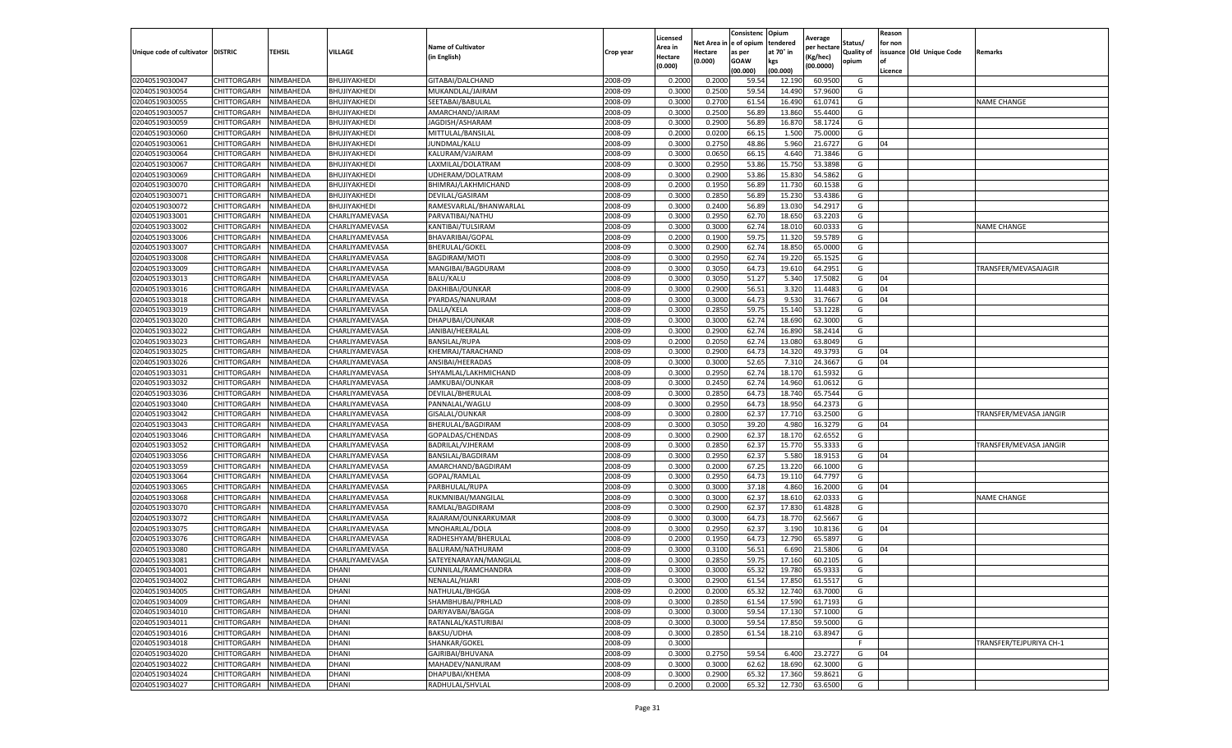|                           |                    |           |                |                           |           | Licensed |         | Consistenc             | Opium     |                        |                   | Reason  |                          |                         |
|---------------------------|--------------------|-----------|----------------|---------------------------|-----------|----------|---------|------------------------|-----------|------------------------|-------------------|---------|--------------------------|-------------------------|
|                           |                    |           |                | <b>Name of Cultivator</b> |           | Area in  |         | Net Area in e of opium | tendered  | Average<br>per hectare | Status/           | for non |                          |                         |
| Unique code of cultivator | <b>DISTRIC</b>     | TEHSIL    | VILLAGE        | in English)               | Crop year | Hectare  | Hectare | as per                 | at 70° in | (Kg/hec                | <b>Quality of</b> |         | issuance Old Unique Code | <b>Remarks</b>          |
|                           |                    |           |                |                           |           | (0.000)  | (0.000) | <b>GOAW</b>            | kgs       | (00.0000)              | opium             |         |                          |                         |
|                           |                    |           |                |                           |           |          |         | (00.000)               | (00.000)  |                        |                   | Licence |                          |                         |
| 02040519030047            | CHITTORGARH        | NIMBAHEDA | BHUJIYAKHEDI   | GITABAI/DALCHAND          | 2008-09   | 0.2000   | 0.2000  | 59.54                  | 12.19     | 60.9500                | G                 |         |                          |                         |
| 02040519030054            | CHITTORGARH        | NIMBAHEDA | BHUJIYAKHEDI   | MUKANDLAL/JAIRAM          | 2008-09   | 0.3000   | 0.2500  | 59.54                  | 14.49     | 57.9600                | G                 |         |                          |                         |
| 02040519030055            | CHITTORGARH        | NIMBAHEDA | BHUJIYAKHEDI   | SEETABAI/BABULAL          | 2008-09   | 0.3000   | 0.2700  | 61.54                  | 16.490    | 61.0741                | G                 |         |                          | <b>NAME CHANGE</b>      |
| 02040519030057            | CHITTORGARH        | NIMBAHEDA | BHUJIYAKHEDI   | AMARCHAND/JAIRAM          | 2008-09   | 0.3000   | 0.2500  | 56.89                  | 13.860    | 55.4400                | G                 |         |                          |                         |
| 02040519030059            | CHITTORGARH        | NIMBAHEDA | BHUJIYAKHEDI   | JAGDISH/ASHARAM           | 2008-09   | 0.3000   | 0.2900  | 56.89                  | 16.87     | 58.1724                | G                 |         |                          |                         |
| 02040519030060            | CHITTORGARH        | NIMBAHEDA | BHUJIYAKHEDI   | MITTULAL/BANSILAL         | 2008-09   | 0.2000   | 0.0200  | 66.15                  | 1.500     | 75.0000                | G                 |         |                          |                         |
| 02040519030061            | CHITTORGARH        | NIMBAHEDA | BHUJIYAKHEDI   | JUNDMAL/KALU              | 2008-09   | 0.3000   | 0.2750  | 48.86                  | 5.960     | 21.6727                | G                 | 04      |                          |                         |
| 02040519030064            | CHITTORGARH        | NIMBAHEDA | BHUJIYAKHEDI   | KALURAM/VJAIRAM           | 2008-09   | 0.3000   | 0.0650  | 66.15                  | 4.64      | 71.3846                | G                 |         |                          |                         |
| 02040519030067            | CHITTORGARH        | NIMBAHEDA | BHUJIYAKHEDI   | LAXMILAL/DOLATRAM         | 2008-09   | 0.3000   | 0.2950  | 53.86                  | 15.75     | 53.3898                | G                 |         |                          |                         |
| 02040519030069            | CHITTORGARH        | NIMBAHEDA | BHUJIYAKHEDI   | UDHERAM/DOLATRAM          | 2008-09   | 0.3000   | 0.2900  | 53.86                  | 15.830    | 54.5862                | G                 |         |                          |                         |
| 02040519030070            | CHITTORGARH        | NIMBAHEDA | BHUJIYAKHEDI   | BHIMRAJ/LAKHMICHAND       | 2008-09   | 0.2000   | 0.1950  | 56.89                  | 11.73     | 60.1538                | G                 |         |                          |                         |
| 02040519030071            | CHITTORGARH        | NIMBAHEDA | BHUJIYAKHEDI   | DEVILAL/GASIRAM           | 2008-09   | 0.3000   | 0.2850  | 56.89                  | 15.23     | 53.4386                | G                 |         |                          |                         |
| 02040519030072            | CHITTORGARH        | NIMBAHEDA | BHUJIYAKHEDI   | RAMESVARLAL/BHANWARLAI    | 2008-09   | 0.3000   | 0.2400  | 56.89                  | 13.03     | 54.291                 | G                 |         |                          |                         |
| 02040519033001            | CHITTORGARH        | NIMBAHEDA | CHARLIYAMEVASA | PARVATIBAI/NATHU          | 2008-09   | 0.3000   | 0.2950  | 62.70                  | 18.65     | 63.2203                | G                 |         |                          |                         |
| 02040519033002            | CHITTORGARH        | NIMBAHEDA | CHARLIYAMEVASA | KANTIBAI/TULSIRAM         | 2008-09   | 0.3000   | 0.3000  | 62.74                  | 18.01     | 60.0333                | G                 |         |                          | <b>NAME CHANGE</b>      |
| 02040519033006            | CHITTORGARH        | NIMBAHEDA | CHARLIYAMEVASA | BHAVARIBAI/GOPAL          | 2008-09   | 0.2000   | 0.1900  | 59.75                  | 11.32     | 59.5789                | G                 |         |                          |                         |
| 02040519033007            | CHITTORGARH        | NIMBAHEDA | CHARLIYAMEVASA | <b>BHERULAL/GOKEL</b>     | 2008-09   | 0.3000   | 0.2900  | 62.74                  | 18.85     | 65.0000                | G                 |         |                          |                         |
| 02040519033008            | CHITTORGARH        | NIMBAHEDA | CHARLIYAMEVASA | <b>BAGDIRAM/MOTI</b>      | 2008-09   | 0.3000   | 0.2950  | 62.74                  | 19.22     | 65.1525                | G                 |         |                          |                         |
| 02040519033009            | CHITTORGARH        | NIMBAHEDA | CHARLIYAMEVASA | MANGIBAI/BAGDURAM         | 2008-09   | 0.3000   | 0.3050  | 64.73                  | 19.61     | 64.2951                | G                 |         |                          | TRANSFER/MEVASAJAGIR    |
| 02040519033013            | CHITTORGARH        | NIMBAHEDA | CHARLIYAMEVASA | <b>BALU/KALU</b>          | 2008-09   | 0.3000   | 0.3050  | 51.27                  | 5.340     | 17.5082                | G                 | 04      |                          |                         |
| 02040519033016            | CHITTORGARH        | NIMBAHEDA | CHARLIYAMEVASA | DAKHIBAI/OUNKAR           | 2008-09   | 0.3000   | 0.2900  | 56.51                  | 3.320     | 11.4483                | G                 | 04      |                          |                         |
| 02040519033018            | CHITTORGARH        | NIMBAHEDA | CHARLIYAMEVASA | PYARDAS/NANURAM           | 2008-09   | 0.3000   | 0.3000  | 64.73                  | 9.53      | 31.7667                | G                 | 04      |                          |                         |
| 02040519033019            | CHITTORGARH        | NIMBAHEDA | CHARLIYAMEVASA | DALLA/KELA                | 2008-09   | 0.3000   | 0.2850  | 59.75                  | 15.140    | 53.1228                | G                 |         |                          |                         |
| 02040519033020            | CHITTORGARH        | NIMBAHEDA | CHARLIYAMEVASA | DHAPUBAI/OUNKAR           | 2008-09   | 0.3000   | 0.3000  | 62.74                  | 18.69     | 62.3000                | G                 |         |                          |                         |
| 02040519033022            | CHITTORGARH        | NIMBAHEDA | CHARLIYAMEVASA | JANIBAI/HEERALAL          | 2008-09   | 0.3000   | 0.2900  | 62.74                  | 16.89     | 58.2414                | G                 |         |                          |                         |
| 02040519033023            | CHITTORGARH        | NIMBAHEDA | CHARLIYAMEVASA | <b>BANSILAL/RUPA</b>      | 2008-09   | 0.2000   | 0.2050  | 62.74                  | 13.080    | 63.8049                | G                 |         |                          |                         |
| 02040519033025            | CHITTORGARH        | NIMBAHEDA | CHARLIYAMEVASA | KHEMRAJ/TARACHAND         | 2008-09   | 0.3000   | 0.2900  | 64.73                  | 14.32     | 49.3793                | G                 | 04      |                          |                         |
| 02040519033026            | CHITTORGARH        | NIMBAHEDA | CHARLIYAMEVASA | ANSIBAI/HEERADAS          | 2008-09   | 0.3000   | 0.3000  | 52.65                  | 7.31      | 24.3667                | G                 | 04      |                          |                         |
| 02040519033031            | CHITTORGARH        | NIMBAHEDA | CHARLIYAMEVASA | SHYAMLAL/LAKHMICHAND      | 2008-09   | 0.3000   | 0.2950  | 62.74                  | 18.17     | 61.5932                | G                 |         |                          |                         |
| 02040519033032            | CHITTORGARH        | NIMBAHEDA | CHARLIYAMEVASA | JAMKUBAI/OUNKAR           | 2008-09   | 0.3000   | 0.2450  | 62.74                  | 14.960    | 61.0612                | G                 |         |                          |                         |
| 02040519033036            | CHITTORGARH        | NIMBAHEDA | CHARLIYAMEVASA | DEVILAL/BHERULAI          | 2008-09   | 0.3000   | 0.2850  | 64.73                  | 18.74     | 65.7544                | G                 |         |                          |                         |
| 02040519033040            | CHITTORGARH        | NIMBAHEDA | CHARLIYAMEVASA | PANNALAL/WAGLU            | 2008-09   | 0.3000   | 0.2950  | 64.73                  | 18.950    | 64.2373                | G                 |         |                          |                         |
| 02040519033042            | CHITTORGARH        | NIMBAHEDA | CHARLIYAMEVASA | GISALAL/OUNKAR            | 2008-09   | 0.3000   | 0.2800  | 62.37                  | 17.71     | 63.2500                | G                 |         |                          | TRANSFER/MEVASA JANGIR  |
| 02040519033043            | CHITTORGARH        | NIMBAHEDA | CHARLIYAMEVASA | BHERULAL/BAGDIRAM         | 2008-09   | 0.3000   | 0.3050  | 39.20                  | 4.980     | 16.3279                | G                 | 04      |                          |                         |
| 02040519033046            | CHITTORGARH        | NIMBAHEDA | CHARLIYAMEVASA | GOPALDAS/CHENDAS          | 2008-09   | 0.3000   | 0.2900  | 62.37                  | 18.17     | 62.6552                | G                 |         |                          |                         |
| 02040519033052            | CHITTORGARH        | NIMBAHEDA | CHARLIYAMEVASA | BADRILAL/VJHERAM          | 2008-09   | 0.3000   | 0.2850  | 62.37                  | 15.77     | 55.3333                | G                 |         |                          | TRANSFER/MEVASA JANGIR  |
| 02040519033056            | CHITTORGARH        | NIMBAHEDA | CHARLIYAMEVASA | BANSILAL/BAGDIRAM         | 2008-09   | 0.3000   | 0.2950  | 62.37                  | 5.580     | 18.915                 | G                 | 04      |                          |                         |
| 02040519033059            | CHITTORGARH        | NIMBAHEDA | CHARLIYAMEVASA | AMARCHAND/BAGDIRAM        | 2008-09   | 0.3000   | 0.2000  | 67.25                  | 13.22     | 66.1000                | G                 |         |                          |                         |
| 02040519033064            | CHITTORGARH        | NIMBAHEDA | CHARLIYAMEVASA | GOPAL/RAMLAL              | 2008-09   | 0.3000   | 0.2950  | 64.73                  | 19.11     | 64.7797                | G                 |         |                          |                         |
| 02040519033065            | CHITTORGARH        | NIMBAHEDA | CHARLIYAMEVASA | PARBHULAL/RUPA            | 2008-09   | 0.3000   | 0.3000  | 37.18                  | 4.860     | 16.2000                | G                 | 04      |                          |                         |
| 02040519033068            | CHITTORGARH        | NIMBAHEDA | CHARLIYAMEVASA | RUKMNIBAI/MANGILAL        | 2008-09   | 0.3000   | 0.3000  | 62.37                  | 18.61     | 62.0333                | G                 |         |                          | <b>NAME CHANGE</b>      |
| 02040519033070            | CHITTORGARH        | NIMBAHEDA | CHARLIYAMEVASA | RAMLAL/BAGDIRAM           | 2008-09   | 0.3000   | 0.2900  | 62.37                  | 17.83     | 61.4828                | G                 |         |                          |                         |
| 02040519033072            | CHITTORGARH        | NIMBAHEDA | CHARLIYAMEVASA | RAJARAM/OUNKARKUMAR       | 2008-09   | 0.3000   | 0.3000  | 64.73                  | 18.77     | 62.5667                | G                 |         |                          |                         |
| 02040519033075            | CHITTORGARH        | NIMBAHEDA | CHARLIYAMEVASA | MNOHARLAL/DOLA            | 2008-09   | 0.3000   | 0.2950  | 62.37                  | 3.19      | 10.8136                | G                 | 04      |                          |                         |
| 02040519033076            | CHITTORGARH        | NIMBAHEDA | CHARLIYAMEVASA | RADHESHYAM/BHERULAI       | 2008-09   | 0.2000   | 0.1950  | 64.73                  | 12.790    | 65.589                 | G                 |         |                          |                         |
| 02040519033080            | CHITTORGARH        | NIMBAHEDA | CHARLIYAMEVASA | BALURAM/NATHURAM          | 2008-09   | 0.3000   | 0.3100  | 56.51                  | 6.69      | 21.5806                | G                 | 04      |                          |                         |
| 02040519033081            | CHITTORGARH        | NIMBAHEDA | CHARLIYAMEVASA | SATEYENARAYAN/MANGILAL    | 2008-09   | 0.3000   | 0.2850  | 59.75                  | 17.16     | 60.2105                | G                 |         |                          |                         |
| 02040519034001            | CHITTORGARH        | NIMBAHEDA | DHANI          | CUNNILAL/RAMCHANDRA       | 2008-09   | 0.3000   | 0.3000  | 65.32                  | 19.780    | 65.9333                | G                 |         |                          |                         |
| 02040519034002            | CHITTORGARH        | NIMBAHEDA | DHANI          | NENALAL/HJARI             | 2008-09   | 0.3000   | 0.2900  | 61.54                  | 17.850    | 61.5517                | G                 |         |                          |                         |
| 02040519034005            | CHITTORGARH        | NIMBAHEDA | DHANI          | NATHULAL/BHGGA            | 2008-09   | 0.2000   | 0.2000  | 65.32                  | 12.740    | 63.7000                | G                 |         |                          |                         |
| 02040519034009            | <b>CHITTORGARH</b> | NIMBAHEDA | DHANI          | SHAMBHUBAI/PRHLAD         | 2008-09   | 0.3000   | 0.2850  | 61.54                  | 17.590    | 61.7193                | G                 |         |                          |                         |
| 02040519034010            | CHITTORGARH        | NIMBAHEDA | DHANI          | DARIYAVBAI/BAGGA          | 2008-09   | 0.3000   | 0.3000  | 59.54                  | 17.130    | 57.1000                | G                 |         |                          |                         |
| 02040519034011            | CHITTORGARH        | NIMBAHEDA | DHANI          | RATANLAL/KASTURIBAI       | 2008-09   | 0.3000   | 0.3000  | 59.54                  | 17.850    | 59.5000                | G                 |         |                          |                         |
| 02040519034016            | <b>CHITTORGARH</b> | NIMBAHEDA | <b>DHANI</b>   | BAKSU/UDHA                | 2008-09   | 0.3000   | 0.2850  | 61.54                  | 18.210    | 63.8947                | G                 |         |                          |                         |
| 02040519034018            | CHITTORGARH        | NIMBAHEDA | DHANI          | SHANKAR/GOKEL             | 2008-09   | 0.3000   |         |                        |           |                        | F                 |         |                          | TRANSFER/TEJPURIYA CH-1 |
| 02040519034020            | CHITTORGARH        | NIMBAHEDA | DHANI          | GAJRIBAI/BHUVANA          | 2008-09   | 0.3000   | 0.2750  | 59.54                  | 6.400     | 23.2727                | G                 | 04      |                          |                         |
| 02040519034022            | CHITTORGARH        | NIMBAHEDA | DHANI          | MAHADEV/NANURAM           | 2008-09   | 0.3000   | 0.3000  | 62.62                  | 18.690    | 62.3000                | G                 |         |                          |                         |
| 02040519034024            | CHITTORGARH        | NIMBAHEDA | DHANI          | DHAPUBAI/KHEMA            | 2008-09   | 0.3000   | 0.2900  | 65.32                  | 17.360    | 59.8621                | G                 |         |                          |                         |
| 02040519034027            | <b>CHITTORGARH</b> | NIMBAHEDA | <b>DHANI</b>   | RADHULAL/SHVLAL           | 2008-09   | 0.2000   | 0.2000  | 65.32                  | 12.730    | 63.6500                | G                 |         |                          |                         |
|                           |                    |           |                |                           |           |          |         |                        |           |                        |                   |         |                          |                         |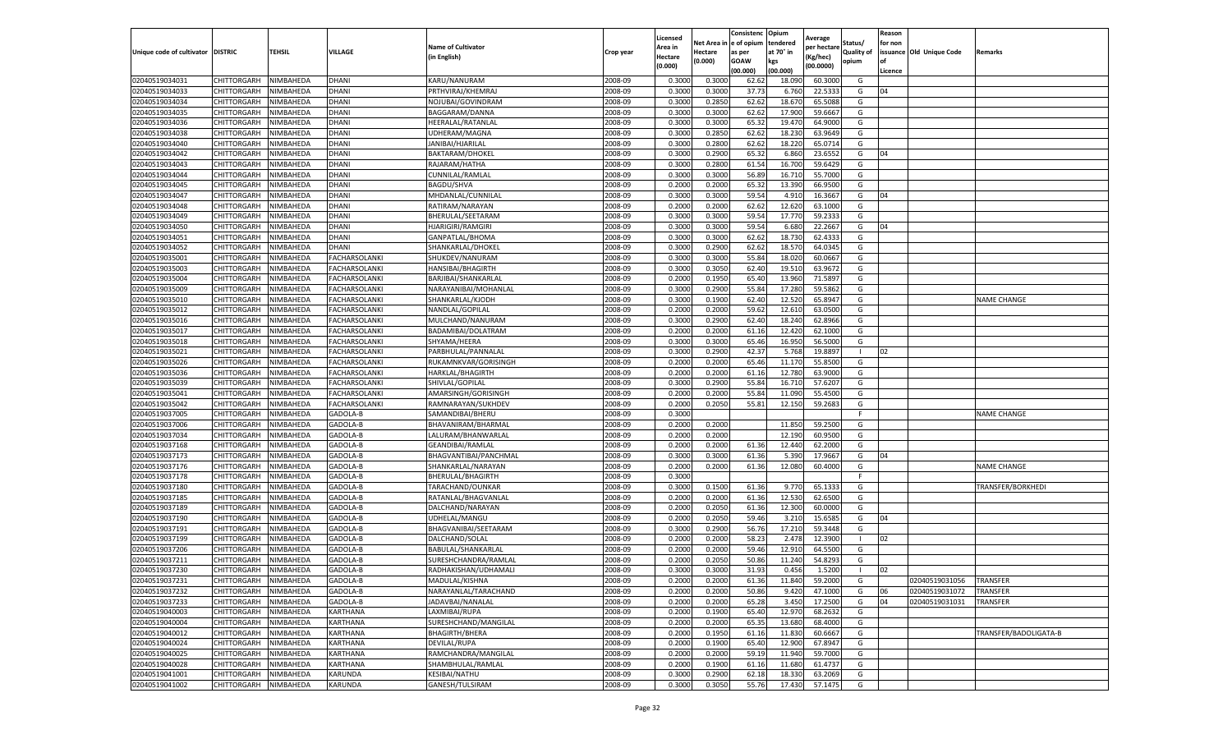|                                   |             |                        |                      |                                        |                    | Licensed         |                  | Consistenc     | Opium           | Average            |                   | Reason  |                                  |                                    |
|-----------------------------------|-------------|------------------------|----------------------|----------------------------------------|--------------------|------------------|------------------|----------------|-----------------|--------------------|-------------------|---------|----------------------------------|------------------------------------|
|                                   |             |                        |                      | <b>Name of Cultivator</b>              |                    | Area in          | Net Area i       | e of opium     | tendered        | per hectare        | Status/           | for non |                                  |                                    |
| Unique code of cultivator DISTRIC |             | TEHSIL                 | VILLAGE              | (in English)                           | Crop year          | Hectare          | Hectare          | as per         | at 70° in       | (Kg/hec)           | <b>Quality of</b> |         | issuance Old Unique Code         | Remarks                            |
|                                   |             |                        |                      |                                        |                    | (0.000)          | (0.000)          | <b>GOAW</b>    | kgs             | (00.0000)          | opium             | οf      |                                  |                                    |
|                                   |             |                        |                      |                                        |                    |                  |                  | (00.000        | (00.000)        |                    |                   | Licence |                                  |                                    |
| 02040519034031                    | CHITTORGARH | NIMBAHEDA              | DHANI                | KARU/NANURAM                           | 2008-09            | 0.3000           | 0.3000           | 62.62          | 18.090          | 60.3000            | G                 |         |                                  |                                    |
| 02040519034033                    | CHITTORGARH | NIMBAHEDA              | DHANI                | PRTHVIRAJ/KHEMRAJ                      | 2008-09            | 0.300            | 0.3000           | 37.73          | 6.760           | 22.533             | G                 | 04      |                                  |                                    |
| 02040519034034                    | CHITTORGARH | NIMBAHEDA              | DHANI                | NOJUBAI/GOVINDRAM                      | 2008-09            | 0.3000           | 0.2850           | 62.62          | 18.67           | 65.5088            | G                 |         |                                  |                                    |
| 02040519034035                    | CHITTORGARH | NIMBAHEDA              | <b>DHANI</b>         | BAGGARAM/DANNA                         | 2008-09            | 0.3000           | 0.3000           | 62.62          | 17.900          | 59.6667            | G                 |         |                                  |                                    |
| 02040519034036                    | CHITTORGARH | NIMBAHEDA              | DHANI                | <b>HEERALAL/RATANLAL</b>               | 2008-09            | 0.3000           | 0.3000           | 65.32          | 19.470          | 64.9000            | G                 |         |                                  |                                    |
| 02040519034038                    | CHITTORGARH | NIMBAHEDA              | DHANI                | UDHERAM/MAGNA                          | 2008-09            | 0.3000           | 0.2850           | 62.62          | 18.23           | 63.9649            | G                 |         |                                  |                                    |
| 02040519034040                    | CHITTORGARH | NIMBAHEDA              | DHANI                | JANIBAI/HJARILAL                       | 2008-09            | 0.3000           | 0.2800           | 62.62          | 18.220          | 65.0714            | G                 |         |                                  |                                    |
| 02040519034042                    | CHITTORGARH | NIMBAHEDA              | DHANI                | BAKTARAM/DHOKEL                        | 2008-09            | 0.300            | 0.2900           | 65.3           | 6.860           | 23.655             | G                 | 04      |                                  |                                    |
| 02040519034043                    | CHITTORGARH | NIMBAHEDA              | DHANI                | RAJARAM/HATHA                          | 2008-09            | 0.300            | 0.2800           | 61.54          | 16.700          | 59.6429            | G                 |         |                                  |                                    |
| 02040519034044                    | CHITTORGARH | NIMBAHEDA              | DHANI                | CUNNILAL/RAMLAL                        | 2008-09            | 0.3000           | 0.3000           | 56.89          | 16.710          | 55.7000            | G                 |         |                                  |                                    |
| 02040519034045                    | CHITTORGARH | NIMBAHEDA              | DHANI                | BAGDU/SHVA                             | 2008-09            | 0.2000           | 0.2000           | 65.32          | 13.390          | 66.9500            | G                 |         |                                  |                                    |
| 02040519034047                    | CHITTORGARH | NIMBAHEDA              | DHANI                | MHDANLAL/CUNNILAL                      | 2008-09            | 0.3000           | 0.3000           | 59.54          | 4.910           | 16.3667            | G                 | 04      |                                  |                                    |
| 02040519034048                    | CHITTORGARH | NIMBAHEDA              | DHANI                | RATIRAM/NARAYAN                        | 2008-09            | 0.2000           | 0.2000           | 62.62          | 12.620          | 63.1000            | G                 |         |                                  |                                    |
| 02040519034049                    | CHITTORGARH | NIMBAHEDA              | DHANI                | BHERULAL/SEETARAM                      | 2008-09            | 0.300            | 0.3000           | 59.54          | 17.770          | 59.233             | G                 |         |                                  |                                    |
| 02040519034050                    | CHITTORGARH | NIMBAHEDA              | DHANI                | <b>HJARIGIRI/RAMGIRI</b>               | 2008-09            | 0.3000           | 0.3000           | 59.54          | 6.680           | 22.2667            | G                 | 04      |                                  |                                    |
| 02040519034051                    | CHITTORGARH | NIMBAHEDA              | DHANI                | GANPATLAL/BHOMA                        | 2008-09            | 0.3000           | 0.3000           | 62.62          | 18.730          | 62.4333            | G                 |         |                                  |                                    |
| 02040519034052                    | CHITTORGARH | NIMBAHEDA              | DHANI                | SHANKARLAL/DHOKEI                      | 2008-09            | 0.300            | 0.2900           | 62.62          | 18.57           | 64.0345            | G                 |         |                                  |                                    |
| 02040519035001                    | CHITTORGARH | NIMBAHEDA              | <b>FACHARSOLANKI</b> | SHUKDEV/NANURAM                        | 2008-09            | 0.3000           | 0.3000           | 55.84          | 18.020          | 60.0667            | G                 |         |                                  |                                    |
| 02040519035003                    | CHITTORGARH | NIMBAHEDA              | <b>FACHARSOLANKI</b> | HANSIBAI/BHAGIRTH                      | 2008-09            | 0.3000           | 0.3050           | 62.40          | 19.51           | 63.9672            | G                 |         |                                  |                                    |
| 02040519035004                    | CHITTORGARH | VIMBAHEDA              | FACHARSOLANKI        | BARJIBAI/SHANKARLAL                    | 2008-09            | 0.2000           | 0.1950           | 65.40          | 13.960          | 71.5897            | G                 |         |                                  |                                    |
| 02040519035009                    | CHITTORGARH | NIMBAHEDA              | FACHARSOLANKI        | NARAYANIBAI/MOHANLAL                   | 2008-09            | 0.3000           | 0.2900           | 55.84          | 17.280          | 59.5862            | G                 |         |                                  |                                    |
| 02040519035010                    | CHITTORGARH | NIMBAHEDA              | FACHARSOLANKI        | SHANKARLAL/KJODH                       | 2008-09            | 0.3000           | 0.1900           | 62.40          | 12.52           | 65.8947            | G                 |         |                                  | <b>NAME CHANGE</b>                 |
| 02040519035012                    | CHITTORGARH | NIMBAHEDA              | FACHARSOLANKI        | NANDLAL/GOPILAL                        | 2008-09            | 0.2000           | 0.2000           | 59.62          | 12.610          | 63.0500            | G                 |         |                                  |                                    |
| 02040519035016                    | CHITTORGARH | NIMBAHEDA              | <b>FACHARSOLANKI</b> | MULCHAND/NANURAM                       | 2008-09            | 0.3000           | 0.2900           | 62.40          | 18.240          | 62.8966            | G                 |         |                                  |                                    |
| 02040519035017                    | CHITTORGARH | NIMBAHEDA              | <b>FACHARSOLANKI</b> | BADAMIBAI/DOLATRAM                     | 2008-09            | 0.2000           | 0.2000           | 61.16          | 12.420          | 62.1000            | G                 |         |                                  |                                    |
| 02040519035018                    | CHITTORGARH | NIMBAHEDA              | <b>FACHARSOLANKI</b> | SHYAMA/HEERA                           | 2008-09            | 0.3000           | 0.3000           | 65.46          | 16.950          | 56.5000            | G                 |         |                                  |                                    |
| 02040519035021                    | CHITTORGARH | NIMBAHEDA              | FACHARSOLANKI        | PARBHULAL/PANNALAL                     | 2008-09            | 0.3000           | 0.2900           | 42.37          | 5.768           | 19.8897            | -1                | 02      |                                  |                                    |
| 02040519035026                    | CHITTORGARH | NIMBAHEDA              | FACHARSOLANKI        | RUKAMNKVAR/GORISINGH                   | 2008-09            | 0.2000           | 0.2000           | 65.46          | 11.170          | 55.8500            | G                 |         |                                  |                                    |
| 02040519035036                    | CHITTORGARH | NIMBAHEDA              | <b>FACHARSOLANKI</b> | HARKLAL/BHAGIRTH                       | 2008-09            | 0.2000           | 0.2000           | 61.16          | 12.780          | 63.9000            | G                 |         |                                  |                                    |
| 02040519035039                    | CHITTORGARH | NIMBAHEDA              | FACHARSOLANKI        | SHIVLAL/GOPILAL                        | 2008-09            | 0.3000           | 0.2900           | 55.84          | 16.71           | 57.6207            | G                 |         |                                  |                                    |
| 02040519035041                    | CHITTORGARH | NIMBAHEDA              | <b>FACHARSOLANKI</b> | AMARSINGH/GORISINGH                    | 2008-09            | 0.2000           | 0.2000           | 55.84          | 11.090          | 55.4500            | G                 |         |                                  |                                    |
| 02040519035042                    | CHITTORGARH | NIMBAHEDA              | <b>FACHARSOLANKI</b> | RAMNARAYAN/SUKHDEV                     | 2008-09            | 0.2000           | 0.2050           | 55.81          | 12.150          | 59.2683            | G                 |         |                                  |                                    |
| 02040519037005                    | CHITTORGARH | NIMBAHEDA              | GADOLA-B             | SAMANDIBAI/BHERU                       | 2008-09            | 0.3000           |                  |                |                 |                    | F.                |         |                                  | <b>NAME CHANGE</b>                 |
| 02040519037006                    | CHITTORGARH | NIMBAHEDA              | GADOLA-B             | BHAVANIRAM/BHARMAL                     | 2008-09            | 0.2000           | 0.2000           |                | 11.850          | 59.2500            | G                 |         |                                  |                                    |
| 02040519037034                    | CHITTORGARH | NIMBAHEDA              | GADOLA-B             | LALURAM/BHANWARLAL                     | 2008-09            | 0.2000           | 0.2000           |                | 12.190          | 60.9500            | G                 |         |                                  |                                    |
| 02040519037168                    | CHITTORGARH | NIMBAHEDA              | GADOLA-B             | GEANDIBAI/RAMLAL                       | 2008-09            | 0.2000           | 0.2000           | 61.36          | 12.440          | 62.2000            | G                 |         |                                  |                                    |
| 02040519037173                    | CHITTORGARH | NIMBAHEDA              | GADOLA-B             | BHAGVANTIBAI/PANCHMAL                  | 2008-09            | 0.3000           | 0.3000           | 61.36          | 5.390           | 17.9667            | G                 | 04      |                                  |                                    |
| 02040519037176                    | CHITTORGARH | NIMBAHEDA              | GADOLA-B             | SHANKARLAL/NARAYAN                     | 2008-09            | 0.2000           | 0.2000           | 61.36          | 12.080          | 60.4000            | G                 |         |                                  | <b>NAME CHANGE</b>                 |
| 02040519037178                    | CHITTORGARH | NIMBAHEDA              | GADOLA-B             | BHERULAL/BHAGIRTH                      | 2008-09            | 0.3000           |                  |                |                 |                    | F.                |         |                                  |                                    |
| 02040519037180                    | CHITTORGARH | NIMBAHEDA              | GADOLA-B             | TARACHAND/OUNKAR                       | 2008-09            | 0.3000           | 0.1500           | 61.36          | 9.770           | 65.1333            | G                 |         |                                  | TRANSFER/BORKHEDI                  |
| 02040519037185                    | CHITTORGARH | NIMBAHEDA              | GADOLA-B             | RATANLAL/BHAGVANLAL                    | 2008-09            | 0.2000           | 0.2000           | 61.36          | 12.530          | 62.6500            | G                 |         |                                  |                                    |
| 02040519037189                    | CHITTORGARH | NIMBAHEDA              | GADOLA-B             | DALCHAND/NARAYAN                       | 2008-09            | 0.2000           | 0.2050           | 61.36          | 12.300          | 60.0000            | G                 |         |                                  |                                    |
| 02040519037190                    | CHITTORGARH | NIMBAHEDA              | GADOLA-B             | UDHELAL/MANGU                          | 2008-09            | 0.2000           | 0.2050           | 59.46          | 3.21            | 15.6585            | G                 | 04      |                                  |                                    |
| 02040519037191                    | CHITTORGARH | NIMBAHEDA              | GADOLA-B             | BHAGVANIBAI/SEETARAM                   | 2008-09            | 0.3000           | 0.2900           | 56.76          | 17.210          | 59.3448            | G                 |         |                                  |                                    |
| 02040519037199                    | CHITTORGARH | NIMBAHEDA              | GADOLA-B             | DALCHAND/SOLAL                         | 2008-09            | 0.2000           | 0.2000           | 58.23          | 2.478           | 12.3900            |                   | 02      |                                  |                                    |
| 02040519037206                    | CHITTORGARH | NIMBAHEDA              | GADOLA-B             | BABULAL/SHANKARLAL                     | 2008-09            | 0.200            | 0.2000           | 59.46          | 12.910          | 64.5500            | G                 |         |                                  |                                    |
| 02040519037211                    | CHITTORGARH | NIMBAHEDA              | GADOLA-B             | SURESHCHANDRA/RAMLAL                   | 2008-09            | 0.2000           | 0.2050           | 50.86          | 11.240          | 54.8293            | G                 |         |                                  |                                    |
| 02040519037230                    | CHITTORGARH | NIMBAHEDA              | GADOLA-B             | RADHAKISHAN/UDHAMALI                   | 2008-09            | 0.3000           | 0.3000           | 31.93          | 0.456           | 1.5200             | -1                | 02      |                                  |                                    |
|                                   | CHITTORGARH |                        |                      |                                        | 2008-09            |                  |                  |                |                 |                    | G                 |         |                                  |                                    |
| 02040519037231<br>02040519037232  | CHITTORGARH | NIMBAHEDA<br>NIMBAHEDA | GADOLA-B<br>GADOLA-B | MADULAL/KISHNA<br>NARAYANLAL/TARACHAND | 2008-09            | 0.2000<br>0.2000 | 0.2000<br>0.2000 | 61.36<br>50.86 | 11.840<br>9.420 | 59.2000<br>47.1000 | G                 | 06      | 02040519031056<br>02040519031072 | <b>TRANSFER</b><br><b>TRANSFER</b> |
| 02040519037233                    | CHITTORGARH | NIMBAHEDA              | GADOLA-B             | JADAVBAI/NANALAL                       | 2008-09            | 0.2000           | 0.2000           | 65.28          | 3.450           | 17.2500            | G                 | 04      | 02040519031031                   | TRANSFER                           |
| 02040519040003                    |             |                        |                      |                                        | 2008-09            |                  |                  |                |                 |                    |                   |         |                                  |                                    |
|                                   | CHITTORGARH | NIMBAHEDA              | KARTHANA             | LAXMIBAI/RUPA                          |                    | 0.2000           | 0.1900           | 65.40          | 12.970          | 68.2632            | G                 |         |                                  |                                    |
| 02040519040004<br>02040519040012  | CHITTORGARH | NIMBAHEDA              | KARTHANA             | SURESHCHAND/MANGILAL                   | 2008-09<br>2008-09 | 0.2000           | 0.2000           | 65.35          | 13.680          | 68.4000            | G<br>G            |         |                                  |                                    |
|                                   | CHITTORGARH | NIMBAHEDA              | KARTHANA             | <b>BHAGIRTH/BHERA</b>                  |                    | 0.2000           | 0.1950           | 61.16          | 11.830          | 60.6667            |                   |         |                                  | TRANSFER/BADOLIGATA-B              |
| 02040519040024                    | CHITTORGARH | NIMBAHEDA              | KARTHANA             | DEVILAL/RUPA                           | 2008-09            | 0.2000           | 0.1900           | 65.40          | 12.900          | 67.8947            | G                 |         |                                  |                                    |
| 02040519040025                    | CHITTORGARH | NIMBAHEDA              | KARTHANA             | RAMCHANDRA/MANGILAL                    | 2008-09<br>2008-09 | 0.2000           | 0.2000<br>0.1900 | 59.19<br>61.16 | 11.940          | 59.7000            | G<br>G            |         |                                  |                                    |
| 02040519040028<br>02040519041001  | CHITTORGARH | NIMBAHEDA              | KARTHANA             | SHAMBHULAL/RAMLAL                      |                    | 0.2000           |                  |                | 11.680          | 61.4737            |                   |         |                                  |                                    |
|                                   | CHITTORGARH | NIMBAHEDA              | KARUNDA              | KESIBAI/NATHU                          | 2008-09            | 0.3000           | 0.2900           | 62.18          | 18.330          | 63.2069            | G                 |         |                                  |                                    |
| 02040519041002                    | CHITTORGARH | NIMBAHEDA              | KARUNDA              | <b>GANESH/TULSIRAM</b>                 | 2008-09            | 0.3000           | 0.3050           | 55.76          | 17.430          | 57.1475            | G                 |         |                                  |                                    |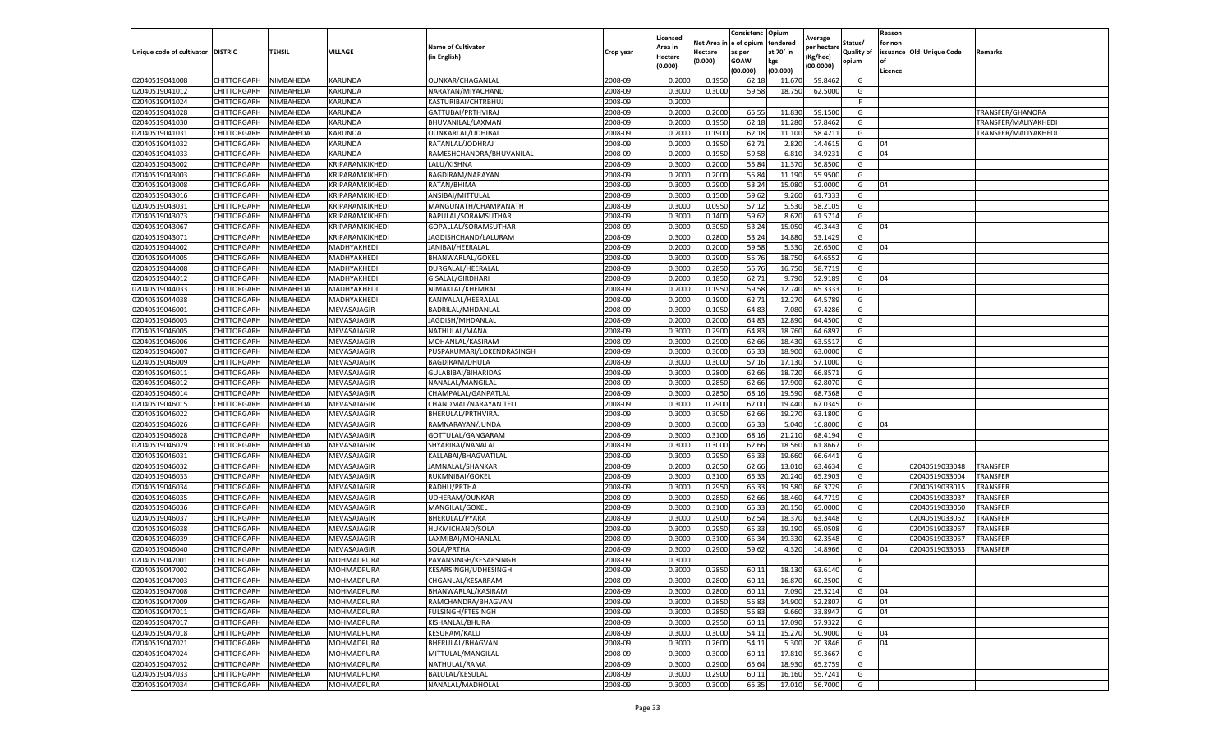|                                   |             |           |                 |                           |           | Licensed |            | Consistenc  | Opium     | Average     |                   | Reason  |                          |                      |
|-----------------------------------|-------------|-----------|-----------------|---------------------------|-----------|----------|------------|-------------|-----------|-------------|-------------------|---------|--------------------------|----------------------|
|                                   |             |           |                 | <b>Name of Cultivator</b> |           | Area in  | Net Area i | e of opium  | tendered  | per hectare | Status/           | for non |                          |                      |
| Unique code of cultivator DISTRIC |             | TEHSIL    | VILLAGE         | (in English)              | Crop year | Hectare  | Hectare    | as per      | at 70° in | (Kg/hec)    | <b>Quality of</b> |         | issuance Old Unique Code | Remarks              |
|                                   |             |           |                 |                           |           | (0.000)  | (0.000)    | <b>GOAW</b> | kgs       | (00.0000)   | opium             |         |                          |                      |
|                                   |             |           |                 |                           |           |          |            | (00.000)    | (00.000)  |             |                   | Licence |                          |                      |
| 02040519041008                    | CHITTORGARH | NIMBAHEDA | KARUNDA         | OUNKAR/CHAGANLAL          | 2008-09   | 0.2000   | 0.1950     | 62.18       | 11.67     | 59.8462     | G                 |         |                          |                      |
| 02040519041012                    | CHITTORGARH | NIMBAHEDA | KARUNDA         | NARAYAN/MIYACHAND         | 2008-09   | 0.300    | 0.3000     | 59.58       | 18.750    | 62.5000     | G                 |         |                          |                      |
| 02040519041024                    | CHITTORGARH | NIMBAHEDA | KARUNDA         | KASTURIBAI/CHTRBHUJ       | 2008-09   | 0.2000   |            |             |           |             | F.                |         |                          |                      |
| 02040519041028                    | CHITTORGARH | NIMBAHEDA | KARUNDA         | GATTUBAI/PRTHVIRAJ        | 2008-09   | 0.2000   | 0.2000     | 65.55       | 11.830    | 59.1500     | G                 |         |                          | TRANSFER/GHANORA     |
| 02040519041030                    | CHITTORGARH | NIMBAHEDA | KARUNDA         | BHUVANILAL/LAXMAN         | 2008-09   | 0.2000   | 0.1950     | 62.18       | 11.280    | 57.8462     | G                 |         |                          | TRANSFER/MALIYAKHEDI |
| 02040519041031                    | CHITTORGARH | NIMBAHEDA | KARUNDA         | OUNKARLAL/UDHIBAI         | 2008-09   | 0.2000   | 0.1900     | 62.18       | 11.100    | 58.4211     | G                 |         |                          | TRANSFER/MALIYAKHEDI |
| 02040519041032                    | CHITTORGARH | NIMBAHEDA | KARUNDA         | RATANLAL/JODHRAJ          | 2008-09   | 0.2000   | 0.1950     | 62.71       | 2.820     | 14.4615     | G                 | 04      |                          |                      |
| 02040519041033                    | CHITTORGARH | NIMBAHEDA | KARUNDA         | RAMESHCHANDRA/BHUVANILAL  | 2008-09   | 0.200    | 0.1950     | 59.58       | 6.81      | 34.9231     | G                 | 04      |                          |                      |
| 02040519043002                    | CHITTORGARH | NIMBAHEDA | KRIPARAMKIKHEDI | LALU/KISHNA               | 2008-09   | 0.300    | 0.2000     | 55.84       | 11.370    | 56.8500     | G                 |         |                          |                      |
| 02040519043003                    | CHITTORGARH | NIMBAHEDA | KRIPARAMKIKHEDI | BAGDIRAM/NARAYAN          | 2008-09   | 0.2000   | 0.2000     | 55.84       | 11.190    | 55.9500     | G                 |         |                          |                      |
| 02040519043008                    | CHITTORGARH | NIMBAHEDA | KRIPARAMKIKHEDI | RATAN/BHIMA               | 2008-09   | 0.3000   | 0.2900     | 53.24       | 15.080    | 52.0000     | G                 | 04      |                          |                      |
| 02040519043016                    | CHITTORGARH | NIMBAHEDA | KRIPARAMKIKHEDI | ANSIBAI/MITTULAL          | 2008-09   | 0.3000   | 0.1500     | 59.62       | 9.260     | 61.7333     | G                 |         |                          |                      |
| 02040519043031                    | CHITTORGARH | NIMBAHEDA | KRIPARAMKIKHEDI | MANGUNATH/CHAMPANATH      | 2008-09   | 0.3000   | 0.0950     | 57.12       | 5.530     | 58.2105     | G                 |         |                          |                      |
| 02040519043073                    | CHITTORGARH | NIMBAHEDA | KRIPARAMKIKHEDI | BAPULAL/SORAMSUTHAR       | 2008-09   | 0.300    | 0.1400     | 59.62       | 8.620     | 61.5714     | G                 |         |                          |                      |
| 02040519043067                    | CHITTORGARH | NIMBAHEDA | KRIPARAMKIKHEDI | GOPALLAL/SORAMSUTHAR      | 2008-09   | 0.3000   | 0.3050     | 53.24       | 15.050    | 49.3443     | G                 | 04      |                          |                      |
| 02040519043071                    | CHITTORGARH | NIMBAHEDA | KRIPARAMKIKHEDI | JAGDISHCHAND/LALURAM      | 2008-09   | 0.3000   | 0.2800     | 53.24       | 14.880    | 53.1429     | G                 |         |                          |                      |
| 02040519044002                    | CHITTORGARH | NIMBAHEDA | MADHYAKHEDI     | JANIBAI/HEERALAL          | 2008-09   | 0.2000   | 0.2000     | 59.58       | 5.33      | 26.6500     | G                 | 04      |                          |                      |
| 02040519044005                    | CHITTORGARH | NIMBAHEDA | MADHYAKHEDI     | BHANWARLAL/GOKEL          | 2008-09   | 0.3000   | 0.2900     | 55.76       | 18.750    | 64.6552     | G                 |         |                          |                      |
| 02040519044008                    | CHITTORGARH | NIMBAHEDA | MADHYAKHEDI     | DURGALAL/HEERALAL         | 2008-09   | 0.300    | 0.2850     | 55.76       | 16.750    | 58.7719     | G                 |         |                          |                      |
| 02040519044012                    | CHITTORGARH | NIMBAHEDA | MADHYAKHEDI     | GISALAL/GIRDHARI          | 2008-09   | 0.2000   | 0.1850     | 62.71       | 9.790     | 52.9189     | G                 | 04      |                          |                      |
| 02040519044033                    | CHITTORGARH | NIMBAHEDA | MADHYAKHEDI     | NIMAKLAL/KHEMRAJ          | 2008-09   | 0.2000   | 0.1950     | 59.58       | 12.740    | 65.3333     | G                 |         |                          |                      |
| 02040519044038                    | CHITTORGARH | NIMBAHEDA | MADHYAKHEDI     | KANIYALAL/HEERALAI        | 2008-09   | 0.2000   | 0.1900     | 62.7        | 12.27     | 64.5789     | G                 |         |                          |                      |
| 02040519046001                    | CHITTORGARH | NIMBAHEDA | MEVASAJAGIR     | BADRILAL/MHDANLAL         | 2008-09   | 0.3000   | 0.1050     | 64.83       | 7.080     | 67.4286     | G                 |         |                          |                      |
| 02040519046003                    | CHITTORGARH | NIMBAHEDA | MEVASAJAGIR     | JAGDISH/MHDANLAL          | 2008-09   | 0.2000   | 0.2000     | 64.83       | 12.890    | 64.4500     | G                 |         |                          |                      |
| 02040519046005                    | CHITTORGARH | NIMBAHEDA | MEVASAJAGIR     | NATHULAL/MANA             | 2008-09   | 0.3000   | 0.2900     | 64.83       | 18.760    | 64.6897     | G                 |         |                          |                      |
| 02040519046006                    | CHITTORGARH | NIMBAHEDA | MEVASAJAGIR     | MOHANLAL/KASIRAM          | 2008-09   | 0.3000   | 0.2900     | 62.66       | 18.430    | 63.5517     | G                 |         |                          |                      |
| 02040519046007                    | CHITTORGARH | NIMBAHEDA | MEVASAJAGIR     | PUSPAKUMARI/LOKENDRASINGH | 2008-09   | 0.300    | 0.3000     | 65.3        | 18.900    | 63.0000     | G                 |         |                          |                      |
| 02040519046009                    | CHITTORGARH | NIMBAHEDA | MEVASAJAGIR     | BAGDIRAM/DHULA            | 2008-09   | 0.3000   | 0.3000     | 57.16       | 17.130    | 57.1000     | G                 |         |                          |                      |
| 02040519046011                    | CHITTORGARH | NIMBAHEDA | MEVASAJAGIR     | GULABIBAI/BIHARIDAS       | 2008-09   | 0.3000   | 0.2800     | 62.66       | 18.720    | 66.8571     | G                 |         |                          |                      |
| 02040519046012                    | CHITTORGARH | NIMBAHEDA | MEVASAJAGIR     | NANALAL/MANGILAL          | 2008-09   | 0.3000   | 0.2850     | 62.66       | 17.900    | 62.8070     | G                 |         |                          |                      |
| 02040519046014                    | CHITTORGARH | NIMBAHEDA | MEVASAJAGIR     | CHAMPALAL/GANPATLAI       | 2008-09   | 0.3000   | 0.2850     | 68.16       | 19.590    | 68.7368     | G                 |         |                          |                      |
| 02040519046015                    | CHITTORGARH | NIMBAHEDA | MEVASAJAGIR     | CHANDMAL/NARAYAN TELI     | 2008-09   | 0.3000   | 0.2900     | 67.00       | 19.44     | 67.0345     | G                 |         |                          |                      |
| 02040519046022                    | CHITTORGARH | NIMBAHEDA | MEVASAJAGIR     | BHERULAL/PRTHVIRAJ        | 2008-09   | 0.300    | 0.3050     | 62.66       | 19.27     | 63.1800     | G                 |         |                          |                      |
| 02040519046026                    | CHITTORGARH | NIMBAHEDA | MEVASAJAGIR     | RAMNARAYAN/JUNDA          | 2008-09   | 0.3000   | 0.3000     | 65.33       | 5.040     | 16.8000     | G                 | 04      |                          |                      |
| 02040519046028                    | CHITTORGARH | NIMBAHEDA | MEVASAJAGIR     | GOTTULAL/GANGARAM         | 2008-09   | 0.3000   | 0.3100     | 68.16       | 21.210    | 68.4194     | G                 |         |                          |                      |
| 02040519046029                    | CHITTORGARH | NIMBAHEDA | MEVASAJAGIR     | SHYARIBAI/NANALAL         | 2008-09   | 0.3000   | 0.3000     | 62.66       | 18.560    | 61.8667     | G                 |         |                          |                      |
| 02040519046031                    | CHITTORGARH | NIMBAHEDA | MEVASAJAGIR     | KALLABAI/BHAGVATILAL      | 2008-09   | 0.3000   | 0.2950     | 65.33       | 19.660    | 66.6441     | G                 |         |                          |                      |
| 02040519046032                    | CHITTORGARH | NIMBAHEDA | MEVASAJAGIR     | JAMNALAL/SHANKAR          | 2008-09   | 0.2000   | 0.2050     | 62.66       | 13.01     | 63.4634     | G                 |         | 02040519033048           | TRANSFER             |
| 02040519046033                    | CHITTORGARH | NIMBAHEDA | MEVASAJAGIR     | RUKMNIBAI/GOKEL           | 2008-09   | 0.3000   | 0.3100     | 65.3        | 20.240    | 65.2903     | G                 |         | 02040519033004           | TRANSFER             |
| 02040519046034                    | CHITTORGARH | NIMBAHEDA | MEVASAJAGIR     | RADHU/PRTHA               | 2008-09   | 0.300    | 0.2950     | 65.33       | 19.580    | 66.3729     | G                 |         | 02040519033015           | TRANSFER             |
| 02040519046035                    | CHITTORGARH | NIMBAHEDA | MEVASAJAGIR     | UDHERAM/OUNKAR            | 2008-09   | 0.300    | 0.2850     | 62.66       | 18.460    | 64.7719     | G                 |         | 02040519033037           | TRANSFER             |
| 02040519046036                    | CHITTORGARH | NIMBAHEDA | MEVASAJAGIR     | MANGILAL/GOKEL            | 2008-09   | 0.3000   | 0.3100     | 65.33       | 20.150    | 65.0000     | G                 |         | 02040519033060           | TRANSFER             |
| 02040519046037                    | CHITTORGARH | NIMBAHEDA | MEVASAJAGIR     | BHERULAL/PYARA            | 2008-09   | 0.3000   | 0.2900     | 62.54       | 18.37     | 63.3448     | G                 |         | 02040519033062           | TRANSFER             |
| 02040519046038                    | CHITTORGARH | NIMBAHEDA | MEVASAJAGIR     | HUKMICHAND/SOLA           | 2008-09   | 0.300    | 0.2950     | 65.33       | 19.19     | 65.0508     | G                 |         | 02040519033067           | TRANSFER             |
| 02040519046039                    | CHITTORGARH | NIMBAHEDA | MEVASAJAGIR     | LAXMIBAI/MOHANLAL         | 2008-09   | 0.3000   | 0.3100     | 65.34       | 19.330    | 62.3548     | G                 |         | 02040519033057           | TRANSFER             |
| 02040519046040                    | CHITTORGARH | NIMBAHEDA | MEVASAJAGIR     | SOLA/PRTHA                | 2008-09   | 0.300    | 0.2900     | 59.62       | 4.320     | 14.8966     | G                 | 04      | 02040519033033           | TRANSFER             |
| 02040519047001                    | CHITTORGARH | NIMBAHEDA | MOHMADPURA      | PAVANSINGH/KESARSINGH     | 2008-09   | 0.300    |            |             |           |             | F.                |         |                          |                      |
| 02040519047002                    | CHITTORGARH | NIMBAHEDA | MOHMADPURA      | KESARSINGH/UDHESINGH      | 2008-09   | 0.3000   | 0.2850     | 60.11       | 18.130    | 63.6140     | G                 |         |                          |                      |
| 02040519047003                    | CHITTORGARH | NIMBAHEDA | MOHMADPURA      | CHGANLAL/KESARRAM         | 2008-09   | 0.3000   | 0.2800     | 60.11       | 16.870    | 60.2500     | G                 |         |                          |                      |
| 02040519047008                    | CHITTORGARH | NIMBAHEDA | MOHMADPURA      | BHANWARLAL/KASIRAM        | 2008-09   | 0.3000   | 0.2800     | 60.11       | 7.090     | 25.3214     | G                 | 04      |                          |                      |
| 02040519047009                    | CHITTORGARH | NIMBAHEDA | MOHMADPURA      | RAMCHANDRA/BHAGVAN        | 2008-09   | 0.3000   | 0.2850     | 56.83       | 14.900    | 52.2807     | G                 | 04      |                          |                      |
| 02040519047011                    | CHITTORGARH | NIMBAHEDA | MOHMADPURA      | FULSINGH/FTESINGH         | 2008-09   | 0.3000   | 0.2850     | 56.83       | 9.660     | 33.8947     | G                 | 04      |                          |                      |
| 02040519047017                    | CHITTORGARH | NIMBAHEDA | MOHMADPURA      | KISHANLAL/BHURA           | 2008-09   | 0.3000   | 0.2950     | 60.1        | 17.090    | 57.9322     | G                 |         |                          |                      |
| 02040519047018                    | CHITTORGARH | NIMBAHEDA | MOHMADPURA      | KESURAM/KALU              | 2008-09   | 0.3000   | 0.3000     | 54.11       | 15.270    | 50.9000     | G                 | 04      |                          |                      |
| 02040519047021                    | CHITTORGARH | NIMBAHEDA | MOHMADPURA      | BHERULAL/BHAGVAN          | 2008-09   | 0.3000   | 0.2600     | 54.11       | 5.300     | 20.3846     | G                 | 04      |                          |                      |
| 02040519047024                    | CHITTORGARH | NIMBAHEDA | MOHMADPURA      | MITTULAL/MANGILAL         | 2008-09   | 0.3000   | 0.3000     | 60.11       | 17.810    | 59.3667     | G                 |         |                          |                      |
| 02040519047032                    | CHITTORGARH | NIMBAHEDA | MOHMADPURA      | NATHULAL/RAMA             | 2008-09   | 0.3000   | 0.2900     | 65.64       | 18.930    | 65.2759     | G                 |         |                          |                      |
| 02040519047033                    | CHITTORGARH | NIMBAHEDA | MOHMADPURA      | BALULAL/KESULAL           | 2008-09   | 0.3000   | 0.2900     | 60.1        | 16.160    | 55.7241     | G                 |         |                          |                      |
| 02040519047034                    | CHITTORGARH | NIMBAHEDA | MOHMADPURA      | NANALAL/MADHOLAL          | 2008-09   | 0.3000   | 0.3000     |             | 17.010    | 56.7000     | G                 |         |                          |                      |
|                                   |             |           |                 |                           |           |          |            | 65.35       |           |             |                   |         |                          |                      |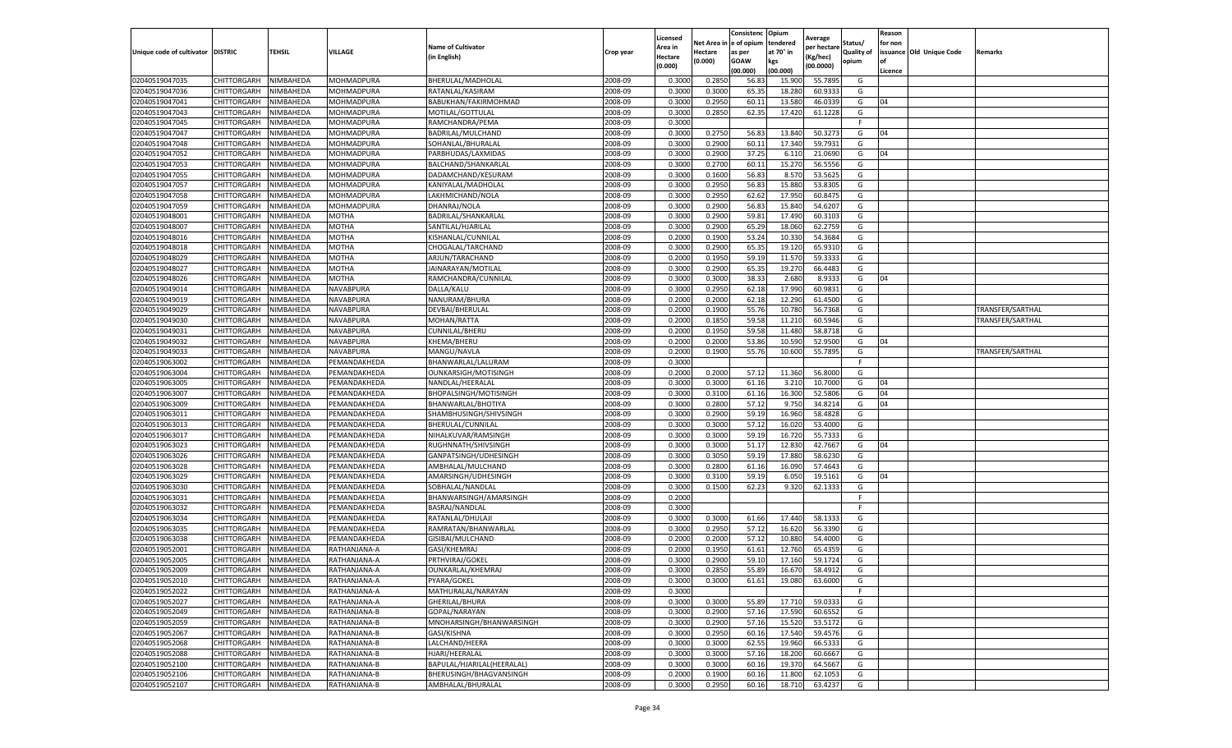|                                   |                            |                        |                              |                                      |                    | Licensed         |                         | Consistenc       | Opium            | Average            |            | Reason          |                          |                  |
|-----------------------------------|----------------------------|------------------------|------------------------------|--------------------------------------|--------------------|------------------|-------------------------|------------------|------------------|--------------------|------------|-----------------|--------------------------|------------------|
|                                   |                            |                        |                              | <b>Name of Cultivator</b>            |                    | Area in          | Net Area in le of opium |                  | tendered         | per hectare        | Status/    | for non         |                          |                  |
| Unique code of cultivator DISTRIC |                            | TEHSIL                 | VILLAGE                      | (in English)                         | Crop year          | Hectare          | Hectare                 | as per           | at 70° in        | Kg/hec)            | Quality of |                 | issuance Old Unique Code | Remarks          |
|                                   |                            |                        |                              |                                      |                    | (0.000)          | (0.000)                 | GOAW<br>(00.000) | kgs<br>(00.000)  | (00.0000)          | opium      | l of<br>Licence |                          |                  |
| 02040519047035                    | CHITTORGARH                | NIMBAHEDA              | MOHMADPURA                   | BHERULAL/MADHOLAL                    | 2008-09            | 0.300            | 0.285                   | 56.8             | 15.900           | 55.789             | G          |                 |                          |                  |
| 02040519047036                    | CHITTORGARH                | NIMBAHEDA              | MOHMADPURA                   | RATANLAL/KASIRAM                     | 2008-09            | 0.300            | 0.3000                  | 65.35            | 18.280           | 60.933             | G          |                 |                          |                  |
| 02040519047041                    | CHITTORGARH                | NIMBAHEDA              | MOHMADPURA                   | BABUKHAN/FAKIRMOHMAD                 | 2008-09            | 0.3000           | 0.2950                  | 60.11            | 13.580           | 46.033             | G          | 04              |                          |                  |
| 02040519047043                    | CHITTORGARH                | NIMBAHEDA              | MOHMADPURA                   | MOTILAL/GOTTULAL                     | 2008-09            | 0.3000           | 0.2850                  | 62.35            | 17.420           | 61.1228            | G          |                 |                          |                  |
| 02040519047045                    | CHITTORGARH                | NIMBAHEDA              | MOHMADPURA                   | RAMCHANDRA/PEMA                      | 2008-09            | 0.3000           |                         |                  |                  |                    | F          |                 |                          |                  |
| 02040519047047                    | CHITTORGARH                | NIMBAHEDA              | MOHMADPURA                   | BADRILAL/MULCHAND                    | 2008-09            | 0.3000           | 0.2750                  | 56.8             | 13.840           | 50.327             | G          | 04              |                          |                  |
| 02040519047048                    | CHITTORGARH                | NIMBAHEDA              | MOHMADPURA                   | SOHANLAL/BHURALAL                    | 2008-09            | 0.3000           | 0.2900                  | 60.11            | 17.340           | 59.793             | G          |                 |                          |                  |
| 02040519047052                    | CHITTORGARH                | NIMBAHEDA              | MOHMADPURA                   | PARBHUDAS/LAXMIDAS                   | 2008-09            | 0.3000           | 0.2900                  | 37.25            | 6.110            | 21.069             | G          | 04              |                          |                  |
| 02040519047053                    | CHITTORGARH                | NIMBAHEDA              | MOHMADPURA                   | BALCHAND/SHANKARLAI                  | 2008-09            | 0.3000           | 0.2700                  | 60.11            | 15.270           | 56.555             | G          |                 |                          |                  |
| 02040519047055                    | CHITTORGARH                | NIMBAHEDA              | MOHMADPURA                   | DADAMCHAND/KESURAM                   | 2008-09            | 0.3000           | 0.1600                  | 56.83            | 8.570            | 53.562             | G          |                 |                          |                  |
| 02040519047057                    | CHITTORGARH                | NIMBAHEDA              | MOHMADPURA                   | KANIYALAL/MADHOLAL                   | 2008-09            | 0.3000           | 0.2950                  | 56.83            | 15.880           | 53.8305            | G          |                 |                          |                  |
| 02040519047058                    | CHITTORGARH                | NIMBAHEDA              | MOHMADPURA                   | LAKHMICHAND/NOLA                     | 2008-09            | 0.3000           | 0.2950                  | 62.62            | 17.950           | 60.847             | G          |                 |                          |                  |
| 02040519047059                    | CHITTORGARH                | <b>NIMBAHEDA</b>       | MOHMADPURA                   | DHANRAJ/NOLA                         | 2008-09            | 0.3000           | 0.290                   | 56.8             | 15.840           | 54.620             | G          |                 |                          |                  |
| 02040519048001                    | CHITTORGARH                | NIMBAHEDA              | MOTHA                        | BADRILAL/SHANKARLAL                  | 2008-09            | 0.3000           | 0.2900                  | 59.8             | 17.49            | 60.310             | G          |                 |                          |                  |
| 02040519048007                    | CHITTORGARH                | NIMBAHEDA              | MOTHA                        | SANTILAL/HJARILAL                    | 2008-09            | 0.3000           | 0.2900                  | 65.2             | 18.060           | 62.275             | G          |                 |                          |                  |
| 02040519048016                    | CHITTORGARH                | NIMBAHEDA              | MOTHA                        | KISHANLAL/CUNNILAL                   | 2008-09            | 0.2000           | 0.1900                  | 53.24            | 10.33            | 54.368             | G          |                 |                          |                  |
| 02040519048018                    | CHITTORGARH                | NIMBAHEDA              | MOTHA                        | CHOGALAL/TARCHAND                    | 2008-09            | 0.3000           | 0.2900                  | 65.3             | 19.120           | 65.931             | G          |                 |                          |                  |
| 02040519048029                    | CHITTORGARH                | NIMBAHEDA              | MOTHA                        | ARJUN/TARACHAND                      | 2008-09            | 0.2000           | 0.1950                  | 59.19            | 11.570           | 59.333             | G          |                 |                          |                  |
| 02040519048027                    | CHITTORGARH                | NIMBAHEDA              | MOTHA                        | JAINARAYAN/MOTILAL                   | 2008-09            | 0.300            | 0.290                   | 65.35            | 19.270           | 66.448             | G          |                 |                          |                  |
| 02040519048026                    | CHITTORGARH                | <b>NIMBAHEDA</b>       | MOTHA                        | RAMCHANDRA/CUNNILAI                  | 2008-09            | 0.3000           | 0.3000                  | 38.33            | 2.680            | 8.933              | G          | 04              |                          |                  |
| 02040519049014                    | CHITTORGARH                | NIMBAHEDA              | NAVABPURA                    | DALLA/KALU                           | 2008-09            | 0.3000           | 0.2950                  | 62.18            | 17.990           | 60.983             | G          |                 |                          |                  |
| 02040519049019                    | CHITTORGARH                | NIMBAHEDA              | NAVABPURA                    | NANURAM/BHURA                        | 2008-09            | 0.2000           | 0.2000                  | 62.18            | 12.290           | 61.450             | G          |                 |                          |                  |
| 02040519049029                    | CHITTORGARH                | NIMBAHEDA              | NAVABPURA                    | DEVBAI/BHERULAL                      | 2008-09            | 0.2000           | 0.1900                  | 55.76            | 10.780           | 56.7368            | G          |                 |                          | TRANSFER/SARTHAL |
| 02040519049030                    | CHITTORGARH                | NIMBAHEDA              | NAVABPURA                    | MOHAN/RATTA                          | 2008-09            | 0.2000           | 0.1850                  | 59.58            | 11.210           | 60.594             | G          |                 |                          | TRANSFER/SARTHAL |
| 02040519049031                    | CHITTORGARH                | NIMBAHEDA              | NAVABPURA                    | CUNNILAL/BHERU                       | 2008-09            | 0.2000           | 0.1950                  | 59.5             | 11.480           | 58.871             | G          |                 |                          |                  |
| 02040519049032                    | CHITTORGARH                | NIMBAHEDA              | NAVABPURA                    | KHEMA/BHERU                          | 2008-09            | 0.2000           | 0.2000                  | 53.86            | 10.59            | 52.950             | G          | 04              |                          |                  |
| 02040519049033                    | CHITTORGARH                | NIMBAHEDA              | NAVABPURA                    | MANGU/NAVLA                          | 2008-09            | 0.2000           | 0.1900                  | 55.76            | 10.600           | 55.789             | G          |                 |                          | TRANSFER/SARTHAL |
| 02040519063002                    | CHITTORGARH                | NIMBAHEDA              | PEMANDAKHEDA                 | BHANWARLAL/LALURAM                   | 2008-09            | 0.3000           |                         |                  |                  |                    | -F         |                 |                          |                  |
| 02040519063004                    | CHITTORGARH                | NIMBAHEDA              | PEMANDAKHEDA                 | OUNKARSIGH/MOTISINGH                 | 2008-09            | 0.2000           | 0.2000                  | 57.12            | 11.360           | 56.8000            | G          |                 |                          |                  |
| 02040519063005                    | CHITTORGARH                | NIMBAHEDA              | PEMANDAKHEDA                 | NANDLAL/HEERALAL                     | 2008-09            | 0.3000           | 0.3000                  | 61.16            | 3.210            | 10.7000            | G          | 04              |                          |                  |
| 02040519063007                    | CHITTORGARH                | NIMBAHEDA              | PEMANDAKHEDA                 | BHOPALSINGH/MOTISINGH                | 2008-09            | 0.300            | 0.3100                  | 61.16            | 16.300           | 52.580             | G          | 04              |                          |                  |
| 02040519063009                    | CHITTORGARH                | NIMBAHEDA              | PEMANDAKHEDA                 | BHANWARLAL/BHOTIYA                   | 2008-09            | 0.3000           | 0.2800                  | 57.12            | 9.750            | 34.821             | G          | 04              |                          |                  |
| 02040519063011                    | CHITTORGARH                | NIMBAHEDA              | PEMANDAKHEDA                 | SHAMBHUSINGH/SHIVSINGH               | 2008-09            | 0.3000           | 0.290                   | 59.19            | 16.96            | 58.482             | G          |                 |                          |                  |
| 02040519063013                    | CHITTORGARH                | NIMBAHEDA              | PEMANDAKHEDA                 | BHERULAL/CUNNILAL                    | 2008-09            | 0.3000           | 0.3000                  | 57.12            | 16.020           | 53.400             | G          |                 |                          |                  |
| 02040519063017                    | CHITTORGARH                | NIMBAHEDA              | PEMANDAKHEDA                 | NIHALKUVAR/RAMSINGH                  | 2008-09            | 0.3000           | 0.3000                  | 59.19            | 16.720           | 55.733             | G          |                 |                          |                  |
| 02040519063023                    | CHITTORGARH                | NIMBAHEDA              | PEMANDAKHEDA                 | RUGHNNATH/SHIVSINGH                  | 2008-09            | 0.3000           | 0.3000                  | 51.1             | 12.830           | 42.766             | G          | 04              |                          |                  |
| 02040519063026                    | CHITTORGARH                | NIMBAHEDA              | PEMANDAKHEDA                 | GANPATSINGH/UDHESINGH                | 2008-09            | 0.3000           | 0.3050                  | 59.19            | 17.880           | 58.623             | G          |                 |                          |                  |
| 02040519063028                    | CHITTORGARH                | NIMBAHEDA              | PEMANDAKHEDA                 | AMBHALAL/MULCHAND                    | 2008-09            | 0.300            | 0.2800                  | 61.16            | 16.090           | 57.464             | G          |                 |                          |                  |
| 02040519063029                    | CHITTORGARH                | NIMBAHEDA              | PEMANDAKHEDA                 | AMARSINGH/UDHESINGH                  | 2008-09            | 0.3000           | 0.310                   | 59.19            | 6.05             | 19.516             | G          | 04              |                          |                  |
| 02040519063030                    | CHITTORGARH                | NIMBAHEDA              | PEMANDAKHEDA                 | SOBHALAL/NANDLAL                     | 2008-09            | 0.3000           | 0.1500                  | 62.23            | 9.320            | 62.133             | G          |                 |                          |                  |
| 02040519063031                    | CHITTORGARH                | NIMBAHEDA              | PEMANDAKHEDA                 | BHANWARSINGH/AMARSINGH               | 2008-09            | 0.2000           |                         |                  |                  |                    | F          |                 |                          |                  |
| 02040519063032                    | CHITTORGARH                | NIMBAHEDA              | PEMANDAKHEDA                 | BASRAJ/NANDLAL                       | 2008-09            | 0.3000           |                         |                  |                  |                    |            |                 |                          |                  |
| 02040519063034                    | CHITTORGARH                | NIMBAHEDA              | PEMANDAKHEDA                 | RATANLAL/DHULAJI                     | 2008-09            | 0.3000           | 0.3000                  | 61.66            | 17.440           | 58.133             | G          |                 |                          |                  |
| 02040519063035                    | CHITTORGARH                | NIMBAHEDA              | PEMANDAKHEDA                 | RAMRATAN/BHANWARLAL                  | 2008-09            | 0.3000           | 0.2950                  | 57.12            | 16.620           | 56.339             | G          |                 |                          |                  |
| 02040519063038                    | CHITTORGARH                | NIMBAHEDA              | PEMANDAKHEDA                 | GISIBAI/MULCHAND                     | 2008-09            | 0.2000           | 0.2000                  | 57.12            | 10.880           | 54.400             | G          |                 |                          |                  |
| 02040519052001                    | CHITTORGARH                | NIMBAHEDA              | RATHANJANA-A                 | GASI/KHEMRAJ                         | 2008-09            | 0.200            | 0.195                   | 61.6             | 12.760           | 65.435             | G          |                 |                          |                  |
| 02040519052005                    | CHITTORGARH                | NIMBAHEDA              | RATHANJANA-A                 | PRTHVIRAJ/GOKEL                      | 2008-09            | 0.300            | 0.290                   | 59.10            | 17.160           | 59.172             | G          |                 |                          |                  |
| 02040519052009                    | CHITTORGARH                | NIMBAHEDA              | RATHANJANA-A                 | OUNKARLAL/KHEMRAJ                    | 2008-09            | 0.3000           | 0.2850                  | 55.89            | 16.670           | 58.4912            | G          |                 |                          |                  |
| 02040519052010                    | CHITTORGARH                | NIMBAHEDA              | RATHANJANA-A                 | PYARA/GOKEL                          | 2008-09            | 0.3000           | 0.3000                  | 61.61            | 19.080           | 63.6000            | G<br>F     |                 |                          |                  |
| 02040519052022<br>02040519052027  | CHITTORGARH<br>CHITTORGARH | NIMBAHEDA<br>NIMBAHEDA | RATHANJANA-A<br>RATHANJANA-A | MATHURALAL/NARAYAN<br>GHERILAL/BHURA | 2008-09<br>2008-09 | 0.3000<br>0.3000 | 0.3000                  | 55.89            | 17.710           | 59.0333            | G          |                 |                          |                  |
| 02040519052049                    |                            |                        |                              | GOPAL/NARAYAN                        |                    |                  |                         |                  |                  |                    |            |                 |                          |                  |
| 02040519052059                    | CHITTORGARH<br>CHITTORGARH | NIMBAHEDA<br>NIMBAHEDA | RATHANJANA-B<br>RATHANJANA-B | MNOHARSINGH/BHANWARSINGH             | 2008-09<br>2008-09 | 0.3000<br>0.3000 | 0.2900<br>0.2900        | 57.16<br>57.16   | 17.590<br>15.520 | 60.6552<br>53.5172 | G<br>G     |                 |                          |                  |
| 02040519052067                    | CHITTORGARH                | NIMBAHEDA              | RATHANJANA-B                 | GASI/KISHNA                          | 2008-09            | 0.3000           | 0.2950                  | 60.16            | 17.540           | 59.4576            | G          |                 |                          |                  |
| 02040519052068                    | CHITTORGARH                | NIMBAHEDA              | RATHANJANA-B                 | LALCHAND/HEERA                       | 2008-09            | 0.3000           | 0.3000                  | 62.5             | 19.960           | 66.5333            | G          |                 |                          |                  |
| 02040519052088                    | CHITTORGARH                | NIMBAHEDA              | RATHANJANA-B                 | HJARI/HEERALAL                       | 2008-09            | 0.3000           | 0.3000                  | 57.16            | 18.200           | 60.6667            | G          |                 |                          |                  |
| 02040519052100                    | CHITTORGARH                | NIMBAHEDA              | RATHANJANA-B                 | BAPULAL/HJARILAL(HEERALAL)           | 2008-09            | 0.3000           | 0.3000                  | 60.16            | 19.370           | 64.5667            | G          |                 |                          |                  |
| 02040519052106                    | CHITTORGARH                | NIMBAHEDA              | RATHANJANA-B                 | BHERUSINGH/BHAGVANSINGH              | 2008-09            | 0.2000           | 0.1900                  | 60.16            | 11.800           | 62.1053            | G          |                 |                          |                  |
| 02040519052107                    | CHITTORGARH                | NIMBAHEDA              | RATHANJANA-B                 | AMBHALAL/BHURALAL                    | 2008-09            | 0.3000           | 0.2950                  | 60.16            | 18.710           | 63.4237            | G          |                 |                          |                  |
|                                   |                            |                        |                              |                                      |                    |                  |                         |                  |                  |                    |            |                 |                          |                  |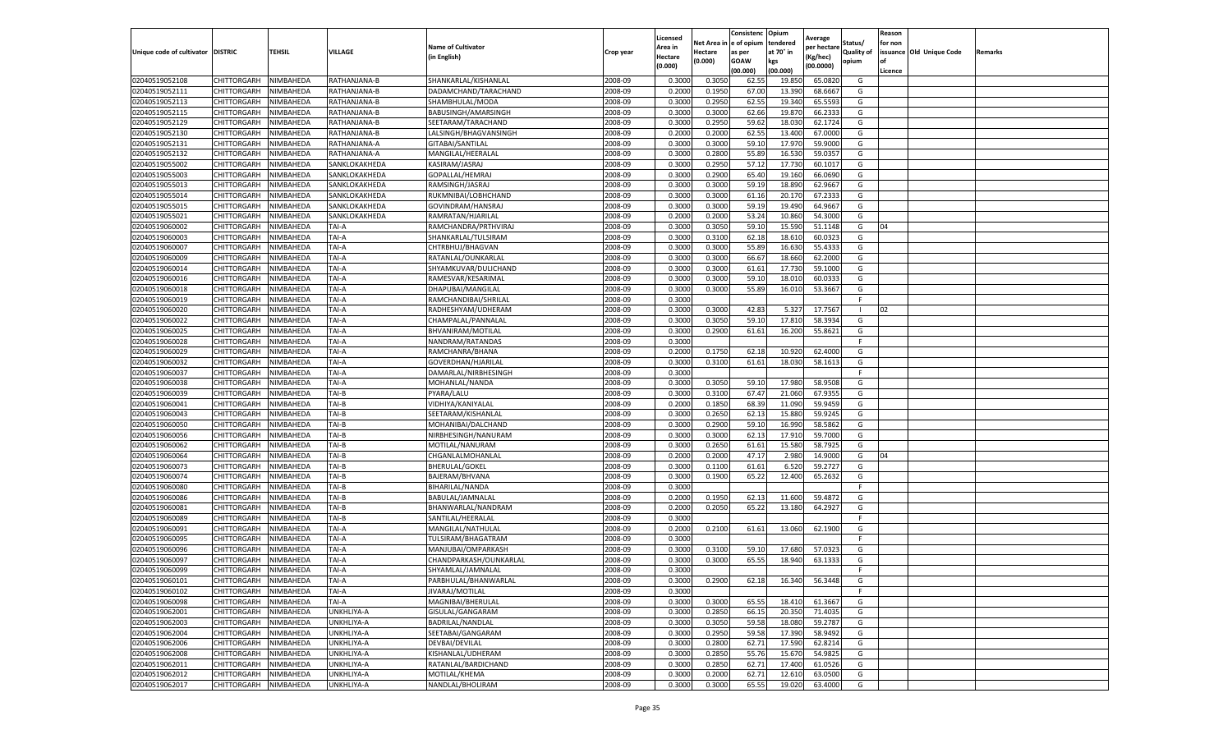|                                   |                    |                        |               |                                     |                    | Licensed |                  | Consistenc             | Opium     |                        |                   | Reason  |                          |                |
|-----------------------------------|--------------------|------------------------|---------------|-------------------------------------|--------------------|----------|------------------|------------------------|-----------|------------------------|-------------------|---------|--------------------------|----------------|
|                                   |                    |                        |               | <b>Name of Cultivator</b>           |                    | Area in  |                  | Net Area in e of opium | tendered  | Average<br>per hectare | Status/           | for non |                          |                |
| Unique code of cultivator DISTRIC |                    | TEHSIL                 | VILLAGE       | in English)                         | Crop year          | Hectare  | Hectare          | as per                 | at 70° in | (Kg/hec                | <b>Quality of</b> |         | issuance Old Unique Code | <b>Remarks</b> |
|                                   |                    |                        |               |                                     |                    | (0.000)  | (0.000)          | <b>GOAW</b>            | kgs       | (00.0000)              | opium             |         |                          |                |
|                                   |                    |                        |               |                                     |                    |          |                  | (00.000)               | (00.000)  |                        |                   | Licence |                          |                |
| 02040519052108                    | CHITTORGARH        | NIMBAHEDA              | RATHANJANA-B  | SHANKARLAL/KISHANLAL                | 2008-09            | 0.3000   | 0.3050           | 62.55                  | 19.85     | 65.0820                | G                 |         |                          |                |
| 02040519052111                    | CHITTORGARH        | NIMBAHEDA              | RATHANJANA-B  | DADAMCHAND/TARACHAND                | 2008-09            | 0.2000   | 0.1950           | 67.00                  | 13.39     | 68.6667                | G                 |         |                          |                |
| 02040519052113                    | CHITTORGARH        | NIMBAHEDA              | RATHANJANA-B  | SHAMBHULAL/MODA                     | 2008-09            | 0.3000   | 0.2950           | 62.55                  | 19.34     | 65.5593                | G                 |         |                          |                |
| 02040519052115                    | CHITTORGARH        | NIMBAHEDA              | RATHANJANA-B  | BABUSINGH/AMARSINGH                 | 2008-09            | 0.3000   | 0.3000           | 62.66                  | 19.87     | 66.2333                | G                 |         |                          |                |
| 02040519052129                    | CHITTORGARH        | NIMBAHEDA              | RATHANJANA-B  | SEETARAM/TARACHAND                  | 2008-09            | 0.3000   | 0.2950           | 59.62                  | 18.03     | 62.1724                | G                 |         |                          |                |
| 02040519052130                    | CHITTORGARH        | NIMBAHEDA              | RATHANJANA-B  | LALSINGH/BHAGVANSINGH               | 2008-09            | 0.2000   | 0.2000           | 62.55                  | 13.40     | 67.0000                | G                 |         |                          |                |
| 02040519052131                    | CHITTORGARH        | NIMBAHEDA              | RATHANJANA-A  | GITABAI/SANTILAL                    | 2008-09            | 0.3000   | 0.3000           | 59.10                  | 17.97     | 59.9000                | G                 |         |                          |                |
| 02040519052132                    | CHITTORGARH        | NIMBAHEDA              | RATHANJANA-A  | MANGILAL/HEERALAI                   | 2008-09            | 0.3000   | 0.2800           | 55.89                  | 16.53     | 59.035                 | G                 |         |                          |                |
| 02040519055002                    | CHITTORGARH        | NIMBAHEDA              | SANKLOKAKHEDA | KASIRAM/JASRAJ                      | 2008-09            | 0.3000   | 0.2950           | 57.12                  | 17.73     | 60.1017                | G                 |         |                          |                |
| 02040519055003                    | CHITTORGARH        | NIMBAHEDA              | SANKLOKAKHEDA | GOPALLAL/HEMRAJ                     | 2008-09            | 0.3000   | 0.2900           | 65.40                  | 19.160    | 66.0690                | G                 |         |                          |                |
| 02040519055013                    | CHITTORGARH        | NIMBAHEDA              | SANKLOKAKHEDA | RAMSINGH/JASRAJ                     | 2008-09            | 0.3000   | 0.3000           | 59.19                  | 18.89     | 62.9667                | G                 |         |                          |                |
| 02040519055014                    | CHITTORGARH        | NIMBAHEDA              | SANKLOKAKHEDA | RUKMNIBAI/LOBHCHAND                 | 2008-09            | 0.3000   | 0.3000           | 61.16                  | 20.17     | 67.2333                | G                 |         |                          |                |
| 02040519055015                    | CHITTORGARH        | NIMBAHEDA              | SANKLOKAKHEDA | GOVINDRAM/HANSRAJ                   | 2008-09            | 0.3000   | 0.3000           | 59.19                  | 19.49     | 64.9667                | G                 |         |                          |                |
| 02040519055021                    | CHITTORGARH        | NIMBAHEDA              | SANKLOKAKHEDA | RAMRATAN/HJARILAL                   | 2008-09            | 0.2000   | 0.2000           | 53.24                  | 10.86     | 54.3000                | G                 |         |                          |                |
| 02040519060002                    | CHITTORGARH        | NIMBAHEDA              | TAI-A         | RAMCHANDRA/PRTHVIRAJ                | 2008-09            | 0.3000   | 0.3050           | 59.10                  | 15.590    | 51.1148                | G                 | 04      |                          |                |
| 02040519060003                    | CHITTORGARH        | NIMBAHEDA              | TAI-A         | SHANKARLAL/TULSIRAM                 | 2008-09            | 0.3000   | 0.3100           | 62.18                  | 18.61     | 60.0323                | G                 |         |                          |                |
| 02040519060007                    | CHITTORGARH        | NIMBAHEDA              | TAI-A         | CHTRBHUJ/BHAGVAN                    | 2008-09            | 0.3000   | 0.3000           | 55.89                  | 16.63     | 55.4333                | G                 |         |                          |                |
| 02040519060009                    | CHITTORGARH        | NIMBAHEDA              | TAI-A         | RATANLAL/OUNKARLAL                  | 2008-09            | 0.3000   | 0.3000           | 66.67                  | 18.66     | 62.2000                | G                 |         |                          |                |
| 02040519060014                    | CHITTORGARH        | NIMBAHEDA              | TAI-A         | SHYAMKUVAR/DULICHAND                | 2008-09            | 0.3000   | 0.3000           | 61.61                  | 17.73     | 59.1000                | G                 |         |                          |                |
| 02040519060016                    | CHITTORGARH        | NIMBAHEDA              | TAI-A         | RAMESVAR/KESARIMAL                  | 2008-09            | 0.3000   | 0.3000           | 59.10                  | 18.01     | 60.033                 | G                 |         |                          |                |
| 02040519060018                    | CHITTORGARH        | NIMBAHEDA              | TAI-A         | DHAPUBAI/MANGILAL                   | 2008-09            | 0.3000   | 0.3000           | 55.89                  | 16.010    | 53.3667                | G                 |         |                          |                |
| 02040519060019                    | CHITTORGARH        | NIMBAHEDA              | TAI-A         | RAMCHANDIBAI/SHRILAL                | 2008-09            | 0.3000   |                  |                        |           |                        | F                 |         |                          |                |
| 02040519060020                    | CHITTORGARH        | NIMBAHEDA              | TAI-A         | RADHESHYAM/UDHERAM                  | 2008-09            | 0.3000   | 0.3000           | 42.83                  | 5.327     | 17.7567                | -1                | 02      |                          |                |
| 02040519060022                    | CHITTORGARH        | NIMBAHEDA              | TAI-A         | CHAMPALAL/PANNALAL                  | 2008-09            | 0.3000   | 0.3050           | 59.10                  | 17.810    | 58.3934                | G                 |         |                          |                |
| 02040519060025                    | CHITTORGARH        | NIMBAHEDA              | TAI-A         | BHVANIRAM/MOTILAL                   | 2008-09            | 0.3000   | 0.2900           | 61.61                  | 16.200    | 55.8621                | G                 |         |                          |                |
| 02040519060028                    | CHITTORGARH        | NIMBAHEDA              | TAI-A         | NANDRAM/RATANDAS                    | 2008-09            | 0.3000   |                  |                        |           |                        | F                 |         |                          |                |
| 02040519060029                    | CHITTORGARH        | NIMBAHEDA              | TAI-A         | RAMCHANRA/BHANA                     | 2008-09            | 0.2000   | 0.1750           | 62.18                  | 10.92     | 62.4000                | G                 |         |                          |                |
| 02040519060032                    | CHITTORGARH        | NIMBAHEDA              | TAI-A         | GOVERDHAN/HJARILAL                  | 2008-09            | 0.3000   | 0.3100           | 61.61                  | 18.030    | 58.1613                | G                 |         |                          |                |
| 02040519060037                    | CHITTORGARH        | NIMBAHEDA              | TAI-A         | DAMARLAL/NIRBHESINGH                | 2008-09            | 0.3000   |                  |                        |           |                        | F.                |         |                          |                |
| 02040519060038                    | CHITTORGARH        | NIMBAHEDA              | TAI-A         | MOHANLAL/NANDA                      | 2008-09            | 0.3000   | 0.3050           | 59.10                  | 17.98     | 58.9508                | G                 |         |                          |                |
| 02040519060039                    | CHITTORGARH        | NIMBAHEDA              | TAI-B         | PYARA/LALU                          | 2008-09            | 0.3000   | 0.3100           | 67.47                  | 21.06     | 67.935                 | G                 |         |                          |                |
| 02040519060041                    | CHITTORGARH        | NIMBAHEDA              | TAI-B         | VIDHIYA/KANIYALAL                   | 2008-09            | 0.2000   | 0.1850           | 68.39                  | 11.090    | 59.9459                | G                 |         |                          |                |
| 02040519060043                    | CHITTORGARH        | NIMBAHEDA              | TAI-B         | SEETARAM/KISHANLAL                  | 2008-09            | 0.3000   | 0.2650           | 62.13                  | 15.88     | 59.9245                | G                 |         |                          |                |
| 02040519060050                    | CHITTORGARH        | NIMBAHEDA              | TAI-B         | MOHANIBAI/DALCHAND                  | 2008-09            | 0.3000   | 0.2900           | 59.10                  | 16.990    | 58.5862                | G                 |         |                          |                |
| 02040519060056                    | CHITTORGARH        | NIMBAHEDA              | TAI-B         | NIRBHESINGH/NANURAM                 | 2008-09            | 0.3000   | 0.3000           | 62.13                  | 17.91     | 59.7000                | G                 |         |                          |                |
| 02040519060062                    | CHITTORGARH        | NIMBAHEDA              | TAI-B         | MOTILAL/NANURAM                     | 2008-09            | 0.3000   | 0.2650           | 61.61                  | 15.58     | 58.7925                | G                 |         |                          |                |
| 02040519060064                    | CHITTORGARH        | NIMBAHEDA              | TAI-B         | CHGANLALMOHANLAL                    | 2008-09            | 0.2000   | 0.2000           | 47.17                  | 2.980     | 14.9000                | G                 | 04      |                          |                |
| 02040519060073                    | CHITTORGARH        | NIMBAHEDA              | TAI-B         | <b>BHERULAL/GOKEL</b>               | 2008-09            | 0.3000   | 0.1100           | 61.61                  | 6.52      | 59.2727                | G                 |         |                          |                |
| 02040519060074                    | CHITTORGARH        | NIMBAHEDA              | TAI-B         | BAJERAM/BHVANA                      | 2008-09            | 0.3000   | 0.1900           | 65.22                  | 12.400    | 65.2632                | G                 |         |                          |                |
| 02040519060080                    | CHITTORGARH        | NIMBAHEDA              | TAI-B         | BIHARILAL/NANDA                     | 2008-09            | 0.3000   |                  |                        |           |                        | F.                |         |                          |                |
| 02040519060086                    | CHITTORGARH        | NIMBAHEDA              | TAI-B         | BABULAL/JAMNALAL                    | 2008-09            | 0.2000   | 0.1950           | 62.13                  | 11.600    | 59.4872                | G                 |         |                          |                |
| 02040519060081                    | CHITTORGARH        | NIMBAHEDA              | TAI-B         | BHANWARLAL/NANDRAM                  | 2008-09            | 0.2000   | 0.2050           | 65.22                  | 13.180    | 64.2927                | G                 |         |                          |                |
| 02040519060089                    | CHITTORGARH        | NIMBAHEDA              | TAI-B         | SANTILAL/HEERALAL                   | 2008-09            | 0.3000   |                  |                        |           |                        | F                 |         |                          |                |
| 02040519060091                    | CHITTORGARH        | NIMBAHEDA              | TAI-A         | MANGILAL/NATHULAL                   | 2008-09            | 0.2000   | 0.2100           | 61.61                  | 13.060    | 62.1900                | G                 |         |                          |                |
| 02040519060095                    | CHITTORGARH        | NIMBAHEDA              | TAI-A         | TULSIRAM/BHAGATRAM                  | 2008-09            | 0.3000   |                  |                        |           |                        | F                 |         |                          |                |
| 02040519060096                    | CHITTORGARH        | NIMBAHEDA              | TAI-A         | MANJUBAI/OMPARKASH                  | 2008-09            | 0.3000   | 0.310            | 59.10                  | 17.68     | 57.032                 | G                 |         |                          |                |
| 02040519060097                    | CHITTORGARH        | NIMBAHEDA              | TAI-A         | CHANDPARKASH/OUNKARLAL              | 2008-09            | 0.3000   | 0.3000           | 65.55                  | 18.940    | 63.1333                | G                 |         |                          |                |
| 02040519060099                    | CHITTORGARH        | NIMBAHEDA              | TAI-A         | SHYAMLAL/JAMNALAL                   | 2008-09            | 0.3000   |                  |                        |           |                        | F                 |         |                          |                |
| 02040519060101                    | CHITTORGARH        | NIMBAHEDA              | TAI-A         | PARBHULAL/BHANWARLAL                | 2008-09            | 0.3000   | 0.2900           | 62.18                  | 16.340    | 56.3448                | G                 |         |                          |                |
| 02040519060102                    | CHITTORGARH        | NIMBAHEDA              | TAI-A         | JIVARAJ/MOTILAL                     | 2008-09            | 0.3000   |                  |                        |           |                        | F                 |         |                          |                |
| 02040519060098                    | <b>CHITTORGARH</b> | NIMBAHEDA              | TAI-A         | MAGNIBAI/BHERULAL                   | 2008-09            | 0.3000   | 0.3000           | 65.55                  | 18.410    | 61.3667                | G                 |         |                          |                |
|                                   |                    |                        |               |                                     |                    |          |                  |                        |           |                        |                   |         |                          |                |
| 02040519062001                    | CHITTORGARH        | NIMBAHEDA              | UNKHLIYA-A    | GISULAL/GANGARAM                    | 2008-09            | 0.3000   | 0.2850           | 66.15                  | 20.350    | 71.4035                | G<br>G            |         |                          |                |
| 02040519062003                    | CHITTORGARH        | NIMBAHEDA              | UNKHLIYA-A    | BADRILAL/NANDLAL                    | 2008-09<br>2008-09 | 0.3000   | 0.3050<br>0.2950 | 59.58                  | 18.080    | 59.2787                | G                 |         |                          |                |
| 02040519062004                    | <b>CHITTORGARH</b> | NIMBAHEDA              | UNKHLIYA-A    | SEETABAI/GANGARAM                   |                    | 0.3000   |                  | 59.58                  | 17.390    | 58.9492                |                   |         |                          |                |
| 02040519062006                    | CHITTORGARH        | NIMBAHEDA              | UNKHLIYA-A    | DEVBAI/DEVILAL<br>KISHANLAL/UDHERAM | 2008-09            | 0.3000   | 0.2800           | 62.71                  | 17.590    | 62.8214                | G                 |         |                          |                |
| 02040519062008                    | CHITTORGARH        | NIMBAHEDA<br>NIMBAHEDA | UNKHLIYA-A    |                                     | 2008-09<br>2008-09 | 0.3000   | 0.2850<br>0.2850 | 55.76                  | 15.670    | 54.9825<br>61.0526     | G<br>G            |         |                          |                |
| 02040519062011                    | CHITTORGARH        |                        | UNKHLIYA-A    | RATANLAL/BARDICHAND                 |                    | 0.3000   |                  | 62.71                  | 17.400    |                        |                   |         |                          |                |
| 02040519062012                    | CHITTORGARH        | NIMBAHEDA              | UNKHLIYA-A    | MOTILAL/KHEMA                       | 2008-09            | 0.3000   | 0.2000           | 62.71                  | 12.610    | 63.0500                | G                 |         |                          |                |
| 02040519062017                    | <b>CHITTORGARH</b> | NIMBAHEDA              | UNKHLIYA-A    | NANDLAL/BHOLIRAM                    | 2008-09            | 0.3000   | 0.3000           | 65.55                  | 19.020    | 63.4000                | G                 |         |                          |                |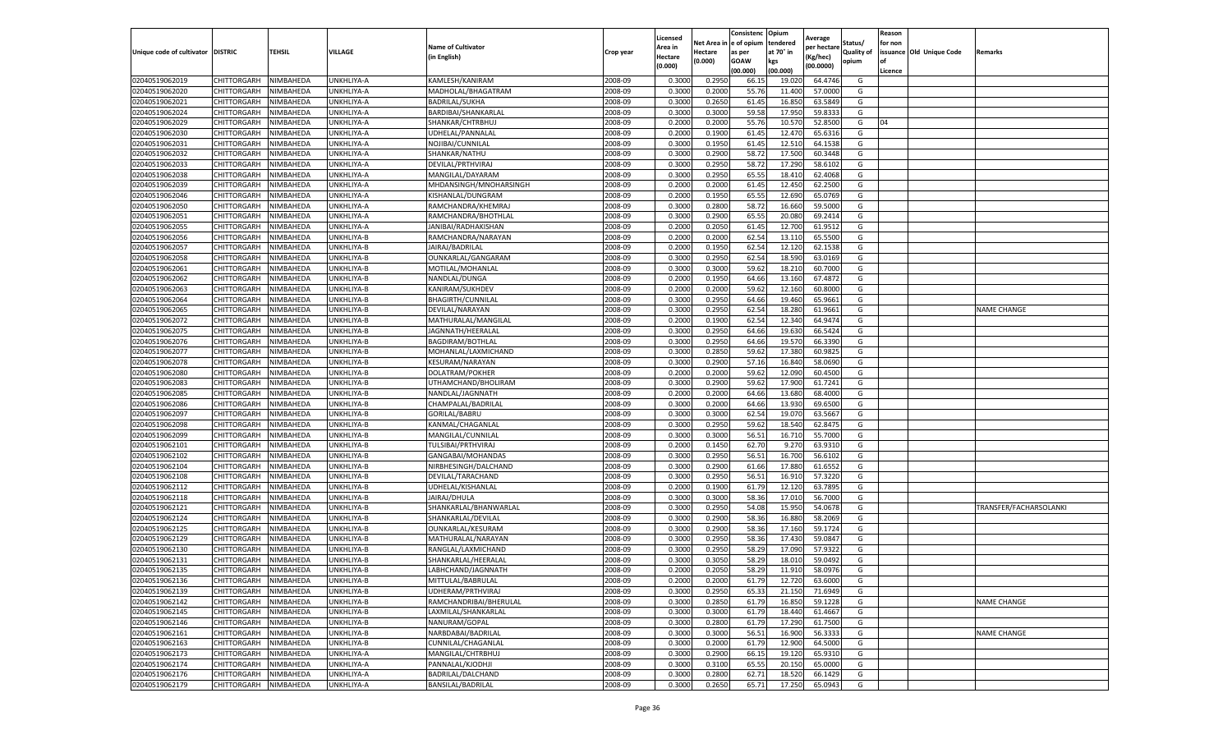|                           |                    |           |                   |                           |           | Licensed |         | Consistenc             | Opium     |                        |            | Reason  |                          |                        |
|---------------------------|--------------------|-----------|-------------------|---------------------------|-----------|----------|---------|------------------------|-----------|------------------------|------------|---------|--------------------------|------------------------|
|                           |                    |           |                   | <b>Name of Cultivator</b> |           | Area in  |         | Net Area in e of opium | tendered  | Average<br>per hectare | Status/    | for non |                          |                        |
| Unique code of cultivator | <b>DISTRIC</b>     | TEHSIL    | VILLAGE           | in English)               | Crop year | Hectare  | Hectare | as per                 | at 70° in | (Kg/hec                | Quality of |         | issuance Old Unique Code | <b>Remarks</b>         |
|                           |                    |           |                   |                           |           | (0.000)  | (0.000) | <b>GOAW</b>            | kgs       | (00.0000)              | opium      |         |                          |                        |
|                           |                    |           |                   |                           |           |          |         | (00.000)               | (00.000)  |                        |            | Licence |                          |                        |
| 02040519062019            | CHITTORGARH        | NIMBAHEDA | UNKHLIYA-A        | KAMLESH/KANIRAM           | 2008-09   | 0.3000   | 0.2950  | 66.1                   | 19.02     | 64.4746                | G          |         |                          |                        |
| 02040519062020            | CHITTORGARH        | NIMBAHEDA | UNKHLIYA-A        | MADHOLAL/BHAGATRAM        | 2008-09   | 0.3000   | 0.2000  | 55.76                  | 11.40     | 57.0000                | G          |         |                          |                        |
| 02040519062021            | CHITTORGARH        | NIMBAHEDA | UNKHLIYA-A        | <b>BADRILAL/SUKHA</b>     | 2008-09   | 0.3000   | 0.2650  | 61.45                  | 16.85     | 63.5849                | G          |         |                          |                        |
| 02040519062024            | CHITTORGARH        | NIMBAHEDA | UNKHLIYA-A        | BARDIBAI/SHANKARLAL       | 2008-09   | 0.3000   | 0.3000  | 59.58                  | 17.950    | 59.8333                | G          |         |                          |                        |
| 02040519062029            | CHITTORGARH        | NIMBAHEDA | UNKHLIYA-A        | SHANKAR/CHTRBHUJ          | 2008-09   | 0.2000   | 0.2000  | 55.76                  | 10.57     | 52.8500                | G          | 04      |                          |                        |
| 02040519062030            | CHITTORGARH        | NIMBAHEDA | UNKHLIYA-A        | UDHELAL/PANNALAI          | 2008-09   | 0.2000   | 0.1900  | 61.45                  | 12.47     | 65.6316                | G          |         |                          |                        |
| 02040519062031            | CHITTORGARH        | NIMBAHEDA | UNKHLIYA-A        | NOJIBAI/CUNNILAL          | 2008-09   | 0.3000   | 0.1950  | 61.45                  | 12.51     | 64.1538                | G          |         |                          |                        |
| 02040519062032            | CHITTORGARH        | NIMBAHEDA | UNKHLIYA-A        | SHANKAR/NATHU             | 2008-09   | 0.3000   | 0.2900  | 58.72                  | 17.500    | 60.3448                | G          |         |                          |                        |
| 02040519062033            | CHITTORGARH        | NIMBAHEDA | UNKHLIYA-A        | DEVILAL/PRTHVIRAJ         | 2008-09   | 0.3000   | 0.2950  | 58.72                  | 17.290    | 58.6102                | G          |         |                          |                        |
| 02040519062038            | CHITTORGARH        | NIMBAHEDA | UNKHLIYA-A        | MANGILAL/DAYARAM          | 2008-09   | 0.3000   | 0.2950  | 65.55                  | 18.410    | 62.4068                | G          |         |                          |                        |
| 02040519062039            | CHITTORGARH        | NIMBAHEDA | UNKHLIYA-A        | MHDANSINGH/MNOHARSINGH    | 2008-09   | 0.2000   | 0.2000  | 61.45                  | 12.450    | 62.2500                | G          |         |                          |                        |
| 02040519062046            | CHITTORGARH        | NIMBAHEDA | UNKHLIYA-A        | KISHANLAL/DUNGRAM         | 2008-09   | 0.2000   | 0.1950  | 65.55                  | 12.69     | 65.0769                | G          |         |                          |                        |
| 02040519062050            | CHITTORGARH        | NIMBAHEDA | <b>JNKHLIYA-A</b> | RAMCHANDRA/KHEMRAJ        | 2008-09   | 0.3000   | 0.2800  | 58.72                  | 16.66     | 59.5000                | G          |         |                          |                        |
| 02040519062051            | CHITTORGARH        | NIMBAHEDA | UNKHLIYA-A        | RAMCHANDRA/BHOTHLAL       | 2008-09   | 0.3000   | 0.2900  | 65.55                  | 20.08     | 69.2414                | G          |         |                          |                        |
| 02040519062055            | CHITTORGARH        | NIMBAHEDA | UNKHLIYA-A        | JANIBAI/RADHAKISHAN       | 2008-09   | 0.2000   | 0.2050  | 61.45                  | 12.70     | 61.9512                | G          |         |                          |                        |
| 02040519062056            | CHITTORGARH        | NIMBAHEDA | UNKHLIYA-B        | RAMCHANDRA/NARAYAN        | 2008-09   | 0.2000   | 0.2000  | 62.54                  | 13.11     | 65.5500                | G          |         |                          |                        |
| 02040519062057            | CHITTORGARH        | NIMBAHEDA | UNKHLIYA-B        | JAIRAJ/BADRILAL           | 2008-09   | 0.2000   | 0.1950  | 62.54                  | 12.12     | 62.1538                | G          |         |                          |                        |
| 02040519062058            | CHITTORGARH        | NIMBAHEDA | UNKHLIYA-B        | OUNKARLAL/GANGARAM        | 2008-09   | 0.3000   | 0.2950  | 62.54                  | 18.59     | 63.0169                | G          |         |                          |                        |
| 02040519062061            | CHITTORGARH        | NIMBAHEDA | UNKHLIYA-B        | MOTILAL/MOHANLAI          | 2008-09   | 0.3000   | 0.3000  | 59.62                  | 18.21     | 60.7000                | G          |         |                          |                        |
| 02040519062062            | CHITTORGARH        | NIMBAHEDA | UNKHLIYA-B        | NANDLAL/DUNGA             | 2008-09   | 0.2000   | 0.1950  | 64.66                  | 13.160    | 67.4872                | G          |         |                          |                        |
| 02040519062063            | CHITTORGARH        | NIMBAHEDA | UNKHLIYA-B        | KANIRAM/SUKHDEV           | 2008-09   | 0.2000   | 0.2000  | 59.62                  | 12.160    | 60.8000                | G          |         |                          |                        |
| 02040519062064            | CHITTORGARH        | NIMBAHEDA | UNKHLIYA-B        | <b>BHAGIRTH/CUNNILAL</b>  | 2008-09   | 0.3000   | 0.2950  | 64.66                  | 19.460    | 65.9661                | G          |         |                          |                        |
| 02040519062065            | CHITTORGARH        | NIMBAHEDA | UNKHLIYA-B        | DEVILAL/NARAYAN           | 2008-09   | 0.3000   | 0.2950  | 62.54                  | 18.280    | 61.9661                | G          |         |                          | <b>NAME CHANGE</b>     |
| 02040519062072            | CHITTORGARH        | NIMBAHEDA | UNKHLIYA-B        | MATHURALAL/MANGILAL       | 2008-09   | 0.2000   | 0.1900  | 62.54                  | 12.340    | 64.9474                | G          |         |                          |                        |
| 02040519062075            | CHITTORGARH        | NIMBAHEDA | UNKHLIYA-B        | JAGNNATH/HEERALAI         | 2008-09   | 0.3000   | 0.2950  | 64.66                  | 19.63     | 66.5424                | G          |         |                          |                        |
| 02040519062076            | CHITTORGARH        | NIMBAHEDA | UNKHLIYA-B        | <b>BAGDIRAM/BOTHLAL</b>   | 2008-09   | 0.3000   | 0.2950  | 64.66                  | 19.57     | 66.3390                | G          |         |                          |                        |
| 02040519062077            | CHITTORGARH        | NIMBAHEDA | UNKHLIYA-B        | MOHANLAL/LAXMICHAND       | 2008-09   | 0.3000   | 0.2850  | 59.62                  | 17.38     | 60.9825                | G          |         |                          |                        |
| 02040519062078            | CHITTORGARH        | NIMBAHEDA | UNKHLIYA-B        | KESURAM/NARAYAN           | 2008-09   | 0.3000   | 0.2900  | 57.16                  | 16.84     | 58.0690                | G          |         |                          |                        |
| 02040519062080            | CHITTORGARH        | NIMBAHEDA | UNKHLIYA-B        | DOLATRAM/POKHER           | 2008-09   | 0.2000   | 0.2000  | 59.62                  | 12.090    | 60.4500                | G          |         |                          |                        |
| 02040519062083            | CHITTORGARH        | NIMBAHEDA | UNKHLIYA-B        | UTHAMCHAND/BHOLIRAM       | 2008-09   | 0.3000   | 0.2900  | 59.62                  | 17.900    | 61.7241                | G          |         |                          |                        |
| 02040519062085            | CHITTORGARH        | NIMBAHEDA | UNKHLIYA-B        | NANDLAL/JAGNNATH          | 2008-09   | 0.2000   | 0.2000  | 64.66                  | 13.68     | 68.4000                | G          |         |                          |                        |
| 02040519062086            | CHITTORGARH        | NIMBAHEDA | UNKHLIYA-B        | CHAMPALAL/BADRILAI        | 2008-09   | 0.3000   | 0.2000  | 64.66                  | 13.93     | 69.6500                | G          |         |                          |                        |
| 02040519062097            | CHITTORGARH        | NIMBAHEDA | UNKHLIYA-B        | GORILAL/BABRU             | 2008-09   | 0.3000   | 0.3000  | 62.54                  | 19.07     | 63.5667                | G          |         |                          |                        |
| 02040519062098            | CHITTORGARH        | NIMBAHEDA | UNKHLIYA-B        | KANMAL/CHAGANLAL          | 2008-09   | 0.3000   | 0.2950  | 59.62                  | 18.54     | 62.8475                | G          |         |                          |                        |
| 02040519062099            | CHITTORGARH        | NIMBAHEDA | UNKHLIYA-B        | MANGILAL/CUNNILAL         | 2008-09   | 0.3000   | 0.3000  | 56.51                  | 16.71     | 55.7000                | G          |         |                          |                        |
| 02040519062101            | CHITTORGARH        | NIMBAHEDA | UNKHLIYA-B        | TULSIBAI/PRTHVIRAJ        | 2008-09   | 0.2000   | 0.1450  | 62.70                  | 9.27      | 63.9310                | G          |         |                          |                        |
| 02040519062102            | CHITTORGARH        | NIMBAHEDA | UNKHLIYA-B        | GANGABAI/MOHANDAS         | 2008-09   | 0.3000   | 0.2950  | 56.51                  | 16.70     | 56.6102                | G          |         |                          |                        |
| 02040519062104            | CHITTORGARH        | NIMBAHEDA | JNKHLIYA-B        | NIRBHESINGH/DALCHAND      | 2008-09   | 0.3000   | 0.2900  | 61.66                  | 17.88     | 61.6552                | G          |         |                          |                        |
| 02040519062108            | CHITTORGARH        | NIMBAHEDA | UNKHLIYA-B        | DEVILAL/TARACHAND         | 2008-09   | 0.3000   | 0.2950  | 56.51                  | 16.91     | 57.3220                | G          |         |                          |                        |
| 02040519062112            | CHITTORGARH        | NIMBAHEDA | UNKHLIYA-B        | UDHELAL/KISHANLAL         | 2008-09   | 0.2000   | 0.1900  | 61.79                  | 12.120    | 63.7895                | G          |         |                          |                        |
| 02040519062118            | CHITTORGARH        | NIMBAHEDA | UNKHLIYA-B        | JAIRAJ/DHULA              | 2008-09   | 0.3000   | 0.3000  | 58.36                  | 17.01     | 56.7000                | G          |         |                          |                        |
| 02040519062121            | CHITTORGARH        | NIMBAHEDA | UNKHLIYA-B        | SHANKARLAL/BHANWARLAL     | 2008-09   | 0.3000   | 0.2950  | 54.08                  | 15.95     | 54.0678                | G          |         |                          | TRANSFER/FACHARSOLANKI |
| 02040519062124            | CHITTORGARH        | NIMBAHEDA | <b>JNKHLIYA-B</b> | SHANKARLAL/DEVILAL        | 2008-09   | 0.3000   | 0.2900  | 58.36                  | 16.88     | 58.2069                | G          |         |                          |                        |
| 02040519062125            | CHITTORGARH        | NIMBAHEDA | UNKHLIYA-B        | OUNKARLAL/KESURAM         | 2008-09   | 0.3000   | 0.2900  | 58.36                  | 17.16     | 59.1724                | G          |         |                          |                        |
| 02040519062129            | CHITTORGARH        | NIMBAHEDA | UNKHLIYA-B        | MATHURALAL/NARAYAN        | 2008-09   | 0.3000   | 0.2950  | 58.36                  | 17.43     | 59.084                 | G          |         |                          |                        |
| 02040519062130            | CHITTORGARH        | NIMBAHEDA | UNKHLIYA-B        | RANGLAL/LAXMICHAND        | 2008-09   | 0.3000   | 0.2950  | 58.29                  | 17.09     | 57.9322                | G          |         |                          |                        |
| 02040519062131            | CHITTORGARH        | NIMBAHEDA | UNKHLIYA-B        | SHANKARLAL/HEERALAL       | 2008-09   | 0.3000   | 0.3050  | 58.29                  | 18.01     | 59.0492                | G          |         |                          |                        |
| 02040519062135            | CHITTORGARH        | NIMBAHEDA | UNKHLIYA-B        | LABHCHAND/JAGNNATH        | 2008-09   | 0.2000   | 0.2050  | 58.29                  | 11.910    | 58.0976                | G          |         |                          |                        |
| 02040519062136            | CHITTORGARH        | NIMBAHEDA | UNKHLIYA-B        | MITTULAL/BABRULAL         | 2008-09   | 0.2000   | 0.2000  | 61.79                  | 12.720    | 63.6000                | G          |         |                          |                        |
| 02040519062139            | CHITTORGARH        | NIMBAHEDA | UNKHLIYA-B        | UDHERAM/PRTHVIRAJ         | 2008-09   | 0.3000   | 0.2950  | 65.33                  | 21.150    | 71.6949                | G          |         |                          |                        |
| 02040519062142            | CHITTORGARH        | NIMBAHEDA | UNKHLIYA-B        | RAMCHANDRIBAI/BHERULAL    | 2008-09   | 0.3000   | 0.2850  | 61.79                  | 16.850    | 59.1228                | G          |         |                          | <b>NAME CHANGE</b>     |
| 02040519062145            | CHITTORGARH        | NIMBAHEDA | UNKHLIYA-B        | LAXMILAL/SHANKARLAL       | 2008-09   | 0.3000   | 0.3000  | 61.79                  | 18.440    | 61.4667                | G          |         |                          |                        |
| 02040519062146            | CHITTORGARH        | NIMBAHEDA | UNKHLIYA-B        | NANURAM/GOPAL             | 2008-09   | 0.3000   | 0.2800  | 61.79                  | 17.290    | 61.7500                | G          |         |                          |                        |
| 02040519062161            | <b>CHITTORGARH</b> | NIMBAHEDA | UNKHLIYA-B        | NARBDABAI/BADRILAL        | 2008-09   | 0.3000   | 0.3000  | 56.51                  | 16.900    | 56.3333                | G          |         |                          | <b>NAME CHANGE</b>     |
| 02040519062163            | CHITTORGARH        | NIMBAHEDA | UNKHLIYA-B        | CUNNILAL/CHAGANLAL        | 2008-09   | 0.3000   | 0.2000  | 61.79                  | 12.900    | 64.5000                | G          |         |                          |                        |
| 02040519062173            | CHITTORGARH        | NIMBAHEDA | UNKHLIYA-A        | MANGILAL/CHTRBHUJ         | 2008-09   | 0.3000   | 0.2900  | 66.15                  | 19.12     | 65.9310                | G          |         |                          |                        |
| 02040519062174            | CHITTORGARH        | NIMBAHEDA | UNKHLIYA-A        | PANNALAL/KJODHJI          | 2008-09   | 0.3000   | 0.3100  | 65.55                  | 20.150    | 65.0000                | G          |         |                          |                        |
| 02040519062176            | CHITTORGARH        | NIMBAHEDA | UNKHLIYA-A        | BADRILAL/DALCHAND         | 2008-09   | 0.3000   | 0.2800  | 62.71                  | 18.520    | 66.1429                | G          |         |                          |                        |
| 02040519062179            | <b>CHITTORGARH</b> | NIMBAHEDA | UNKHLIYA-A        | <b>BANSILAL/BADRILAL</b>  | 2008-09   | 0.3000   | 0.2650  | 65.71                  | 17.250    | 65.0943                | G          |         |                          |                        |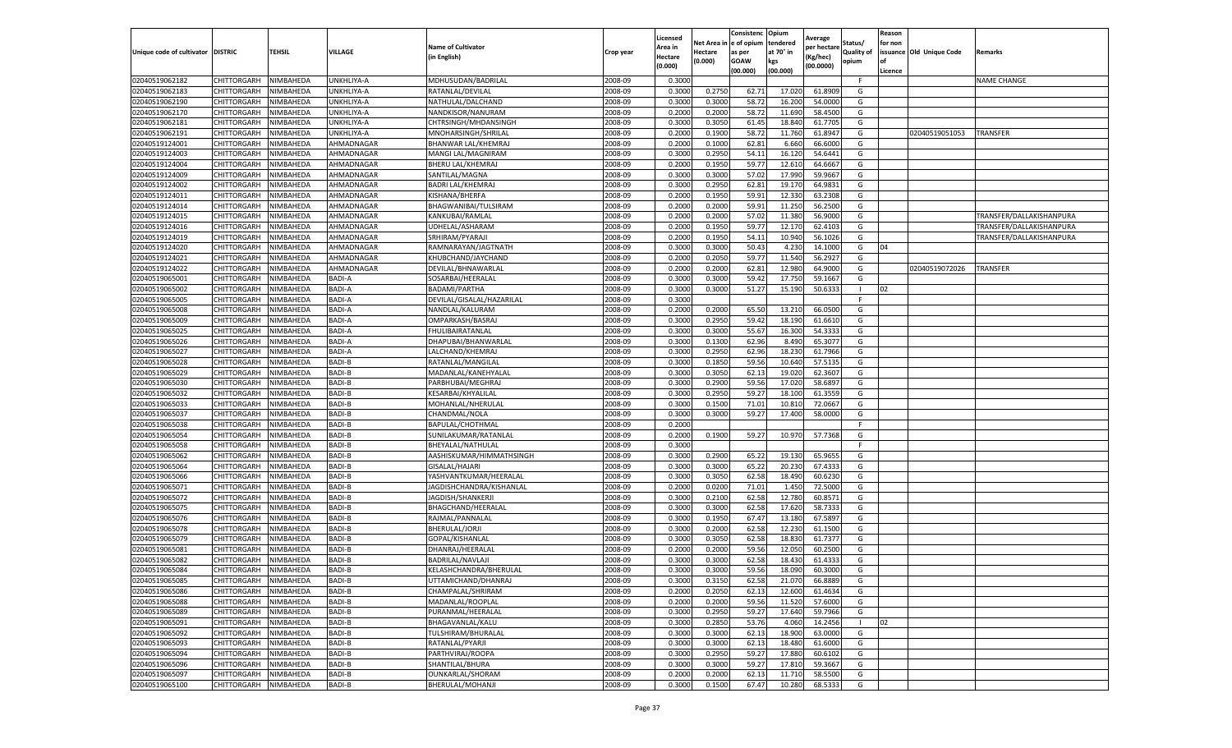|                           |                    |           |               |                           |           | Licensed |            | Consistenc     | Opium     |                        |                   | Reason  |                          |                          |
|---------------------------|--------------------|-----------|---------------|---------------------------|-----------|----------|------------|----------------|-----------|------------------------|-------------------|---------|--------------------------|--------------------------|
|                           |                    |           |               | <b>Name of Cultivator</b> |           | Area in  | Net Area i | in  e of opium | tendered  | Average<br>per hectare | Status/           | for non |                          |                          |
| Unique code of cultivator | <b>DISTRIC</b>     | TEHSIL    | VILLAGE       | in English)               | Crop year | Hectare  | Hectare    | as per         | at 70° in | (Kg/hec                | <b>Quality of</b> |         | issuance Old Unique Code | <b>Remarks</b>           |
|                           |                    |           |               |                           |           | (0.000)  | (0.000)    | <b>GOAW</b>    | kgs       | (00.0000)              | opium             |         |                          |                          |
|                           |                    |           |               |                           |           |          |            | (00.000)       | (00.000)  |                        |                   | Licence |                          |                          |
| 02040519062182            | CHITTORGARH        | NIMBAHEDA | UNKHLIYA-A    | MDHUSUDAN/BADRILAL        | 2008-09   | 0.3000   |            |                |           |                        | F.                |         |                          | <b>NAME CHANGE</b>       |
| 02040519062183            | CHITTORGARH        | NIMBAHEDA | UNKHLIYA-A    | RATANLAL/DEVILAL          | 2008-09   | 0.3000   | 0.2750     | 62.72          | 17.02     | 61.8909                | G                 |         |                          |                          |
| 02040519062190            | CHITTORGARH        | NIMBAHEDA | UNKHLIYA-A    | NATHULAL/DALCHAND         | 2008-09   | 0.3000   | 0.3000     | 58.72          | 16.200    | 54.0000                | G                 |         |                          |                          |
| 02040519062170            | CHITTORGARH        | NIMBAHEDA | UNKHLIYA-A    | NANDKISOR/NANURAM         | 2008-09   | 0.2000   | 0.2000     | 58.72          | 11.690    | 58.4500                | G                 |         |                          |                          |
| 02040519062181            | CHITTORGARH        | NIMBAHEDA | UNKHLIYA-A    | CHTRSINGH/MHDANSINGH      | 2008-09   | 0.3000   | 0.3050     | 61.45          | 18.84     | 61.7705                | G                 |         |                          |                          |
| 02040519062191            | CHITTORGARH        | NIMBAHEDA | UNKHLIYA-A    | MNOHARSINGH/SHRILAL       | 2008-09   | 0.2000   | 0.1900     | 58.72          | 11.76     | 61.8947                | G                 |         | 02040519051053           | TRANSFER                 |
| 02040519124001            | CHITTORGARH        | NIMBAHEDA | AHMADNAGAR    | BHANWAR LAL/KHEMRAJ       | 2008-09   | 0.2000   | 0.1000     | 62.81          | 6.660     | 66.6000                | G                 |         |                          |                          |
| 02040519124003            | CHITTORGARH        | NIMBAHEDA | AHMADNAGAR    | MANGI LAL/MAGNIRAM        | 2008-09   | 0.3000   | 0.2950     | 54.11          | 16.12     | 54.6441                | G                 |         |                          |                          |
| 02040519124004            | CHITTORGARH        | NIMBAHEDA | AHMADNAGAR    | BHERU LAL/KHEMRAJ         | 2008-09   | 0.2000   | 0.1950     | 59.77          | 12.61     | 64.6667                | G                 |         |                          |                          |
| 02040519124009            | CHITTORGARH        | NIMBAHEDA | AHMADNAGAR    | SANTILAL/MAGNA            | 2008-09   | 0.3000   | 0.3000     | 57.02          | 17.990    | 59.9667                | G                 |         |                          |                          |
| 02040519124002            | CHITTORGARH        | NIMBAHEDA | AHMADNAGAR    | <b>BADRI LAL/KHEMRAJ</b>  | 2008-09   | 0.3000   | 0.2950     | 62.81          | 19.17     | 64.9831                | G                 |         |                          |                          |
| 02040519124011            | CHITTORGARH        | NIMBAHEDA | AHMADNAGAR    | KISHANA/BHERFA            | 2008-09   | 0.2000   | 0.1950     | 59.91          | 12.33     | 63.2308                | G                 |         |                          |                          |
| 02040519124014            | CHITTORGARH        | NIMBAHEDA | AHMADNAGAR    | BHAGWANIBAI/TULSIRAM      | 2008-09   | 0.2000   | 0.2000     | 59.91          | 11.250    | 56.2500                | G                 |         |                          |                          |
| 02040519124015            | CHITTORGARH        | NIMBAHEDA | AHMADNAGAR    | KANKUBAI/RAMLAL           | 2008-09   | 0.2000   | 0.2000     | 57.02          | 11.38     | 56.9000                | G                 |         |                          | TRANSFER/DALLAKISHANPURA |
| 02040519124016            | CHITTORGARH        | NIMBAHEDA | AHMADNAGAR    | UDHELAL/ASHARAM           | 2008-09   | 0.2000   | 0.1950     | 59.7           | 12.17     | 62.4103                | G                 |         |                          | TRANSFER/DALLAKISHANPURA |
| 02040519124019            | CHITTORGARH        | NIMBAHEDA | AHMADNAGAR    | SRHIRAM/PYARAJI           | 2008-09   | 0.2000   | 0.1950     | 54.11          | 10.940    | 56.1026                | G                 |         |                          | TRANSFER/DALLAKISHANPURA |
| 02040519124020            | CHITTORGARH        | NIMBAHEDA | AHMADNAGAR    | RAMNARAYAN/JAGTNATH       | 2008-09   | 0.3000   | 0.3000     | 50.43          | 4.23      | 14.1000                | G                 | 04      |                          |                          |
| 02040519124021            | CHITTORGARH        | NIMBAHEDA | AHMADNAGAR    | KHUBCHAND/JAYCHAND        | 2008-09   | 0.2000   | 0.2050     | 59.77          | 11.54     | 56.2927                | G                 |         |                          |                          |
| 02040519124022            | CHITTORGARH        | NIMBAHEDA | AHMADNAGAR    | DEVILAL/BHNAWARLAL        | 2008-09   | 0.2000   | 0.2000     | 62.81          | 12.98     | 64.9000                | G                 |         | 02040519072026           | TRANSFER                 |
| 02040519065001            | CHITTORGARH        | NIMBAHEDA | BADI-A        | SOSARBAI/HEERALAL         | 2008-09   | 0.3000   | 0.3000     | 59.42          | 17.75     | 59.1667                | G                 |         |                          |                          |
| 02040519065002            | CHITTORGARH        | NIMBAHEDA | BADI-A        | BADAMI/PARTHA             | 2008-09   | 0.3000   | 0.3000     | 51.27          | 15.190    | 50.6333                | $\mathbf{L}$      | 02      |                          |                          |
| 02040519065005            | CHITTORGARH        | NIMBAHEDA | <b>BADI-A</b> | DEVILAL/GISALAL/HAZARILAL | 2008-09   | 0.3000   |            |                |           |                        | F.                |         |                          |                          |
| 02040519065008            | CHITTORGARH        | NIMBAHEDA | <b>BADI-A</b> | NANDLAL/KALURAM           | 2008-09   | 0.2000   | 0.2000     | 65.50          | 13.21     | 66.0500                | G                 |         |                          |                          |
| 02040519065009            | CHITTORGARH        | NIMBAHEDA | BADI-A        | OMPARKASH/BASRAJ          | 2008-09   | 0.3000   | 0.2950     | 59.42          | 18.190    | 61.6610                | G                 |         |                          |                          |
| 02040519065025            | CHITTORGARH        | NIMBAHEDA | <b>BADI-A</b> | FHULIBAIRATANLAL          | 2008-09   | 0.3000   | 0.3000     | 55.67          | 16.30     | 54.3333                | G                 |         |                          |                          |
| 02040519065026            | CHITTORGARH        | NIMBAHEDA | <b>BADI-A</b> | DHAPUBAI/BHANWARLAI       | 2008-09   | 0.3000   | 0.1300     | 62.96          | 8.490     | 65.3077                | G                 |         |                          |                          |
| 02040519065027            | CHITTORGARH        | NIMBAHEDA | <b>BADI-A</b> | LALCHAND/KHEMRAJ          | 2008-09   | 0.3000   | 0.2950     | 62.96          | 18.23     | 61.7966                | G                 |         |                          |                          |
| 02040519065028            | CHITTORGARH        | NIMBAHEDA | BADI-B        | RATANLAL/MANGILAL         | 2008-09   | 0.3000   | 0.1850     | 59.56          | 10.640    | 57.5135                | G                 |         |                          |                          |
| 02040519065029            | CHITTORGARH        | NIMBAHEDA | BADI-B        | MADANLAL/KANEHYALAL       | 2008-09   | 0.3000   | 0.3050     | 62.13          | 19.02     | 62.3607                | G                 |         |                          |                          |
| 02040519065030            | CHITTORGARH        | NIMBAHEDA | BADI-B        | PARBHUBAI/MEGHRAJ         | 2008-09   | 0.3000   | 0.2900     | 59.56          | 17.02     | 58.689                 | G                 |         |                          |                          |
| 02040519065032            | CHITTORGARH        | NIMBAHEDA | <b>BADI-B</b> | KESARBAI/KHYALILAL        | 2008-09   | 0.3000   | 0.2950     | 59.27          | 18.10     | 61.3559                | G                 |         |                          |                          |
| 02040519065033            | CHITTORGARH        | NIMBAHEDA | <b>BADI-B</b> | MOHANLAL/NHERULAL         | 2008-09   | 0.3000   | 0.1500     | 71.01          | 10.81     | 72.0667                | G                 |         |                          |                          |
| 02040519065037            | CHITTORGARH        | NIMBAHEDA | <b>BADI-B</b> | CHANDMAL/NOLA             | 2008-09   | 0.3000   | 0.3000     | 59.27          | 17.40     | 58.0000                | G                 |         |                          |                          |
| 02040519065038            | CHITTORGARH        | NIMBAHEDA | <b>BADI-B</b> | BAPULAL/CHOTHMAL          | 2008-09   | 0.2000   |            |                |           |                        | F.                |         |                          |                          |
| 02040519065054            | CHITTORGARH        | NIMBAHEDA | BADI-B        | SUNILAKUMAR/RATANLAL      | 2008-09   | 0.2000   | 0.1900     | 59.27          | 10.970    | 57.7368                | G                 |         |                          |                          |
| 02040519065058            | CHITTORGARH        | NIMBAHEDA | BADI-B        | BHEYALAL/NATHULAL         | 2008-09   | 0.3000   |            |                |           |                        | F                 |         |                          |                          |
| 02040519065062            | CHITTORGARH        | NIMBAHEDA | BADI-B        | AASHISKUMAR/HIMMATHSINGH  | 2008-09   | 0.3000   | 0.2900     | 65.22          | 19.13     | 65.9655                | G                 |         |                          |                          |
| 02040519065064            | CHITTORGARH        | NIMBAHEDA | <b>BADI-B</b> | GISALAL/HAJARI            | 2008-09   | 0.3000   | 0.3000     | 65.22          | 20.23     | 67.4333                | G                 |         |                          |                          |
| 02040519065066            | CHITTORGARH        | NIMBAHEDA | <b>BADI-B</b> | YASHVANTKUMAR/HEERALAL    | 2008-09   | 0.3000   | 0.3050     | 62.58          | 18.49     | 60.6230                | G                 |         |                          |                          |
| 02040519065071            | CHITTORGARH        | NIMBAHEDA | <b>BADI-B</b> | JAGDISHCHANDRA/KISHANLAL  | 2008-09   | 0.2000   | 0.0200     | 71.01          | 1.450     | 72.5000                | G                 |         |                          |                          |
| 02040519065072            | CHITTORGARH        | NIMBAHEDA | <b>BADI-B</b> | JAGDISH/SHANKERJI         | 2008-09   | 0.3000   | 0.2100     | 62.58          | 12.78     | 60.8571                | G                 |         |                          |                          |
| 02040519065075            | CHITTORGARH        | NIMBAHEDA | BADI-B        | BHAGCHAND/HEERALAL        | 2008-09   | 0.3000   | 0.3000     | 62.58          | 17.62     | 58.7333                | G                 |         |                          |                          |
| 02040519065076            | CHITTORGARH        | NIMBAHEDA | BADI-B        | RAJMAL/PANNALAL           | 2008-09   | 0.3000   | 0.1950     | 67.47          | 13.18     | 67.5897                | G                 |         |                          |                          |
| 02040519065078            | CHITTORGARH        | NIMBAHEDA | BADI-B        | BHERULAL/JORJI            | 2008-09   | 0.3000   | 0.2000     | 62.58          | 12.23     | 61.1500                | G                 |         |                          |                          |
| 02040519065079            | CHITTORGARH        | NIMBAHEDA | <b>BADI-B</b> | GOPAL/KISHANLAL           | 2008-09   | 0.3000   | 0.3050     | 62.58          | 18.83     | 61.7377                | G                 |         |                          |                          |
| 02040519065081            | CHITTORGARH        | NIMBAHEDA | <b>BADI-B</b> | DHANRAJ/HEERALAI          | 2008-09   | 0.2000   | 0.2000     | 59.56          | 12.05     | 60.2500                | G                 |         |                          |                          |
| 02040519065082            | CHITTORGARH        | NIMBAHEDA | <b>BADI-B</b> | BADRILAL/NAVLAJI          | 2008-09   | 0.3000   | 0.3000     | 62.58          | 18.43     | 61.4333                | G                 |         |                          |                          |
| 02040519065084            | CHITTORGARH        | NIMBAHEDA | BADI-B        | KELASHCHANDRA/BHERULAL    | 2008-09   | 0.3000   | 0.3000     | 59.56          | 18.090    | 60.3000                | G                 |         |                          |                          |
| 02040519065085            | CHITTORGARH        | NIMBAHEDA | BADI-B        | UTTAMICHAND/DHANRAJ       | 2008-09   | 0.3000   | 0.3150     | 62.58          | 21.070    | 66.8889                | G                 |         |                          |                          |
| 02040519065086            | CHITTORGARH        | NIMBAHEDA | BADI-B        | CHAMPALAL/SHRIRAM         | 2008-09   | 0.2000   | 0.2050     | 62.13          | 12.600    | 61.4634                | G                 |         |                          |                          |
| 02040519065088            | CHITTORGARH        | NIMBAHEDA | BADI-B        | MADANLAL/ROOPLAL          | 2008-09   | 0.2000   | 0.2000     | 59.56          | 11.520    | 57.6000                | G                 |         |                          |                          |
| 02040519065089            | CHITTORGARH        | NIMBAHEDA | BADI-B        | PURANMAL/HEERALAL         | 2008-09   | 0.3000   | 0.2950     | 59.27          | 17.640    | 59.7966                | G                 |         |                          |                          |
| 02040519065091            | CHITTORGARH        | NIMBAHEDA | BADI-B        | BHAGAVANLAL/KALU          | 2008-09   | 0.3000   | 0.2850     | 53.76          | 4.060     | 14.2456                | -1                | 02      |                          |                          |
| 02040519065092            | <b>CHITTORGARH</b> | NIMBAHEDA | BADI-B        | TULSHIRAM/BHURALAL        | 2008-09   | 0.3000   | 0.3000     | 62.13          | 18.900    | 63.0000                | G                 |         |                          |                          |
| 02040519065093            | <b>CHITTORGARH</b> | NIMBAHEDA | BADI-B        | RATANLAL/PYARJI           | 2008-09   | 0.3000   | 0.3000     | 62.13          | 18.480    | 61.6000                | G                 |         |                          |                          |
| 02040519065094            | CHITTORGARH        | NIMBAHEDA | BADI-B        | PARTHVIRAJ/ROOPA          | 2008-09   | 0.3000   | 0.2950     | 59.27          | 17.880    | 60.6102                | G                 |         |                          |                          |
| 02040519065096            | <b>CHITTORGARH</b> | NIMBAHEDA | BADI-B        | SHANTILAL/BHURA           | 2008-09   | 0.3000   | 0.3000     | 59.27          | 17.810    | 59.3667                | G                 |         |                          |                          |
| 02040519065097            | <b>CHITTORGARH</b> | NIMBAHEDA | BADI-B        | OUNKARLAL/SHORAM          | 2008-09   | 0.2000   | 0.2000     | 62.13          | 11.710    | 58.5500                | G                 |         |                          |                          |
| 02040519065100            | <b>CHITTORGARH</b> | NIMBAHEDA | BADI-B        | BHERULAL/MOHANJI          | 2008-09   | 0.3000   | 0.1500     | 67.47          | 10.280    | 68.5333                | G                 |         |                          |                          |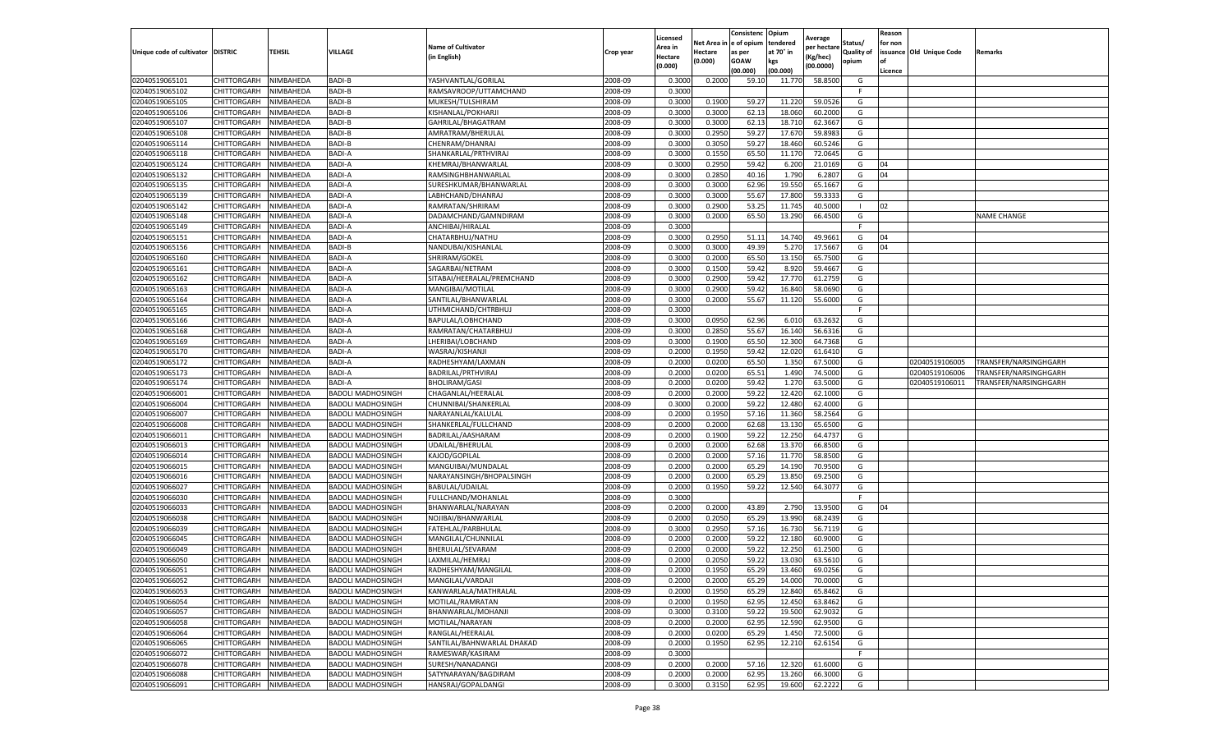|                                   |                    |                  |                          |                            |           | Licensed |          | Consistenc  | Opium     | Average     |                   | Reason  |                          |                       |
|-----------------------------------|--------------------|------------------|--------------------------|----------------------------|-----------|----------|----------|-------------|-----------|-------------|-------------------|---------|--------------------------|-----------------------|
|                                   |                    |                  |                          | <b>Name of Cultivator</b>  |           | Area in  | Net Area | e of opium  | tendered  | per hectarı | Status/           | for non |                          |                       |
| Unique code of cultivator DISTRIC |                    | TEHSIL           | VILLAGE                  | (in English)               | Crop year | Hectare  | Hectare  | as per      | at 70° in | (Kg/hec)    | <b>Quality of</b> |         | issuance Old Unique Code | Remarks               |
|                                   |                    |                  |                          |                            |           | (0.000)  | (0.000)  | <b>GOAW</b> | kgs       | (00.0000)   | opium             | οf      |                          |                       |
|                                   |                    |                  |                          |                            |           |          |          | (00.000)    | (00.000)  |             |                   | Licence |                          |                       |
| 02040519065101                    | CHITTORGARH        | NIMBAHEDA        | BADI-B                   | YASHVANTLAL/GORILAL        | 2008-09   | 0.3000   | 0.2000   | 59.10       | 11.770    | 58.8500     | G<br>F.           |         |                          |                       |
| 02040519065102                    | CHITTORGARH        | NIMBAHEDA        | <b>BADI-B</b>            | RAMSAVROOP/UTTAMCHAND      | 2008-09   | 0.3000   |          |             |           |             |                   |         |                          |                       |
| 02040519065105                    | CHITTORGARH        | NIMBAHEDA        | BADI-B                   | MUKESH/TULSHIRAM           | 2008-09   | 0.3000   | 0.1900   | 59.27       | 11.220    | 59.0526     | G                 |         |                          |                       |
| 02040519065106                    | CHITTORGARH        | NIMBAHEDA        | BADI-B                   | KISHANLAL/POKHARJI         | 2008-09   | 0.3000   | 0.3000   | 62.13       | 18.060    | 60.2000     | G                 |         |                          |                       |
| 02040519065107                    | CHITTORGARH        | NIMBAHEDA        | BADI-B                   | GAHRILAL/BHAGATRAM         | 2008-09   | 0.3000   | 0.3000   | 62.13       | 18.710    | 62.3667     | G                 |         |                          |                       |
| 02040519065108                    | CHITTORGARH        | NIMBAHEDA        | BADI-B                   | AMRATRAM/BHERULAL          | 2008-09   | 0.3000   | 0.2950   | 59.27       | 17.67     | 59.898      | G                 |         |                          |                       |
| 02040519065114                    | CHITTORGARH        | NIMBAHEDA        | BADI-B                   | CHENRAM/DHANRAJ            | 2008-09   | 0.3000   | 0.3050   | 59.27       | 18.460    | 60.5246     | G                 |         |                          |                       |
| 02040519065118                    | CHITTORGARH        | NIMBAHEDA        | <b>BADI-A</b>            | SHANKARLAL/PRTHVIRA        | 2008-09   | 0.3000   | 0.1550   | 65.50       | 11.170    | 72.0645     | G                 |         |                          |                       |
| 02040519065124                    | CHITTORGARH        | NIMBAHEDA        | BADI-A                   | KHEMRAJ/BHANWARLAL         | 2008-09   | 0.3000   | 0.2950   | 59.42       | 6.200     | 21.0169     | G                 | 04      |                          |                       |
| 02040519065132                    | CHITTORGARH        | NIMBAHEDA        | BADI-A                   | RAMSINGHBHANWARLAL         | 2008-09   | 0.3000   | 0.2850   | 40.16       | 1.790     | 6.2807      | G                 | 04      |                          |                       |
| 02040519065135                    | CHITTORGARH        | NIMBAHEDA        | BADI-A                   | SURESHKUMAR/BHANWARLAL     | 2008-09   | 0.3000   | 0.3000   | 62.96       | 19.550    | 65.1667     | G                 |         |                          |                       |
| 02040519065139                    | CHITTORGARH        | NIMBAHEDA        | BADI-A                   | LABHCHAND/DHANRAJ          | 2008-09   | 0.3000   | 0.3000   | 55.67       | 17.800    | 59.3333     | G                 |         |                          |                       |
| 02040519065142                    | CHITTORGARH        | <b>NIMBAHEDA</b> | <b>BADI-A</b>            | RAMRATAN/SHRIRAM           | 2008-09   | 0.3000   | 0.2900   | 53.25       | 11.745    | 40.5000     |                   | 02      |                          |                       |
| 02040519065148                    | CHITTORGARH        | NIMBAHEDA        | <b>BADI-A</b>            | DADAMCHAND/GAMNDIRAM       | 2008-09   | 0.3000   | 0.2000   | 65.50       | 13.290    | 66.4500     | G                 |         |                          | <b>NAME CHANGE</b>    |
| 02040519065149                    | CHITTORGARH        | NIMBAHEDA        | <b>BADI-A</b>            | ANCHIBAI/HIRALAL           | 2008-09   | 0.3000   |          |             |           |             | F.                |         |                          |                       |
| 02040519065151                    | CHITTORGARH        | NIMBAHEDA        | BADI-A                   | CHATARBHUJ/NATHU           | 2008-09   | 0.3000   | 0.2950   | 51.11       | 14.740    | 49.9661     | G                 | 04      |                          |                       |
| 02040519065156                    | CHITTORGARH        | NIMBAHEDA        | BADI-B                   | NANDUBAI/KISHANLAL         | 2008-09   | 0.3000   | 0.3000   | 49.39       | 5.27      | 17.5667     | G                 | 04      |                          |                       |
| 02040519065160                    | CHITTORGARH        | NIMBAHEDA        | BADI-A                   | SHRIRAM/GOKEL              | 2008-09   | 0.3000   | 0.2000   | 65.50       | 13.150    | 65.7500     | G                 |         |                          |                       |
| 02040519065161                    | CHITTORGARH        | NIMBAHEDA        | BADI-A                   | SAGARBAI/NETRAM            | 2008-09   | 0.3000   | 0.1500   | 59.42       | 8.920     | 59.4667     | G                 |         |                          |                       |
| 02040519065162                    | CHITTORGARH        | NIMBAHEDA        | <b>BADI-A</b>            | SITABAI/HEERALAL/PREMCHAND | 2008-09   | 0.3000   | 0.2900   | 59.4        | 17.770    | 61.2759     | G                 |         |                          |                       |
| 02040519065163                    | CHITTORGARH        | NIMBAHEDA        | BADI-A                   | MANGIBAI/MOTILAL           | 2008-09   | 0.3000   | 0.2900   | 59.42       | 16.840    | 58.0690     | G                 |         |                          |                       |
| 02040519065164                    | CHITTORGARH        | NIMBAHEDA        | BADI-A                   | SANTILAL/BHANWARLAL        | 2008-09   | 0.3000   | 0.2000   | 55.6        | 11.120    | 55.6000     | G                 |         |                          |                       |
| 02040519065165                    | CHITTORGARH        | NIMBAHEDA        | BADI-A                   | UTHMICHAND/CHTRBHUJ        | 2008-09   | 0.3000   |          |             |           |             | F                 |         |                          |                       |
| 02040519065166                    | CHITTORGARH        | NIMBAHEDA        | BADI-A                   | BAPULAL/LOBHCHAND          | 2008-09   | 0.3000   | 0.0950   | 62.96       | 6.010     | 63.2632     | G                 |         |                          |                       |
| 02040519065168                    | CHITTORGARH        | NIMBAHEDA        | <b>BADI-A</b>            | RAMRATAN/CHATARBHUJ        | 2008-09   | 0.3000   | 0.2850   | 55.67       | 16.140    | 56.6316     | G                 |         |                          |                       |
| 02040519065169                    | CHITTORGARH        | NIMBAHEDA        | <b>BADI-A</b>            | LHERIBAI/LOBCHAND          | 2008-09   | 0.3000   | 0.1900   | 65.50       | 12.300    | 64.7368     | G                 |         |                          |                       |
| 02040519065170                    | CHITTORGARH        | NIMBAHEDA        | <b>BADI-A</b>            | WASRAJ/KISHANJI            | 2008-09   | 0.2000   | 0.1950   | 59.42       | 12.020    | 61.6410     | G                 |         |                          |                       |
| 02040519065172                    | CHITTORGARH        | NIMBAHEDA        | BADI-A                   | RADHESHYAM/LAXMAN          | 2008-09   | 0.2000   | 0.0200   | 65.50       | 1.350     | 67.5000     | G                 |         | 02040519106005           | TRANSFER/NARSINGHGARH |
| 02040519065173                    | CHITTORGARH        | NIMBAHEDA        | BADI-A                   | BADRILAL/PRTHVIRAJ         | 2008-09   | 0.2000   | 0.0200   | 65.51       | 1.490     | 74.5000     | G                 |         | 02040519106006           | TRANSFER/NARSINGHGARH |
| 02040519065174                    | CHITTORGARH        | NIMBAHEDA        | <b>BADI-A</b>            | <b>BHOLIRAM/GASI</b>       | 2008-09   | 0.2000   | 0.0200   | 59.42       | 1.270     | 63.5000     | G                 |         | 02040519106011           | TRANSFER/NARSINGHGARH |
| 02040519066001                    | CHITTORGARH        | NIMBAHEDA        | BADOLI MADHOSINGH        | CHAGANLAL/HEERALAL         | 2008-09   | 0.2000   | 0.2000   | 59.22       | 12.420    | 62.1000     | G                 |         |                          |                       |
| 02040519066004                    | CHITTORGARH        | NIMBAHEDA        | <b>BADOLI MADHOSINGH</b> | CHUNNIBAI/SHANKERLAL       | 2008-09   | 0.3000   | 0.2000   | 59.22       | 12.480    | 62.4000     | G                 |         |                          |                       |
| 02040519066007                    | CHITTORGARH        | NIMBAHEDA        | <b>BADOLI MADHOSINGH</b> | NARAYANLAL/KALULAL         | 2008-09   | 0.2000   | 0.1950   | 57.16       | 11.360    | 58.2564     | G                 |         |                          |                       |
| 02040519066008                    | CHITTORGARH        | NIMBAHEDA        | <b>BADOLI MADHOSINGH</b> | SHANKERLAL/FULLCHAND       | 2008-09   | 0.2000   | 0.2000   | 62.68       | 13.130    | 65.6500     | G                 |         |                          |                       |
| 02040519066011                    | CHITTORGARH        | NIMBAHEDA        | <b>BADOLI MADHOSINGH</b> | BADRILAL/AASHARAM          | 2008-09   | 0.2000   | 0.1900   | 59.22       | 12.250    | 64.4737     | G                 |         |                          |                       |
| 02040519066013                    | CHITTORGARH        | NIMBAHEDA        | <b>BADOLI MADHOSINGH</b> | UDAILAL/BHERULAL           | 2008-09   | 0.2000   | 0.2000   | 62.68       | 13.370    | 66.8500     | G                 |         |                          |                       |
| 02040519066014                    | CHITTORGARH        | NIMBAHEDA        | <b>BADOLI MADHOSINGH</b> | KAJOD/GOPILAL              | 2008-09   | 0.2000   | 0.2000   | 57.16       | 11.770    | 58.8500     | G                 |         |                          |                       |
| 02040519066015                    | CHITTORGARH        | NIMBAHEDA        | BADOLI MADHOSINGH        | MANGUIBAI/MUNDALAL         | 2008-09   | 0.2000   | 0.2000   | 65.29       | 14.19     | 70.9500     | G                 |         |                          |                       |
| 02040519066016                    | CHITTORGARH        | NIMBAHEDA        | <b>BADOLI MADHOSINGH</b> | NARAYANSINGH/BHOPALSINGH   | 2008-09   | 0.2000   | 0.2000   | 65.29       | 13.850    | 69.2500     | G                 |         |                          |                       |
| 02040519066027                    | CHITTORGARH        | NIMBAHEDA        | <b>BADOLI MADHOSINGH</b> | <b>BABULAL/UDAILAL</b>     | 2008-09   | 0.2000   | 0.1950   | 59.22       | 12.540    | 64.3077     | G                 |         |                          |                       |
| 02040519066030                    | CHITTORGARH        | NIMBAHEDA        | BADOLI MADHOSINGH        | FULLCHAND/MOHANLAL         | 2008-09   | 0.3000   |          |             |           |             |                   |         |                          |                       |
| 02040519066033                    | CHITTORGARH        | NIMBAHEDA        | <b>BADOLI MADHOSINGH</b> | BHANWARLAL/NARAYAN         | 2008-09   | 0.2000   | 0.2000   | 43.89       | 2.790     | 13.9500     | G                 | 04      |                          |                       |
| 02040519066038                    | CHITTORGARH        | NIMBAHEDA        | <b>BADOLI MADHOSINGH</b> | NOJIBAI/BHANWARLAL         | 2008-09   | 0.2000   | 0.2050   | 65.29       | 13.990    | 68.2439     | G                 |         |                          |                       |
| 02040519066039                    | CHITTORGARH        | NIMBAHEDA        | BADOLI MADHOSINGH        | FATEHLAL/PARBHULAI         | 2008-09   | 0.3000   | 0.2950   | 57.16       | 16.730    | 56.7119     | G                 |         |                          |                       |
| 02040519066045                    | CHITTORGARH        | NIMBAHEDA        | <b>BADOLI MADHOSINGH</b> | MANGILAL/CHUNNILAL         | 2008-09   | 0.2000   | 0.2000   | 59.22       | 12.180    | 60.9000     | G                 |         |                          |                       |
| 02040519066049                    | CHITTORGARH        | NIMBAHEDA        | <b>BADOLI MADHOSINGH</b> | BHERULAL/SEVARAM           | 2008-09   | 0.2000   | 0.2000   | 59.22       | 12.25     | 61.2500     | G                 |         |                          |                       |
| 02040519066050                    | CHITTORGARH        | NIMBAHEDA        | <b>BADOLI MADHOSINGH</b> | LAXMILAL/HEMRAJ            | 2008-09   | 0.2000   | 0.2050   | 59.22       | 13.030    | 63.5610     | G                 |         |                          |                       |
| 02040519066051                    | CHITTORGARH        | NIMBAHEDA        | <b>BADOLI MADHOSINGH</b> | RADHESHYAM/MANGILAL        | 2008-09   | 0.2000   | 0.1950   | 65.29       | 13.460    | 69.0256     | G                 |         |                          |                       |
| 02040519066052                    | <b>CHITTORGARH</b> | NIMBAHEDA        | <b>BADOLI MADHOSINGH</b> | MANGILAL/VARDAJI           | 2008-09   | 0.2000   | 0.2000   | 65.29       | 14.000    | 70.0000     | G                 |         |                          |                       |
| 02040519066053                    | CHITTORGARH        | NIMBAHEDA        | <b>BADOLI MADHOSINGH</b> | KANWARLALA/MATHRALAL       | 2008-09   | 0.2000   | 0.1950   | 65.29       | 12.840    | 65.8462     | G                 |         |                          |                       |
| 02040519066054                    | <b>CHITTORGARH</b> | NIMBAHEDA        | <b>BADOLI MADHOSINGH</b> | MOTILAL/RAMRATAN           | 2008-09   | 0.2000   | 0.1950   | 62.95       | 12.450    | 63.8462     | G                 |         |                          |                       |
| 02040519066057                    | CHITTORGARH        | NIMBAHEDA        | <b>BADOLI MADHOSINGH</b> | BHANWARLAL/MOHANJI         | 2008-09   | 0.3000   | 0.3100   | 59.22       | 19.500    | 62.9032     | G                 |         |                          |                       |
| 02040519066058                    | CHITTORGARH        | NIMBAHEDA        | <b>BADOLI MADHOSINGH</b> | MOTILAL/NARAYAN            | 2008-09   | 0.2000   | 0.2000   | 62.95       | 12.590    | 62.9500     | G                 |         |                          |                       |
| 02040519066064                    | CHITTORGARH        | NIMBAHEDA        | <b>BADOLI MADHOSINGH</b> | RANGLAL/HEERALAL           | 2008-09   | 0.2000   | 0.0200   | 65.29       | 1.450     | 72.5000     | G                 |         |                          |                       |
| 02040519066065                    | CHITTORGARH        | NIMBAHEDA        | <b>BADOLI MADHOSINGH</b> | SANTILAL/BAHNWARLAL DHAKAD | 2008-09   | 0.2000   | 0.1950   | 62.95       | 12.210    | 62.6154     | G                 |         |                          |                       |
| 02040519066072                    | CHITTORGARH        | NIMBAHEDA        | <b>BADOLI MADHOSINGH</b> | RAMESWAR/KASIRAM           | 2008-09   | 0.3000   |          |             |           |             | F                 |         |                          |                       |
| 02040519066078                    | <b>CHITTORGARH</b> | NIMBAHEDA        | <b>BADOLI MADHOSINGH</b> | SURESH/NANADANGI           | 2008-09   | 0.2000   | 0.2000   | 57.16       | 12.320    | 61.6000     | G                 |         |                          |                       |
| 02040519066088                    | CHITTORGARH        | NIMBAHEDA        | <b>BADOLI MADHOSINGH</b> | SATYNARAYAN/BAGDIRAM       | 2008-09   | 0.2000   | 0.2000   | 62.95       | 13.260    | 66.3000     | G                 |         |                          |                       |
| 02040519066091                    | CHITTORGARH        | NIMBAHEDA        | <b>BADOLI MADHOSINGH</b> | HANSRAJ/GOPALDANGI         | 2008-09   | 0.3000   | 0.3150   | 62.95       | 19.600    | 62.2222     | G                 |         |                          |                       |
|                                   |                    |                  |                          |                            |           |          |          |             |           |             |                   |         |                          |                       |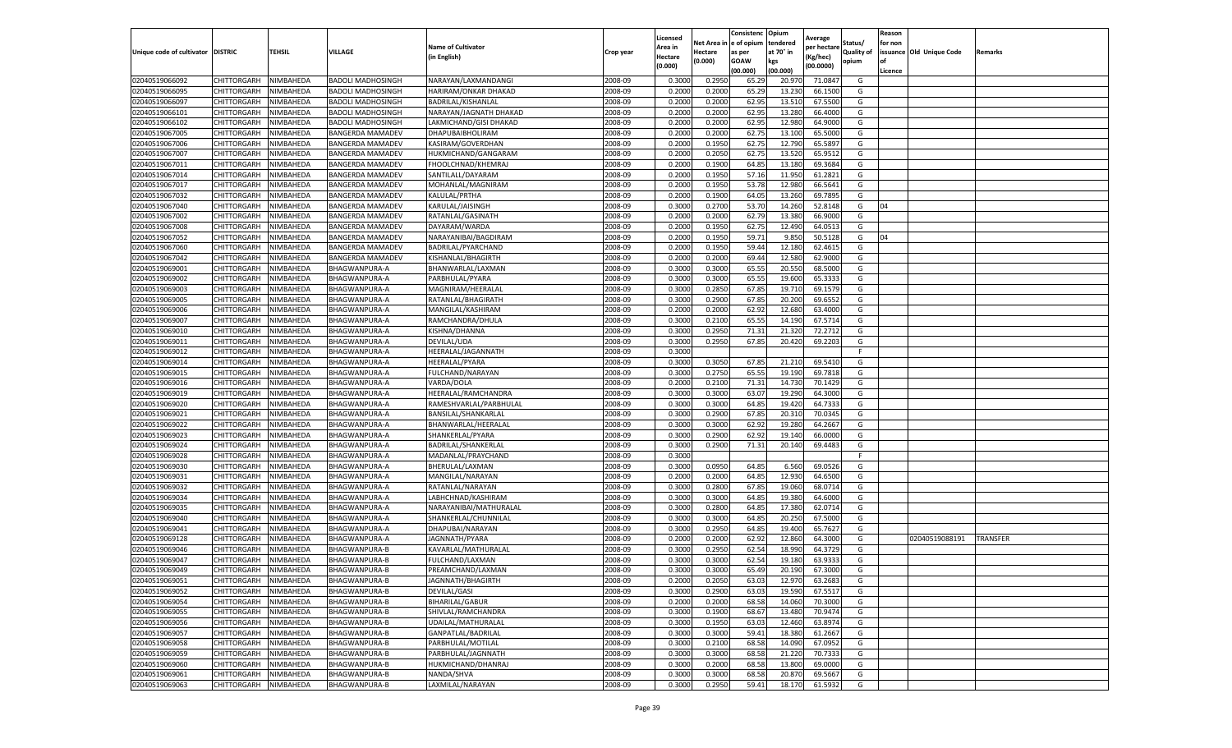|                                   |                            |                        |                                        |                                                  |                    | Licensed       |                         | Consistenc    | Opium            | Average          |            | Reason  |                          |                 |
|-----------------------------------|----------------------------|------------------------|----------------------------------------|--------------------------------------------------|--------------------|----------------|-------------------------|---------------|------------------|------------------|------------|---------|--------------------------|-----------------|
|                                   |                            |                        |                                        | <b>Name of Cultivator</b>                        |                    | Area in        | Net Area in le of opium |               | tendered         | per hectare      | Status/    | for non |                          |                 |
| Unique code of cultivator DISTRIC |                            | TEHSIL                 | VILLAGE                                | (in English)                                     | Crop year          | Hectare        | Hectare                 | as per        | at 70° in        | Kg/hec)          | Quality of |         | issuance Old Unique Code | Remarks         |
|                                   |                            |                        |                                        |                                                  |                    | (0.000)        | (0.000)                 | GOAW          | kgs              | (00.0000)        | opium      | l of    |                          |                 |
|                                   |                            |                        |                                        |                                                  |                    |                |                         | (00.000)      | (00.000)         |                  |            | Licence |                          |                 |
| 02040519066092<br>02040519066095  | CHITTORGARH<br>CHITTORGARH | NIMBAHEDA<br>NIMBAHEDA | <b>BADOLI MADHOSINGH</b>               | NARAYAN/LAXMANDANGI<br>HARIRAM/ONKAR DHAKAD      | 2008-09<br>2008-09 | 0.300<br>0.200 | 0.295                   | 65.29         | 20.97            | 71.084           | G<br>G     |         |                          |                 |
|                                   | CHITTORGARH                | NIMBAHEDA              | BADOLI MADHOSINGH                      |                                                  | 2008-09            | 0.2000         | 0.200                   | 65.2          | 13.230           | 66.150<br>67.550 | G          |         |                          |                 |
| 02040519066097<br>02040519066101  | CHITTORGARH                |                        | BADOLI MADHOSINGH                      | BADRILAL/KISHANLAL                               | 2008-09            | 0.2000         | 0.2000<br>0.2000        | 62.9<br>62.95 | 13.510<br>13.280 | 66.4000          | G          |         |                          |                 |
|                                   | CHITTORGARH                | NIMBAHEDA<br>NIMBAHEDA | BADOLI MADHOSINGH<br>BADOLI MADHOSINGH | NARAYAN/JAGNATH DHAKAD<br>LAKMICHAND/GISI DHAKAD | 2008-09            | 0.2000         |                         |               | 12.980           | 64.900           | G          |         |                          |                 |
| 02040519066102<br>02040519067005  | CHITTORGARH                | NIMBAHEDA              | BANGERDA MAMADEV                       | DHAPUBAIBHOLIRAM                                 | 2008-09            | 0.2000         | 0.2000<br>0.2000        | 62.9<br>62.7  | 13.100           | 65.500           | G          |         |                          |                 |
| 02040519067006                    | CHITTORGARH                | NIMBAHEDA              | BANGERDA MAMADEV                       | KASIRAM/GOVERDHAN                                | 2008-09            | 0.2000         | 0.1950                  | 62.75         | 12.790           | 65.589           | G          |         |                          |                 |
| 02040519067007                    | CHITTORGARH                | NIMBAHEDA              | BANGERDA MAMADEV                       | HUKMICHAND/GANGARAM                              | 2008-09            | 0.2000         | 0.2050                  | 62.7          | 13.520           | 65.951           | G          |         |                          |                 |
| 02040519067011                    | CHITTORGARH                | NIMBAHEDA              | BANGERDA MAMADEV                       | FHOOLCHNAD/KHEMRAJ                               | 2008-09            | 0.2000         | 0.1900                  | 64.8          | 13.180           | 69.3684          | G          |         |                          |                 |
| 02040519067014                    | CHITTORGARH                | NIMBAHEDA              | <b>BANGERDA MAMADEV</b>                | SANTILALL/DAYARAM                                | 2008-09            | 0.2000         | 0.1950                  | 57.16         | 11.950           | 61.2821          | G          |         |                          |                 |
| 02040519067017                    | CHITTORGARH                | NIMBAHEDA              | BANGERDA MAMADEV                       | MOHANLAL/MAGNIRAM                                | 2008-09            | 0.2000         | 0.1950                  | 53.78         | 12.980           | 66.5641          | G          |         |                          |                 |
| 02040519067032                    | CHITTORGARH                | NIMBAHEDA              | BANGERDA MAMADEV                       | KALULAL/PRTHA                                    | 2008-09            | 0.2000         | 0.1900                  | 64.0          | 13.260           | 69.789           | G          |         |                          |                 |
| 02040519067040                    | CHITTORGARH                | NIMBAHEDA              | BANGERDA MAMADEV                       | KARULAL/JAISINGH                                 | 2008-09            | 0.3000         | 0.270                   | 53.7          | 14.260           | 52.814           | G          | 04      |                          |                 |
| 02040519067002                    | CHITTORGARH                | NIMBAHEDA              | BANGERDA MAMADEV                       | RATANLAL/GASINATH                                | 2008-09            | 0.2000         | 0.2000                  | 62.79         | 13.380           | 66.900           | G          |         |                          |                 |
| 02040519067008                    | CHITTORGARH                | NIMBAHEDA              | BANGERDA MAMADEV                       | DAYARAM/WARDA                                    | 2008-09            | 0.2000         | 0.1950                  | 62.7          | 12.490           | 64.051           | G          |         |                          |                 |
| 02040519067052                    | CHITTORGARH                | NIMBAHEDA              | BANGERDA MAMADEV                       | NARAYANIBAI/BAGDIRAM                             | 2008-09            | 0.2000         | 0.1950                  | 59.71         | 9.850            | 50.512           | G          | 04      |                          |                 |
| 02040519067060                    | CHITTORGARH                | NIMBAHEDA              | BANGERDA MAMADEV                       | BADRILAL/PYARCHAND                               | 2008-09            | 0.2000         | 0.1950                  | 59.44         | 12.180           | 62.461           | G          |         |                          |                 |
| 02040519067042                    | CHITTORGARH                | NIMBAHEDA              | BANGERDA MAMADEV                       | KISHANLAL/BHAGIRTH                               | 2008-09            | 0.2000         | 0.2000                  | 69.44         | 12.580           | 62.900           | G          |         |                          |                 |
| 02040519069001                    | CHITTORGARH                | NIMBAHEDA              | BHAGWANPURA-A                          | BHANWARLAL/LAXMAN                                | 2008-09            | 0.300          | 0.300                   | 65.5          | 20.550           | 68.500           | G          |         |                          |                 |
| 02040519069002                    | CHITTORGARH                | <b>NIMBAHEDA</b>       | BHAGWANPURA-A                          | PARBHULAL/PYARA                                  | 2008-09            | 0.3000         | 0.3000                  | 65.5          | 19.600           | 65.333           | G          |         |                          |                 |
| 02040519069003                    | CHITTORGARH                | NIMBAHEDA              | BHAGWANPURA-A                          | MAGNIRAM/HEERALAI                                | 2008-09            | 0.3000         | 0.2850                  | 67.8          | 19.710           | 69.157           | G          |         |                          |                 |
| 02040519069005                    | CHITTORGARH                | NIMBAHEDA              | BHAGWANPURA-A                          | RATANLAL/BHAGIRATH                               | 2008-09            | 0.3000         | 0.2900                  | 67.8          | 20.200           | 69.655           | G          |         |                          |                 |
| 02040519069006                    | CHITTORGARH                | NIMBAHEDA              | BHAGWANPURA-A                          | MANGILAL/KASHIRAM                                | 2008-09            | 0.2000         | 0.2000                  | 62.92         | 12.680           | 63.4000          | G          |         |                          |                 |
| 02040519069007                    | CHITTORGARH                | NIMBAHEDA              | BHAGWANPURA-A                          | RAMCHANDRA/DHULA                                 | 2008-09            | 0.3000         | 0.2100                  | 65.5          | 14.190           | 67.571           | G          |         |                          |                 |
| 02040519069010                    | CHITTORGARH                | NIMBAHEDA              | BHAGWANPURA-A                          | KISHNA/DHANNA                                    | 2008-09            | 0.3000         | 0.2950                  | 71.31         | 21.320           | 72.271           | G          |         |                          |                 |
| 02040519069011                    | CHITTORGARH                | NIMBAHEDA              | BHAGWANPURA-A                          | DEVILAL/UDA                                      | 2008-09            | 0.3000         | 0.2950                  | 67.8          | 20.420           | 69.2203          | G          |         |                          |                 |
| 02040519069012                    | CHITTORGARH                | NIMBAHEDA              | BHAGWANPURA-A                          | HEERALAL/JAGANNATH                               | 2008-09            | 0.3000         |                         |               |                  |                  | -F         |         |                          |                 |
| 02040519069014                    | CHITTORGARH                | NIMBAHEDA              | BHAGWANPURA-A                          | HEERALAL/PYARA                                   | 2008-09            | 0.3000         | 0.3050                  | 67.8          | 21.210           | 69.541           | G          |         |                          |                 |
| 02040519069015                    | CHITTORGARH                | NIMBAHEDA              | BHAGWANPURA-A                          | FULCHAND/NARAYAN                                 | 2008-09            | 0.3000         | 0.2750                  | 65.55         | 19.190           | 69.7818          | G          |         |                          |                 |
| 02040519069016                    | CHITTORGARH                | NIMBAHEDA              | BHAGWANPURA-A                          | VARDA/DOLA                                       | 2008-09            | 0.2000         | 0.2100                  | 71.31         | 14.730           | 70.1429          | G          |         |                          |                 |
| 02040519069019                    | CHITTORGARH                | NIMBAHEDA              | BHAGWANPURA-A                          | HEERALAL/RAMCHANDRA                              | 2008-09            | 0.300          | 0.3000                  | 63.0          | 19.290           | 64.300           | G          |         |                          |                 |
| 02040519069020                    | CHITTORGARH                | NIMBAHEDA              | BHAGWANPURA-A                          | RAMESHVARLAL/PARBHULAL                           | 2008-09            | 0.3000         | 0.3000                  | 64.8          | 19.420           | 64.733           | G          |         |                          |                 |
| 02040519069021                    | CHITTORGARH                | NIMBAHEDA              | BHAGWANPURA-A                          | BANSILAL/SHANKARLAL                              | 2008-09            | 0.300          | 0.290                   | 67.8          | 20.31            | 70.034           | G          |         |                          |                 |
| 02040519069022                    | CHITTORGARH                | NIMBAHEDA              | BHAGWANPURA-A                          | BHANWARLAL/HEERALAL                              | 2008-09            | 0.3000         | 0.3000                  | 62.92         | 19.280           | 64.2667          | G          |         |                          |                 |
| 02040519069023                    | CHITTORGARH                | NIMBAHEDA              | BHAGWANPURA-A                          | SHANKERLAL/PYARA                                 | 2008-09            | 0.3000         | 0.2900                  | 62.92         | 19.140           | 66.000           | G          |         |                          |                 |
| 02040519069024                    | CHITTORGARH                | NIMBAHEDA              | BHAGWANPURA-A                          | BADRILAL/SHANKERLAL                              | 2008-09            | 0.3000         | 0.2900                  | 71.32         | 20.140           | 69.4483          | G          |         |                          |                 |
| 02040519069028                    | CHITTORGARH                | NIMBAHEDA              | BHAGWANPURA-A                          | MADANLAL/PRAYCHAND                               | 2008-09            | 0.3000         |                         |               |                  |                  |            |         |                          |                 |
| 02040519069030                    | CHITTORGARH                | NIMBAHEDA              | BHAGWANPURA-A                          | BHERULAL/LAXMAN                                  | 2008-09            | 0.3000         | 0.0950                  | 64.8          | 6.560            | 69.052           | G          |         |                          |                 |
| 02040519069031                    | CHITTORGARH                | NIMBAHEDA              | BHAGWANPURA-A                          | MANGILAL/NARAYAN                                 | 2008-09            | 0.2000         | 0.2000                  | 64.8          | 12.930           | 64.650           | G          |         |                          |                 |
| 02040519069032                    | CHITTORGARH                | NIMBAHEDA              | BHAGWANPURA-A                          | RATANLAL/NARAYAN                                 | 2008-09            | 0.3000         | 0.2800                  | 67.8          | 19.060           | 68.071           | G          |         |                          |                 |
| 02040519069034                    | CHITTORGARH                | NIMBAHEDA              | BHAGWANPURA-A                          | LABHCHNAD/KASHIRAM                               | 2008-09            | 0.3000         | 0.3000                  | 64.8          | 19.380           | 64.600           | G          |         |                          |                 |
| 02040519069035                    | CHITTORGARH                | NIMBAHEDA              | BHAGWANPURA-A                          | NARAYANIBAI/MATHURALAL                           | 2008-09            | 0.3000         | 0.2800                  | 64.8          | 17.380           | 62.071           | G          |         |                          |                 |
| 02040519069040                    | CHITTORGARH                | NIMBAHEDA              | BHAGWANPURA-A                          | SHANKERLAL/CHUNNILAL                             | 2008-09            | 0.3000         | 0.3000                  | 64.8          | 20.250           | 67.500           | G          |         |                          |                 |
| 02040519069041                    | CHITTORGARH                | NIMBAHEDA              | BHAGWANPURA-A                          | DHAPUBAI/NARAYAN                                 | 2008-09            | 0.3000         | 0.2950                  | 64.8          | 19.400           | 65.762           | G          |         |                          |                 |
| 02040519069128                    | CHITTORGARH                | NIMBAHEDA              | BHAGWANPURA-A                          | JAGNNATH/PYARA                                   | 2008-09            | 0.2000         | 0.2000                  | 62.9          | 12.860           | 64.300           | G          |         | 02040519088191           | <b>TRANSFER</b> |
| 02040519069046                    | CHITTORGARH                | NIMBAHEDA              | BHAGWANPURA-B                          | KAVARLAL/MATHURALAL                              | 2008-09            | 0.3000         | 0.295                   | 62.54         | 18.990           | 64.372           | G          |         |                          |                 |
| 02040519069047                    | CHITTORGARH                | NIMBAHEDA              | BHAGWANPURA-B                          | FULCHAND/LAXMAN                                  | 2008-09            | 0.3000         | 0.300                   | 62.54         | 19.180           | 63.933           | G          |         |                          |                 |
| 02040519069049                    | CHITTORGARH                | NIMBAHEDA              | BHAGWANPURA-B                          | PREAMCHAND/LAXMAN                                | 2008-09            | 0.3000         | 0.3000                  | 65.49         | 20.190           | 67.3000          | G          |         |                          |                 |
| 02040519069051                    | CHITTORGARH                | NIMBAHEDA              | BHAGWANPURA-B                          | JAGNNATH/BHAGIRTH                                | 2008-09            | 0.2000         | 0.2050                  | 63.03         | 12.970           | 63.2683          | G          |         |                          |                 |
| 02040519069052                    | CHITTORGARH                | NIMBAHEDA              | BHAGWANPURA-B                          | DEVILAL/GASI                                     | 2008-09            | 0.3000         | 0.2900                  | 63.03         | 19.590           | 67.5517          | G          |         |                          |                 |
| 02040519069054                    | CHITTORGARH                | NIMBAHEDA              | BHAGWANPURA-B                          | <b>BIHARILAL/GABUR</b>                           | 2008-09            | 0.2000         | 0.2000                  | 68.58         | 14.060           | 70.3000          | G          |         |                          |                 |
| 02040519069055                    | CHITTORGARH                | NIMBAHEDA              | BHAGWANPURA-B                          | SHIVLAL/RAMCHANDRA                               | 2008-09            | 0.3000         | 0.1900                  | 68.67         | 13.480           | 70.947           | G          |         |                          |                 |
| 02040519069056                    | CHITTORGARH                | NIMBAHEDA              | BHAGWANPURA-B                          | UDAILAL/MATHURALAL                               | 2008-09            | 0.3000         | 0.1950                  | 63.0          | 12.460           | 63.8974          | G          |         |                          |                 |
| 02040519069057                    | CHITTORGARH                | NIMBAHEDA              | BHAGWANPURA-B                          | GANPATLAL/BADRILAL                               | 2008-09            | 0.3000         | 0.3000                  | 59.41         | 18.380           | 61.2667          | G          |         |                          |                 |
| 02040519069058                    | CHITTORGARH                | NIMBAHEDA              | BHAGWANPURA-B                          | PARBHULAL/MOTILAL                                | 2008-09            | 0.3000         | 0.2100                  | 68.58         | 14.090           | 67.095           | G          |         |                          |                 |
| 02040519069059                    | CHITTORGARH                | NIMBAHEDA              | BHAGWANPURA-B                          | PARBHULAL/JAGNNATH                               | 2008-09            | 0.3000         | 0.3000                  | 68.58         | 21.220           | 70.7333          | G          |         |                          |                 |
| 02040519069060                    | CHITTORGARH                | NIMBAHEDA              | BHAGWANPURA-B                          | HUKMICHAND/DHANRAJ                               | 2008-09            | 0.3000         | 0.2000                  | 68.58         | 13.800           | 69.0000          | G          |         |                          |                 |
| 02040519069061                    | CHITTORGARH                | NIMBAHEDA              | BHAGWANPURA-B                          | NANDA/SHVA                                       | 2008-09            | 0.3000         | 0.3000                  | 68.58         | 20.870           | 69.566           | G          |         |                          |                 |
| 02040519069063                    | CHITTORGARH                | NIMBAHEDA              | <b>BHAGWANPURA-B</b>                   | LAXMILAL/NARAYAN                                 | 2008-09            | 0.3000         | 0.2950                  | 59.41         | 18.170           | 61.5932          | G          |         |                          |                 |
|                                   |                            |                        |                                        |                                                  |                    |                |                         |               |                  |                  |            |         |                          |                 |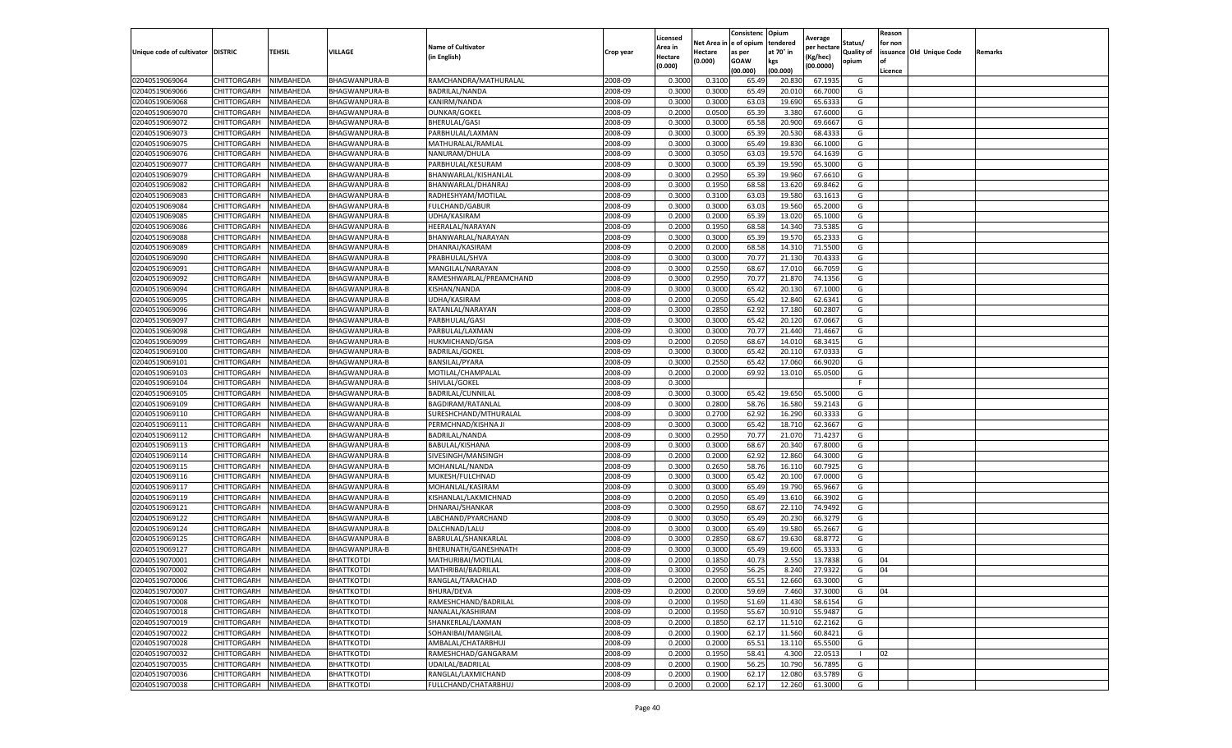|                                   |             |                        |                      |                           |                    | Licensed |            | Consistenc  | Opium     | Average     |                   | Reason  |                          |         |
|-----------------------------------|-------------|------------------------|----------------------|---------------------------|--------------------|----------|------------|-------------|-----------|-------------|-------------------|---------|--------------------------|---------|
|                                   |             |                        |                      | <b>Name of Cultivator</b> |                    | Area in  | Net Area i | e of opium  | tendered  | per hectare | Status/           | for non |                          |         |
| Unique code of cultivator DISTRIC |             | TEHSIL                 | VILLAGE              | (in English)              | Crop year          | Hectare  | Hectare    | as per      | at 70° in | (Kg/hec)    | <b>Quality of</b> |         | issuance Old Unique Code | Remarks |
|                                   |             |                        |                      |                           |                    | (0.000)  | 0.000)     | <b>GOAW</b> | kgs       | (00.0000)   | opium             | οf      |                          |         |
|                                   |             |                        |                      |                           |                    |          |            | (00.000     | (00.000)  |             |                   | Licence |                          |         |
| 02040519069064                    | CHITTORGARH | NIMBAHEDA              | <b>BHAGWANPURA-B</b> | RAMCHANDRA/MATHURALAI     | 2008-09            | 0.3000   | 0.310      | 65.49       | 20.83     | 67.1935     | G                 |         |                          |         |
| 02040519069066                    | CHITTORGARH | NIMBAHEDA              | BHAGWANPURA-B        | BADRILAL/NANDA            | 2008-09            | 0.300    | 0.3000     | 65.49       | 20.01     | 66.7000     | G                 |         |                          |         |
| 02040519069068                    | CHITTORGARH | NIMBAHEDA              | BHAGWANPURA-B        | KANIRM/NANDA              | 2008-09            | 0.3000   | 0.3000     | 63.03       | 19.690    | 65.6333     | G                 |         |                          |         |
| 02040519069070                    | CHITTORGARH | NIMBAHEDA              | BHAGWANPURA-B        | <b>OUNKAR/GOKEL</b>       | 2008-09            | 0.2000   | 0.0500     | 65.39       | 3.380     | 67.6000     | G                 |         |                          |         |
| 02040519069072                    | CHITTORGARH | NIMBAHEDA              | BHAGWANPURA-B        | BHERULAL/GASI             | 2008-09            | 0.3000   | 0.3000     | 65.58       | 20.900    | 69.6667     | G                 |         |                          |         |
| 02040519069073                    | CHITTORGARH | NIMBAHEDA              | BHAGWANPURA-B        | PARBHULAL/LAXMAN          | 2008-09            | 0.3000   | 0.3000     | 65.39       | 20.53     | 68.4333     | G                 |         |                          |         |
| 02040519069075                    | CHITTORGARH | NIMBAHEDA              | BHAGWANPURA-B        | MATHURALAL/RAMLAI         | 2008-09            | 0.3000   | 0.3000     | 65.49       | 19.830    | 66.1000     | G                 |         |                          |         |
| 02040519069076                    | CHITTORGARH | NIMBAHEDA              | <b>BHAGWANPURA-B</b> | NANURAM/DHULA             | 2008-09            | 0.300    | 0.3050     | 63.03       | 19.570    | 64.1639     | G                 |         |                          |         |
| 02040519069077                    | CHITTORGARH | NIMBAHEDA              | BHAGWANPURA-B        | PARBHULAL/KESURAM         | 2008-09            | 0.300    | 0.3000     | 65.39       | 19.590    | 65.3000     | G                 |         |                          |         |
| 02040519069079                    | CHITTORGARH | NIMBAHEDA              | BHAGWANPURA-B        | BHANWARLAL/KISHANLAL      | 2008-09            | 0.3000   | 0.2950     | 65.39       | 19.960    | 67.6610     | G                 |         |                          |         |
| 02040519069082                    | CHITTORGARH | NIMBAHEDA              | BHAGWANPURA-B        | BHANWARLAL/DHANRAJ        | 2008-09            | 0.3000   | 0.1950     | 68.58       | 13.620    | 69.8462     | G                 |         |                          |         |
| 02040519069083                    | CHITTORGARH | NIMBAHEDA              | BHAGWANPURA-B        | RADHESHYAM/MOTILAL        | 2008-09            | 0.3000   | 0.3100     | 63.03       | 19.580    | 63.1613     | G                 |         |                          |         |
| 02040519069084                    | CHITTORGARH | NIMBAHEDA              | BHAGWANPURA-B        | FULCHAND/GABUR            | 2008-09            | 0.3000   | 0.3000     | 63.03       | 19.560    | 65.2000     | G                 |         |                          |         |
| 02040519069085                    | CHITTORGARH | NIMBAHEDA              | BHAGWANPURA-B        | UDHA/KASIRAM              | 2008-09            | 0.200    | 0.2000     | 65.39       | 13.02     | 65.1000     | G                 |         |                          |         |
| 02040519069086                    | CHITTORGARH | NIMBAHEDA              | BHAGWANPURA-B        | HEERALAL/NARAYAN          | 2008-09            | 0.2000   | 0.1950     | 68.58       | 14.340    | 73.5385     | G                 |         |                          |         |
| 02040519069088                    | CHITTORGARH | NIMBAHEDA              | BHAGWANPURA-B        | BHANWARLAL/NARAYAN        | 2008-09            | 0.3000   | 0.3000     | 65.39       | 19.57     | 65.2333     | G                 |         |                          |         |
| 02040519069089                    | CHITTORGARH | NIMBAHEDA              | BHAGWANPURA-B        | DHANRAJ/KASIRAM           | 2008-09            | 0.2000   | 0.2000     | 68.58       | 14.31     | 71.5500     | G                 |         |                          |         |
| 02040519069090                    | CHITTORGARH | NIMBAHEDA              | BHAGWANPURA-B        | PRABHULAL/SHVA            | 2008-09            | 0.3000   | 0.3000     | 70.77       | 21.130    | 70.4333     | G                 |         |                          |         |
| 02040519069091                    | CHITTORGARH | NIMBAHEDA              | BHAGWANPURA-B        | MANGILAL/NARAYAN          | 2008-09            | 0.3000   | 0.2550     | 68.67       | 17.010    | 66.7059     | G                 |         |                          |         |
| 02040519069092                    | CHITTORGARH | NIMBAHEDA              | BHAGWANPURA-B        | RAMESHWARLAL/PREAMCHAND   | 2008-09            | 0.3000   | 0.2950     | 70.77       | 21.870    | 74.1356     | G                 |         |                          |         |
| 02040519069094                    | CHITTORGARH | NIMBAHEDA              | <b>BHAGWANPURA-B</b> | KISHAN/NANDA              | 2008-09            | 0.3000   | 0.3000     | 65.42       | 20.130    | 67.1000     | G                 |         |                          |         |
| 02040519069095                    | CHITTORGARH | NIMBAHEDA              | BHAGWANPURA-B        | UDHA/KASIRAM              | 2008-09            | 0.2000   | 0.2050     | 65.4        | 12.840    | 62.6341     | G                 |         |                          |         |
| 02040519069096                    | CHITTORGARH | NIMBAHEDA              | BHAGWANPURA-B        | RATANLAL/NARAYAN          | 2008-09            | 0.3000   | 0.2850     | 62.92       | 17.180    | 60.2807     | G                 |         |                          |         |
| 02040519069097                    | CHITTORGARH | NIMBAHEDA              | BHAGWANPURA-B        | PARBHULAL/GASI            | 2008-09            | 0.3000   | 0.3000     | 65.42       | 20.120    | 67.0667     | G                 |         |                          |         |
| 02040519069098                    | CHITTORGARH | NIMBAHEDA              | BHAGWANPURA-B        | PARBULAL/LAXMAN           | 2008-09            | 0.3000   | 0.3000     | 70.77       | 21.44     | 71.4667     | G                 |         |                          |         |
| 02040519069099                    | CHITTORGARH | NIMBAHEDA              |                      | HUKMICHAND/GISA           | 2008-09            | 0.2000   | 0.2050     | 68.67       | 14.010    | 68.3415     | G                 |         |                          |         |
|                                   |             |                        | BHAGWANPURA-B        |                           |                    |          |            |             |           |             |                   |         |                          |         |
| 02040519069100                    | CHITTORGARH | NIMBAHEDA<br>NIMBAHEDA | BHAGWANPURA-B        | <b>BADRILAL/GOKEL</b>     | 2008-09<br>2008-09 | 0.300    | 0.3000     | 65.4        | 20.11     | 67.0333     | G                 |         |                          |         |
| 02040519069101                    | CHITTORGARH |                        | BHAGWANPURA-B        | BANSILAL/PYARA            |                    | 0.3000   | 0.2550     | 65.42       | 17.060    | 66.9020     | G                 |         |                          |         |
| 02040519069103                    | CHITTORGARH | NIMBAHEDA              | BHAGWANPURA-B        | MOTILAL/CHAMPALAL         | 2008-09            | 0.2000   | 0.2000     | 69.92       | 13.010    | 65.0500     | G                 |         |                          |         |
| 02040519069104                    | CHITTORGARH | NIMBAHEDA              | BHAGWANPURA-B        | SHIVLAL/GOKEL             | 2008-09            | 0.3000   |            |             |           |             | F                 |         |                          |         |
| 02040519069105                    | CHITTORGARH | NIMBAHEDA              | BHAGWANPURA-B        | BADRILAL/CUNNILAL         | 2008-09            | 0.3000   | 0.3000     | 65.4        | 19.65     | 65.5000     | G                 |         |                          |         |
| 02040519069109                    | CHITTORGARH | NIMBAHEDA              | BHAGWANPURA-B        | BAGDIRAM/RATANLAL         | 2008-09            | 0.3000   | 0.2800     | 58.76       | 16.580    | 59.2143     | G                 |         |                          |         |
| 02040519069110                    | CHITTORGARH | NIMBAHEDA              | BHAGWANPURA-B        | SURESHCHAND/MTHURALAL     | 2008-09            | 0.300    | 0.2700     | 62.92       | 16.290    | 60.333      | G                 |         |                          |         |
| 02040519069111                    | CHITTORGARH | NIMBAHEDA              | BHAGWANPURA-B        | PERMCHNAD/KISHNA JI       | 2008-09            | 0.3000   | 0.3000     | 65.42       | 18.710    | 62.3667     | G                 |         |                          |         |
| 02040519069112                    | CHITTORGARH | NIMBAHEDA              | BHAGWANPURA-B        | BADRILAL/NANDA            | 2008-09            | 0.3000   | 0.2950     | 70.77       | 21.070    | 71.4237     | G                 |         |                          |         |
| 02040519069113                    | CHITTORGARH | NIMBAHEDA              | BHAGWANPURA-B        | BABULAL/KISHANA           | 2008-09            | 0.3000   | 0.3000     | 68.67       | 20.340    | 67.8000     | G                 |         |                          |         |
| 02040519069114                    | CHITTORGARH | NIMBAHEDA              | BHAGWANPURA-B        | SIVESINGH/MANSINGH        | 2008-09            | 0.2000   | 0.2000     | 62.92       | 12.860    | 64.3000     | G                 |         |                          |         |
| 02040519069115                    | CHITTORGARH | NIMBAHEDA              | BHAGWANPURA-B        | MOHANLAL/NANDA            | 2008-09            | 0.3000   | 0.2650     | 58.76       | 16.11     | 60.7925     | G                 |         |                          |         |
| 02040519069116                    | CHITTORGARH | NIMBAHEDA              | <b>BHAGWANPURA-B</b> | MUKESH/FULCHNAD           | 2008-09            | 0.3000   | 0.3000     | 65.4        | 20.100    | 67.0000     | G                 |         |                          |         |
| 02040519069117                    | CHITTORGARH | NIMBAHEDA              | BHAGWANPURA-B        | MOHANLAL/KASIRAM          | 2008-09            | 0.3000   | 0.3000     | 65.49       | 19.790    | 65.9667     | G                 |         |                          |         |
| 02040519069119                    | CHITTORGARH | NIMBAHEDA              | BHAGWANPURA-B        | KISHANLAL/LAKMICHNAD      | 2008-09            | 0.2000   | 0.2050     | 65.49       | 13.610    | 66.3902     | G                 |         |                          |         |
| 02040519069121                    | CHITTORGARH | NIMBAHEDA              | BHAGWANPURA-B        | DHNARAJ/SHANKAR           | 2008-09            | 0.3000   | 0.2950     | 68.67       | 22.110    | 74.9492     | G                 |         |                          |         |
| 02040519069122                    | CHITTORGARH | NIMBAHEDA              | BHAGWANPURA-B        | LABCHAND/PYARCHAND        | 2008-09            | 0.3000   | 0.3050     | 65.49       | 20.230    | 66.3279     | G                 |         |                          |         |
| 02040519069124                    | CHITTORGARH | NIMBAHEDA              | BHAGWANPURA-B        | DALCHNAD/LALU             | 2008-09            | 0.3000   | 0.3000     | 65.49       | 19.580    | 65.2667     | G                 |         |                          |         |
| 02040519069125                    | CHITTORGARH | NIMBAHEDA              | BHAGWANPURA-B        | BABRULAL/SHANKARLAL       | 2008-09            | 0.3000   | 0.2850     | 68.67       | 19.630    | 68.8772     | G                 |         |                          |         |
| 02040519069127                    | CHITTORGARH | NIMBAHEDA              | BHAGWANPURA-B        | BHERUNATH/GANESHNATH      | 2008-09            | 0.300    | 0.3000     | 65.49       | 19.600    | 65.333      | G                 |         |                          |         |
| 02040519070001                    | CHITTORGARH | NIMBAHEDA              | <b>BHATTKOTDI</b>    | MATHURIBAI/MOTILAL        | 2008-09            | 0.2000   | 0.1850     | 40.73       | 2.550     | 13.7838     | G                 | 04      |                          |         |
| 02040519070002                    | CHITTORGARH | NIMBAHEDA              | <b>BHATTKOTDI</b>    | MATHRIBAI/BADRILAL        | 2008-09            | 0.3000   | 0.2950     | 56.25       | 8.240     | 27.9322     | G                 | 04      |                          |         |
| 02040519070006                    | CHITTORGARH | NIMBAHEDA              | <b>BHATTKOTDI</b>    | RANGLAL/TARACHAD          | 2008-09            | 0.2000   | 0.2000     | 65.51       | 12.660    | 63.3000     | G                 |         |                          |         |
| 02040519070007                    | CHITTORGARH | NIMBAHEDA              | <b>BHATTKOTDI</b>    | BHURA/DEVA                | 2008-09            | 0.2000   | 0.2000     | 59.69       | 7.460     | 37.3000     | G                 | 04      |                          |         |
| 02040519070008                    | CHITTORGARH | NIMBAHEDA              | BHATTKOTDI           | RAMESHCHAND/BADRILAL      | 2008-09            | 0.2000   | 0.1950     | 51.69       | 11.430    | 58.6154     | G                 |         |                          |         |
| 02040519070018                    | CHITTORGARH | NIMBAHEDA              | BHATTKOTDI           | NANALAL/KASHIRAM          | 2008-09            | 0.2000   | 0.1950     | 55.67       | 10.910    | 55.9487     | G                 |         |                          |         |
| 02040519070019                    | CHITTORGARH | NIMBAHEDA              | BHATTKOTDI           | SHANKERLAL/LAXMAN         | 2008-09            | 0.2000   | 0.1850     | 62.17       | 11.510    | 62.2162     | G                 |         |                          |         |
| 02040519070022                    | CHITTORGARH | NIMBAHEDA              | <b>BHATTKOTDI</b>    | SOHANIBAI/MANGILAL        | 2008-09            | 0.2000   | 0.1900     | 62.17       | 11.560    | 60.8421     | G                 |         |                          |         |
| 02040519070028                    | CHITTORGARH | NIMBAHEDA              | BHATTKOTDI           | AMBALAL/CHATARBHUJ        | 2008-09            | 0.2000   | 0.2000     | 65.51       | 13.110    | 65.5500     | G                 |         |                          |         |
| 02040519070032                    | CHITTORGARH | NIMBAHEDA              | <b>BHATTKOTDI</b>    | RAMESHCHAD/GANGARAM       | 2008-09            | 0.2000   | 0.1950     | 58.41       | 4.300     | 22.0513     |                   | 02      |                          |         |
| 02040519070035                    | CHITTORGARH | NIMBAHEDA              | <b>BHATTKOTDI</b>    | UDAILAL/BADRILAL          | 2008-09            | 0.2000   | 0.1900     | 56.25       | 10.790    | 56.7895     | G                 |         |                          |         |
| 02040519070036                    | CHITTORGARH | NIMBAHEDA              | BHATTKOTDI           | RANGLAL/LAXMICHAND        | 2008-09            | 0.2000   | 0.1900     | 62.17       | 12.080    | 63.5789     | G                 |         |                          |         |
| 02040519070038                    | CHITTORGARH | NIMBAHEDA              | <b>BHATTKOTDI</b>    | FULLCHAND/CHATARBHUJ      | 2008-09            | 0.2000   | 0.2000     | 62.17       | 12.260    | 61.3000     | G                 |         |                          |         |
|                                   |             |                        |                      |                           |                    |          |            |             |           |             |                   |         |                          |         |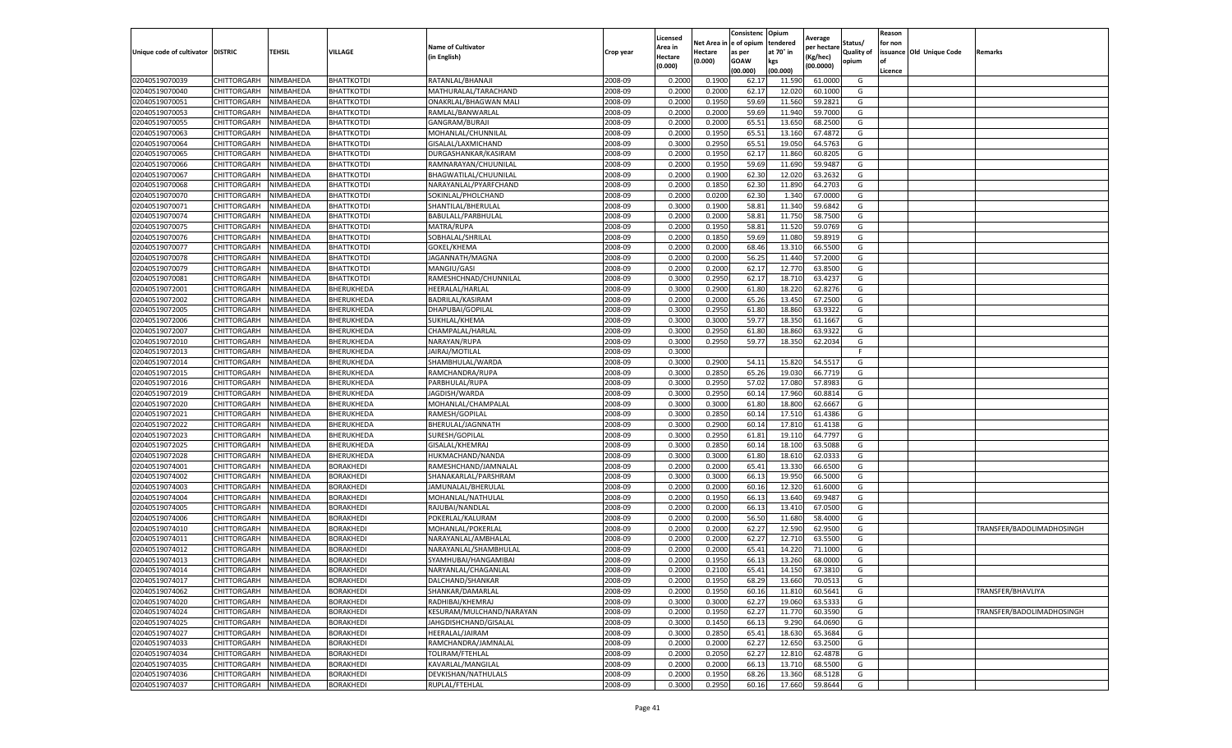|                           |                    |           |                   |                           |           | Licensed |         | Consistenc             | Opium     |                        |                   | Reason  |                          |                           |
|---------------------------|--------------------|-----------|-------------------|---------------------------|-----------|----------|---------|------------------------|-----------|------------------------|-------------------|---------|--------------------------|---------------------------|
|                           |                    |           |                   | <b>Name of Cultivator</b> |           | Area in  |         | Net Area in e of opium | tendered  | Average<br>per hectare | Status/           | for non |                          |                           |
| Unique code of cultivator | <b>DISTRIC</b>     | TEHSIL    | VILLAGE           | in English)               | Crop year | Hectare  | Hectare | as per                 | at 70° in | (Kg/hec                | <b>Quality of</b> |         | issuance Old Unique Code | <b>Remarks</b>            |
|                           |                    |           |                   |                           |           | (0.000)  | (0.000) | <b>GOAW</b>            | kgs       | (00.0000)              | opium             |         |                          |                           |
|                           |                    |           |                   |                           |           |          |         | (00.000)               | (00.000)  |                        |                   | Licence |                          |                           |
| 02040519070039            | CHITTORGARH        | NIMBAHEDA | <b>BHATTKOTDI</b> | RATANLAL/BHANAJI          | 2008-09   | 0.2000   | 0.1900  | 62.17                  | 11.59     | 61.0000                | G                 |         |                          |                           |
| 02040519070040            | CHITTORGARH        | NIMBAHEDA | BHATTKOTDI        | MATHURALAL/TARACHAND      | 2008-09   | 0.2000   | 0.2000  | 62.17                  | 12.02     | 60.1000                | G                 |         |                          |                           |
| 02040519070051            | CHITTORGARH        | NIMBAHEDA | BHATTKOTDI        | ONAKRLAL/BHAGWAN MALI     | 2008-09   | 0.2000   | 0.1950  | 59.69                  | 11.560    | 59.2821                | G                 |         |                          |                           |
| 02040519070053            | CHITTORGARH        | NIMBAHEDA | <b>BHATTKOTDI</b> | RAMLAL/BANWARLAL          | 2008-09   | 0.2000   | 0.2000  | 59.69                  | 11.940    | 59.7000                | G                 |         |                          |                           |
| 02040519070055            | CHITTORGARH        | NIMBAHEDA | <b>BHATTKOTDI</b> | GANGRAM/BURAJI            | 2008-09   | 0.2000   | 0.2000  | 65.51                  | 13.65     | 68.2500                | G                 |         |                          |                           |
| 02040519070063            | CHITTORGARH        | NIMBAHEDA | <b>BHATTKOTDI</b> | MOHANLAL/CHUNNILAL        | 2008-09   | 0.2000   | 0.1950  | 65.51                  | 13.16     | 67.4872                | G                 |         |                          |                           |
| 02040519070064            | CHITTORGARH        | NIMBAHEDA | <b>BHATTKOTDI</b> | GISALAL/LAXMICHAND        | 2008-09   | 0.3000   | 0.2950  | 65.51                  | 19.050    | 64.5763                | G                 |         |                          |                           |
| 02040519070065            | CHITTORGARH        | NIMBAHEDA | BHATTKOTDI        | DURGASHANKAR/KASIRAM      | 2008-09   | 0.2000   | 0.1950  | 62.17                  | 11.86     | 60.8205                | G                 |         |                          |                           |
| 02040519070066            | CHITTORGARH        | NIMBAHEDA | BHATTKOTDI        | RAMNARAYAN/CHUUNILAL      | 2008-09   | 0.2000   | 0.1950  | 59.69                  | 11.69     | 59.9487                | G                 |         |                          |                           |
| 02040519070067            | CHITTORGARH        | NIMBAHEDA | BHATTKOTDI        | BHAGWATILAL/CHUUNILAL     | 2008-09   | 0.2000   | 0.1900  | 62.30                  | 12.020    | 63.2632                | G                 |         |                          |                           |
| 02040519070068            | CHITTORGARH        | NIMBAHEDA | BHATTKOTDI        | NARAYANLAL/PYARFCHAND     | 2008-09   | 0.2000   | 0.1850  | 62.30                  | 11.890    | 64.2703                | G                 |         |                          |                           |
| 02040519070070            | CHITTORGARH        | NIMBAHEDA | <b>BHATTKOTDI</b> | SOKINLAL/PHOLCHAND        | 2008-09   | 0.2000   | 0.0200  | 62.30                  | 1.34      | 67.0000                | G                 |         |                          |                           |
| 02040519070071            | CHITTORGARH        | NIMBAHEDA | <b>BHATTKOTDI</b> | SHANTILAL/BHERULAL        | 2008-09   | 0.3000   | 0.1900  | 58.81                  | 11.34     | 59.6842                | G                 |         |                          |                           |
| 02040519070074            | CHITTORGARH        | NIMBAHEDA | BHATTKOTDI        | BABULALL/PARBHULAL        | 2008-09   | 0.2000   | 0.2000  | 58.81                  | 11.75     | 58.7500                | G                 |         |                          |                           |
| 02040519070075            | CHITTORGARH        | NIMBAHEDA | BHATTKOTDI        | MATRA/RUPA                | 2008-09   | 0.2000   | 0.1950  | 58.81                  | 11.520    | 59.0769                | G                 |         |                          |                           |
| 02040519070076            | CHITTORGARH        | NIMBAHEDA | <b>BHATTKOTDI</b> | SOBHALAL/SHRILAL          | 2008-09   | 0.2000   | 0.1850  | 59.69                  | 11.080    | 59.8919                | G                 |         |                          |                           |
| 02040519070077            | CHITTORGARH        | NIMBAHEDA | BHATTKOTDI        | GOKEL/KHEMA               | 2008-09   | 0.2000   | 0.2000  | 68.46                  | 13.31     | 66.5500                | G                 |         |                          |                           |
| 02040519070078            | CHITTORGARH        | NIMBAHEDA | BHATTKOTDI        | JAGANNATH/MAGNA           | 2008-09   | 0.2000   | 0.2000  | 56.25                  | 11.44     | 57.2000                | G                 |         |                          |                           |
| 02040519070079            | CHITTORGARH        | NIMBAHEDA | BHATTKOTDI        | MANGIU/GASI               | 2008-09   | 0.2000   | 0.2000  | 62.1                   | 12.77     | 63.8500                | G                 |         |                          |                           |
| 02040519070081            | CHITTORGARH        | NIMBAHEDA | <b>BHATTKOTDI</b> | RAMESHCHNAD/CHUNNILAL     | 2008-09   | 0.3000   | 0.2950  | 62.17                  | 18.71     | 63.4237                | G                 |         |                          |                           |
| 02040519072001            | CHITTORGARH        | NIMBAHEDA | BHERUKHEDA        | HEERALAL/HARLAL           | 2008-09   | 0.3000   | 0.2900  | 61.80                  | 18.220    | 62.8276                | G                 |         |                          |                           |
| 02040519072002            | CHITTORGARH        | NIMBAHEDA | BHERUKHEDA        | BADRILAL/KASIRAM          | 2008-09   | 0.2000   | 0.2000  | 65.26                  | 13.450    | 67.2500                | G                 |         |                          |                           |
| 02040519072005            | CHITTORGARH        | NIMBAHEDA | BHERUKHEDA        | DHAPUBAI/GOPILAL          | 2008-09   | 0.3000   | 0.2950  | 61.80                  | 18.860    | 63.9322                | G                 |         |                          |                           |
| 02040519072006            | CHITTORGARH        | NIMBAHEDA | BHERUKHEDA        | SUKHLAL/KHEMA             | 2008-09   | 0.3000   | 0.3000  | 59.77                  | 18.35     | 61.1667                | G                 |         |                          |                           |
| 02040519072007            | CHITTORGARH        | NIMBAHEDA | BHERUKHEDA        | CHAMPALAL/HARLAL          | 2008-09   | 0.3000   | 0.2950  | 61.80                  | 18.86     | 63.9322                | G                 |         |                          |                           |
| 02040519072010            | CHITTORGARH        | NIMBAHEDA | BHERUKHEDA        | NARAYAN/RUPA              | 2008-09   | 0.3000   | 0.2950  | 59.77                  | 18.350    | 62.2034                | G                 |         |                          |                           |
| 02040519072013            | CHITTORGARH        | NIMBAHEDA | BHERUKHEDA        | JAIRAJ/MOTILAL            | 2008-09   | 0.3000   |         |                        |           |                        | F.                |         |                          |                           |
| 02040519072014            | CHITTORGARH        | NIMBAHEDA | BHERUKHEDA        | SHAMBHULAL/WARDA          | 2008-09   | 0.3000   | 0.2900  | 54.11                  | 15.82     | 54.5517                | G                 |         |                          |                           |
| 02040519072015            | CHITTORGARH        | NIMBAHEDA | BHERUKHEDA        | RAMCHANDRA/RUPA           | 2008-09   | 0.3000   | 0.2850  | 65.26                  | 19.030    | 66.7719                | G                 |         |                          |                           |
| 02040519072016            | CHITTORGARH        | NIMBAHEDA | BHERUKHEDA        | PARBHULAL/RUPA            | 2008-09   | 0.3000   | 0.2950  | 57.02                  | 17.08     | 57.8983                | G                 |         |                          |                           |
| 02040519072019            | CHITTORGARH        | NIMBAHEDA | BHERUKHEDA        | JAGDISH/WARDA             | 2008-09   | 0.3000   | 0.2950  | 60.14                  | 17.96     | 60.8814                | G                 |         |                          |                           |
| 02040519072020            | CHITTORGARH        | NIMBAHEDA | BHERUKHEDA        | MOHANLAL/CHAMPALAI        | 2008-09   | 0.3000   | 0.3000  | 61.80                  | 18.800    | 62.6667                | G                 |         |                          |                           |
| 02040519072021            | CHITTORGARH        | NIMBAHEDA | BHERUKHEDA        | RAMESH/GOPILAL            | 2008-09   | 0.3000   | 0.2850  | 60.14                  | 17.51     | 61.4386                | G                 |         |                          |                           |
| 02040519072022            | CHITTORGARH        | NIMBAHEDA | BHERUKHEDA        | BHERULAL/JAGNNATH         | 2008-09   | 0.3000   | 0.2900  | 60.14                  | 17.81     | 61.4138                | G                 |         |                          |                           |
| 02040519072023            | CHITTORGARH        | NIMBAHEDA | BHERUKHEDA        | SURESH/GOPILAL            | 2008-09   | 0.3000   | 0.2950  | 61.81                  | 19.11     | 64.7797                | G                 |         |                          |                           |
| 02040519072025            | CHITTORGARH        | NIMBAHEDA | BHERUKHEDA        | GISALAL/KHEMRAJ           | 2008-09   | 0.3000   | 0.2850  | 60.14                  | 18.10     | 63.5088                | G                 |         |                          |                           |
| 02040519072028            | CHITTORGARH        | NIMBAHEDA | BHERUKHEDA        | HUKMACHAND/NANDA          | 2008-09   | 0.3000   | 0.3000  | 61.80                  | 18.61     | 62.033                 | G                 |         |                          |                           |
| 02040519074001            | CHITTORGARH        | NIMBAHEDA | BORAKHEDI         | RAMESHCHAND/JAMNALAL      | 2008-09   | 0.2000   | 0.2000  | 65.4                   | 13.33     | 66.6500                | G                 |         |                          |                           |
| 02040519074002            | CHITTORGARH        | NIMBAHEDA | BORAKHEDI         | SHANAKARLAL/PARSHRAM      | 2008-09   | 0.3000   | 0.3000  | 66.1                   | 19.95     | 66.5000                | G                 |         |                          |                           |
| 02040519074003            | CHITTORGARH        | NIMBAHEDA | BORAKHEDI         | JAMUNALAL/BHERULAL        | 2008-09   | 0.2000   | 0.2000  | 60.16                  | 12.320    | 61.6000                | G                 |         |                          |                           |
| 02040519074004            | CHITTORGARH        | NIMBAHEDA | BORAKHEDI         | MOHANLAL/NATHULAL         | 2008-09   | 0.2000   | 0.1950  | 66.1                   | 13.64     | 69.9487                | G                 |         |                          |                           |
| 02040519074005            | CHITTORGARH        | NIMBAHEDA | <b>BORAKHEDI</b>  | RAJUBAI/NANDLAL           | 2008-09   | 0.2000   | 0.2000  | 66.13                  | 13.41     | 67.0500                | G                 |         |                          |                           |
| 02040519074006            | CHITTORGARH        | NIMBAHEDA | BORAKHEDI         | POKERLAL/KALURAM          | 2008-09   | 0.2000   | 0.2000  | 56.50                  | 11.68     | 58.4000                | G                 |         |                          |                           |
| 02040519074010            | CHITTORGARH        | NIMBAHEDA | BORAKHEDI         | MOHANLAL/POKERLAL         | 2008-09   | 0.2000   | 0.2000  | 62.27                  | 12.59     | 62.9500                | G                 |         |                          | TRANSFER/BADOLIMADHOSINGH |
| 02040519074011            | CHITTORGARH        | NIMBAHEDA | <b>BORAKHEDI</b>  | NARAYANLAL/AMBHALAL       | 2008-09   | 0.2000   | 0.2000  | 62.27                  | 12.710    | 63.5500                | G                 |         |                          |                           |
| 02040519074012            | CHITTORGARH        | NIMBAHEDA | BORAKHEDI         | NARAYANLAL/SHAMBHULAL     | 2008-09   | 0.2000   | 0.2000  | 65.41                  | 14.22     | 71.1000                | G                 |         |                          |                           |
| 02040519074013            | CHITTORGARH        | NIMBAHEDA | BORAKHEDI         | SYAMHUBAI/HANGAMIBAI      | 2008-09   | 0.2000   | 0.1950  | 66.13                  | 13.26     | 68.0000                | G                 |         |                          |                           |
| 02040519074014            | CHITTORGARH        | NIMBAHEDA | <b>BORAKHEDI</b>  | NARYANLAL/CHAGANLAL       | 2008-09   | 0.2000   | 0.2100  | 65.41                  | 14.150    | 67.3810                | G                 |         |                          |                           |
| 02040519074017            | CHITTORGARH        | NIMBAHEDA | <b>BORAKHEDI</b>  | DALCHAND/SHANKAR          | 2008-09   | 0.2000   | 0.1950  | 68.29                  | 13.660    | 70.0513                | G                 |         |                          |                           |
| 02040519074062            | CHITTORGARH        | NIMBAHEDA | <b>BORAKHEDI</b>  | SHANKAR/DAMARLAL          | 2008-09   | 0.2000   | 0.1950  | 60.16                  | 11.810    | 60.5641                | G                 |         |                          | TRANSFER/BHAVLIYA         |
| 02040519074020            | CHITTORGARH        | NIMBAHEDA | BORAKHEDI         | RADHIBAI/KHEMRAJ          | 2008-09   | 0.3000   | 0.3000  | 62.27                  | 19.060    | 63.5333                | G                 |         |                          |                           |
| 02040519074024            | CHITTORGARH        | NIMBAHEDA | BORAKHEDI         | KESURAM/MULCHAND/NARAYAN  | 2008-09   | 0.2000   | 0.1950  | 62.27                  | 11.770    | 60.3590                | G                 |         |                          | TRANSFER/BADOLIMADHOSINGH |
| 02040519074025            | CHITTORGARH        | NIMBAHEDA | BORAKHEDI         | JAHGDISHCHAND/GISALAL     | 2008-09   | 0.3000   | 0.1450  | 66.13                  | 9.290     | 64.0690                | G                 |         |                          |                           |
| 02040519074027            | <b>CHITTORGARH</b> | NIMBAHEDA | BORAKHEDI         | HEERALAL/JAIRAM           | 2008-09   | 0.3000   | 0.2850  | 65.41                  | 18.630    | 65.3684                | G                 |         |                          |                           |
| 02040519074033            | CHITTORGARH        | NIMBAHEDA | BORAKHEDI         | RAMCHANDRA/JAMNALAL       | 2008-09   | 0.2000   | 0.2000  | 62.27                  | 12.650    | 63.2500                | G                 |         |                          |                           |
| 02040519074034            | CHITTORGARH        | NIMBAHEDA | BORAKHEDI         | TOLIRAM/FTEHLAL           | 2008-09   | 0.2000   | 0.2050  | 62.27                  | 12.81     | 62.4878                | G                 |         |                          |                           |
| 02040519074035            | CHITTORGARH        | NIMBAHEDA | BORAKHEDI         | KAVARLAL/MANGILAL         | 2008-09   | 0.2000   | 0.2000  | 66.13                  | 13.710    | 68.5500                | G                 |         |                          |                           |
| 02040519074036            | CHITTORGARH        | NIMBAHEDA | BORAKHEDI         | DEVKISHAN/NATHULALS       | 2008-09   | 0.2000   | 0.1950  | 68.26                  | 13.360    | 68.5128                | G                 |         |                          |                           |
| 02040519074037            | <b>CHITTORGARH</b> | NIMBAHEDA | <b>BORAKHEDI</b>  | RUPLAL/FTEHLAL            | 2008-09   | 0.3000   | 0.2950  | 60.16                  | 17.660    | 59.8644                | G                 |         |                          |                           |
|                           |                    |           |                   |                           |           |          |         |                        |           |                        |                   |         |                          |                           |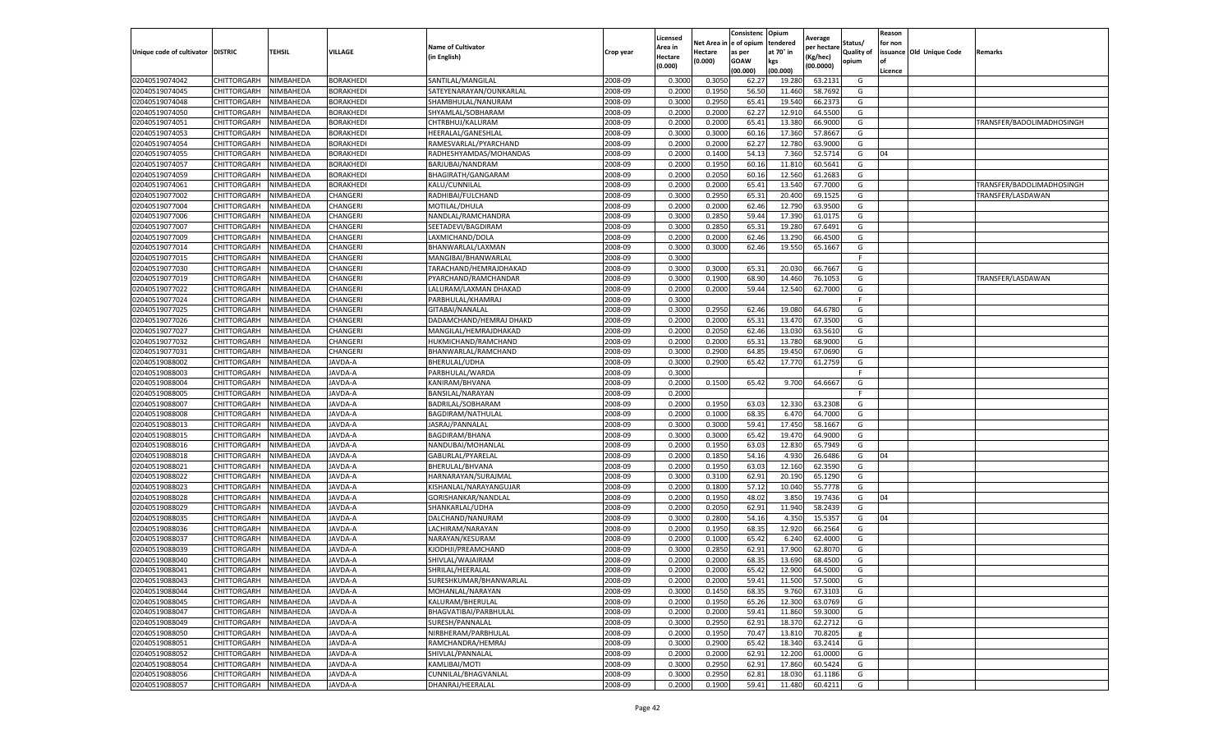|                                  |                            |                        |                      |                           |                    | Licensed |         | Consistenc             | Opium           |                        |                   | Reason  |                          |                           |
|----------------------------------|----------------------------|------------------------|----------------------|---------------------------|--------------------|----------|---------|------------------------|-----------------|------------------------|-------------------|---------|--------------------------|---------------------------|
|                                  |                            |                        |                      | <b>Name of Cultivator</b> |                    | Area in  |         | Net Area in e of opium | tendered        | Average<br>per hectare | Status/           | for non |                          |                           |
| Unique code of cultivator        | <b>DISTRIC</b>             | TEHSIL                 | VILLAGE              | in English)               | Crop year          | Hectare  | Hectare | as per                 | at 70° in       | (Kg/hec                | <b>Quality of</b> |         | issuance Old Unique Code | <b>Remarks</b>            |
|                                  |                            |                        |                      |                           |                    | (0.000)  | (0.000) | <b>GOAW</b>            | kgs             | (00.0000)              | opium             |         |                          |                           |
|                                  |                            |                        |                      |                           |                    |          |         | (00.000)               | (00.000)        |                        |                   | Licence |                          |                           |
| 02040519074042                   | CHITTORGARH                | NIMBAHEDA              | <b>BORAKHEDI</b>     | SANTILAL/MANGILAI         | 2008-09            | 0.3000   | 0.3050  | 62.27                  | 19.28           | 63.2131                | G                 |         |                          |                           |
| 02040519074045                   | CHITTORGARH                | NIMBAHEDA              | <b>BORAKHEDI</b>     | SATEYENARAYAN/OUNKARLAL   | 2008-09            | 0.2000   | 0.1950  | 56.50                  | 11.460          | 58.7692                | G                 |         |                          |                           |
| 02040519074048                   | CHITTORGARH                | NIMBAHEDA              | BORAKHEDI            | SHAMBHULAL/NANURAM        | 2008-09            | 0.3000   | 0.2950  | 65.41                  | 19.54           | 66.2373                | G                 |         |                          |                           |
| 02040519074050                   | CHITTORGARH                | NIMBAHEDA              | <b>BORAKHEDI</b>     | SHYAMLAL/SOBHARAM         | 2008-09            | 0.2000   | 0.2000  | 62.27                  | 12.910          | 64.5500                | G                 |         |                          |                           |
| 02040519074051                   | CHITTORGARH                | NIMBAHEDA              | BORAKHEDI            | CHTRBHUJ/KALURAM          | 2008-09            | 0.2000   | 0.2000  | 65.41                  | 13.38           | 66.9000                | G                 |         |                          | TRANSFER/BADOLIMADHOSINGH |
| 02040519074053                   | CHITTORGARH                | NIMBAHEDA              | BORAKHEDI            | HEERALAL/GANESHLAI        | 2008-09            | 0.3000   | 0.3000  | 60.16                  | 17.36           | 57.8667                | G                 |         |                          |                           |
| 02040519074054                   | CHITTORGARH                | NIMBAHEDA              | <b>BORAKHEDI</b>     | RAMESVARLAL/PYARCHAND     | 2008-09            | 0.2000   | 0.2000  | 62.27                  | 12.780          | 63.9000                | G                 |         |                          |                           |
| 02040519074055                   | CHITTORGARH                | NIMBAHEDA              | BORAKHEDI            | RADHESHYAMDAS/MOHANDAS    | 2008-09            | 0.2000   | 0.1400  | 54.13                  | 7.360           | 52.5714                | G                 | 04      |                          |                           |
| 02040519074057                   | CHITTORGARH                | NIMBAHEDA              | <b>BORAKHEDI</b>     | BARJUBAI/NANDRAM          | 2008-09            | 0.2000   | 0.1950  | 60.16                  | 11.81           | 60.5641                | G                 |         |                          |                           |
| 02040519074059                   | CHITTORGARH                | NIMBAHEDA              | BORAKHEDI            | BHAGIRATH/GANGARAM        | 2008-09            | 0.2000   | 0.2050  | 60.16                  | 12.560          | 61.2683                | G                 |         |                          |                           |
| 02040519074061                   | CHITTORGARH                | NIMBAHEDA              | <b>BORAKHEDI</b>     | KALU/CUNNILAL             | 2008-09            | 0.2000   | 0.2000  | 65.41                  | 13.54           | 67.7000                | G                 |         |                          | TRANSFER/BADOLIMADHOSINGH |
| 02040519077002                   | CHITTORGARH                | NIMBAHEDA              | CHANGERI             | RADHIBAI/FULCHAND         | 2008-09            | 0.3000   | 0.2950  | 65.31                  | 20.40           | 69.1525                | G                 |         |                          | TRANSFER/LASDAWAN         |
| 02040519077004                   | CHITTORGARH                | NIMBAHEDA              | CHANGERI             | MOTILAL/DHULA             | 2008-09            | 0.2000   | 0.2000  | 62.46                  | 12.79           | 63.9500                | G                 |         |                          |                           |
| 02040519077006                   | CHITTORGARH                | NIMBAHEDA              | CHANGERI             | NANDLAL/RAMCHANDRA        | 2008-09            | 0.3000   | 0.2850  | 59.44                  | 17.39           | 61.0175                | G                 |         |                          |                           |
| 02040519077007                   | CHITTORGARH                | NIMBAHEDA              | CHANGERI             | SEETADEVI/BAGDIRAM        | 2008-09            | 0.3000   | 0.2850  | 65.31                  | 19.28           | 67.6491                | G                 |         |                          |                           |
| 02040519077009                   | CHITTORGARH                | NIMBAHEDA              | CHANGERI             | LAXMICHAND/DOLA           | 2008-09            | 0.2000   | 0.2000  | 62.46                  | 13.290          | 66.4500                | G                 |         |                          |                           |
| 02040519077014                   | CHITTORGARH                | NIMBAHEDA              | CHANGERI             | BHANWARLAL/LAXMAN         | 2008-09            | 0.3000   | 0.3000  | 62.46                  | 19.550          | 65.1667                | G                 |         |                          |                           |
| 02040519077015                   | CHITTORGARH                | NIMBAHEDA              | CHANGERI             | MANGIBAI/BHANWARLAL       | 2008-09            | 0.3000   |         |                        |                 |                        | F.                |         |                          |                           |
| 02040519077030                   | CHITTORGARH                | NIMBAHEDA              | CHANGERI             | TARACHAND/HEMRAJDHAKAD    | 2008-09            | 0.3000   | 0.3000  | 65.3                   | 20.03           | 66.7667                | G                 |         |                          |                           |
| 02040519077019                   | CHITTORGARH                | NIMBAHEDA              | CHANGERI             | PYARCHAND/RAMCHANDAR      | 2008-09            | 0.3000   | 0.1900  | 68.90                  | 14.460          | 76.1053                | G                 |         |                          | TRANSFER/LASDAWAN         |
| 02040519077022                   | CHITTORGARH                | NIMBAHEDA              | CHANGERI             | LALURAM/LAXMAN DHAKAD     | 2008-09            | 0.2000   | 0.2000  | 59.44                  | 12.540          | 62.7000                | G                 |         |                          |                           |
| 02040519077024                   | CHITTORGARH                | NIMBAHEDA              | CHANGERI             | PARBHULAL/KHAMRAJ         | 2008-09            | 0.3000   |         |                        |                 |                        | F                 |         |                          |                           |
| 02040519077025                   |                            |                        |                      |                           |                    |          | 0.2950  |                        |                 |                        | G                 |         |                          |                           |
| 02040519077026                   | CHITTORGARH<br>CHITTORGARH | NIMBAHEDA<br>NIMBAHEDA | CHANGERI<br>CHANGERI | GITABAI/NANALAL           | 2008-09<br>2008-09 | 0.3000   | 0.2000  | 62.46<br>65.31         | 19.080<br>13.47 | 64.6780<br>67.3500     | G                 |         |                          |                           |
|                                  | <b>CHITTORGARH</b>         |                        |                      | DADAMCHAND/HEMRAJ DHAKD   |                    | 0.2000   |         |                        |                 |                        |                   |         |                          |                           |
| 02040519077027                   |                            | NIMBAHEDA              | CHANGERI             | MANGILAL/HEMRAJDHAKAD     | 2008-09            | 0.2000   | 0.2050  | 62.46                  | 13.03           | 63.5610                | G                 |         |                          |                           |
| 02040519077032                   | CHITTORGARH                | NIMBAHEDA              | CHANGERI             | HUKMICHAND/RAMCHAND       | 2008-09            | 0.2000   | 0.2000  | 65.31                  | 13.780          | 68.9000                | G                 |         |                          |                           |
| 02040519077031                   | CHITTORGARH                | NIMBAHEDA              | CHANGERI             | BHANWARLAL/RAMCHAND       | 2008-09            | 0.3000   | 0.2900  | 64.85                  | 19.45           | 67.0690                | G                 |         |                          |                           |
| 02040519088002                   | CHITTORGARH                | NIMBAHEDA              | JAVDA-A              | BHERULAL/UDHA             | 2008-09            | 0.3000   | 0.2900  | 65.42                  | 17.77           | 61.2759                | G                 |         |                          |                           |
| 02040519088003                   | CHITTORGARH                | NIMBAHEDA              | JAVDA-A              | PARBHULAL/WARDA           | 2008-09            | 0.3000   |         |                        |                 |                        | F.                |         |                          |                           |
| 02040519088004                   | CHITTORGARH                | NIMBAHEDA              | JAVDA-A              | KANIRAM/BHVANA            | 2008-09            | 0.2000   | 0.1500  | 65.42                  | 9.700           | 64.6667                | G                 |         |                          |                           |
| 02040519088005                   | CHITTORGARH                | NIMBAHEDA              | JAVDA-A              | BANSILAL/NARAYAN          | 2008-09            | 0.2000   |         |                        |                 |                        | F                 |         |                          |                           |
| 02040519088007                   | CHITTORGARH                | NIMBAHEDA              | JAVDA-A              | BADRILAL/SOBHARAM         | 2008-09            | 0.2000   | 0.1950  | 63.03                  | 12.330          | 63.2308                | G                 |         |                          |                           |
| 02040519088008                   | CHITTORGARH                | NIMBAHEDA              | JAVDA-A              | BAGDIRAM/NATHULAI         | 2008-09            | 0.2000   | 0.1000  | 68.35                  | 6.47            | 64.7000                | G                 |         |                          |                           |
| 02040519088013                   | CHITTORGARH                | NIMBAHEDA              | JAVDA-A              | JASRAJ/PANNALAL           | 2008-09            | 0.3000   | 0.3000  | 59.41                  | 17.450          | 58.1667                | G                 |         |                          |                           |
| 02040519088015                   | CHITTORGARH                | NIMBAHEDA              | JAVDA-A              | BAGDIRAM/BHANA            | 2008-09            | 0.3000   | 0.3000  | 65.42                  | 19.47           | 64.9000                | G                 |         |                          |                           |
| 02040519088016                   | CHITTORGARH                | NIMBAHEDA              | JAVDA-A              | NANDUBAI/MOHANLAL         | 2008-09            | 0.2000   | 0.1950  | 63.03                  | 12.83           | 65.7949                | G                 |         |                          |                           |
| 02040519088018                   | CHITTORGARH                | NIMBAHEDA              | JAVDA-A              | GABURLAL/PYARELAL         | 2008-09            | 0.2000   | 0.1850  | 54.16                  | 4.93            | 26.6486                | G                 | 04      |                          |                           |
| 02040519088021                   | CHITTORGARH                | NIMBAHEDA              | <b>AVDA-A</b>        | BHERULAL/BHVANA           | 2008-09            | 0.2000   | 0.1950  | 63.03                  | 12.16           | 62.3590                | G                 |         |                          |                           |
| 02040519088022                   | CHITTORGARH                | NIMBAHEDA              | JAVDA-A              | HARNARAYAN/SURAJMAI       | 2008-09            | 0.3000   | 0.3100  | 62.91                  | 20.19           | 65.1290                | G                 |         |                          |                           |
| 02040519088023                   | CHITTORGARH                | NIMBAHEDA              | JAVDA-A              | KISHANLAL/NARAYANGUJAR    | 2008-09            | 0.2000   | 0.1800  | 57.12                  | 10.04           | 55.7778                | G                 |         |                          |                           |
| 02040519088028                   | CHITTORGARH                | NIMBAHEDA              | JAVDA-A              | GORISHANKAR/NANDLAL       | 2008-09            | 0.2000   | 0.1950  | 48.02                  | 3.85            | 19.7436                | G                 | 04      |                          |                           |
| 02040519088029                   | CHITTORGARH                | NIMBAHEDA              | JAVDA-A              | SHANKARLAL/UDHA           | 2008-09            | 0.2000   | 0.2050  | 62.91                  | 11.94           | 58.2439                | G                 |         |                          |                           |
| 02040519088035                   | CHITTORGARH                | NIMBAHEDA              | JAVDA-A              | DALCHAND/NANURAM          | 2008-09            | 0.3000   | 0.2800  | 54.16                  | 4.35            | 15.535                 | G                 | 04      |                          |                           |
| 02040519088036                   | CHITTORGARH                | NIMBAHEDA              | JAVDA-A              | LACHIRAM/NARAYAN          | 2008-09            | 0.2000   | 0.1950  | 68.35                  | 12.92           | 66.2564                | G                 |         |                          |                           |
| 02040519088037                   | CHITTORGARH                | NIMBAHEDA              | JAVDA-A              | NARAYAN/KESURAM           | 2008-09            | 0.2000   | 0.1000  | 65.42                  | 6.24            | 62.4000                | G                 |         |                          |                           |
| 02040519088039                   | CHITTORGARH                | NIMBAHEDA              | JAVDA-A              | KJODHJI/PREAMCHAND        | 2008-09            | 0.3000   | 0.2850  | 62.91                  | 17.90           | 62.807                 | G                 |         |                          |                           |
| 02040519088040                   | CHITTORGARH                | NIMBAHEDA              | JAVDA-A              | SHIVLAL/WAJAIRAM          | 2008-09            | 0.2000   | 0.2000  | 68.35                  | 13.690          | 68.4500                | G                 |         |                          |                           |
| 02040519088041                   | CHITTORGARH                | NIMBAHEDA              | JAVDA-A              | SHRILAL/HEERALAL          | 2008-09            | 0.2000   | 0.2000  | 65.42                  | 12.900          | 64.5000                | G                 |         |                          |                           |
| 02040519088043                   | CHITTORGARH                | NIMBAHEDA              | JAVDA-A              | SURESHKUMAR/BHANWARLAL    | 2008-09            | 0.2000   | 0.2000  | 59.41                  | 11.500          | 57.5000                | G                 |         |                          |                           |
| 02040519088044                   | CHITTORGARH                | NIMBAHEDA              | JAVDA-A              | MOHANLAL/NARAYAN          | 2008-09            | 0.3000   | 0.1450  | 68.35                  | 9.760           | 67.3103                | G                 |         |                          |                           |
| 02040519088045                   | CHITTORGARH                | NIMBAHEDA              | JAVDA-A              | KALURAM/BHERULAL          | 2008-09            | 0.2000   | 0.1950  | 65.26                  | 12.300          | 63.0769                | G                 |         |                          |                           |
| 02040519088047                   | CHITTORGARH                | NIMBAHEDA              | JAVDA-A              | BHAGVATIBAI/PARBHULAL     | 2008-09            | 0.2000   | 0.2000  | 59.41                  | 11.860          | 59.3000                | G                 |         |                          |                           |
| 02040519088049                   | CHITTORGARH                | NIMBAHEDA              | JAVDA-A              | SURESH/PANNALAL           | 2008-09            | 0.3000   | 0.2950  | 62.91                  | 18.37           | 62.2712                | G                 |         |                          |                           |
| 02040519088050                   | <b>CHITTORGARH</b>         | NIMBAHEDA              | JAVDA-A              | NIRBHERAM/PARBHULAL       | 2008-09            | 0.2000   | 0.1950  | 70.47                  | 13.810          | 70.8205                | g                 |         |                          |                           |
| 02040519088051                   | CHITTORGARH                | NIMBAHEDA              | JAVDA-A              | RAMCHANDRA/HEMRAJ         | 2008-09            | 0.3000   | 0.2900  | 65.42                  | 18.34           | 63.2414                | G                 |         |                          |                           |
|                                  |                            |                        | JAVDA-A              | SHIVLAL/PANNALAL          | 2008-09            |          | 0.2000  | 62.91                  | 12.200          | 61.0000                | G                 |         |                          |                           |
| 02040519088052<br>02040519088054 | CHITTORGARH                | NIMBAHEDA              |                      |                           | 2008-09            | 0.2000   | 0.2950  |                        |                 | 60.5424                | G                 |         |                          |                           |
|                                  | CHITTORGARH                | NIMBAHEDA              | JAVDA-A              | KAMLIBAI/MOTI             |                    | 0.3000   |         | 62.91                  | 17.860          |                        |                   |         |                          |                           |
| 02040519088056                   | CHITTORGARH                | NIMBAHEDA              | JAVDA-A              | CUNNILAL/BHAGVANLAL       | 2008-09            | 0.3000   | 0.2950  | 62.81                  | 18.03           | 61.1186                | G                 |         |                          |                           |
| 02040519088057                   | <b>CHITTORGARH</b>         | NIMBAHEDA              | JAVDA-A              | DHANRAJ/HEERALAL          | 2008-09            | 0.2000   | 0.1900  | 59.41                  | 11.480          | 60.4211                | G                 |         |                          |                           |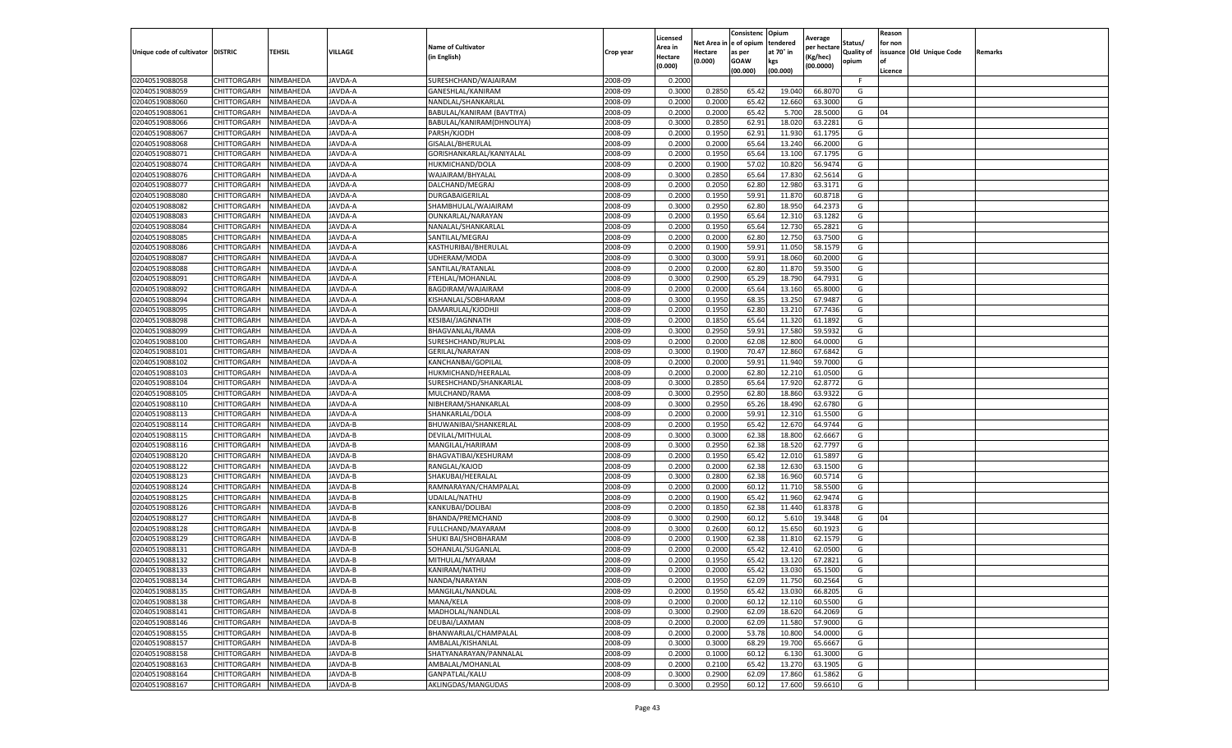|                                   |                    |           |               |                           |           | Licensed |            | Consistenc     | Opium     |                        |                   | Reason  |                          |                |
|-----------------------------------|--------------------|-----------|---------------|---------------------------|-----------|----------|------------|----------------|-----------|------------------------|-------------------|---------|--------------------------|----------------|
|                                   |                    |           |               | <b>Name of Cultivator</b> |           | Area in  | Net Area i | in  e of opium | tendered  | Average<br>per hectare | Status/           | for non |                          |                |
| Unique code of cultivator DISTRIC |                    | TEHSIL    | VILLAGE       | in English)               | Crop year | Hectare  | Hectare    | as per         | at 70° in | (Kg/hec                | <b>Quality of</b> |         | issuance Old Unique Code | <b>Remarks</b> |
|                                   |                    |           |               |                           |           | (0.000)  | (0.000)    | <b>GOAW</b>    | kgs       | (00.0000)              | opium             |         |                          |                |
|                                   |                    |           |               |                           |           |          |            | (00.000)       | (00.000)  |                        |                   | Licence |                          |                |
| 02040519088058                    | CHITTORGARH        | NIMBAHEDA | JAVDA-A       | SURESHCHAND/WAJAIRAM      | 2008-09   | 0.2000   |            |                |           |                        | F.                |         |                          |                |
| 02040519088059                    | CHITTORGARH        | NIMBAHEDA | JAVDA-A       | GANESHLAL/KANIRAM         | 2008-09   | 0.3000   | 0.2850     | 65.42          | 19.04     | 66.807                 | G                 |         |                          |                |
| 02040519088060                    | CHITTORGARH        | NIMBAHEDA | JAVDA-A       | NANDLAL/SHANKARLAL        | 2008-09   | 0.2000   | 0.2000     | 65.42          | 12.660    | 63.3000                | G                 |         |                          |                |
| 02040519088061                    | CHITTORGARH        | NIMBAHEDA | JAVDA-A       | BABULAL/KANIRAM (BAVTIYA) | 2008-09   | 0.2000   | 0.2000     | 65.42          | 5.700     | 28.5000                | G                 | 04      |                          |                |
| 02040519088066                    | CHITTORGARH        | NIMBAHEDA | JAVDA-A       | BABULAL/KANIRAM(DHNOLIYA) | 2008-09   | 0.3000   | 0.2850     | 62.91          | 18.02     | 63.2281                | G                 |         |                          |                |
| 02040519088067                    | CHITTORGARH        | NIMBAHEDA | JAVDA-A       | PARSH/KJODH               | 2008-09   | 0.2000   | 0.1950     | 62.91          | 11.93     | 61.1795                | G                 |         |                          |                |
| 02040519088068                    | CHITTORGARH        | NIMBAHEDA | JAVDA-A       | GISALAL/BHERULAL          | 2008-09   | 0.2000   | 0.2000     | 65.64          | 13.24     | 66.2000                | G                 |         |                          |                |
| 02040519088071                    | CHITTORGARH        | NIMBAHEDA | JAVDA-A       | GORISHANKARLAL/KANIYALAI  | 2008-09   | 0.2000   | 0.1950     | 65.64          | 13.10     | 67.1795                | G                 |         |                          |                |
| 02040519088074                    | CHITTORGARH        | NIMBAHEDA | JAVDA-A       | HUKMICHAND/DOLA           | 2008-09   | 0.2000   | 0.1900     | 57.02          | 10.82     | 56.9474                | G                 |         |                          |                |
| 02040519088076                    | CHITTORGARH        | NIMBAHEDA | JAVDA-A       | WAJAIRAM/BHYALAL          | 2008-09   | 0.3000   | 0.2850     | 65.64          | 17.830    | 62.5614                | G                 |         |                          |                |
| 02040519088077                    | CHITTORGARH        | NIMBAHEDA | JAVDA-A       | DALCHAND/MEGRAJ           | 2008-09   | 0.2000   | 0.2050     | 62.80          | 12.98     | 63.3171                | G                 |         |                          |                |
| 02040519088080                    | CHITTORGARH        | NIMBAHEDA | JAVDA-A       | DURGABAIGERILAL           | 2008-09   | 0.2000   | 0.1950     | 59.91          | 11.87     | 60.8718                | G                 |         |                          |                |
| 02040519088082                    | CHITTORGARH        | NIMBAHEDA | JAVDA-A       | SHAMBHULAL/WAJAIRAM       | 2008-09   | 0.3000   | 0.2950     | 62.80          | 18.95     | 64.2373                | G                 |         |                          |                |
| 02040519088083                    | CHITTORGARH        | NIMBAHEDA | JAVDA-A       | OUNKARLAL/NARAYAN         | 2008-09   | 0.2000   | 0.1950     | 65.64          | 12.31     | 63.1282                | G                 |         |                          |                |
| 02040519088084                    | CHITTORGARH        | NIMBAHEDA | JAVDA-A       | NANALAL/SHANKARLAL        | 2008-09   | 0.2000   | 0.1950     | 65.64          | 12.73     | 65.2821                | G                 |         |                          |                |
| 02040519088085                    | CHITTORGARH        | NIMBAHEDA | JAVDA-A       | SANTILAL/MEGRAJ           | 2008-09   | 0.2000   | 0.2000     | 62.80          | 12.750    | 63.7500                | G                 |         |                          |                |
| 02040519088086                    | CHITTORGARH        | NIMBAHEDA | JAVDA-A       | KASTHURIBAI/BHERULAL      | 2008-09   | 0.2000   | 0.1900     | 59.91          | 11.050    | 58.1579                | G                 |         |                          |                |
| 02040519088087                    | CHITTORGARH        | NIMBAHEDA | JAVDA-A       | UDHERAM/MODA              | 2008-09   | 0.3000   | 0.3000     | 59.91          | 18.06     | 60.2000                | G                 |         |                          |                |
| 02040519088088                    | CHITTORGARH        | NIMBAHEDA | JAVDA-A       | SANTILAL/RATANLAL         | 2008-09   | 0.2000   | 0.2000     | 62.80          | 11.87     | 59.3500                | G                 |         |                          |                |
| 02040519088091                    | CHITTORGARH        | NIMBAHEDA | JAVDA-A       | FTEHLAL/MOHANLAL          | 2008-09   | 0.3000   | 0.2900     | 65.29          | 18.790    | 64.7931                | G                 |         |                          |                |
| 02040519088092                    | CHITTORGARH        | NIMBAHEDA | JAVDA-A       | BAGDIRAM/WAJAIRAM         | 2008-09   | 0.2000   | 0.2000     | 65.64          | 13.160    | 65.8000                | G                 |         |                          |                |
| 02040519088094                    | CHITTORGARH        | NIMBAHEDA | JAVDA-A       | KISHANLAL/SOBHARAM        | 2008-09   | 0.3000   | 0.1950     | 68.35          | 13.25     | 67.9487                | G                 |         |                          |                |
| 02040519088095                    | CHITTORGARH        | NIMBAHEDA | JAVDA-A       | DAMARULAL/KJODHJI         | 2008-09   | 0.2000   | 0.1950     | 62.80          | 13.21     | 67.7436                | G                 |         |                          |                |
| 02040519088098                    | CHITTORGARH        | NIMBAHEDA | JAVDA-A       | KESIBAI/JAGNNATH          | 2008-09   | 0.2000   | 0.1850     | 65.64          | 11.320    | 61.1892                | G                 |         |                          |                |
| 02040519088099                    | CHITTORGARH        | NIMBAHEDA | JAVDA-A       | BHAGVANLAL/RAMA           | 2008-09   | 0.3000   | 0.2950     | 59.91          | 17.58     | 59.5932                | G                 |         |                          |                |
| 02040519088100                    | CHITTORGARH        | NIMBAHEDA | JAVDA-A       | SURESHCHAND/RUPLAL        | 2008-09   | 0.2000   | 0.2000     | 62.08          | 12.800    | 64.0000                | G                 |         |                          |                |
| 02040519088101                    | CHITTORGARH        | NIMBAHEDA | JAVDA-A       | GERILAL/NARAYAN           | 2008-09   | 0.3000   | 0.1900     | 70.47          | 12.86     | 67.6842                | G                 |         |                          |                |
| 02040519088102                    | CHITTORGARH        | NIMBAHEDA | JAVDA-A       | KANCHANBAI/GOPILAL        | 2008-09   | 0.2000   | 0.2000     | 59.91          | 11.940    | 59.7000                | G                 |         |                          |                |
| 02040519088103                    | CHITTORGARH        | NIMBAHEDA | JAVDA-A       | HUKMICHAND/HEERALAL       | 2008-09   | 0.2000   | 0.2000     | 62.80          | 12.210    | 61.0500                | G                 |         |                          |                |
| 02040519088104                    | CHITTORGARH        | NIMBAHEDA | JAVDA-A       | SURESHCHAND/SHANKARLAL    | 2008-09   | 0.3000   | 0.2850     | 65.64          | 17.92     | 62.8772                | G                 |         |                          |                |
| 02040519088105                    | CHITTORGARH        | NIMBAHEDA | JAVDA-A       | MULCHAND/RAMA             | 2008-09   | 0.3000   | 0.2950     | 62.80          | 18.86     | 63.9322                | G                 |         |                          |                |
| 02040519088110                    | CHITTORGARH        | NIMBAHEDA | JAVDA-A       | NIBHERAM/SHANKARLAL       | 2008-09   | 0.3000   | 0.2950     | 65.26          | 18.490    | 62.6780                | G                 |         |                          |                |
| 02040519088113                    | CHITTORGARH        | NIMBAHEDA | JAVDA-A       | SHANKARLAL/DOLA           | 2008-09   | 0.2000   | 0.2000     | 59.91          | 12.31     | 61.5500                | G                 |         |                          |                |
| 02040519088114                    | CHITTORGARH        | NIMBAHEDA | JAVDA-B       | BHUWANIBAI/SHANKERLAL     | 2008-09   | 0.2000   | 0.1950     | 65.42          | 12.670    | 64.9744                | G                 |         |                          |                |
| 02040519088115                    | CHITTORGARH        | NIMBAHEDA | JAVDA-B       | DEVILAL/MITHULAL          | 2008-09   | 0.3000   | 0.3000     | 62.38          | 18.800    | 62.6667                | G                 |         |                          |                |
| 02040519088116                    | CHITTORGARH        | NIMBAHEDA | JAVDA-B       | MANGILAL/HARIRAM          | 2008-09   | 0.3000   | 0.2950     | 62.38          | 18.52     | 62.7797                | G                 |         |                          |                |
| 02040519088120                    | CHITTORGARH        | NIMBAHEDA | JAVDA-B       | BHAGVATIBAI/KESHURAM      | 2008-09   | 0.2000   | 0.1950     | 65.42          | 12.01     | 61.5897                | G                 |         |                          |                |
| 02040519088122                    | CHITTORGARH        | NIMBAHEDA | <b>AVDA-B</b> | RANGLAL/KAJOD             | 2008-09   | 0.2000   | 0.2000     | 62.38          | 12.63     | 63.1500                | G                 |         |                          |                |
| 02040519088123                    | CHITTORGARH        | NIMBAHEDA | JAVDA-B       | SHAKUBAI/HEERALAL         | 2008-09   | 0.3000   | 0.2800     | 62.38          | 16.960    | 60.5714                | G                 |         |                          |                |
| 02040519088124                    | CHITTORGARH        | NIMBAHEDA | JAVDA-B       | RAMNARAYAN/CHAMPALAL      | 2008-09   | 0.2000   | 0.2000     | 60.12          | 11.71     | 58.5500                | G                 |         |                          |                |
| 02040519088125                    | CHITTORGARH        | NIMBAHEDA | JAVDA-B       | <b>UDAILAL/NATHU</b>      | 2008-09   | 0.2000   | 0.1900     | 65.42          | 11.960    | 62.9474                | G                 |         |                          |                |
| 02040519088126                    | CHITTORGARH        | NIMBAHEDA | JAVDA-B       | KANKUBAI/DOLIBAI          | 2008-09   | 0.2000   | 0.1850     | 62.38          | 11.440    | 61.8378                | G                 |         |                          |                |
| 02040519088127                    | CHITTORGARH        | NIMBAHEDA | JAVDA-B       | BHANDA/PREMCHAND          | 2008-09   | 0.3000   | 0.2900     | 60.12          | 5.61      | 19.3448                | G                 | 04      |                          |                |
| 02040519088128                    | CHITTORGARH        | NIMBAHEDA | JAVDA-B       | FULLCHAND/MAYARAM         | 2008-09   | 0.3000   | 0.2600     | 60.12          | 15.65     | 60.1923                | G                 |         |                          |                |
| 02040519088129                    | CHITTORGARH        | NIMBAHEDA | JAVDA-B       | SHUKI BAI/SHOBHARAM       | 2008-09   | 0.2000   | 0.1900     | 62.38          | 11.81     | 62.1579                | G                 |         |                          |                |
| 02040519088131                    | CHITTORGARH        | NIMBAHEDA | JAVDA-B       | SOHANLAL/SUGANLAL         | 2008-09   | 0.2000   | 0.2000     | 65.42          | 12.41     | 62.0500                | G                 |         |                          |                |
| 02040519088132                    | CHITTORGARH        | NIMBAHEDA | JAVDA-B       | MITHULAL/MYARAM           | 2008-09   | 0.2000   | 0.1950     | 65.42          | 13.12     | 67.2821                | G                 |         |                          |                |
| 02040519088133                    | CHITTORGARH        | NIMBAHEDA | JAVDA-B       | KANIRAM/NATHU             | 2008-09   | 0.2000   | 0.2000     | 65.42          | 13.030    | 65.1500                | G                 |         |                          |                |
| 02040519088134                    | CHITTORGARH        | NIMBAHEDA | JAVDA-B       | NANDA/NARAYAN             | 2008-09   | 0.2000   | 0.1950     | 62.09          | 11.750    | 60.2564                | G                 |         |                          |                |
| 02040519088135                    | CHITTORGARH        | NIMBAHEDA | JAVDA-B       | MANGILAL/NANDLAL          | 2008-09   | 0.2000   | 0.1950     | 65.42          | 13.030    | 66.8205                | G                 |         |                          |                |
| 02040519088138                    | <b>CHITTORGARH</b> | NIMBAHEDA | JAVDA-B       | MANA/KELA                 | 2008-09   | 0.2000   | 0.2000     | 60.12          | 12.110    | 60.5500                | G                 |         |                          |                |
| 02040519088141                    | CHITTORGARH        | NIMBAHEDA | JAVDA-B       | MADHOLAL/NANDLAL          | 2008-09   | 0.3000   | 0.2900     | 62.09          | 18.620    | 64.2069                | G                 |         |                          |                |
| 02040519088146                    | CHITTORGARH        | NIMBAHEDA | JAVDA-B       | DEUBAI/LAXMAN             | 2008-09   | 0.2000   | 0.2000     | 62.09          | 11.580    | 57.9000                | G                 |         |                          |                |
| 02040519088155                    | <b>CHITTORGARH</b> | NIMBAHEDA | JAVDA-B       | BHANWARLAL/CHAMPALAL      | 2008-09   | 0.2000   | 0.2000     | 53.78          | 10.800    | 54.0000                | G                 |         |                          |                |
| 02040519088157                    | CHITTORGARH        | NIMBAHEDA | JAVDA-B       | AMBALAL/KISHANLAL         | 2008-09   | 0.3000   | 0.3000     | 68.29          | 19.700    | 65.6667                | G                 |         |                          |                |
| 02040519088158                    | CHITTORGARH        | NIMBAHEDA | JAVDA-B       | SHATYANARAYAN/PANNALAL    | 2008-09   | 0.2000   | 0.1000     | 60.12          | 6.13      | 61.3000                | G                 |         |                          |                |
| 02040519088163                    | CHITTORGARH        | NIMBAHEDA | JAVDA-B       | AMBALAL/MOHANLAL          | 2008-09   | 0.2000   | 0.2100     | 65.42          | 13.270    | 63.1905                | G                 |         |                          |                |
| 02040519088164                    | CHITTORGARH        | NIMBAHEDA | JAVDA-B       | GANPATLAL/KALU            | 2008-09   | 0.3000   | 0.2900     | 62.09          | 17.860    | 61.5862                | G                 |         |                          |                |
| 02040519088167                    | <b>CHITTORGARH</b> | NIMBAHEDA | JAVDA-B       | AKLINGDAS/MANGUDAS        | 2008-09   | 0.3000   | 0.2950     | 60.12          | 17.600    | 59.6610                | G                 |         |                          |                |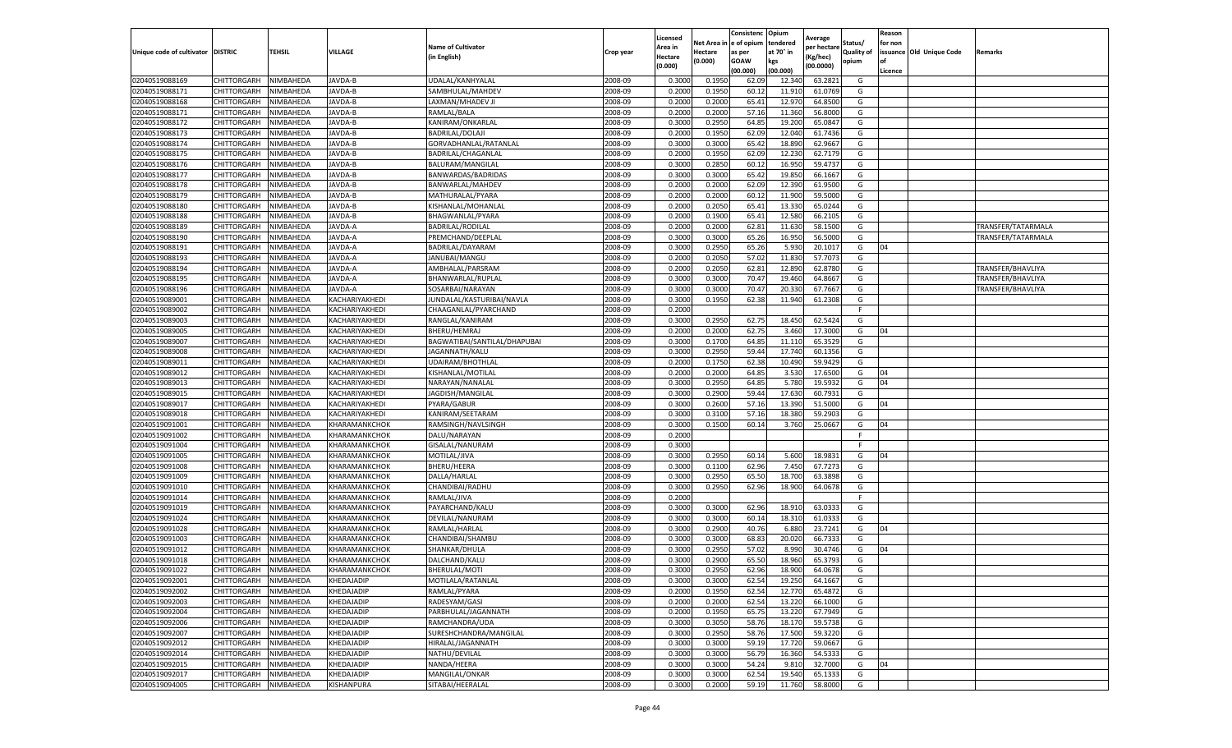|                           |                    |           |                   |                              |           | Licensed |         | Consistenc             | Opium     | Average     |                   | Reason  |                          |                    |
|---------------------------|--------------------|-----------|-------------------|------------------------------|-----------|----------|---------|------------------------|-----------|-------------|-------------------|---------|--------------------------|--------------------|
|                           |                    |           |                   | <b>Name of Cultivator</b>    |           | Area in  |         | Net Area in e of opium | tendered  | per hectare | Status/           | for non |                          |                    |
| Unique code of cultivator | <b>DISTRIC</b>     | TEHSIL    | VILLAGE           | in English)                  | Crop year | Hectare  | Hectare | as per                 | at 70° in | (Kg/hec     | <b>Quality of</b> |         | issuance Old Unique Code | <b>Remarks</b>     |
|                           |                    |           |                   |                              |           | (0.000)  | (0.000) | <b>GOAW</b>            | kgs       | (00.0000)   | opium             |         |                          |                    |
|                           |                    |           |                   |                              |           |          |         | (00.000)               | (00.000)  |             |                   | Licence |                          |                    |
| 02040519088169            | CHITTORGARH        | NIMBAHEDA | JAVDA-B           | UDALAL/KANHYALAI             | 2008-09   | 0.3000   | 0.1950  | 62.09                  | 12.34     | 63.2821     | G                 |         |                          |                    |
| 02040519088171            | CHITTORGARH        | NIMBAHEDA | JAVDA-B           | SAMBHULAL/MAHDEV             | 2008-09   | 0.2000   | 0.1950  | 60.12                  | 11.91     | 61.0769     | G                 |         |                          |                    |
| 02040519088168            | CHITTORGARH        | NIMBAHEDA | JAVDA-B           | LAXMAN/MHADEV JI             | 2008-09   | 0.2000   | 0.2000  | 65.41                  | 12.97     | 64.8500     | G                 |         |                          |                    |
| 02040519088171            | CHITTORGARH        | NIMBAHEDA | JAVDA-B           | RAMLAL/BALA                  | 2008-09   | 0.2000   | 0.2000  | 57.16                  | 11.360    | 56.8000     | G                 |         |                          |                    |
| 02040519088172            | CHITTORGARH        | NIMBAHEDA | JAVDA-B           | KANIRAM/ONKARLAL             | 2008-09   | 0.3000   | 0.2950  | 64.85                  | 19.20     | 65.0847     | G                 |         |                          |                    |
| 02040519088173            | CHITTORGARH        | NIMBAHEDA | JAVDA-B           | <b>BADRILAL/DOLAJI</b>       | 2008-09   | 0.2000   | 0.1950  | 62.09                  | 12.04     | 61.7436     | G                 |         |                          |                    |
| 02040519088174            | CHITTORGARH        | NIMBAHEDA | JAVDA-B           | GORVADHANLAL/RATANLAL        | 2008-09   | 0.3000   | 0.3000  | 65.42                  | 18.89     | 62.9667     | G                 |         |                          |                    |
| 02040519088175            | CHITTORGARH        | NIMBAHEDA | JAVDA-B           | BADRILAL/CHAGANLAL           | 2008-09   | 0.2000   | 0.1950  | 62.09                  | 12.23     | 62.7179     | G                 |         |                          |                    |
| 02040519088176            | CHITTORGARH        | NIMBAHEDA | JAVDA-B           | BALURAM/MANGILAL             | 2008-09   | 0.3000   | 0.2850  | 60.12                  | 16.95     | 59.4737     | G                 |         |                          |                    |
| 02040519088177            | CHITTORGARH        | NIMBAHEDA | JAVDA-B           | BANWARDAS/BADRIDAS           | 2008-09   | 0.3000   | 0.3000  | 65.42                  | 19.850    | 66.1667     | G                 |         |                          |                    |
| 02040519088178            | CHITTORGARH        | NIMBAHEDA | JAVDA-B           | BANWARLAL/MAHDEV             | 2008-09   | 0.2000   | 0.2000  | 62.09                  | 12.390    | 61.9500     | G                 |         |                          |                    |
| 02040519088179            | CHITTORGARH        | NIMBAHEDA | JAVDA-B           | MATHURALAL/PYARA             | 2008-09   | 0.2000   | 0.2000  | 60.12                  | 11.90     | 59.5000     | G                 |         |                          |                    |
| 02040519088180            | CHITTORGARH        | NIMBAHEDA | JAVDA-B           | KISHANLAL/MOHANLAL           | 2008-09   | 0.2000   | 0.2050  | 65.4                   | 13.33     | 65.0244     | G                 |         |                          |                    |
| 02040519088188            | CHITTORGARH        | NIMBAHEDA | JAVDA-B           | BHAGWANLAL/PYARA             | 2008-09   | 0.2000   | 0.1900  | 65.41                  | 12.58     | 66.2105     | G                 |         |                          |                    |
| 02040519088189            | CHITTORGARH        | NIMBAHEDA | JAVDA-A           | <b>BADRILAL/RODILAL</b>      | 2008-09   | 0.2000   | 0.2000  | 62.81                  | 11.630    | 58.1500     | G                 |         |                          | TRANSFER/TATARMALA |
| 02040519088190            | CHITTORGARH        | NIMBAHEDA | JAVDA-A           | PREMCHAND/DEEPLAL            | 2008-09   | 0.3000   | 0.3000  | 65.26                  | 16.950    | 56.5000     | G                 |         |                          | TRANSFER/TATARMALA |
| 02040519088191            | CHITTORGARH        | NIMBAHEDA | JAVDA-A           | BADRILAL/DAYARAM             | 2008-09   | 0.3000   | 0.2950  | 65.26                  | 5.93      | 20.1017     | G                 | 04      |                          |                    |
| 02040519088193            | CHITTORGARH        | NIMBAHEDA | JAVDA-A           | JANUBAI/MANGU                | 2008-09   | 0.2000   | 0.2050  | 57.02                  | 11.83     | 57.7073     | G                 |         |                          |                    |
| 02040519088194            | CHITTORGARH        | NIMBAHEDA | JAVDA-A           | AMBHALAL/PARSRAM             | 2008-09   | 0.2000   | 0.2050  | 62.81                  | 12.89     | 62.8780     | G                 |         |                          | TRANSFER/BHAVLIYA  |
| 02040519088195            | CHITTORGARH        | NIMBAHEDA | JAVDA-A           | BHANWARLAL/RUPLAL            | 2008-09   | 0.3000   | 0.3000  | 70.47                  | 19.46     | 64.8667     | G                 |         |                          | TRANSFER/BHAVLIYA  |
| 02040519088196            | CHITTORGARH        | NIMBAHEDA | JAVDA-A           | SOSARBAI/NARAYAN             | 2008-09   | 0.3000   | 0.3000  | 70.47                  | 20.33     | 67.7667     | G                 |         |                          | TRANSFER/BHAVLIYA  |
| 02040519089001            | CHITTORGARH        | NIMBAHEDA | KACHARIYAKHEDI    | JUNDALAL/KASTURIBAI/NAVLA    | 2008-09   | 0.3000   | 0.1950  | 62.38                  | 11.940    | 61.2308     | G                 |         |                          |                    |
| 02040519089002            | CHITTORGARH        | NIMBAHEDA | KACHARIYAKHEDI    | CHAAGANLAL/PYARCHAND         | 2008-09   | 0.2000   |         |                        |           |             | F.                |         |                          |                    |
| 02040519089003            | CHITTORGARH        | NIMBAHEDA | KACHARIYAKHEDI    | RANGLAL/KANIRAM              | 2008-09   | 0.3000   | 0.2950  | 62.75                  | 18.45     | 62.5424     | G                 |         |                          |                    |
| 02040519089005            | <b>CHITTORGARH</b> | NIMBAHEDA | KACHARIYAKHEDI    | BHERU/HEMRAJ                 | 2008-09   | 0.2000   | 0.2000  | 62.75                  | 3.460     | 17.3000     | G                 | 04      |                          |                    |
| 02040519089007            | CHITTORGARH        | NIMBAHEDA | KACHARIYAKHEDI    | BAGWATIBAI/SANTILAL/DHAPUBAI | 2008-09   | 0.3000   | 0.1700  | 64.85                  | 11.110    | 65.3529     | G                 |         |                          |                    |
| 02040519089008            | CHITTORGARH        | NIMBAHEDA | KACHARIYAKHEDI    | JAGANNATH/KALU               | 2008-09   | 0.3000   | 0.2950  | 59.44                  | 17.74     | 60.1356     | G                 |         |                          |                    |
| 02040519089011            | CHITTORGARH        | NIMBAHEDA | KACHARIYAKHEDI    | UDAIRAM/BHOTHLAL             | 2008-09   | 0.2000   | 0.1750  | 62.38                  | 10.490    | 59.9429     | G                 |         |                          |                    |
| 02040519089012            | CHITTORGARH        | NIMBAHEDA | KACHARIYAKHEDI    | KISHANLAL/MOTILAL            | 2008-09   | 0.2000   | 0.2000  | 64.85                  | 3.530     | 17.6500     | G                 | 04      |                          |                    |
| 02040519089013            | CHITTORGARH        | NIMBAHEDA | KACHARIYAKHEDI    | NARAYAN/NANALAL              | 2008-09   | 0.3000   | 0.2950  | 64.85                  | 5.780     | 19.5932     | G                 | 04      |                          |                    |
| 02040519089015            | CHITTORGARH        | NIMBAHEDA | KACHARIYAKHEDI    | JAGDISH/MANGILAL             | 2008-09   | 0.3000   | 0.2900  | 59.44                  | 17.63     | 60.7931     | G                 |         |                          |                    |
| 02040519089017            | CHITTORGARH        | NIMBAHEDA | KACHARIYAKHEDI    | PYARA/GABUR                  | 2008-09   | 0.3000   | 0.2600  | 57.16                  | 13.39     | 51.5000     | G                 | 04      |                          |                    |
| 02040519089018            | CHITTORGARH        | NIMBAHEDA | KACHARIYAKHEDI    | KANIRAM/SEETARAM             | 2008-09   | 0.3000   | 0.3100  | 57.16                  | 18.38     | 59.2903     | G                 |         |                          |                    |
| 02040519091001            | CHITTORGARH        | NIMBAHEDA | KHARAMANKCHOK     | RAMSINGH/NAVLSINGH           | 2008-09   | 0.3000   | 0.1500  | 60.14                  | 3.760     | 25.0667     | G                 | 04      |                          |                    |
| 02040519091002            | CHITTORGARH        | NIMBAHEDA | KHARAMANKCHOK     | DALU/NARAYAN                 | 2008-09   | 0.2000   |         |                        |           |             | F.                |         |                          |                    |
| 02040519091004            | CHITTORGARH        | NIMBAHEDA | KHARAMANKCHOK     | GISALAL/NANURAM              | 2008-09   | 0.3000   |         |                        |           |             | F                 |         |                          |                    |
| 02040519091005            | CHITTORGARH        | NIMBAHEDA | KHARAMANKCHOK     | MOTILAL/JIVA                 | 2008-09   | 0.3000   | 0.2950  | 60.14                  | 5.600     | 18.9831     | G                 | 04      |                          |                    |
| 02040519091008            | CHITTORGARH        | NIMBAHEDA | KHARAMANKCHOK     | BHERU/HEERA                  | 2008-09   | 0.3000   | 0.1100  | 62.96                  | 7.45      | 67.7273     | G                 |         |                          |                    |
| 02040519091009            | CHITTORGARH        | NIMBAHEDA | KHARAMANKCHOK     | DALLA/HARLAI                 | 2008-09   | 0.3000   | 0.2950  | 65.50                  | 18.70     | 63.3898     | G                 |         |                          |                    |
| 02040519091010            | CHITTORGARH        | NIMBAHEDA | KHARAMANKCHOK     | CHANDIBAI/RADHU              | 2008-09   | 0.3000   | 0.2950  | 62.96                  | 18.900    | 64.0678     | G                 |         |                          |                    |
| 02040519091014            | CHITTORGARH        | NIMBAHEDA | KHARAMANKCHOK     | RAMLAL/JIVA                  | 2008-09   | 0.2000   |         |                        |           |             | F.                |         |                          |                    |
| 02040519091019            | CHITTORGARH        | NIMBAHEDA | KHARAMANKCHOK     | PAYARCHAND/KALU              | 2008-09   | 0.3000   | 0.3000  | 62.96                  | 18.91     | 63.033      | G                 |         |                          |                    |
| 02040519091024            | CHITTORGARH        | NIMBAHEDA | KHARAMANKCHOK     | DEVILAL/NANURAM              | 2008-09   | 0.3000   | 0.3000  | 60.14                  | 18.31     | 61.033      | G                 |         |                          |                    |
| 02040519091028            | CHITTORGARH        | NIMBAHEDA | KHARAMANKCHOK     | RAMLAL/HARLAL                | 2008-09   | 0.3000   | 0.2900  | 40.76                  | 6.88      | 23.7241     | G                 | 04      |                          |                    |
| 02040519091003            | CHITTORGARH        | NIMBAHEDA | KHARAMANKCHOK     | CHANDIBAI/SHAMBU             | 2008-09   | 0.3000   | 0.3000  | 68.83                  | 20.02     | 66.7333     | G                 |         |                          |                    |
| 02040519091012            | CHITTORGARH        | NIMBAHEDA | KHARAMANKCHOK     | SHANKAR/DHULA                | 2008-09   | 0.3000   | 0.2950  | 57.02                  | 8.99      | 30.4746     | G                 | 04      |                          |                    |
| 02040519091018            | CHITTORGARH        | NIMBAHEDA | KHARAMANKCHOK     | DALCHAND/KALU                | 2008-09   | 0.3000   | 0.2900  | 65.50                  | 18.96     | 65.3793     | G                 |         |                          |                    |
| 02040519091022            | CHITTORGARH        | NIMBAHEDA | KHARAMANKCHOK     | BHERULAL/MOTI                | 2008-09   | 0.3000   | 0.2950  | 62.96                  | 18.900    | 64.0678     | G                 |         |                          |                    |
| 02040519092001            | CHITTORGARH        | NIMBAHEDA | <b>KHEDAJADIP</b> | MOTILALA/RATANLAL            | 2008-09   | 0.3000   | 0.3000  | 62.54                  | 19.250    | 64.1667     | G                 |         |                          |                    |
| 02040519092002            | CHITTORGARH        | NIMBAHEDA | KHEDAJADIP        | RAMLAL/PYARA                 | 2008-09   | 0.2000   | 0.1950  | 62.54                  | 12.770    | 65.4872     | G                 |         |                          |                    |
| 02040519092003            | CHITTORGARH        | NIMBAHEDA | KHEDAJADIP        | RADESYAM/GASI                | 2008-09   | 0.2000   | 0.2000  | 62.54                  | 13.220    | 66.1000     | G                 |         |                          |                    |
| 02040519092004            | CHITTORGARH        | NIMBAHEDA | KHEDAJADIP        | PARBHULAL/JAGANNATH          | 2008-09   | 0.2000   | 0.1950  | 65.75                  | 13.220    | 67.7949     | G                 |         |                          |                    |
| 02040519092006            | CHITTORGARH        | NIMBAHEDA | KHEDAJADIP        | RAMCHANDRA/UDA               | 2008-09   | 0.3000   | 0.3050  | 58.76                  | 18.17     | 59.5738     | G                 |         |                          |                    |
| 02040519092007            | <b>CHITTORGARH</b> | NIMBAHEDA | KHEDAJADIP        | SURESHCHANDRA/MANGILAL       | 2008-09   | 0.3000   | 0.2950  | 58.76                  | 17.500    | 59.3220     | G                 |         |                          |                    |
| 02040519092012            | CHITTORGARH        | NIMBAHEDA | KHEDAJADIP        | HIRALAL/JAGANNATH            | 2008-09   | 0.3000   | 0.3000  | 59.19                  | 17.720    | 59.0667     | G                 |         |                          |                    |
| 02040519092014            | CHITTORGARH        | NIMBAHEDA | KHEDAJADIP        | NATHU/DEVILAL                | 2008-09   | 0.3000   | 0.3000  | 56.79                  | 16.360    | 54.5333     | G                 |         |                          |                    |
| 02040519092015            | CHITTORGARH        | NIMBAHEDA | KHEDAJADIP        | NANDA/HEERA                  | 2008-09   | 0.3000   | 0.3000  | 54.24                  | 9.81      | 32.7000     | G                 | 04      |                          |                    |
| 02040519092017            | CHITTORGARH        | NIMBAHEDA | KHEDAJADIP        | MANGILAL/ONKAR               | 2008-09   | 0.3000   | 0.3000  | 62.54                  | 19.540    | 65.1333     | G                 |         |                          |                    |
| 02040519094005            | <b>CHITTORGARH</b> | NIMBAHEDA | KISHANPURA        | SITABAI/HEERALAL             | 2008-09   | 0.3000   | 0.2000  | 59.19                  | 11.760    | 58.8000     | G                 |         |                          |                    |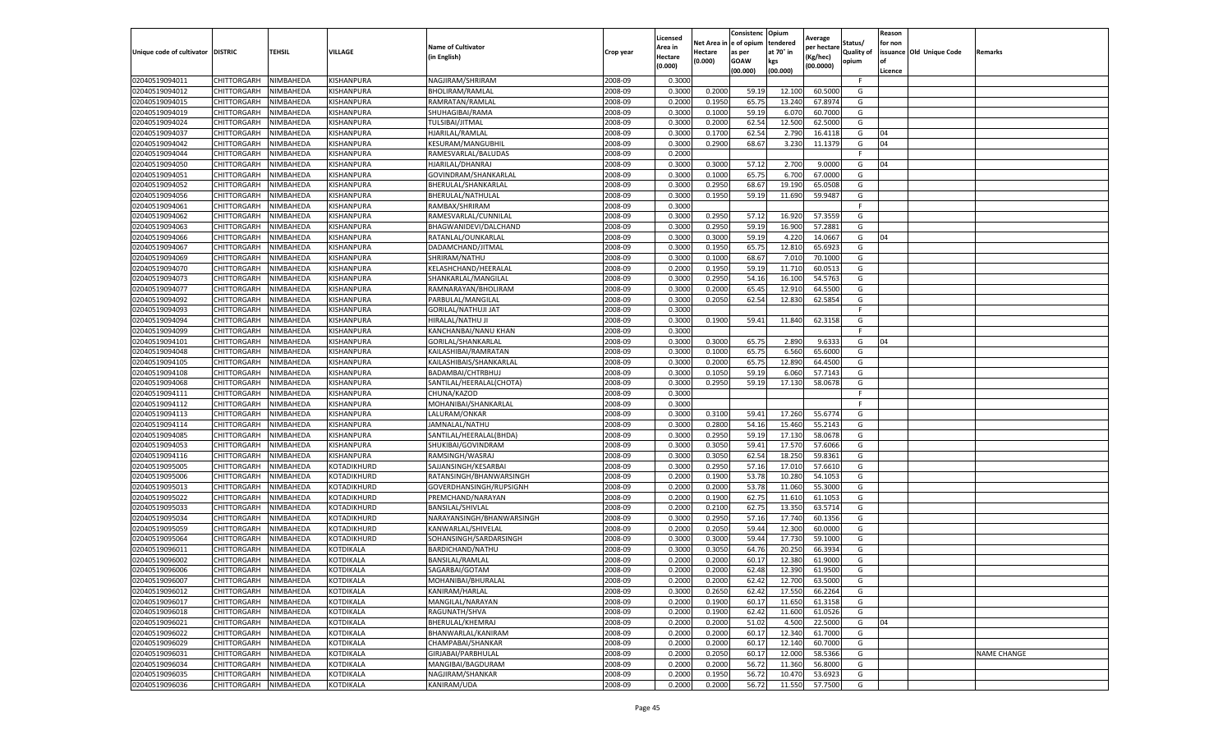|                                   |                    |           |             |                           |           | Licensed |            | Consistenc     | Opium     | Average     |                   | Reason  |                          |                    |
|-----------------------------------|--------------------|-----------|-------------|---------------------------|-----------|----------|------------|----------------|-----------|-------------|-------------------|---------|--------------------------|--------------------|
|                                   |                    |           |             | <b>Name of Cultivator</b> |           | Area in  | Net Area i | in  e of opium | tendered  | per hectare | Status/           | for non |                          |                    |
| Unique code of cultivator DISTRIC |                    | TEHSIL    | VILLAGE     | in English)               | Crop year | Hectare  | Hectare    | as per         | at 70° in | (Kg/hec     | <b>Quality of</b> |         | issuance Old Unique Code | <b>Remarks</b>     |
|                                   |                    |           |             |                           |           | (0.000)  | (0.000)    | <b>GOAW</b>    | kgs       | (00.0000)   | opium             |         |                          |                    |
|                                   |                    |           |             |                           |           |          |            | (00.000)       | (00.000)  |             |                   | Licence |                          |                    |
| 02040519094011                    | CHITTORGARH        | NIMBAHEDA | KISHANPURA  | NAGJIRAM/SHRIRAM          | 2008-09   | 0.3000   |            |                |           |             | F.                |         |                          |                    |
| 02040519094012                    | CHITTORGARH        | NIMBAHEDA | KISHANPURA  | <b>BHOLIRAM/RAMLAL</b>    | 2008-09   | 0.3000   | 0.2000     | 59.19          | 12.10     | 60.5000     | G                 |         |                          |                    |
| 02040519094015                    | CHITTORGARH        | NIMBAHEDA | KISHANPURA  | RAMRATAN/RAMLAL           | 2008-09   | 0.2000   | 0.1950     | 65.75          | 13.240    | 67.8974     | G                 |         |                          |                    |
| 02040519094019                    | CHITTORGARH        | NIMBAHEDA | KISHANPURA  | SHUHAGIBAI/RAMA           | 2008-09   | 0.3000   | 0.1000     | 59.19          | 6.070     | 60.7000     | G                 |         |                          |                    |
| 02040519094024                    | CHITTORGARH        | NIMBAHEDA | KISHANPURA  | TULSIBAI/JITMAL           | 2008-09   | 0.3000   | 0.2000     | 62.54          | 12.500    | 62.5000     | G                 |         |                          |                    |
| 02040519094037                    | CHITTORGARH        | NIMBAHEDA | KISHANPURA  | HJARILAL/RAMLAL           | 2008-09   | 0.3000   | 0.1700     | 62.54          | 2.790     | 16.4118     | G                 | 04      |                          |                    |
| 02040519094042                    | CHITTORGARH        | NIMBAHEDA | KISHANPURA  | <b>KESURAM/MANGUBHIL</b>  | 2008-09   | 0.3000   | 0.2900     | 68.67          | 3.230     | 11.1379     | G                 | 04      |                          |                    |
| 02040519094044                    | CHITTORGARH        | NIMBAHEDA | KISHANPURA  | RAMESVARLAL/BALUDAS       | 2008-09   | 0.2000   |            |                |           |             | F.                |         |                          |                    |
| 02040519094050                    | CHITTORGARH        | NIMBAHEDA | KISHANPURA  | HJARILAL/DHANRAJ          | 2008-09   | 0.3000   | 0.3000     | 57.12          | 2.700     | 9.0000      | G                 | 04      |                          |                    |
| 02040519094051                    | CHITTORGARH        | NIMBAHEDA | KISHANPURA  | GOVINDRAM/SHANKARLAL      | 2008-09   | 0.3000   | 0.1000     | 65.75          | 6.700     | 67.0000     | G                 |         |                          |                    |
| 02040519094052                    | CHITTORGARH        | NIMBAHEDA | KISHANPURA  | BHERULAL/SHANKARLAL       | 2008-09   | 0.3000   | 0.2950     | 68.67          | 19.190    | 65.0508     | G                 |         |                          |                    |
| 02040519094056                    | CHITTORGARH        | NIMBAHEDA | KISHANPURA  | BHERULAL/NATHULAL         | 2008-09   | 0.3000   | 0.1950     | 59.19          | 11.690    | 59.9487     | G                 |         |                          |                    |
| 02040519094061                    | CHITTORGARH        | NIMBAHEDA | KISHANPURA  | RAMBAX/SHRIRAM            | 2008-09   | 0.3000   |            |                |           |             | F                 |         |                          |                    |
| 02040519094062                    | CHITTORGARH        | NIMBAHEDA | KISHANPURA  | RAMESVARLAL/CUNNILAL      | 2008-09   | 0.3000   | 0.2950     | 57.12          | 16.92     | 57.3559     | G                 |         |                          |                    |
| 02040519094063                    | CHITTORGARH        | NIMBAHEDA | KISHANPURA  | BHAGWANIDEVI/DALCHAND     | 2008-09   | 0.3000   | 0.2950     | 59.19          | 16.900    | 57.2881     | G                 |         |                          |                    |
| 02040519094066                    | CHITTORGARH        | NIMBAHEDA | KISHANPURA  | RATANLAL/OUNKARLAL        | 2008-09   | 0.3000   | 0.3000     | 59.19          | 4.22      | 14.0667     | G                 | 04      |                          |                    |
| 02040519094067                    | CHITTORGARH        | NIMBAHEDA | KISHANPURA  | DADAMCHAND/JITMAL         | 2008-09   | 0.3000   | 0.1950     | 65.75          | 12.81     | 65.6923     | G                 |         |                          |                    |
| 02040519094069                    | CHITTORGARH        | NIMBAHEDA | KISHANPURA  | SHRIRAM/NATHU             | 2008-09   | 0.3000   | 0.1000     | 68.67          | 7.010     | 70.1000     | G                 |         |                          |                    |
| 02040519094070                    | CHITTORGARH        | NIMBAHEDA | KISHANPURA  | KELASHCHAND/HEERALAL      | 2008-09   | 0.2000   | 0.1950     | 59.19          | 11.71     | 60.0513     | G                 |         |                          |                    |
| 02040519094073                    | CHITTORGARH        | NIMBAHEDA | KISHANPURA  | SHANKARLAL/MANGILAL       | 2008-09   | 0.3000   | 0.2950     | 54.16          | 16.100    | 54.5763     | G                 |         |                          |                    |
| 02040519094077                    | CHITTORGARH        | NIMBAHEDA | KISHANPURA  | RAMNARAYAN/BHOLIRAM       | 2008-09   | 0.3000   | 0.2000     | 65.45          | 12.91     | 64.5500     | G                 |         |                          |                    |
| 02040519094092                    | CHITTORGARH        | NIMBAHEDA | KISHANPURA  | PARBULAL/MANGILAL         | 2008-09   | 0.3000   | 0.2050     | 62.54          | 12.83     | 62.5854     | G                 |         |                          |                    |
| 02040519094093                    | CHITTORGARH        | NIMBAHEDA | KISHANPURA  | GORILAL/NATHUJI JAT       | 2008-09   | 0.3000   |            |                |           |             | F.                |         |                          |                    |
| 02040519094094                    | CHITTORGARH        | NIMBAHEDA | KISHANPURA  | HIRALAL/NATHU JI          | 2008-09   | 0.3000   | 0.1900     | 59.41          | 11.840    | 62.3158     | G                 |         |                          |                    |
| 02040519094099                    | CHITTORGARH        | NIMBAHEDA | KISHANPURA  | KANCHANBAI/NANU KHAN      | 2008-09   | 0.3000   |            |                |           |             | F                 |         |                          |                    |
| 02040519094101                    | CHITTORGARH        | NIMBAHEDA | KISHANPURA  | GORILAL/SHANKARLAL        | 2008-09   | 0.3000   | 0.3000     | 65.75          | 2.890     | 9.633       | G                 | 04      |                          |                    |
| 02040519094048                    | CHITTORGARH        | NIMBAHEDA | KISHANPURA  | KAILASHIBAI/RAMRATAN      | 2008-09   | 0.3000   | 0.1000     | 65.75          | 6.560     | 65.6000     | G                 |         |                          |                    |
| 02040519094105                    | CHITTORGARH        | NIMBAHEDA | KISHANPURA  | KAILASHIBAIS/SHANKARLAL   | 2008-09   | 0.3000   | 0.2000     | 65.75          | 12.890    | 64.4500     | G                 |         |                          |                    |
| 02040519094108                    | CHITTORGARH        | NIMBAHEDA | KISHANPURA  | BADAMBAI/CHTRBHUJ         | 2008-09   | 0.3000   | 0.1050     | 59.19          | 6.060     | 57.7143     | G                 |         |                          |                    |
| 02040519094068                    | CHITTORGARH        | NIMBAHEDA | KISHANPURA  | SANTILAL/HEERALAL(CHOTA)  | 2008-09   | 0.3000   | 0.2950     | 59.19          | 17.130    | 58.0678     | G                 |         |                          |                    |
| 02040519094111                    | CHITTORGARH        | NIMBAHEDA | KISHANPURA  | CHUNA/KAZOD               | 2008-09   | 0.3000   |            |                |           |             | F                 |         |                          |                    |
| 02040519094112                    | CHITTORGARH        | NIMBAHEDA | KISHANPURA  | MOHANIBAI/SHANKARLAL      | 2008-09   | 0.3000   |            |                |           |             | F                 |         |                          |                    |
| 02040519094113                    | CHITTORGARH        | NIMBAHEDA | KISHANPURA  | LALURAM/ONKAR             | 2008-09   | 0.3000   | 0.3100     | 59.41          | 17.260    | 55.6774     | G                 |         |                          |                    |
| 02040519094114                    | CHITTORGARH        | NIMBAHEDA | KISHANPURA  | JAMNALAL/NATHU            | 2008-09   | 0.3000   | 0.2800     | 54.16          | 15.460    | 55.2143     | G                 |         |                          |                    |
| 02040519094085                    | CHITTORGARH        | NIMBAHEDA | KISHANPURA  | SANTILAL/HEERALAL(BHDA)   | 2008-09   | 0.3000   | 0.2950     | 59.19          | 17.13     | 58.0678     | G                 |         |                          |                    |
| 02040519094053                    | CHITTORGARH        | NIMBAHEDA | KISHANPURA  | SHUKIBAI/GOVINDRAM        | 2008-09   | 0.3000   | 0.3050     | 59.41          | 17.57     | 57.6066     | G                 |         |                          |                    |
| 02040519094116                    | CHITTORGARH        | NIMBAHEDA | KISHANPURA  | RAMSINGH/WASRAJ           | 2008-09   | 0.3000   | 0.3050     | 62.54          | 18.25     | 59.8361     | G                 |         |                          |                    |
| 02040519095005                    | CHITTORGARH        | NIMBAHEDA | KOTADIKHURD | SAJJANSINGH/KESARBAI      | 2008-09   | 0.3000   | 0.2950     | 57.16          | 17.01     | 57.6610     | G                 |         |                          |                    |
| 02040519095006                    | CHITTORGARH        | NIMBAHEDA | KOTADIKHURD | RATANSINGH/BHANWARSINGH   | 2008-09   | 0.2000   | 0.1900     | 53.78          | 10.28     | 54.1053     | G                 |         |                          |                    |
| 02040519095013                    | CHITTORGARH        | NIMBAHEDA | KOTADIKHURD | GOVERDHANSINGH/RUPSIGNH   | 2008-09   | 0.2000   | 0.2000     | 53.78          | 11.060    | 55.3000     | G                 |         |                          |                    |
| 02040519095022                    | CHITTORGARH        | NIMBAHEDA | KOTADIKHURD | PREMCHAND/NARAYAN         | 2008-09   | 0.2000   | 0.1900     | 62.75          | 11.61     | 61.105      | G                 |         |                          |                    |
| 02040519095033                    | CHITTORGARH        | NIMBAHEDA | KOTADIKHURD | BANSILAL/SHIVLAL          | 2008-09   | 0.2000   | 0.2100     | 62.75          | 13.35     | 63.5714     | G                 |         |                          |                    |
| 02040519095034                    | CHITTORGARH        | NIMBAHEDA | KOTADIKHURD | NARAYANSINGH/BHANWARSINGH | 2008-09   | 0.3000   | 0.2950     | 57.16          | 17.74     | 60.1356     | G                 |         |                          |                    |
| 02040519095059                    | CHITTORGARH        | NIMBAHEDA | KOTADIKHURD | KANWARLAL/SHIVELAL        | 2008-09   | 0.2000   | 0.2050     | 59.44          | 12.30     | 60.0000     | G                 |         |                          |                    |
| 02040519095064                    | CHITTORGARH        | NIMBAHEDA | KOTADIKHURD | SOHANSINGH/SARDARSINGH    | 2008-09   | 0.3000   | 0.3000     | 59.44          | 17.730    | 59.1000     | G                 |         |                          |                    |
| 02040519096011                    | CHITTORGARH        | NIMBAHEDA | KOTDIKALA   | BARDICHAND/NATHU          | 2008-09   | 0.3000   | 0.3050     | 64.76          | 20.25     | 66.3934     | G                 |         |                          |                    |
| 02040519096002                    | CHITTORGARH        | NIMBAHEDA | KOTDIKALA   | <b>BANSILAL/RAMLAL</b>    | 2008-09   | 0.2000   | 0.2000     | 60.17          | 12.38     | 61.9000     | G                 |         |                          |                    |
| 02040519096006                    | CHITTORGARH        | NIMBAHEDA | KOTDIKALA   | SAGARBAI/GOTAM            | 2008-09   | 0.2000   | 0.2000     | 62.48          | 12.390    | 61.9500     | G                 |         |                          |                    |
| 02040519096007                    | CHITTORGARH        | NIMBAHEDA | KOTDIKALA   | MOHANIBAI/BHURALAL        | 2008-09   | 0.2000   | 0.2000     | 62.42          | 12.700    | 63.5000     | G                 |         |                          |                    |
| 02040519096012                    | CHITTORGARH        | NIMBAHEDA | KOTDIKALA   | KANIRAM/HARLAL            | 2008-09   | 0.3000   | 0.2650     | 62.42          | 17.550    | 66.2264     | G                 |         |                          |                    |
| 02040519096017                    | CHITTORGARH        | NIMBAHEDA | KOTDIKALA   | MANGILAL/NARAYAN          | 2008-09   | 0.2000   | 0.1900     | 60.17          | 11.650    | 61.3158     | G                 |         |                          |                    |
| 02040519096018                    | CHITTORGARH        | NIMBAHEDA | KOTDIKALA   | RAGUNATH/SHVA             | 2008-09   | 0.2000   | 0.1900     | 62.42          | 11.600    | 61.0526     | G                 |         |                          |                    |
| 02040519096021                    | CHITTORGARH        | NIMBAHEDA | KOTDIKALA   | BHERULAL/KHEMRAJ          | 2008-09   | 0.2000   | 0.2000     | 51.02          | 4.500     | 22.5000     | G                 | 04      |                          |                    |
| 02040519096022                    | <b>CHITTORGARH</b> | NIMBAHEDA | KOTDIKALA   | BHANWARLAL/KANIRAM        | 2008-09   | 0.2000   | 0.2000     | 60.17          | 12.340    | 61.7000     | G                 |         |                          |                    |
| 02040519096029                    | CHITTORGARH        | NIMBAHEDA | KOTDIKALA   | CHAMPABAI/SHANKAR         | 2008-09   | 0.2000   | 0.2000     | 60.17          | 12.140    | 60.7000     | G                 |         |                          |                    |
| 02040519096031                    | CHITTORGARH        | NIMBAHEDA | KOTDIKALA   | GIRJABAI/PARBHULAL        | 2008-09   | 0.2000   | 0.2050     | 60.17          | 12.000    | 58.5366     | G                 |         |                          | <b>NAME CHANGE</b> |
| 02040519096034                    | CHITTORGARH        | NIMBAHEDA | KOTDIKALA   | MANGIBAI/BAGDURAM         | 2008-09   | 0.2000   | 0.2000     | 56.72          | 11.360    | 56.8000     | G                 |         |                          |                    |
| 02040519096035                    | CHITTORGARH        | NIMBAHEDA | KOTDIKALA   | NAGJIRAM/SHANKAR          | 2008-09   | 0.2000   | 0.1950     | 56.72          | 10.470    | 53.6923     | G                 |         |                          |                    |
| 02040519096036                    | <b>CHITTORGARH</b> | NIMBAHEDA | KOTDIKALA   | KANIRAM/UDA               | 2008-09   | 0.2000   | 0.2000     | 56.72          | 11.550    | 57.7500     | G                 |         |                          |                    |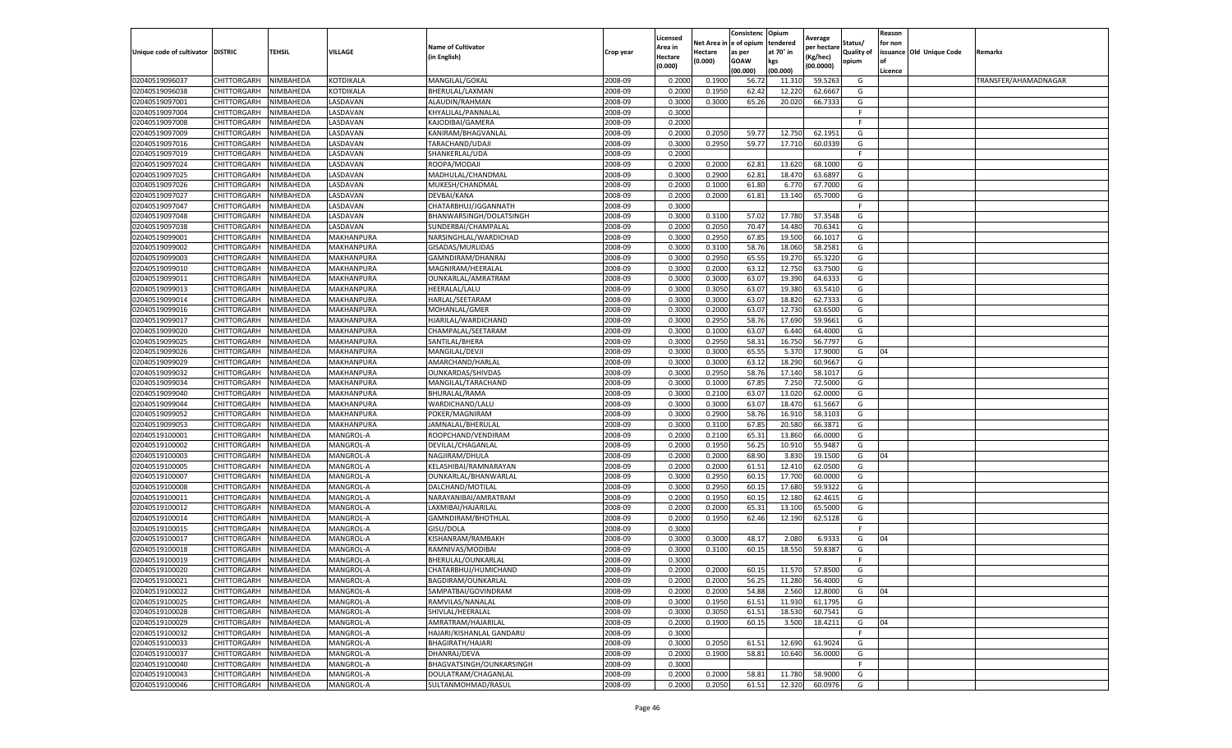|                                   |             |           |                   |                           |                    | Licensed         |            | Consistenc     | Opium     | Average     |                   | Reason  |                          |                      |
|-----------------------------------|-------------|-----------|-------------------|---------------------------|--------------------|------------------|------------|----------------|-----------|-------------|-------------------|---------|--------------------------|----------------------|
|                                   |             |           |                   | <b>Name of Cultivator</b> |                    | Area in          | Net Area i | e of opium     | tendered  | per hectarı | Status/           | for non |                          |                      |
| Unique code of cultivator DISTRIC |             | TEHSIL    | VILLAGE           | (in English)              | Crop year          | Hectare          | Hectare    | as per         | at 70° in | (Kg/hec)    | <b>Quality of</b> |         | issuance Old Unique Code | <b>Remarks</b>       |
|                                   |             |           |                   |                           |                    | (0.000)          | (0.000)    | <b>GOAW</b>    | kgs       | (00.0000)   | opium             |         |                          |                      |
|                                   |             |           |                   |                           |                    |                  |            | (00.000)       | (00.000)  |             |                   | Licence |                          |                      |
| 02040519096037                    | CHITTORGARH | NIMBAHEDA | KOTDIKALA         | MANGILAL/GOKAL            | 2008-09            | 0.2000           | 0.1900     | 56.7           | 11.31     | 59.5263     | G                 |         |                          | TRANSFER/AHAMADNAGAR |
| 02040519096038                    | CHITTORGARH | NIMBAHEDA | KOTDIKALA         | BHERULAL/LAXMAN           | 2008-09            | 0.200            | 0.1950     | 62.42          | 12.22     | 62.6667     | G                 |         |                          |                      |
| 02040519097001                    | CHITTORGARH | NIMBAHEDA | LASDAVAN          | ALAUDIN/RAHMAN            | 2008-09            | 0.3000           | 0.3000     | 65.26          | 20.020    | 66.7333     | G                 |         |                          |                      |
| 02040519097004                    | CHITTORGARH | NIMBAHEDA | LASDAVAN          | KHYALILAL/PANNALAL        | 2008-09            | 0.3000           |            |                |           |             | F.                |         |                          |                      |
| 02040519097008                    | CHITTORGARH | NIMBAHEDA | LASDAVAN          | KAJODIBAI/GAMERA          | 2008-09            | 0.2000           |            |                |           |             | F                 |         |                          |                      |
| 02040519097009                    | CHITTORGARH | NIMBAHEDA | LASDAVAN          | KANIRAM/BHAGVANLAL        | 2008-09            | 0.2000           | 0.2050     | 59.77          | 12.750    | 62.1951     | G                 |         |                          |                      |
| 02040519097016                    | CHITTORGARH | NIMBAHEDA | LASDAVAN          | TARACHAND/UDAJI           | 2008-09            | 0.3000           | 0.2950     | 59.77          | 17.710    | 60.0339     | G                 |         |                          |                      |
| 02040519097019                    | CHITTORGARH | NIMBAHEDA | LASDAVAN          | SHANKERLAL/UDA            | 2008-09            | 0.200            |            |                |           |             | F.                |         |                          |                      |
| 02040519097024                    | CHITTORGARH | NIMBAHEDA | LASDAVAN          | ROOPA/MODAJI              | 2008-09            | 0.2000           | 0.2000     | 62.81          | 13.620    | 68.1000     | G                 |         |                          |                      |
| 02040519097025                    | CHITTORGARH | NIMBAHEDA | LASDAVAN          | MADHULAL/CHANDMAL         | 2008-09            | 0.3000           | 0.2900     | 62.81          | 18.470    | 63.6897     | G                 |         |                          |                      |
| 02040519097026                    | CHITTORGARH | NIMBAHEDA | LASDAVAN          | MUKESH/CHANDMAL           | 2008-09            | 0.2000           | 0.1000     | 61.80          | 6.770     | 67.7000     | G                 |         |                          |                      |
| 02040519097027                    | CHITTORGARH | NIMBAHEDA | LASDAVAN          | DEVBAI/KANA               | 2008-09            | 0.2000           | 0.2000     | 61.81          | 13.140    | 65.7000     | G                 |         |                          |                      |
| 02040519097047                    | CHITTORGARH | NIMBAHEDA | LASDAVAN          | CHATARBHUJ/JGGANNATH      | 2008-09            | 0.3000           |            |                |           |             | F                 |         |                          |                      |
| 02040519097048                    | CHITTORGARH | NIMBAHEDA | LASDAVAN          | BHANWARSINGH/DOLATSINGH   | 2008-09            | 0.3000           | 0.310      | 57.02          | 17.780    | 57.3548     | G                 |         |                          |                      |
| 02040519097038                    | CHITTORGARH | NIMBAHEDA | LASDAVAN          | SUNDERBAI/CHAMPALAL       | 2008-09            | 0.2000           | 0.2050     | 70.47          | 14.480    | 70.6341     | G                 |         |                          |                      |
| 02040519099001                    | CHITTORGARH | NIMBAHEDA | MAKHANPURA        | NARSINGHLAL/WARDICHAD     | 2008-09            | 0.3000           | 0.2950     | 67.85          | 19.500    | 66.1017     | G                 |         |                          |                      |
| 02040519099002                    | CHITTORGARH | NIMBAHEDA | MAKHANPURA        | GISADAS/MURLIDAS          | 2008-09            | 0.3000           | 0.3100     | 58.76          | 18.060    | 58.2581     | G                 |         |                          |                      |
| 02040519099003                    | CHITTORGARH | NIMBAHEDA | MAKHANPURA        | GAMNDIRAM/DHANRAJ         | 2008-09            | 0.3000           | 0.2950     | 65.55          | 19.27     | 65.3220     | G                 |         |                          |                      |
| 02040519099010                    | CHITTORGARH | NIMBAHEDA | MAKHANPURA        | MAGNIRAM/HEERALAL         | 2008-09            | 0.3000           | 0.2000     | 63.12          | 12.750    | 63.7500     | G                 |         |                          |                      |
| 02040519099011                    | CHITTORGARH | NIMBAHEDA | MAKHANPURA        | OUNKARLAL/AMRATRAM        | 2008-09            | 0.3000           | 0.3000     | 63.07          | 19.39     | 64.6333     | G                 |         |                          |                      |
| 02040519099013                    | CHITTORGARH | NIMBAHEDA | MAKHANPURA        | HEERALAL/LALU             | 2008-09            | 0.3000           | 0.3050     | 63.07          | 19.380    | 63.5410     | G                 |         |                          |                      |
| 02040519099014                    | CHITTORGARH | NIMBAHEDA | MAKHANPURA        | HARLAL/SEETARAM           | 2008-09            | 0.3000           | 0.3000     | 63.07          | 18.82     | 62.7333     | G                 |         |                          |                      |
| 02040519099016                    | CHITTORGARH | NIMBAHEDA | MAKHANPURA        | MOHANLAL/GMER             | 2008-09            | 0.3000           | 0.2000     | 63.07          | 12.730    | 63.6500     | G                 |         |                          |                      |
| 02040519099017                    | CHITTORGARH | NIMBAHEDA | MAKHANPURA        | HJARILAL/WARDICHAND       | 2008-09            | 0.3000           | 0.2950     | 58.76          | 17.690    | 59.9661     | G                 |         |                          |                      |
| 02040519099020                    | CHITTORGARH | NIMBAHEDA | <b>MAKHANPURA</b> | CHAMPALAL/SEETARAM        | 2008-09            | 0.3000           | 0.1000     | 63.07          | 6.440     | 64.4000     | G                 |         |                          |                      |
| 02040519099025                    | CHITTORGARH | NIMBAHEDA | MAKHANPURA        | SANTILAL/BHERA            | 2008-09            | 0.3000           | 0.2950     | 58.31          | 16.750    | 56.7797     | G                 |         |                          |                      |
| 02040519099026                    | CHITTORGARH | NIMBAHEDA | MAKHANPURA        | MANGILAL/DEVJI            | 2008-09            | 0.3000           | 0.3000     | 65.5           | 5.370     | 17.9000     | G                 | 04      |                          |                      |
| 02040519099029                    | CHITTORGARH | NIMBAHEDA | MAKHANPURA        | AMARCHAND/HARLAL          | 2008-09            | 0.3000           | 0.3000     | 63.12          | 18.290    | 60.9667     | G                 |         |                          |                      |
| 02040519099032                    | CHITTORGARH | NIMBAHEDA | MAKHANPURA        | OUNKARDAS/SHIVDAS         | 2008-09            | 0.3000           | 0.2950     | 58.76          | 17.140    | 58.1017     | G                 |         |                          |                      |
| 02040519099034                    | CHITTORGARH | NIMBAHEDA | MAKHANPURA        | MANGILAL/TARACHAND        | 2008-09            | 0.3000           | 0.1000     | 67.85          | 7.250     | 72.5000     | G                 |         |                          |                      |
| 02040519099040                    | CHITTORGARH | NIMBAHEDA | MAKHANPURA        | BHURALAL/RAMA             | 2008-09            | 0.3000           | 0.2100     | 63.07          | 13.020    | 62.0000     | G                 |         |                          |                      |
| 02040519099044                    | CHITTORGARH | NIMBAHEDA | MAKHANPURA        | WARDICHAND/LALU           | 2008-09            | 0.3000           | 0.3000     | 63.07          | 18.470    | 61.5667     | G                 |         |                          |                      |
| 02040519099052                    | CHITTORGARH | NIMBAHEDA | MAKHANPURA        | POKER/MAGNIRAM            | 2008-09            | 0.300            | 0.2900     | 58.76          | 16.91     | 58.3103     | G                 |         |                          |                      |
| 02040519099053                    | CHITTORGARH | NIMBAHEDA | MAKHANPURA        | JAMNALAL/BHERULAL         | 2008-09            | 0.3000           | 0.3100     | 67.85          | 20.580    | 66.3871     | G                 |         |                          |                      |
| 02040519100001                    | CHITTORGARH | NIMBAHEDA | MANGROL-A         | ROOPCHAND/VENDIRAM        | 2008-09            | 0.2000           | 0.2100     | 65.31          | 13.860    | 66.0000     | G                 |         |                          |                      |
| 02040519100002                    | CHITTORGARH | NIMBAHEDA | MANGROL-A         | DEVILAL/CHAGANLAL         | 2008-09            | 0.2000           | 0.1950     | 56.25          | 10.910    | 55.9487     | G                 |         |                          |                      |
| 02040519100003                    | CHITTORGARH | NIMBAHEDA | MANGROL-A         | NAGJIRAM/DHULA            | 2008-09            | 0.2000           | 0.2000     | 68.90          | 3.830     | 19.1500     | G                 | 04      |                          |                      |
| 02040519100005                    | CHITTORGARH | NIMBAHEDA | MANGROL-A         | KELASHIBAI/RAMNARAYAN     | 2008-09            | 0.2000           | 0.2000     | 61.51          | 12.410    | 62.0500     | G                 |         |                          |                      |
| 02040519100007                    | CHITTORGARH | NIMBAHEDA | MANGROL-A         | OUNKARLAL/BHANWARLAL      | 2008-09            | 0.3000           | 0.2950     | 60.1           | 17.700    | 60.0000     | G                 |         |                          |                      |
| 02040519100008                    | CHITTORGARH | NIMBAHEDA | MANGROL-A         | DALCHAND/MOTILAL          | 2008-09            | 0.3000           | 0.2950     | 60.15          | 17.680    | 59.9322     | G                 |         |                          |                      |
| 02040519100011                    | CHITTORGARH | NIMBAHEDA | MANGROL-A         | NARAYANIBAI/AMRATRAM      | 2008-09            | 0.2000           | 0.1950     | 60.1           | 12.180    | 62.461      | G                 |         |                          |                      |
| 02040519100012                    | CHITTORGARH | NIMBAHEDA | MANGROL-A         | LAXMIBAI/HAJARILAL        | 2008-09            | 0.2000           | 0.2000     | 65.31          | 13.100    | 65.5000     | G                 |         |                          |                      |
| 02040519100014                    | CHITTORGARH | NIMBAHEDA | MANGROL-A         | GAMNDIRAM/BHOTHLAI        | 2008-09            | 0.2000           | 0.1950     | 62.46          | 12.190    | 62.5128     | G                 |         |                          |                      |
| 02040519100015                    | CHITTORGARH | NIMBAHEDA | MANGROL-A         | GISU/DOLA                 | 2008-09            | 0.3000           |            |                |           |             |                   |         |                          |                      |
| 02040519100017                    | CHITTORGARH | NIMBAHEDA | MANGROL-A         | KISHANRAM/RAMBAKH         | 2008-09            | 0.3000           | 0.3000     | 48.17          | 2.080     | 6.9333      | G                 | 04      |                          |                      |
| 02040519100018                    | CHITTORGARH | NIMBAHEDA | MANGROL-A         | RAMNIVAS/MODIBAI          | 2008-09            | 0.300            | 0.3100     | 60.1           | 18.550    | 59.8387     | G                 |         |                          |                      |
| 02040519100019                    | CHITTORGARH | NIMBAHEDA | MANGROL-A         | BHERULAL/OUNKARLAL        | 2008-09            | 0.3000           |            |                |           |             | F                 |         |                          |                      |
|                                   |             |           |                   |                           |                    |                  |            |                |           |             |                   |         |                          |                      |
| 02040519100020                    | CHITTORGARH | NIMBAHEDA | MANGROL-A         | CHATARBHUJ/HUMICHAND      | 2008-09            | 0.2000           | 0.2000     | 60.15          | 11.570    | 57.8500     | G                 |         |                          |                      |
| 02040519100021<br>02040519100022  | CHITTORGARH | NIMBAHEDA | MANGROL-A         | BAGDIRAM/OUNKARLAL        | 2008-09<br>2008-09 | 0.2000<br>0.2000 | 0.2000     | 56.25<br>54.88 | 11.280    | 56.4000     | G                 | 04      |                          |                      |
|                                   | CHITTORGARH | NIMBAHEDA | MANGROL-A         | SAMPATBAI/GOVINDRAM       |                    |                  | 0.2000     |                | 2.560     | 12.8000     | G                 |         |                          |                      |
| 02040519100025                    | CHITTORGARH | NIMBAHEDA | MANGROL-A         | RAMVILAS/NANALAL          | 2008-09            | 0.3000           | 0.1950     | 61.51          | 11.930    | 61.1795     | G                 |         |                          |                      |
| 02040519100028                    | CHITTORGARH | NIMBAHEDA | MANGROL-A         | SHIVLAL/HEERALAL          | 2008-09            | 0.3000           | 0.3050     | 61.51          | 18.530    | 60.7541     | G                 |         |                          |                      |
| 02040519100029                    | CHITTORGARH | NIMBAHEDA | MANGROL-A         | AMRATRAM/HAJARILAL        | 2008-09            | 0.2000           | 0.1900     | 60.15          | 3.500     | 18.4211     | G                 | 04      |                          |                      |
| 02040519100032                    | CHITTORGARH | NIMBAHEDA | MANGROL-A         | HAJARI/KISHANLAL GANDARU  | 2008-09            | 0.3000           |            |                |           |             | F.                |         |                          |                      |
| 02040519100033                    | CHITTORGARH | NIMBAHEDA | MANGROL-A         | BHAGIRATH/HAJARI          | 2008-09            | 0.3000           | 0.2050     | 61.51          | 12.690    | 61.9024     | G                 |         |                          |                      |
| 02040519100037                    | CHITTORGARH | NIMBAHEDA | MANGROL-A         | DHANRAJ/DEVA              | 2008-09            | 0.2000           | 0.1900     | 58.81          | 10.640    | 56.0000     | G                 |         |                          |                      |
| 02040519100040                    | CHITTORGARH | NIMBAHEDA | MANGROL-A         | BHAGVATSINGH/OUNKARSINGH  | 2008-09            | 0.3000           |            |                |           |             | F.                |         |                          |                      |
| 02040519100043                    | CHITTORGARH | NIMBAHEDA | MANGROL-A         | DOULATRAM/CHAGANLAL       | 2008-09            | 0.2000           | 0.2000     | 58.81          | 11.780    | 58.9000     | G                 |         |                          |                      |
| 02040519100046                    | CHITTORGARH | NIMBAHEDA | MANGROL-A         | SULTANMOHMAD/RASUL        | 2008-09            | 0.2000           | 0.2050     | 61.51          | 12.320    | 60.0976     | G                 |         |                          |                      |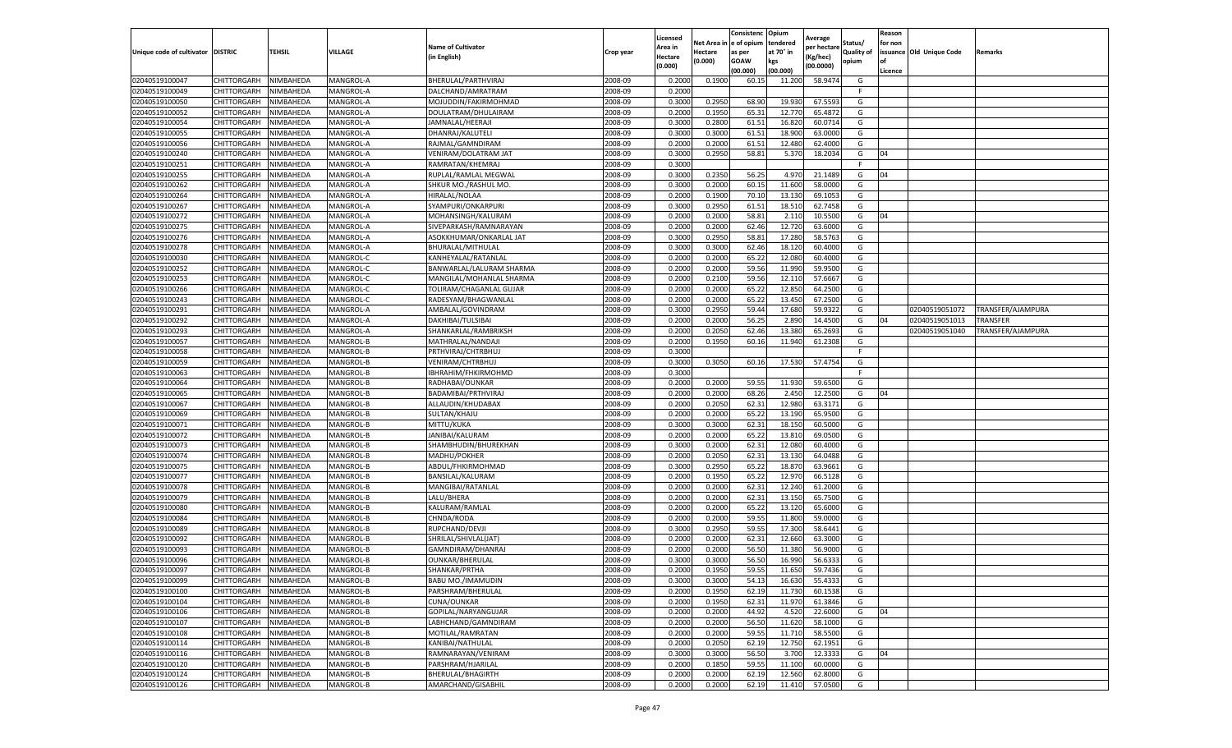|                                   |                    |           |                  |                           |           | Licensed |         | Consistenc             | Opium     |                        |                   | Reason  |                          |                   |
|-----------------------------------|--------------------|-----------|------------------|---------------------------|-----------|----------|---------|------------------------|-----------|------------------------|-------------------|---------|--------------------------|-------------------|
|                                   |                    |           |                  | <b>Name of Cultivator</b> |           | Area in  |         | Net Area in e of opium | tendered  | Average<br>per hectare | Status/           | for non |                          |                   |
| Unique code of cultivator DISTRIC |                    | TEHSIL    | VILLAGE          | in English)               | Crop year | Hectare  | Hectare | as per                 | at 70° in | (Kg/hec                | <b>Quality of</b> |         | issuance Old Unique Code | <b>Remarks</b>    |
|                                   |                    |           |                  |                           |           | (0.000)  | (0.000) | <b>GOAW</b>            | kgs       | (00.0000)              | opium             |         |                          |                   |
|                                   |                    |           |                  |                           |           |          |         | (00.000)               | (00.000)  |                        |                   | Licence |                          |                   |
| 02040519100047                    | CHITTORGARH        | NIMBAHEDA | MANGROL-A        | BHERULAL/PARTHVIRAJ       | 2008-09   | 0.2000   | 0.1900  | 60.1                   | 11.200    | 58.9474                | G                 |         |                          |                   |
| 02040519100049                    | CHITTORGARH        | NIMBAHEDA | MANGROL-A        | DALCHAND/AMRATRAM         | 2008-09   | 0.2000   |         |                        |           |                        | F.                |         |                          |                   |
| 02040519100050                    | CHITTORGARH        | NIMBAHEDA | MANGROL-A        | MOJUDDIN/FAKIRMOHMAD      | 2008-09   | 0.3000   | 0.2950  | 68.90                  | 19.930    | 67.5593                | G                 |         |                          |                   |
| 02040519100052                    | CHITTORGARH        | NIMBAHEDA | MANGROL-A        | DOULATRAM/DHULAIRAM       | 2008-09   | 0.2000   | 0.1950  | 65.31                  | 12.770    | 65.4872                | G                 |         |                          |                   |
| 02040519100054                    | <b>CHITTORGARH</b> | NIMBAHEDA | MANGROL-A        | JAMNALAL/HEERAJI          | 2008-09   | 0.3000   | 0.2800  | 61.51                  | 16.82     | 60.0714                | G                 |         |                          |                   |
| 02040519100055                    | CHITTORGARH        | NIMBAHEDA | MANGROL-A        | DHANRAJ/KALUTELI          | 2008-09   | 0.3000   | 0.3000  | 61.51                  | 18.90     | 63.0000                | G                 |         |                          |                   |
| 02040519100056                    | CHITTORGARH        | NIMBAHEDA | MANGROL-A        | RAJMAL/GAMNDIRAM          | 2008-09   | 0.2000   | 0.2000  | 61.51                  | 12.480    | 62.4000                | G                 |         |                          |                   |
| 02040519100240                    | CHITTORGARH        | NIMBAHEDA | MANGROL-A        | VENIRAM/DOLATRAM JAT      | 2008-09   | 0.3000   | 0.2950  | 58.81                  | 5.370     | 18.2034                | G                 | 04      |                          |                   |
| 02040519100251                    | CHITTORGARH        | NIMBAHEDA | MANGROL-A        | RAMRATAN/KHEMRAJ          | 2008-09   | 0.3000   |         |                        |           |                        | F                 |         |                          |                   |
| 02040519100255                    | CHITTORGARH        | NIMBAHEDA | MANGROL-A        | RUPLAL/RAMLAL MEGWAL      | 2008-09   | 0.3000   | 0.2350  | 56.25                  | 4.970     | 21.1489                | G                 | 04      |                          |                   |
| 02040519100262                    | CHITTORGARH        | NIMBAHEDA | MANGROL-A        | SHKUR MO./RASHUL MO.      | 2008-09   | 0.3000   | 0.2000  | 60.15                  | 11.600    | 58.0000                | G                 |         |                          |                   |
| 02040519100264                    | CHITTORGARH        | NIMBAHEDA | MANGROL-A        | HIRALAL/NOLAA             | 2008-09   | 0.2000   | 0.1900  | 70.10                  | 13.13     | 69.1053                | G                 |         |                          |                   |
| 02040519100267                    | CHITTORGARH        | NIMBAHEDA | MANGROL-A        | SYAMPURI/ONKARPURI        | 2008-09   | 0.3000   | 0.2950  | 61.51                  | 18.51     | 62.7458                | G                 |         |                          |                   |
| 02040519100272                    | CHITTORGARH        | NIMBAHEDA | MANGROL-A        | MOHANSINGH/KALURAM        | 2008-09   | 0.2000   | 0.2000  | 58.81                  | 2.11(     | 10.5500                | G                 | 04      |                          |                   |
| 02040519100275                    | CHITTORGARH        | NIMBAHEDA | MANGROL-A        | SIVEPARKASH/RAMNARAYAN    | 2008-09   | 0.2000   | 0.2000  | 62.46                  | 12.720    | 63.6000                | G                 |         |                          |                   |
| 02040519100276                    | CHITTORGARH        | NIMBAHEDA | MANGROL-A        | ASOKKHUMAR/ONKARLAL JAT   | 2008-09   | 0.3000   | 0.2950  | 58.81                  | 17.280    | 58.5763                | G                 |         |                          |                   |
| 02040519100278                    | CHITTORGARH        | NIMBAHEDA | MANGROL-A        | BHURALAL/MITHULAL         | 2008-09   | 0.3000   | 0.3000  | 62.46                  | 18.12     | 60.4000                | G                 |         |                          |                   |
| 02040519100030                    | CHITTORGARH        | NIMBAHEDA | MANGROL-C        | KANHEYALAL/RATANLAL       | 2008-09   | 0.2000   | 0.2000  | 65.22                  | 12.08     | 60.4000                | G                 |         |                          |                   |
| 02040519100252                    | CHITTORGARH        | NIMBAHEDA | MANGROL-C        | BANWARLAL/LALURAM SHARMA  | 2008-09   | 0.2000   | 0.2000  | 59.56                  | 11.99     | 59.9500                | G                 |         |                          |                   |
| 02040519100253                    | CHITTORGARH        | NIMBAHEDA | MANGROL-C        | MANGILAL/MOHANLAL SHARMA  | 2008-09   | 0.2000   | 0.2100  | 59.56                  | 12.11     | 57.6667                | G                 |         |                          |                   |
| 02040519100266                    | CHITTORGARH        | NIMBAHEDA | MANGROL-C        | TOLIRAM/CHAGANLAL GUJAR   | 2008-09   | 0.2000   | 0.2000  | 65.22                  | 12.850    | 64.2500                | G                 |         |                          |                   |
| 02040519100243                    | CHITTORGARH        | NIMBAHEDA | MANGROL-C        | RADESYAM/BHAGWANLAL       | 2008-09   | 0.2000   | 0.2000  | 65.22                  | 13.450    | 67.2500                | G                 |         |                          |                   |
| 02040519100291                    | CHITTORGARH        | NIMBAHEDA | MANGROL-A        | AMBALAL/GOVINDRAM         | 2008-09   | 0.3000   | 0.2950  | 59.44                  | 17.680    | 59.9322                | G                 |         | 02040519051072           | TRANSFER/AJAMPURA |
| 02040519100292                    | CHITTORGARH        | NIMBAHEDA | MANGROL-A        | DAKHIBAI/TULSIBAI         | 2008-09   | 0.2000   | 0.2000  | 56.25                  | 2.89      | 14.4500                | G                 | 04      | 02040519051013           | <b>TRANSFER</b>   |
| 02040519100293                    | CHITTORGARH        | NIMBAHEDA | MANGROL-A        | SHANKARLAL/RAMBRIKSH      | 2008-09   | 0.2000   | 0.2050  | 62.46                  | 13.38     | 65.2693                | G                 |         | 02040519051040           | TRANSFER/AJAMPURA |
| 02040519100057                    | CHITTORGARH        | NIMBAHEDA | MANGROL-B        | MATHRALAL/NANDAJI         | 2008-09   | 0.2000   | 0.1950  | 60.16                  | 11.940    | 61.2308                | G                 |         |                          |                   |
| 02040519100058                    | CHITTORGARH        | NIMBAHEDA | MANGROL-B        | PRTHVIRAJ/CHTRBHUJ        | 2008-09   | 0.3000   |         |                        |           |                        | F                 |         |                          |                   |
| 02040519100059                    | CHITTORGARH        | NIMBAHEDA | MANGROL-B        | VENIRAM/CHTRBHUJ          | 2008-09   | 0.3000   | 0.3050  | 60.16                  | 17.530    | 57.4754                | G                 |         |                          |                   |
| 02040519100063                    | CHITTORGARH        | NIMBAHEDA | MANGROL-B        | IBHRAHIM/FHKIRMOHMD       | 2008-09   | 0.3000   |         |                        |           |                        | F.                |         |                          |                   |
| 02040519100064                    | CHITTORGARH        | NIMBAHEDA | MANGROL-B        | RADHABAI/OUNKAR           | 2008-09   | 0.2000   | 0.2000  | 59.55                  | 11.93     | 59.6500                | G                 |         |                          |                   |
| 02040519100065                    | CHITTORGARH        | NIMBAHEDA | MANGROL-B        | BADAMIBAI/PRTHVIRAJ       | 2008-09   | 0.2000   | 0.2000  | 68.26                  | 2.45      | 12.2500                | G                 | 04      |                          |                   |
| 02040519100067                    | CHITTORGARH        | NIMBAHEDA | MANGROL-B        | ALLAUDIN/KHUDABAX         | 2008-09   | 0.2000   | 0.2050  | 62.31                  | 12.980    | 63.3171                | G                 |         |                          |                   |
| 02040519100069                    | CHITTORGARH        | NIMBAHEDA | MANGROL-B        | SULTAN/KHAJU              | 2008-09   | 0.2000   | 0.2000  | 65.22                  | 13.19     | 65.9500                | G                 |         |                          |                   |
| 02040519100071                    | CHITTORGARH        | NIMBAHEDA | MANGROL-B        | MITTU/KUKA                | 2008-09   | 0.3000   | 0.3000  | 62.31                  | 18.15     | 60.5000                | G                 |         |                          |                   |
| 02040519100072                    | CHITTORGARH        | NIMBAHEDA | MANGROL-B        | JANIBAI/KALURAM           | 2008-09   | 0.2000   | 0.2000  | 65.22                  | 13.81     | 69.0500                | G                 |         |                          |                   |
| 02040519100073                    | CHITTORGARH        | NIMBAHEDA | MANGROL-B        | SHAMBHUDIN/BHUREKHAN      | 2008-09   | 0.3000   | 0.2000  | 62.31                  | 12.08     | 60.4000                | G                 |         |                          |                   |
| 02040519100074                    | CHITTORGARH        | NIMBAHEDA | MANGROL-B        | MADHU/POKHER              | 2008-09   | 0.2000   | 0.2050  | 62.31                  | 13.13     | 64.0488                | G                 |         |                          |                   |
| 02040519100075                    | CHITTORGARH        | NIMBAHEDA | <b>MANGROL-B</b> | ABDUL/FHKIRMOHMAD         | 2008-09   | 0.3000   | 0.2950  | 65.22                  | 18.87     | 63.9661                | G                 |         |                          |                   |
| 02040519100077                    | CHITTORGARH        | NIMBAHEDA | MANGROL-B        | <b>BANSILAL/KALURAM</b>   | 2008-09   | 0.2000   | 0.1950  | 65.22                  | 12.97     | 66.5128                | G                 |         |                          |                   |
| 02040519100078                    | CHITTORGARH        | NIMBAHEDA | MANGROL-B        | MANGIBAI/RATANLAL         | 2008-09   | 0.2000   | 0.2000  | 62.31                  | 12.24     | 61.2000                | G                 |         |                          |                   |
| 02040519100079                    | CHITTORGARH        | NIMBAHEDA | MANGROL-B        | LALU/BHERA                | 2008-09   | 0.2000   | 0.2000  | 62.31                  | 13.15     | 65.7500                | G                 |         |                          |                   |
| 02040519100080                    | CHITTORGARH        | NIMBAHEDA | MANGROL-B        | KALURAM/RAMLAL            | 2008-09   | 0.2000   | 0.2000  | 65.22                  | 13.12     | 65.6000                | G                 |         |                          |                   |
| 02040519100084                    | CHITTORGARH        | NIMBAHEDA | MANGROL-B        | CHNDA/RODA                | 2008-09   | 0.2000   | 0.2000  | 59.55                  | 11.80     | 59.0000                | G                 |         |                          |                   |
| 02040519100089                    | CHITTORGARH        | NIMBAHEDA | MANGROL-B        | RUPCHAND/DEVJI            | 2008-09   | 0.3000   | 0.2950  | 59.55                  | 17.30     | 58.6441                | G                 |         |                          |                   |
| 02040519100092                    | CHITTORGARH        | NIMBAHEDA | MANGROL-B        | SHRILAL/SHIVLAL(JAT)      | 2008-09   | 0.2000   | 0.2000  | 62.31                  | 12.660    | 63.3000                | G                 |         |                          |                   |
| 02040519100093                    | CHITTORGARH        | NIMBAHEDA | MANGROL-B        | GAMNDIRAM/DHANRAJ         | 2008-09   | 0.2000   | 0.2000  | 56.50                  | 11.38     | 56.9000                | G                 |         |                          |                   |
| 02040519100096                    | CHITTORGARH        | NIMBAHEDA | MANGROL-B        | OUNKAR/BHERULAL           | 2008-09   | 0.3000   | 0.3000  | 56.50                  | 16.990    | 56.6333                | G                 |         |                          |                   |
| 02040519100097                    | CHITTORGARH        | NIMBAHEDA | MANGROL-B        | SHANKAR/PRTHA             | 2008-09   | 0.2000   | 0.1950  | 59.55                  | 11.650    | 59.7436                | G                 |         |                          |                   |
| 02040519100099                    | CHITTORGARH        | NIMBAHEDA | MANGROL-B        | <b>BABU MO./IMAMUDIN</b>  | 2008-09   | 0.3000   | 0.3000  | 54.13                  | 16.630    | 55.4333                | G                 |         |                          |                   |
| 02040519100100                    | CHITTORGARH        | NIMBAHEDA | MANGROL-B        | PARSHRAM/BHERULAL         | 2008-09   | 0.2000   | 0.1950  | 62.19                  | 11.730    | 60.1538                | G                 |         |                          |                   |
| 02040519100104                    | CHITTORGARH        | NIMBAHEDA | MANGROL-B        | CUNA/OUNKAR               | 2008-09   | 0.2000   | 0.1950  | 62.31                  | 11.970    | 61.3846                | G                 |         |                          |                   |
| 02040519100106                    | <b>CHITTORGARH</b> | NIMBAHEDA | MANGROL-B        | GOPILAL/NARYANGUJAR       | 2008-09   | 0.2000   | 0.2000  | 44.92                  | 4.520     | 22.6000                | G                 | 04      |                          |                   |
| 02040519100107                    | <b>CHITTORGARH</b> | NIMBAHEDA | MANGROL-B        | LABHCHAND/GAMNDIRAM       | 2008-09   | 0.2000   | 0.2000  | 56.50                  | 11.620    | 58.1000                | G                 |         |                          |                   |
| 02040519100108                    | <b>CHITTORGARH</b> | NIMBAHEDA | MANGROL-B        | MOTILAL/RAMRATAN          | 2008-09   | 0.2000   | 0.2000  | 59.55                  | 11.710    | 58.5500                | G                 |         |                          |                   |
| 02040519100114                    | CHITTORGARH        | NIMBAHEDA | MANGROL-B        | KANIBAI/NATHULAL          | 2008-09   | 0.2000   | 0.2050  | 62.19                  | 12.750    | 62.1951                | G                 |         |                          |                   |
| 02040519100116                    | CHITTORGARH        | NIMBAHEDA | MANGROL-B        | RAMNARAYAN/VENIRAM        | 2008-09   | 0.3000   | 0.3000  | 56.50                  | 3.700     | 12.3333                | G                 | 04      |                          |                   |
| 02040519100120                    | CHITTORGARH        | NIMBAHEDA | MANGROL-B        | PARSHRAM/HJARILAL         | 2008-09   | 0.2000   | 0.1850  | 59.55                  | 11.100    | 60.0000                | G                 |         |                          |                   |
| 02040519100124                    | <b>CHITTORGARH</b> | NIMBAHEDA | MANGROL-B        | BHERULAL/BHAGIRTH         | 2008-09   | 0.2000   | 0.2000  | 62.19                  | 12.560    | 62.8000                | G                 |         |                          |                   |
|                                   |                    |           |                  | AMARCHAND/GISABHIL        | 2008-09   |          |         |                        |           |                        |                   |         |                          |                   |
| 02040519100126                    | <b>CHITTORGARH</b> | NIMBAHEDA | MANGROL-B        |                           |           | 0.2000   | 0.2000  | 62.19                  | 11.410    | 57.0500                | G                 |         |                          |                   |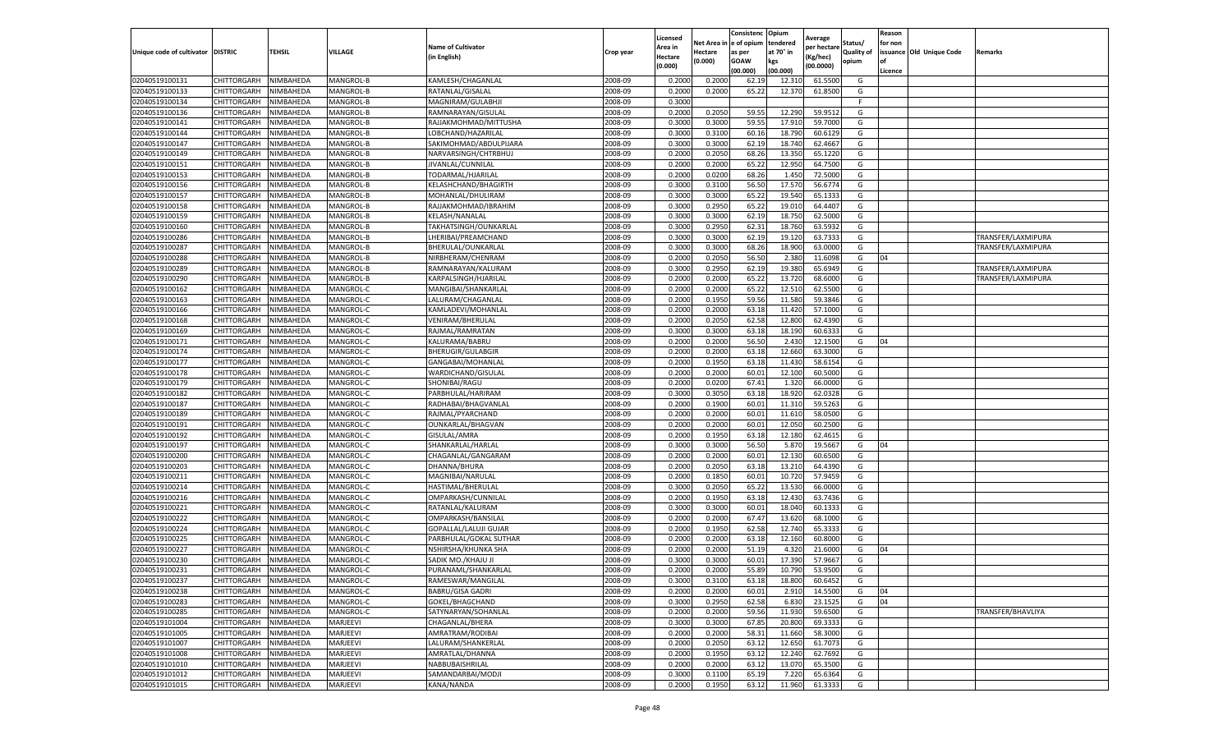|                           |                    |           |                  |                              |           | Licensed |         | Consistenc             | Opium     | Average     |                   | Reason  |                          |                    |
|---------------------------|--------------------|-----------|------------------|------------------------------|-----------|----------|---------|------------------------|-----------|-------------|-------------------|---------|--------------------------|--------------------|
|                           |                    |           |                  | <b>Name of Cultivator</b>    |           | Area in  |         | Net Area in e of opium | tendered  | per hectare | Status/           | for non |                          |                    |
| Unique code of cultivator | <b>DISTRIC</b>     | TEHSIL    | VILLAGE          | in English)                  | Crop year | Hectare  | Hectare | as per                 | at 70° in | (Kg/hec     | <b>Quality of</b> |         | issuance Old Unique Code | <b>Remarks</b>     |
|                           |                    |           |                  |                              |           | (0.000)  | (0.000) | <b>GOAW</b>            | kgs       | (00.0000)   | opium             |         |                          |                    |
|                           |                    |           |                  |                              |           |          |         | (00.000)               | (00.000)  |             |                   | Licence |                          |                    |
| 02040519100131            | CHITTORGARH        | NIMBAHEDA | MANGROL-B        | KAMLESH/CHAGANLAL            | 2008-09   | 0.2000   | 0.2000  | 62.19                  | 12.31     | 61.5500     | G                 |         |                          |                    |
| 02040519100133            | CHITTORGARH        | NIMBAHEDA | MANGROL-B        | RATANLAL/GISALAL             | 2008-09   | 0.2000   | 0.2000  | 65.22                  | 12.37     | 61.8500     | G                 |         |                          |                    |
| 02040519100134            | CHITTORGARH        | NIMBAHEDA | MANGROL-B        | MAGNIRAM/GULABHJI            | 2008-09   | 0.3000   |         |                        |           |             | F.                |         |                          |                    |
| 02040519100136            | CHITTORGARH        | NIMBAHEDA | MANGROL-B        | RAMNARAYAN/GISULAL           | 2008-09   | 0.2000   | 0.2050  | 59.55                  | 12.290    | 59.9512     | G                 |         |                          |                    |
| 02040519100141            | CHITTORGARH        | NIMBAHEDA | MANGROL-B        | RAJJAKMOHMAD/MITTUSHA        | 2008-09   | 0.3000   | 0.3000  | 59.55                  | 17.91     | 59.7000     | G                 |         |                          |                    |
| 02040519100144            | CHITTORGARH        | NIMBAHEDA | MANGROL-B        | LOBCHAND/HAZARILAI           | 2008-09   | 0.3000   | 0.3100  | 60.16                  | 18.790    | 60.6129     | G                 |         |                          |                    |
| 02040519100147            | CHITTORGARH        | NIMBAHEDA | MANGROL-B        | SAKIMOHMAD/ABDULPIJARA       | 2008-09   | 0.3000   | 0.3000  | 62.19                  | 18.74     | 62.4667     | G                 |         |                          |                    |
| 02040519100149            | CHITTORGARH        | NIMBAHEDA | MANGROL-B        | NARVARSINGH/CHTRBHUJ         | 2008-09   | 0.2000   | 0.2050  | 68.26                  | 13.35     | 65.1220     | G                 |         |                          |                    |
| 02040519100151            | CHITTORGARH        | NIMBAHEDA | MANGROL-B        | JIVANLAL/CUNNILAL            | 2008-09   | 0.2000   | 0.2000  | 65.22                  | 12.950    | 64.7500     | G                 |         |                          |                    |
| 02040519100153            | CHITTORGARH        | NIMBAHEDA | MANGROL-B        | TODARMAL/HJARILAL            | 2008-09   | 0.2000   | 0.0200  | 68.26                  | 1.450     | 72.5000     | G                 |         |                          |                    |
| 02040519100156            | CHITTORGARH        | NIMBAHEDA | MANGROL-B        | KELASHCHAND/BHAGIRTH         | 2008-09   | 0.3000   | 0.3100  | 56.50                  | 17.57     | 56.6774     | G                 |         |                          |                    |
| 02040519100157            | CHITTORGARH        | NIMBAHEDA | MANGROL-B        | MOHANLAL/DHULIRAM            | 2008-09   | 0.3000   | 0.3000  | 65.22                  | 19.54     | 65.1333     | G                 |         |                          |                    |
| 02040519100158            | CHITTORGARH        | NIMBAHEDA | MANGROL-B        | RAJJAKMOHMAD/IBRAHIM         | 2008-09   | 0.3000   | 0.2950  | 65.22                  | 19.01     | 64.4407     | G                 |         |                          |                    |
| 02040519100159            | CHITTORGARH        | NIMBAHEDA | MANGROL-B        | KELASH/NANALAL               | 2008-09   | 0.3000   | 0.3000  | 62.19                  | 18.75     | 62.5000     | G                 |         |                          |                    |
| 02040519100160            | CHITTORGARH        | NIMBAHEDA | MANGROL-B        | TAKHATSINGH/OUNKARLAL        | 2008-09   | 0.3000   | 0.2950  | 62.31                  | 18.76     | 63.5932     | G                 |         |                          |                    |
| 02040519100286            | CHITTORGARH        | NIMBAHEDA | MANGROL-B        | LHERIBAI/PREAMCHAND          | 2008-09   | 0.3000   | 0.3000  | 62.19                  | 19.12     | 63.7333     | G                 |         |                          | TRANSFER/LAXMIPURA |
| 02040519100287            | CHITTORGARH        | NIMBAHEDA | MANGROL-B        | BHERULAL/OUNKARLAL           | 2008-09   | 0.3000   | 0.3000  | 68.26                  | 18.900    | 63.0000     | G                 |         |                          | TRANSFER/LAXMIPURA |
| 02040519100288            | CHITTORGARH        | NIMBAHEDA | MANGROL-B        | NIRBHERAM/CHENRAM            | 2008-09   | 0.2000   | 0.2050  | 56.50                  | 2.380     | 11.6098     | G                 | 04      |                          |                    |
| 02040519100289            | CHITTORGARH        | NIMBAHEDA | MANGROL-B        | RAMNARAYAN/KALURAN           | 2008-09   | 0.3000   | 0.2950  | 62.19                  | 19.38     | 65.6949     | G                 |         |                          | TRANSFER/LAXMIPURA |
| 02040519100290            | CHITTORGARH        | NIMBAHEDA | MANGROL-B        | KARPALSINGH/HJARILAL         | 2008-09   | 0.2000   | 0.2000  | 65.22                  | 13.72     | 68.6000     | G                 |         |                          | TRANSFER/LAXMIPURA |
| 02040519100162            | CHITTORGARH        | NIMBAHEDA | MANGROL-C        | MANGIBAI/SHANKARLAL          | 2008-09   | 0.2000   | 0.2000  | 65.22                  | 12.510    | 62.5500     | G                 |         |                          |                    |
| 02040519100163            | CHITTORGARH        | NIMBAHEDA | MANGROL-C        | LALURAM/CHAGANLAL            | 2008-09   | 0.2000   | 0.1950  | 59.56                  | 11.580    | 59.3846     | G                 |         |                          |                    |
| 02040519100166            | CHITTORGARH        | NIMBAHEDA | MANGROL-C        | KAMLADEVI/MOHANLAL           | 2008-09   | 0.2000   | 0.2000  | 63.18                  | 11.420    | 57.1000     | G                 |         |                          |                    |
| 02040519100168            | CHITTORGARH        | NIMBAHEDA | MANGROL-C        | VENIRAM/BHERULAL             | 2008-09   | 0.2000   | 0.2050  | 62.58                  | 12.800    | 62.4390     | G                 |         |                          |                    |
| 02040519100169            | CHITTORGARH        | NIMBAHEDA | MANGROL-C        | RAJMAL/RAMRATAN              | 2008-09   | 0.3000   | 0.3000  | 63.18                  | 18.19     | 60.633      | G                 |         |                          |                    |
| 02040519100171            | CHITTORGARH        | NIMBAHEDA | MANGROL-C        | KALURAMA/BABRU               | 2008-09   | 0.2000   | 0.2000  | 56.50                  | 2.430     | 12.1500     | G                 | 04      |                          |                    |
| 02040519100174            | CHITTORGARH        | NIMBAHEDA | MANGROL-C        | <b>BHERUGIR/GULABGIR</b>     | 2008-09   | 0.2000   | 0.2000  | 63.18                  | 12.660    | 63.3000     | G                 |         |                          |                    |
| 02040519100177            | CHITTORGARH        | NIMBAHEDA | MANGROL-C        | GANGABAI/MOHANLAL            | 2008-09   | 0.2000   | 0.1950  | 63.18                  | 11.430    | 58.6154     | G                 |         |                          |                    |
| 02040519100178            | CHITTORGARH        | NIMBAHEDA | MANGROL-C        | WARDICHAND/GISULAL           | 2008-09   | 0.2000   | 0.2000  | 60.01                  | 12.100    | 60.5000     | G                 |         |                          |                    |
| 02040519100179            | CHITTORGARH        | NIMBAHEDA | MANGROL-C        | SHONIBAI/RAGU                | 2008-09   | 0.2000   | 0.0200  | 67.41                  | 1.320     | 66.0000     | G                 |         |                          |                    |
| 02040519100182            | CHITTORGARH        | NIMBAHEDA | MANGROL-C        | PARBHULAL/HARIRAM            | 2008-09   | 0.3000   | 0.3050  | 63.18                  | 18.92     | 62.0328     | G                 |         |                          |                    |
| 02040519100187            | CHITTORGARH        | NIMBAHEDA | MANGROL-C        | RADHABAI/BHAGVANLAI          | 2008-09   | 0.2000   | 0.1900  | 60.01                  | 11.31     | 59.5263     | G                 |         |                          |                    |
| 02040519100189            | CHITTORGARH        | NIMBAHEDA | MANGROL-C        | RAJMAL/PYARCHAND             | 2008-09   | 0.2000   | 0.2000  | 60.01                  | 11.61     | 58.0500     | G                 |         |                          |                    |
| 02040519100191            | CHITTORGARH        | NIMBAHEDA | MANGROL-C        | OUNKARLAL/BHAGVAN            | 2008-09   | 0.2000   | 0.2000  | 60.01                  | 12.05     | 60.2500     | G                 |         |                          |                    |
| 02040519100192            | CHITTORGARH        | NIMBAHEDA | MANGROL-C        | GISULAL/AMRA                 | 2008-09   | 0.2000   | 0.1950  | 63.18                  | 12.18     | 62.4615     | G                 |         |                          |                    |
| 02040519100197            | CHITTORGARH        | NIMBAHEDA | MANGROL-C        | SHANKARLAL/HARLAL            | 2008-09   | 0.3000   | 0.3000  | 56.50                  | 5.87      | 19.5667     | G                 | 04      |                          |                    |
| 02040519100200            | CHITTORGARH        | NIMBAHEDA | MANGROL-C        | CHAGANLAL/GANGARAM           | 2008-09   | 0.2000   | 0.2000  | 60.01                  | 12.13     | 60.6500     | G                 |         |                          |                    |
| 02040519100203            | CHITTORGARH        | NIMBAHEDA | <b>MANGROL-C</b> | DHANNA/BHURA                 | 2008-09   | 0.2000   | 0.2050  | 63.18                  | 13.21     | 64.4390     | G                 |         |                          |                    |
| 02040519100211            | CHITTORGARH        | NIMBAHEDA | MANGROL-C        | MAGNIBAI/NARULAI             | 2008-09   | 0.2000   | 0.1850  | 60.01                  | 10.72     | 57.9459     | G                 |         |                          |                    |
| 02040519100214            | CHITTORGARH        | NIMBAHEDA | MANGROL-C        | HASTIMAL/BHERULAL            | 2008-09   | 0.3000   | 0.2050  | 65.22                  | 13.530    | 66.0000     | G                 |         |                          |                    |
| 02040519100216            | CHITTORGARH        | NIMBAHEDA | MANGROL-C        | OMPARKASH/CUNNILAL           | 2008-09   | 0.2000   | 0.1950  | 63.18                  | 12.43     | 63.7436     | G                 |         |                          |                    |
| 02040519100221            | CHITTORGARH        | NIMBAHEDA | MANGROL-C        | RATANLAL/KALURAM             | 2008-09   | 0.3000   | 0.3000  | 60.01                  | 18.040    | 60.1333     | G                 |         |                          |                    |
| 02040519100222            | CHITTORGARH        | NIMBAHEDA | MANGROL-C        | OMPARKASH/BANSILAL           | 2008-09   | 0.2000   | 0.2000  | 67.47                  | 13.620    | 68.1000     | G                 |         |                          |                    |
| 02040519100224            | CHITTORGARH        | NIMBAHEDA | MANGROL-C        | <b>GOPALLAL/LALUJI GUJAR</b> | 2008-09   | 0.2000   | 0.1950  | 62.58                  | 12.74     | 65.3333     | G                 |         |                          |                    |
| 02040519100225            | <b>CHITTORGARH</b> | NIMBAHEDA | MANGROL-C        | PARBHULAL/GOKAL SUTHAR       | 2008-09   | 0.2000   | 0.2000  | 63.18                  | 12.160    | 60.8000     | G                 |         |                          |                    |
| 02040519100227            | CHITTORGARH        | NIMBAHEDA | MANGROL-C        | NSHIRSHA/KHUNKA SHA          | 2008-09   | 0.2000   | 0.2000  | 51.19                  | 4.32      | 21.6000     | G                 | 04      |                          |                    |
| 02040519100230            | CHITTORGARH        | NIMBAHEDA | MANGROL-C        | SADIK MO./KHAJU JI           | 2008-09   | 0.3000   | 0.3000  | 60.01                  | 17.390    | 57.9667     | G                 |         |                          |                    |
| 02040519100231            | CHITTORGARH        | NIMBAHEDA | MANGROL-C        | PURANAML/SHANKARLAL          | 2008-09   | 0.2000   | 0.2000  | 55.89                  | 10.790    | 53.9500     | G                 |         |                          |                    |
| 02040519100237            | CHITTORGARH        | NIMBAHEDA | MANGROL-C        | RAMESWAR/MANGILAL            | 2008-09   | 0.3000   | 0.3100  | 63.18                  | 18.800    | 60.6452     | G                 |         |                          |                    |
| 02040519100238            | CHITTORGARH        | NIMBAHEDA | MANGROL-C        | <b>BABRU/GISA GADRI</b>      | 2008-09   | 0.2000   | 0.2000  | 60.01                  | 2.910     | 14.5500     | G                 | 04      |                          |                    |
| 02040519100283            | CHITTORGARH        | NIMBAHEDA | MANGROL-C        | GOKEL/BHAGCHAND              | 2008-09   | 0.3000   | 0.2950  | 62.58                  | 6.830     | 23.1525     | G                 | 04      |                          |                    |
| 02040519100285            | CHITTORGARH        | NIMBAHEDA | MANGROL-C        | SATYNARYAN/SOHANLAL          | 2008-09   | 0.2000   | 0.2000  | 59.56                  | 11.930    | 59.6500     | G                 |         |                          | TRANSFER/BHAVLIYA  |
| 02040519101004            | CHITTORGARH        | NIMBAHEDA | MARJEEVI         | CHAGANLAL/BHERA              | 2008-09   | 0.3000   | 0.3000  | 67.85                  | 20.800    | 69.3333     | G                 |         |                          |                    |
| 02040519101005            | <b>CHITTORGARH</b> | NIMBAHEDA | MARJEEVI         | AMRATRAM/RODIBAI             | 2008-09   | 0.2000   | 0.2000  | 58.31                  | 11.660    | 58.3000     | G                 |         |                          |                    |
| 02040519101007            | CHITTORGARH        | NIMBAHEDA | MARJEEVI         | LALURAM/SHANKERLAL           | 2008-09   | 0.2000   | 0.2050  | 63.12                  | 12.650    | 61.7073     | G                 |         |                          |                    |
| 02040519101008            | CHITTORGARH        | NIMBAHEDA | MARJEEVI         | AMRATLAL/DHANNA              | 2008-09   | 0.2000   | 0.1950  | 63.12                  | 12.240    | 62.7692     | G                 |         |                          |                    |
| 02040519101010            | CHITTORGARH        | NIMBAHEDA | MARJEEVI         | NABBUBAISHRILAL              | 2008-09   | 0.2000   | 0.2000  | 63.12                  | 13.070    | 65.3500     | G                 |         |                          |                    |
| 02040519101012            | CHITTORGARH        | NIMBAHEDA | MARJEEVI         | SAMANDARBAI/MODJI            | 2008-09   | 0.3000   | 0.1100  | 65.19                  | 7.220     | 65.6364     | G                 |         |                          |                    |
| 02040519101015            | <b>CHITTORGARH</b> | NIMBAHEDA | MARJEEVI         | KANA/NANDA                   | 2008-09   | 0.2000   | 0.1950  | 63.12                  | 11.960    | 61.3333     | G                 |         |                          |                    |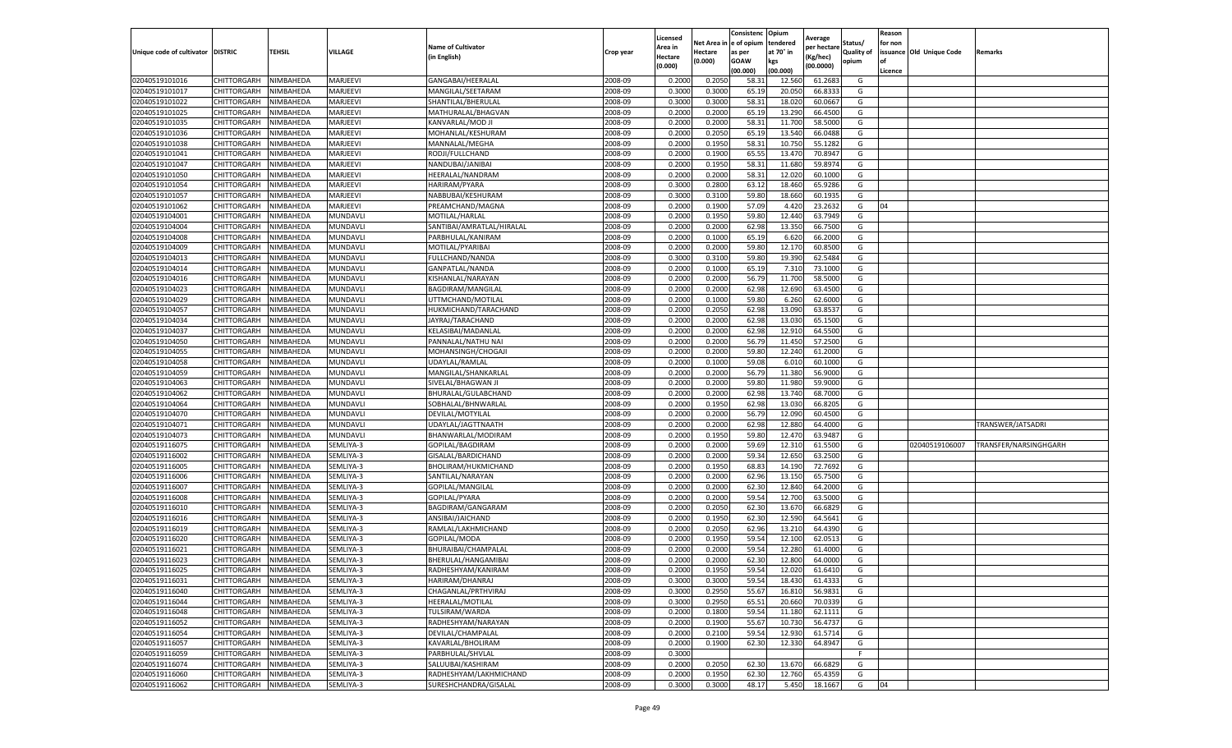|                                   |             |           |                |                           |                    | Licensed         |            | Consistenc  | Opium     | Average     |                   | Reason  |                          |                       |
|-----------------------------------|-------------|-----------|----------------|---------------------------|--------------------|------------------|------------|-------------|-----------|-------------|-------------------|---------|--------------------------|-----------------------|
|                                   |             |           |                | <b>Name of Cultivator</b> |                    | Area in          | Net Area i | e of opium  | tendered  | per hectare | Status/           | for non |                          |                       |
| Unique code of cultivator DISTRIC |             | TEHSIL    | VILLAGE        | (in English)              | Crop year          | Hectare          | Hectare    | as per      | at 70° in | (Kg/hec)    | <b>Quality of</b> |         | issuance Old Unique Code | Remarks               |
|                                   |             |           |                |                           |                    | (0.000)          | (0.000)    | <b>GOAW</b> | kgs       | (00.0000)   | opium             |         |                          |                       |
|                                   |             |           |                |                           |                    |                  |            | (00.000     | (00.000)  |             |                   | Licence |                          |                       |
| 02040519101016                    | CHITTORGARH | NIMBAHEDA | MARJEEVI       | GANGABAI/HEERALAL         | 2008-09            | 0.2000           | 0.2050     | 58.3        | 12.560    | 61.2683     | G                 |         |                          |                       |
| 02040519101017                    | CHITTORGARH | NIMBAHEDA | MARJEEVI       | MANGILAL/SEETARAM         | 2008-09            | 0.300            | 0.3000     | 65.19       | 20.050    | 66.833      | G                 |         |                          |                       |
| 02040519101022                    | CHITTORGARH | NIMBAHEDA | MARJEEVI       | SHANTILAL/BHERULAL        | 2008-09            | 0.3000           | 0.3000     | 58.3        | 18.020    | 60.0667     | G                 |         |                          |                       |
| 02040519101025                    | CHITTORGARH | NIMBAHEDA | MARJEEVI       | MATHURALAL/BHAGVAN        | 2008-09            | 0.2000           | 0.2000     | 65.19       | 13.290    | 66.4500     | G                 |         |                          |                       |
| 02040519101035                    | CHITTORGARH | NIMBAHEDA | MARJEEVI       | KANVARLAL/MOD JI          | 2008-09            | 0.2000           | 0.2000     | 58.3        | 11.700    | 58.5000     | G                 |         |                          |                       |
| 02040519101036                    | CHITTORGARH | NIMBAHEDA | MARJEEVI       | MOHANLAL/KESHURAM         | 2008-09            | 0.2000           | 0.2050     | 65.19       | 13.540    | 66.0488     | G                 |         |                          |                       |
| 02040519101038                    | CHITTORGARH | NIMBAHEDA | MARJEEVI       | MANNALAL/MEGHA            | 2008-09            | 0.2000           | 0.1950     | 58.31       | 10.750    | 55.1282     | G                 |         |                          |                       |
| 02040519101041                    | CHITTORGARH | NIMBAHEDA | MARJEEVI       | RODJI/FULLCHAND           | 2008-09            | 0.200            | 0.1900     | 65.5        | 13.470    | 70.8947     | G                 |         |                          |                       |
| 02040519101047                    | CHITTORGARH | NIMBAHEDA | MARJEEVI       | NANDUBAI/JANIBAI          | 2008-09            | 0.2000           | 0.1950     | 58.31       | 11.680    | 59.8974     | G                 |         |                          |                       |
| 02040519101050                    | CHITTORGARH | NIMBAHEDA | MARJEEVI       | HEERALAL/NANDRAM          | 2008-09            | 0.2000           | 0.2000     | 58.31       | 12.020    | 60.1000     | G                 |         |                          |                       |
| 02040519101054                    | CHITTORGARH | NIMBAHEDA | MARJEEVI       | HARIRAM/PYARA             | 2008-09            | 0.3000           | 0.2800     | 63.12       | 18.460    | 65.9286     | G                 |         |                          |                       |
| 02040519101057                    | CHITTORGARH | NIMBAHEDA | MARJEEVI       | NABBUBAI/KESHURAM         | 2008-09            | 0.3000           | 0.3100     | 59.80       | 18.660    | 60.1935     | G                 |         |                          |                       |
| 02040519101062                    | CHITTORGARH | NIMBAHEDA | MARJEEVI       | PREAMCHAND/MAGNA          | 2008-09            | 0.2000           | 0.1900     | 57.09       | 4.42      | 23.2632     | G                 | 04      |                          |                       |
| 02040519104001                    | CHITTORGARH | NIMBAHEDA | MUNDAVL        | MOTILAL/HARLAL            | 2008-09            | 0.200            | 0.1950     | 59.80       | 12.440    | 63.7949     | G                 |         |                          |                       |
| 02040519104004                    | CHITTORGARH | NIMBAHEDA | MUNDAVL        | SANTIBAI/AMRATLAL/HIRALAL | 2008-09            | 0.2000           | 0.2000     | 62.98       | 13.350    | 66.7500     | G                 |         |                          |                       |
| 02040519104008                    | CHITTORGARH | NIMBAHEDA | <b>MUNDAVL</b> | PARBHULAL/KANIRAM         | 2008-09            | 0.2000           | 0.1000     | 65.19       | 6.620     | 66.2000     | G                 |         |                          |                       |
| 02040519104009                    | CHITTORGARH | NIMBAHEDA | MUNDAVL        | MOTILAL/PYARIBAI          | 2008-09            | 0.2000           | 0.2000     | 59.80       | 12.17     | 60.8500     | G                 |         |                          |                       |
| 02040519104013                    | CHITTORGARH | NIMBAHEDA | MUNDAVL        | FULLCHAND/NANDA           | 2008-09            | 0.3000           | 0.3100     | 59.80       | 19.390    | 62.5484     | G                 |         |                          |                       |
| 02040519104014                    | CHITTORGARH | NIMBAHEDA | MUNDAVL        | GANPATLAL/NANDA           | 2008-09            | 0.2000           | 0.1000     | 65.19       | 7.31      | 73.1000     | G                 |         |                          |                       |
| 02040519104016                    | CHITTORGARH | VIMBAHEDA | MUNDAVL        | KISHANLAL/NARAYAN         | 2008-09            | 0.2000           | 0.2000     | 56.79       | 11.700    | 58.5000     | G                 |         |                          |                       |
| 02040519104023                    | CHITTORGARH | NIMBAHEDA | MUNDAVL        | BAGDIRAM/MANGILAL         | 2008-09            | 0.2000           | 0.2000     | 62.98       | 12.690    | 63.4500     | G                 |         |                          |                       |
| 02040519104029                    | CHITTORGARH | NIMBAHEDA | MUNDAVLI       | UTTMCHAND/MOTILAL         | 2008-09            | 0.2000           | 0.1000     | 59.80       | 6.260     | 62.6000     | G                 |         |                          |                       |
| 02040519104057                    | CHITTORGARH | NIMBAHEDA | MUNDAVL        | HUKMICHAND/TARACHAND      | 2008-09            | 0.2000           | 0.2050     | 62.98       | 13.090    | 63.8537     | G                 |         |                          |                       |
| 02040519104034                    | CHITTORGARH | NIMBAHEDA | MUNDAVL        | JAYRAJ/TARACHAND          | 2008-09            | 0.2000           | 0.2000     | 62.98       | 13.030    | 65.1500     | G                 |         |                          |                       |
| 02040519104037                    | CHITTORGARH | NIMBAHEDA | MUNDAVL        | KELASIBAI/MADANLAL        | 2008-09            | 0.2000           | 0.2000     | 62.98       | 12.91     | 64.5500     | G                 |         |                          |                       |
| 02040519104050                    | CHITTORGARH | NIMBAHEDA | MUNDAVL        |                           | 2008-09            | 0.2000           | 0.2000     | 56.79       | 11.450    | 57.2500     | G                 |         |                          |                       |
|                                   |             |           |                | PANNALAL/NATHU NAI        |                    |                  |            |             |           |             |                   |         |                          |                       |
| 02040519104055                    | CHITTORGARH | NIMBAHEDA | MUNDAVL        | MOHANSINGH/CHOGAJI        | 2008-09<br>2008-09 | 0.2000<br>0.2000 | 0.2000     | 59.80       | 12.240    | 61.2000     | G                 |         |                          |                       |
| 02040519104058                    | CHITTORGARH | NIMBAHEDA | MUNDAVL        | UDAYLAL/RAMLAL            |                    |                  | 0.1000     | 59.08       | 6.010     | 60.1000     | G                 |         |                          |                       |
| 02040519104059                    | CHITTORGARH | NIMBAHEDA | MUNDAVL        | MANGILAL/SHANKARLAL       | 2008-09            | 0.2000           | 0.2000     | 56.79       | 11.380    | 56.9000     | G                 |         |                          |                       |
| 02040519104063                    | CHITTORGARH | NIMBAHEDA | MUNDAVL        | SIVELAL/BHAGWAN J         | 2008-09            | 0.2000           | 0.2000     | 59.80       | 11.980    | 59.9000     | G                 |         |                          |                       |
| 02040519104062                    | CHITTORGARH | NIMBAHEDA | MUNDAVL        | BHURALAL/GULABCHAND       | 2008-09            | 0.2000           | 0.2000     | 62.98       | 13.740    | 68.7000     | G                 |         |                          |                       |
| 02040519104064                    | CHITTORGARH | NIMBAHEDA | MUNDAVL        | SOBHALAL/BHNWARLAL        | 2008-09            | 0.2000           | 0.1950     | 62.98       | 13.030    | 66.8205     | G                 |         |                          |                       |
| 02040519104070                    | CHITTORGARH | NIMBAHEDA | MUNDAVL        | DEVILAL/MOTYILAL          | 2008-09            | 0.200            | 0.2000     | 56.79       | 12.090    | 60.4500     | G                 |         |                          |                       |
| 02040519104071                    | CHITTORGARH | NIMBAHEDA | MUNDAVL        | UDAYLAL/JAGTTNAATH        | 2008-09            | 0.2000           | 0.2000     | 62.98       | 12.880    | 64.4000     | G                 |         |                          | TRANSWER/JATSADRI     |
| 02040519104073                    | CHITTORGARH | NIMBAHEDA | MUNDAVL        | BHANWARLAL/MODIRAM        | 2008-09            | 0.2000           | 0.1950     | 59.80       | 12.470    | 63.9487     | G                 |         |                          |                       |
| 02040519116075                    | CHITTORGARH | NIMBAHEDA | SEMLIYA-3      | GOPILAL/BAGDIRAM          | 2008-09            | 0.2000           | 0.2000     | 59.69       | 12.310    | 61.5500     | G                 |         | 02040519106007           | TRANSFER/NARSINGHGARH |
| 02040519116002                    | CHITTORGARH | NIMBAHEDA | SEMLIYA-3      | GISALAL/BARDICHAND        | 2008-09            | 0.2000           | 0.2000     | 59.34       | 12.650    | 63.2500     | G                 |         |                          |                       |
| 02040519116005                    | CHITTORGARH | NIMBAHEDA | SEMLIYA-3      | BHOLIRAM/HUKMICHAND       | 2008-09            | 0.2000           | 0.1950     | 68.83       | 14.190    | 72.7692     | G                 |         |                          |                       |
| 02040519116006                    | CHITTORGARH | NIMBAHEDA | SEMLIYA-3      | SANTILAL/NARAYAN          | 2008-09            | 0.2000           | 0.2000     | 62.96       | 13.150    | 65.7500     | G                 |         |                          |                       |
| 02040519116007                    | CHITTORGARH | NIMBAHEDA | SEMLIYA-3      | GOPILAL/MANGILAL          | 2008-09            | 0.2000           | 0.2000     | 62.30       | 12.840    | 64.2000     | G                 |         |                          |                       |
| 02040519116008                    | CHITTORGARH | NIMBAHEDA | SEMLIYA-3      | GOPILAL/PYARA             | 2008-09            | 0.2000           | 0.2000     | 59.54       | 12.700    | 63.5000     | G                 |         |                          |                       |
| 02040519116010                    | CHITTORGARH | NIMBAHEDA | SEMLIYA-3      | BAGDIRAM/GANGARAM         | 2008-09            | 0.2000           | 0.2050     | 62.30       | 13.670    | 66.6829     | G                 |         |                          |                       |
| 02040519116016                    | CHITTORGARH | NIMBAHEDA | SEMLIYA-3      | ANSIBAI/JAICHAND          | 2008-09            | 0.2000           | 0.1950     | 62.30       | 12.590    | 64.5641     | G                 |         |                          |                       |
| 02040519116019                    | CHITTORGARH | NIMBAHEDA | SEMLIYA-3      | RAMLAL/LAKHMICHAND        | 2008-09            | 0.2000           | 0.2050     | 62.96       | 13.21     | 64.4390     | G                 |         |                          |                       |
| 02040519116020                    | CHITTORGARH | NIMBAHEDA | SEMLIYA-3      | GOPILAL/MODA              | 2008-09            | 0.2000           | 0.1950     | 59.54       | 12.100    | 62.0513     | G                 |         |                          |                       |
| 02040519116021                    | CHITTORGARH | NIMBAHEDA | SEMLIYA-3      | BHURAIBAI/CHAMPALAL       | 2008-09            | 0.200            | 0.2000     | 59.54       | 12.280    | 61.4000     | G                 |         |                          |                       |
| 02040519116023                    | CHITTORGARH | NIMBAHEDA | SEMLIYA-3      | BHERULAL/HANGAMIBAI       | 2008-09            | 0.2000           | 0.2000     | 62.30       | 12.800    | 64.0000     | G                 |         |                          |                       |
| 02040519116025                    | CHITTORGARH | NIMBAHEDA | SEMLIYA-3      | RADHESHYAM/KANIRAM        | 2008-09            | 0.2000           | 0.1950     | 59.54       | 12.020    | 61.6410     | G                 |         |                          |                       |
| 02040519116031                    | CHITTORGARH | NIMBAHEDA | SEMLIYA-3      | HARIRAM/DHANRAJ           | 2008-09            | 0.3000           | 0.3000     | 59.54       | 18.430    | 61.4333     | G                 |         |                          |                       |
| 02040519116040                    | CHITTORGARH | NIMBAHEDA | SEMLIYA-3      | CHAGANLAL/PRTHVIRAJ       | 2008-09            | 0.3000           | 0.2950     | 55.67       | 16.810    | 56.9831     | G                 |         |                          |                       |
| 02040519116044                    | CHITTORGARH | NIMBAHEDA | SEMLIYA-3      | <b>HEERALAL/MOTILAL</b>   | 2008-09            | 0.3000           | 0.2950     | 65.51       | 20.660    | 70.0339     | G                 |         |                          |                       |
| 02040519116048                    | CHITTORGARH | NIMBAHEDA | SEMLIYA-3      | TULSIRAM/WARDA            | 2008-09            | 0.2000           | 0.1800     | 59.54       | 11.180    | 62.1111     | G                 |         |                          |                       |
| 02040519116052                    | CHITTORGARH | NIMBAHEDA | SEMLIYA-3      | RADHESHYAM/NARAYAN        | 2008-09            | 0.2000           | 0.1900     | 55.67       | 10.730    | 56.4737     | G                 |         |                          |                       |
| 02040519116054                    | CHITTORGARH | NIMBAHEDA | SEMLIYA-3      | DEVILAL/CHAMPALAL         | 2008-09            | 0.2000           | 0.2100     | 59.54       | 12.930    | 61.5714     | G                 |         |                          |                       |
| 02040519116057                    | CHITTORGARH | NIMBAHEDA | SEMLIYA-3      | KAVARLAL/BHOLIRAM         | 2008-09            | 0.2000           | 0.1900     | 62.30       | 12.330    | 64.8947     | G                 |         |                          |                       |
| 02040519116059                    | CHITTORGARH | NIMBAHEDA | SEMLIYA-3      | PARBHULAL/SHVLAL          | 2008-09            | 0.3000           |            |             |           |             | F.                |         |                          |                       |
| 02040519116074                    | CHITTORGARH | NIMBAHEDA | SEMLIYA-3      | SALUUBAI/KASHIRAM         | 2008-09            | 0.2000           | 0.2050     | 62.30       | 13.670    | 66.6829     | G                 |         |                          |                       |
| 02040519116060                    | CHITTORGARH | NIMBAHEDA | SEMLIYA-3      | RADHESHYAM/LAKHMICHAND    | 2008-09            | 0.2000           | 0.1950     | 62.30       | 12.760    | 65.4359     | G                 |         |                          |                       |
| 02040519116062                    | CHITTORGARH | NIMBAHEDA | SEMLIYA-3      | SURESHCHANDRA/GISALAL     | 2008-09            | 0.3000           | 0.3000     | 48.17       | 5.450     | 18.1667     | G                 | 04      |                          |                       |
|                                   |             |           |                |                           |                    |                  |            |             |           |             |                   |         |                          |                       |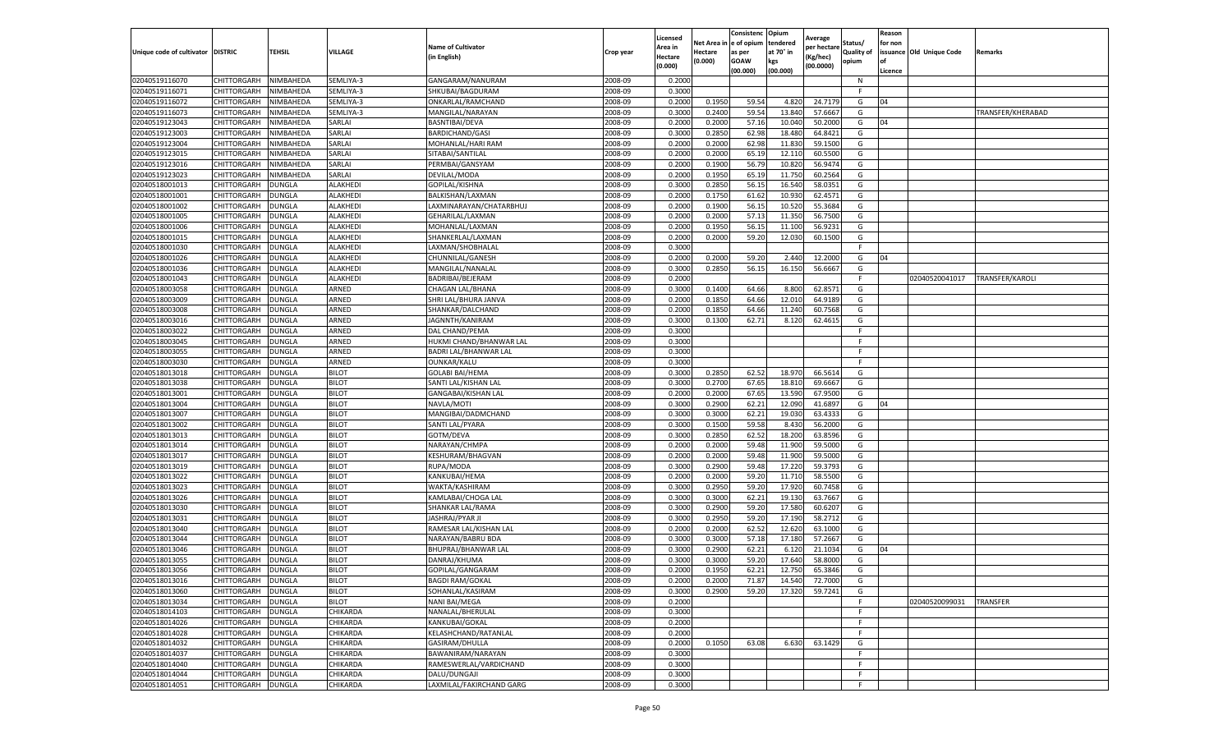|                                  |                            |                  |                              |                                           |                    | Licensed           | Net Area i       | Consistenc<br>e of opium | Opium<br>tendered | Average                 | Status/           | Reason<br>for non |                          |                   |
|----------------------------------|----------------------------|------------------|------------------------------|-------------------------------------------|--------------------|--------------------|------------------|--------------------------|-------------------|-------------------------|-------------------|-------------------|--------------------------|-------------------|
| Unique code of cultivator        | <b>DISTRIC</b>             | <b>TEHSIL</b>    | VILLAGE                      | <b>Name of Cultivator</b><br>(in English) | Crop year          | \rea in<br>Hectare | Hectare          | as per                   | at 70° in         | per hectare<br>(Kg/hec) | <b>Quality of</b> |                   | issuance Old Unique Code | Remarks           |
|                                  |                            |                  |                              |                                           |                    | (0.000)            | (0.000)          | <b>GOAW</b>              | kgs               | (00.0000)               | opium             | of                |                          |                   |
| 02040519116070                   | CHITTORGARH                | NIMBAHEDA        | SEMLIYA-3                    | GANGARAM/NANURAM                          | 2008-09            | 0.2000             |                  | (00.000)                 | (00.000)          |                         | N                 | Licence           |                          |                   |
| 02040519116071                   | CHITTORGARH                | NIMBAHEDA        | SEMLIYA-3                    | SHKUBAI/BAGDURAM                          | 2008-09            | 0.3000             |                  |                          |                   |                         | F.                |                   |                          |                   |
| 02040519116072                   | CHITTORGARH                | NIMBAHEDA        | SEMLIYA-3                    | ONKARLAL/RAMCHAND                         | 2008-09            | 0.2000             | 0.1950           | 59.54                    | 4.820             | 24.7179                 | G                 | 04                |                          |                   |
| 02040519116073                   | CHITTORGARH                | NIMBAHEDA        | SEMLIYA-3                    | MANGILAL/NARAYAN                          | 2008-09            | 0.3000             | 0.2400           | 59.54                    | 13.840            | 57.6667                 | G                 |                   |                          | TRANSFER/KHERABAD |
| 02040519123043                   | CHITTORGARH                | NIMBAHEDA        | SARLAI                       | BASNTIBAI/DEVA                            | 2008-09            | 0.2000             | 0.2000           | 57.16                    | 10.040            | 50.2000                 | G                 | 04                |                          |                   |
| 02040519123003                   | CHITTORGARH                | NIMBAHEDA        | SARLAI                       | <b>BARDICHAND/GASI</b>                    | 2008-09            | 0.3000             | 0.2850           | 62.98                    | 18.480            | 64.8421                 | G                 |                   |                          |                   |
| 02040519123004                   | CHITTORGARH                | NIMBAHEDA        | SARLAI                       | MOHANLAL/HARI RAM                         | 2008-09            | 0.200              | 0.2000           | 62.98                    | 11.830            | 59.1500                 | G                 |                   |                          |                   |
| 02040519123015                   | CHITTORGARH                | NIMBAHEDA        | SARLAI                       | SITABAI/SANTILAL                          | 2008-09            | 0.2000             | 0.2000           | 65.19                    | 12.110            | 60.5500                 | G                 |                   |                          |                   |
| 02040519123016                   | CHITTORGARH                | NIMBAHEDA        | SARLAI                       | PERMBAI/GANSYAM                           | 2008-09            | 0.2000             | 0.1900           | 56.79                    | 10.820            | 56.9474                 | G                 |                   |                          |                   |
| 02040519123023                   | CHITTORGARH                | NIMBAHEDA        | SARLAI                       | DEVILAL/MODA                              | 2008-09            | 0.2000             | 0.1950           | 65.19                    | 11.750            | 60.2564                 | G                 |                   |                          |                   |
| 02040518001013                   | CHITTORGARH                | DUNGLA           | <b>ALAKHEDI</b>              | GOPILAL/KISHNA                            | 2008-09            | 0.3000             | 0.2850           | 56.15                    | 16.540            | 58.0351                 | G                 |                   |                          |                   |
| 02040518001001                   | CHITTORGARH                | DUNGLA           | <b>ALAKHEDI</b>              | BALKISHAN/LAXMAN                          | 2008-09            | 0.2000             | 0.1750           | 61.62                    | 10.93             | 62.4571                 | G                 |                   |                          |                   |
| 02040518001002                   | CHITTORGARH                | DUNGLA           | ALAKHEDI                     | LAXMINARAYAN/CHATARBHUJ                   | 2008-09            | 0.2000             | 0.1900           | 56.1                     | 10.520            | 55.3684                 | G                 |                   |                          |                   |
| 02040518001005                   | CHITTORGARH                | DUNGLA           | ALAKHEDI                     | GEHARILAL/LAXMAN                          | 2008-09            | 0.2000             | 0.2000           | 57.13                    | 11.350            | 56.7500                 | G                 |                   |                          |                   |
| 02040518001006                   | CHITTORGARH                | DUNGLA           | ALAKHEDI                     | MOHANLAL/LAXMAN                           | 2008-09            | 0.2000             | 0.1950           | 56.1                     | 11.100            | 56.9231                 | G                 |                   |                          |                   |
| 02040518001015                   | CHITTORGARH                | <b>DUNGLA</b>    | <b>ALAKHEDI</b>              | SHANKERLAL/LAXMAN                         | 2008-09            | 0.2000             | 0.2000           | 59.20                    | 12.030            | 60.1500                 | G                 |                   |                          |                   |
| 02040518001030                   | CHITTORGARH                | DUNGLA           | ALAKHEDI                     | LAXMAN/SHOBHALAL                          | 2008-09            | 0.3000             |                  |                          |                   |                         |                   |                   |                          |                   |
| 02040518001026                   | CHITTORGARH                | DUNGLA           | ALAKHEDI                     | CHUNNILAL/GANESH                          | 2008-09            | 0.2000             | 0.2000           | 59.20                    | 2.440             | 12.2000                 | G                 | 04                |                          |                   |
| 02040518001036                   | CHITTORGARH                | DUNGLA           | <b>ALAKHEDI</b>              | MANGILAL/NANALAI                          | 2008-09            | 0.3000             | 0.2850           | 56.15                    | 16.150            | 56.6667                 | G                 |                   |                          |                   |
| 02040518001043                   | CHITTORGARH                | DUNGLA           | ALAKHEDI                     | BADRIBAI/BEJERAM                          | 2008-09            | 0.200              |                  |                          |                   |                         | F.                |                   | 02040520041017           | TRANSFER/KAROL    |
| 02040518003058                   | CHITTORGARH                | DUNGLA           | ARNED                        | CHAGAN LAL/BHANA                          | 2008-09            | 0.3000             | 0.1400           | 64.66                    | 8.800             | 62.8571                 | G                 |                   |                          |                   |
| 02040518003009                   | CHITTORGARH                | <b>DUNGLA</b>    | ARNED                        | SHRI LAL/BHURA JANVA                      | 2008-09            | 0.2000             | 0.1850           | 64.66                    | 12.010            | 64.9189                 | G                 |                   |                          |                   |
| 02040518003008                   | CHITTORGARH                | DUNGLA           | ARNED                        | SHANKAR/DALCHAND                          | 2008-09            | 0.2000             | 0.1850           | 64.66                    | 11.240            | 60.7568                 | G                 |                   |                          |                   |
| 02040518003016                   | CHITTORGARH                | DUNGLA           | ARNED                        | JAGNNTH/KANIRAM                           | 2008-09            | 0.3000             | 0.1300           | 62.71                    | 8.120             | 62.4615                 | G                 |                   |                          |                   |
| 02040518003022                   | CHITTORGARH                | DUNGLA           | ARNED                        | DAL CHAND/PEMA                            | 2008-09            | 0.3000             |                  |                          |                   |                         | F                 |                   |                          |                   |
| 02040518003045                   | CHITTORGARH                | DUNGLA           | ARNED                        | HUKMI CHAND/BHANWAR LAL                   | 2008-09            | 0.3000             |                  |                          |                   |                         | F.                |                   |                          |                   |
| 02040518003055                   | CHITTORGARH                | DUNGLA           | ARNED                        | BADRI LAL/BHANWAR LAL                     | 2008-09            | 0.3000             |                  |                          |                   |                         | F                 |                   |                          |                   |
| 02040518003030                   | CHITTORGARH                | <b>DUNGLA</b>    | ARNED                        | OUNKAR/KALU                               | 2008-09            | 0.3000             |                  |                          |                   |                         | F                 |                   |                          |                   |
| 02040518013018                   | CHITTORGARH                | DUNGLA           | <b>BILOT</b>                 | <b>GOLABI BAI/HEMA</b>                    | 2008-09            | 0.3000             | 0.2850           | 62.52                    | 18.970            | 66.5614                 | G                 |                   |                          |                   |
| 02040518013038                   | CHITTORGARH                | DUNGLA           | <b>BILOT</b>                 | SANTI LAL/KISHAN LAL                      | 2008-09            | 0.3000             | 0.2700           | 67.65                    | 18.810            | 69.6667                 | G                 |                   |                          |                   |
| 02040518013001                   | CHITTORGARH                | DUNGLA           | <b>BILOT</b>                 | GANGABAI/KISHAN LAL                       | 2008-09            | 0.200              | 0.2000           | 67.65                    | 13.590            | 67.9500                 | G                 |                   |                          |                   |
| 02040518013004                   | CHITTORGARH                | DUNGLA           | <b>BILOT</b>                 | NAVLA/MOTI                                | 2008-09            | 0.300              | 0.2900           | 62.22                    | 12.090            | 41.6897                 | G                 | 04                |                          |                   |
| 02040518013007                   | CHITTORGARH                | DUNGLA           | <b>BILOT</b>                 | MANGIBAI/DADMCHAND                        | 2008-09            | 0.3000             | 0.3000           | 62.21                    | 19.030            | 63.4333                 | G                 |                   |                          |                   |
| 02040518013002                   | CHITTORGARH                | DUNGLA           | <b>BILOT</b>                 | SANTI LAL/PYARA                           | 2008-09            | 0.3000             | 0.1500           | 59.58                    | 8.430             | 56.2000                 | G                 |                   |                          |                   |
| 02040518013013                   | CHITTORGARH                | DUNGLA           | <b>BILOT</b><br><b>BILOT</b> | GOTM/DEVA                                 | 2008-09<br>2008-09 | 0.3000<br>0.2000   | 0.2850<br>0.2000 | 62.52                    | 18.200            | 63.8596                 | G                 |                   |                          |                   |
| 02040518013014<br>02040518013017 | CHITTORGARH<br>CHITTORGARH | DUNGLA           | <b>BILOT</b>                 | NARAYAN/CHMPA                             | 2008-09            | 0.2000             | 0.2000           | 59.48                    | 11.900<br>11.900  | 59.5000<br>59.5000      | G                 |                   |                          |                   |
| 02040518013019                   | CHITTORGARH                | DUNGLA<br>DUNGLA | <b>BILOT</b>                 | KESHURAM/BHAGVAN<br>RUPA/MODA             | 2008-09            | 0.3000             | 0.2900           | 59.48<br>59.48           | 17.220            | 59.3793                 | G<br>G            |                   |                          |                   |
| 02040518013022                   | CHITTORGARH                | DUNGLA           | <b>BILOT</b>                 | KANKUBAI/HEMA                             | 2008-09            | 0.2000             | 0.2000           | 59.20                    | 11.710            | 58.5500                 | G                 |                   |                          |                   |
| 02040518013023                   | CHITTORGARH                | DUNGLA           | <b>BILOT</b>                 | WAKTA/KASHIRAM                            | 2008-09            | 0.3000             | 0.2950           | 59.20                    | 17.920            | 60.7458                 | G                 |                   |                          |                   |
| 02040518013026                   | CHITTORGARH                | <b>DUNGLA</b>    | <b>BILOT</b>                 | KAMLABAI/CHOGA LAL                        | 2008-09            | 0.3000             | 0.3000           | 62.21                    | 19.130            | 63.7667                 | G                 |                   |                          |                   |
| 02040518013030                   | CHITTORGARH                | DUNGLA           | <b>BILOT</b>                 | SHANKAR LAL/RAMA                          | 2008-09            | 0.3000             | 0.2900           | 59.20                    | 17.580            | 60.6207                 | G                 |                   |                          |                   |
| 02040518013031                   | CHITTORGARH                | DUNGLA           | <b>BILOT</b>                 | JASHRAJ/PYAR JI                           | 2008-09            | 0.3000             | 0.2950           | 59.20                    | 17.190            | 58.2712                 | G                 |                   |                          |                   |
| 02040518013040                   | CHITTORGARH                | DUNGLA           | <b>BILOT</b>                 | RAMESAR LAL/KISHAN LAL                    | 2008-09            | 0.2000             | 0.2000           | 62.52                    | 12.620            | 63.1000                 | G                 |                   |                          |                   |
| 02040518013044                   | CHITTORGARH                | DUNGLA           | <b>BILOT</b>                 | NARAYAN/BABRU BDA                         | 2008-09            | 0.300              | 0.3000           | 57.18                    | 17.180            | 57.2667                 | G                 |                   |                          |                   |
| 02040518013046                   | CHITTORGARH                | DUNGLA           | <b>BILOT</b>                 | BHUPRAJ/BHANWAR LAI                       | 2008-09            | 0.3000             | 0.2900           | 62.22                    | 6.12              | 21.1034                 | G                 | 04                |                          |                   |
| 02040518013055                   | CHITTORGARH                | <b>DUNGLA</b>    | <b>BILOT</b>                 | DANRAJ/KHUMA                              | 2008-09            | 0.3000             | 0.3000           | 59.20                    | 17.640            | 58.8000                 | G                 |                   |                          |                   |
| 02040518013056                   | CHITTORGARH                | <b>DUNGLA</b>    | <b>BILOT</b>                 | GOPILAL/GANGARAM                          | 2008-09            | 0.2000             | 0.1950           | 62.21                    | 12.750            | 65.3846                 | G                 |                   |                          |                   |
| 02040518013016                   | CHITTORGARH                | <b>DUNGLA</b>    | <b>BILOT</b>                 | <b>BAGDI RAM/GOKAL</b>                    | 2008-09            | 0.2000             | 0.2000           | 71.87                    | 14.540            | 72.7000                 | G                 |                   |                          |                   |
| 02040518013060                   | <b>CHITTORGARH</b>         | <b>DUNGLA</b>    | <b>BILOT</b>                 | SOHANLAL/KASIRAM                          | 2008-09            | 0.3000             | 0.2900           | 59.20                    | 17.320            | 59.7241                 | G                 |                   |                          |                   |
| 02040518013034                   | CHITTORGARH                | DUNGLA           | <b>BILOT</b>                 | <b>NANI BAI/MEGA</b>                      | 2008-09            | 0.2000             |                  |                          |                   |                         | F.                |                   | 02040520099031           | <b>TRANSFER</b>   |
| 02040518014103                   | CHITTORGARH                | <b>DUNGLA</b>    | CHIKARDA                     | NANALAL/BHERULAL                          | 2008-09            | 0.3000             |                  |                          |                   |                         | F.                |                   |                          |                   |
| 02040518014026                   | CHITTORGARH                | <b>DUNGLA</b>    | CHIKARDA                     | KANKUBAI/GOKAL                            | 2008-09            | 0.2000             |                  |                          |                   |                         | F                 |                   |                          |                   |
| 02040518014028                   | CHITTORGARH                | <b>DUNGLA</b>    | CHIKARDA                     | KELASHCHAND/RATANLAL                      | 2008-09            | 0.2000             |                  |                          |                   |                         | F.                |                   |                          |                   |
| 02040518014032                   | CHITTORGARH                | DUNGLA           | CHIKARDA                     | GASIRAM/DHULLA                            | 2008-09            | 0.2000             | 0.1050           | 63.08                    | 6.630             | 63.1429                 | G                 |                   |                          |                   |
| 02040518014037                   | CHITTORGARH                | DUNGLA           | CHIKARDA                     | BAWANIRAM/NARAYAN                         | 2008-09            | 0.3000             |                  |                          |                   |                         | F                 |                   |                          |                   |
| 02040518014040                   | CHITTORGARH                | DUNGLA           | CHIKARDA                     | RAMESWERLAL/VARDICHAND                    | 2008-09            | 0.3000             |                  |                          |                   |                         | F                 |                   |                          |                   |
| 02040518014044                   | CHITTORGARH                | DUNGLA           | CHIKARDA                     | DALU/DUNGAJI                              | 2008-09            | 0.3000             |                  |                          |                   |                         | F.                |                   |                          |                   |
| 02040518014051                   | CHITTORGARH                | <b>DUNGLA</b>    | CHIKARDA                     | LAXMILAL/FAKIRCHAND GARG                  | 2008-09            | 0.3000             |                  |                          |                   |                         | F.                |                   |                          |                   |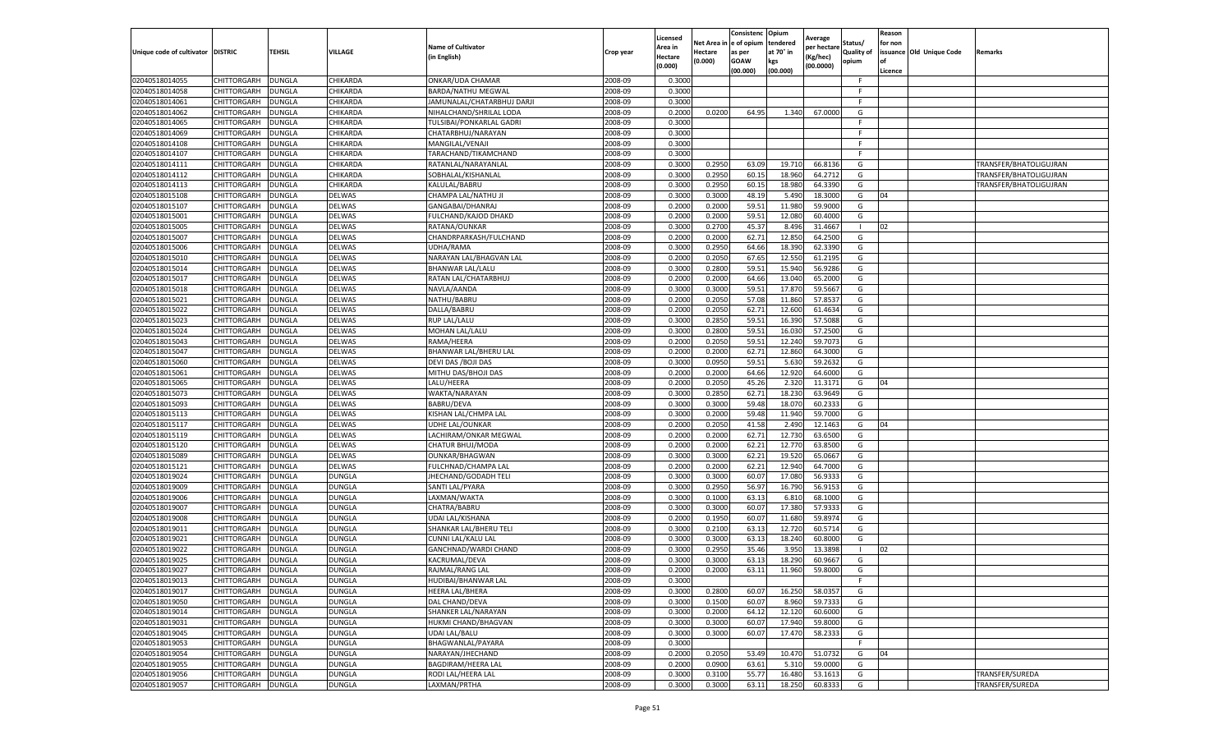|                                     |                            |                         |               |                                          |           | Licensed           | Net Area in  e of opium | Consistenc       | Opium<br>tendered | Average                 | Status/           | Reason<br>for non |                          |                        |
|-------------------------------------|----------------------------|-------------------------|---------------|------------------------------------------|-----------|--------------------|-------------------------|------------------|-------------------|-------------------------|-------------------|-------------------|--------------------------|------------------------|
| Unique code of cultivator   DISTRIC |                            | <b>TEHSIL</b>           | VILLAGE       | <b>Name of Cultivator</b><br>in English) | Crop year | Area in<br>Hectare | Hectare                 | as per           | at 70° in         | per hectare<br>(Kg/hec) | <b>Quality of</b> |                   | issuance Old Unique Code | Remarks                |
|                                     |                            |                         |               |                                          |           | (0.000)            | (0.000)                 | GOAW<br>(00.000) | kgs<br>(00.000)   | (00.0000)               | opium             | lof<br>Licence    |                          |                        |
| 02040518014055                      | CHITTORGARH                | DUNGLA                  | CHIKARDA      | ONKAR/UDA CHAMAR                         | 2008-09   | 0.300              |                         |                  |                   |                         | -F                |                   |                          |                        |
| 02040518014058                      | CHITTORGARH                | DUNGLA                  | CHIKARDA      | BARDA/NATHU MEGWAL                       | 2008-09   | 0.3000             |                         |                  |                   |                         | -F                |                   |                          |                        |
| 02040518014061                      | CHITTORGARH                | <b>DUNGLA</b>           | CHIKARDA      | JAMUNALAL/CHATARBHUJ DARJI               | 2008-09   | 0.3000             |                         |                  |                   |                         | F.                |                   |                          |                        |
| 02040518014062                      | CHITTORGARH                | <b>DUNGLA</b>           | CHIKARDA      | NIHALCHAND/SHRILAL LODA                  | 2008-09   | 0.2000             | 0.0200                  | 64.95            | 1.340             | 67.000                  | G                 |                   |                          |                        |
| 02040518014065                      | CHITTORGARH                | DUNGLA                  | CHIKARDA      | TULSIBAI/PONKARLAL GADRI                 | 2008-09   | 0.3000             |                         |                  |                   |                         |                   |                   |                          |                        |
| 02040518014069                      | CHITTORGARH                | DUNGLA                  | CHIKARDA      | CHATARBHUJ/NARAYAN                       | 2008-09   | 0.3000             |                         |                  |                   |                         |                   |                   |                          |                        |
| 02040518014108                      | CHITTORGARH                | DUNGLA                  | CHIKARDA      | MANGILAL/VENAJI                          | 2008-09   | 0.3000             |                         |                  |                   |                         | F.                |                   |                          |                        |
| 02040518014107                      | CHITTORGARH                | DUNGLA                  | CHIKARDA      | TARACHAND/TIKAMCHAND                     | 2008-09   | 0.3000             |                         |                  |                   |                         | -F                |                   |                          |                        |
| 02040518014111                      | CHITTORGARH                | <b>DUNGLA</b>           | CHIKARDA      | RATANLAL/NARAYANLAL                      | 2008-09   | 0.3000             | 0.2950                  | 63.09            | 19.710            | 66.813                  | G                 |                   |                          | TRANSFER/BHATOLIGUJRAN |
| 02040518014112                      | CHITTORGARH                | DUNGLA                  | CHIKARDA      | SOBHALAL/KISHANLAL                       | 2008-09   | 0.3000             | 0.2950                  | 60.1             | 18.960            | 64.271                  | G                 |                   |                          | TRANSFER/BHATOLIGUJRAN |
| 02040518014113                      | CHITTORGARH                | DUNGLA                  | CHIKARDA      | KALULAL/BABRU                            | 2008-09   | 0.3000             | 0.2950                  | 60.15            | 18.980            | 64.339                  | G                 |                   |                          | TRANSFER/BHATOLIGUJRAN |
| 02040518015108                      | CHITTORGARH                | DUNGLA                  | <b>DELWAS</b> | CHAMPA LAL/NATHU JI                      | 2008-09   | 0.3000             | 0.300                   | 48.19            | 5.49              | 18.300                  | G                 | 04                |                          |                        |
| 02040518015107                      | CHITTORGARH                | DUNGLA                  | DELWAS        | GANGABAI/DHANRAJ                         | 2008-09   | 0.200              | 0.200                   | 59.5             | 11.98             | 59.900                  | G                 |                   |                          |                        |
| 02040518015001                      | CHITTORGARH                | DUNGLA                  | DELWAS        | FULCHAND/KAJOD DHAKD                     | 2008-09   | 0.2000             | 0.2000                  | 59.51            | 12.080            | 60.400                  | G                 |                   |                          |                        |
| 02040518015005                      | CHITTORGARH                | DUNGLA                  | DELWAS        | RATANA/OUNKAR                            | 2008-09   | 0.3000             | 0.2700                  | 45.37            | 8.496             | 31.466                  |                   | 02                |                          |                        |
| 02040518015007                      | CHITTORGARH                | <b>DUNGLA</b>           | DELWAS        | CHANDRPARKASH/FULCHAND                   | 2008-09   | 0.2000             | 0.2000                  | 62.71            | 12.850            | 64.2500                 | G                 |                   |                          |                        |
| 02040518015006                      | CHITTORGARH                | DUNGLA                  | <b>DELWAS</b> | UDHA/RAMA                                | 2008-09   | 0.3000             | 0.2950                  | 64.66            | 18.390            | 62.339                  | G                 |                   |                          |                        |
| 02040518015010                      | CHITTORGARH                | DUNGLA                  | <b>DELWAS</b> | NARAYAN LAL/BHAGVAN LAL                  | 2008-09   | 0.2000             | 0.2050                  | 67.65            | 12.550            | 61.219                  | G                 |                   |                          |                        |
| 02040518015014                      | CHITTORGARH                | DUNGLA                  | <b>DELWAS</b> | BHANWAR LAL/LALU                         | 2008-09   | 0.3000             | 0.2800                  | 59.51            | 15.940            | 56.928                  | G                 |                   |                          |                        |
| 02040518015017                      | CHITTORGARH                | DUNGLA                  | DELWAS        | RATAN LAL/CHATARBHUJ                     | 2008-09   | 0.200              | 0.2000                  | 64.66            | 13.040            | 65.200                  | G                 |                   |                          |                        |
| 02040518015018                      | CHITTORGARH                | DUNGLA                  | DELWAS        | NAVLA/AANDA                              | 2008-09   | 0.3000             | 0.3000                  | 59.51            | 17.870            | 59.566                  | G                 |                   |                          |                        |
| 02040518015021                      | CHITTORGARH                | <b>DUNGLA</b>           | DELWAS        | NATHU/BABRU                              | 2008-09   | 0.2000             | 0.2050                  | 57.08            | 11.860            | 57.853                  | G                 |                   |                          |                        |
| 02040518015022                      |                            |                         | DELWAS        | DALLA/BABRU                              | 2008-09   | 0.2000             | 0.2050                  | 62.71            | 12.600            | 61.4634                 | G                 |                   |                          |                        |
| 02040518015023                      | CHITTORGARH<br>CHITTORGARH | <b>DUNGLA</b><br>DUNGLA | <b>DELWAS</b> | RUP LAL/LALU                             | 2008-09   | 0.3000             |                         | 59.5             | 16.390            | 57.508                  | G                 |                   |                          |                        |
|                                     | CHITTORGARH                |                         |               |                                          |           | 0.3000             | 0.2850<br>0.2800        | 59.51            | 16.03             | 57.250                  | G                 |                   |                          |                        |
| 02040518015024                      |                            | DUNGLA                  | DELWAS        | MOHAN LAL/LALU                           | 2008-09   |                    |                         |                  |                   |                         |                   |                   |                          |                        |
| 02040518015043                      | CHITTORGARH                | DUNGLA                  | DELWAS        | RAMA/HEERA                               | 2008-09   | 0.200              | 0.2050                  | 59.51            | 12.240            | 59.707                  | G                 |                   |                          |                        |
| 02040518015047                      | CHITTORGARH                | DUNGLA                  | DELWAS        | BHANWAR LAL/BHERU LAL                    | 2008-09   | 0.2000             | 0.2000                  | 62.71            | 12.860            | 64.300                  | G                 |                   |                          |                        |
| 02040518015060                      | CHITTORGARH                | <b>DUNGLA</b>           | DELWAS        | DEVI DAS / BOJI DAS                      | 2008-09   | 0.3000             | 0.0950                  | 59.51            | 5.630             | 59.263                  | G                 |                   |                          |                        |
| 02040518015061                      | CHITTORGARH                | <b>DUNGLA</b>           | DELWAS        | MITHU DAS/BHOJI DAS                      | 2008-09   | 0.2000             | 0.2000                  | 64.66            | 12.920            | 64.600                  | G                 |                   |                          |                        |
| 02040518015065                      | CHITTORGARH                | DUNGLA                  | DELWAS        | LALU/HEERA                               | 2008-09   | 0.2000             | 0.2050                  | 45.26            | 2.320             | 11.3171                 | G                 | 04                |                          |                        |
| 02040518015073                      | CHITTORGARH                | DUNGLA                  | DELWAS        | WAKTA/NARAYAN                            | 2008-09   | 0.3000             | 0.2850                  | 62.71            | 18.230            | 63.964                  | G                 |                   |                          |                        |
| 02040518015093                      | CHITTORGARH                | DUNGLA                  | DELWAS        | <b>BABRU/DEVA</b>                        | 2008-09   | 0.300              | 0.3000                  | 59.48            | 18.070            | 60.233                  | G                 |                   |                          |                        |
| 02040518015113                      | CHITTORGARH                | DUNGLA                  | DELWAS        | KISHAN LAL/CHMPA LAL                     | 2008-09   | 0.3000             | 0.2000                  | 59.48            | 11.940            | 59.700                  | G                 |                   |                          |                        |
| 02040518015117                      | CHITTORGARH                | DUNGLA                  | DELWAS        | UDHE LAL/OUNKAR                          | 2008-09   | 0.2000             | 0.2050                  | 41.58            | 2.490             | 12.1463                 | G                 | 04                |                          |                        |
| 02040518015119                      | CHITTORGARH                | <b>DUNGLA</b>           | DELWAS        | LACHIRAM/ONKAR MEGWAL                    | 2008-09   | 0.2000             | 0.2000                  | 62.71            | 12.730            | 63.650                  | G                 |                   |                          |                        |
| 02040518015120                      | CHITTORGARH                | DUNGLA                  | <b>DELWAS</b> | CHATUR BHUJ/MODA                         | 2008-09   | 0.2000             | 0.2000                  | 62.21            | 12.770            | 63.850                  | G                 |                   |                          |                        |
| 02040518015089                      | CHITTORGARH                | DUNGLA                  | <b>DELWAS</b> | OUNKAR/BHAGWAN                           | 2008-09   | 0.3000             | 0.3000                  | 62.21            | 19.520            | 65.066                  | G                 |                   |                          |                        |
| 02040518015121                      | CHITTORGARH                | DUNGLA                  | DELWAS        | FULCHNAD/CHAMPA LAL                      | 2008-09   | 0.2000             | 0.2000                  | 62.21            | 12.940            | 64.700                  | G                 |                   |                          |                        |
| 02040518019024                      | CHITTORGARH                | DUNGLA                  | DUNGLA        | JHECHAND/GODADH TELI                     | 2008-09   | 0.3000             | 0.3000                  | 60.0             | 17.080            | 56.933                  | G                 |                   |                          |                        |
| 02040518019009                      | CHITTORGARH                | <b>DUNGLA</b>           | DUNGLA        | SANTI LAL/PYARA                          | 2008-09   | 0.3000             | 0.2950                  | 56.97            | 16.790            | 56.915                  | G                 |                   |                          |                        |
| 02040518019006                      | CHITTORGARH                | <b>DUNGLA</b>           | DUNGLA        | LAXMAN/WAKTA                             | 2008-09   | 0.3000             | 0.1000                  | 63.13            | 6.810             | 68.1000                 | G                 |                   |                          |                        |
| 02040518019007                      | CHITTORGARH                | DUNGLA                  | DUNGLA        | CHATRA/BABRU                             | 2008-09   | 0.3000             | 0.3000                  | 60.07            | 17.380            | 57.933                  | G                 |                   |                          |                        |
| 02040518019008                      | CHITTORGARH                | DUNGLA                  | DUNGLA        | UDAI LAL/KISHANA                         | 2008-09   | 0.2000             | 0.1950                  | 60.0             | 11.680            | 59.897                  | G                 |                   |                          |                        |
| 02040518019011                      | CHITTORGARH                | DUNGLA                  | DUNGLA        | SHANKAR LAL/BHERU TELI                   | 2008-09   | 0.3000             | 0.2100                  | 63.13            | 12.720            | 60.571                  | G                 |                   |                          |                        |
| 02040518019021                      | CHITTORGARH                | DUNGLA                  | DUNGLA        | CUNNI LAL/KALU LAL                       | 2008-09   | 0.300              | 0.3000                  | 63.13            | 18.240            | 60.800                  | G                 |                   |                          |                        |
| 02040518019022                      | CHITTORGARH                | DUNGLA                  | DUNGLA        | GANCHNAD/WARDI CHAND                     | 2008-09   | 0.3000             | 0.2950                  | 35.46            | 3.950             | 13.389                  |                   | 02                |                          |                        |
| 02040518019025                      | CHITTORGARH                | <b>DUNGLA</b>           | DUNGLA        | KACRUMAL/DEVA                            | 2008-09   | 0.3000             | 0.3000                  | 63.13            | 18.290            | 60.9667                 | G                 |                   |                          |                        |
| 02040518019027                      | CHITTORGARH                | <b>DUNGLA</b>           | DUNGLA        | RAJMAL/RANG LAL                          | 2008-09   | 0.2000             | 0.2000                  | 63.11            | 11.960            | 59.8000                 | G                 |                   |                          |                        |
| 02040518019013                      | CHITTORGARH                | <b>DUNGLA</b>           | DUNGLA        | HUDIBAI/BHANWAR LAL                      | 2008-09   | 0.3000             |                         |                  |                   |                         | F.                |                   |                          |                        |
| 02040518019017                      | CHITTORGARH                | <b>DUNGLA</b>           | DUNGLA        | HEERA LAL/BHERA                          | 2008-09   | 0.3000             | 0.2800                  | 60.07            | 16.250            | 58.035                  | G                 |                   |                          |                        |
| 02040518019050                      | CHITTORGARH                | <b>DUNGLA</b>           | DUNGLA        | DAL CHAND/DEVA                           | 2008-09   | 0.3000             | 0.150                   | 60.07            | 8.960             | 59.7333                 | G                 |                   |                          |                        |
| 02040518019014                      | CHITTORGARH                | <b>DUNGLA</b>           | DUNGLA        | SHANKER LAL/NARAYAN                      | 2008-09   | 0.3000             | 0.2000                  | 64.12            | 12.120            | 60.6000                 | G                 |                   |                          |                        |
| 02040518019031                      | CHITTORGARH                | <b>DUNGLA</b>           | DUNGLA        | HUKMI CHAND/BHAGVAN                      | 2008-09   | 0.3000             | 0.3000                  | 60.07            | 17.940            | 59.8000                 | G                 |                   |                          |                        |
| 02040518019045                      | CHITTORGARH                | <b>DUNGLA</b>           | DUNGLA        | <b>UDAI LAL/BALU</b>                     | 2008-09   | 0.3000             | 0.3000                  | 60.07            | 17.470            | 58.2333                 | G                 |                   |                          |                        |
| 02040518019053                      | CHITTORGARH                | <b>DUNGLA</b>           | DUNGLA        | BHAGWANLAL/PAYARA                        | 2008-09   | 0.3000             |                         |                  |                   |                         |                   |                   |                          |                        |
| 02040518019054                      | CHITTORGARH                | DUNGLA                  | DUNGLA        | NARAYAN/JHECHAND                         | 2008-09   | 0.2000             | 0.2050                  | 53.49            | 10.470            | 51.073                  | G                 | 04                |                          |                        |
| 02040518019055                      | CHITTORGARH                | <b>DUNGLA</b>           | DUNGLA        | BAGDIRAM/HEERA LAL                       | 2008-09   | 0.2000             | 0.090                   | 63.61            | 5.310             | 59.000                  | G                 |                   |                          |                        |
| 02040518019056                      | CHITTORGARH                | DUNGLA                  | DUNGLA        | RODI LAL/HEERA LAL                       | 2008-09   | 0.3000             | 0.3100                  | 55.77            | 16.480            | 53.1613                 | G                 |                   |                          | TRANSFER/SUREDA        |
| 02040518019057                      | CHITTORGARH                | <b>DUNGLA</b>           | DUNGLA        | LAXMAN/PRTHA                             | 2008-09   | 0.3000             | 0.3000                  | 63.11            | 18.250            | 60.8333                 | G                 |                   |                          | TRANSFER/SUREDA        |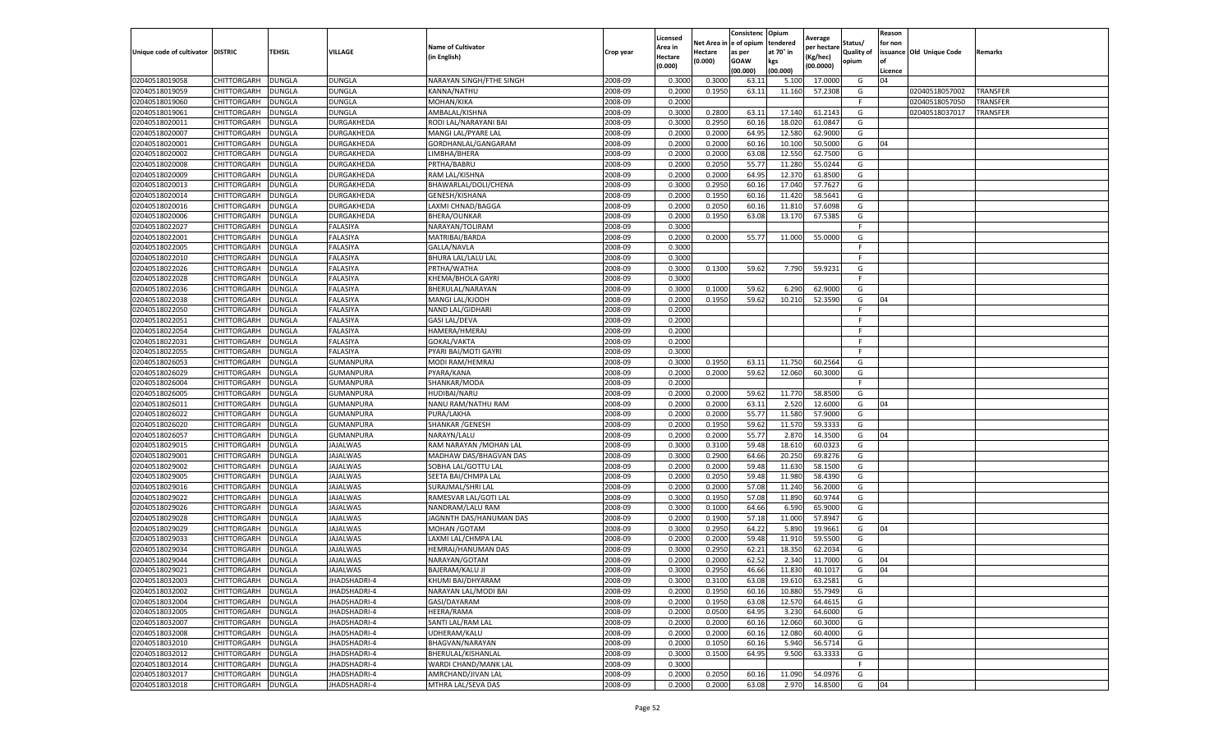|                                   |                            |                         |                        |                                  |                    | Licensed         |                       | Consistenc Opium     |                       | Average            |                              | Reason  |                          |                 |
|-----------------------------------|----------------------------|-------------------------|------------------------|----------------------------------|--------------------|------------------|-----------------------|----------------------|-----------------------|--------------------|------------------------------|---------|--------------------------|-----------------|
| Unique code of cultivator DISTRIC |                            | <b>TEHSIL</b>           | VILLAGE                | <b>Name of Cultivator</b>        | Crop year          | Area in          | Net Area i<br>Hectare | e of opium<br>as per | tendered<br>at 70° in | per hectare        | Status/<br><b>Quality of</b> | for non | issuance Old Unique Code | Remarks         |
|                                   |                            |                         |                        | in English)                      |                    | <b>Hectare</b>   | (0.000)               | <b>GOAW</b>          | kgs                   | Kg/hec)            | opium                        | of      |                          |                 |
|                                   |                            |                         |                        |                                  |                    | (0.000)          |                       | (00.000)             | (00.000)              | (00.0000)          |                              | Licence |                          |                 |
| 02040518019058                    | CHITTORGARH                | DUNGLA                  | DUNGLA                 | NARAYAN SINGH/FTHE SINGH         | 2008-09            | 0.3000           | 0.300                 | 63.1                 | 5.10                  | 17.0000            | G                            | 04      |                          |                 |
| 02040518019059                    | CHITTORGARH                | <b>DUNGLA</b>           | DUNGLA                 | KANNA/NATHU                      | 2008-09            | 0.2000           | 0.1950                | 63.11                | 11.160                | 57.2308            | G                            |         | 02040518057002           | TRANSFER        |
| 02040518019060                    | CHITTORGARH                | <b>DUNGLA</b>           | DUNGLA                 | MOHAN/KIKA                       | 2008-09            | 0.2000           |                       |                      |                       |                    | F                            |         | 02040518057050           | <b>TRANSFER</b> |
| 02040518019061                    | CHITTORGARH                | <b>DUNGLA</b>           | DUNGLA                 | AMBALAL/KISHNA                   | 2008-09            | 0.3000           | 0.2800                | 63.11                | 17.14                 | 61.2143            | G                            |         | 02040518037017           | TRANSFER        |
| 02040518020011                    | CHITTORGARH                | <b>DUNGLA</b>           | DURGAKHEDA             | RODI LAL/NARAYANI BAI            | 2008-09            | 0.3000           | 0.2950                | 60.16                | 18.02                 | 61.0847            | G                            |         |                          |                 |
| 02040518020007                    | CHITTORGARH                | DUNGLA                  | DURGAKHEDA             | MANGI LAL/PYARE LAL              | 2008-09            | 0.2000           | 0.2000                | 64.95                | 12.580                | 62.9000            | G                            |         |                          |                 |
| 02040518020001                    | CHITTORGARH                | DUNGLA                  | DURGAKHEDA             | GORDHANLAL/GANGARAM              | 2008-09            | 0.2000           | 0.2000                | 60.16                | 10.100                | 50.5000            | G                            | 04      |                          |                 |
| 02040518020002                    | CHITTORGARH                | DUNGLA                  | DURGAKHEDA             | LIMBHA/BHERA                     | 2008-09            | 0.2000           | 0.2000                | 63.08                | 12.550                | 62.7500            | G                            |         |                          |                 |
| 02040518020008                    | CHITTORGARH                | <b>DUNGLA</b>           | DURGAKHEDA             | PRTHA/BABRU                      | 2008-09            | 0.2000           | 0.2050                | 55.77                | 11.280                | 55.0244            | G                            |         |                          |                 |
| 02040518020009                    | CHITTORGARH                | DUNGLA                  | DURGAKHEDA             | RAM LAL/KISHNA                   | 2008-09            | 0.2000           | 0.2000                | 64.95                | 12.37                 | 61.8500            | G                            |         |                          |                 |
| 02040518020013                    | CHITTORGARH                | DUNGLA                  | <b>DURGAKHEDA</b>      | BHAWARLAL/DOLI/CHENA             | 2008-09            | 0.3000           | 0.2950                | 60.16                | 17.04                 | 57.7627            | G                            |         |                          |                 |
| 02040518020014                    | CHITTORGARH                | <b>DUNGLA</b>           | DURGAKHEDA             | GENESH/KISHANA                   | 2008-09            | 0.2000           | 0.1950                | 60.16                | 11.42                 | 58.5641            | G                            |         |                          |                 |
| 02040518020016                    | CHITTORGARH                | DUNGLA                  | DURGAKHEDA             | LAXMI CHNAD/BAGGA                | 2008-09            | 0.2000           | 0.2050                | 60.1                 | 11.81                 | 57.6098            | G                            |         |                          |                 |
| 02040518020006                    | CHITTORGARH                | <b>DUNGLA</b>           | DURGAKHEDA             | <b>BHERA/OUNKAR</b>              | 2008-09            | 0.2000           | 0.1950                | 63.08                | 13.170                | 67.5385            | G                            |         |                          |                 |
| 02040518022027                    | CHITTORGARH                | DUNGLA                  | FALASIYA               | NARAYAN/TOLIRAM                  | 2008-09            | 0.3000           |                       |                      |                       |                    | F.                           |         |                          |                 |
| 02040518022001                    | CHITTORGARH                | <b>DUNGLA</b>           | FALASIYA               | MATRIBAI/BARDA                   | 2008-09            | 0.2000           | 0.2000                | 55.77                | 11.000                | 55.0000            | G                            |         |                          |                 |
| 02040518022005                    | CHITTORGARH                | DUNGLA                  | FALASIYA               | GALLA/NAVLA                      | 2008-09            | 0.3000           |                       |                      |                       |                    | F                            |         |                          |                 |
| 02040518022010                    | CHITTORGARH                | DUNGLA                  | FALASIYA               | <b>BHURA LAL/LALU LAL</b>        | 2008-09            | 0.3000           |                       |                      |                       |                    | F                            |         |                          |                 |
| 02040518022026                    | CHITTORGARH                | <b>DUNGLA</b>           | FALASIYA               | PRTHA/WATHA                      | 2008-09            | 0.3000           | 0.1300                | 59.62                | 7.790                 | 59.9231            | G                            |         |                          |                 |
| 02040518022028                    | CHITTORGARH                | DUNGLA                  | FALASIYA               | KHEMA/BHOLA GAYRI                | 2008-09            | 0.3000           |                       |                      |                       |                    | F.                           |         |                          |                 |
| 02040518022036                    | CHITTORGARH                | <b>DUNGLA</b>           | FALASIYA               | BHERULAL/NARAYAN                 | 2008-09            | 0.3000           | 0.1000                | 59.62                | 6.290                 | 62.9000            | G                            |         |                          |                 |
| 02040518022038                    | CHITTORGARH                | <b>DUNGLA</b>           | FALASIYA               | MANGI LAL/KJODH                  | 2008-09            | 0.2000           | 0.1950                | 59.62                | 10.210                | 52.3590            | G                            | 04      |                          |                 |
| 02040518022050                    | CHITTORGARH                | <b>DUNGLA</b>           | FALASIYA               | NAND LAL/GIDHARI                 | 2008-09            | 0.2000           |                       |                      |                       |                    | F                            |         |                          |                 |
| 02040518022051                    | CHITTORGARH                | DUNGLA                  | FALASIYA               | <b>GASI LAL/DEVA</b>             | 2008-09            | 0.2000           |                       |                      |                       |                    | F                            |         |                          |                 |
| 02040518022054                    | CHITTORGARH                | DUNGLA                  | FALASIYA               | HAMERA/HMERAJ                    | 2008-09            | 0.2000           |                       |                      |                       |                    | F                            |         |                          |                 |
| 02040518022031                    | CHITTORGARH                | DUNGLA                  | FALASIYA               | GOKAL/VAKTA                      | 2008-09            | 0.2000           |                       |                      |                       |                    | F.                           |         |                          |                 |
| 02040518022055                    | CHITTORGARH                | DUNGLA                  | FALASIYA               | PYARI BAI/MOTI GAYRI             | 2008-09            | 0.3000           |                       |                      |                       |                    | F.                           |         |                          |                 |
| 02040518026053                    | CHITTORGARH                | <b>DUNGLA</b>           | GUMANPURA              | MODI RAM/HEMRAJ                  | 2008-09            | 0.3000           | 0.1950                | 63.11                | 11.750                | 60.2564            | G                            |         |                          |                 |
| 02040518026029                    | CHITTORGARH                | <b>DUNGLA</b>           | GUMANPURA              | PYARA/KANA                       | 2008-09<br>2008-09 | 0.2000           | 0.2000                | 59.62                | 12.060                | 60.3000            | G<br>F.                      |         |                          |                 |
| 02040518026004<br>02040518026005  | CHITTORGARH<br>CHITTORGARH | DUNGLA<br>DUNGLA        | GUMANPURA<br>GUMANPURA | SHANKAR/MODA<br>HUDIBAI/NARU     | 2008-09            | 0.2000<br>0.2000 | 0.2000                | 59.62                | 11.770                | 58.8500            | G                            |         |                          |                 |
|                                   |                            |                         | GUMANPURA              |                                  | 2008-09            |                  | 0.2000                | 63.1                 | 2.520                 |                    |                              | 04      |                          |                 |
| 02040518026011                    | CHITTORGARH                | DUNGLA<br><b>DUNGLA</b> | GUMANPURA              | NANU RAM/NATHU RAM<br>PURA/LAKHA | 2008-09            | 0.2000<br>0.2000 | 0.2000                | 55.77                | 11.580                | 12.6000<br>57.9000 | G<br>G                       |         |                          |                 |
| 02040518026022<br>02040518026020  | CHITTORGARH<br>CHITTORGARH | <b>DUNGLA</b>           | GUMANPURA              | <b>SHANKAR / GENESH</b>          | 2008-09            | 0.2000           | 0.1950                | 59.62                | 11.57                 | 59.3333            | G                            |         |                          |                 |
| 02040518026057                    | CHITTORGARH                | <b>DUNGLA</b>           | GUMANPURA              | NARAYN/LALU                      | 2008-09            | 0.2000           | 0.2000                | 55.77                | 2.87                  | 14.3500            | G                            | 04      |                          |                 |
| 02040518029015                    | CHITTORGARH                | DUNGLA                  | JAJALWAS               | RAM NARAYAN / MOHAN LAL          | 2008-09            | 0.3000           | 0.3100                | 59.48                | 18.61                 | 60.0323            | G                            |         |                          |                 |
| 02040518029001                    | CHITTORGARH                | <b>DUNGLA</b>           | JAJALWAS               | MADHAW DAS/BHAGVAN DAS           | 2008-09            | 0.3000           | 0.2900                | 64.66                | 20.25                 | 69.8276            | G                            |         |                          |                 |
| 02040518029002                    | CHITTORGARH                | DUNGLA                  | JAJALWAS               | SOBHA LAL/GOTTU LAL              | 2008-09            | 0.2000           | 0.2000                | 59.48                | 11.630                | 58.1500            | G                            |         |                          |                 |
| 02040518029005                    | CHITTORGARH                | DUNGLA                  | JAJALWAS               | SEETA BAI/CHMPA LAL              | 2008-09            | 0.2000           | 0.2050                | 59.48                | 11.980                | 58.4390            | G                            |         |                          |                 |
| 02040518029016                    | CHITTORGARH                | <b>DUNGLA</b>           | <b>JAJALWAS</b>        | SURAJMAL/SHRI LAL                | 2008-09            | 0.2000           | 0.2000                | 57.08                | 11.240                | 56.2000            | G                            |         |                          |                 |
| 02040518029022                    | CHITTORGARH                | <b>DUNGLA</b>           | JAJALWAS               | RAMESVAR LAL/GOTI LAL            | 2008-09            | 0.3000           | 0.1950                | 57.08                | 11.890                | 60.9744            | G                            |         |                          |                 |
| 02040518029026                    | CHITTORGARH                | DUNGLA                  | JAJALWAS               | NANDRAM/LALU RAM                 | 2008-09            | 0.3000           | 0.1000                | 64.66                | 6.59                  | 65.9000            | G                            |         |                          |                 |
| 02040518029028                    | CHITTORGARH                | DUNGLA                  | <b>JAJALWAS</b>        | JAGNNTH DAS/HANUMAN DAS          | 2008-09            | 0.2000           | 0.1900                | 57.18                | 11.000                | 57.8947            | G                            |         |                          |                 |
| 02040518029029                    | CHITTORGARH                | DUNGLA                  | <b>JAJALWAS</b>        | <b>MOHAN /GOTAM</b>              | 2008-09            | 0.3000           | 0.2950                | 64.22                | 5.890                 | 19.9661            | G                            | 04      |                          |                 |
| 02040518029033                    | CHITTORGARH                | DUNGLA                  | JAJALWAS               | LAXMI LAL/CHMPA LAL              | 2008-09            | 0.2000           | 0.2000                | 59.48                | 11.91                 | 59.5500            | G                            |         |                          |                 |
| 02040518029034                    | CHITTORGARH                | DUNGLA                  | JAJALWAS               | HEMRAJ/HANUMAN DAS               | 2008-09            | 0.3000           | 0.2950                | 62.21                | 18.35                 | 62.2034            | G                            |         |                          |                 |
| 02040518029044                    | CHITTORGARH                | <b>DUNGLA</b>           | <b>JAJALWAS</b>        | NARAYAN/GOTAM                    | 2008-09            | 0.2000           | 0.2000                | 62.52                | 2.340                 | 11.7000            | G                            | 04      |                          |                 |
| 02040518029021                    | CHITTORGARH                | <b>DUNGLA</b>           | JAJALWAS               | <b>BAJERAM/KALU JI</b>           | 2008-09            | 0.3000           | 0.2950                | 46.66                | 11.830                | 40.1017            | G                            | 04      |                          |                 |
| 02040518032003                    | <b>CHITTORGARH</b>         | <b>DUNGLA</b>           | JHADSHADRI-4           | KHUMI BAI/DHYARAM                | 2008-09            | 0.3000           | 0.3100                | 63.08                | 19.610                | 63.2581            | G                            |         |                          |                 |
| 02040518032002                    | <b>CHITTORGARH</b>         | <b>DUNGLA</b>           | JHADSHADRI-4           | NARAYAN LAL/MODI BAI             | 2008-09            | 0.2000           | 0.1950                | 60.16                | 10.880                | 55.7949            | G                            |         |                          |                 |
| 02040518032004                    | <b>CHITTORGARH</b>         | <b>DUNGLA</b>           | JHADSHADRI-4           | GASI/DAYARAM                     | 2008-09            | 0.2000           | 0.1950                | 63.08                | 12.570                | 64.4615            | G                            |         |                          |                 |
| 02040518032005                    | <b>CHITTORGARH</b>         | <b>DUNGLA</b>           | JHADSHADRI-4           | <b>HEERA/RAMA</b>                | 2008-09            | 0.2000           | 0.0500                | 64.95                | 3.230                 | 64.6000            | G                            |         |                          |                 |
| 02040518032007                    | <b>CHITTORGARH</b>         | <b>DUNGLA</b>           | JHADSHADRI-4           | SANTI LAL/RAM LAL                | 2008-09            | 0.2000           | 0.2000                | 60.16                | 12.060                | 60.3000            | G                            |         |                          |                 |
| 02040518032008                    | <b>CHITTORGARH</b>         | <b>DUNGLA</b>           | JHADSHADRI-4           | UDHERAM/KALU                     | 2008-09            | 0.2000           | 0.2000                | 60.16                | 12.080                | 60.4000            | G                            |         |                          |                 |
| 02040518032010                    | <b>CHITTORGARH</b>         | <b>DUNGLA</b>           | JHADSHADRI-4           | BHAGVAN/NARAYAN                  | 2008-09            | 0.2000           | 0.1050                | 60.16                | 5.940                 | 56.5714            | G                            |         |                          |                 |
| 02040518032012                    | CHITTORGARH                | DUNGLA                  | JHADSHADRI-4           | BHERULAL/KISHANLAL               | 2008-09            | 0.3000           | 0.1500                | 64.95                | 9.500                 | 63.3333            | G                            |         |                          |                 |
| 02040518032014                    | CHITTORGARH                | <b>DUNGLA</b>           | JHADSHADRI-4           | WARDI CHAND/MANK LAL             | 2008-09            | 0.3000           |                       |                      |                       |                    | F                            |         |                          |                 |
| 02040518032017                    | <b>CHITTORGARH</b>         | <b>DUNGLA</b>           | JHADSHADRI-4           | AMRCHAND/JIVAN LAL               | 2008-09            | 0.2000           | 0.2050                | 60.16                | 11.090                | 54.0976            | G                            |         |                          |                 |
| 02040518032018                    | <b>CHITTORGARH</b>         | <b>DUNGLA</b>           | JHADSHADRI-4           | MTHRA LAL/SEVA DAS               | 2008-09            | 0.2000           | 0.2000                | 63.08                | 2.970                 | 14.8500            | G                            | 04      |                          |                 |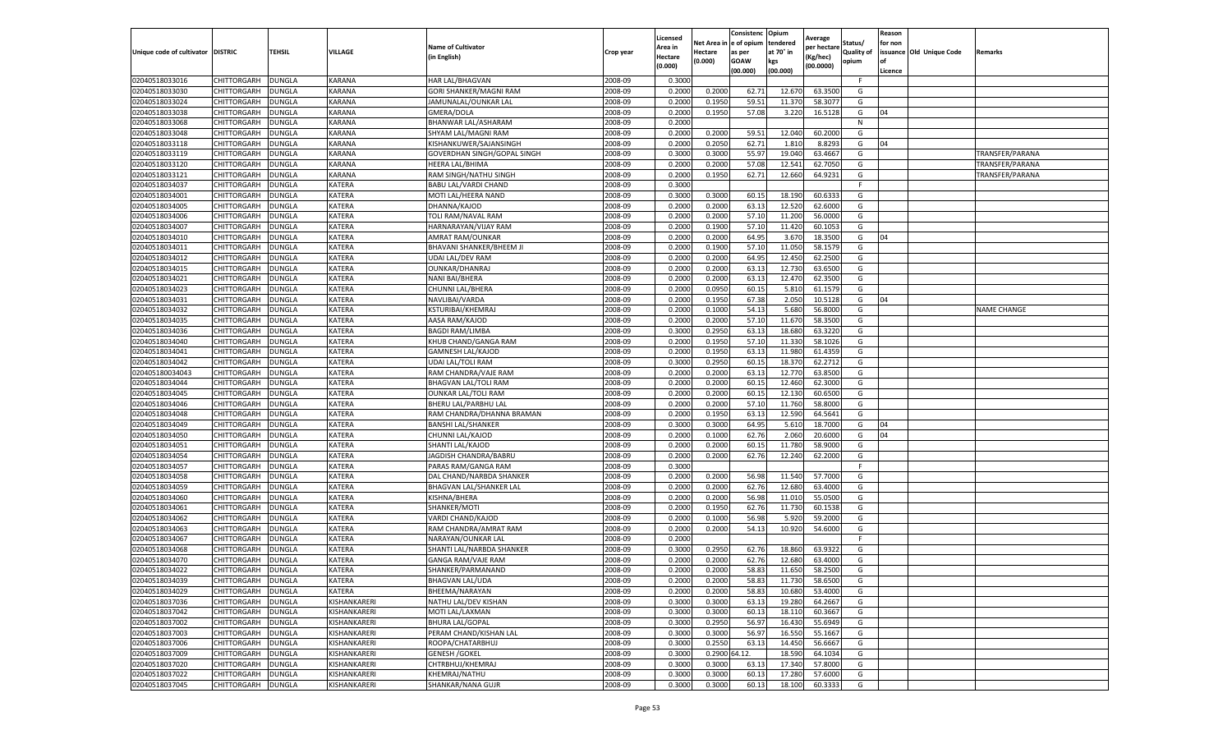|                                     |                            |                                |                                |                                        |                    | Licensed         |                     | Consistenc           | Opium                 | Average            |                              | Reason  |                          |                    |
|-------------------------------------|----------------------------|--------------------------------|--------------------------------|----------------------------------------|--------------------|------------------|---------------------|----------------------|-----------------------|--------------------|------------------------------|---------|--------------------------|--------------------|
| Unique code of cultivator   DISTRIC |                            | <b>TEHSIL</b>                  | VILLAGE                        | <b>Name of Cultivator</b>              | Crop year          | Area in          | Net Area<br>Hectare | e of opium<br>as per | tendered<br>at 70° in | per hectarı        | Status/<br><b>Quality of</b> | for non | issuance Old Unique Code | Remarks            |
|                                     |                            |                                |                                | (in English)                           |                    | <b>Hectare</b>   | (0.000)             | <b>GOAW</b>          | kgs                   | (Kg/hec)           | opium                        | of      |                          |                    |
|                                     |                            |                                |                                |                                        |                    | (0.000)          |                     | (00.000)             | (00.000)              | (00.0000)          |                              | Licence |                          |                    |
| 02040518033016                      | CHITTORGARH                | <b>DUNGLA</b>                  | <b>KARANA</b>                  | HAR LAL/BHAGVAN                        | 2008-09            | 0.3000           |                     |                      |                       |                    | F                            |         |                          |                    |
| 02040518033030                      | CHITTORGARH                | <b>DUNGLA</b>                  | <b>KARANA</b>                  | GORI SHANKER/MAGNI RAM                 | 2008-09            | 0.2000           | 0.2000              | 62.71                | 12.670                | 63.3500            | G                            |         |                          |                    |
| 02040518033024                      | CHITTORGARH                | <b>DUNGLA</b>                  | KARANA                         | JAMUNALAL/OUNKAR LAL                   | 2008-09            | 0.2000           | 0.1950              | 59.51                | 11.370                | 58.3077            | G                            |         |                          |                    |
| 02040518033038                      | CHITTORGARH                | <b>DUNGLA</b>                  | KARANA                         | GMERA/DOLA                             | 2008-09            | 0.2000           | 0.1950              | 57.08                | 3.220                 | 16.5128            | G                            | 04      |                          |                    |
| 02040518033068                      | CHITTORGARH                | <b>DUNGLA</b>                  | KARANA                         | BHANWAR LAL/ASHARAM                    | 2008-09            | 0.2000           |                     |                      |                       |                    | N                            |         |                          |                    |
| 02040518033048                      | CHITTORGARH                | DUNGLA                         | KARANA                         | SHYAM LAL/MAGNI RAM                    | 2008-09            | 0.2000           | 0.2000              | 59.51                | 12.040                | 60.2000            | G                            |         |                          |                    |
| 02040518033118                      | CHITTORGARH                | <b>DUNGLA</b>                  | KARANA                         | KISHANKUWER/SAJANSINGH                 | 2008-09            | 0.2000           | 0.2050              | 62.71                | 1.810                 | 8.8293             | G                            | 04      |                          |                    |
| 02040518033119                      | CHITTORGARH                | <b>DUNGLA</b>                  | KARANA                         | GOVERDHAN SINGH/GOPAL SINGH            | 2008-09            | 0.3000           | 0.3000              | 55.97                | 19.040                | 63.4667            | G                            |         |                          | TRANSFER/PARANA    |
| 02040518033120                      | CHITTORGARH                | <b>DUNGLA</b>                  | KARANA                         | <b>HEERA LAL/BHIMA</b>                 | 2008-09            | 0.2000           | 0.2000              | 57.08                | 12.541                | 62.7050            | G                            |         |                          | TRANSFER/PARANA    |
| 02040518033121                      | CHITTORGARH                | <b>DUNGLA</b>                  | KARANA                         | RAM SINGH/NATHU SINGH                  | 2008-09            | 0.2000           | 0.1950              | 62.71                | 12.660                | 64.9231            | G                            |         |                          | TRANSFER/PARANA    |
| 02040518034037                      | CHITTORGARH                | <b>DUNGLA</b>                  | KATERA                         | <b>BABU LAL/VARDI CHAND</b>            | 2008-09            | 0.3000           |                     |                      |                       |                    | F                            |         |                          |                    |
| 02040518034001                      | CHITTORGARH                | DUNGLA                         | KATERA                         | MOTI LAL/HEERA NAND                    | 2008-09            | 0.3000           | 0.3000              | 60.1                 | 18.190                | 60.633             | G                            |         |                          |                    |
| 02040518034005                      | CHITTORGARH                | DUNGLA                         | <b>KATERA</b>                  | DHANNA/KAJOD                           | 2008-09            | 0.2000           | 0.2000              | 63.1                 | 12.520                | 62.6000            | G                            |         |                          |                    |
| 02040518034006                      | CHITTORGARH                | <b>DUNGLA</b>                  | <b>KATERA</b>                  | TOLI RAM/NAVAL RAM                     | 2008-09            | 0.2000           | 0.2000              | 57.10                | 11.200                | 56.0000            | G                            |         |                          |                    |
| 02040518034007                      | CHITTORGARH                | <b>DUNGLA</b>                  | <b>KATERA</b>                  | HARNARAYAN/VIJAY RAM                   | 2008-09            | 0.2000           | 0.1900              | 57.10                | 11.420                | 60.1053            | G                            |         |                          |                    |
| 02040518034010                      | CHITTORGARH                | <b>DUNGLA</b>                  | <b>KATERA</b>                  | AMRAT RAM/OUNKAR                       | 2008-09            | 0.2000           | 0.2000              | 64.95                | 3.670                 | 18.3500            | G                            | 04      |                          |                    |
| 02040518034011                      | CHITTORGARH                | <b>DUNGLA</b>                  | KATERA                         | BHAVANI SHANKER/BHEEM JI               | 2008-09            | 0.2000           | 0.1900              | 57.10                | 11.050                | 58.1579            | G                            |         |                          |                    |
| 02040518034012                      | CHITTORGARH                | DUNGLA                         | <b>KATERA</b>                  | <b>UDAI LAL/DEV RAM</b>                | 2008-09            | 0.2000           | 0.2000              | 64.95                | 12.450                | 62.2500            | G                            |         |                          |                    |
| 02040518034015                      | CHITTORGARH                | <b>DUNGLA</b>                  | <b>KATERA</b>                  | <b>OUNKAR/DHANRAJ</b>                  | 2008-09            | 0.2000           | 0.2000              | 63.13                | 12.730                | 63.6500            | G                            |         |                          |                    |
| 02040518034021                      | CHITTORGARH                | DUNGLA                         | <b>KATERA</b>                  | NANI BAI/BHERA                         | 2008-09            | 0.2000           | 0.2000              | 63.1                 | 12.470                | 62.3500            | G                            |         |                          |                    |
| 02040518034023                      | CHITTORGARH                | <b>DUNGLA</b>                  | <b>KATERA</b>                  | CHUNNI LAL/BHERA                       | 2008-09            | 0.2000           | 0.0950              | 60.15                | 5.810                 | 61.1579            | G                            |         |                          |                    |
| 02040518034031                      | CHITTORGARH                | <b>DUNGLA</b>                  | <b>KATERA</b>                  | NAVLIBAI/VARDA                         | 2008-09            | 0.2000           | 0.1950              | 67.38                | 2.050                 | 10.5128            | G                            | 04      |                          |                    |
| 02040518034032                      | CHITTORGARH                | <b>DUNGLA</b>                  | <b>KATERA</b>                  | KSTURIBAI/KHEMRAJ                      | 2008-09            | 0.2000           | 0.1000              | 54.13                | 5.680                 | 56.8000            | G                            |         |                          | <b>NAME CHANGE</b> |
| 02040518034035                      | CHITTORGARH                | DUNGLA                         | <b>KATERA</b>                  | AASA RAM/KAJOD                         | 2008-09            | 0.2000           | 0.2000              | 57.10                | 11.670                | 58.3500            | G                            |         |                          |                    |
| 02040518034036                      | CHITTORGARH                | DUNGLA                         | <b>KATERA</b>                  | <b>BAGDI RAM/LIMBA</b>                 | 2008-09            | 0.3000           | 0.2950              | 63.13                | 18.680                | 63.3220            | G                            |         |                          |                    |
| 02040518034040                      | CHITTORGARH                | <b>DUNGLA</b>                  | <b>KATERA</b>                  | KHUB CHAND/GANGA RAM                   | 2008-09            | 0.2000           | 0.1950              | 57.10                | 11.330                | 58.1026            | G                            |         |                          |                    |
| 02040518034041                      | CHITTORGARH                | <b>DUNGLA</b>                  | <b>KATERA</b>                  | <b>GAMNESH LAL/KAJOD</b>               | 2008-09            | 0.2000           | 0.1950              | 63.13                | 11.980                | 61.4359            | G                            |         |                          |                    |
| 02040518034042                      | CHITTORGARH                | <b>DUNGLA</b>                  | KATERA                         | <b>UDAI LAL/TOLI RAM</b>               | 2008-09            | 0.3000           | 0.2950              | 60.15                | 18.370                | 62.2712            | G                            |         |                          |                    |
| 020405180034043                     | CHITTORGARH                | <b>DUNGLA</b>                  | <b>KATERA</b>                  | RAM CHANDRA/VAJE RAM                   | 2008-09            | 0.2000           | 0.2000              | 63.13                | 12.770                | 63.8500            | G                            |         |                          |                    |
| 02040518034044                      | CHITTORGARH                | <b>DUNGLA</b>                  | <b>KATERA</b>                  | BHAGVAN LAL/TOLI RAM                   | 2008-09            | 0.2000           | 0.2000              | 60.15                | 12.460                | 62.3000            | G                            |         |                          |                    |
| 02040518034045                      | CHITTORGARH                | DUNGLA                         | KATERA                         | <b>OUNKAR LAL/TOLI RAM</b>             | 2008-09            | 0.2000           | 0.2000              | 60.1                 | 12.130                | 60.6500            | G                            |         |                          |                    |
| 02040518034046                      | CHITTORGARH                | <b>DUNGLA</b>                  | <b>KATERA</b>                  | BHERU LAL/PARBHU LAL                   | 2008-09            | 0.2000           | 0.2000              | 57.10                | 11.760                | 58.8000            | G                            |         |                          |                    |
| 02040518034048                      | CHITTORGARH                | <b>DUNGLA</b>                  | <b>KATERA</b>                  | RAM CHANDRA/DHANNA BRAMAN              | 2008-09            | 0.2000           | 0.1950              | 63.13                | 12.590                | 64.5641            | G                            |         |                          |                    |
| 02040518034049                      | CHITTORGARH                | <b>DUNGLA</b>                  | <b>KATERA</b>                  | <b>BANSHI LAL/SHANKER</b>              | 2008-09            | 0.3000           | 0.3000              | 64.95                | 5.610                 | 18.7000            | G                            | 04      |                          |                    |
| 02040518034050                      | CHITTORGARH                | <b>DUNGLA</b>                  | <b>KATERA</b>                  | CHUNNI LAL/KAJOD                       | 2008-09            | 0.2000           | 0.1000              | 62.76                | 2.060                 | 20.6000            | G                            | 04      |                          |                    |
| 02040518034051                      | CHITTORGARH                | <b>DUNGLA</b>                  | KATERA                         | SHANTI LAL/KAJOD                       | 2008-09            | 0.2000           | 0.2000              | 60.15                | 11.780                | 58.9000            | G                            |         |                          |                    |
| 02040518034054                      | CHITTORGARH                | DUNGLA                         | <b>KATERA</b>                  | JAGDISH CHANDRA/BABRU                  | 2008-09            | 0.2000           | 0.2000              | 62.76                | 12.240                | 62.2000            | G<br>F                       |         |                          |                    |
| 02040518034057                      | CHITTORGARH                | DUNGLA                         | <b>KATERA</b>                  | PARAS RAM/GANGA RAM                    | 2008-09            | 0.3000           |                     |                      |                       |                    |                              |         |                          |                    |
| 02040518034058                      | CHITTORGARH                | DUNGLA                         | KATERA                         | DAL CHAND/NARBDA SHANKER               | 2008-09            | 0.2000           | 0.2000              | 56.98                | 11.540                | 57.7000            | G                            |         |                          |                    |
| 02040518034059                      | CHITTORGARH                | <b>DUNGLA</b>                  | <b>KATERA</b>                  | BHAGVAN LAL/SHANKER LAL                | 2008-09            | 0.2000           | 0.2000              | 62.76                | 12.680                | 63.4000            | G                            |         |                          |                    |
| 02040518034060<br>02040518034061    | CHITTORGARH                | <b>DUNGLA</b>                  | <b>KATERA</b><br><b>KATERA</b> | KISHNA/BHERA                           | 2008-09<br>2008-09 | 0.2000           | 0.2000              | 56.98<br>62.76       | 11.010                | 55.0500<br>60.1538 | G<br>G                       |         |                          |                    |
| 02040518034062                      | CHITTORGARH                | <b>DUNGLA</b><br>DUNGLA        | KATERA                         | SHANKER/MOTI                           | 2008-09            | 0.2000           | 0.1950<br>0.1000    | 56.98                | 11.730                | 59.2000            |                              |         |                          |                    |
|                                     | CHITTORGARH<br>CHITTORGARH |                                | <b>KATERA</b>                  | VARDI CHAND/KAJOD                      |                    | 0.2000           |                     |                      | 5.920<br>10.920       |                    | G<br>G                       |         |                          |                    |
| 02040518034063                      |                            | DUNGLA                         |                                | RAM CHANDRA/AMRAT RAM                  | 2008-09            | 0.2000           | 0.2000              | 54.13                |                       | 54.6000            | F.                           |         |                          |                    |
| 02040518034067<br>02040518034068    | CHITTORGARH<br>CHITTORGARH | <b>DUNGLA</b><br>DUNGLA        | <b>KATERA</b><br>KATERA        | NARAYAN/OUNKAR LAL                     | 2008-09            | 0.2000           | 0.2950              | 62.76                |                       | 63.9322            | G                            |         |                          |                    |
|                                     |                            |                                | <b>KATERA</b>                  | SHANTI LAL/NARBDA SHANKER              | 2008-09<br>2008-09 | 0.3000<br>0.2000 | 0.2000              | 62.76                | 18.860<br>12.680      | 63.4000            |                              |         |                          |                    |
| 02040518034070                      | CHITTORGARH                | <b>DUNGLA</b>                  |                                | GANGA RAM/VAJE RAM                     |                    |                  |                     |                      |                       |                    | G                            |         |                          |                    |
| 02040518034022                      | CHITTORGARH                | <b>DUNGLA</b>                  | <b>KATERA</b>                  | SHANKER/PARMANAND                      | 2008-09            | 0.2000           | 0.2000              | 58.83                | 11.650                | 58.2500            | G                            |         |                          |                    |
| 02040518034039<br>02040518034029    | <b>CHITTORGARH</b>         | DUNGLA                         | KATERA                         | <b>BHAGVAN LAL/UDA</b>                 | 2008-09<br>2008-09 | 0.2000<br>0.2000 | 0.2000<br>0.2000    | 58.83                | 11.730                | 58.6500            | G                            |         |                          |                    |
| 02040518037036                      | CHITTORGARH<br>CHITTORGARH | <b>DUNGLA</b><br><b>DUNGLA</b> | KATERA<br>KISHANKARERI         | BHEEMA/NARAYAN<br>NATHU LAL/DEV KISHAN | 2008-09            | 0.3000           | 0.3000              | 58.83<br>63.1        | 10.680<br>19.280      | 53.4000<br>64.2667 | G<br>G                       |         |                          |                    |
| 02040518037042                      |                            |                                |                                | MOTI LAL/LAXMAN                        | 2008-09            |                  |                     |                      |                       |                    | G                            |         |                          |                    |
| 02040518037002                      | CHITTORGARH<br>CHITTORGARH | <b>DUNGLA</b><br><b>DUNGLA</b> | KISHANKARERI<br>KISHANKARERI   | <b>BHURA LAL/GOPAL</b>                 | 2008-09            | 0.3000<br>0.3000 | 0.3000<br>0.2950    | 60.13<br>56.97       | 18.110<br>16.430      | 60.3667<br>55.6949 | G                            |         |                          |                    |
| 02040518037003                      | CHITTORGARH                | <b>DUNGLA</b>                  | KISHANKARERI                   | PERAM CHAND/KISHAN LAL                 | 2008-09            | 0.3000           | 0.3000              | 56.97                | 16.550                | 55.1667            | G                            |         |                          |                    |
| 02040518037006                      | CHITTORGARH                | <b>DUNGLA</b>                  | KISHANKARERI                   | ROOPA/CHATARBHUJ                       | 2008-09            | 0.3000           | 0.2550              | 63.13                | 14.450                | 56.6667            | G                            |         |                          |                    |
| 02040518037009                      | CHITTORGARH                | DUNGLA                         | KISHANKARERI                   | <b>GENESH / GOKEL</b>                  | 2008-09            | 0.3000           | 0.2900              | 4.12.                | 18.590                | 64.1034            | G                            |         |                          |                    |
| 02040518037020                      | CHITTORGARH                | <b>DUNGLA</b>                  | KISHANKARERI                   | CHTRBHUJ/KHEMRAJ                       | 2008-09            | 0.3000           | 0.3000              | 63.1                 | 17.340                | 57.8000            | G                            |         |                          |                    |
| 02040518037022                      | CHITTORGARH                |                                | KISHANKARERI                   | KHEMRAJ/NATHU                          | 2008-09            | 0.3000           | 0.3000              | 60.1                 | 17.280                | 57.6000            | G                            |         |                          |                    |
|                                     |                            | <b>DUNGLA</b>                  |                                |                                        |                    |                  |                     |                      |                       |                    |                              |         |                          |                    |
| 02040518037045                      | CHITTORGARH                | <b>DUNGLA</b>                  | KISHANKARERI                   | SHANKAR/NANA GUJR                      | 2008-09            | 0.3000           | 0.3000              | 60.13                | 18.100                | 60.3333            | G                            |         |                          |                    |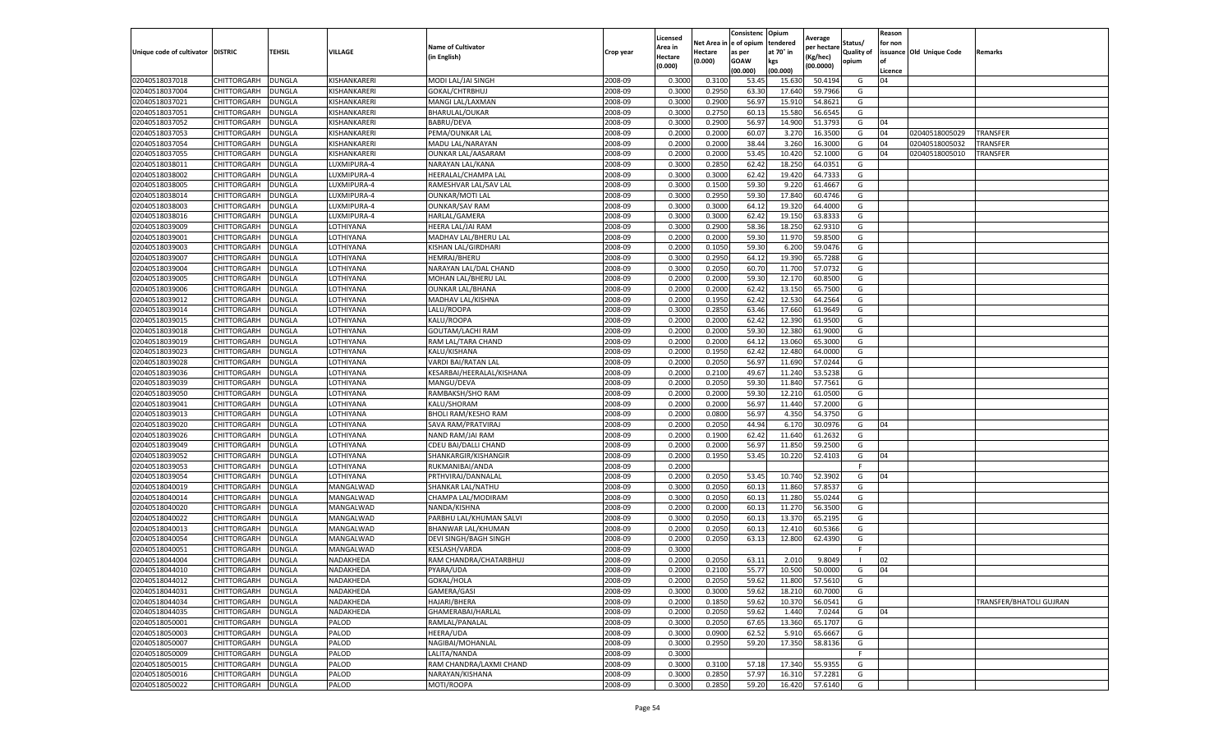|                           |                    |               |              |                              |           | Licensed |         | Consistenc             | Opium     |                        |                   | Reason  |                          |                         |
|---------------------------|--------------------|---------------|--------------|------------------------------|-----------|----------|---------|------------------------|-----------|------------------------|-------------------|---------|--------------------------|-------------------------|
|                           |                    |               |              | <b>Name of Cultivator</b>    |           | Area in  |         | Net Area in e of opium | tendered  | Average<br>per hectare | Status/           | for non |                          |                         |
| Unique code of cultivator | <b>DISTRIC</b>     | TEHSIL        | VILLAGE      | in English)                  | Crop year | Hectare  | Hectare | as per                 | at 70° in | (Kg/hec                | <b>Quality of</b> |         | issuance Old Unique Code | <b>Remarks</b>          |
|                           |                    |               |              |                              |           | (0.000)  | (0.000) | <b>GOAW</b>            | kgs       | (00.0000)              | opium             |         |                          |                         |
|                           |                    |               |              |                              |           |          |         | (00.000)               | (00.000)  |                        |                   | Licence |                          |                         |
| 02040518037018            | CHITTORGARH        | <b>DUNGLA</b> | KISHANKARERI | MODI LAL/JAI SINGH           | 2008-09   | 0.3000   | 0.3100  | 53.4                   | 15.63     | 50.4194                | G                 | 04      |                          |                         |
| 02040518037004            | CHITTORGARH        | DUNGLA        | KISHANKARERI | GOKAL/CHTRBHUJ               | 2008-09   | 0.3000   | 0.2950  | 63.30                  | 17.64     | 59.7966                | G                 |         |                          |                         |
| 02040518037021            | CHITTORGARH        | DUNGLA        | KISHANKARERI | MANGI LAL/LAXMAN             | 2008-09   | 0.3000   | 0.2900  | 56.97                  | 15.91     | 54.8621                | G                 |         |                          |                         |
| 02040518037051            | CHITTORGARH        | <b>DUNGLA</b> | KISHANKARERI | BHARULAL/OUKAR               | 2008-09   | 0.3000   | 0.2750  | 60.13                  | 15.580    | 56.6545                | G                 |         |                          |                         |
| 02040518037052            | CHITTORGARH        | <b>DUNGLA</b> | KISHANKARERI | <b>BABRU/DEVA</b>            | 2008-09   | 0.3000   | 0.2900  | 56.97                  | 14.900    | 51.3793                | G                 | 04      |                          |                         |
| 02040518037053            | CHITTORGARH        | DUNGLA        | KISHANKARERI | PEMA/OUNKAR LAL              | 2008-09   | 0.2000   | 0.2000  | 60.07                  | 3.27      | 16.3500                | G                 | 04      | 02040518005029           | TRANSFER                |
| 02040518037054            | CHITTORGARH        | <b>DUNGLA</b> | KISHANKARERI | MADU LAL/NARAYAN             | 2008-09   | 0.2000   | 0.2000  | 38.44                  | 3.260     | 16.3000                | G                 | 04      | 02040518005032           | <b>TRANSFER</b>         |
| 02040518037055            | CHITTORGARH        | DUNGLA        | KISHANKARERI | <b>OUNKAR LAL/AASARAM</b>    | 2008-09   | 0.2000   | 0.2000  | 53.45                  | 10.420    | 52.1000                | G                 | 04      | 02040518005010           | TRANSFER                |
| 02040518038011            | CHITTORGARH        | DUNGLA        | LUXMIPURA-4  | NARAYAN LAL/KANA             | 2008-09   | 0.3000   | 0.2850  | 62.42                  | 18.25     | 64.0351                | G                 |         |                          |                         |
| 02040518038002            | CHITTORGARH        | <b>DUNGLA</b> | LUXMIPURA-4  | HEERALAL/CHAMPA LAL          | 2008-09   | 0.3000   | 0.3000  | 62.42                  | 19.420    | 64.7333                | G                 |         |                          |                         |
| 02040518038005            | CHITTORGARH        | <b>DUNGLA</b> | LUXMIPURA-4  | RAMESHVAR LAL/SAV LAL        | 2008-09   | 0.3000   | 0.1500  | 59.30                  | 9.22      | 61.4667                | G                 |         |                          |                         |
| 02040518038014            | CHITTORGARH        | <b>DUNGLA</b> | LUXMIPURA-4  | <b>OUNKAR/MOTI LAL</b>       | 2008-09   | 0.3000   | 0.2950  | 59.30                  | 17.84     | 60.4746                | G                 |         |                          |                         |
| 02040518038003            | CHITTORGARH        | DUNGLA        | LUXMIPURA-4  | <b>OUNKAR/SAV RAM</b>        | 2008-09   | 0.3000   | 0.3000  | 64.12                  | 19.32     | 64.4000                | G                 |         |                          |                         |
| 02040518038016            | CHITTORGARH        | DUNGLA        | LUXMIPURA-4  | HARLAL/GAMERA                | 2008-09   | 0.3000   | 0.3000  | 62.42                  | 19.15     | 63.8333                | G                 |         |                          |                         |
| 02040518039009            | CHITTORGARH        | DUNGLA        | LOTHIYANA    | HEERA LAL/JAI RAM            | 2008-09   | 0.3000   | 0.2900  | 58.36                  | 18.25     | 62.9310                | G                 |         |                          |                         |
| 02040518039001            | CHITTORGARH        | <b>DUNGLA</b> | LOTHIYANA    | MADHAV LAL/BHERU LAL         | 2008-09   | 0.2000   | 0.2000  | 59.30                  | 11.97     | 59.8500                | G                 |         |                          |                         |
| 02040518039003            | CHITTORGARH        | <b>DUNGLA</b> | LOTHIYANA    | KISHAN LAL/GIRDHARI          | 2008-09   | 0.2000   | 0.1050  | 59.30                  | 6.200     | 59.0476                | G                 |         |                          |                         |
| 02040518039007            | CHITTORGARH        | <b>DUNGLA</b> | LOTHIYANA    | <b>HEMRAJ/BHERU</b>          | 2008-09   | 0.3000   | 0.2950  | 64.12                  | 19.39     | 65.7288                | G                 |         |                          |                         |
| 02040518039004            | CHITTORGARH        | DUNGLA        | OTHIYANA.    | NARAYAN LAL/DAL CHAND        | 2008-09   | 0.3000   | 0.2050  | 60.70                  | 11.70     | 57.0732                | G                 |         |                          |                         |
| 02040518039005            | CHITTORGARH        | DUNGLA        | LOTHIYANA    | MOHAN LAL/BHERU LAL          | 2008-09   | 0.2000   | 0.2000  | 59.30                  | 12.17     | 60.8500                | G                 |         |                          |                         |
| 02040518039006            | CHITTORGARH        | <b>DUNGLA</b> | LOTHIYANA    | <b>OUNKAR LAL/BHANA</b>      | 2008-09   | 0.2000   | 0.2000  | 62.42                  | 13.150    | 65.7500                | G                 |         |                          |                         |
| 02040518039012            | CHITTORGARH        | DUNGLA        | LOTHIYANA    | MADHAV LAL/KISHNA            | 2008-09   | 0.2000   | 0.1950  | 62.42                  | 12.53     | 64.2564                | G                 |         |                          |                         |
| 02040518039014            | CHITTORGARH        | <b>DUNGLA</b> | LOTHIYANA    | LALU/ROOPA                   | 2008-09   | 0.3000   | 0.2850  | 63.46                  | 17.660    | 61.9649                | G                 |         |                          |                         |
| 02040518039015            | CHITTORGARH        | DUNGLA        | LOTHIYANA    | KALU/ROOPA                   | 2008-09   | 0.2000   | 0.2000  | 62.42                  | 12.39     | 61.9500                | G                 |         |                          |                         |
| 02040518039018            | CHITTORGARH        | DUNGLA        | LOTHIYANA    | GOUTAM/LACHI RAM             | 2008-09   | 0.2000   | 0.2000  | 59.30                  | 12.38     | 61.9000                | G                 |         |                          |                         |
| 02040518039019            | CHITTORGARH        | DUNGLA        | LOTHIYANA    | RAM LAL/TARA CHAND           | 2008-09   | 0.2000   | 0.2000  | 64.12                  | 13.060    | 65.3000                | G                 |         |                          |                         |
| 02040518039023            | CHITTORGARH        | DUNGLA        | LOTHIYANA    | KALU/KISHANA                 | 2008-09   | 0.2000   | 0.1950  | 62.42                  | 12.48     | 64.0000                | G                 |         |                          |                         |
| 02040518039028            | CHITTORGARH        | <b>DUNGLA</b> | LOTHIYANA    | VARDI BAI/RATAN LAL          | 2008-09   | 0.2000   | 0.2050  | 56.97                  | 11.690    | 57.0244                | G                 |         |                          |                         |
| 02040518039036            | CHITTORGARH        | <b>DUNGLA</b> | LOTHIYANA    | KESARBAI/HEERALAL/KISHANA    | 2008-09   | 0.2000   | 0.2100  | 49.67                  | 11.240    | 53.5238                | G                 |         |                          |                         |
| 02040518039039            | CHITTORGARH        | <b>DUNGLA</b> | LOTHIYANA    | MANGU/DEVA                   | 2008-09   | 0.2000   | 0.2050  | 59.30                  | 11.84     | 57.7561                | G                 |         |                          |                         |
| 02040518039050            | CHITTORGARH        | DUNGLA        | OTHIYANA.    | RAMBAKSH/SHO RAM             | 2008-09   | 0.2000   | 0.2000  | 59.30                  | 12.21     | 61.0500                | G                 |         |                          |                         |
| 02040518039041            | CHITTORGARH        | DUNGLA        | LOTHIYANA    | KALU/SHORAM                  | 2008-09   | 0.2000   | 0.2000  | 56.97                  | 11.440    | 57.2000                | G                 |         |                          |                         |
| 02040518039013            | CHITTORGARH        | DUNGLA        | LOTHIYANA    | <b>BHOLI RAM/KESHO RAM</b>   | 2008-09   | 0.2000   | 0.0800  | 56.97                  | 4.35      | 54.3750                | G                 |         |                          |                         |
| 02040518039020            | CHITTORGARH        | DUNGLA        | LOTHIYANA    | SAVA RAM/PRATVIRAJ           | 2008-09   | 0.2000   | 0.2050  | 44.94                  | 6.17      | 30.0976                | G                 | 04      |                          |                         |
| 02040518039026            | CHITTORGARH        | <b>DUNGLA</b> | LOTHIYANA    | NAND RAM/JAI RAM             | 2008-09   | 0.2000   | 0.1900  | 62.42                  | 11.640    | 61.2632                | G                 |         |                          |                         |
| 02040518039049            | CHITTORGARH        | <b>DUNGLA</b> | LOTHIYANA    | CDEU BAI/DALLI CHAND         | 2008-09   | 0.2000   | 0.2000  | 56.97                  | 11.85     | 59.2500                | G                 |         |                          |                         |
| 02040518039052            | CHITTORGARH        | <b>DUNGLA</b> | LOTHIYANA    | SHANKARGIR/KISHANGIF         | 2008-09   | 0.2000   | 0.1950  | 53.45                  | 10.220    | 52.4103                | G                 | 04      |                          |                         |
| 02040518039053            | CHITTORGARH        | DUNGLA        | OTHIYANA.    | RUKMANIBAI/ANDA              | 2008-09   | 0.2000   |         |                        |           |                        | F                 |         |                          |                         |
| 02040518039054            | CHITTORGARH        | DUNGLA        | LOTHIYANA    | PRTHVIRAJ/DANNALAL           | 2008-09   | 0.2000   | 0.2050  | 53.45                  | 10.74     | 52.3902                | G                 | 04      |                          |                         |
| 02040518040019            | CHITTORGARH        | <b>DUNGLA</b> | MANGALWAD    | SHANKAR LAL/NATHU            | 2008-09   | 0.3000   | 0.2050  | 60.13                  | 11.860    | 57.8537                | G                 |         |                          |                         |
| 02040518040014            | CHITTORGARH        | DUNGLA        | MANGALWAD    | CHAMPA LAL/MODIRAM           | 2008-09   | 0.3000   | 0.2050  | 60.13                  | 11.28     | 55.0244                | G                 |         |                          |                         |
| 02040518040020            | CHITTORGARH        | <b>DUNGLA</b> | MANGALWAD    | NANDA/KISHNA                 | 2008-09   | 0.2000   | 0.2000  | 60.13                  | 11.27     | 56.3500                | G                 |         |                          |                         |
| 02040518040022            | CHITTORGARH        | DUNGLA        | MANGALWAD    | PARBHU LAL/KHUMAN SALVI      | 2008-09   | 0.3000   | 0.2050  | 60.13                  | 13.37     | 65.2195                | G                 |         |                          |                         |
| 02040518040013            | CHITTORGARH        | DUNGLA        | MANGALWAD    | BHANWAR LAL/KHUMAN           | 2008-09   | 0.2000   | 0.2050  | 60.13                  | 12.41     | 60.5366                | G                 |         |                          |                         |
| 02040518040054            | CHITTORGARH        | <b>DUNGLA</b> | MANGALWAD    | <b>DEVI SINGH/BAGH SINGH</b> | 2008-09   | 0.2000   | 0.2050  | 63.13                  | 12.800    | 62.4390                | G                 |         |                          |                         |
| 02040518040051            | CHITTORGARH        | DUNGLA        | MANGALWAD    | KESLASH/VARDA                | 2008-09   | 0.3000   |         |                        |           |                        | F.                |         |                          |                         |
| 02040518044004            | CHITTORGARH        | DUNGLA        | NADAKHEDA    | RAM CHANDRA/CHATARBHUJ       | 2008-09   | 0.2000   | 0.2050  | 63.11                  | 2.01      | 9.8049                 |                   | 02      |                          |                         |
| 02040518044010            | CHITTORGARH        | <b>DUNGLA</b> | NADAKHEDA    | PYARA/UDA                    | 2008-09   | 0.2000   | 0.2100  | 55.77                  | 10.500    | 50.0000                | G                 | 04      |                          |                         |
| 02040518044012            | <b>CHITTORGARH</b> | <b>DUNGLA</b> | NADAKHEDA    | GOKAL/HOLA                   | 2008-09   | 0.2000   | 0.2050  | 59.62                  | 11.800    | 57.5610                | G                 |         |                          |                         |
| 02040518044031            | CHITTORGARH        | <b>DUNGLA</b> | NADAKHEDA    | GAMERA/GASI                  | 2008-09   | 0.3000   | 0.3000  | 59.62                  | 18.210    | 60.7000                | G                 |         |                          |                         |
| 02040518044034            | CHITTORGARH        | <b>DUNGLA</b> | NADAKHEDA    | HAJARI/BHERA                 | 2008-09   | 0.2000   | 0.1850  | 59.62                  | 10.370    | 56.0541                | G                 |         |                          | TRANSFER/BHATOLI GUJRAN |
| 02040518044035            | <b>CHITTORGARH</b> | DUNGLA        | NADAKHEDA    | GHAMERABAI/HARLAL            | 2008-09   | 0.2000   | 0.2050  | 59.62                  | 1.440     | 7.0244                 | G                 | 04      |                          |                         |
| 02040518050001            | CHITTORGARH        | <b>DUNGLA</b> | PALOD        | RAMLAL/PANALAL               | 2008-09   | 0.3000   | 0.2050  | 67.65                  | 13.360    | 65.1707                | G                 |         |                          |                         |
| 02040518050003            | <b>CHITTORGARH</b> | <b>DUNGLA</b> | PALOD        | HEERA/UDA                    | 2008-09   | 0.3000   | 0.0900  | 62.52                  | 5.910     | 65.6667                | G                 |         |                          |                         |
| 02040518050007            | CHITTORGARH        | <b>DUNGLA</b> | PALOD        | NAGIBAI/MOHANLAL             | 2008-09   | 0.3000   | 0.2950  | 59.20                  | 17.350    | 58.8136                | G                 |         |                          |                         |
| 02040518050009            | CHITTORGARH        | <b>DUNGLA</b> | PALOD        | LALITA/NANDA                 | 2008-09   | 0.3000   |         |                        |           |                        | F.                |         |                          |                         |
| 02040518050015            | CHITTORGARH        | <b>DUNGLA</b> | PALOD        | RAM CHANDRA/LAXMI CHAND      | 2008-09   | 0.3000   | 0.3100  | 57.18                  | 17.340    | 55.9355                | G                 |         |                          |                         |
| 02040518050016            | CHITTORGARH        | DUNGLA        | PALOD        | NARAYAN/KISHANA              | 2008-09   | 0.3000   | 0.2850  | 57.97                  | 16.31     | 57.2281                | G                 |         |                          |                         |
| 02040518050022            | <b>CHITTORGARH</b> | <b>DUNGLA</b> | PALOD        | MOTI/ROOPA                   | 2008-09   | 0.3000   | 0.2850  | 59.20                  | 16.420    | 57.6140                | G                 |         |                          |                         |
|                           |                    |               |              |                              |           |          |         |                        |           |                        |                   |         |                          |                         |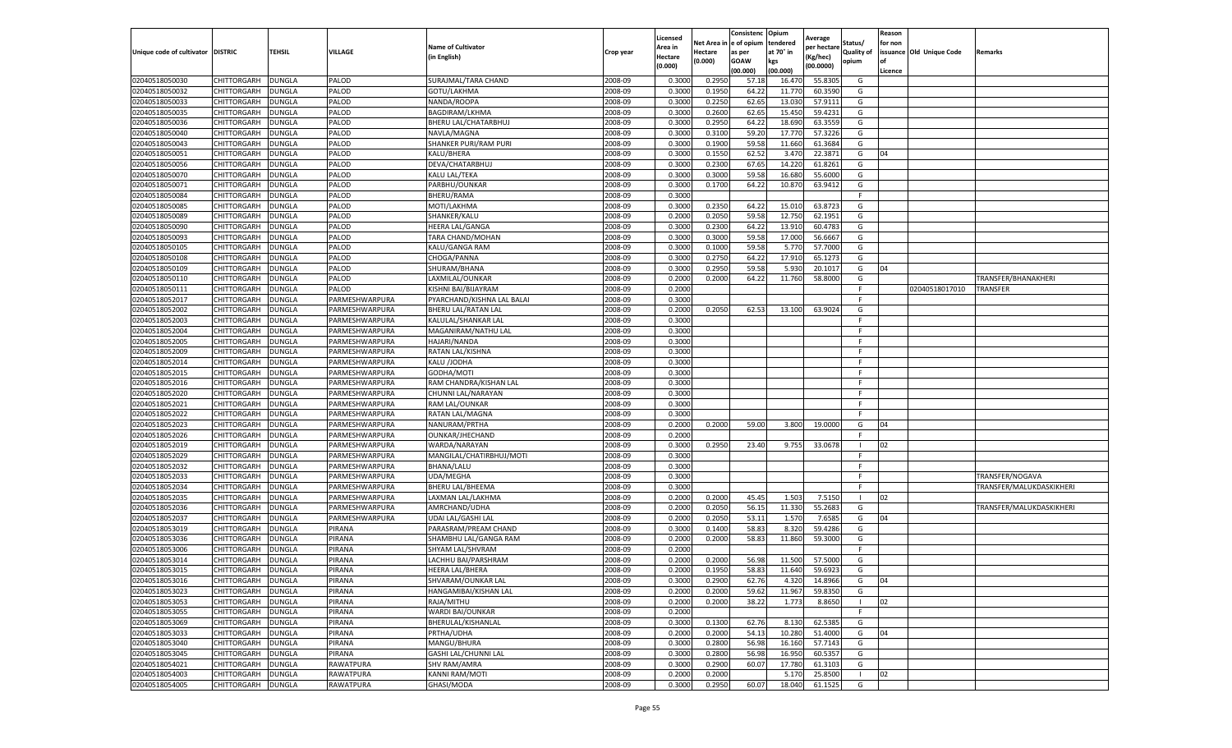|                                   |                            |                                |                  | <b>Name of Cultivator</b>                     |                    | Licensed<br>Area in       | Net Area           | Consistenc<br>e of opium | Opium<br>tendered | Average<br>per hectarı | Status/                    | Reason<br>for non |                          |                          |
|-----------------------------------|----------------------------|--------------------------------|------------------|-----------------------------------------------|--------------------|---------------------------|--------------------|--------------------------|-------------------|------------------------|----------------------------|-------------------|--------------------------|--------------------------|
| Unique code of cultivator DISTRIC |                            | <b>TEHSIL</b>                  | VILLAGE          | (in English)                                  | Crop year          | <b>Hectare</b><br>(0.000) | Hectare<br>(0.000) | as per<br><b>GOAW</b>    | at 70° in<br>kgs  | (Kg/hec)<br>(00.0000)  | <b>Quality of</b><br>opium | of                | issuance Old Unique Code | Remarks                  |
|                                   |                            |                                |                  |                                               |                    |                           |                    | (00.000)                 | (00.000)          |                        |                            | Licence           |                          |                          |
| 02040518050030<br>02040518050032  | CHITTORGARH<br>CHITTORGARH | <b>DUNGLA</b><br><b>DUNGLA</b> | PALOD<br>PALOD   | SURAJMAL/TARA CHAND<br>GOTU/LAKHMA            | 2008-09<br>2008-09 | 0.3000<br>0.3000          | 0.2950<br>0.1950   | 57.1<br>64.22            | 16.47<br>11.770   | 55.830<br>60.3590      | G<br>G                     |                   |                          |                          |
| 02040518050033                    | CHITTORGARH                |                                | PALOD            |                                               | 2008-09            | 0.3000                    | 0.2250             | 62.65                    | 13.030            | 57.9111                | G                          |                   |                          |                          |
| 02040518050035                    | CHITTORGARH                | <b>DUNGLA</b><br><b>DUNGLA</b> | PALOD            | NANDA/ROOPA<br>BAGDIRAM/LKHMA                 | 2008-09            | 0.3000                    | 0.2600             | 62.65                    | 15.450            | 59.4231                | G                          |                   |                          |                          |
| 02040518050036                    | CHITTORGARH                | DUNGLA                         | PALOD            | BHERU LAL/CHATARBHUJ                          | 2008-09            | 0.3000                    | 0.2950             | 64.22                    | 18.690            | 63.3559                | G                          |                   |                          |                          |
| 02040518050040                    | CHITTORGARH                | DUNGLA                         | PALOD            | NAVLA/MAGNA                                   | 2008-09            | 0.3000                    | 0.3100             | 59.20                    | 17.770            | 57.3226                | G                          |                   |                          |                          |
| 02040518050043                    | CHITTORGARH                | <b>DUNGLA</b>                  | PALOD            | SHANKER PURI/RAM PURI                         | 2008-09            | 0.3000                    | 0.1900             | 59.58                    | 11.660            | 61.3684                | G                          |                   |                          |                          |
| 02040518050051                    | CHITTORGARH                | <b>DUNGLA</b>                  | PALOD            | KALU/BHERA                                    | 2008-09            | 0.3000                    | 0.1550             | 62.52                    | 3.47              | 22.3871                | G                          | 04                |                          |                          |
| 02040518050056                    | CHITTORGARH                | <b>DUNGLA</b>                  | PALOD            | DEVA/CHATARBHUJ                               | 2008-09            | 0.3000                    | 0.2300             | 67.65                    | 14.220            | 61.8261                | G                          |                   |                          |                          |
| 02040518050070                    | CHITTORGARH                | <b>DUNGLA</b>                  | PALOD            | KALU LAL/TEKA                                 | 2008-09            | 0.3000                    | 0.3000             | 59.58                    | 16.680            | 55.6000                | G                          |                   |                          |                          |
| 02040518050071                    | CHITTORGARH                | <b>DUNGLA</b>                  | PALOD            | PARBHU/OUNKAR                                 | 2008-09            | 0.3000                    | 0.1700             | 64.22                    | 10.870            | 63.9412                | G                          |                   |                          |                          |
| 02040518050084                    | CHITTORGARH                | DUNGLA                         | PALOD            | BHERU/RAMA                                    | 2008-09            | 0.3000                    |                    |                          |                   |                        |                            |                   |                          |                          |
| 02040518050085                    | CHITTORGARH                | DUNGLA                         | PALOD            | MOTI/LAKHMA                                   | 2008-09            | 0.3000                    | 0.2350             | 64.2                     | 15.01             | 63.8723                | G                          |                   |                          |                          |
| 02040518050089                    | CHITTORGARH                | <b>DUNGLA</b>                  | PALOD            | SHANKER/KALU                                  | 2008-09            | 0.2000                    | 0.2050             | 59.58                    | 12.750            | 62.1951                | G                          |                   |                          |                          |
| 02040518050090                    | CHITTORGARH                | <b>DUNGLA</b>                  | PALOD            | <b>HEERA LAL/GANGA</b>                        | 2008-09            | 0.3000                    | 0.2300             | 64.22                    | 13.910            | 60.4783                | G                          |                   |                          |                          |
| 02040518050093                    | CHITTORGARH                | <b>DUNGLA</b>                  | PALOD            | TARA CHAND/MOHAN                              | 2008-09            | 0.3000                    | 0.3000             | 59.58                    | 17.000            | 56.6667                | G                          |                   |                          |                          |
| 02040518050105                    | CHITTORGARH                | <b>DUNGLA</b>                  | PALOD            | KALU/GANGA RAM                                | 2008-09            | 0.3000                    | 0.1000             | 59.58                    | 5.770             | 57.7000                | G                          |                   |                          |                          |
| 02040518050108                    | CHITTORGARH                | DUNGLA                         | PALOD            | CHOGA/PANNA                                   | 2008-09            | 0.3000                    | 0.2750             | 64.22                    | 17.91             | 65.127                 | G                          |                   |                          |                          |
| 02040518050109                    | CHITTORGARH                | <b>DUNGLA</b>                  | PALOD            | SHURAM/BHANA                                  | 2008-09            | 0.3000                    | 0.2950             | 59.58                    | 5.930             | 20.1017                | G                          | 04                |                          |                          |
| 02040518050110                    | CHITTORGARH                | DUNGLA                         | PALOD            | LAXMILAL/OUNKAR                               | 2008-09            | 0.2000                    | 0.2000             | 64.22                    | 11.760            | 58.8000                | G                          |                   |                          | TRANSFER/BHANAKHERI      |
| 02040518050111                    | CHITTORGARH                | <b>DUNGLA</b>                  | PALOD            | KISHNI BAI/BIJAYRAM                           | 2008-09            | 0.2000                    |                    |                          |                   |                        | F.                         |                   | 02040518017010           | TRANSFER                 |
| 02040518052017                    | CHITTORGARH                | <b>DUNGLA</b>                  | PARMESHWARPURA   | PYARCHAND/KISHNA LAL BALAI                    | 2008-09            | 0.3000                    |                    |                          |                   |                        | F                          |                   |                          |                          |
| 02040518052002                    | CHITTORGARH                | <b>DUNGLA</b>                  | PARMESHWARPURA   | BHERU LAL/RATAN LAL                           | 2008-09            | 0.2000                    | 0.2050             | 62.53                    | 13.100            | 63.9024                | G                          |                   |                          |                          |
| 02040518052003                    | CHITTORGARH                | DUNGLA                         | PARMESHWARPURA   | KALULAL/SHANKAR LAL                           | 2008-09            | 0.3000                    |                    |                          |                   |                        |                            |                   |                          |                          |
| 02040518052004                    | CHITTORGARH                | <b>DUNGLA</b>                  | PARMESHWARPURA   | MAGANIRAM/NATHU LAL                           | 2008-09            | 0.3000                    |                    |                          |                   |                        | F                          |                   |                          |                          |
| 02040518052005                    | CHITTORGARH                | <b>DUNGLA</b>                  | PARMESHWARPURA   | HAJARI/NANDA                                  | 2008-09            | 0.3000                    |                    |                          |                   |                        | F.                         |                   |                          |                          |
| 02040518052009                    | CHITTORGARH                | <b>DUNGLA</b>                  | PARMESHWARPURA   | RATAN LAL/KISHNA                              | 2008-09            | 0.3000                    |                    |                          |                   |                        | F.                         |                   |                          |                          |
| 02040518052014                    | CHITTORGARH                | <b>DUNGLA</b>                  | PARMESHWARPURA   | KALU /JODHA                                   | 2008-09            | 0.3000                    |                    |                          |                   |                        | F.                         |                   |                          |                          |
| 02040518052015                    | CHITTORGARH                | <b>DUNGLA</b>                  | PARMESHWARPURA   | GODHA/MOTI                                    | 2008-09            | 0.3000                    |                    |                          |                   |                        |                            |                   |                          |                          |
| 02040518052016                    | CHITTORGARH                | <b>DUNGLA</b>                  | PARMESHWARPURA   | RAM CHANDRA/KISHAN LAL                        | 2008-09            | 0.3000                    |                    |                          |                   |                        |                            |                   |                          |                          |
| 02040518052020                    | CHITTORGARH                | <b>DUNGLA</b>                  | PARMESHWARPURA   | CHUNNI LAL/NARAYAN                            | 2008-09            | 0.3000                    |                    |                          |                   |                        |                            |                   |                          |                          |
| 02040518052021                    | CHITTORGARH                | <b>DUNGLA</b>                  | PARMESHWARPURA   | RAM LAL/OUNKAR                                | 2008-09            | 0.3000                    |                    |                          |                   |                        | F                          |                   |                          |                          |
| 02040518052022                    | CHITTORGARH                | <b>DUNGLA</b>                  | PARMESHWARPURA   | RATAN LAL/MAGNA                               | 2008-09            | 0.3000                    |                    |                          |                   |                        | F.                         |                   |                          |                          |
| 02040518052023                    | CHITTORGARH                | <b>DUNGLA</b>                  | PARMESHWARPURA   | NANURAM/PRTHA                                 | 2008-09            | 0.2000                    | 0.2000             | 59.00                    | 3.800             | 19.0000                | G                          | 04                |                          |                          |
| 02040518052026                    | CHITTORGARH                | <b>DUNGLA</b>                  | PARMESHWARPURA   | OUNKAR/JHECHAND                               | 2008-09            | 0.2000                    |                    |                          |                   |                        |                            |                   |                          |                          |
| 02040518052019                    | CHITTORGARH                | DUNGLA                         | PARMESHWARPURA   | WARDA/NARAYAN                                 | 2008-09            | 0.3000                    | 0.2950             | 23.40                    | 9.755             | 33.0678                |                            | 02                |                          |                          |
| 02040518052029                    | CHITTORGARH                | DUNGLA                         | PARMESHWARPURA   | MANGILAL/CHATIRBHUJ/MOTI                      | 2008-09            | 0.3000                    |                    |                          |                   |                        |                            |                   |                          |                          |
| 02040518052032                    | CHITTORGARH                | <b>DUNGLA</b>                  | PARMESHWARPURA   | <b>BHANA/LALU</b>                             | 2008-09            | 0.3000                    |                    |                          |                   |                        | F                          |                   |                          |                          |
| 02040518052033                    | CHITTORGARH                | DUNGLA                         | PARMESHWARPURA   | <b>UDA/MEGHA</b>                              | 2008-09            | 0.3000                    |                    |                          |                   |                        | F.                         |                   |                          | TRANSFER/NOGAVA          |
| 02040518052034                    | CHITTORGARH                | <b>DUNGLA</b>                  | PARMESHWARPURA   | <b>BHERU LAL/BHEEMA</b>                       | 2008-09            | 0.3000                    |                    |                          |                   |                        | -F                         |                   |                          | TRANSFER/MALUKDASKIKHERI |
| 02040518052035                    | CHITTORGARH                | <b>DUNGLA</b>                  | PARMESHWARPURA   | LAXMAN LAL/LAKHMA                             | 2008-09            | 0.2000                    | 0.2000             | 45.45                    | 1.503             | 7.5150                 |                            | 02                |                          |                          |
| 02040518052036                    | CHITTORGARH                | <b>DUNGLA</b>                  | PARMESHWARPURA   | AMRCHAND/UDHA                                 | 2008-09            | 0.2000                    | 0.2050             | 56.15                    | 11.330            | 55.2683                | G                          |                   |                          | TRANSFER/MALUKDASKIKHERI |
| 02040518052037                    | CHITTORGARH                | DUNGLA                         | PARMESHWARPURA   | UDAI LAL/GASHI LAL                            | 2008-09            | 0.2000                    | 0.2050             | 53.12                    | 1.570             | 7.6585                 | G                          | 04                |                          |                          |
| 02040518053019                    | CHITTORGARH                | <b>DUNGLA</b>                  | PIRANA           | PARASRAM/PREAM CHAND                          | 2008-09            | 0.3000                    | 0.1400             | 58.83                    | 8.320             | 59.4286                | G                          |                   |                          |                          |
| 02040518053036                    | CHITTORGARH                | <b>DUNGLA</b>                  | PIRANA           | SHAMBHU LAL/GANGA RAM                         | 2008-09            | 0.2000                    | 0.2000             | 58.83                    | 11.860            | 59.3000                | G                          |                   |                          |                          |
| 02040518053006                    | CHITTORGARH                | DUNGLA                         | PIRANA           | SHYAM LAL/SHVRAM                              | 2008-09            | 0.2000                    |                    |                          |                   |                        | F                          |                   |                          |                          |
| 02040518053014                    | CHITTORGARH                | <b>DUNGLA</b>                  | PIRANA           | LACHHU BAI/PARSHRAM                           | 2008-09            | 0.2000                    | 0.2000             | 56.98                    | 11.500            | 57.5000                | G                          |                   |                          |                          |
| 02040518053015                    | CHITTORGARH                | <b>DUNGLA</b>                  | PIRANA           | <b>HEERA LAL/BHERA</b>                        | 2008-09            | 0.2000                    | 0.1950             | 58.83                    | 11.640            | 59.6923                | G                          |                   |                          |                          |
| 02040518053016                    | <b>CHITTORGARH</b>         | DUNGLA                         | PIRANA           | SHVARAM/OUNKAR LAL                            | 2008-09            | 0.3000                    | 0.2900             | 62.76                    | 4.320             | 14.8966                | G                          | 04                |                          |                          |
| 02040518053023                    | CHITTORGARH                | <b>DUNGLA</b>                  | PIRANA           | HANGAMIBAI/KISHAN LAL                         | 2008-09            | 0.2000                    | 0.2000             | 59.62                    | 11.967            | 59.8350                | G                          |                   |                          |                          |
| 02040518053053<br>02040518053055  | CHITTORGARH                | <b>DUNGLA</b>                  | PIRANA           | RAJA/MITHU                                    | 2008-09            | 0.2000                    | 0.2000             | 38.22                    | 1.773             | 8.8650                 |                            | 02                |                          |                          |
| 02040518053069                    | CHITTORGARH                | <b>DUNGLA</b>                  | PIRANA           | <b>WARDI BAI/OUNKAR</b><br>BHERULAL/KISHANLAL | 2008-09            | 0.2000                    |                    |                          |                   |                        | F.                         |                   |                          |                          |
| 02040518053033                    | CHITTORGARH                | <b>DUNGLA</b>                  | PIRANA           |                                               | 2008-09            | 0.3000                    | 0.1300             | 62.76                    | 8.130             | 62.5385                | G                          |                   |                          |                          |
| 02040518053040                    | CHITTORGARH<br>CHITTORGARH | <b>DUNGLA</b>                  | PIRANA<br>PIRANA | PRTHA/UDHA<br>MANGU/BHURA                     | 2008-09<br>2008-09 | 0.2000<br>0.3000          | 0.2000<br>0.2800   | 54.13<br>56.98           | 10.280            | 51.4000<br>57.7143     | G<br>G                     | 04                |                          |                          |
| 02040518053045                    | CHITTORGARH                | <b>DUNGLA</b>                  | PIRANA           | <b>GASHI LAL/CHUNNI LAL</b>                   | 2008-09            |                           | 0.2800             | 56.98                    | 16.160<br>16.950  | 60.5357                | G                          |                   |                          |                          |
| 02040518054021                    | CHITTORGARH                | DUNGLA<br><b>DUNGLA</b>        | RAWATPURA        | <b>SHV RAM/AMRA</b>                           | 2008-09            | 0.3000<br>0.3000          | 0.2900             | 60.07                    | 17.780            | 61.3103                | G                          |                   |                          |                          |
| 02040518054003                    | CHITTORGARH                | <b>DUNGLA</b>                  | RAWATPURA        | KANNI RAM/MOTI                                | 2008-09            | 0.2000                    | 0.2000             |                          | 5.170             | 25.8500                | $\mathbf{I}$               | 02                |                          |                          |
| 02040518054005                    | <b>CHITTORGARH</b>         | <b>DUNGLA</b>                  | RAWATPURA        | GHASI/MODA                                    | 2008-09            | 0.3000                    | 0.2950             | 60.07                    | 18.040            |                        | G                          |                   |                          |                          |
|                                   |                            |                                |                  |                                               |                    |                           |                    |                          |                   | 61.1525                |                            |                   |                          |                          |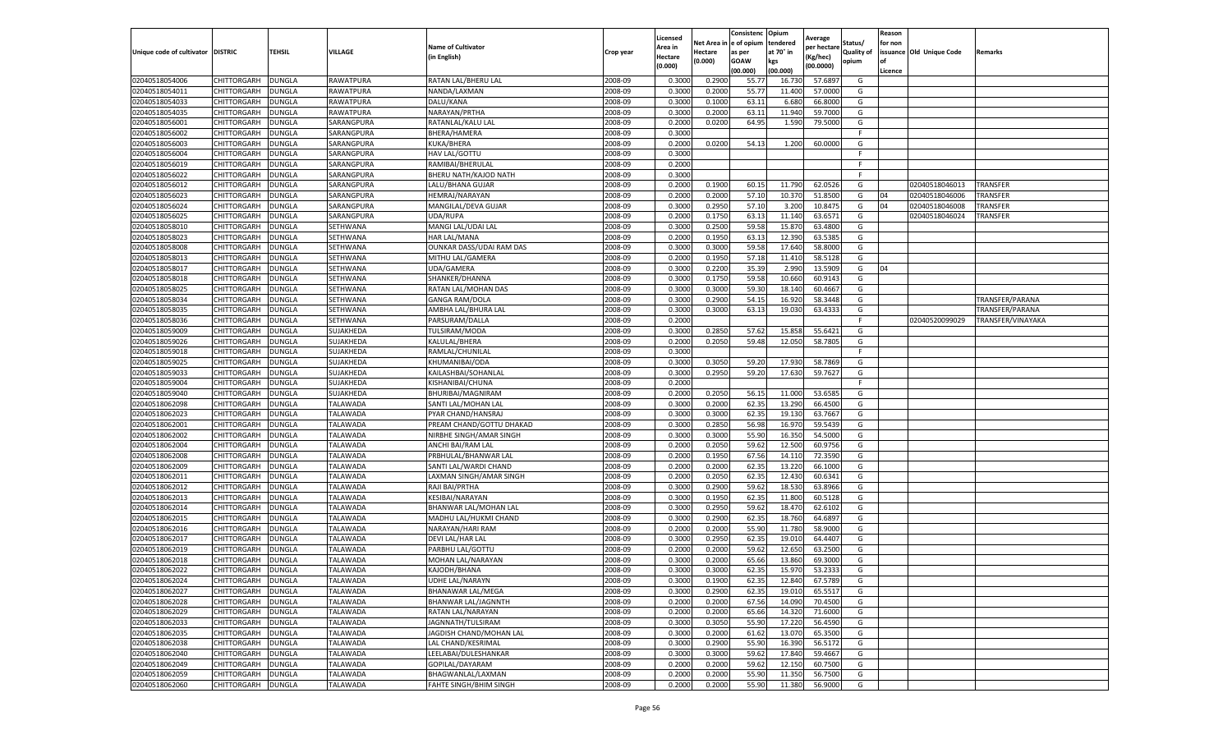|                                   |                            |               |            |                                         |           | Licensed |                         | Consistenc       | Opium           | Average     |            | Reason          |                          |                   |
|-----------------------------------|----------------------------|---------------|------------|-----------------------------------------|-----------|----------|-------------------------|------------------|-----------------|-------------|------------|-----------------|--------------------------|-------------------|
|                                   |                            |               |            | <b>Name of Cultivator</b>               |           | Area in  | Net Area in le of opium |                  | tendered        | per hectare | Status/    | for non         |                          |                   |
| Unique code of cultivator DISTRIC |                            | <b>TEHSIL</b> | VILLAGE    | (in English)                            | Crop year | Hectare  | Hectare                 | as per           | at 70° in       | Kg/hec)     | Quality of |                 | issuance Old Unique Code | Remarks           |
|                                   |                            |               |            |                                         |           | (0.000)  | (0.000)                 | GOAW<br>(00.000) | kgs<br>(00.000) | (00.0000)   | opium      | l of<br>Licence |                          |                   |
| 02040518054006                    | CHITTORGARH                | <b>DUNGLA</b> | RAWATPURA  | RATAN LAL/BHERU LAL                     | 2008-09   | 0.300    | 0.290                   | 55.77            | 16.730          | 57.689      | G          |                 |                          |                   |
| 02040518054011                    | CHITTORGARH                | DUNGLA        | RAWATPURA  | NANDA/LAXMAN                            | 2008-09   | 0.300    | 0.2000                  | 55.77            | 11.400          | 57.000      | G          |                 |                          |                   |
| 02040518054033                    | CHITTORGARH                | DUNGLA        | RAWATPURA  | DALU/KANA                               | 2008-09   | 0.3000   | 0.1000                  | 63.11            | 6.680           | 66.800      | G          |                 |                          |                   |
| 02040518054035                    | CHITTORGARH                | <b>DUNGLA</b> | RAWATPURA  | NARAYAN/PRTHA                           | 2008-09   | 0.3000   | 0.2000                  | 63.11            | 11.940          | 59.7000     | G          |                 |                          |                   |
| 02040518056001                    | CHITTORGARH                | <b>DUNGLA</b> | SARANGPURA | RATANLAL/KALU LAL                       | 2008-09   | 0.2000   | 0.0200                  | 64.95            | 1.590           | 79.500      | G          |                 |                          |                   |
| 02040518056002                    | CHITTORGARH                | DUNGLA        | SARANGPURA | BHERA/HAMERA                            | 2008-09   | 0.3000   |                         |                  |                 |             |            |                 |                          |                   |
| 02040518056003                    | CHITTORGARH                | DUNGLA        | SARANGPURA | KUKA/BHERA                              | 2008-09   | 0.2000   | 0.0200                  | 54.13            | 1.200           | 60.000      | G          |                 |                          |                   |
| 02040518056004                    | CHITTORGARH                | DUNGLA        | SARANGPURA | HAV LAL/GOTTU                           | 2008-09   | 0.3000   |                         |                  |                 |             | F.         |                 |                          |                   |
| 02040518056019                    | CHITTORGARH                | DUNGLA        | SARANGPURA | RAMIBAI/BHERULAL                        | 2008-09   | 0.2000   |                         |                  |                 |             | -F         |                 |                          |                   |
| 02040518056022                    | CHITTORGARH                | <b>DUNGLA</b> | SARANGPURA | BHERU NATH/KAJOD NATH                   | 2008-09   | 0.3000   |                         |                  |                 |             | -F         |                 |                          |                   |
| 02040518056012                    | CHITTORGARH                | <b>DUNGLA</b> | SARANGPURA | LALU/BHANA GUJAR                        | 2008-09   | 0.2000   | 0.1900                  | 60.15            | 11.790          | 62.052      | G          |                 | 02040518046013           | TRANSFER          |
| 02040518056023                    | CHITTORGARH                | DUNGLA        | SARANGPURA | HEMRAJ/NARAYAN                          | 2008-09   | 0.2000   | 0.2000                  | 57.10            | 10.370          | 51.850      | G          | 04              | 02040518046006           | TRANSFER          |
| 02040518056024                    | CHITTORGARH                | DUNGLA        | SARANGPURA | MANGILAL/DEVA GUJAR                     | 2008-09   | 0.3000   | 0.2950                  | 57.10            | 3.200           | 10.847      | G          | 04              | 02040518046008           | TRANSFER          |
| 02040518056025                    | CHITTORGARH                | DUNGLA        | SARANGPURA | UDA/RUPA                                | 2008-09   | 0.2000   | 0.1750                  | 63.13            | 11.140          | 63.657      | G          |                 | 02040518046024           | TRANSFER          |
| 02040518058010                    | CHITTORGARH                | DUNGLA        | SETHWANA   | MANGI LAL/UDAI LAL                      | 2008-09   | 0.3000   | 0.2500                  | 59.58            | 15.870          | 63.480      | G          |                 |                          |                   |
| 02040518058023                    | CHITTORGARH                | <b>DUNGLA</b> | SETHWANA   | HAR LAL/MANA                            | 2008-09   | 0.2000   | 0.1950                  | 63.13            | 12.390          | 63.538      | G          |                 |                          |                   |
| 02040518058008                    | CHITTORGARH                | <b>DUNGLA</b> | SETHWANA   | OUNKAR DASS/UDAI RAM DAS                | 2008-09   | 0.3000   | 0.3000                  | 59.58            | 17.640          | 58.800      | G          |                 |                          |                   |
| 02040518058013                    | CHITTORGARH                | DUNGLA        | SETHWANA   | MITHU LAL/GAMERA                        | 2008-09   | 0.2000   | 0.1950                  | 57.18            | 11.410          | 58.5128     | G          |                 |                          |                   |
| 02040518058017                    | CHITTORGARH                | DUNGLA        | SETHWANA   | UDA/GAMERA                              | 2008-09   | 0.3000   | 0.2200                  | 35.39            | 2.990           | 13.590      | G          | 04              |                          |                   |
| 02040518058018                    | CHITTORGARH                | DUNGLA        | SETHWANA   | SHANKER/DHANNA                          | 2008-09   | 0.3000   | 0.175                   | 59.58            | 10.660          | 60.914      | G          |                 |                          |                   |
| 02040518058025                    | CHITTORGARH                | DUNGLA        | SETHWANA   | RATAN LAL/MOHAN DAS                     | 2008-09   | 0.3000   | 0.3000                  | 59.30            | 18.140          | 60.4667     | G          |                 |                          |                   |
| 02040518058034                    | CHITTORGARH                | DUNGLA        | SETHWANA   | GANGA RAM/DOLA                          | 2008-09   | 0.3000   | 0.2900                  | 54.1             | 16.920          | 58.3448     | G          |                 |                          | TRANSFER/PARANA   |
| 02040518058035                    | CHITTORGARH                | <b>DUNGLA</b> | SETHWANA   | AMBHA LAL/BHURA LAL                     | 2008-09   | 0.3000   | 0.3000                  | 63.13            | 19.030          | 63.4333     | G          |                 |                          | TRANSFER/PARANA   |
| 02040518058036                    | CHITTORGARH                | DUNGLA        | SETHWANA   | PARSURAM/DALLA                          | 2008-09   | 0.2000   |                         |                  |                 |             |            |                 | 02040520099029           | TRANSFER/VINAYAKA |
| 02040518059009                    | CHITTORGARH                | DUNGLA        | SUJAKHEDA  | TULSIRAM/MODA                           | 2008-09   | 0.3000   | 0.2850                  | 57.62            | 15.858          | 55.642      | G          |                 |                          |                   |
| 02040518059026                    | CHITTORGARH                | DUNGLA        | SUJAKHEDA  | KALULAL/BHERA                           | 2008-09   | 0.2000   | 0.2050                  | 59.48            | 12.050          | 58.780      | G          |                 |                          |                   |
| 02040518059018                    | CHITTORGARH                | DUNGLA        | SUJAKHEDA  | RAMLAL/CHUNILAI                         | 2008-09   | 0.3000   |                         |                  |                 |             | -F         |                 |                          |                   |
| 02040518059025                    | CHITTORGARH                | DUNGLA        | SUJAKHEDA  | KHUMANIBAI/ODA                          | 2008-09   | 0.3000   | 0.3050                  | 59.20            | 17.930          | 58.7869     | G          |                 |                          |                   |
| 02040518059033                    | CHITTORGARH                | <b>DUNGLA</b> | SUJAKHEDA  | KAILASHBAI/SOHANLAL                     | 2008-09   | 0.3000   | 0.2950                  | 59.20            | 17.630          | 59.7627     | G          |                 |                          |                   |
| 02040518059004                    | CHITTORGARH                | <b>DUNGLA</b> | SUJAKHEDA  | KISHANIBAI/CHUNA                        | 2008-09   | 0.2000   |                         |                  |                 |             | F          |                 |                          |                   |
| 02040518059040                    | CHITTORGARH                | DUNGLA        | SUJAKHEDA  | BHURIBAI/MAGNIRAM                       | 2008-09   | 0.2000   | 0.2050                  | 56.1             | 11.000          | 53.658      | G          |                 |                          |                   |
| 02040518062098                    | CHITTORGARH                | DUNGLA        | TALAWADA   | SANTI LAL/MOHAN LAI                     | 2008-09   | 0.3000   | 0.2000                  | 62.35            | 13.290          | 66.450      | G          |                 |                          |                   |
| 02040518062023                    | CHITTORGARH                | DUNGLA        | TALAWADA   | PYAR CHAND/HANSRAJ                      | 2008-09   | 0.3000   | 0.3000                  | 62.3             | 19.130          | 63.766      | G          |                 |                          |                   |
| 02040518062001                    | CHITTORGARH                | DUNGLA        | TALAWADA   | PREAM CHAND/GOTTU DHAKAD                | 2008-09   | 0.3000   | 0.2850                  | 56.98            | 16.97           | 59.543      | G          |                 |                          |                   |
| 02040518062002                    | CHITTORGARH                | <b>DUNGLA</b> | TALAWADA   | NIRBHE SINGH/AMAR SINGH                 | 2008-09   | 0.3000   | 0.3000                  | 55.90            | 16.350          | 54.5000     | G          |                 |                          |                   |
| 02040518062004                    | CHITTORGARH                | DUNGLA        | TALAWADA   | ANCHI BAI/RAM LAL                       | 2008-09   | 0.2000   | 0.2050                  | 59.62            | 12.500          | 60.975      | G          |                 |                          |                   |
| 02040518062008                    | CHITTORGARH                | DUNGLA        | TALAWADA   | PRBHULAL/BHANWAR LAL                    | 2008-09   | 0.2000   | 0.1950                  | 67.56            | 14.110          | 72.359      | G          |                 |                          |                   |
| 02040518062009                    | CHITTORGARH                | DUNGLA        | TALAWADA   | SANTI LAL/WARDI CHAND                   | 2008-09   | 0.2000   | 0.2000                  | 62.35            | 13.220          | 66.100      | G          |                 |                          |                   |
| 02040518062011                    | CHITTORGARH                | DUNGLA        | TALAWADA   | LAXMAN SINGH/AMAR SINGH                 | 2008-09   | 0.2000   | 0.2050                  | 62.3             | 12.430          | 60.634      | G          |                 |                          |                   |
| 02040518062012                    | CHITTORGARH                | DUNGLA        | TALAWADA   | RAJI BAI/PRTHA                          | 2008-09   | 0.3000   | 0.2900                  | 59.62            | 18.530          | 63.8966     | G          |                 |                          |                   |
| 02040518062013                    | CHITTORGARH                | DUNGLA        | TALAWADA   | KESIBAI/NARAYAN                         | 2008-09   | 0.3000   | 0.1950                  | 62.35            | 11.800          | 60.512      | G          |                 |                          |                   |
| 02040518062014                    | CHITTORGARH                | <b>DUNGLA</b> | TALAWADA   | BHANWAR LAL/MOHAN LAL                   | 2008-09   | 0.3000   | 0.2950                  | 59.62            | 18.470          | 62.610      | G          |                 |                          |                   |
| 02040518062015                    | CHITTORGARH                | DUNGLA        | TALAWADA   | MADHU LAL/HUKMI CHAND                   | 2008-09   | 0.3000   | 0.2900                  | 62.3             | 18.760          | 64.689      | G          |                 |                          |                   |
| 02040518062016                    | CHITTORGARH                | DUNGLA        | TALAWADA   | NARAYAN/HARI RAM                        | 2008-09   | 0.2000   | 0.2000                  | 55.90            | 11.780          | 58.900      | G          |                 |                          |                   |
| 02040518062017                    | CHITTORGARH                | DUNGLA        | TALAWADA   | DEVI LAL/HAR LAI                        | 2008-09   | 0.3000   | 0.2950                  | 62.3             | 19.01           | 64.440      | G          |                 |                          |                   |
| 02040518062019                    | CHITTORGARH                | DUNGLA        | TALAWADA   | PARBHU LAL/GOTTU                        | 2008-09   | 0.2000   | 0.200                   | 59.6             | 12.650          | 63.250      | G          |                 |                          |                   |
| 02040518062018                    | CHITTORGARH                | DUNGLA        | TALAWADA   | MOHAN LAL/NARAYAN                       | 2008-09   | 0.3000   | 0.200                   | 65.66            | 13.860          | 69.300      | G          |                 |                          |                   |
| 02040518062022                    | CHITTORGARH                | <b>DUNGLA</b> | TALAWADA   | KAJODH/BHANA                            | 2008-09   | 0.3000   | 0.3000                  | 62.35            | 15.970          | 53.2333     | G          |                 |                          |                   |
| 02040518062024                    | CHITTORGARH                | <b>DUNGLA</b> | TALAWADA   | UDHE LAL/NARAYN                         | 2008-09   | 0.3000   | 0.1900                  | 62.35            | 12.840          | 67.5789     | G          |                 |                          |                   |
| 02040518062027                    | CHITTORGARH                | <b>DUNGLA</b> | TALAWADA   | BHANAWAR LAL/MEGA                       | 2008-09   | 0.3000   | 0.2900                  | 62.35            | 19.010          | 65.5517     | G          |                 |                          |                   |
| 02040518062028                    | CHITTORGARH                | <b>DUNGLA</b> | TALAWADA   | BHANWAR LAL/JAGNNTH                     | 2008-09   | 0.2000   | 0.2000                  | 67.56            | 14.090          | 70.4500     | G          |                 |                          |                   |
| 02040518062029                    | CHITTORGARH                | DUNGLA        | TALAWADA   | RATAN LAL/NARAYAN                       | 2008-09   | 0.2000   | 0.2000                  | 65.66            | 14.320          | 71.6000     | G          |                 |                          |                   |
| 02040518062033                    | CHITTORGARH                | DUNGLA        | TALAWADA   | JAGNNATH/TULSIRAM                       | 2008-09   | 0.3000   | 0.3050                  | 55.90            | 17.220          | 56.4590     | G          |                 |                          |                   |
| 02040518062035                    | CHITTORGARH                | <b>DUNGLA</b> | TALAWADA   | JAGDISH CHAND/MOHAN LAL                 | 2008-09   | 0.3000   | 0.2000                  | 61.62            | 13.070          | 65.3500     | G          |                 |                          |                   |
| 02040518062038                    | CHITTORGARH                | <b>DUNGLA</b> | TALAWADA   | LAL CHAND/KESRIMAL                      | 2008-09   | 0.3000   | 0.2900                  | 55.90            | 16.390          | 56.5172     | G          |                 |                          |                   |
| 02040518062040                    | CHITTORGARH<br>CHITTORGARH | <b>DUNGLA</b> | TALAWADA   | LEELABAI/DULESHANKAR<br>GOPILAL/DAYARAM | 2008-09   | 0.3000   | 0.3000                  | 59.62            | 17.840          | 59.4667     | G<br>G     |                 |                          |                   |
| 02040518062049<br>02040518062059  |                            | <b>DUNGLA</b> | TALAWADA   |                                         | 2008-09   | 0.2000   | 0.2000                  | 59.62            | 12.150          | 60.7500     |            |                 |                          |                   |
|                                   | CHITTORGARH                | DUNGLA        | TALAWADA   | BHAGWANLAL/LAXMAN                       | 2008-09   | 0.2000   | 0.2000                  | 55.90            | 11.350          | 56.7500     | G          |                 |                          |                   |
| 02040518062060                    | CHITTORGARH                | <b>DUNGLA</b> | TALAWADA   | <b>FAHTE SINGH/BHIM SINGH</b>           | 2008-09   | 0.2000   | 0.2000                  | 55.90            | 11.380          | 56.9000     | G          |                 |                          |                   |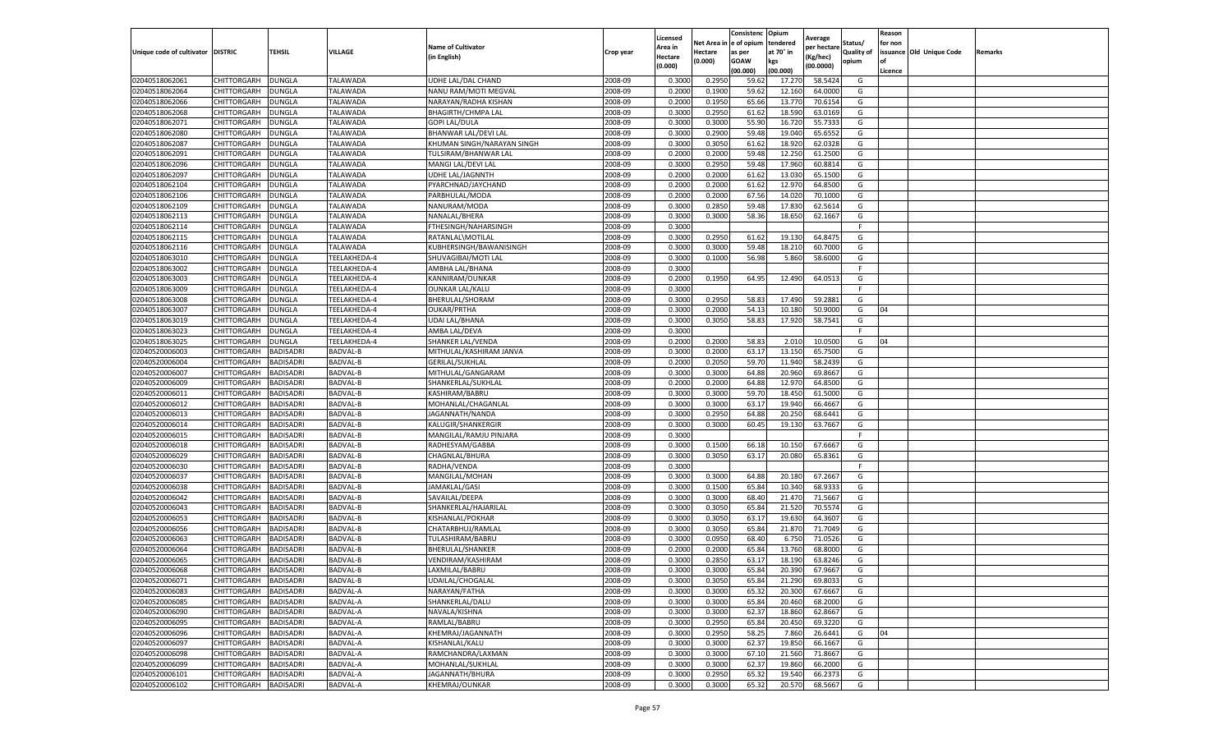|                                   |                    |                  |                 |                            |           | Licensed |         | Consistenc             | Opium     |                        |                   | Reason  |                          |                |
|-----------------------------------|--------------------|------------------|-----------------|----------------------------|-----------|----------|---------|------------------------|-----------|------------------------|-------------------|---------|--------------------------|----------------|
|                                   |                    |                  |                 | <b>Name of Cultivator</b>  |           | Area in  |         | Net Area in e of opium | tendered  | Average<br>per hectare | Status/           | for non |                          |                |
| Unique code of cultivator DISTRIC |                    | TEHSIL           | VILLAGE         | in English)                | Crop year | Hectare  | Hectare | as per                 | at 70° in | (Kg/hec                | <b>Quality of</b> |         | issuance Old Unique Code | <b>Remarks</b> |
|                                   |                    |                  |                 |                            |           | (0.000)  | (0.000) | <b>GOAW</b>            | kgs       | (00.0000)              | opium             |         |                          |                |
|                                   |                    |                  |                 |                            |           |          |         | (00.000)               | (00.000)  |                        |                   | Licence |                          |                |
| 02040518062061                    | CHITTORGARH        | <b>DUNGLA</b>    | TALAWADA        | UDHE LAL/DAL CHAND         | 2008-09   | 0.3000   | 0.2950  | 59.62                  | 17.27     | 58.5424                | G                 |         |                          |                |
| 02040518062064                    | CHITTORGARH        | DUNGLA           | TALAWADA        | NANU RAM/MOTI MEGVAL       | 2008-09   | 0.2000   | 0.1900  | 59.62                  | 12.16     | 64.0000                | G                 |         |                          |                |
| 02040518062066                    | CHITTORGARH        | <b>DUNGLA</b>    | TALAWADA        | NARAYAN/RADHA KISHAN       | 2008-09   | 0.2000   | 0.1950  | 65.66                  | 13.77     | 70.6154                | G                 |         |                          |                |
| 02040518062068                    | CHITTORGARH        | <b>DUNGLA</b>    | TALAWADA        | <b>BHAGIRTH/CHMPA LAL</b>  | 2008-09   | 0.3000   | 0.2950  | 61.62                  | 18.590    | 63.0169                | G                 |         |                          |                |
| 02040518062071                    | CHITTORGARH        | <b>DUNGLA</b>    | TALAWADA        | <b>GOPI LAL/DULA</b>       | 2008-09   | 0.3000   | 0.3000  | 55.90                  | 16.72     | 55.7333                | G                 |         |                          |                |
| 02040518062080                    | CHITTORGARH        | DUNGLA           | <b>TALAWADA</b> | BHANWAR LAL/DEVI LAL       | 2008-09   | 0.3000   | 0.2900  | 59.48                  | 19.04     | 65.6552                | G                 |         |                          |                |
| 02040518062087                    | CHITTORGARH        | <b>DUNGLA</b>    | TALAWADA        | KHUMAN SINGH/NARAYAN SINGH | 2008-09   | 0.3000   | 0.3050  | 61.62                  | 18.92     | 62.0328                | G                 |         |                          |                |
| 02040518062091                    | CHITTORGARH        | DUNGLA           | TALAWADA        | TULSIRAM/BHANWAR LAL       | 2008-09   | 0.2000   | 0.2000  | 59.48                  | 12.25     | 61.2500                | G                 |         |                          |                |
| 02040518062096                    | CHITTORGARH        | DUNGLA           | TALAWADA        | MANGI LAL/DEVI LAL         | 2008-09   | 0.3000   | 0.2950  | 59.48                  | 17.960    | 60.8814                | G                 |         |                          |                |
| 02040518062097                    | CHITTORGARH        | <b>DUNGLA</b>    | TALAWADA        | <b>UDHE LAL/JAGNNTH</b>    | 2008-09   | 0.2000   | 0.2000  | 61.62                  | 13.030    | 65.1500                | G                 |         |                          |                |
| 02040518062104                    | CHITTORGARH        | <b>DUNGLA</b>    | TALAWADA        | PYARCHNAD/JAYCHAND         | 2008-09   | 0.2000   | 0.2000  | 61.62                  | 12.97     | 64.8500                | G                 |         |                          |                |
| 02040518062106                    | CHITTORGARH        | <b>DUNGLA</b>    | TALAWADA        | PARBHULAL/MODA             | 2008-09   | 0.2000   | 0.2000  | 67.56                  | 14.02     | 70.1000                | G                 |         |                          |                |
| 02040518062109                    | CHITTORGARH        | DUNGLA           | TALAWADA        | NANURAM/MODA               | 2008-09   | 0.3000   | 0.2850  | 59.48                  | 17.83     | 62.5614                | G                 |         |                          |                |
| 02040518062113                    | CHITTORGARH        | DUNGLA           | TALAWADA        | NANALAL/BHERA              | 2008-09   | 0.3000   | 0.3000  | 58.36                  | 18.65     | 62.1667                | G                 |         |                          |                |
| 02040518062114                    | CHITTORGARH        | DUNGLA           | TALAWADA        | FTHESINGH/NAHARSINGH       | 2008-09   | 0.3000   |         |                        |           |                        | F.                |         |                          |                |
| 02040518062115                    | CHITTORGARH        | <b>DUNGLA</b>    | <b>TALAWADA</b> | RATANLAL\MOTILAL           | 2008-09   | 0.3000   | 0.2950  | 61.62                  | 19.13     | 64.8475                | G                 |         |                          |                |
| 02040518062116                    | CHITTORGARH        | <b>DUNGLA</b>    | TALAWADA        | KUBHERSINGH/BAWANISINGH    | 2008-09   | 0.3000   | 0.3000  | 59.48                  | 18.21     | 60.7000                | G                 |         |                          |                |
| 02040518063010                    | CHITTORGARH        | <b>DUNGLA</b>    | TEELAKHEDA-4    | SHUVAGIBAI/MOTI LAL        | 2008-09   | 0.3000   | 0.1000  | 56.98                  | 5.860     | 58.6000                | G                 |         |                          |                |
| 02040518063002                    | CHITTORGARH        | DUNGLA           | TEELAKHEDA-4    | AMBHA LAL/BHANA            | 2008-09   | 0.3000   |         |                        |           |                        | F                 |         |                          |                |
| 02040518063003                    | CHITTORGARH        | DUNGLA           | TEELAKHEDA-4    | KANNIRAM/OUNKAR            | 2008-09   | 0.2000   | 0.1950  | 64.95                  | 12.490    | 64.0513                | G                 |         |                          |                |
| 02040518063009                    | CHITTORGARH        | <b>DUNGLA</b>    | TEELAKHEDA-4    | <b>OUNKAR LAL/KALU</b>     | 2008-09   | 0.3000   |         |                        |           |                        | F                 |         |                          |                |
| 02040518063008                    | CHITTORGARH        | DUNGLA           | TEELAKHEDA-4    | BHERULAL/SHORAM            | 2008-09   | 0.3000   | 0.2950  | 58.83                  | 17.490    | 59.2881                | G                 |         |                          |                |
| 02040518063007                    | CHITTORGARH        | <b>DUNGLA</b>    | TEELAKHEDA-4    | <b>OUKAR/PRTHA</b>         | 2008-09   | 0.3000   | 0.2000  | 54.13                  | 10.180    | 50.9000                | G                 | 04      |                          |                |
| 02040518063019                    | CHITTORGARH        | DUNGLA           | TEELAKHEDA-4    | <b>UDAI LAL/BHANA</b>      | 2008-09   | 0.3000   | 0.3050  | 58.83                  | 17.920    | 58.7541                | G                 |         |                          |                |
| 02040518063023                    | CHITTORGARH        | DUNGLA           | TEELAKHEDA-4    | AMBA LAL/DEVA              | 2008-09   | 0.3000   |         |                        |           |                        | F                 |         |                          |                |
| 02040518063025                    | CHITTORGARH        | DUNGLA           | TEELAKHEDA-4    | SHANKER LAL/VENDA          | 2008-09   | 0.2000   | 0.2000  | 58.83                  | 2.010     | 10.0500                | G                 | 04      |                          |                |
| 02040520006003                    | CHITTORGARH        | <b>BADISADRI</b> | BADVAL-B        | MITHULAL/KASHIRAM JANVA    | 2008-09   | 0.3000   | 0.2000  | 63.17                  | 13.15     | 65.7500                | G                 |         |                          |                |
| 02040520006004                    | CHITTORGARH        | <b>BADISADRI</b> | BADVAL-B        | GERILAL/SUKHLAL            | 2008-09   | 0.2000   | 0.2050  | 59.70                  | 11.940    | 58.2439                | G                 |         |                          |                |
| 02040520006007                    | CHITTORGARH        | <b>BADISADRI</b> | BADVAL-B        | MITHULAL/GANGARAM          | 2008-09   | 0.3000   | 0.3000  | 64.88                  | 20.960    | 69.8667                | G                 |         |                          |                |
| 02040520006009                    | CHITTORGARH        | <b>BADISADRI</b> | BADVAL-B        | SHANKERLAL/SUKHLAL         | 2008-09   | 0.2000   | 0.2000  | 64.88                  | 12.97     | 64.8500                | G                 |         |                          |                |
| 02040520006011                    | CHITTORGARH        | <b>BADISADRI</b> | BADVAL-B        | KASHIRAM/BABRU             | 2008-09   | 0.3000   | 0.3000  | 59.70                  | 18.45     | 61.5000                | G                 |         |                          |                |
| 02040520006012                    | CHITTORGARH        | <b>BADISADRI</b> | BADVAL-B        | MOHANLAL/CHAGANLAL         | 2008-09   | 0.3000   | 0.3000  | 63.17                  | 19.94     | 66.4667                | G                 |         |                          |                |
| 02040520006013                    | CHITTORGARH        | <b>BADISADRI</b> | BADVAL-B        | JAGANNATH/NANDA            | 2008-09   | 0.3000   | 0.2950  | 64.88                  | 20.25     | 68.6441                | G                 |         |                          |                |
| 02040520006014                    | CHITTORGARH        | <b>BADISADRI</b> | BADVAL-B        | KALUGIR/SHANKERGIR         | 2008-09   | 0.3000   | 0.3000  | 60.45                  | 19.13     | 63.7667                | G                 |         |                          |                |
| 02040520006015                    | CHITTORGARH        | <b>BADISADRI</b> | BADVAL-B        | MANGILAL/RAMJU PINJARA     | 2008-09   | 0.3000   |         |                        |           |                        | F.                |         |                          |                |
| 02040520006018                    | CHITTORGARH        | <b>BADISADRI</b> | BADVAL-B        | RADHESYAM/GABBA            | 2008-09   | 0.3000   | 0.1500  | 66.18                  | 10.15     | 67.6667                | G                 |         |                          |                |
| 02040520006029                    | CHITTORGARH        | <b>BADISADRI</b> | BADVAL-B        | CHAGNLAL/BHURA             | 2008-09   | 0.3000   | 0.3050  | 63.17                  | 20.080    | 65.8361                | G                 |         |                          |                |
| 02040520006030                    | CHITTORGARH        | <b>BADISADRI</b> | BADVAL-B        | RADHA/VENDA                | 2008-09   | 0.3000   |         |                        |           |                        | F                 |         |                          |                |
| 02040520006037                    | CHITTORGARH        | BADISADRI        | BADVAL-B        | MANGILAL/MOHAN             | 2008-09   | 0.3000   | 0.3000  | 64.88                  | 20.18     | 67.2667                | G                 |         |                          |                |
| 02040520006038                    | CHITTORGARH        | <b>BADISADRI</b> | BADVAL-B        | JAMAKLAL/GASI              | 2008-09   | 0.3000   | 0.1500  | 65.84                  | 10.340    | 68.9333                | G                 |         |                          |                |
| 02040520006042                    | CHITTORGARH        | <b>BADISADRI</b> | BADVAL-B        | SAVAILAL/DEEPA             | 2008-09   | 0.3000   | 0.3000  | 68.40                  | 21.47     | 71.5667                | G                 |         |                          |                |
| 02040520006043                    | CHITTORGARH        | <b>BADISADRI</b> | BADVAL-B        | SHANKERLAL/HAJARILAL       | 2008-09   | 0.3000   | 0.3050  | 65.84                  | 21.52     | 70.5574                | G                 |         |                          |                |
| 02040520006053                    | CHITTORGARH        | <b>BADISADRI</b> | BADVAL-B        | KISHANLAL/POKHAR           | 2008-09   | 0.3000   | 0.3050  | 63.17                  | 19.63     | 64.3607                | G                 |         |                          |                |
| 02040520006056                    | CHITTORGARH        | <b>BADISADRI</b> | BADVAL-B        | CHATARBHUJ/RAMLAL          | 2008-09   | 0.3000   | 0.3050  | 65.84                  | 21.87     | 71.7049                | G                 |         |                          |                |
| 02040520006063                    | CHITTORGARH        | <b>BADISADRI</b> | BADVAL-B        | TULASHIRAM/BABRU           | 2008-09   | 0.3000   | 0.0950  | 68.40                  | 6.750     | 71.0526                | G                 |         |                          |                |
| 02040520006064                    | CHITTORGARH        | BADISADRI        | BADVAL-B        | BHERULAL/SHANKER           | 2008-09   | 0.2000   | 0.2000  | 65.84                  | 13.76     | 68.8000                | G                 |         |                          |                |
| 02040520006065                    | CHITTORGARH        | <b>BADISADRI</b> | BADVAL-B        | VENDIRAM/KASHIRAM          | 2008-09   | 0.3000   | 0.2850  | 63.17                  | 18.19     | 63.8246                | G                 |         |                          |                |
| 02040520006068                    | CHITTORGARH        | <b>BADISADRI</b> | BADVAL-B        | LAXMILAL/BABRU             | 2008-09   | 0.3000   | 0.3000  | 65.84                  | 20.390    | 67.9667                | G                 |         |                          |                |
| 02040520006071                    | CHITTORGARH        | <b>BADISADRI</b> | BADVAL-B        | UDAILAL/CHOGALAL           | 2008-09   | 0.3000   | 0.3050  | 65.84                  | 21.290    | 69.8033                | G                 |         |                          |                |
| 02040520006083                    | CHITTORGARH        | <b>BADISADRI</b> | BADVAL-A        | NARAYAN/FATHA              | 2008-09   | 0.3000   | 0.3000  | 65.32                  | 20.300    | 67.6667                | G                 |         |                          |                |
| 02040520006085                    | CHITTORGARH        | <b>BADISADRI</b> | BADVAL-A        | SHANKERLAL/DALU            | 2008-09   | 0.3000   | 0.3000  | 65.84                  | 20.460    | 68.2000                | G                 |         |                          |                |
| 02040520006090                    | <b>CHITTORGARH</b> | <b>BADISADRI</b> | BADVAL-A        | NAVALA/KISHNA              | 2008-09   | 0.3000   | 0.3000  | 62.37                  | 18.860    | 62.8667                | G                 |         |                          |                |
| 02040520006095                    | CHITTORGARH        | <b>BADISADRI</b> | BADVAL-A        | RAMLAL/BABRU               | 2008-09   | 0.3000   | 0.2950  | 65.84                  | 20.450    | 69.3220                | G                 |         |                          |                |
| 02040520006096                    | <b>CHITTORGARH</b> | <b>BADISADRI</b> | BADVAL-A        | KHEMRAJ/JAGANNATH          | 2008-09   | 0.3000   | 0.2950  | 58.25                  | 7.860     | 26.6441                | G                 | 04      |                          |                |
| 02040520006097                    | CHITTORGARH        | <b>BADISADRI</b> | BADVAL-A        | KISHANLAL/KALU             | 2008-09   | 0.3000   | 0.3000  | 62.37                  | 19.85     | 66.1667                | G                 |         |                          |                |
| 02040520006098                    | CHITTORGARH        | <b>BADISADRI</b> | BADVAL-A        | RAMCHANDRA/LAXMAN          | 2008-09   | 0.3000   | 0.3000  | 67.10                  | 21.560    | 71.8667                | G                 |         |                          |                |
| 02040520006099                    | CHITTORGARH        | <b>BADISADRI</b> | BADVAL-A        | MOHANLAL/SUKHLAL           | 2008-09   | 0.3000   | 0.3000  | 62.37                  | 19.860    | 66.2000                | G                 |         |                          |                |
| 02040520006101                    | CHITTORGARH        | BADISADRI        | BADVAL-A        | JAGANNATH/BHURA            | 2008-09   | 0.3000   | 0.2950  | 65.32                  | 19.540    | 66.2373                | G                 |         |                          |                |
| 02040520006102                    | <b>CHITTORGARH</b> | <b>BADISADRI</b> | BADVAL-A        | KHEMRAJ/OUNKAR             | 2008-09   | 0.3000   | 0.3000  | 65.32                  | 20.570    | 68.5667                | G                 |         |                          |                |
|                                   |                    |                  |                 |                            |           |          |         |                        |           |                        |                   |         |                          |                |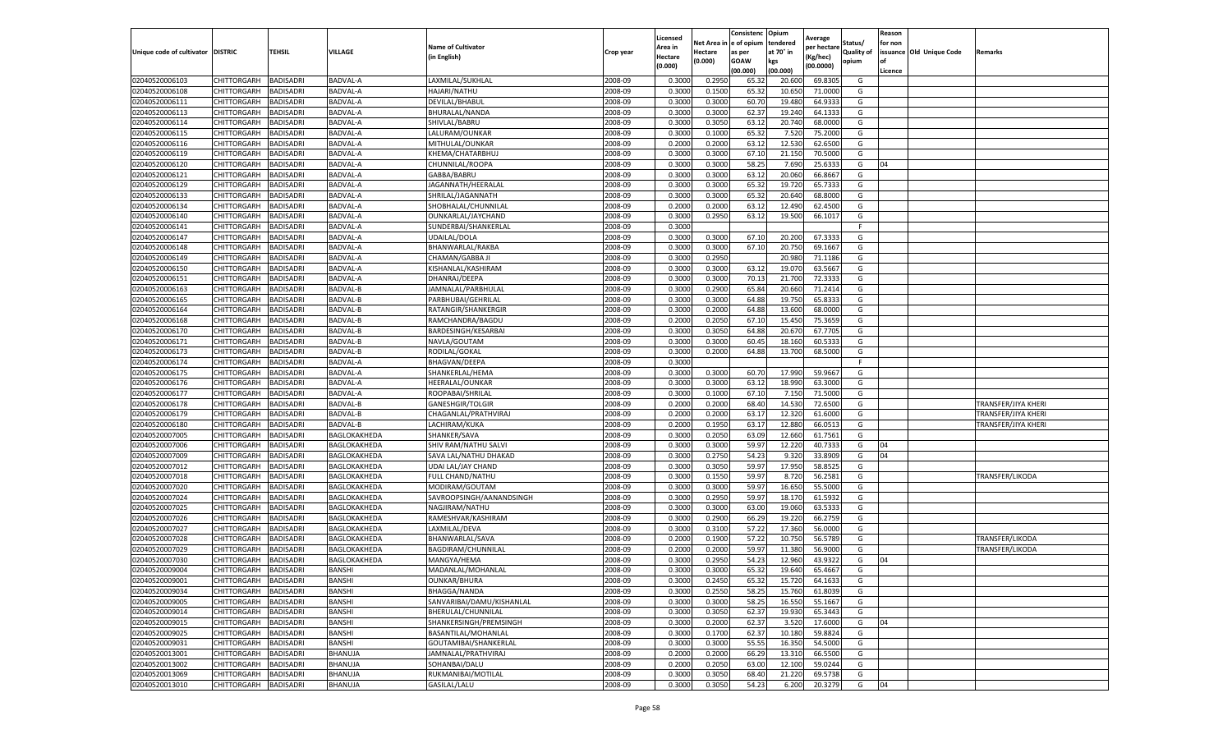|                           |                       |                  |               |                           |           | Licensed |         | Consistenc             | Opium     |                        |                   | Reason  |                          |                            |
|---------------------------|-----------------------|------------------|---------------|---------------------------|-----------|----------|---------|------------------------|-----------|------------------------|-------------------|---------|--------------------------|----------------------------|
|                           |                       |                  |               | <b>Name of Cultivator</b> |           | Area in  |         | Net Area in e of opium | tendered  | Average<br>per hectare | Status/           | for non |                          |                            |
| Unique code of cultivator | <b>DISTRIC</b>        | TEHSIL           | VILLAGE       | in English)               | Crop year | Hectare  | Hectare | as per                 | at 70° in | (Kg/hec                | <b>Quality of</b> |         | issuance Old Unique Code | <b>Remarks</b>             |
|                           |                       |                  |               |                           |           | (0.000)  | (0.000) | <b>GOAW</b>            | kgs       | (00.0000)              | opium             |         |                          |                            |
|                           |                       |                  |               |                           |           |          |         | (00.000)               | (00.000)  |                        |                   | Licence |                          |                            |
| 02040520006103            | CHITTORGARH           | <b>BADISADRI</b> | BADVAL-A      | LAXMILAL/SUKHLAL          | 2008-09   | 0.3000   | 0.2950  | 65.32                  | 20.60     | 69.8305                | G                 |         |                          |                            |
| 02040520006108            | CHITTORGARH           | <b>BADISADRI</b> | BADVAL-A      | <b>HAJARI/NATHU</b>       | 2008-09   | 0.3000   | 0.1500  | 65.32                  | 10.65     | 71.0000                | G                 |         |                          |                            |
| 02040520006111            | CHITTORGARH           | <b>BADISADRI</b> | BADVAL-A      | DEVILAL/BHABUI            | 2008-09   | 0.3000   | 0.3000  | 60.70                  | 19.480    | 64.9333                | G                 |         |                          |                            |
| 02040520006113            | CHITTORGARH           | <b>BADISADRI</b> | BADVAL-A      | BHURALAL/NANDA            | 2008-09   | 0.3000   | 0.3000  | 62.37                  | 19.240    | 64.1333                | G                 |         |                          |                            |
| 02040520006114            | CHITTORGARH           | <b>BADISADRI</b> | BADVAL-A      | SHIVLAL/BABRU             | 2008-09   | 0.3000   | 0.3050  | 63.12                  | 20.74     | 68.0000                | G                 |         |                          |                            |
| 02040520006115            | CHITTORGARH           | <b>BADISADRI</b> | BADVAL-A      | LALURAM/OUNKAR            | 2008-09   | 0.3000   | 0.1000  | 65.32                  | 7.52      | 75.2000                | G                 |         |                          |                            |
| 02040520006116            | CHITTORGARH           | <b>BADISADRI</b> | BADVAL-A      | MITHULAL/OUNKAR           | 2008-09   | 0.2000   | 0.2000  | 63.12                  | 12.53     | 62.6500                | G                 |         |                          |                            |
| 02040520006119            | CHITTORGARH           | BADISADRI        | BADVAL-A      | KHEMA/CHATARBHU.          | 2008-09   | 0.3000   | 0.3000  | 67.10                  | 21.15     | 70.5000                | G                 |         |                          |                            |
| 02040520006120            | CHITTORGARH           | <b>BADISADRI</b> | BADVAL-A      | CHUNNILAL/ROOPA           | 2008-09   | 0.3000   | 0.3000  | 58.25                  | 7.690     | 25.6333                | G                 | 04      |                          |                            |
| 02040520006121            | CHITTORGARH           | <b>BADISADRI</b> | BADVAL-A      | GABBA/BABRU               | 2008-09   | 0.3000   | 0.3000  | 63.12                  | 20.060    | 66.8667                | G                 |         |                          |                            |
| 02040520006129            | CHITTORGARH           | <b>BADISADRI</b> | BADVAL-A      | JAGANNATH/HEERALAL        | 2008-09   | 0.3000   | 0.3000  | 65.32                  | 19.72     | 65.7333                | G                 |         |                          |                            |
| 02040520006133            | CHITTORGARH           | <b>BADISADRI</b> | BADVAL-A      | SHRILAL/JAGANNATH         | 2008-09   | 0.3000   | 0.3000  | 65.32                  | 20.64     | 68.8000                | G                 |         |                          |                            |
| 02040520006134            | CHITTORGARH           | <b>BADISADRI</b> | BADVAL-A      | SHOBHALAL/CHUNNILAL       | 2008-09   | 0.2000   | 0.2000  | 63.12                  | 12.49     | 62.4500                | G                 |         |                          |                            |
| 02040520006140            | CHITTORGARH           | <b>BADISADRI</b> | BADVAL-A      | OUNKARLAL/JAYCHAND        | 2008-09   | 0.3000   | 0.2950  | 63.12                  | 19.500    | 66.1017                | G                 |         |                          |                            |
| 02040520006141            | CHITTORGARH           | <b>BADISADRI</b> | BADVAL-A      | SUNDERBAI/SHANKERLAL      | 2008-09   | 0.3000   |         |                        |           |                        | F.                |         |                          |                            |
| 02040520006147            | CHITTORGARH           | <b>BADISADRI</b> | BADVAL-A      | <b>UDAILAL/DOLA</b>       | 2008-09   | 0.3000   | 0.3000  | 67.10                  | 20.20     | 67.3333                | G                 |         |                          |                            |
| 02040520006148            | CHITTORGARH           | <b>BADISADRI</b> | BADVAL-A      | BHANWARLAL/RAKBA          | 2008-09   | 0.3000   | 0.3000  | 67.10                  | 20.75     | 69.1667                | G                 |         |                          |                            |
| 02040520006149            | CHITTORGARH           | <b>BADISADRI</b> | BADVAL-A      | CHAMAN/GABBA JI           | 2008-09   | 0.3000   | 0.2950  |                        | 20.98     | 71.1186                | G                 |         |                          |                            |
| 02040520006150            | CHITTORGARH           | <b>BADISADRI</b> | BADVAL-A      | KISHANLAL/KASHIRAM        | 2008-09   | 0.3000   | 0.3000  | 63.12                  | 19.07     | 63.5667                | G                 |         |                          |                            |
| 02040520006151            | CHITTORGARH           | <b>BADISADRI</b> | BADVAL-A      | DHANRAJ/DEEPA             | 2008-09   | 0.3000   | 0.3000  | 70.13                  | 21.700    | 72.3333                | G                 |         |                          |                            |
| 02040520006163            | CHITTORGARH           | <b>BADISADRI</b> | BADVAL-B      | JAMNALAL/PARBHULAL        | 2008-09   | 0.3000   | 0.2900  | 65.84                  | 20.660    | 71.2414                | G                 |         |                          |                            |
| 02040520006165            | CHITTORGARH           | <b>BADISADRI</b> | BADVAL-B      | PARBHUBAI/GEHRILAL        | 2008-09   | 0.3000   | 0.3000  | 64.88                  | 19.75     | 65.8333                | G                 |         |                          |                            |
| 02040520006164            | CHITTORGARH           | <b>BADISADRI</b> | BADVAL-B      | RATANGIR/SHANKERGIR       | 2008-09   | 0.3000   | 0.2000  | 64.88                  | 13.600    | 68.0000                | G                 |         |                          |                            |
| 02040520006168            | CHITTORGARH           | <b>BADISADRI</b> | BADVAL-B      | RAMCHANDRA/BAGDU          | 2008-09   | 0.2000   | 0.2050  | 67.10                  | 15.45     | 75.3659                | G                 |         |                          |                            |
| 02040520006170            | CHITTORGARH           | <b>BADISADRI</b> | BADVAL-B      | BARDESINGH/KESARBAI       | 2008-09   | 0.3000   | 0.3050  | 64.88                  | 20.67     | 67.7705                | G                 |         |                          |                            |
| 02040520006171            | CHITTORGARH           | <b>BADISADRI</b> | BADVAL-B      | NAVLA/GOUTAM              | 2008-09   | 0.3000   | 0.3000  | 60.4                   | 18.160    | 60.5333                | G                 |         |                          |                            |
| 02040520006173            | CHITTORGARH           | BADISADRI        | BADVAL-B      | RODILAL/GOKAL             | 2008-09   | 0.3000   | 0.2000  | 64.88                  | 13.700    | 68.5000                | G                 |         |                          |                            |
| 02040520006174            | CHITTORGARH           | <b>BADISADRI</b> | BADVAL-A      | BHAGVAN/DEEPA             | 2008-09   | 0.3000   |         |                        |           |                        | F.                |         |                          |                            |
| 02040520006175            | CHITTORGARH           | <b>BADISADRI</b> | BADVAL-A      | SHANKERLAL/HEMA           | 2008-09   | 0.3000   | 0.3000  | 60.70                  | 17.990    | 59.9667                | G                 |         |                          |                            |
| 02040520006176            | CHITTORGARH           | <b>BADISADRI</b> | BADVAL-A      | HEERALAL/OUNKAR           | 2008-09   | 0.3000   | 0.3000  | 63.12                  | 18.99     | 63.3000                | G                 |         |                          |                            |
| 02040520006177            | CHITTORGARH           | <b>BADISADRI</b> | BADVAL-A      | ROOPABAI/SHRILAL          | 2008-09   | 0.3000   | 0.1000  | 67.10                  | 7.15      | 71.5000                | G                 |         |                          |                            |
| 02040520006178            | CHITTORGARH           | <b>BADISADRI</b> | BADVAL-B      | GANESHGIR/TOLGIR          | 2008-09   | 0.2000   | 0.2000  | 68.40                  | 14.53     | 72.6500                | G                 |         |                          | <b>TRANSFER/JIYA KHERI</b> |
| 02040520006179            | CHITTORGARH           | <b>BADISADRI</b> | BADVAL-B      | CHAGANLAL/PRATHVIRAJ      | 2008-09   | 0.2000   | 0.2000  | 63.17                  | 12.32     | 61.6000                | G                 |         |                          | TRANSFER/JIYA KHERI        |
| 02040520006180            | CHITTORGARH           | <b>BADISADRI</b> | BADVAL-B      | LACHIRAM/KUKA             | 2008-09   | 0.2000   | 0.1950  | 63.17                  | 12.880    | 66.0513                | G                 |         |                          | TRANSFER/JIYA KHERI        |
| 02040520007005            | CHITTORGARH           | <b>BADISADRI</b> | BAGLOKAKHEDA  | SHANKER/SAVA              | 2008-09   | 0.3000   | 0.2050  | 63.09                  | 12.660    | 61.7561                | G                 |         |                          |                            |
| 02040520007006            | CHITTORGARH           | <b>BADISADRI</b> | BAGLOKAKHEDA  | SHIV RAM/NATHU SALVI      | 2008-09   | 0.3000   | 0.3000  | 59.97                  | 12.22     | 40.7333                | G                 | 04      |                          |                            |
| 02040520007009            | CHITTORGARH           | <b>BADISADRI</b> | BAGLOKAKHEDA  | SAVA LAL/NATHU DHAKAD     | 2008-09   | 0.3000   | 0.2750  | 54.23                  | 9.320     | 33.8909                | G                 | 04      |                          |                            |
| 02040520007012            | CHITTORGARH           | <b>BADISADRI</b> | BAGLOKAKHEDA  | <b>UDAI LAL/JAY CHAND</b> | 2008-09   | 0.3000   | 0.3050  | 59.97                  | 17.95     | 58.8525                | G                 |         |                          |                            |
| 02040520007018            | CHITTORGARH           | BADISADRI        | BAGLOKAKHEDA  | FULL CHAND/NATHU          | 2008-09   | 0.3000   | 0.1550  | 59.97                  | 8.720     | 56.2581                | G                 |         |                          | TRANSFER/LIKODA            |
| 02040520007020            | CHITTORGARH           | <b>BADISADRI</b> | BAGLOKAKHEDA  | MODIRAM/GOUTAM            | 2008-09   | 0.3000   | 0.3000  | 59.97                  | 16.650    | 55.5000                | G                 |         |                          |                            |
| 02040520007024            | CHITTORGARH           | <b>BADISADRI</b> | BAGLOKAKHEDA  | SAVROOPSINGH/AANANDSINGH  | 2008-09   | 0.3000   | 0.2950  | 59.97                  | 18.17     | 61.5932                | G                 |         |                          |                            |
| 02040520007025            | CHITTORGARH           | <b>BADISADRI</b> | BAGLOKAKHEDA  | NAGJIRAM/NATHU            | 2008-09   | 0.3000   | 0.3000  | 63.00                  | 19.06     | 63.5333                | G                 |         |                          |                            |
| 02040520007026            | CHITTORGARH           | <b>BADISADRI</b> | BAGLOKAKHEDA  | RAMESHVAR/KASHIRAM        | 2008-09   | 0.3000   | 0.2900  | 66.29                  | 19.22     | 66.2759                | G                 |         |                          |                            |
| 02040520007027            | CHITTORGARH           | <b>BADISADRI</b> | BAGLOKAKHEDA  | LAXMILAL/DEVA             | 2008-09   | 0.3000   | 0.3100  | 57.22                  | 17.36     | 56.0000                | G                 |         |                          |                            |
| 02040520007028            | CHITTORGARH           | <b>BADISADRI</b> | BAGLOKAKHEDA  | BHANWARLAL/SAVA           | 2008-09   | 0.2000   | 0.1900  | 57.22                  | 10.750    | 56.5789                | G                 |         |                          | TRANSFER/LIKODA            |
| 02040520007029            | CHITTORGARH           | BADISADRI        | BAGLOKAKHEDA  | BAGDIRAM/CHUNNILAL        | 2008-09   | 0.2000   | 0.2000  | 59.97                  | 11.38     | 56.9000                | G                 |         |                          | TRANSFER/LIKODA            |
| 02040520007030            | CHITTORGARH           | <b>BADISADRI</b> | BAGLOKAKHEDA  | MANGYA/HEMA               | 2008-09   | 0.3000   | 0.2950  | 54.23                  | 12.960    | 43.9322                | G                 | 04      |                          |                            |
| 02040520009004            | CHITTORGARH           | <b>BADISADRI</b> | BANSHI        | MADANLAL/MOHANLAL         | 2008-09   | 0.3000   | 0.3000  | 65.32                  | 19.640    | 65.4667                | G                 |         |                          |                            |
| 02040520009001            | CHITTORGARH BADISADRI |                  | BANSHI        | OUNKAR/BHURA              | 2008-09   | 0.3000   | 0.2450  | 65.32                  | 15.720    | 64.1633                | G                 |         |                          |                            |
| 02040520009034            | CHITTORGARH           | <b>BADISADRI</b> | BANSHI        | BHAGGA/NANDA              | 2008-09   | 0.3000   | 0.2550  | 58.25                  | 15.760    | 61.8039                | G                 |         |                          |                            |
| 02040520009005            | <b>CHITTORGARH</b>    | <b>BADISADRI</b> | <b>BANSHI</b> | SANVARIBAI/DAMU/KISHANLAL | 2008-09   | 0.3000   | 0.3000  | 58.25                  | 16.550    | 55.1667                | G                 |         |                          |                            |
| 02040520009014            | <b>CHITTORGARH</b>    | <b>BADISADRI</b> | <b>BANSHI</b> | BHERULAL/CHUNNILAL        | 2008-09   | 0.3000   | 0.3050  | 62.37                  | 19.930    | 65.3443                | G                 |         |                          |                            |
| 02040520009015            | <b>CHITTORGARH</b>    | <b>BADISADRI</b> | BANSHI        | SHANKERSINGH/PREMSINGH    | 2008-09   | 0.3000   | 0.2000  | 62.37                  | 3.520     | 17.6000                | G                 | 04      |                          |                            |
| 02040520009025            | <b>CHITTORGARH</b>    | <b>BADISADRI</b> | BANSHI        | BASANTILAL/MOHANLAL       | 2008-09   | 0.3000   | 0.1700  | 62.37                  | 10.180    | 59.8824                | G                 |         |                          |                            |
| 02040520009031            | CHITTORGARH           | <b>BADISADRI</b> | BANSHI        | GOUTAMIBAI/SHANKERLAL     | 2008-09   | 0.3000   | 0.3000  | 55.55                  | 16.350    | 54.5000                | G                 |         |                          |                            |
| 02040520013001            | CHITTORGARH           | <b>BADISADRI</b> | BHANUJA       | JAMNALAL/PRATHVIRAJ       | 2008-09   | 0.2000   | 0.2000  | 66.29                  | 13.310    | 66.5500                | G                 |         |                          |                            |
| 02040520013002            | CHITTORGARH           | <b>BADISADRI</b> | BHANUJA       | SOHANBAI/DALU             | 2008-09   | 0.2000   | 0.2050  | 63.00                  | 12.100    | 59.0244                | G                 |         |                          |                            |
| 02040520013069            | CHITTORGARH           | <b>BADISADRI</b> | BHANUJA       | RUKMANIBAI/MOTILAL        | 2008-09   | 0.3000   | 0.3050  | 68.40                  | 21.220    | 69.5738                | G                 |         |                          |                            |
| 02040520013010            | <b>CHITTORGARH</b>    | <b>BADISADRI</b> | BHANUJA       | GASILAL/LALU              | 2008-09   | 0.3000   | 0.3050  | 54.23                  | 6.200     | 20.3279                | G                 | 04      |                          |                            |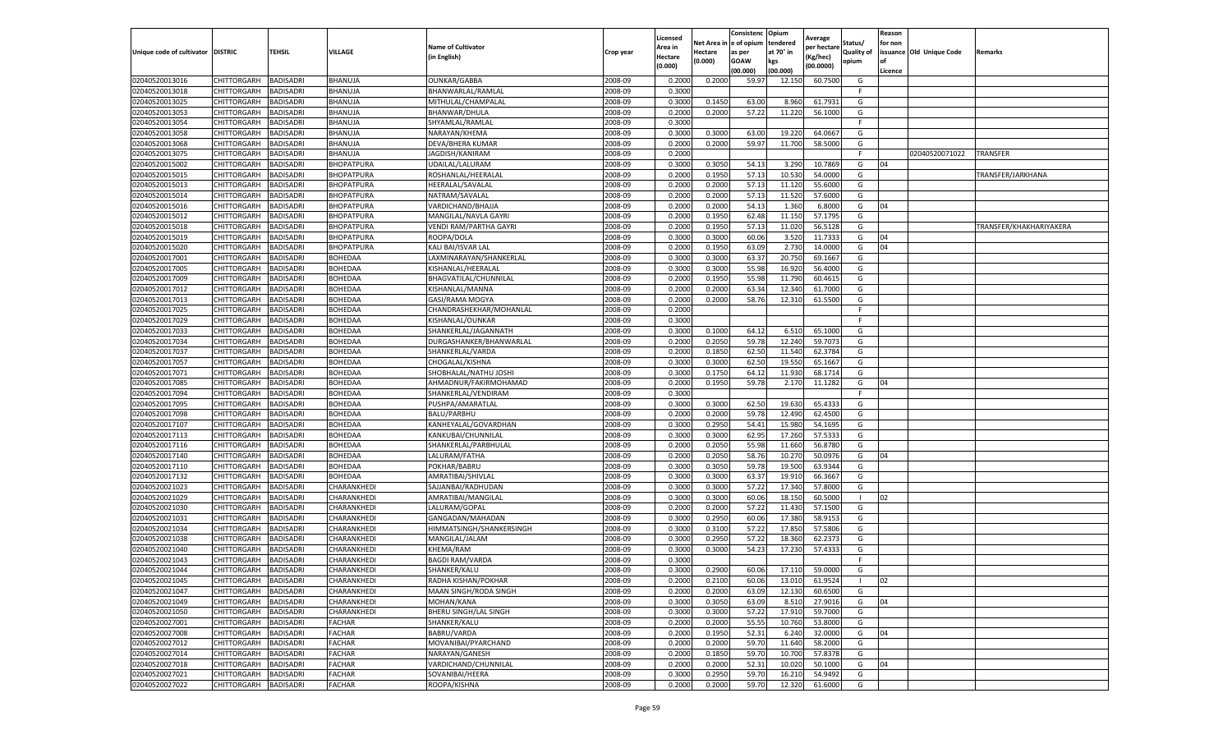|                           |                       |                  |                   |                           |           | Licensed |         | Consistenc             | Opium     | Average     |                   | Reason  |                          |                         |
|---------------------------|-----------------------|------------------|-------------------|---------------------------|-----------|----------|---------|------------------------|-----------|-------------|-------------------|---------|--------------------------|-------------------------|
|                           |                       |                  |                   | <b>Name of Cultivator</b> |           | Area in  |         | Net Area in e of opium | tendered  | per hectare | Status/           | for non |                          |                         |
| Unique code of cultivator | <b>DISTRIC</b>        | TEHSIL           | VILLAGE           | in English)               | Crop year | Hectare  | Hectare | as per                 | at 70° in | (Kg/hec     | <b>Quality of</b> |         | issuance Old Unique Code | <b>Remarks</b>          |
|                           |                       |                  |                   |                           |           | (0.000)  | (0.000) | <b>GOAW</b>            | kgs       | (00.0000)   | opium             |         |                          |                         |
|                           |                       |                  |                   |                           |           |          |         | (00.000)               | (00.000)  |             |                   | Licence |                          |                         |
| 02040520013016            | CHITTORGARH           | <b>BADISADRI</b> | BHANUJA           | <b>OUNKAR/GABBA</b>       | 2008-09   | 0.2000   | 0.2000  | 59.97                  | 12.15     | 60.7500     | G                 |         |                          |                         |
| 02040520013018            | CHITTORGARH           | <b>BADISADRI</b> | BHANUJA           | BHANWARLAL/RAMLAL         | 2008-09   | 0.3000   |         |                        |           |             | F.                |         |                          |                         |
| 02040520013025            | CHITTORGARH           | <b>BADISADRI</b> | BHANUJA           | MITHULAL/CHAMPALAL        | 2008-09   | 0.3000   | 0.1450  | 63.00                  | 8.960     | 61.7931     | G                 |         |                          |                         |
| 02040520013053            | CHITTORGARH           | <b>BADISADRI</b> | BHANUJA           | BHANWAR/DHULA             | 2008-09   | 0.2000   | 0.2000  | 57.22                  | 11.220    | 56.1000     | G                 |         |                          |                         |
| 02040520013054            | <b>CHITTORGARH</b>    | <b>BADISADRI</b> | BHANUJA           | SHYAMLAL/RAMLAL           | 2008-09   | 0.3000   |         |                        |           |             | F                 |         |                          |                         |
| 02040520013058            | CHITTORGARH           | <b>BADISADRI</b> | BHANUJA           | NARAYAN/KHEMA             | 2008-09   | 0.3000   | 0.3000  | 63.00                  | 19.22     | 64.0667     | G                 |         |                          |                         |
| 02040520013068            | CHITTORGARH           | <b>BADISADRI</b> | BHANUJA           | DEVA/BHERA KUMAF          | 2008-09   | 0.2000   | 0.2000  | 59.97                  | 11.700    | 58.5000     | G                 |         |                          |                         |
| 02040520013075            | CHITTORGARH           | BADISADRI        | BHANUJA           | JAGDISH/KANIRAM           | 2008-09   | 0.2000   |         |                        |           |             | F                 |         | 02040520071022           | TRANSFER                |
| 02040520015002            | CHITTORGARH           | <b>BADISADRI</b> | BHOPATPURA        | UDAILAL/LALURAM           | 2008-09   | 0.3000   | 0.3050  | 54.13                  | 3.290     | 10.7869     | G                 | 04      |                          |                         |
| 02040520015015            | CHITTORGARH           | <b>BADISADRI</b> | BHOPATPURA        | ROSHANLAL/HEERALAL        | 2008-09   | 0.2000   | 0.1950  | 57.13                  | 10.530    | 54.0000     | G                 |         |                          | TRANSFER/JARKHANA       |
| 02040520015013            | CHITTORGARH           | <b>BADISADRI</b> | BHOPATPURA        | HEERALAL/SAVALAL          | 2008-09   | 0.2000   | 0.2000  | 57.13                  | 11.12     | 55.6000     | G                 |         |                          |                         |
| 02040520015014            | CHITTORGARH           | <b>BADISADRI</b> | <b>BHOPATPURA</b> | NATRAM/SAVALAL            | 2008-09   | 0.2000   | 0.2000  | 57.13                  | 11.520    | 57.6000     | G                 |         |                          |                         |
| 02040520015016            | CHITTORGARH           | <b>BADISADRI</b> | BHOPATPURA        | VARDICHAND/BHAJJA         | 2008-09   | 0.2000   | 0.2000  | 54.13                  | 1.360     | 6.8000      | G                 | 04      |                          |                         |
| 02040520015012            | CHITTORGARH           | <b>BADISADRI</b> | BHOPATPURA        | MANGILAL/NAVLA GAYRI      | 2008-09   | 0.2000   | 0.1950  | 62.48                  | 11.150    | 57.1795     | G                 |         |                          |                         |
| 02040520015018            | CHITTORGARH           | <b>BADISADRI</b> | BHOPATPURA        | VENDI RAM/PARTHA GAYRI    | 2008-09   | 0.2000   | 0.1950  | 57.13                  | 11.020    | 56.5128     | G                 |         |                          | TRANSFER/KHAKHARIYAKERA |
| 02040520015019            | CHITTORGARH           | <b>BADISADRI</b> | BHOPATPURA        | ROOPA/DOLA                | 2008-09   | 0.3000   | 0.3000  | 60.06                  | 3.52      | 11.7333     | G                 | 04      |                          |                         |
| 02040520015020            | CHITTORGARH           | <b>BADISADRI</b> | BHOPATPURA        | KALI BAI/ISVAR LAL        | 2008-09   | 0.2000   | 0.1950  | 63.09                  | 2.73      | 14.0000     | G                 | 04      |                          |                         |
| 02040520017001            | CHITTORGARH           | <b>BADISADRI</b> | BOHEDAA           | LAXMINARAYAN/SHANKERLAI   | 2008-09   | 0.3000   | 0.3000  | 63.37                  | 20.75     | 69.1667     | G                 |         |                          |                         |
| 02040520017005            | CHITTORGARH           | <b>BADISADRI</b> | BOHEDAA           | KISHANLAL/HEERALAL        | 2008-09   | 0.3000   | 0.3000  | 55.98                  | 16.92     | 56.4000     | G                 |         |                          |                         |
| 02040520017009            | CHITTORGARH           | <b>BADISADRI</b> | BOHEDAA           | BHAGVATILAL/CHUNNILAL     | 2008-09   | 0.2000   | 0.1950  | 55.98                  | 11.790    | 60.4615     | G                 |         |                          |                         |
| 02040520017012            | CHITTORGARH           | <b>BADISADRI</b> | BOHEDAA           | KISHANLAL/MANNA           | 2008-09   | 0.2000   | 0.2000  | 63.34                  | 12.34     | 61.7000     | G                 |         |                          |                         |
| 02040520017013            | CHITTORGARH           | <b>BADISADRI</b> | BOHEDAA           | GASI/RAMA MOGYA           | 2008-09   | 0.2000   | 0.2000  | 58.76                  | 12.31     | 61.5500     | G                 |         |                          |                         |
| 02040520017025            | CHITTORGARH           | <b>BADISADRI</b> | BOHEDAA           | CHANDRASHEKHAR/MOHANLAL   | 2008-09   | 0.2000   |         |                        |           |             | F.                |         |                          |                         |
| 02040520017029            | CHITTORGARH           | <b>BADISADRI</b> | BOHEDAA           | KISHANLAL/OUNKAR          | 2008-09   | 0.3000   |         |                        |           |             | F                 |         |                          |                         |
| 02040520017033            | CHITTORGARH           | <b>BADISADRI</b> | BOHEDAA           | SHANKERLAL/JAGANNATH      | 2008-09   | 0.3000   | 0.1000  | 64.12                  | 6.51      | 65.1000     | G                 |         |                          |                         |
| 02040520017034            | CHITTORGARH           | <b>BADISADRI</b> | BOHEDAA           | DURGASHANKER/BHANWARLAL   | 2008-09   | 0.2000   | 0.2050  | 59.78                  | 12.240    | 59.7073     | G                 |         |                          |                         |
| 02040520017037            | CHITTORGARH           | BADISADRI        | BOHEDAA           | SHANKERLAL/VARDA          | 2008-09   | 0.2000   | 0.1850  | 62.50                  | 11.54     | 62.3784     | G                 |         |                          |                         |
| 02040520017057            | CHITTORGARH           | <b>BADISADRI</b> | BOHEDAA           | CHOGALAL/KISHNA           | 2008-09   | 0.3000   | 0.3000  | 62.50                  | 19.550    | 65.1667     | G                 |         |                          |                         |
| 02040520017071            | CHITTORGARH           | <b>BADISADRI</b> | BOHEDAA           | SHOBHALAL/NATHU JOSHI     | 2008-09   | 0.3000   | 0.1750  | 64.12                  | 11.930    | 68.1714     | G                 |         |                          |                         |
| 02040520017085            | CHITTORGARH           | <b>BADISADRI</b> | BOHEDAA           | AHMADNUR/FAKIRMOHAMAD     | 2008-09   | 0.2000   | 0.1950  | 59.78                  | 2.17      | 11.1282     | G                 | 04      |                          |                         |
| 02040520017094            | CHITTORGARH           | <b>BADISADRI</b> | BOHEDAA           | SHANKERLAL/VENDIRAM       | 2008-09   | 0.3000   |         |                        |           |             | F                 |         |                          |                         |
| 02040520017095            | CHITTORGARH           | <b>BADISADRI</b> | BOHEDAA           | PUSHPA/AMARATLAL          | 2008-09   | 0.3000   | 0.3000  | 62.50                  | 19.630    | 65.4333     | G                 |         |                          |                         |
| 02040520017098            | CHITTORGARH           | <b>BADISADRI</b> | BOHEDAA           | BALU/PARBHU               | 2008-09   | 0.2000   | 0.2000  | 59.78                  | 12.490    | 62.4500     | G                 |         |                          |                         |
| 02040520017107            | CHITTORGARH           | <b>BADISADRI</b> | BOHEDAA           | KANHEYALAL/GOVARDHAN      | 2008-09   | 0.3000   | 0.2950  | 54.41                  | 15.980    | 54.1695     | G                 |         |                          |                         |
| 02040520017113            | CHITTORGARH           | <b>BADISADRI</b> | BOHEDAA           | KANKUBAI/CHUNNILAL        | 2008-09   | 0.3000   | 0.3000  | 62.95                  | 17.260    | 57.5333     | G                 |         |                          |                         |
| 02040520017116            | CHITTORGARH           | <b>BADISADRI</b> | BOHEDAA           | SHANKERLAL/PARBHULAL      | 2008-09   | 0.2000   | 0.2050  | 55.98                  | 11.66     | 56.8780     | G                 |         |                          |                         |
| 02040520017140            | CHITTORGARH           | <b>BADISADRI</b> | BOHEDAA           | LALURAM/FATHA             | 2008-09   | 0.2000   | 0.2050  | 58.76                  | 10.27     | 50.0976     | G                 | 04      |                          |                         |
| 02040520017110            | CHITTORGARH           | <b>BADISADRI</b> | BOHEDAA           | POKHAR/BABRU              | 2008-09   | 0.3000   | 0.3050  | 59.78                  | 19.50     | 63.9344     | G                 |         |                          |                         |
| 02040520017132            | CHITTORGARH           | BADISADRI        | <b>BOHEDAA</b>    | AMRATIBAI/SHIVLAL         | 2008-09   | 0.3000   | 0.3000  | 63.37                  | 19.91     | 66.3667     | G                 |         |                          |                         |
| 02040520021023            | CHITTORGARH           | <b>BADISADRI</b> | CHARANKHEDI       | SAJJANBAI/RADHUDAN        | 2008-09   | 0.3000   | 0.3000  | 57.22                  | 17.340    | 57.8000     | G                 |         |                          |                         |
| 02040520021029            | CHITTORGARH           | <b>BADISADRI</b> | CHARANKHEDI       | AMRATIBAI/MANGILAL        | 2008-09   | 0.3000   | 0.3000  | 60.06                  | 18.15     | 60.5000     | -1                | 02      |                          |                         |
| 02040520021030            | CHITTORGARH           | <b>BADISADRI</b> | CHARANKHEDI       | LALURAM/GOPAL             | 2008-09   | 0.2000   | 0.2000  | 57.22                  | 11.430    | 57.1500     | G                 |         |                          |                         |
| 02040520021031            | CHITTORGARH           | <b>BADISADRI</b> | CHARANKHEDI       | GANGADAN/MAHADAN          | 2008-09   | 0.3000   | 0.2950  | 60.06                  | 17.38     | 58.9153     | G                 |         |                          |                         |
| 02040520021034            | CHITTORGARH           | <b>BADISADRI</b> | CHARANKHEDI       | HIMMATSINGH/SHANKERSINGH  | 2008-09   | 0.3000   | 0.3100  | 57.22                  | 17.85     | 57.5806     | G                 |         |                          |                         |
| 02040520021038            | <b>CHITTORGARH</b>    | <b>BADISADRI</b> | CHARANKHEDI       | MANGILAL/JALAM            | 2008-09   | 0.3000   | 0.2950  | 57.22                  | 18.360    | 62.2373     | G                 |         |                          |                         |
| 02040520021040            | CHITTORGARH           | BADISADRI        | CHARANKHEDI       | KHEMA/RAM                 | 2008-09   | 0.3000   | 0.3000  | 54.23                  | 17.23     | 57.4333     | G                 |         |                          |                         |
| 02040520021043            | CHITTORGARH           | <b>BADISADRI</b> | CHARANKHEDI       | <b>BAGDI RAM/VARDA</b>    | 2008-09   | 0.3000   |         |                        |           |             | F.                |         |                          |                         |
| 02040520021044            | CHITTORGARH           | <b>BADISADRI</b> | CHARANKHEDI       | SHANKER/KALU              | 2008-09   | 0.3000   | 0.2900  | 60.06                  | 17.110    | 59.0000     | G                 |         |                          |                         |
| 02040520021045            | CHITTORGARH BADISADRI |                  | CHARANKHEDI       | RADHA KISHAN/POKHAR       | 2008-09   | 0.2000   | 0.2100  | 60.06                  | 13.010    | 61.9524     | $\mathbf{L}$      | 02      |                          |                         |
| 02040520021047            | CHITTORGARH           | <b>BADISADRI</b> | CHARANKHEDI       | MAAN SINGH/RODA SINGH     | 2008-09   | 0.2000   | 0.2000  | 63.09                  | 12.130    | 60.6500     | G                 |         |                          |                         |
| 02040520021049            | <b>CHITTORGARH</b>    | <b>BADISADRI</b> | CHARANKHEDI       | MOHAN/KANA                | 2008-09   | 0.3000   | 0.3050  | 63.09                  | 8.510     | 27.9016     | G                 | 04      |                          |                         |
| 02040520021050            | CHITTORGARH           | <b>BADISADRI</b> | CHARANKHEDI       | BHERU SINGH/LAL SINGH     | 2008-09   | 0.3000   | 0.3000  | 57.22                  | 17.910    | 59.7000     | G                 |         |                          |                         |
| 02040520027001            | <b>CHITTORGARH</b>    | <b>BADISADRI</b> | <b>FACHAR</b>     | SHANKER/KALU              | 2008-09   | 0.2000   | 0.2000  | 55.55                  | 10.760    | 53.8000     | G                 |         |                          |                         |
| 02040520027008            | <b>CHITTORGARH</b>    | <b>BADISADRI</b> | <b>FACHAR</b>     | BABRU/VARDA               | 2008-09   | 0.2000   | 0.1950  | 52.31                  | 6.240     | 32.0000     | G                 | 04      |                          |                         |
| 02040520027012            | CHITTORGARH           | <b>BADISADRI</b> | <b>FACHAR</b>     | MOVANIBAI/PYARCHAND       | 2008-09   | 0.2000   | 0.2000  | 59.70                  | 11.640    | 58.2000     | G                 |         |                          |                         |
| 02040520027014            | <b>CHITTORGARH</b>    | <b>BADISADRI</b> | <b>FACHAR</b>     | NARAYAN/GANESH            | 2008-09   | 0.2000   | 0.1850  | 59.70                  | 10.700    | 57.8378     | G                 |         |                          |                         |
| 02040520027018            | CHITTORGARH           | <b>BADISADRI</b> | <b>FACHAR</b>     | VARDICHAND/CHUNNILAL      | 2008-09   | 0.2000   | 0.2000  | 52.31                  | 10.020    | 50.1000     | G                 | 04      |                          |                         |
| 02040520027021            | <b>CHITTORGARH</b>    | <b>BADISADRI</b> | FACHAR            | SOVANIBAI/HEERA           | 2008-09   | 0.3000   | 0.2950  | 59.70                  | 16.21     | 54.9492     |                   |         |                          |                         |
|                           | <b>CHITTORGARH</b>    |                  |                   |                           |           |          |         |                        |           |             | G                 |         |                          |                         |
| 02040520027022            |                       | <b>BADISADRI</b> | <b>FACHAR</b>     | ROOPA/KISHNA              | 2008-09   | 0.2000   | 0.2000  | 59.70                  | 12.320    | 61.6000     | G                 |         |                          |                         |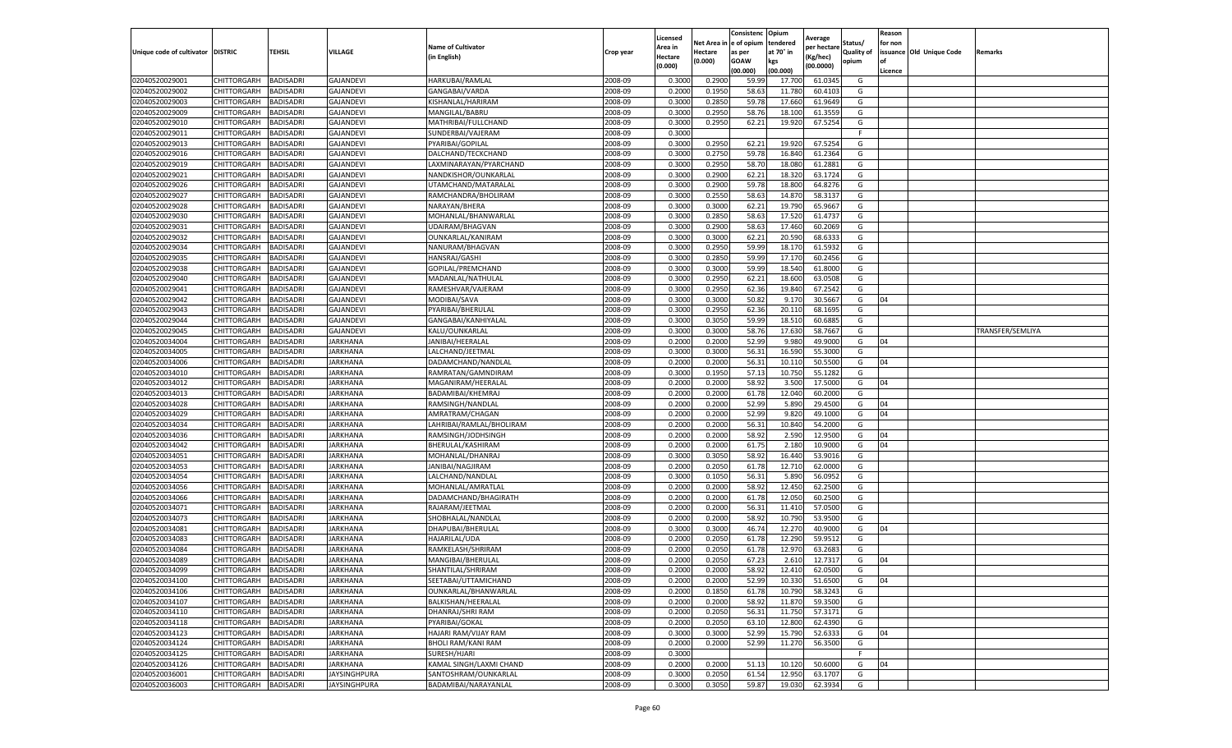|                           |                       |                  |                  |                           |           | Licensed       |                    | Consistenc Opium      |                  | Average     |                            | Reason  |                          |                  |
|---------------------------|-----------------------|------------------|------------------|---------------------------|-----------|----------------|--------------------|-----------------------|------------------|-------------|----------------------------|---------|--------------------------|------------------|
|                           |                       |                  |                  | <b>Name of Cultivator</b> |           | Area in        | Net Area i         | e of opium            | tendered         | per hectare | Status/                    | for non | issuance Old Unique Code |                  |
| Unique code of cultivator | <b>DISTRIC</b>        | <b>TEHSIL</b>    | VILLAGE          | in English)               | Crop year | <b>Hectare</b> | Hectare<br>(0.000) | as per<br><b>GOAW</b> | at 70° in<br>kgs | Kg/hec)     | <b>Quality of</b><br>opium | of      |                          | Remarks          |
|                           |                       |                  |                  |                           |           | (0.000)        |                    | (00.000)              | (00.000)         | (00.0000)   |                            | Licence |                          |                  |
| 02040520029001            | CHITTORGARH           | <b>BADISADRI</b> | <b>GAJANDEVI</b> | HARKUBAI/RAMLAL           | 2008-09   | 0.3000         | 0.2900             | 59.99                 | 17.70            | 61.0345     | G                          |         |                          |                  |
| 02040520029002            | CHITTORGARH           | <b>BADISADRI</b> | <b>GAJANDEVI</b> | GANGABAI/VARDA            | 2008-09   | 0.2000         | 0.1950             | 58.63                 | 11.780           | 60.4103     | G                          |         |                          |                  |
| 02040520029003            | CHITTORGARH           | <b>BADISADRI</b> | <b>GAJANDEVI</b> | KISHANLAL/HARIRAM         | 2008-09   | 0.3000         | 0.2850             | 59.78                 | 17.660           | 61.9649     | G                          |         |                          |                  |
| 02040520029009            | CHITTORGARH           | <b>BADISADRI</b> | <b>GAJANDEVI</b> | MANGILAL/BABRU            | 2008-09   | 0.3000         | 0.2950             | 58.76                 | 18.10            | 61.3559     | G                          |         |                          |                  |
| 02040520029010            | CHITTORGARH           | <b>BADISADRI</b> | GAJANDEVI        | MATHRIBAI/FULLCHAND       | 2008-09   | 0.3000         | 0.2950             | 62.21                 | 19.920           | 67.5254     | G                          |         |                          |                  |
| 02040520029011            | CHITTORGARH           | <b>BADISADRI</b> | <b>GAJANDEVI</b> | SUNDERBAI/VAJERAM         | 2008-09   | 0.3000         |                    |                       |                  |             | F                          |         |                          |                  |
| 02040520029013            | CHITTORGARH           | <b>BADISADRI</b> | <b>GAJANDEVI</b> | PYARIBAI/GOPILAL          | 2008-09   | 0.3000         | 0.2950             | 62.22                 | 19.92            | 67.525      | G                          |         |                          |                  |
| 02040520029016            | CHITTORGARH           | <b>BADISADRI</b> | <b>GAJANDEVI</b> | DALCHAND/TECKCHAND        | 2008-09   | 0.3000         | 0.2750             | 59.78                 | 16.84            | 61.2364     | G                          |         |                          |                  |
| 02040520029019            | CHITTORGARH           | <b>BADISADRI</b> | <b>GAJANDEVI</b> | LAXMINARAYAN/PYARCHAND    | 2008-09   | 0.3000         | 0.2950             | 58.70                 | 18.080           | 61.2881     | G                          |         |                          |                  |
| 02040520029021            | CHITTORGARH           | <b>BADISADRI</b> | GAJANDEVI        | NANDKISHOR/OUNKARLAL      | 2008-09   | 0.3000         | 0.2900             | 62.21                 | 18.32            | 63.1724     | G                          |         |                          |                  |
| 02040520029026            | CHITTORGARH           | <b>BADISADRI</b> | GAJANDEVI        | UTAMCHAND/MATARALAL       | 2008-09   | 0.3000         | 0.2900             | 59.78                 | 18.80            | 64.8276     | G                          |         |                          |                  |
| 02040520029027            | CHITTORGARH           | <b>BADISADRI</b> | <b>GAJANDEVI</b> | RAMCHANDRA/BHOLIRAM       | 2008-09   | 0.3000         | 0.2550             | 58.63                 | 14.87            | 58.3137     | G                          |         |                          |                  |
| 02040520029028            | CHITTORGARH           | BADISADRI        | <b>GAJANDEVI</b> | NARAYAN/BHERA             | 2008-09   | 0.3000         | 0.3000             | 62.22                 | 19.79            | 65.9667     | G                          |         |                          |                  |
| 02040520029030            | CHITTORGARH           | <b>BADISADRI</b> | <b>GAJANDEVI</b> | MOHANLAL/BHANWARLAL       | 2008-09   | 0.3000         | 0.2850             | 58.63                 | 17.52            | 61.4737     | G                          |         |                          |                  |
| 02040520029031            | CHITTORGARH           | <b>BADISADRI</b> | <b>GAJANDEVI</b> | UDAIRAM/BHAGVAN           | 2008-09   | 0.3000         | 0.2900             | 58.63                 | 17.460           | 60.2069     | G                          |         |                          |                  |
| 02040520029032            | CHITTORGARH           | <b>BADISADRI</b> | <b>GAJANDEVI</b> | OUNKARLAL/KANIRAM         | 2008-09   | 0.3000         | 0.3000             | 62.21                 | 20.590           | 68.6333     | G                          |         |                          |                  |
| 02040520029034            | CHITTORGARH           | <b>BADISADRI</b> | GAJANDEVI        | NANURAM/BHAGVAN           | 2008-09   | 0.3000         | 0.2950             | 59.99                 | 18.17            | 61.5932     | G                          |         |                          |                  |
| 02040520029035            | CHITTORGARH           | <b>BADISADRI</b> | <b>GAJANDEVI</b> | HANSRAJ/GASHI             | 2008-09   | 0.3000         | 0.2850             | 59.99                 | 17.17            | 60.2456     | G                          |         |                          |                  |
| 02040520029038            | CHITTORGARH           | <b>BADISADRI</b> | <b>GAJANDEVI</b> | GOPILAL/PREMCHAND         | 2008-09   | 0.3000         | 0.3000             | 59.99                 | 18.54            | 61.8000     | G                          |         |                          |                  |
| 02040520029040            | CHITTORGARH           | BADISADRI        | <b>GAJANDEV</b>  | MADANLAL/NATHULAI         | 2008-09   | 0.3000         | 0.2950             | 62.22                 | 18.60            | 63.0508     | G                          |         |                          |                  |
| 02040520029041            | CHITTORGARH           | <b>BADISADRI</b> | <b>GAJANDEVI</b> | RAMESHVAR/VAJERAM         | 2008-09   | 0.3000         | 0.2950             | 62.36                 | 19.84            | 67.2542     | G                          |         |                          |                  |
| 02040520029042            | CHITTORGARH           | <b>BADISADRI</b> | <b>GAJANDEVI</b> | MODIBAI/SAVA              | 2008-09   | 0.3000         | 0.3000             | 50.82                 | 9.17             | 30.5667     | G                          | 04      |                          |                  |
| 02040520029043            | CHITTORGARH           | <b>BADISADRI</b> | <b>GAJANDEVI</b> | PYARIBAI/BHERULAL         | 2008-09   | 0.3000         | 0.2950             | 62.36                 | 20.11            | 68.1695     | G                          |         |                          |                  |
| 02040520029044            | CHITTORGARH           | BADISADRI        | <b>GAJANDEVI</b> | GANGABAI/KANHIYALAL       | 2008-09   | 0.3000         | 0.3050             | 59.99                 | 18.51            | 60.6885     | G                          |         |                          |                  |
| 02040520029045            | CHITTORGARH           | <b>BADISADRI</b> | <b>GAJANDEVI</b> | KALU/OUNKARLAL            | 2008-09   | 0.3000         | 0.3000             | 58.76                 | 17.63            | 58.7667     | G                          |         |                          | TRANSFER/SEMLIYA |
| 02040520034004            | CHITTORGARH           | <b>BADISADRI</b> | JARKHANA         | JANIBAI/HEERALAL          | 2008-09   | 0.2000         | 0.2000             | 52.99                 | 9.98             | 49.9000     | G                          | 04      |                          |                  |
| 02040520034005            | CHITTORGARH           | <b>BADISADRI</b> | JARKHANA         | LALCHAND/JEETMAL          | 2008-09   | 0.3000         | 0.3000             | 56.31                 | 16.59            | 55.3000     | G                          |         |                          |                  |
| 02040520034006            | CHITTORGARH           | <b>BADISADRI</b> | <b>JARKHANA</b>  | DADAMCHAND/NANDLAL        | 2008-09   | 0.2000         | 0.2000             | 56.31                 | 10.11            | 50.5500     | G                          | 04      |                          |                  |
| 02040520034010            | CHITTORGARH           | <b>BADISADRI</b> | JARKHANA         | RAMRATAN/GAMNDIRAM        | 2008-09   | 0.3000         | 0.1950             | 57.13                 | 10.75            | 55.1282     | G                          |         |                          |                  |
| 02040520034012            | CHITTORGARH           | <b>BADISADRI</b> | JARKHANA         | MAGANIRAM/HEERALAL        | 2008-09   | 0.2000         | 0.2000             | 58.92                 | 3.500            | 17.5000     | G                          | 04      |                          |                  |
| 02040520034013            | CHITTORGARH           | <b>BADISADRI</b> | JARKHANA         | BADAMIBAI/KHEMRAJ         | 2008-09   | 0.2000         | 0.2000             | 61.78                 | 12.04            | 60.2000     | G                          |         |                          |                  |
| 02040520034028            | CHITTORGARH           | BADISADRI        | JARKHANA         | RAMSINGH/NANDLAL          | 2008-09   | 0.2000         | 0.2000             | 52.99                 | 5.89             | 29.4500     | G                          | 04      |                          |                  |
| 02040520034029            | CHITTORGARH           | <b>BADISADRI</b> | JARKHANA         | AMRATRAM/CHAGAN           | 2008-09   | 0.2000         | 0.2000             | 52.99                 | 9.820            | 49.1000     | G                          | 04      |                          |                  |
| 02040520034034            | CHITTORGARH           | <b>BADISADRI</b> | JARKHANA         | LAHRIBAI/RAMLAL/BHOLIRAM  | 2008-09   | 0.2000         | 0.2000             | 56.31                 | 10.84            | 54.2000     | G                          |         |                          |                  |
| 02040520034036            | CHITTORGARH           | <b>BADISADRI</b> | JARKHANA         | RAMSINGH/JODHSINGH        | 2008-09   | 0.2000         | 0.2000             | 58.92                 | 2.590            | 12.9500     | G                          | 04      |                          |                  |
| 02040520034042            | CHITTORGARH           | <b>BADISADRI</b> | JARKHANA         | BHERULAL/KASHIRAM         | 2008-09   | 0.2000         | 0.2000             | 61.75                 | 2.18             | 10.9000     | G                          | 04      |                          |                  |
| 02040520034051            | CHITTORGARH           | <b>BADISADRI</b> | JARKHANA         | MOHANLAL/DHANRAJ          | 2008-09   | 0.3000         | 0.3050             | 58.92                 | 16.44            | 53.9016     | G                          |         |                          |                  |
| 02040520034053            | CHITTORGARH           | <b>BADISADRI</b> | JARKHANA         | JANIBAI/NAGJIRAM          | 2008-09   | 0.2000         | 0.2050             | 61.78                 | 12.710           | 62.0000     | G                          |         |                          |                  |
| 02040520034054            | CHITTORGARH           | <b>BADISADRI</b> | JARKHANA         | LALCHAND/NANDLAL          | 2008-09   | 0.3000         | 0.1050             | 56.31                 | 5.890            | 56.0952     | G                          |         |                          |                  |
| 02040520034056            | CHITTORGARH           | <b>BADISADRI</b> | <b>JARKHANA</b>  | MOHANLAL/AMRATLAL         | 2008-09   | 0.2000         | 0.2000             | 58.92                 | 12.450           | 62.2500     | G                          |         |                          |                  |
| 02040520034066            | <b>CHITTORGARH</b>    | <b>BADISADRI</b> | JARKHANA         | DADAMCHAND/BHAGIRATH      | 2008-09   | 0.2000         | 0.2000             | 61.78                 | 12.050           | 60.2500     | G                          |         |                          |                  |
| 02040520034071            | CHITTORGARH           | <b>BADISADRI</b> | JARKHANA         | RAJARAM/JEETMAL           | 2008-09   | 0.2000         | 0.2000             | 56.31                 | 11.41            | 57.0500     | G                          |         |                          |                  |
| 02040520034073            | CHITTORGARH           | <b>BADISADRI</b> | JARKHANA         | SHOBHALAL/NANDLAL         | 2008-09   | 0.2000         | 0.2000             | 58.92                 | 10.79            | 53.9500     | G                          |         |                          |                  |
| 02040520034081            | CHITTORGARH           | <b>BADISADRI</b> | JARKHANA         | DHAPUBAI/BHERULAL         | 2008-09   | 0.3000         | 0.3000             | 46.74                 | 12.27            | 40.9000     | G                          | 04      |                          |                  |
| 02040520034083            | CHITTORGARH           | BADISADRI        | JARKHANA         | HAJARILAL/UDA             | 2008-09   | 0.2000         | 0.2050             | 61.78                 | 12.29            | 59.9512     | G                          |         |                          |                  |
| 02040520034084            | CHITTORGARH           | BADISADRI        | JARKHANA         | RAMKELASH/SHRIRAM         | 2008-09   | 0.2000         | 0.2050             | 61.78                 | 12.97            | 63.2683     | G                          |         |                          |                  |
| 02040520034089            | CHITTORGARH           | <b>BADISADRI</b> | JARKHANA         | MANGIBAI/BHERULAL         | 2008-09   | 0.2000         | 0.2050             | 67.23                 | 2.610            | 12.7317     | G                          | 04      |                          |                  |
| 02040520034099            | CHITTORGARH           | <b>BADISADRI</b> | JARKHANA         | SHANTILAL/SHRIRAM         | 2008-09   | 0.2000         | 0.2000             | 58.92                 | 12.410           | 62.0500     | G                          |         |                          |                  |
| 02040520034100            | CHITTORGARH BADISADRI |                  | <b>JARKHANA</b>  | SEETABAI/UTTAMICHAND      | 2008-09   | 0.2000         | 0.2000             | 52.99                 | 10.330           | 51.6500     | G                          | 04      |                          |                  |
| 02040520034106            | <b>CHITTORGARH</b>    | <b>BADISADRI</b> | <b>JARKHANA</b>  | OUNKARLAL/BHANWARLAL      | 2008-09   | 0.2000         | 0.1850             | 61.78                 | 10.790           | 58.3243     | G                          |         |                          |                  |
| 02040520034107            | <b>CHITTORGARH</b>    | <b>BADISADRI</b> | JARKHANA         | BALKISHAN/HEERALAL        | 2008-09   | 0.2000         | 0.2000             | 58.92                 | 11.870           | 59.3500     | G                          |         |                          |                  |
| 02040520034110            | <b>CHITTORGARH</b>    | <b>BADISADRI</b> | <b>JARKHANA</b>  | <b>DHANRAJ/SHRI RAM</b>   | 2008-09   | 0.2000         | 0.2050             | 56.31                 | 11.750           | 57.3171     | G                          |         |                          |                  |
| 02040520034118            | <b>CHITTORGARH</b>    | <b>BADISADRI</b> | <b>JARKHANA</b>  | PYARIBAI/GOKAL            | 2008-09   | 0.2000         | 0.2050             | 63.10                 | 12.800           | 62.4390     | G                          |         |                          |                  |
| 02040520034123            | <b>CHITTORGARH</b>    | <b>BADISADRI</b> | <b>JARKHANA</b>  | HAJARI RAM/VIJAY RAM      | 2008-09   | 0.3000         | 0.3000             | 52.99                 | 15.790           | 52.6333     | G                          | 04      |                          |                  |
| 02040520034124            | <b>CHITTORGARH</b>    | <b>BADISADRI</b> | <b>JARKHANA</b>  | <b>BHOLI RAM/KANI RAM</b> | 2008-09   | 0.2000         | 0.2000             | 52.99                 | 11.270           | 56.3500     | G                          |         |                          |                  |
| 02040520034125            | <b>CHITTORGARH</b>    | <b>BADISADRI</b> | <b>JARKHANA</b>  | SURESH/HJARI              | 2008-09   | 0.3000         |                    |                       |                  |             | F                          |         |                          |                  |
| 02040520034126            | CHITTORGARH           | <b>BADISADRI</b> | JARKHANA         | KAMAL SINGH/LAXMI CHAND   | 2008-09   | 0.2000         | 0.2000             | 51.13                 | 10.12            | 50.6000     | G                          | 04      |                          |                  |
| 02040520036001            | <b>CHITTORGARH</b>    | <b>BADISADRI</b> | JAYSINGHPURA     | SANTOSHRAM/OUNKARLAL      | 2008-09   | 0.3000         | 0.2050             | 61.54                 | 12.950           | 63.1707     | G                          |         |                          |                  |
| 02040520036003            | <b>CHITTORGARH</b>    | <b>BADISADRI</b> | JAYSINGHPURA     | BADAMIBAI/NARAYANLAL      | 2008-09   | 0.3000         | 0.3050             | 59.87                 | 19.030           | 62.3934     | G                          |         |                          |                  |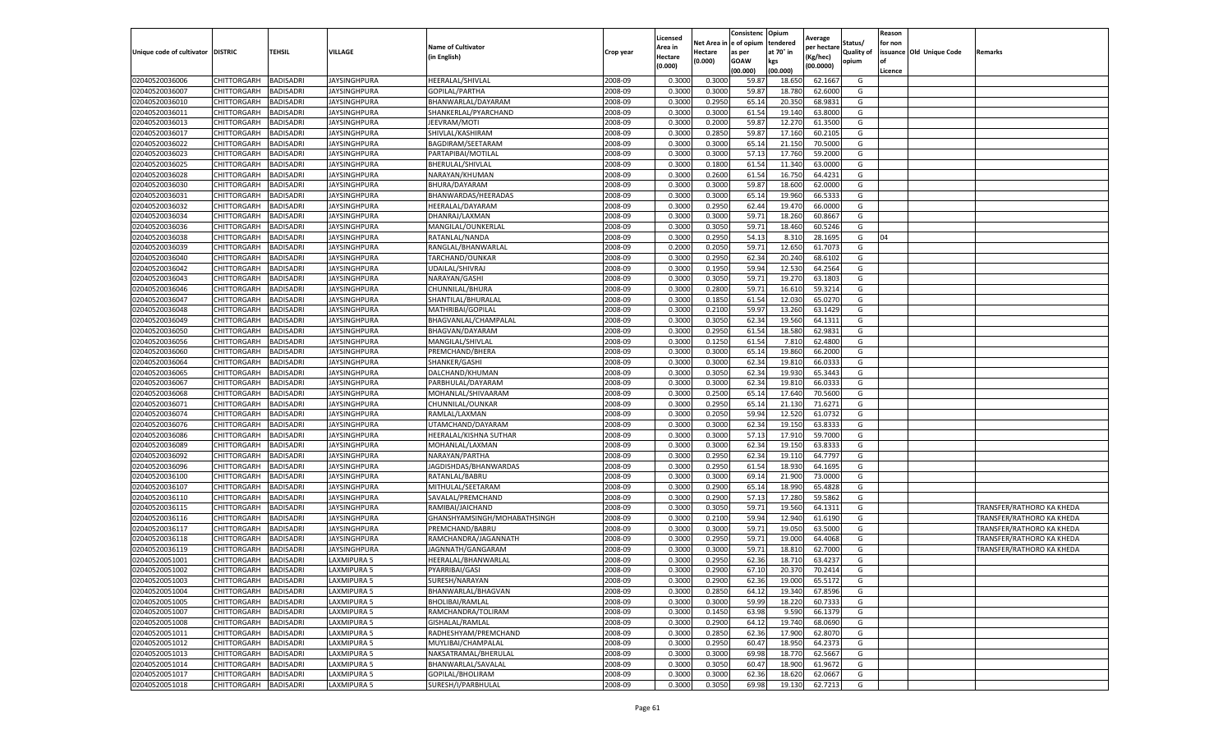|                                   |                            |                        |                                     |                              |                    | Licensed |                         | Consistenc       | Opium           | Average           |            | Reason          |                          |                           |
|-----------------------------------|----------------------------|------------------------|-------------------------------------|------------------------------|--------------------|----------|-------------------------|------------------|-----------------|-------------------|------------|-----------------|--------------------------|---------------------------|
|                                   |                            |                        |                                     | <b>Name of Cultivator</b>    |                    | Area in  | Net Area in le of opium |                  | tendered        | per hectare       | Status/    | for non         |                          |                           |
| Unique code of cultivator DISTRIC |                            | <b>TEHSIL</b>          | VILLAGE                             | (in English)                 | Crop year          | Hectare  | Hectare                 | as per           | at 70° in       | Kg/hec)           | Quality of |                 | issuance Old Unique Code | Remarks                   |
|                                   |                            |                        |                                     |                              |                    | (0.000)  | (0.000)                 | GOAW<br>(00.000) | kgs<br>(00.000) | (00.0000)         | opium      | l of<br>Licence |                          |                           |
| 02040520036006                    | CHITTORGARH                | BADISADRI              | <b>JAYSINGHPURA</b>                 | HEERALAL/SHIVLAL             | 2008-09            | 0.300    | 0.300                   | 59.87            | 18.650          | 62.166            | G          |                 |                          |                           |
| 02040520036007                    | CHITTORGARH                | BADISADRI              | JAYSINGHPURA                        | GOPILAL/PARTHA               | 2008-09            | 0.300    | 0.3000                  | 59.8             | 18.780          | 62.600            | G          |                 |                          |                           |
| 02040520036010                    | CHITTORGARH                | BADISADRI              | JAYSINGHPURA                        | BHANWARLAL/DAYARAM           | 2008-09            | 0.3000   | 0.2950                  | 65.14            | 20.350          | 68.983            | G          |                 |                          |                           |
| 02040520036011                    | CHITTORGARH                | <b>BADISADRI</b>       | <b>JAYSINGHPURA</b>                 | SHANKERLAL/PYARCHAND         | 2008-09            | 0.3000   | 0.3000                  | 61.54            | 19.140          | 63.8000           | G          |                 |                          |                           |
|                                   |                            | BADISADRI              |                                     | JEEVRAM/MOTI                 |                    | 0.3000   |                         |                  |                 |                   |            |                 |                          |                           |
| 02040520036013<br>02040520036017  | CHITTORGARH<br>CHITTORGARH | BADISADRI              | JAYSINGHPURA<br>JAYSINGHPURA        | SHIVLAL/KASHIRAM             | 2008-09<br>2008-09 | 0.3000   | 0.2000<br>0.2850        | 59.8<br>59.8     | 12.270<br>17.16 | 61.350<br>60.210  | G<br>G     |                 |                          |                           |
| 02040520036022                    | CHITTORGARH                | BADISADRI              | <b>JAYSINGHPURA</b>                 | BAGDIRAM/SEETARAM            | 2008-09            | 0.3000   | 0.3000                  | 65.14            | 21.150          | 70.500            | G          |                 |                          |                           |
| 02040520036023                    |                            |                        |                                     | PARTAPIBAI/MOTILAL           |                    |          | 0.3000                  | 57.13            | 17.760          |                   |            |                 |                          |                           |
|                                   | CHITTORGARH                | <b>BADISADRI</b>       | JAYSINGHPURA                        |                              | 2008-09            | 0.3000   |                         |                  |                 | 59.200            | G<br>G     |                 |                          |                           |
| 02040520036025                    | CHITTORGARH                | BADISADRI<br>BADISADRI | IAYSINGHPURA<br><b>JAYSINGHPURA</b> | BHERULAL/SHIVLAL             | 2008-09            | 0.3000   | 0.1800                  | 61.54            | 11.340          | 63.000<br>64.4231 | G          |                 |                          |                           |
| 02040520036028                    | CHITTORGARH                |                        |                                     | NARAYAN/KHUMAN               | 2008-09            | 0.3000   | 0.2600                  | 61.54            | 16.750          |                   |            |                 |                          |                           |
| 02040520036030                    | CHITTORGARH                | BADISADRI              | JAYSINGHPURA                        | BHURA/DAYARAM                | 2008-09            | 0.3000   | 0.3000                  | 59.87            | 18.600          | 62.000            | G          |                 |                          |                           |
| 02040520036031                    | CHITTORGARH                | BADISADRI              | IAYSINGHPURA                        | BHANWARDAS/HEERADAS          | 2008-09            | 0.3000   | 0.3000                  | 65.14            | 19.960          | 66.533            | G          |                 |                          |                           |
| 02040520036032                    | CHITTORGARH                | BADISADRI              | <b>JAYSINGHPURA</b>                 | HEERALAL/DAYARAM             | 2008-09            | 0.3000   | 0.2950                  | 62.44            | 19.470          | 66.000            | G          |                 |                          |                           |
| 02040520036034                    | CHITTORGARH                | BADISADRI              | JAYSINGHPURA                        | DHANRAJ/LAXMAN               | 2008-09            | 0.3000   | 0.3000                  | 59.71            | 18.260          | 60.866            | G          |                 |                          |                           |
| 02040520036036                    | CHITTORGARH                | BADISADRI              | JAYSINGHPURA                        | MANGILAL/OUNKERLAL           | 2008-09            | 0.3000   | 0.3050                  | 59.71            | 18.460          | 60.524            | G          |                 |                          |                           |
| 02040520036038                    | CHITTORGARH                | BADISADRI              | JAYSINGHPURA                        | RATANLAL/NANDA               | 2008-09            | 0.3000   | 0.2950                  | 54.13            | 8.310           | 28.169            | G          | 04              |                          |                           |
| 02040520036039                    | CHITTORGARH                | BADISADRI              | JAYSINGHPURA                        | RANGLAL/BHANWARLAL           | 2008-09            | 0.2000   | 0.2050                  | 59.7             | 12.650          | 61.7073           | G          |                 |                          |                           |
| 02040520036040                    | CHITTORGARH                | BADISADRI              | JAYSINGHPURA                        | TARCHAND/OUNKAR              | 2008-09            | 0.3000   | 0.2950                  | 62.34            | 20.240          | 68.610            | G          |                 |                          |                           |
| 02040520036042                    | CHITTORGARH                | <b>BADISADRI</b>       | JAYSINGHPURA                        | JDAILAL/SHIVRAJ              | 2008-09            | 0.300    | 0.1950                  | 59.94            | 12.530          | 64.256            | G          |                 |                          |                           |
| 02040520036043                    | CHITTORGARH                | <b>BADISADRI</b>       | <b>JAYSINGHPURA</b>                 | NARAYAN/GASHI                | 2008-09            | 0.3000   | 0.3050                  | 59.71            | 19.270          | 63.180            | G          |                 |                          |                           |
| 02040520036046                    | CHITTORGARH                | BADISADRI              | JAYSINGHPURA                        | CHUNNILAL/BHURA              | 2008-09            | 0.3000   | 0.2800                  | 59.71            | 16.610          | 59.321            | G          |                 |                          |                           |
| 02040520036047                    | CHITTORGARH                | BADISADRI              | JAYSINGHPURA                        | SHANTILAL/BHURALAL           | 2008-09            | 0.3000   | 0.1850                  | 61.54            | 12.030          | 65.027            | G          |                 |                          |                           |
| 02040520036048                    | CHITTORGARH                | <b>BADISADRI</b>       | <b>JAYSINGHPURA</b>                 | MATHRIBAI/GOPILAL            | 2008-09            | 0.3000   | 0.2100                  | 59.97            | 13.260          | 63.1429           | G          |                 |                          |                           |
| 02040520036049                    | CHITTORGARH                | BADISADRI              | JAYSINGHPURA                        | BHAGVANLAL/CHAMPALAL         | 2008-09            | 0.3000   | 0.3050                  | 62.34            | 19.560          | 64.131            | G          |                 |                          |                           |
| 02040520036050                    | CHITTORGARH                | BADISADRI              | JAYSINGHPURA                        | BHAGVAN/DAYARAN              | 2008-09            | 0.3000   | 0.2950                  | 61.54            | 18.580          | 62.983            | G          |                 |                          |                           |
| 02040520036056                    | CHITTORGARH                | BADISADRI              | <b>JAYSINGHPURA</b>                 | MANGILAL/SHIVLAL             | 2008-09            | 0.3000   | 0.1250                  | 61.54            | 7.810           | 62.480            | G          |                 |                          |                           |
| 02040520036060                    | CHITTORGARH                | <b>BADISADRI</b>       | JAYSINGHPURA                        | PREMCHAND/BHERA              | 2008-09            | 0.300    | 0.3000                  | 65.14            | 19.860          | 66.200            | G          |                 |                          |                           |
| 02040520036064                    | CHITTORGARH                | BADISADRI              | JAYSINGHPURA                        | SHANKER/GASHI                | 2008-09            | 0.3000   | 0.3000                  | 62.34            | 19.810          | 66.033            | G          |                 |                          |                           |
| 02040520036065                    | CHITTORGARH                | <b>BADISADRI</b>       | JAYSINGHPURA                        | DALCHAND/KHUMAN              | 2008-09            | 0.3000   | 0.3050                  | 62.34            | 19.930          | 65.3443           | G          |                 |                          |                           |
| 02040520036067                    | CHITTORGARH                | BADISADRI              | <b>JAYSINGHPURA</b>                 | PARBHULAL/DAYARAM            | 2008-09            | 0.3000   | 0.3000                  | 62.34            | 19.81           | 66.033            | G          |                 |                          |                           |
| 02040520036068                    | CHITTORGARH                | BADISADRI              | JAYSINGHPURA                        | MOHANLAL/SHIVAARAM           | 2008-09            | 0.300    | 0.250                   | 65.14            | 17.640          | 70.560            | G          |                 |                          |                           |
| 02040520036071                    | CHITTORGARH                | BADISADRI              | <b>JAYSINGHPURA</b>                 | CHUNNILAL/OUNKAR             | 2008-09            | 0.3000   | 0.2950                  | 65.14            | 21.130          | 71.627            | G          |                 |                          |                           |
| 02040520036074                    | CHITTORGARH                | BADISADRI              | JAYSINGHPURA                        | RAMLAL/LAXMAN                | 2008-09            | 0.300    | 0.2050                  | 59.94            | 12.520          | 61.0732           | G          |                 |                          |                           |
| 02040520036076                    | CHITTORGARH                | BADISADRI              | JAYSINGHPURA                        | UTAMCHAND/DAYARAM            | 2008-09            | 0.3000   | 0.3000                  | 62.34            | 19.150          | 63.833            | G          |                 |                          |                           |
| 02040520036086                    | CHITTORGARH                | <b>BADISADRI</b>       | <b>JAYSINGHPURA</b>                 | HEERALAL/KISHNA SUTHAR       | 2008-09            | 0.3000   | 0.3000                  | 57.13            | 17.910          | 59.7000           | G          |                 |                          |                           |
| 02040520036089                    | CHITTORGARH                | BADISADRI              | JAYSINGHPURA                        | MOHANLAL/LAXMAN              | 2008-09            | 0.3000   | 0.3000                  | 62.3             | 19.150          | 63.833            | G          |                 |                          |                           |
| 02040520036092                    | CHITTORGARH                | BADISADRI              | JAYSINGHPURA                        | NARAYAN/PARTHA               | 2008-09            | 0.3000   | 0.2950                  | 62.34            | 19.110          | 64.779            | G          |                 |                          |                           |
| 02040520036096                    | CHITTORGARH                | <b>BADISADRI</b>       | <b>JAYSINGHPURA</b>                 | IAGDISHDAS/BHANWARDAS        | 2008-09            | 0.3000   | 0.2950                  | 61.54            | 18.930          | 64.169            | G          |                 |                          |                           |
| 02040520036100                    | CHITTORGARH                | <b>BADISADRI</b>       | JAYSINGHPURA                        | RATANLAL/BABRU               | 2008-09            | 0.3000   | 0.3000                  | 69.14            | 21.900          | 73.000            | G          |                 |                          |                           |
| 02040520036107                    | CHITTORGARH                | BADISADRI              | IAYSINGHPURA                        | MITHULAL/SEETARAM            | 2008-09            | 0.3000   | 0.2900                  | 65.14            | 18.990          | 65.482            | G          |                 |                          |                           |
| 02040520036110                    | CHITTORGARH                | BADISADRI              | JAYSINGHPURA                        | SAVALAL/PREMCHAND            | 2008-09            | 0.3000   | 0.290                   | 57.13            | 17.280          | 59.586            | G          |                 |                          |                           |
| 02040520036115                    | CHITTORGARH                | BADISADRI              | <b>JAYSINGHPURA</b>                 | RAMIBAI/JAICHAND             | 2008-09            | 0.3000   | 0.3050                  | 59.71            | 19.560          | 64.131            | G          |                 |                          | TRANSFER/RATHORO KA KHEDA |
| 02040520036116                    | CHITTORGARH                | BADISADRI              | <b>IAYSINGHPURA</b>                 | GHANSHYAMSINGH/MOHABATHSINGH | 2008-09            | 0.3000   | 0.2100                  | 59.9             | 12.940          | 61.619            | G          |                 |                          | TRANSFER/RATHORO KA KHEDA |
| 02040520036117                    | CHITTORGARH                | BADISADRI              | JAYSINGHPURA                        | PREMCHAND/BABRU              | 2008-09            | 0.3000   | 0.3000                  | 59.7             | 19.05           | 63.500            | G          |                 |                          | TRANSFER/RATHORO KA KHEDA |
| 02040520036118                    | CHITTORGARH                | BADISADRI              | <b>JAYSINGHPURA</b>                 | RAMCHANDRA/JAGANNATH         | 2008-09            | 0.3000   | 0.2950                  | 59.71            | 19.000          | 64.406            | G          |                 |                          | TRANSFER/RATHORO KA KHEDA |
| 02040520036119                    | CHITTORGARH                | <b>BADISADRI</b>       | IAYSINGHPURA                        | JAGNNATH/GANGARAM            | 2008-09            | 0.3000   | 0.300                   | 59.71            | 18.810          | 62.700            | G          |                 |                          | TRANSFER/RATHORO KA KHEDA |
| 02040520051001                    | CHITTORGARH                | BADISADRI              | LAXMIPURA 5                         | HEERALAL/BHANWARLAL          | 2008-09            | 0.300    | 0.2950                  | 62.36            | 18.710          | 63.423            | G          |                 |                          |                           |
| 02040520051002                    | CHITTORGARH                | <b>BADISADRI</b>       | LAXMIPURA 5                         | PYARRIBAI/GASI               | 2008-09            | 0.3000   | 0.2900                  | 67.10            | 20.370          | 70.2414           | G          |                 |                          |                           |
| 02040520051003                    | CHITTORGARH                | <b>BADISADRI</b>       | LAXMIPURA 5                         | SURESH/NARAYAN               | 2008-09            | 0.3000   | 0.2900                  | 62.36            | 19.000          | 65.5172           | G          |                 |                          |                           |
| 02040520051004                    | CHITTORGARH                | BADISADRI              | LAXMIPURA 5                         | BHANWARLAL/BHAGVAN           | 2008-09            | 0.3000   | 0.2850                  | 64.12            | 19.340          | 67.8596           | G          |                 |                          |                           |
| 02040520051005                    | CHITTORGARH                | <b>BADISADRI</b>       | LAXMIPURA 5                         | BHOLIBAI/RAMLAL              | 2008-09            | 0.3000   | 0.3000                  | 59.99            | 18.220          | 60.7333           | G          |                 |                          |                           |
| 02040520051007                    | CHITTORGARH                | BADISADRI              | LAXMIPURA 5                         | RAMCHANDRA/TOLIRAM           | 2008-09            | 0.3000   | 0.1450                  | 63.98            | 9.590           | 66.1379           | G          |                 |                          |                           |
| 02040520051008                    | CHITTORGARH                | BADISADRI              | LAXMIPURA 5                         | GISHALAL/RAMLAL              | 2008-09            | 0.3000   | 0.2900                  | 64.12            | 19.740          | 68.0690           | G          |                 |                          |                           |
| 02040520051011                    | CHITTORGARH                | <b>BADISADRI</b>       | LAXMIPURA 5                         | RADHESHYAM/PREMCHAND         | 2008-09            | 0.3000   | 0.2850                  | 62.36            | 17.900          | 62.8070           | G          |                 |                          |                           |
| 02040520051012                    | CHITTORGARH                | BADISADRI              | LAXMIPURA 5                         | MUYLIBAI/CHAMPALAL           | 2008-09            | 0.3000   | 0.2950                  | 60.47            | 18.950          | 64.2373           | G          |                 |                          |                           |
| 02040520051013                    | CHITTORGARH                | BADISADRI              | LAXMIPURA 5                         | NAKSATRAMAL/BHERULAL         | 2008-09            | 0.3000   | 0.3000                  | 69.98            | 18.770          | 62.5667           | G          |                 |                          |                           |
| 02040520051014                    | CHITTORGARH                | BADISADRI              | LAXMIPURA 5                         | BHANWARLAL/SAVALAL           | 2008-09            | 0.3000   | 0.3050                  | 60.47            | 18.900          | 61.9672           | G          |                 |                          |                           |
| 02040520051017                    | CHITTORGARH                | BADISADRI              | LAXMIPURA 5                         | GOPILAL/BHOLIRAM             | 2008-09            | 0.3000   | 0.3000                  | 62.36            | 18.620          | 62.066            | G          |                 |                          |                           |
| 02040520051018                    | CHITTORGARH                | <b>BADISADRI</b>       | LAXMIPURA 5                         | SURESH/I/PARBHULAL           | 2008-09            | 0.3000   | 0.3050                  | 69.98            | 19.130          | 62.7213           | G          |                 |                          |                           |
|                                   |                            |                        |                                     |                              |                    |          |                         |                  |                 |                   |            |                 |                          |                           |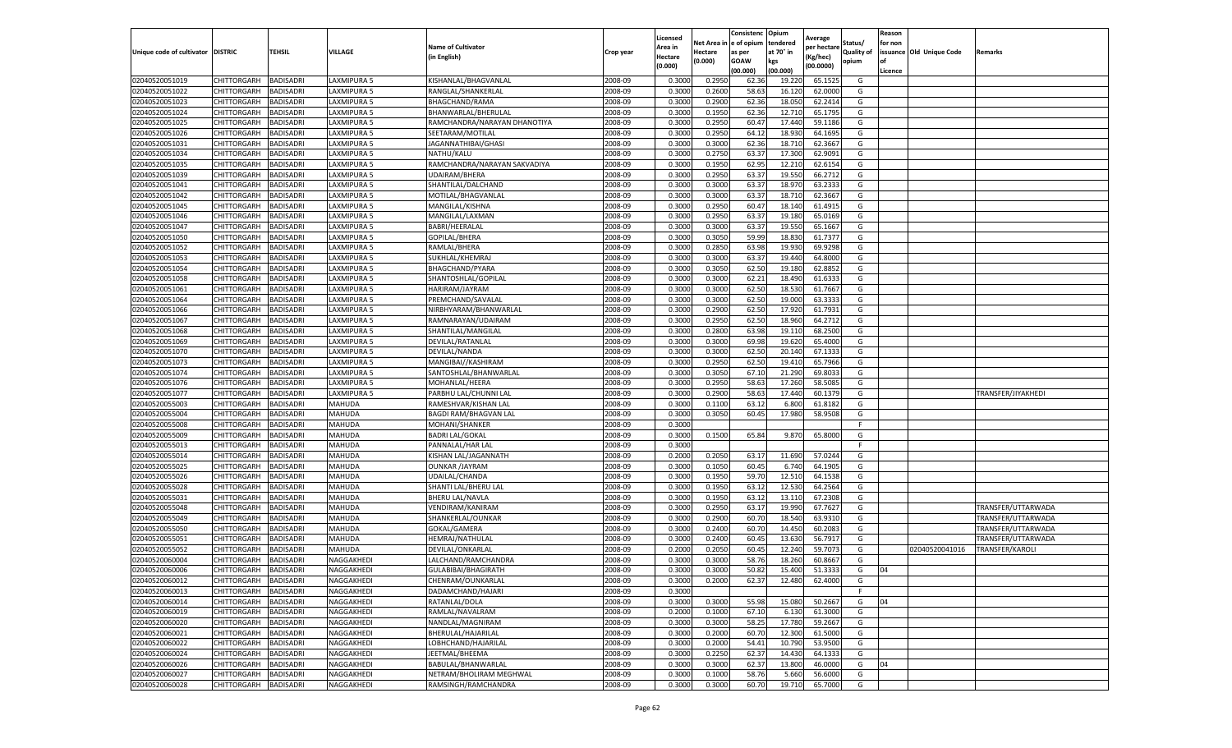|                           |                    |                  |             |                              |           | Licensed |         | Consistenc             | Opium     | Average     |                   | Reason  |                          |                    |
|---------------------------|--------------------|------------------|-------------|------------------------------|-----------|----------|---------|------------------------|-----------|-------------|-------------------|---------|--------------------------|--------------------|
|                           |                    |                  |             | <b>Name of Cultivator</b>    |           | Area in  |         | Net Area in e of opium | tendered  | per hectare | Status/           | for non |                          |                    |
| Unique code of cultivator | <b>DISTRIC</b>     | TEHSIL           | VILLAGE     | in English)                  | Crop year | Hectare  | Hectare | as per                 | at 70° in | (Kg/hec     | <b>Quality of</b> |         | issuance Old Unique Code | <b>Remarks</b>     |
|                           |                    |                  |             |                              |           | (0.000)  | (0.000) | <b>GOAW</b>            | kgs       | (00.0000)   | opium             |         |                          |                    |
|                           |                    |                  |             |                              |           |          |         | (00.000)               | (00.000)  |             |                   | Licence |                          |                    |
| 02040520051019            | CHITTORGARH        | <b>BADISADRI</b> | LAXMIPURA 5 | KISHANLAL/BHAGVANLAI         | 2008-09   | 0.3000   | 0.2950  | 62.36                  | 19.22     | 65.1525     | G                 |         |                          |                    |
| 02040520051022            | CHITTORGARH        | <b>BADISADRI</b> | LAXMIPURA 5 | RANGLAL/SHANKERLAI           | 2008-09   | 0.3000   | 0.2600  | 58.63                  | 16.12     | 62.0000     | G                 |         |                          |                    |
| 02040520051023            | CHITTORGARH        | <b>BADISADRI</b> | LAXMIPURA 5 | BHAGCHAND/RAMA               | 2008-09   | 0.3000   | 0.2900  | 62.36                  | 18.05     | 62.2414     | G                 |         |                          |                    |
| 02040520051024            | CHITTORGARH        | <b>BADISADRI</b> | LAXMIPURA 5 | BHANWARLAL/BHERULAL          | 2008-09   | 0.3000   | 0.1950  | 62.36                  | 12.710    | 65.1795     | G                 |         |                          |                    |
| 02040520051025            | CHITTORGARH        | <b>BADISADRI</b> | LAXMIPURA 5 | RAMCHANDRA/NARAYAN DHANOTIYA | 2008-09   | 0.3000   | 0.2950  | 60.47                  | 17.44     | 59.1186     | G                 |         |                          |                    |
| 02040520051026            | CHITTORGARH        | <b>BADISADRI</b> | LAXMIPURA 5 | SEETARAM/MOTILAI             | 2008-09   | 0.3000   | 0.2950  | 64.12                  | 18.93     | 64.1695     | G                 |         |                          |                    |
| 02040520051031            | CHITTORGARH        | <b>BADISADRI</b> | LAXMIPURA 5 | JAGANNATHIBAI/GHASI          | 2008-09   | 0.3000   | 0.3000  | 62.36                  | 18.71     | 62.3667     | G                 |         |                          |                    |
| 02040520051034            | CHITTORGARH        | BADISADRI        | LAXMIPURA 5 | NATHU/KALU                   | 2008-09   | 0.3000   | 0.2750  | 63.37                  | 17.30     | 62.9091     | G                 |         |                          |                    |
| 02040520051035            | CHITTORGARH        | <b>BADISADRI</b> | LAXMIPURA 5 | RAMCHANDRA/NARAYAN SAKVADIYA | 2008-09   | 0.3000   | 0.1950  | 62.95                  | 12.21     | 62.6154     | G                 |         |                          |                    |
| 02040520051039            | CHITTORGARH        | <b>BADISADRI</b> | LAXMIPURA 5 | UDAIRAM/BHERA                | 2008-09   | 0.3000   | 0.2950  | 63.37                  | 19.550    | 66.2712     | G                 |         |                          |                    |
| 02040520051041            | CHITTORGARH        | <b>BADISADRI</b> | LAXMIPURA 5 | SHANTILAL/DALCHAND           | 2008-09   | 0.3000   | 0.3000  | 63.37                  | 18.97     | 63.2333     | G                 |         |                          |                    |
| 02040520051042            | CHITTORGARH        | <b>BADISADRI</b> | LAXMIPURA 5 | MOTILAL/BHAGVANLAL           | 2008-09   | 0.3000   | 0.3000  | 63.37                  | 18.71     | 62.3667     | G                 |         |                          |                    |
| 02040520051045            | CHITTORGARH        | <b>BADISADRI</b> | LAXMIPURA 5 | MANGILAL/KISHNA              | 2008-09   | 0.3000   | 0.2950  | 60.47                  | 18.14     | 61.4915     | G                 |         |                          |                    |
| 02040520051046            | CHITTORGARH        | <b>BADISADRI</b> | LAXMIPURA 5 | MANGILAL/LAXMAN              | 2008-09   | 0.3000   | 0.2950  | 63.37                  | 19.18     | 65.0169     | G                 |         |                          |                    |
| 02040520051047            | CHITTORGARH        | <b>BADISADRI</b> | LAXMIPURA 5 | BABRI/HEERALAL               | 2008-09   | 0.3000   | 0.3000  | 63.37                  | 19.55     | 65.1667     | G                 |         |                          |                    |
| 02040520051050            | CHITTORGARH        | <b>BADISADRI</b> | LAXMIPURA 5 | GOPILAL/BHERA                | 2008-09   | 0.3000   | 0.3050  | 59.99                  | 18.83     | 61.7377     | G                 |         |                          |                    |
| 02040520051052            | CHITTORGARH        | <b>BADISADRI</b> | LAXMIPURA 5 | RAMLAL/BHERA                 | 2008-09   | 0.3000   | 0.2850  | 63.98                  | 19.93     | 69.9298     | G                 |         |                          |                    |
| 02040520051053            | CHITTORGARH        | <b>BADISADRI</b> | LAXMIPURA 5 | SUKHLAL/KHEMRAJ              | 2008-09   | 0.3000   | 0.3000  | 63.37                  | 19.44     | 64.8000     | G                 |         |                          |                    |
| 02040520051054            | CHITTORGARH        | <b>BADISADRI</b> | AXMIPURA 5  | BHAGCHAND/PYARA              | 2008-09   | 0.3000   | 0.3050  | 62.50                  | 19.18     | 62.8852     | G                 |         |                          |                    |
| 02040520051058            | CHITTORGARH        | <b>BADISADRI</b> | LAXMIPURA 5 | SHANTOSHLAL/GOPILAL          | 2008-09   | 0.3000   | 0.3000  | 62.21                  | 18.49     | 61.633      | G                 |         |                          |                    |
| 02040520051061            | CHITTORGARH        | <b>BADISADRI</b> | LAXMIPURA 5 | HARIRAM/JAYRAM               | 2008-09   | 0.3000   | 0.3000  | 62.50                  | 18.53     | 61.7667     | G                 |         |                          |                    |
| 02040520051064            | CHITTORGARH        | <b>BADISADRI</b> | LAXMIPURA 5 | PREMCHAND/SAVALAL            | 2008-09   | 0.3000   | 0.3000  | 62.50                  | 19.00     | 63.3333     | G                 |         |                          |                    |
| 02040520051066            | CHITTORGARH        | <b>BADISADRI</b> | LAXMIPURA 5 | NIRBHYARAM/BHANWARLAL        | 2008-09   | 0.3000   | 0.2900  | 62.50                  | 17.920    | 61.7931     | G                 |         |                          |                    |
| 02040520051067            | CHITTORGARH        | <b>BADISADRI</b> | LAXMIPURA 5 | RAMNARAYAN/UDAIRAM           | 2008-09   | 0.3000   | 0.2950  | 62.50                  | 18.96     | 64.2712     | G                 |         |                          |                    |
| 02040520051068            | CHITTORGARH        | <b>BADISADRI</b> | LAXMIPURA 5 | SHANTILAL/MANGILAL           | 2008-09   | 0.3000   | 0.2800  | 63.98                  | 19.11     | 68.2500     | G                 |         |                          |                    |
| 02040520051069            | CHITTORGARH        | <b>BADISADRI</b> | LAXMIPURA 5 | DEVILAL/RATANLAL             | 2008-09   | 0.3000   | 0.3000  | 69.98                  | 19.62     | 65.4000     | G                 |         |                          |                    |
| 02040520051070            | CHITTORGARH        | BADISADRI        | LAXMIPURA 5 | DEVILAL/NANDA                | 2008-09   | 0.3000   | 0.3000  | 62.50                  | 20.14     | 67.1333     | G                 |         |                          |                    |
| 02040520051073            | CHITTORGARH        | <b>BADISADRI</b> | LAXMIPURA 5 | MANGIBAI//KASHIRAM           | 2008-09   | 0.3000   | 0.2950  | 62.50                  | 19.41     | 65.7966     | G                 |         |                          |                    |
| 02040520051074            | CHITTORGARH        | <b>BADISADRI</b> | LAXMIPURA 5 | SANTOSHLAL/BHANWARLAL        | 2008-09   | 0.3000   | 0.3050  | 67.10                  | 21.290    | 69.8033     | G                 |         |                          |                    |
| 02040520051076            | CHITTORGARH        | <b>BADISADRI</b> | LAXMIPURA 5 | MOHANLAL/HEERA               | 2008-09   | 0.3000   | 0.2950  | 58.63                  | 17.260    | 58.5085     | G                 |         |                          |                    |
| 02040520051077            | CHITTORGARH        | <b>BADISADRI</b> | LAXMIPURA 5 | PARBHU LAL/CHUNNI LAL        | 2008-09   | 0.3000   | 0.2900  | 58.63                  | 17.44     | 60.1379     | G                 |         |                          | TRANSFER/JIYAKHEDI |
| 02040520055003            | CHITTORGARH        | <b>BADISADRI</b> | MAHUDA      | RAMESHVAR/KISHAN LAL         | 2008-09   | 0.3000   | 0.1100  | 63.12                  | 6.800     | 61.8182     | G                 |         |                          |                    |
| 02040520055004            | CHITTORGARH        | <b>BADISADRI</b> | MAHUDA      | <b>BAGDI RAM/BHAGVAN LAI</b> | 2008-09   | 0.3000   | 0.3050  | 60.45                  | 17.980    | 58.9508     | G                 |         |                          |                    |
| 02040520055008            | CHITTORGARH        | <b>BADISADRI</b> | MAHUDA      | MOHANI/SHANKER               | 2008-09   | 0.3000   |         |                        |           |             | F.                |         |                          |                    |
| 02040520055009            | CHITTORGARH        | <b>BADISADRI</b> | MAHUDA      | <b>BADRI LAL/GOKAL</b>       | 2008-09   | 0.3000   | 0.1500  | 65.84                  | 9.870     | 65.8000     | G                 |         |                          |                    |
| 02040520055013            | CHITTORGARH        | <b>BADISADRI</b> | MAHUDA      | PANNALAL/HAR LAL             | 2008-09   | 0.3000   |         |                        |           |             | F.                |         |                          |                    |
| 02040520055014            | CHITTORGARH        | <b>BADISADRI</b> | MAHUDA      | KISHAN LAL/JAGANNATH         | 2008-09   | 0.2000   | 0.2050  | 63.17                  | 11.69     | 57.0244     | G                 |         |                          |                    |
| 02040520055025            | CHITTORGARH        | <b>BADISADRI</b> | MAHUDA      | <b>OUNKAR /JAYRAM</b>        | 2008-09   | 0.3000   | 0.1050  | 60.45                  | 6.74      | 64.1905     | G                 |         |                          |                    |
| 02040520055026            | CHITTORGARH        | BADISADRI        | MAHUDA      | UDAILAL/CHANDA               | 2008-09   | 0.3000   | 0.1950  | 59.70                  | 12.51     | 64.1538     | G                 |         |                          |                    |
| 02040520055028            | CHITTORGARH        | <b>BADISADRI</b> | MAHUDA      | SHANTI LAL/BHERU LAL         | 2008-09   | 0.3000   | 0.1950  | 63.12                  | 12.530    | 64.2564     | G                 |         |                          |                    |
| 02040520055031            | CHITTORGARH        | <b>BADISADRI</b> | MAHUDA      | <b>BHERU LAL/NAVLA</b>       | 2008-09   | 0.3000   | 0.1950  | 63.12                  | 13.11     | 67.2308     | G                 |         |                          |                    |
| 02040520055048            | CHITTORGARH        | <b>BADISADRI</b> | MAHUDA      | VENDIRAM/KANIRAM             | 2008-09   | 0.3000   | 0.2950  | 63.17                  | 19.99     | 67.7627     | G                 |         |                          | TRANSFER/UTTARWADA |
| 02040520055049            | CHITTORGARH        | <b>BADISADRI</b> | MAHUDA      | SHANKERLAL/OUNKAR            | 2008-09   | 0.3000   | 0.2900  | 60.70                  | 18.54     | 63.9310     | G                 |         |                          | TRANSFER/UTTARWADA |
| 02040520055050            | CHITTORGARH        | <b>BADISADRI</b> | MAHUDA      | GOKAL/GAMERA                 | 2008-09   | 0.3000   | 0.2400  | 60.70                  | 14.45     | 60.2083     | G                 |         |                          | TRANSFER/UTTARWADA |
| 02040520055051            | <b>CHITTORGARH</b> | <b>BADISADRI</b> | MAHUDA      | HEMRAJ/NATHULAL              | 2008-09   | 0.3000   | 0.2400  | 60.45                  | 13.630    | 56.7917     | G                 |         |                          | TRANSFER/UTTARWADA |
| 02040520055052            | CHITTORGARH        | BADISADRI        | MAHUDA      | DEVILAL/ONKARLAL             | 2008-09   | 0.2000   | 0.2050  | 60.45                  | 12.24     | 59.7073     | G                 |         | 02040520041016           | TRANSFER/KAROL     |
| 02040520060004            | CHITTORGARH        | <b>BADISADRI</b> | NAGGAKHEDI  | LALCHAND/RAMCHANDRA          | 2008-09   | 0.3000   | 0.3000  | 58.76                  | 18.260    | 60.8667     | G                 |         |                          |                    |
| 02040520060006            | CHITTORGARH        | <b>BADISADRI</b> | NAGGAKHEDI  | GULABIBAI/BHAGIRATH          | 2008-09   | 0.3000   | 0.3000  | 50.82                  | 15.400    | 51.3333     | G                 | 04      |                          |                    |
| 02040520060012            | CHITTORGARH        | <b>BADISADRI</b> | NAGGAKHEDI  | CHENRAM/OUNKARLAL            | 2008-09   | 0.3000   | 0.2000  | 62.37                  | 12.480    | 62.4000     | G                 |         |                          |                    |
| 02040520060013            | CHITTORGARH        | <b>BADISADRI</b> | NAGGAKHEDI  | DADAMCHAND/HAJARI            | 2008-09   | 0.3000   |         |                        |           |             | F                 |         |                          |                    |
|                           |                    |                  | NAGGAKHEDI  |                              | 2008-09   |          |         |                        |           |             | G                 | 04      |                          |                    |
| 02040520060014            | <b>CHITTORGARH</b> | <b>BADISADRI</b> |             | RATANLAL/DOLA                |           | 0.3000   | 0.3000  | 55.98                  | 15.080    | 50.2667     |                   |         |                          |                    |
| 02040520060019            | <b>CHITTORGARH</b> | <b>BADISADRI</b> | NAGGAKHEDI  | RAMLAL/NAVALRAM              | 2008-09   | 0.2000   | 0.1000  | 67.10                  | 6.130     | 61.3000     | G                 |         |                          |                    |
| 02040520060020            | CHITTORGARH        | <b>BADISADRI</b> | NAGGAKHEDI  | NANDLAL/MAGNIRAM             | 2008-09   | 0.3000   | 0.3000  | 58.25                  | 17.780    | 59.2667     | G                 |         |                          |                    |
| 02040520060021            | <b>CHITTORGARH</b> | <b>BADISADRI</b> | NAGGAKHEDI  | BHERULAL/HAJARILAL           | 2008-09   | 0.3000   | 0.2000  | 60.70                  | 12.300    | 61.5000     | G                 |         |                          |                    |
| 02040520060022            | CHITTORGARH        | <b>BADISADRI</b> | NAGGAKHEDI  | LOBHCHAND/HAJARILAL          | 2008-09   | 0.3000   | 0.2000  | 54.41                  | 10.79     | 53.9500     | G                 |         |                          |                    |
| 02040520060024            | CHITTORGARH        | <b>BADISADRI</b> | NAGGAKHEDI  | JEETMAL/BHEEMA               | 2008-09   | 0.3000   | 0.2250  | 62.37                  | 14.430    | 64.1333     | G                 |         |                          |                    |
| 02040520060026            | CHITTORGARH        | <b>BADISADRI</b> | NAGGAKHEDI  | BABULAL/BHANWARLAL           | 2008-09   | 0.3000   | 0.3000  | 62.37                  | 13.800    | 46.0000     | G                 | 04      |                          |                    |
| 02040520060027            | CHITTORGARH        | BADISADRI        | NAGGAKHEDI  | NETRAM/BHOLIRAM MEGHWAL      | 2008-09   | 0.3000   | 0.1000  | 58.76                  | 5.660     | 56.6000     | G                 |         |                          |                    |
| 02040520060028            | <b>CHITTORGARH</b> | <b>BADISADRI</b> | NAGGAKHEDI  | RAMSINGH/RAMCHANDRA          | 2008-09   | 0.3000   | 0.3000  | 60.70                  | 19.710    | 65.7000     | G                 |         |                          |                    |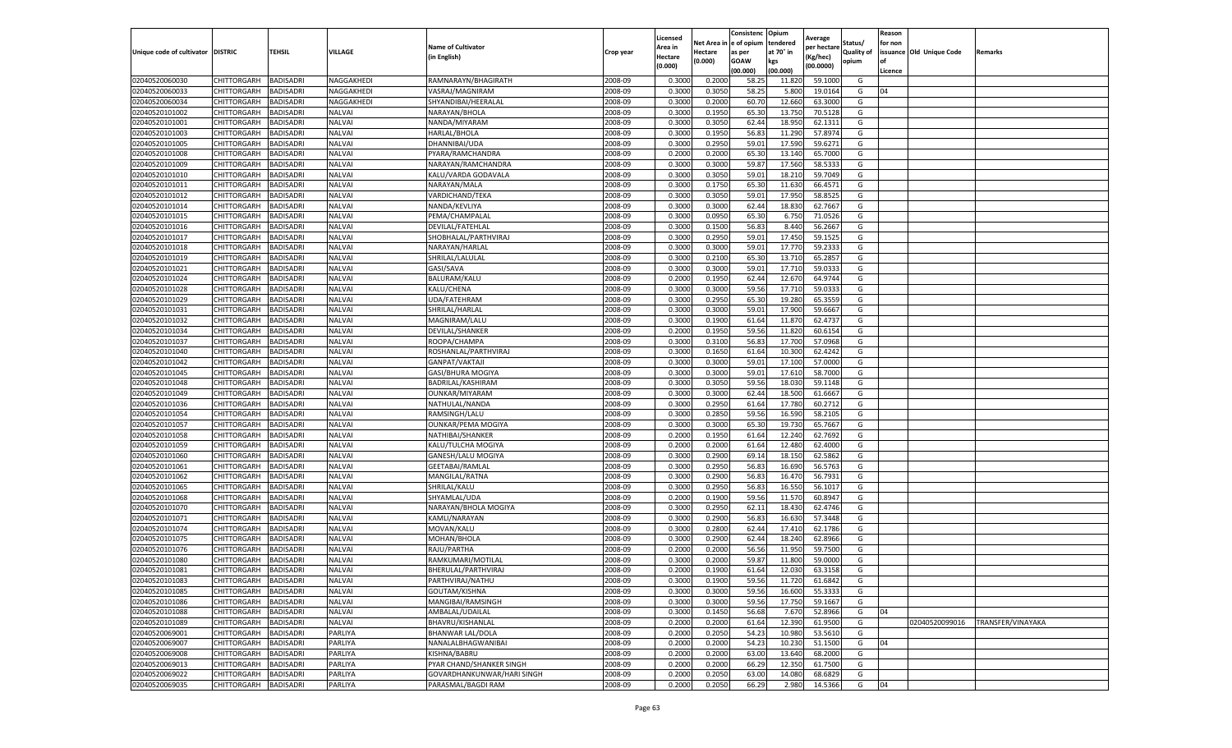|                                   |             |                  |               |                            |           | Licensed |            | Consistenc  | Opium     |                        |                   | Reason  |                          |                          |
|-----------------------------------|-------------|------------------|---------------|----------------------------|-----------|----------|------------|-------------|-----------|------------------------|-------------------|---------|--------------------------|--------------------------|
|                                   |             |                  |               | <b>Name of Cultivator</b>  |           | Area in  | Net Area i | e of opium  | tendered  | Average<br>per hectare | Status/           | for non |                          |                          |
| Unique code of cultivator DISTRIC |             | TEHSIL           | VILLAGE       | (in English)               | Crop year | Hectare  | Hectare    | as per      | at 70° in | (Kg/hec)               | <b>Quality of</b> |         | issuance Old Unique Code | Remarks                  |
|                                   |             |                  |               |                            |           | (0.000)  | (0.000)    | <b>GOAW</b> | kgs       | (00.0000)              | opium             | οf      |                          |                          |
|                                   |             |                  |               |                            |           |          |            | (00.000     | (00.000)  |                        |                   | Licence |                          |                          |
| 02040520060030                    | CHITTORGARH | BADISADRI        | NAGGAKHEDI    | RAMNARAYN/BHAGIRATH        | 2008-09   | 0.3000   | 0.2000     | 58.25       | 11.820    | 59.1000                | G                 |         |                          |                          |
| 02040520060033                    | CHITTORGARH | BADISADRI        | NAGGAKHEDI    | VASRAJ/MAGNIRAM            | 2008-09   | 0.300    | 0.3050     | 58.25       | 5.800     | 19.0164                | G                 | 04      |                          |                          |
| 02040520060034                    | CHITTORGARH | BADISADRI        | NAGGAKHEDI    | SHYANDIBAI/HEERALAL        | 2008-09   | 0.3000   | 0.2000     | 60.70       | 12.660    | 63.3000                | G                 |         |                          |                          |
| 02040520101002                    | CHITTORGARH | BADISADRI        | <b>NALVAI</b> | NARAYAN/BHOLA              | 2008-09   | 0.3000   | 0.1950     | 65.30       | 13.750    | 70.5128                | G                 |         |                          |                          |
| 02040520101001                    | CHITTORGARH | BADISADRI        | <b>NALVAI</b> | NANDA/MIYARAM              | 2008-09   | 0.3000   | 0.3050     | 62.44       | 18.950    | 62.1311                | G                 |         |                          |                          |
| 02040520101003                    | CHITTORGARH | BADISADRI        | <b>NALVAI</b> | HARLAL/BHOLA               | 2008-09   | 0.3000   | 0.1950     | 56.83       | 11.290    | 57.8974                | G                 |         |                          |                          |
| 02040520101005                    | CHITTORGARH | BADISADRI        | <b>NALVAI</b> | DHANNIBAI/UDA              | 2008-09   | 0.3000   | 0.2950     | 59.01       | 17.590    | 59.6271                | G                 |         |                          |                          |
| 02040520101008                    | CHITTORGARH | BADISADRI        | <b>NALVAI</b> | PYARA/RAMCHANDRA           | 2008-09   | 0.200    | 0.2000     | 65.30       | 13.140    | 65.7000                | G                 |         |                          |                          |
| 02040520101009                    | CHITTORGARH | BADISADRI        | <b>NALVAI</b> | NARAYAN/RAMCHANDRA         | 2008-09   | 0.3000   | 0.3000     | 59.87       | 17.560    | 58.5333                | G                 |         |                          |                          |
| 02040520101010                    | CHITTORGARH | BADISADRI        | NALVAI        | KALU/VARDA GODAVALA        | 2008-09   | 0.3000   | 0.3050     | 59.01       | 18.210    | 59.7049                | G                 |         |                          |                          |
| 02040520101011                    | CHITTORGARH | BADISADRI        | <b>NALVAI</b> | NARAYAN/MALA               | 2008-09   | 0.3000   | 0.1750     | 65.30       | 11.630    | 66.4571                | G                 |         |                          |                          |
| 02040520101012                    | CHITTORGARH | BADISADRI        | <b>NALVAI</b> | VARDICHAND/TEKA            | 2008-09   | 0.3000   | 0.3050     | 59.01       | 17.950    | 58.8525                | G                 |         |                          |                          |
| 02040520101014                    | CHITTORGARH | BADISADRI        | <b>NALVAI</b> | NANDA/KEVLIYA              | 2008-09   | 0.3000   | 0.3000     | 62.44       | 18.83     | 62.7667                | G                 |         |                          |                          |
| 02040520101015                    | CHITTORGARH | BADISADRI        | <b>NALVAI</b> | PEMA/CHAMPALAL             | 2008-09   | 0.300    | 0.0950     | 65.30       | 6.750     | 71.0526                | G                 |         |                          |                          |
| 02040520101016                    | CHITTORGARH | BADISADRI        | NALVAI        | DEVILAL/FATEHLAL           | 2008-09   | 0.3000   | 0.1500     | 56.83       | 8.440     | 56.2667                | G                 |         |                          |                          |
| 02040520101017                    | CHITTORGARH | BADISADRI        | NALVAI        | SHOBHALAL/PARTHVIRAJ       | 2008-09   | 0.3000   | 0.2950     | 59.01       | 17.450    | 59.1525                | G                 |         |                          |                          |
| 02040520101018                    | CHITTORGARH | BADISADRI        | NALVAI        | NARAYAN/HARLAL             | 2008-09   | 0.3000   | 0.3000     | 59.01       | 17.770    | 59.233                 | G                 |         |                          |                          |
| 02040520101019                    | CHITTORGARH | BADISADRI        | <b>NALVAI</b> | SHRILAL/LALULAL            | 2008-09   | 0.3000   | 0.2100     | 65.30       | 13.710    | 65.2857                | G                 |         |                          |                          |
| 02040520101021                    | CHITTORGARH | BADISADRI        | <b>NALVAI</b> | GASI/SAVA                  | 2008-09   | 0.3000   | 0.3000     | 59.0        | 17.710    | 59.033                 | G                 |         |                          |                          |
| 02040520101024                    | CHITTORGARH | BADISADRI        | <b>NALVAI</b> | BALURAM/KALU               | 2008-09   | 0.2000   | 0.1950     | 62.44       | 12.670    | 64.9744                | G                 |         |                          |                          |
| 02040520101028                    | CHITTORGARH | BADISADRI        | NALVAI        | KALU/CHENA                 | 2008-09   | 0.3000   | 0.3000     | 59.56       | 17.710    | 59.0333                | G                 |         |                          |                          |
| 02040520101029                    | CHITTORGARH | BADISADRI        | NALVAI        | UDA/FATEHRAM               | 2008-09   | 0.3000   | 0.2950     | 65.30       | 19.280    | 65.3559                | G                 |         |                          |                          |
| 02040520101031                    | CHITTORGARH | <b>BADISADRI</b> | <b>NALVAI</b> | SHRILAL/HARLAL             | 2008-09   | 0.3000   | 0.3000     | 59.01       | 17.900    | 59.6667                | G                 |         |                          |                          |
| 02040520101032                    | CHITTORGARH | BADISADRI        | <b>NALVAI</b> | MAGNIRAM/LALU              | 2008-09   | 0.3000   | 0.1900     | 61.64       | 11.870    | 62.4737                | G                 |         |                          |                          |
| 02040520101034                    | CHITTORGARH | BADISADRI        | <b>NALVAI</b> | DEVILAL/SHANKER            | 2008-09   | 0.2000   | 0.1950     | 59.56       | 11.82     | 60.6154                | G                 |         |                          |                          |
|                                   | CHITTORGARH | BADISADRI        | <b>NALVAI</b> | ROOPA/CHAMPA               | 2008-09   | 0.3000   | 0.3100     | 56.83       |           | 57.0968                | G                 |         |                          |                          |
| 02040520101037                    |             |                  |               |                            |           |          |            |             | 17.700    |                        |                   |         |                          |                          |
| 02040520101040                    | CHITTORGARH | BADISADRI        | NALVAI        | ROSHANLAL/PARTHVIRAJ       | 2008-09   | 0.3000   | 0.1650     | 61.64       | 10.300    | 62.4242                | G                 |         |                          |                          |
| 02040520101042                    | CHITTORGARH | BADISADRI        | NALVAI        | GANPAT/VAKTAJI             | 2008-09   | 0.3000   | 0.3000     | 59.01       | 17.100    | 57.0000                | G                 |         |                          |                          |
| 02040520101045                    | CHITTORGARH | BADISADRI        | NALVAI        | GASI/BHURA MOGIYA          | 2008-09   | 0.3000   | 0.3000     | 59.01       | 17.610    | 58.7000                | G                 |         |                          |                          |
| 02040520101048                    | CHITTORGARH | BADISADRI        | <b>NALVAI</b> | BADRILAL/KASHIRAM          | 2008-09   | 0.3000   | 0.3050     | 59.56       | 18.030    | 59.1148                | G                 |         |                          |                          |
| 02040520101049                    | CHITTORGARH | BADISADRI        | NALVAI        | OUNKAR/MIYARAM             | 2008-09   | 0.3000   | 0.3000     | 62.4        | 18.500    | 61.6667                | G                 |         |                          |                          |
| 02040520101036                    | CHITTORGARH | BADISADRI        | <b>NALVAI</b> | NATHULAL/NANDA             | 2008-09   | 0.3000   | 0.2950     | 61.64       | 17.780    | 60.2712                | G                 |         |                          |                          |
| 02040520101054                    | CHITTORGARH | BADISADRI        | <b>NALVAI</b> | RAMSINGH/LALU              | 2008-09   | 0.3000   | 0.2850     | 59.56       | 16.590    | 58.2105                | G                 |         |                          |                          |
| 02040520101057                    | CHITTORGARH | BADISADRI        | NALVAI        | <b>OUNKAR/PEMA MOGIYA</b>  | 2008-09   | 0.3000   | 0.3000     | 65.30       | 19.730    | 65.7667                | G                 |         |                          |                          |
| 02040520101058                    | CHITTORGARH | <b>BADISADRI</b> | <b>NALVAI</b> | NATHIBAI/SHANKER           | 2008-09   | 0.2000   | 0.1950     | 61.64       | 12.240    | 62.7692                | G                 |         |                          |                          |
| 02040520101059                    | CHITTORGARH | BADISADRI        | <b>NALVAI</b> | KALU/TULCHA MOGIYA         | 2008-09   | 0.2000   | 0.2000     | 61.64       | 12.480    | 62.4000                | G                 |         |                          |                          |
| 02040520101060                    | CHITTORGARH | BADISADRI        | <b>NALVAI</b> | GANESH/LALU MOGIYA         | 2008-09   | 0.3000   | 0.2900     | 69.14       | 18.15     | 62.5862                | G                 |         |                          |                          |
| 02040520101061                    | CHITTORGARH | BADISADRI        | <b>NALVAI</b> | GEETABAI/RAMLAI            | 2008-09   | 0.3000   | 0.2950     | 56.83       | 16.690    | 56.5763                | G                 |         |                          |                          |
| 02040520101062                    | CHITTORGARH | BADISADRI        | <b>NALVAI</b> | MANGILAL/RATNA             | 2008-09   | 0.3000   | 0.2900     | 56.83       | 16.470    | 56.7931                | G                 |         |                          |                          |
| 02040520101065                    | CHITTORGARH | BADISADRI        | <b>NALVAI</b> | SHRILAL/KALU               | 2008-09   | 0.3000   | 0.2950     | 56.83       | 16.550    | 56.1017                | G                 |         |                          |                          |
| 02040520101068                    | CHITTORGARH | BADISADRI        | NALVAI        | SHYAMLAL/UDA               | 2008-09   | 0.2000   | 0.1900     | 59.56       | 11.570    | 60.8947                | G                 |         |                          |                          |
| 02040520101070                    | CHITTORGARH | BADISADRI        | NALVAI        | NARAYAN/BHOLA MOGIYA       | 2008-09   | 0.3000   | 0.2950     | 62.11       | 18.430    | 62.4746                | G                 |         |                          |                          |
| 02040520101071                    | CHITTORGARH | BADISADRI        | NALVAI        | KAMLI/NARAYAN              | 2008-09   | 0.3000   | 0.2900     | 56.83       | 16.630    | 57.3448                | G                 |         |                          |                          |
| 02040520101074                    | CHITTORGARH | BADISADRI        | <b>NALVAI</b> | MOVAN/KALU                 | 2008-09   | 0.3000   | 0.2800     | 62.44       | 17.41     | 62.1786                | G                 |         |                          |                          |
| 02040520101075                    | CHITTORGARH | BADISADRI        | <b>NALVAI</b> | MOHAN/BHOLA                | 2008-09   | 0.3000   | 0.2900     | 62.44       | 18.240    | 62.8966                | G                 |         |                          |                          |
| 02040520101076                    | CHITTORGARH | BADISADRI        | NALVAI        | RAJU/PARTHA                | 2008-09   | 0.200    | 0.2000     | 56.56       | 11.950    | 59.7500                | G                 |         |                          |                          |
| 02040520101080                    | CHITTORGARH | BADISADRI        | NALVAI        | RAMKUMARI/MOTILAL          | 2008-09   | 0.3000   | 0.2000     | 59.87       | 11.800    | 59.0000                | G                 |         |                          |                          |
| 02040520101081                    | CHITTORGARH | <b>BADISADRI</b> | NALVAI        | BHERULAL/PARTHVIRAJ        | 2008-09   | 0.2000   | 0.1900     | 61.64       | 12.030    | 63.3158                | G                 |         |                          |                          |
| 02040520101083                    | CHITTORGARH | <b>BADISADRI</b> | NALVAI        | PARTHVIRAJ/NATHU           | 2008-09   | 0.3000   | 0.1900     | 59.56       | 11.720    | 61.6842                | G                 |         |                          |                          |
| 02040520101085                    | CHITTORGARH | BADISADRI        | <b>NALVAI</b> | GOUTAM/KISHNA              | 2008-09   | 0.3000   | 0.3000     | 59.56       | 16.600    | 55.3333                | G                 |         |                          |                          |
| 02040520101086                    | CHITTORGARH | BADISADRI        | <b>NALVAI</b> | MANGIBAI/RAMSINGH          | 2008-09   | 0.3000   | 0.3000     | 59.56       | 17.750    | 59.1667                | G                 |         |                          |                          |
| 02040520101088                    | CHITTORGARH | BADISADRI        | <b>NALVAI</b> | AMBALAL/UDAILAL            | 2008-09   | 0.3000   | 0.1450     | 56.68       | 7.670     | 52.8966                | G                 | 04      |                          |                          |
| 02040520101089                    | CHITTORGARH | <b>BADISADRI</b> | NALVAI        | BHAVRU/KISHANLAL           | 2008-09   | 0.2000   | 0.2000     | 61.64       | 12.390    | 61.9500                | G                 |         | 02040520099016           | <b>TRANSFER/VINAYAKA</b> |
| 02040520069001                    | CHITTORGARH | <b>BADISADRI</b> | PARLIYA       | <b>BHANWAR LAL/DOLA</b>    | 2008-09   | 0.2000   | 0.2050     | 54.23       | 10.980    | 53.5610                | G                 |         |                          |                          |
| 02040520069007                    | CHITTORGARH | BADISADRI        | PARLIYA       | NANALALBHAGWANIBAI         | 2008-09   | 0.2000   | 0.2000     | 54.23       | 10.230    | 51.1500                | G                 | 04      |                          |                          |
| 02040520069008                    | CHITTORGARH | BADISADRI        | PARLIYA       | KISHNA/BABRU               | 2008-09   | 0.2000   | 0.2000     | 63.00       | 13.640    | 68.2000                | G                 |         |                          |                          |
| 02040520069013                    | CHITTORGARH | BADISADRI        | PARLIYA       | PYAR CHAND/SHANKER SINGH   | 2008-09   | 0.2000   | 0.2000     | 66.29       | 12.350    | 61.7500                | G                 |         |                          |                          |
| 02040520069022                    | CHITTORGARH | BADISADRI        | PARLIYA       | GOVARDHANKUNWAR/HARI SINGH | 2008-09   | 0.2000   | 0.2050     | 63.00       | 14.080    | 68.6829                | G                 |         |                          |                          |
| 02040520069035                    | CHITTORGARH | <b>BADISADRI</b> | PARLIYA       | PARASMAL/BAGDI RAM         | 2008-09   | 0.2000   | 0.2050     | 66.29       | 2.980     | 14.5366                | G                 | 04      |                          |                          |
|                                   |             |                  |               |                            |           |          |            |             |           |                        |                   |         |                          |                          |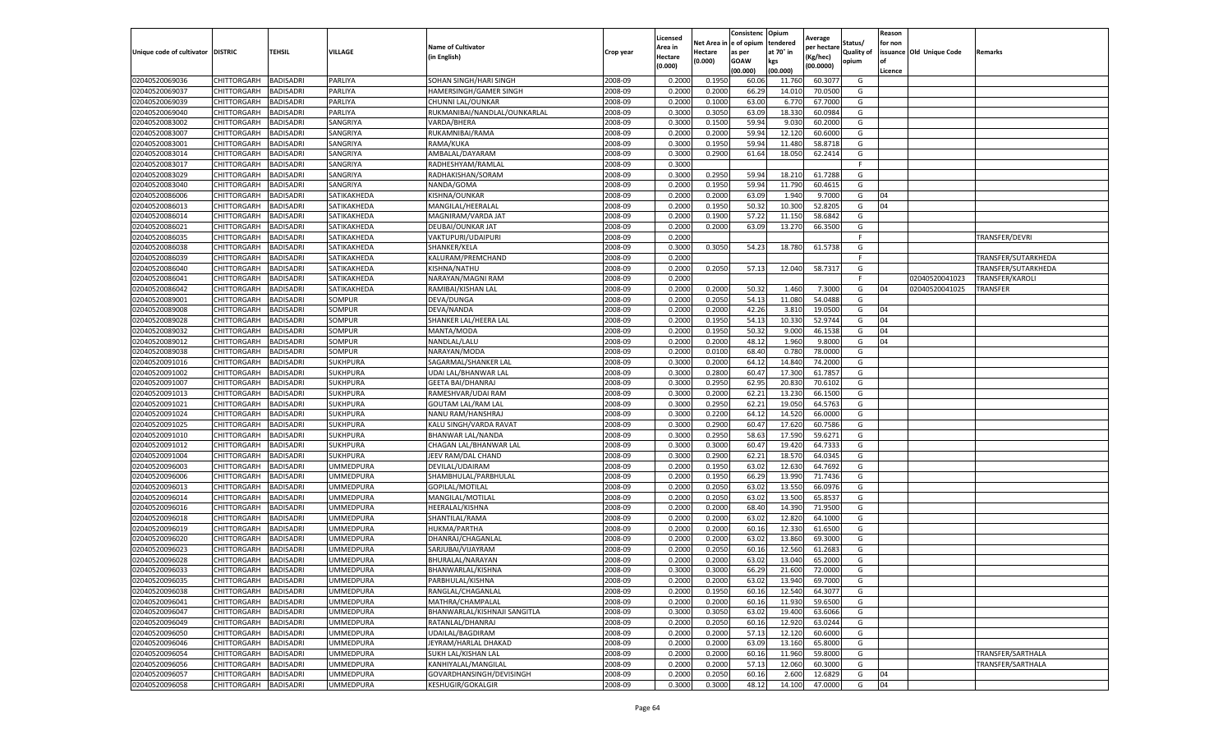|                           |                    |                  |                  |                               |           | Licensed |         | Consistenc             | Opium     | Average     |                   | Reason  |                          |                     |
|---------------------------|--------------------|------------------|------------------|-------------------------------|-----------|----------|---------|------------------------|-----------|-------------|-------------------|---------|--------------------------|---------------------|
|                           |                    |                  |                  | <b>Name of Cultivator</b>     |           | Area in  |         | Net Area in e of opium | tendered  | per hectare | Status/           | for non |                          |                     |
| Unique code of cultivator | <b>DISTRIC</b>     | TEHSIL           | VILLAGE          | in English)                   | Crop year | Hectare  | Hectare | as per                 | at 70° in | (Kg/hec     | <b>Quality of</b> |         | issuance Old Unique Code | <b>Remarks</b>      |
|                           |                    |                  |                  |                               |           | (0.000)  | (0.000) | <b>GOAW</b>            | kgs       | (00.0000)   | opium             |         |                          |                     |
|                           |                    |                  |                  |                               |           |          |         | (00.000)               | (00.000)  |             |                   | Licence |                          |                     |
| 02040520069036            | CHITTORGARH        | <b>BADISADRI</b> | PARLIYA          | SOHAN SINGH/HARI SINGH        | 2008-09   | 0.2000   | 0.1950  | 60.06                  | 11.760    | 60.307      | G                 |         |                          |                     |
| 02040520069037            | CHITTORGARH        | <b>BADISADRI</b> | PARLIYA          | <b>HAMERSINGH/GAMER SINGH</b> | 2008-09   | 0.2000   | 0.2000  | 66.29                  | 14.01     | 70.0500     | G                 |         |                          |                     |
| 02040520069039            | CHITTORGARH        | <b>BADISADRI</b> | PARLIYA          | CHUNNI LAL/OUNKAR             | 2008-09   | 0.2000   | 0.1000  | 63.00                  | 6.77      | 67.7000     | G                 |         |                          |                     |
| 02040520069040            | CHITTORGARH        | <b>BADISADRI</b> | PARLIYA          | RUKMANIBAI/NANDLAL/OUNKARLAL  | 2008-09   | 0.3000   | 0.3050  | 63.09                  | 18.330    | 60.0984     | G                 |         |                          |                     |
| 02040520083002            | CHITTORGARH        | <b>BADISADRI</b> | SANGRIYA         | VARDA/BHERA                   | 2008-09   | 0.3000   | 0.1500  | 59.94                  | 9.03      | 60.2000     | G                 |         |                          |                     |
| 02040520083007            | CHITTORGARH        | <b>BADISADRI</b> | SANGRIYA         | RUKAMNIBAI/RAMA               | 2008-09   | 0.2000   | 0.2000  | 59.94                  | 12.12     | 60.6000     | G                 |         |                          |                     |
| 02040520083001            | CHITTORGARH        | <b>BADISADRI</b> | SANGRIYA         | RAMA/KUKA                     | 2008-09   | 0.3000   | 0.1950  | 59.94                  | 11.480    | 58.8718     | G                 |         |                          |                     |
| 02040520083014            | CHITTORGARH        | BADISADRI        | SANGRIYA         | AMBALAL/DAYARAM               | 2008-09   | 0.3000   | 0.2900  | 61.64                  | 18.05     | 62.2414     | G                 |         |                          |                     |
| 02040520083017            | CHITTORGARH        | <b>BADISADRI</b> | SANGRIYA         | RADHESHYAM/RAMLAL             | 2008-09   | 0.3000   |         |                        |           |             | F                 |         |                          |                     |
| 02040520083029            | CHITTORGARH        | <b>BADISADRI</b> | SANGRIYA         | RADHAKISHAN/SORAM             | 2008-09   | 0.3000   | 0.2950  | 59.94                  | 18.210    | 61.7288     | G                 |         |                          |                     |
| 02040520083040            | CHITTORGARH        | <b>BADISADRI</b> | SANGRIYA         | NANDA/GOMA                    | 2008-09   | 0.2000   | 0.1950  | 59.94                  | 11.790    | 60.4615     | G                 |         |                          |                     |
| 02040520086006            | CHITTORGARH        | <b>BADISADRI</b> | SATIKAKHEDA      | KISHNA/OUNKAR                 | 2008-09   | 0.2000   | 0.2000  | 63.09                  | 1.94      | 9.7000      | G                 | 04      |                          |                     |
| 02040520086013            | CHITTORGARH        | <b>BADISADRI</b> | SATIKAKHEDA      | MANGILAL/HEERALAI             | 2008-09   | 0.2000   | 0.1950  | 50.32                  | 10.30     | 52.8205     | G                 | 04      |                          |                     |
| 02040520086014            | CHITTORGARH        | <b>BADISADRI</b> | SATIKAKHEDA      | MAGNIRAM/VARDA JAT            | 2008-09   | 0.2000   | 0.1900  | 57.22                  | 11.15     | 58.6842     | G                 |         |                          |                     |
| 02040520086021            | CHITTORGARH        | <b>BADISADRI</b> | SATIKAKHEDA      | DEUBAI/OUNKAR JAT             | 2008-09   | 0.2000   | 0.2000  | 63.09                  | 13.27     | 66.3500     | G                 |         |                          |                     |
| 02040520086035            | CHITTORGARH        | <b>BADISADRI</b> | SATIKAKHEDA      | VAKTUPURI/UDAIPURI            | 2008-09   | 0.2000   |         |                        |           |             | F.                |         |                          | TRANSFER/DEVRI      |
| 02040520086038            | CHITTORGARH        | <b>BADISADRI</b> | SATIKAKHEDA      | SHANKER/KELA                  | 2008-09   | 0.3000   | 0.3050  | 54.23                  | 18.780    | 61.5738     | G                 |         |                          |                     |
| 02040520086039            | CHITTORGARH        | <b>BADISADRI</b> | SATIKAKHEDA      | KALURAM/PREMCHAND             | 2008-09   | 0.2000   |         |                        |           |             | F                 |         |                          | TRANSFER/SUTARKHEDA |
| 02040520086040            | CHITTORGARH        | <b>BADISADRI</b> | SATIKAKHEDA      | KISHNA/NATHU                  | 2008-09   | 0.2000   | 0.2050  | 57.13                  | 12.040    | 58.7317     | G                 |         |                          | TRANSFER/SUTARKHEDA |
| 02040520086041            | CHITTORGARH        | <b>BADISADRI</b> | SATIKAKHEDA      | NARAYAN/MAGNI RAM             | 2008-09   | 0.2000   |         |                        |           |             | F                 |         | 02040520041023           | TRANSFER/KAROLI     |
| 02040520086042            | CHITTORGARH        | <b>BADISADRI</b> | SATIKAKHEDA      | RAMIBAI/KISHAN LAL            | 2008-09   | 0.2000   | 0.2000  | 50.32                  | 1.460     | 7.3000      | G                 | 04      | 02040520041025           | TRANSFER            |
| 02040520089001            | CHITTORGARH        | <b>BADISADRI</b> | SOMPUR           | DEVA/DUNGA                    | 2008-09   | 0.2000   | 0.2050  | 54.13                  | 11.080    | 54.0488     | G                 |         |                          |                     |
| 02040520089008            | CHITTORGARH        | <b>BADISADRI</b> | SOMPUR           | DEVA/NANDA                    | 2008-09   | 0.2000   | 0.2000  | 42.26                  | 3.810     | 19.0500     | G                 | 04      |                          |                     |
| 02040520089028            | CHITTORGARH        | <b>BADISADRI</b> | SOMPUR           | SHANKER LAL/HEERA LAL         | 2008-09   | 0.2000   | 0.1950  | 54.13                  | 10.33     | 52.9744     | G                 | 04      |                          |                     |
| 02040520089032            | CHITTORGARH        | <b>BADISADRI</b> | SOMPUR           | MANTA/MODA                    | 2008-09   | 0.2000   | 0.1950  | 50.32                  | 9.000     | 46.1538     | G                 | 04      |                          |                     |
| 02040520089012            | CHITTORGARH        | <b>BADISADRI</b> | SOMPUR           | NANDLAL/LALU                  | 2008-09   | 0.2000   | 0.2000  | 48.12                  | 1.960     | 9.8000      | G                 | 04      |                          |                     |
| 02040520089038            | CHITTORGARH        | BADISADRI        | SOMPUR           | NARAYAN/MODA                  | 2008-09   | 0.2000   | 0.0100  | 68.40                  | 0.78      | 78.0000     | G                 |         |                          |                     |
| 02040520091016            | CHITTORGARH        | <b>BADISADRI</b> | <b>SUKHPURA</b>  | SAGARMAL/SHANKER LAL          | 2008-09   | 0.3000   | 0.2000  | 64.12                  | 14.84     | 74.2000     | G                 |         |                          |                     |
| 02040520091002            | CHITTORGARH        | <b>BADISADRI</b> | SUKHPURA         | UDAI LAL/BHANWAR LAL          | 2008-09   | 0.3000   | 0.2800  | 60.47                  | 17.300    | 61.7857     | G                 |         |                          |                     |
| 02040520091007            | CHITTORGARH        | <b>BADISADRI</b> | SUKHPURA         | <b>GEETA BAI/DHANRAJ</b>      | 2008-09   | 0.3000   | 0.2950  | 62.95                  | 20.83     | 70.6102     | G                 |         |                          |                     |
| 02040520091013            | CHITTORGARH        | <b>BADISADRI</b> | <b>SUKHPURA</b>  | RAMESHVAR/UDAI RAM            | 2008-09   | 0.3000   | 0.2000  | 62.21                  | 13.23     | 66.1500     | G                 |         |                          |                     |
| 02040520091021            | CHITTORGARH        | <b>BADISADRI</b> | SUKHPURA         | <b>GOUTAM LAL/RAM LAL</b>     | 2008-09   | 0.3000   | 0.2950  | 62.21                  | 19.050    | 64.5763     | G                 |         |                          |                     |
| 02040520091024            | CHITTORGARH        | <b>BADISADRI</b> | <b>SUKHPURA</b>  | NANU RAM/HANSHRAJ             | 2008-09   | 0.3000   | 0.2200  | 64.12                  | 14.52     | 66.0000     | G                 |         |                          |                     |
| 02040520091025            | CHITTORGARH        | <b>BADISADRI</b> | SUKHPURA         | KALU SINGH/VARDA RAVAT        | 2008-09   | 0.3000   | 0.2900  | 60.47                  | 17.620    | 60.7586     | G                 |         |                          |                     |
| 02040520091010            | CHITTORGARH        | <b>BADISADRI</b> | SUKHPURA         | BHANWAR LAL/NANDA             | 2008-09   | 0.3000   | 0.2950  | 58.63                  | 17.590    | 59.6271     | G                 |         |                          |                     |
| 02040520091012            | CHITTORGARH        | <b>BADISADRI</b> | SUKHPURA         | CHAGAN LAL/BHANWAR LAL        | 2008-09   | 0.3000   | 0.3000  | 60.47                  | 19.42     | 64.7333     | G                 |         |                          |                     |
| 02040520091004            | CHITTORGARH        | <b>BADISADRI</b> | SUKHPURA         | JEEV RAM/DAL CHAND            | 2008-09   | 0.3000   | 0.2900  | 62.21                  | 18.57     | 64.0345     | G                 |         |                          |                     |
| 02040520096003            | CHITTORGARH        | <b>BADISADRI</b> | <b>JMMEDPURA</b> | DEVILAL/UDAIRAM               | 2008-09   | 0.2000   | 0.1950  | 63.02                  | 12.63     | 64.7692     | G                 |         |                          |                     |
| 02040520096006            | CHITTORGARH        | BADISADRI        | UMMEDPURA        | SHAMBHULAL/PARBHULAL          | 2008-09   | 0.2000   | 0.1950  | 66.29                  | 13.990    | 71.7436     | G                 |         |                          |                     |
| 02040520096013            | CHITTORGARH        | <b>BADISADRI</b> | UMMEDPURA        | GOPILAL/MOTILAL               | 2008-09   | 0.2000   | 0.2050  | 63.02                  | 13.550    | 66.0976     | G                 |         |                          |                     |
| 02040520096014            | CHITTORGARH        | <b>BADISADRI</b> | UMMEDPURA        | MANGILAL/MOTILAL              | 2008-09   | 0.2000   | 0.2050  | 63.02                  | 13.500    | 65.8537     | G                 |         |                          |                     |
| 02040520096016            | CHITTORGARH        | <b>BADISADRI</b> | UMMEDPURA        | HEERALAL/KISHNA               | 2008-09   | 0.2000   | 0.2000  | 68.40                  | 14.390    | 71.9500     | G                 |         |                          |                     |
| 02040520096018            | CHITTORGARH        | <b>BADISADRI</b> | UMMEDPURA        | SHANTILAL/RAMA                | 2008-09   | 0.2000   | 0.2000  | 63.02                  | 12.82     | 64.1000     | G                 |         |                          |                     |
| 02040520096019            | CHITTORGARH        | <b>BADISADRI</b> | UMMEDPURA        | HUKMA/PARTHA                  | 2008-09   | 0.2000   | 0.2000  | 60.16                  | 12.33     | 61.6500     | G                 |         |                          |                     |
| 02040520096020            | CHITTORGARH        | <b>BADISADRI</b> | UMMEDPURA        | DHANRAJ/CHAGANLAL             | 2008-09   | 0.2000   | 0.2000  | 63.02                  | 13.860    | 69.3000     | G                 |         |                          |                     |
| 02040520096023            | CHITTORGARH        | BADISADRI        | UMMEDPURA        | SARJUBAI/VIJAYRAM             | 2008-09   | 0.2000   | 0.2050  | 60.16                  | 12.560    | 61.2683     | G                 |         |                          |                     |
| 02040520096028            | CHITTORGARH        | <b>BADISADRI</b> | UMMEDPURA        | BHURALAL/NARAYAN              | 2008-09   | 0.2000   | 0.2000  | 63.02                  | 13.04     | 65.2000     | G                 |         |                          |                     |
| 02040520096033            | CHITTORGARH        | <b>BADISADRI</b> | <b>UMMEDPURA</b> | BHANWARLAL/KISHNA             | 2008-09   | 0.3000   | 0.3000  | 66.29                  | 21.600    | 72.0000     | G                 |         |                          |                     |
| 02040520096035            | CHITTORGARH        | <b>BADISADRI</b> | UMMEDPURA        | PARBHULAL/KISHNA              | 2008-09   | 0.2000   | 0.2000  | 63.02                  | 13.940    | 69.7000     | G                 |         |                          |                     |
| 02040520096038            | CHITTORGARH        | <b>BADISADRI</b> | UMMEDPURA        | RANGLAL/CHAGANLAL             | 2008-09   | 0.2000   | 0.1950  | 60.16                  | 12.540    | 64.3077     | G                 |         |                          |                     |
| 02040520096041            | <b>CHITTORGARH</b> | <b>BADISADRI</b> | <b>UMMEDPURA</b> | MATHRA/CHAMPALAL              | 2008-09   | 0.2000   | 0.2000  | 60.16                  | 11.930    | 59.6500     | G                 |         |                          |                     |
| 02040520096047            | CHITTORGARH        | <b>BADISADRI</b> | <b>UMMEDPURA</b> | BHANWARLAL/KISHNAJI SANGITLA  | 2008-09   | 0.3000   | 0.3050  | 63.02                  | 19.400    | 63.6066     | G                 |         |                          |                     |
| 02040520096049            | CHITTORGARH        | <b>BADISADRI</b> | <b>UMMEDPURA</b> | RATANLAL/DHANRAJ              | 2008-09   | 0.2000   | 0.2050  | 60.16                  | 12.92     | 63.0244     | G                 |         |                          |                     |
| 02040520096050            | <b>CHITTORGARH</b> | <b>BADISADRI</b> | UMMEDPURA        | UDAILAL/BAGDIRAM              | 2008-09   | 0.2000   | 0.2000  | 57.13                  | 12.120    | 60.6000     | G                 |         |                          |                     |
| 02040520096046            | CHITTORGARH        | <b>BADISADRI</b> | UMMEDPURA        | JEYRAM/HARLAL DHAKAD          | 2008-09   | 0.2000   | 0.2000  | 63.09                  | 13.160    | 65.8000     | G                 |         |                          |                     |
| 02040520096054            | CHITTORGARH        | <b>BADISADRI</b> | UMMEDPURA        | SUKH LAL/KISHAN LAL           | 2008-09   | 0.2000   | 0.2000  | 60.16                  | 11.960    | 59.8000     | G                 |         |                          | TRANSFER/SARTHALA   |
| 02040520096056            | CHITTORGARH        | <b>BADISADRI</b> | <b>UMMEDPURA</b> | KANHIYALAL/MANGILAL           | 2008-09   | 0.2000   | 0.2000  | 57.13                  | 12.060    | 60.3000     | G                 |         |                          | TRANSFER/SARTHALA   |
| 02040520096057            | CHITTORGARH        | <b>BADISADRI</b> | <b>UMMEDPURA</b> | GOVARDHANSINGH/DEVISINGH      | 2008-09   | 0.2000   | 0.2050  | 60.16                  | 2.600     | 12.6829     | G                 | 04      |                          |                     |
| 02040520096058            | <b>CHITTORGARH</b> | <b>BADISADRI</b> | <b>UMMEDPURA</b> | <b>KESHUGIR/GOKALGIR</b>      | 2008-09   | 0.3000   | 0.3000  | 48.12                  | 14.100    | 47.0000     | G                 | 04      |                          |                     |
|                           |                    |                  |                  |                               |           |          |         |                        |           |             |                   |         |                          |                     |